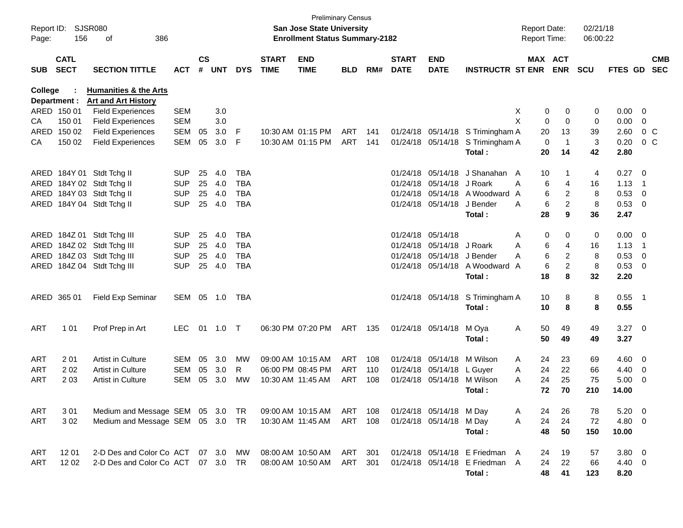| Page:      | Report ID: SJSR080<br>156  | 386<br>οf                                              |            |                    |            |            |                             | <b>Preliminary Census</b><br>San Jose State University<br><b>Enrollment Status Summary-2182</b> |            |     |                             |                            |                                  | <b>Report Date:</b><br><b>Report Time:</b> |                       | 02/21/18<br>06:00:22 |                |                          |                          |
|------------|----------------------------|--------------------------------------------------------|------------|--------------------|------------|------------|-----------------------------|-------------------------------------------------------------------------------------------------|------------|-----|-----------------------------|----------------------------|----------------------------------|--------------------------------------------|-----------------------|----------------------|----------------|--------------------------|--------------------------|
| <b>SUB</b> | <b>CATL</b><br><b>SECT</b> | <b>SECTION TITTLE</b>                                  | <b>ACT</b> | $\mathsf{cs}$<br># | <b>UNT</b> | <b>DYS</b> | <b>START</b><br><b>TIME</b> | <b>END</b><br><b>TIME</b>                                                                       | <b>BLD</b> | RM# | <b>START</b><br><b>DATE</b> | <b>END</b><br><b>DATE</b>  | <b>INSTRUCTR ST ENR</b>          |                                            | MAX ACT<br><b>ENR</b> | <b>SCU</b>           | FTES GD        |                          | <b>CMB</b><br><b>SEC</b> |
| College    | Department :               | <b>Humanities &amp; the Arts</b>                       |            |                    |            |            |                             |                                                                                                 |            |     |                             |                            |                                  |                                            |                       |                      |                |                          |                          |
|            | ARED 150 01                | <b>Art and Art History</b><br><b>Field Experiences</b> | <b>SEM</b> |                    | 3.0        |            |                             |                                                                                                 |            |     |                             |                            |                                  | X<br>0                                     | 0                     | 0                    | $0.00 \t 0$    |                          |                          |
| CA         | 150 01                     | <b>Field Experiences</b>                               | <b>SEM</b> |                    | 3.0        |            |                             |                                                                                                 |            |     |                             |                            |                                  | X<br>$\mathbf 0$                           | $\mathbf 0$           | 0                    | 0.00           | $\overline{0}$           |                          |
|            | ARED 150 02                | <b>Field Experiences</b>                               | <b>SEM</b> | 05                 | 3.0        | F          |                             | 10:30 AM 01:15 PM                                                                               | ART        | 141 |                             |                            | 01/24/18 05/14/18 S Trimingham A | 20                                         | 13                    | 39                   | 2.60           | 0 <sup>o</sup>           |                          |
| CA         | 150 02                     | <b>Field Experiences</b>                               | <b>SEM</b> | 05                 | 3.0        | F          |                             | 10:30 AM 01:15 PM                                                                               | ART        | 141 |                             |                            | 01/24/18 05/14/18 S Trimingham A | $\mathbf 0$                                | -1                    | 3                    | 0.20           | 0 <sup>o</sup>           |                          |
|            |                            |                                                        |            |                    |            |            |                             |                                                                                                 |            |     |                             |                            | Total:                           | 20                                         | 14                    | 42                   | 2.80           |                          |                          |
|            |                            | ARED 184Y 01 Stdt Tchg II                              | <b>SUP</b> | 25                 | 4.0        | <b>TBA</b> |                             |                                                                                                 |            |     |                             |                            | 01/24/18 05/14/18 J Shanahan A   | 10                                         |                       | 4                    | $0.27$ 0       |                          |                          |
|            |                            | ARED 184Y 02 Stdt Tchg II                              | <b>SUP</b> | 25                 | 4.0        | <b>TBA</b> |                             |                                                                                                 |            |     |                             | 01/24/18 05/14/18 J Roark  |                                  | 6<br>Α                                     | 4                     | 16                   | 1.13           | $\overline{\phantom{1}}$ |                          |
|            |                            | ARED 184Y 03 Stdt Tchg II                              | <b>SUP</b> | 25                 | 4.0        | <b>TBA</b> |                             |                                                                                                 |            |     |                             |                            | 01/24/18 05/14/18 A Woodward     | 6<br>A                                     | 2                     | 8                    | 0.53           | $\overline{\phantom{0}}$ |                          |
|            |                            | ARED 184Y 04 Stdt Tchg II                              | <b>SUP</b> | 25                 | 4.0        | <b>TBA</b> |                             |                                                                                                 |            |     |                             | 01/24/18 05/14/18          | J Bender                         | 6<br>A                                     | $\overline{c}$        | 8                    | 0.53 0         |                          |                          |
|            |                            |                                                        |            |                    |            |            |                             |                                                                                                 |            |     |                             |                            | Total:                           | 28                                         | 9                     | 36                   | 2.47           |                          |                          |
|            |                            | ARED 184Z 01 Stdt Tchg III                             | <b>SUP</b> | 25                 | 4.0        | <b>TBA</b> |                             |                                                                                                 |            |     |                             | 01/24/18 05/14/18          |                                  | 0<br>Α                                     | 0                     | 0                    | $0.00 \t 0$    |                          |                          |
|            |                            | ARED 184Z 02 Stdt Tchg III                             | <b>SUP</b> | 25                 | 4.0        | <b>TBA</b> |                             |                                                                                                 |            |     |                             | 01/24/18 05/14/18          | J Roark                          | 6<br>A                                     | 4                     | 16                   | 1.13           | $\overline{\phantom{1}}$ |                          |
|            |                            | ARED 184Z 03 Stdt Tchg III                             | <b>SUP</b> | 25                 | 4.0        | <b>TBA</b> |                             |                                                                                                 |            |     |                             | 01/24/18 05/14/18 J Bender |                                  | 6<br>A                                     | $\overline{c}$        | 8                    | 0.53           | $\overline{\phantom{0}}$ |                          |
|            |                            | ARED 184Z 04 Stdt Tchg III                             | <b>SUP</b> | 25                 | 4.0        | <b>TBA</b> |                             |                                                                                                 |            |     |                             |                            | 01/24/18 05/14/18 A Woodward     | 6<br>A                                     | $\overline{a}$        | 8                    | 0.53 0         |                          |                          |
|            |                            |                                                        |            |                    |            |            |                             |                                                                                                 |            |     |                             |                            | Total:                           | 18                                         | 8                     | 32                   | 2.20           |                          |                          |
|            | ARED 365 01                | <b>Field Exp Seminar</b>                               | SEM 05     |                    | 1.0        | TBA        |                             |                                                                                                 |            |     |                             |                            | 01/24/18 05/14/18 S Trimingham A | 10                                         | 8                     | 8                    | $0.55$ 1       |                          |                          |
|            |                            |                                                        |            |                    |            |            |                             |                                                                                                 |            |     |                             |                            | Total :                          | 10                                         | 8                     | 8                    | 0.55           |                          |                          |
| ART        | 1 0 1                      | Prof Prep in Art                                       | <b>LEC</b> | 01                 | 1.0        | $\top$     |                             | 06:30 PM 07:20 PM                                                                               | ART        | 135 |                             | 01/24/18 05/14/18          | M Oya                            | 50<br>Α                                    | 49                    | 49                   | $3.27$ 0       |                          |                          |
|            |                            |                                                        |            |                    |            |            |                             |                                                                                                 |            |     |                             |                            | Total:                           | 50                                         | 49                    | 49                   | 3.27           |                          |                          |
| <b>ART</b> | 201                        | <b>Artist in Culture</b>                               | SEM        | 05                 | 3.0        | <b>MW</b>  |                             | 09:00 AM 10:15 AM                                                                               | <b>ART</b> | 108 |                             | 01/24/18 05/14/18 M Wilson |                                  | 24<br>A                                    | 23                    | 69                   | $4.60$ 0       |                          |                          |
| ART        | 202                        | <b>Artist in Culture</b>                               | SEM        | 05                 | 3.0        | R.         |                             | 06:00 PM 08:45 PM                                                                               | ART        | 110 |                             | 01/24/18 05/14/18 L Guyer  |                                  | 24<br>A                                    | 22                    | 66                   | $4.40 \quad 0$ |                          |                          |
| ART        | 203                        | <b>Artist in Culture</b>                               | SEM        | 05                 | 3.0        | <b>MW</b>  | 10:30 AM 11:45 AM           |                                                                                                 | ART        | 108 |                             | 01/24/18 05/14/18          | M Wilson                         | 24<br>A                                    | 25                    | 75                   | 5.00           | $\overline{\phantom{0}}$ |                          |
|            |                            |                                                        |            |                    |            |            |                             |                                                                                                 |            |     |                             |                            | Total :                          | 72                                         | 70                    | 210                  | 14.00          |                          |                          |
| ART        | 301                        | Medium and Message SEM 05 3.0                          |            |                    |            | TR         |                             | 09:00 AM 10:15 AM                                                                               | ART 108    |     |                             | 01/24/18 05/14/18 M Day    |                                  | 24<br>A                                    | 26                    | 78                   | 5.20 0         |                          |                          |
| <b>ART</b> | 302                        | Medium and Message SEM 05 3.0 TR                       |            |                    |            |            |                             | 10:30 AM 11:45 AM                                                                               | ART 108    |     |                             | 01/24/18 05/14/18 M Day    |                                  | 24<br>Α                                    | 24                    | 72                   | 4.80 0         |                          |                          |
|            |                            |                                                        |            |                    |            |            |                             |                                                                                                 |            |     |                             |                            | Total:                           | 48                                         | 50                    | 150                  | 10.00          |                          |                          |
| ART        | 1201                       | 2-D Des and Color Co ACT 07 3.0 MW                     |            |                    |            |            |                             | 08:00 AM 10:50 AM                                                                               | ART 301    |     |                             |                            | 01/24/18 05/14/18 E Friedman A   | 24                                         | 19                    | 57                   | $3.80\ 0$      |                          |                          |
| ART        | 12 02                      | 2-D Des and Color Co ACT 07 3.0                        |            |                    |            | TR         |                             | 08:00 AM 10:50 AM                                                                               | ART        | 301 |                             |                            | 01/24/18 05/14/18 E Friedman A   | 24                                         | 22                    | 66                   | 4.40 0         |                          |                          |
|            |                            |                                                        |            |                    |            |            |                             |                                                                                                 |            |     |                             |                            | Total:                           | 48                                         | 41                    | 123                  | 8.20           |                          |                          |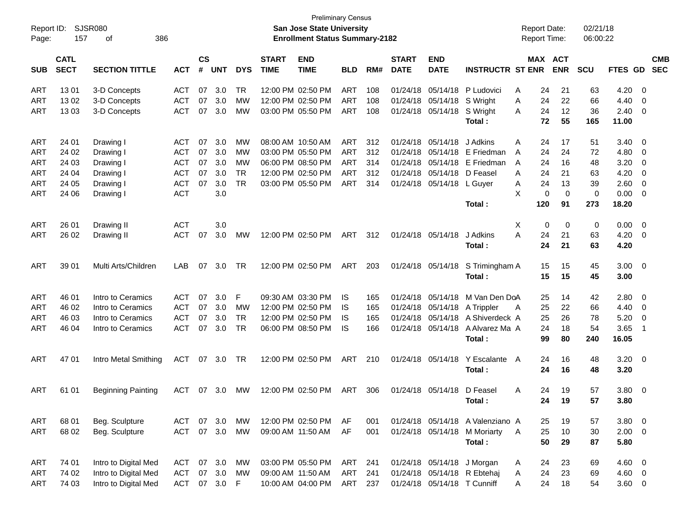| Report ID:<br>Page: | 157                        | SJSR080<br>386<br>οf      |                |            |            |                             |                           | <b>Preliminary Census</b><br>San Jose State University<br><b>Enrollment Status Summary-2182</b> |            |                             |                           |                             |                                  |   |                       | <b>Report Date:</b><br><b>Report Time:</b> | 02/21/18<br>06:00:22 |             |                          |  |
|---------------------|----------------------------|---------------------------|----------------|------------|------------|-----------------------------|---------------------------|-------------------------------------------------------------------------------------------------|------------|-----------------------------|---------------------------|-----------------------------|----------------------------------|---|-----------------------|--------------------------------------------|----------------------|-------------|--------------------------|--|
| <b>SUB</b>          | <b>CATL</b><br><b>SECT</b> | <b>ACT</b>                | <b>CS</b><br># | <b>UNT</b> | <b>DYS</b> | <b>START</b><br><b>TIME</b> | <b>END</b><br><b>TIME</b> | <b>BLD</b>                                                                                      | RM#        | <b>START</b><br><b>DATE</b> | <b>END</b><br><b>DATE</b> | <b>INSTRUCTR ST ENR</b>     |                                  |   | MAX ACT<br><b>ENR</b> | <b>SCU</b>                                 | FTES GD              |             | <b>CMB</b><br><b>SEC</b> |  |
| ART                 | 1301                       | 3-D Concepts              | <b>ACT</b>     | 07         | 3.0        | TR                          |                           | 12:00 PM 02:50 PM                                                                               | <b>ART</b> | 108                         | 01/24/18                  | 05/14/18                    | P Ludovici                       | Α | 24                    | 21                                         | 63                   | 4.20        | - 0                      |  |
| <b>ART</b>          | 13 02                      | 3-D Concepts              | <b>ACT</b>     | 07         | 3.0        | MW                          |                           | 12:00 PM 02:50 PM                                                                               | <b>ART</b> | 108                         | 01/24/18                  | 05/14/18                    | S Wright                         | A | 24                    | 22                                         | 66                   | 4.40        | 0                        |  |
| ART                 | 1303                       | 3-D Concepts              | <b>ACT</b>     | 07         | 3.0        | МW                          |                           | 03:00 PM 05:50 PM                                                                               | ART        | 108                         | 01/24/18                  | 05/14/18                    | S Wright                         | A | 24                    | 12                                         | 36                   | 2.40        | 0                        |  |
|                     |                            |                           |                |            |            |                             |                           |                                                                                                 |            |                             |                           |                             | Total:                           |   | 72                    | 55                                         | 165                  | 11.00       |                          |  |
| <b>ART</b>          | 24 01                      | Drawing I                 | <b>ACT</b>     | 07         | 3.0        | МW                          |                           | 08:00 AM 10:50 AM                                                                               | <b>ART</b> | 312                         | 01/24/18                  | 05/14/18                    | J Adkins                         | Α | 24                    | 17                                         | 51                   | 3.40        | 0                        |  |
| ART                 | 24 02                      | Drawing I                 | <b>ACT</b>     | 07         | 3.0        | MW                          |                           | 03:00 PM 05:50 PM                                                                               | <b>ART</b> | 312                         | 01/24/18                  | 05/14/18                    | E Friedman                       | A | 24                    | 24                                         | 72                   | 4.80        | 0                        |  |
| ART                 | 24 03                      | Drawing I                 | <b>ACT</b>     | 07         | 3.0        | MW                          |                           | 06:00 PM 08:50 PM                                                                               | <b>ART</b> | 314                         | 01/24/18                  | 05/14/18                    | E Friedman                       | A | 24                    | 16                                         | 48                   | 3.20        | 0                        |  |
| <b>ART</b>          | 24 04                      | Drawing I                 | <b>ACT</b>     | 07         | 3.0        | <b>TR</b>                   |                           | 12:00 PM 02:50 PM                                                                               | <b>ART</b> | 312                         | 01/24/18                  | 05/14/18                    | D Feasel                         | A | 24                    | 21                                         | 63                   | 4.20        | 0                        |  |
| ART                 | 24 05                      | Drawing I                 | <b>ACT</b>     | 07         | 3.0        | <b>TR</b>                   |                           | 03:00 PM 05:50 PM                                                                               | ART        | 314                         | 01/24/18                  | 05/14/18                    | L Guyer                          | A | 24                    | 13                                         | 39                   | 2.60        | 0                        |  |
| ART                 | 24 06                      | Drawing I                 | <b>ACT</b>     |            | 3.0        |                             |                           |                                                                                                 |            |                             |                           |                             |                                  | X | 0                     | $\mathbf 0$                                | 0                    | 0.00        | 0                        |  |
|                     |                            |                           |                |            |            |                             |                           |                                                                                                 |            |                             |                           |                             | Total:                           |   | 120                   | 91                                         | 273                  | 18.20       |                          |  |
| ART                 | 26 01                      | Drawing II                | <b>ACT</b>     |            | 3.0        |                             |                           |                                                                                                 |            |                             |                           |                             |                                  | Χ | 0                     | 0                                          | 0                    | 0.00        | 0                        |  |
| ART                 | 26 02                      | Drawing II                | <b>ACT</b>     | 07         | 3.0        | МW                          |                           | 12:00 PM 02:50 PM                                                                               | ART        | 312                         |                           | 01/24/18 05/14/18           | J Adkins                         | A | 24                    | 21                                         | 63                   | 4.20        | 0                        |  |
|                     |                            |                           |                |            |            |                             |                           |                                                                                                 |            |                             |                           |                             | Total:                           |   | 24                    | 21                                         | 63                   | 4.20        |                          |  |
| ART                 | 39 01                      | Multi Arts/Children       | LAB.           | 07         | 3.0        | TR                          |                           | 12:00 PM 02:50 PM                                                                               | ART        | 203                         |                           | 01/24/18 05/14/18           | S Trimingham A                   |   | 15                    | 15                                         | 45                   | 3.00        | $\overline{\mathbf{0}}$  |  |
|                     |                            |                           |                |            |            |                             |                           |                                                                                                 |            |                             |                           |                             | Total:                           |   | 15                    | 15                                         | 45                   | 3.00        |                          |  |
| ART                 | 46 01                      | Intro to Ceramics         | <b>ACT</b>     | 07         | 3.0        | F                           |                           | 09:30 AM 03:30 PM                                                                               | IS         | 165                         | 01/24/18                  | 05/14/18                    | M Van Den DoA                    |   | 25                    | 14                                         | 42                   | 2.80        | 0                        |  |
| ART                 | 46 02                      | Intro to Ceramics         | <b>ACT</b>     | 07         | 3.0        | MW                          |                           | 12:00 PM 02:50 PM                                                                               | IS         | 165                         | 01/24/18                  | 05/14/18                    | A Trippler                       | Α | 25                    | 22                                         | 66                   | 4.40        | 0                        |  |
| <b>ART</b>          | 46 03                      | Intro to Ceramics         | <b>ACT</b>     | 07         | 3.0        | <b>TR</b>                   |                           | 12:00 PM 02:50 PM                                                                               | IS         | 165                         | 01/24/18                  | 05/14/18                    | A Shiverdeck A                   |   | 25                    | 26                                         | 78                   | 5.20        | 0                        |  |
| <b>ART</b>          | 46 04                      | Intro to Ceramics         | <b>ACT</b>     | 07         | 3.0        | <b>TR</b>                   |                           | 06:00 PM 08:50 PM                                                                               | IS         | 166                         |                           | 01/24/18 05/14/18           | A Alvarez Ma A                   |   | 24                    | 18                                         | 54                   | 3.65        | -1                       |  |
|                     |                            |                           |                |            |            |                             |                           |                                                                                                 |            |                             |                           |                             | Total:                           |   | 99                    | 80                                         | 240                  | 16.05       |                          |  |
| <b>ART</b>          | 47 01                      | Intro Metal Smithing      | ACT            |            | 07 3.0     | TR                          |                           | 12:00 PM 02:50 PM                                                                               | ART        | 210                         |                           | 01/24/18 05/14/18           | Y Escalante                      | A | 24                    | 16                                         | 48                   | 3.20        | $\overline{\mathbf{0}}$  |  |
|                     |                            |                           |                |            |            |                             |                           |                                                                                                 |            |                             |                           |                             | Total:                           |   | 24                    | 16                                         | 48                   | 3.20        |                          |  |
| ART                 | 61 01                      | <b>Beginning Painting</b> | <b>ACT</b>     | 07         | 3.0        | MW                          |                           | 12:00 PM 02:50 PM                                                                               | ART        | 306                         |                           | 01/24/18 05/14/18           | D Feasel                         | A | 24                    | 19                                         | 57                   | 3.80        | $\overline{0}$           |  |
|                     |                            |                           |                |            |            |                             |                           |                                                                                                 |            |                             |                           |                             | Total:                           |   | 24                    | 19                                         | 57                   | 3.80        |                          |  |
| ART                 | 68 01                      | Beg. Sculpture            | ACT            |            | 07 3.0     | МW                          |                           | 12:00 PM 02:50 PM                                                                               | AF         | 001                         |                           |                             | 01/24/18 05/14/18 A Valenziano A |   | 25                    | 19                                         | 57                   | $3.80\ 0$   |                          |  |
| <b>ART</b>          | 68 02                      | Beg. Sculpture            | <b>ACT</b>     |            | 07 3.0     | MW                          |                           | 09:00 AM 11:50 AM                                                                               | AF         | 001                         |                           | 01/24/18 05/14/18           | <b>M</b> Moriarty                | A | 25                    | 10                                         | 30                   | $2.00 \t 0$ |                          |  |
|                     |                            |                           |                |            |            |                             |                           |                                                                                                 |            |                             |                           |                             | Total:                           |   | 50                    | 29                                         | 87                   | 5.80        |                          |  |
| <b>ART</b>          | 74 01                      | Intro to Digital Med      | ACT            |            | 07 3.0     | MW                          |                           | 03:00 PM 05:50 PM                                                                               | ART        | 241                         |                           |                             | 01/24/18 05/14/18 J Morgan       | A | 24                    | 23                                         | 69                   | $4.60$ 0    |                          |  |
| <b>ART</b>          | 74 02                      | Intro to Digital Med      | <b>ACT</b>     | 07         | 3.0        | <b>MW</b>                   |                           | 09:00 AM 11:50 AM                                                                               | <b>ART</b> | 241                         |                           |                             | 01/24/18 05/14/18 R Ebtehaj      | A | 24                    | 23                                         | 69                   | 4.60 0      |                          |  |
| <b>ART</b>          | 74 03                      | Intro to Digital Med      | <b>ACT</b>     |            | 07 3.0     | $-F$                        |                           | 10:00 AM 04:00 PM                                                                               | ART        | 237                         |                           | 01/24/18 05/14/18 T Cunniff |                                  | Α | 24                    | 18                                         | 54                   | $3.60 \ 0$  |                          |  |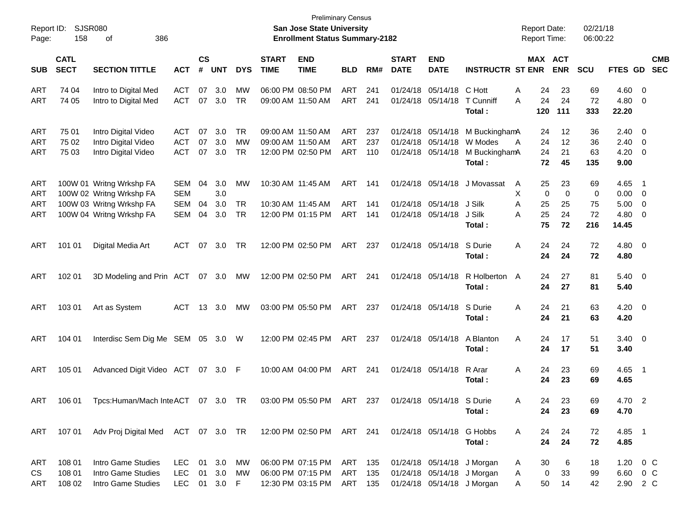| Report ID:<br>Page:             | SJSR080<br>158             | 386<br>οf                                                                                                    |                                                      |                    |                          |                                     |                             | <b>Preliminary Census</b><br><b>San Jose State University</b><br><b>Enrollment Status Summary-2182</b> |                                        |                   |                             |                                                             |                                                                                        | <b>Report Date:</b><br><b>Report Time:</b> |                      | 02/21/18<br>06:00:22  |                                       |                                                                |                          |
|---------------------------------|----------------------------|--------------------------------------------------------------------------------------------------------------|------------------------------------------------------|--------------------|--------------------------|-------------------------------------|-----------------------------|--------------------------------------------------------------------------------------------------------|----------------------------------------|-------------------|-----------------------------|-------------------------------------------------------------|----------------------------------------------------------------------------------------|--------------------------------------------|----------------------|-----------------------|---------------------------------------|----------------------------------------------------------------|--------------------------|
| <b>SUB</b>                      | <b>CATL</b><br><b>SECT</b> | <b>SECTION TITTLE</b>                                                                                        | <b>ACT</b>                                           | $\mathsf{cs}$<br># | <b>UNT</b>               | <b>DYS</b>                          | <b>START</b><br><b>TIME</b> | <b>END</b><br><b>TIME</b>                                                                              | <b>BLD</b>                             | RM#               | <b>START</b><br><b>DATE</b> | <b>END</b><br><b>DATE</b>                                   | <b>INSTRUCTR ST ENR</b>                                                                | MAX ACT                                    | <b>ENR</b>           | <b>SCU</b>            | FTES GD                               |                                                                | <b>CMB</b><br><b>SEC</b> |
| ART<br>ART                      | 74 04<br>74 05             | Intro to Digital Med<br>Intro to Digital Med                                                                 | <b>ACT</b><br><b>ACT</b>                             | 07                 | 3.0<br>07 3.0            | MW<br><b>TR</b>                     |                             | 06:00 PM 08:50 PM<br>09:00 AM 11:50 AM                                                                 | <b>ART</b><br><b>ART</b>               | 241<br>241        | 01/24/18<br>01/24/18        | 05/14/18<br>05/14/18                                        | C Hott<br>T Cunniff<br>Total:                                                          | 24<br>Α<br>24<br>A<br>120                  | 23<br>24<br>111      | 69<br>72<br>333       | $4.60$ 0<br>4.80<br>22.20             | - 0                                                            |                          |
| <b>ART</b><br><b>ART</b><br>ART | 75 01<br>75 02<br>75 03    | Intro Digital Video<br>Intro Digital Video<br>Intro Digital Video                                            | <b>ACT</b><br><b>ACT</b><br><b>ACT</b>               | 07<br>07<br>07     | 3.0<br>3.0<br>3.0        | <b>TR</b><br><b>MW</b><br><b>TR</b> |                             | 09:00 AM 11:50 AM<br>09:00 AM 11:50 AM<br>12:00 PM 02:50 PM                                            | <b>ART</b><br><b>ART</b><br><b>ART</b> | 237<br>237<br>110 | 01/24/18<br>01/24/18        | 05/14/18<br>05/14/18<br>01/24/18 05/14/18                   | M BuckinghamA<br>W Modes<br>M BuckinghamA<br>Total:                                    | 24<br>24<br>A<br>24<br>72                  | 12<br>12<br>21<br>45 | 36<br>36<br>63<br>135 | $2.40 \ 0$<br>2.40<br>4.20<br>9.00    | $\overline{\mathbf{0}}$<br>$\overline{\mathbf{0}}$             |                          |
| ART<br>ART<br>ART<br>ART        |                            | 100W 01 Writng Wrkshp FA<br>100W 02 Writng Wrkshp FA<br>100W 03 Writng Wrkshp FA<br>100W 04 Writng Wrkshp FA | <b>SEM</b><br><b>SEM</b><br><b>SEM</b><br><b>SEM</b> | 04<br>04<br>04     | 3.0<br>3.0<br>3.0<br>3.0 | MW<br><b>TR</b><br>TR               |                             | 10:30 AM 11:45 AM<br>10:30 AM 11:45 AM<br>12:00 PM 01:15 PM                                            | <b>ART</b><br><b>ART</b><br><b>ART</b> | 141<br>141<br>141 |                             | 01/24/18 05/14/18<br>01/24/18 05/14/18<br>01/24/18 05/14/18 | J Movassat<br>J Silk<br>J Silk                                                         | 25<br>A<br>х<br>0<br>A<br>25<br>25<br>A    | 23<br>0<br>25<br>24  | 69<br>0<br>75<br>72   | 4.65<br>0.00<br>5.00<br>4.80          | $\overline{\phantom{1}}$<br>$\overline{\phantom{0}}$<br>0<br>0 |                          |
| ART                             | 101 01                     | Digital Media Art                                                                                            | <b>ACT</b>                                           | 07                 | 3.0                      | TR                                  |                             | 12:00 PM 02:50 PM                                                                                      | ART                                    | 237               |                             | 01/24/18 05/14/18                                           | Total:<br>S Durie<br>Total:                                                            | 75<br>A<br>24<br>24                        | 72<br>24<br>24       | 216<br>72<br>72       | 14.45<br>4.80 0<br>4.80               |                                                                |                          |
| ART                             | 102 01                     | 3D Modeling and Prin ACT                                                                                     |                                                      |                    | 07 3.0                   | МW                                  |                             | 12:00 PM 02:50 PM                                                                                      | ART                                    | 241               |                             | 01/24/18 05/14/18                                           | R Holberton<br>Total:                                                                  | 24<br>$\mathsf{A}$<br>24                   | 27<br>27             | 81<br>81              | $5.40 \ 0$<br>5.40                    |                                                                |                          |
| ART                             | 103 01                     | Art as System                                                                                                | <b>ACT</b>                                           | 13                 | 3.0                      | MW                                  |                             | 03:00 PM 05:50 PM                                                                                      | ART                                    | 237               |                             | 01/24/18 05/14/18                                           | S Durie<br>Total:                                                                      | 24<br>Α<br>24                              | 21<br>21             | 63<br>63              | $4.20 \ 0$<br>4.20                    |                                                                |                          |
| ART                             | 104 01                     | Interdisc Sem Dig Me SEM                                                                                     |                                                      | 05                 | 3.0 W                    |                                     |                             | 12:00 PM 02:45 PM                                                                                      | ART                                    | 237               |                             | 01/24/18 05/14/18                                           | A Blanton<br>Total:                                                                    | 24<br>A<br>24                              | 17<br>17             | 51<br>51              | $3.40 \ 0$<br>3.40                    |                                                                |                          |
| ART                             | 105 01                     | Advanced Digit Video ACT                                                                                     |                                                      | 07                 | $3.0$ F                  |                                     |                             | 10:00 AM 04:00 PM                                                                                      | ART                                    | 241               |                             | 01/24/18 05/14/18                                           | R Arar<br>Total :                                                                      | 24<br>Α<br>24                              | 23<br>23             | 69<br>69              | $4.65$ 1<br>4.65                      |                                                                |                          |
| ART                             | 106 01                     | Tpcs:Human/Mach InteACT 07 3.0 TR                                                                            |                                                      |                    |                          |                                     |                             | 03:00 PM 05:50 PM ART 237                                                                              |                                        |                   |                             | 01/24/18 05/14/18 S Durie                                   | Total:                                                                                 | 24<br>A<br>24                              | 23<br>23             | 69<br>69              | 4.70 2<br>4.70                        |                                                                |                          |
| ART                             |                            | 107 01 Adv Proj Digital Med ACT 07 3.0 TR 12:00 PM 02:50 PM ART 241                                          |                                                      |                    |                          |                                     |                             |                                                                                                        |                                        |                   |                             | 01/24/18 05/14/18 G Hobbs                                   | Total:                                                                                 | 24<br>A<br>24                              | 24<br>24             | 72<br>72              | 4.85 1<br>4.85                        |                                                                |                          |
| ART<br>CS<br>ART                | 108 01<br>108 01<br>108 02 | Intro Game Studies<br>Intro Game Studies<br>Intro Game Studies                                               | LEC<br>LEC<br>LEC 01 3.0 F                           |                    | 01 3.0<br>01 3.0         | МW<br>МW                            |                             | 06:00 PM 07:15 PM<br>06:00 PM 07:15 PM<br>12:30 PM 03:15 PM ART 135                                    | ART 135<br>ART                         | 135               |                             |                                                             | 01/24/18 05/14/18 J Morgan<br>01/24/18 05/14/18 J Morgan<br>01/24/18 05/14/18 J Morgan | 30<br>A<br>0<br>A<br>50<br>A               | 6<br>33<br>14        | 18<br>99<br>42        | $1.20 \t 0 C$<br>6.60 0 C<br>2.90 2 C |                                                                |                          |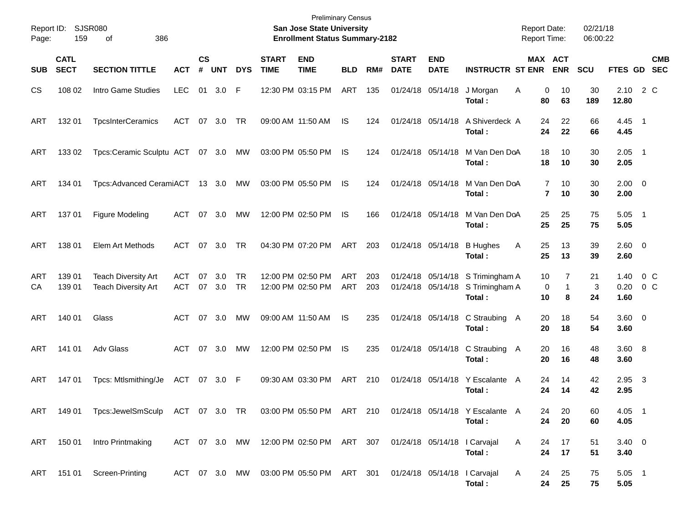| Report ID:<br>Page: | 159                        | SJSR080<br>386<br>οf                                        |                          |                |               |                        |                             | <b>Preliminary Census</b><br>San Jose State University<br><b>Enrollment Status Summary-2182</b> |                   |            |                             |                           |                                                               | <b>Report Date:</b><br><b>Report Time:</b> |                                 | 02/21/18<br>06:00:22 |                        |                          |
|---------------------|----------------------------|-------------------------------------------------------------|--------------------------|----------------|---------------|------------------------|-----------------------------|-------------------------------------------------------------------------------------------------|-------------------|------------|-----------------------------|---------------------------|---------------------------------------------------------------|--------------------------------------------|---------------------------------|----------------------|------------------------|--------------------------|
| <b>SUB</b>          | <b>CATL</b><br><b>SECT</b> | <b>SECTION TITTLE</b>                                       | <b>ACT</b>               | <b>CS</b><br># | <b>UNT</b>    | <b>DYS</b>             | <b>START</b><br><b>TIME</b> | <b>END</b><br><b>TIME</b>                                                                       | <b>BLD</b>        | RM#        | <b>START</b><br><b>DATE</b> | <b>END</b><br><b>DATE</b> | <b>INSTRUCTR ST ENR</b>                                       |                                            | <b>MAX ACT</b><br><b>ENR</b>    | <b>SCU</b>           | FTES GD                | <b>CMB</b><br><b>SEC</b> |
| CS                  | 108 02                     | Intro Game Studies                                          | <b>LEC</b>               |                | 01 3.0        | F                      |                             | 12:30 PM 03:15 PM                                                                               | ART               | 135        |                             | 01/24/18 05/14/18         | J Morgan<br>Total:                                            | Α<br>80                                    | 10<br>0<br>63                   | 30<br>189            | 2.10<br>12.80          | 2 C                      |
| ART                 | 132 01                     | <b>TpcsInterCeramics</b>                                    | <b>ACT</b>               |                | 07 3.0        | TR                     |                             | 09:00 AM 11:50 AM                                                                               | IS                | 124        |                             | 01/24/18 05/14/18         | A Shiverdeck A<br>Total :                                     | 24<br>24                                   | 22<br>22                        | 66<br>66             | 4.45 1<br>4.45         |                          |
| ART                 | 133 02                     | Tpcs:Ceramic Sculptu ACT 07 3.0                             |                          |                |               | MW                     |                             | 03:00 PM 05:50 PM                                                                               | IS                | 124        |                             | 01/24/18 05/14/18         | M Van Den DoA<br>Total :                                      | 18<br>18                                   | 10<br>10                        | 30<br>30             | $2.05$ 1<br>2.05       |                          |
| ART                 | 134 01                     | Tpcs:Advanced CeramiACT 13 3.0                              |                          |                |               | MW                     |                             | 03:00 PM 05:50 PM                                                                               | IS                | 124        |                             | 01/24/18 05/14/18         | M Van Den DoA<br>Total :                                      |                                            | 7<br>10<br>$\overline{7}$<br>10 | 30<br>30             | $2.00 \t 0$<br>2.00    |                          |
| ART                 | 137 01                     | <b>Figure Modeling</b>                                      | <b>ACT</b>               | 07             | 3.0           | MW                     |                             | 12:00 PM 02:50 PM                                                                               | IS                | 166        |                             | 01/24/18 05/14/18         | M Van Den DoA<br>Total:                                       | 25<br>25                                   | 25<br>25                        | 75<br>75             | $5.05$ 1<br>5.05       |                          |
| ART                 | 138 01                     | Elem Art Methods                                            | ACT                      | 07             | 3.0           | TR                     |                             | 04:30 PM 07:20 PM                                                                               | ART               | 203        |                             | 01/24/18 05/14/18         | <b>B</b> Hughes<br>Total:                                     | 25<br>Α<br>25                              | 13<br>13                        | 39<br>39             | 2.60 0<br>2.60         |                          |
| ART<br>СA           | 139 01<br>139 01           | <b>Teach Diversity Art</b><br><b>Teach Diversity Art</b>    | <b>ACT</b><br><b>ACT</b> | 07             | 3.0<br>07 3.0 | <b>TR</b><br><b>TR</b> |                             | 12:00 PM 02:50 PM<br>12:00 PM 02:50 PM                                                          | ART<br><b>ART</b> | 203<br>203 |                             | 01/24/18 05/14/18         | 01/24/18 05/14/18 S Trimingham A<br>S Trimingham A<br>Total : | 10<br>10                                   | 7<br>0<br>$\mathbf{1}$<br>8     | 21<br>3<br>24        | 1.40<br>0.20<br>1.60   | $0\,C$<br>$0\,$ C        |
| <b>ART</b>          | 140 01                     | Glass                                                       | ACT                      | 07             | 3.0           | MW                     |                             | 09:00 AM 11:50 AM                                                                               | IS                | 235        |                             |                           | 01/24/18 05/14/18 C Straubing<br>Total :                      | 20<br>A<br>20                              | 18<br>18                        | 54<br>54             | $3.60 \ 0$<br>3.60     |                          |
| <b>ART</b>          | 141 01                     | Adv Glass                                                   | ACT                      | 07             | 3.0           | MW                     |                             | 12:00 PM 02:50 PM                                                                               | IS                | 235        |                             | 01/24/18 05/14/18         | C Straubing<br>Total :                                        | 20<br>A<br>20                              | 16<br>16                        | 48<br>48             | 3.60 8<br>3.60         |                          |
| ART                 | 14701                      | Tpcs: Mtlsmithing/Je                                        | ACT                      |                | 07 3.0 F      |                        |                             | 09:30 AM 03:30 PM                                                                               | <b>ART</b>        | 210        |                             | 01/24/18 05/14/18         | Y Escalante<br>Total :                                        | 24<br>A<br>24                              | 14<br>14                        | 42<br>42             | 2.95<br>2.95           | $\overline{\mathbf{3}}$  |
| ART                 | 149 01                     | Tpcs:JewelSmSculp ACT 07 3.0 TR  03:00 PM 05:50 PM ART  210 |                          |                |               |                        |                             |                                                                                                 |                   |            |                             |                           | 01/24/18 05/14/18 Y Escalante A<br>Total:                     | 24<br>24                                   | 20<br>20                        | 60<br>60             | $4.05$ 1<br>4.05       |                          |
|                     | ART 150 01                 | Intro Printmaking                                           |                          |                |               |                        |                             | ACT 07 3.0 MW 12:00 PM 02:50 PM ART 307 01/24/18 05/14/18 l Carvajal                            |                   |            |                             |                           | Total:                                                        | A<br>24<br>24                              | 17<br>17                        | 51<br>51             | $3.40 \quad 0$<br>3.40 |                          |
|                     |                            | ART 151 01 Screen-Printing                                  |                          |                |               |                        |                             | ACT 07 3.0 MW 03:00 PM 05:50 PM ART 301 01/24/18 05/14/18 l Carvajal                            |                   |            |                             |                           | Total:                                                        | A<br>24<br>24                              | 25<br>25                        | 75<br>75             | $5.05$ 1<br>5.05       |                          |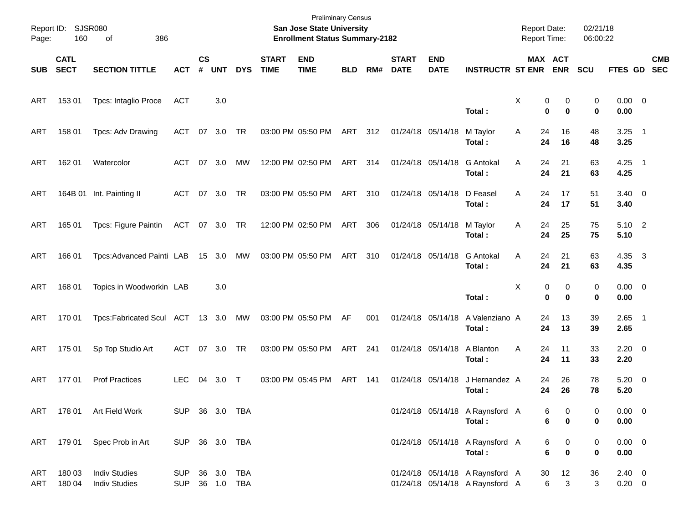| Page:                    | Report ID: SJSR080<br>160  | 386<br>of                                    |                          |                    |            |            |                             | <b>Preliminary Census</b><br>San Jose State University<br><b>Enrollment Status Summary-2182</b> |            |     |                             |                           |                                                                    | <b>Report Date:</b><br>Report Time: |                | 02/21/18<br>06:00:22 |                           |                          |
|--------------------------|----------------------------|----------------------------------------------|--------------------------|--------------------|------------|------------|-----------------------------|-------------------------------------------------------------------------------------------------|------------|-----|-----------------------------|---------------------------|--------------------------------------------------------------------|-------------------------------------|----------------|----------------------|---------------------------|--------------------------|
| <b>SUB</b>               | <b>CATL</b><br><b>SECT</b> | <b>SECTION TITTLE</b>                        | <b>ACT</b>               | $\mathsf{cs}$<br># | <b>UNT</b> | <b>DYS</b> | <b>START</b><br><b>TIME</b> | <b>END</b><br><b>TIME</b>                                                                       | <b>BLD</b> | RM# | <b>START</b><br><b>DATE</b> | <b>END</b><br><b>DATE</b> | <b>INSTRUCTR ST ENR</b>                                            | MAX ACT                             | <b>ENR</b>     | SCU                  | FTES GD                   | <b>CMB</b><br><b>SEC</b> |
| ART                      | 153 01                     | Tpcs: Intaglio Proce                         | <b>ACT</b>               |                    | 3.0        |            |                             |                                                                                                 |            |     |                             |                           | Total:                                                             | X<br>0<br>$\mathbf 0$               | 0<br>0         | 0<br>0               | $0.00 \t 0$<br>0.00       |                          |
| ART                      | 158 01                     | Tpcs: Adv Drawing                            | <b>ACT</b>               |                    | 07 3.0     | TR         |                             | 03:00 PM 05:50 PM                                                                               | ART 312    |     |                             | 01/24/18 05/14/18         | M Taylor<br>Total:                                                 | Α<br>24<br>24                       | 16<br>16       | 48<br>48             | $3.25$ 1<br>3.25          |                          |
| ART                      | 162 01                     | Watercolor                                   | <b>ACT</b>               |                    | 07 3.0     | <b>MW</b>  |                             | 12:00 PM 02:50 PM                                                                               | ART        | 314 |                             | 01/24/18 05/14/18         | <b>G</b> Antokal<br>Total:                                         | 24<br>A<br>24                       | 21<br>21       | 63<br>63             | $4.25$ 1<br>4.25          |                          |
| ART                      |                            | 164B 01 Int. Painting II                     | ACT                      |                    | 07 3.0     | TR         |                             | 03:00 PM 05:50 PM                                                                               | ART        | 310 |                             | 01/24/18 05/14/18         | D Feasel<br>Total:                                                 | A<br>24<br>24                       | 17<br>17       | 51<br>51             | $3.40 \quad 0$<br>3.40    |                          |
| ART                      | 165 01                     | Tpcs: Figure Paintin                         | ACT 07 3.0 TR            |                    |            |            |                             | 12:00 PM 02:50 PM                                                                               | ART        | 306 |                             | 01/24/18 05/14/18         | M Taylor<br>Total:                                                 | 24<br>Α<br>24                       | 25<br>25       | 75<br>75             | $5.10$ 2<br>5.10          |                          |
| ART                      | 166 01                     | Tpcs:Advanced Painti LAB                     |                          |                    | 15 3.0     | MW         |                             | 03:00 PM 05:50 PM                                                                               | ART        | 310 |                             | 01/24/18 05/14/18         | <b>G</b> Antokal<br>Total:                                         | A<br>24<br>24                       | 21<br>21       | 63<br>63             | 4.35 3<br>4.35            |                          |
| ART                      | 168 01                     | Topics in Woodworkin LAB                     |                          |                    | 3.0        |            |                             |                                                                                                 |            |     |                             |                           | Total:                                                             | X<br>0<br>0                         | 0<br>0         | 0<br>0               | $0.00 \t 0$<br>0.00       |                          |
| ART                      | 170 01                     | Tpcs:Fabricated Scul ACT 13 3.0              |                          |                    |            | MW         |                             | 03:00 PM 05:50 PM                                                                               | AF         | 001 |                             | 01/24/18 05/14/18         | A Valenziano A<br>Total:                                           | 24<br>24                            | 13<br>13       | 39<br>39             | $2.65$ 1<br>2.65          |                          |
| ART                      | 175 01                     | Sp Top Studio Art                            | <b>ACT</b>               |                    | 07 3.0     | TR         |                             | 03:00 PM 05:50 PM                                                                               | ART        | 241 |                             | 01/24/18 05/14/18         | A Blanton<br>Total:                                                | 24<br>A<br>24                       | 11<br>11       | 33<br>33             | $2.20 \t 0$<br>2.20       |                          |
| ART                      | 17701                      | <b>Prof Practices</b>                        | <b>LEC</b>               | 04                 | 3.0        | $\top$     |                             | 03:00 PM 05:45 PM                                                                               | ART        | 141 |                             | 01/24/18 05/14/18         | J Hernandez A<br>Total:                                            | 24<br>24                            | 26<br>26       | 78<br>78             | $5.20 \ 0$<br>5.20        |                          |
|                          |                            | ART 178 01 Art Field Work                    | SUP 36 3.0 TBA           |                    |            |            |                             |                                                                                                 |            |     |                             |                           | 01/24/18 05/14/18 A Raynsford A<br>Total:                          | 6<br>$\bf 6$                        | 0<br>$\pmb{0}$ | 0<br>0               | $0.00 \t 0$<br>0.00       |                          |
| ART                      | 179 01                     | Spec Prob in Art                             | SUP 36 3.0 TBA           |                    |            |            |                             |                                                                                                 |            |     |                             |                           | 01/24/18 05/14/18 A Raynsford A<br>Total:                          | 6<br>$\bf 6$                        | 0<br>$\bf{0}$  | 0<br>0               | $0.00 \t 0$<br>0.00       |                          |
| <b>ART</b><br><b>ART</b> | 180 03<br>180 04           | <b>Indiv Studies</b><br><b>Indiv Studies</b> | <b>SUP</b><br><b>SUP</b> |                    | 36 1.0 TBA | 36 3.0 TBA |                             |                                                                                                 |            |     |                             |                           | 01/24/18 05/14/18 A Raynsford A<br>01/24/18 05/14/18 A Raynsford A | 30<br>6                             | 12<br>3        | 36<br>3              | $2.40 \ 0$<br>$0.20 \t 0$ |                          |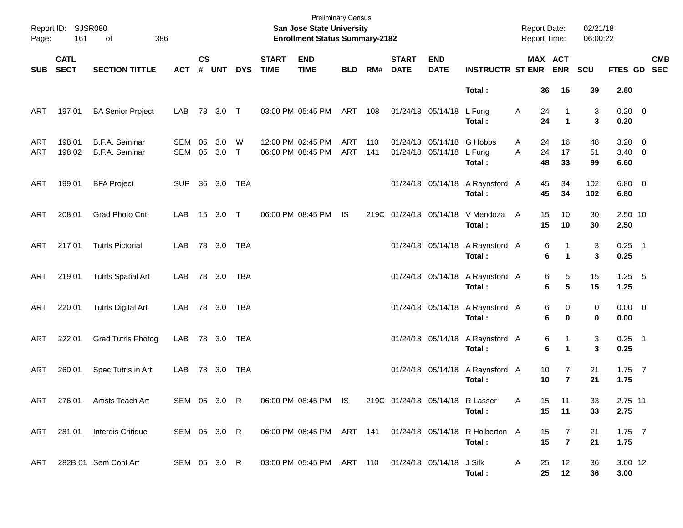| Page:      | Report ID: SJSR080<br>161  | 386<br>of                        |                          |                    |                |            |                             | <b>Preliminary Census</b><br>San Jose State University<br><b>Enrollment Status Summary-2182</b> |            |            |                             |                                                |                                                                     | <b>Report Date:</b><br><b>Report Time:</b> |                                       | 02/21/18<br>06:00:22 |                                      |            |
|------------|----------------------------|----------------------------------|--------------------------|--------------------|----------------|------------|-----------------------------|-------------------------------------------------------------------------------------------------|------------|------------|-----------------------------|------------------------------------------------|---------------------------------------------------------------------|--------------------------------------------|---------------------------------------|----------------------|--------------------------------------|------------|
| <b>SUB</b> | <b>CATL</b><br><b>SECT</b> | <b>SECTION TITTLE</b>            | <b>ACT</b>               | $\mathsf{cs}$<br># | <b>UNT</b>     | <b>DYS</b> | <b>START</b><br><b>TIME</b> | <b>END</b><br><b>TIME</b>                                                                       | <b>BLD</b> | RM#        | <b>START</b><br><b>DATE</b> | <b>END</b><br><b>DATE</b>                      | <b>INSTRUCTR ST ENR ENR</b>                                         |                                            | MAX ACT                               | <b>SCU</b>           | FTES GD SEC                          | <b>CMB</b> |
|            |                            |                                  |                          |                    |                |            |                             |                                                                                                 |            |            |                             |                                                | Total:                                                              |                                            | 36<br>15                              | 39                   | 2.60                                 |            |
| ART        | 197 01                     | <b>BA Senior Project</b>         | LAB                      |                    | 78 3.0 T       |            |                             | 03:00 PM 05:45 PM                                                                               | ART 108    |            |                             | 01/24/18 05/14/18                              | L Fung<br>Total:                                                    | Α                                          | 24<br>1<br>24<br>$\blacktriangleleft$ | 3<br>3               | $0.20 \ 0$<br>0.20                   |            |
| ART<br>ART | 198 01<br>198 02           | B.F.A. Seminar<br>B.F.A. Seminar | <b>SEM</b><br><b>SEM</b> | 05<br>05           | 3.0<br>$3.0$ T | W          |                             | 12:00 PM 02:45 PM<br>06:00 PM 08:45 PM                                                          | ART<br>ART | 110<br>141 |                             | 01/24/18 05/14/18 G Hobbs<br>01/24/18 05/14/18 | L Fung<br>Total:                                                    | Α<br>A                                     | 16<br>24<br>17<br>24<br>48<br>33      | 48<br>51<br>99       | $3.20 \ 0$<br>$3.40 \quad 0$<br>6.60 |            |
| ART        | 199 01                     | <b>BFA Project</b>               | <b>SUP</b>               |                    | 36 3.0 TBA     |            |                             |                                                                                                 |            |            |                             | 01/24/18 05/14/18                              | A Raynsford A<br>Total:                                             |                                            | 45<br>34<br>45<br>34                  | 102<br>102           | $6.80$ 0<br>6.80                     |            |
| ART        | 208 01                     | <b>Grad Photo Crit</b>           | LAB                      |                    | 15 3.0 T       |            |                             | 06:00 PM 08:45 PM                                                                               | IS.        |            |                             |                                                | 219C 01/24/18 05/14/18 V Mendoza<br>Total:                          | A                                          | 15<br>10<br>15<br>10                  | 30<br>30             | 2.50 10<br>2.50                      |            |
| ART        | 217 01                     | <b>Tutrls Pictorial</b>          | <b>LAB</b>               |                    | 78 3.0 TBA     |            |                             |                                                                                                 |            |            |                             | 01/24/18 05/14/18                              | A Raynsford A<br>Total:                                             |                                            | 6<br>1<br>6<br>$\blacktriangleleft$   | 3<br>3               | $0.25$ 1<br>0.25                     |            |
| ART        | 219 01                     | <b>Tutrls Spatial Art</b>        | LAB                      |                    | 78 3.0 TBA     |            |                             |                                                                                                 |            |            |                             | 01/24/18 05/14/18                              | A Raynsford A<br>Total:                                             |                                            | 5<br>6<br>$5\phantom{.0}$<br>6        | 15<br>15             | $1.25 - 5$<br>1.25                   |            |
| ART        | 220 01                     | <b>Tutrls Digital Art</b>        | LAB                      |                    | 78 3.0 TBA     |            |                             |                                                                                                 |            |            |                             | 01/24/18 05/14/18                              | A Raynsford A<br>Total:                                             |                                            | 6<br>0<br>6<br>$\bf{0}$               | 0<br>0               | $0.00 \t 0$<br>0.00                  |            |
| ART        | 222 01                     | <b>Grad Tutrls Photog</b>        | LAB                      |                    | 78 3.0         | TBA        |                             |                                                                                                 |            |            |                             | 01/24/18 05/14/18                              | A Raynsford A<br>Total:                                             |                                            | 6<br>1<br>6<br>$\blacktriangleleft$   | 3<br>3               | $0.25$ 1<br>0.25                     |            |
| ART        | 260 01                     | Spec Tutrls in Art               | LAB                      |                    | 78 3.0         | TBA        |                             |                                                                                                 |            |            |                             |                                                | 01/24/18 05/14/18 A Raynsford A<br>Total:                           |                                            | 7<br>10<br>$\overline{7}$<br>10       | 21<br>21             | $1.75$ 7<br>1.75                     |            |
|            |                            | ART 276 01 Artists Teach Art     | SEM 05 3.0 R             |                    |                |            |                             | 06:00 PM 08:45 PM IS                                                                            |            |            |                             | 219C 01/24/18 05/14/18 R Lasser                | Total:                                                              | Α                                          | 15<br>11<br>15<br>11                  | 33<br>33             | 2.75 11<br>2.75                      |            |
| ART        |                            | 281 01 Interdis Critique         | SEM 05 3.0 R             |                    |                |            |                             |                                                                                                 |            |            |                             |                                                | 06:00 PM 08:45 PM ART 141 01/24/18 05/14/18 R Holberton A<br>Total: |                                            | 15<br>7<br>15<br>$\overline{7}$       | 21<br>21             | $1.75$ 7<br>1.75                     |            |
| ART        |                            | 282B 01 Sem Cont Art             | SEM 05 3.0 R             |                    |                |            |                             | 03:00 PM 05:45 PM ART 110 01/24/18 05/14/18                                                     |            |            |                             |                                                | J Silk<br>Total:                                                    | A                                          | 25<br>12<br>25<br>12                  | 36<br>36             | 3.00 12<br>3.00                      |            |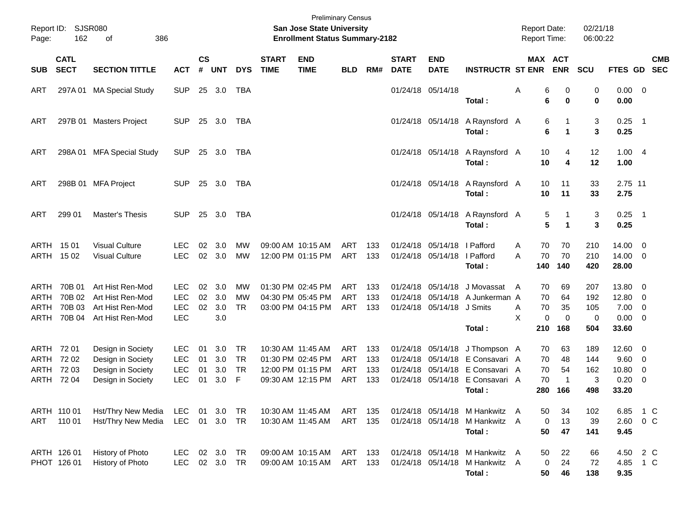| Report ID:<br>Page:          | <b>SJSR080</b><br>162                      | 386<br>of                                                                        |                                                      |                       |                          |                                          |                             | <b>Preliminary Census</b><br><b>San Jose State University</b><br><b>Enrollment Status Summary-2182</b> |                                               |                          |                                              |                                                   |                                                                            |        | <b>Report Date:</b><br>Report Time: |                                         | 02/21/18<br>06:00:22                    |                                         |                                                          |            |
|------------------------------|--------------------------------------------|----------------------------------------------------------------------------------|------------------------------------------------------|-----------------------|--------------------------|------------------------------------------|-----------------------------|--------------------------------------------------------------------------------------------------------|-----------------------------------------------|--------------------------|----------------------------------------------|---------------------------------------------------|----------------------------------------------------------------------------|--------|-------------------------------------|-----------------------------------------|-----------------------------------------|-----------------------------------------|----------------------------------------------------------|------------|
| <b>SUB</b>                   | <b>CATL</b><br><b>SECT</b>                 | <b>SECTION TITTLE</b>                                                            | <b>ACT</b>                                           | $\mathsf{cs}$<br>#    | <b>UNT</b>               | <b>DYS</b>                               | <b>START</b><br><b>TIME</b> | <b>END</b><br><b>TIME</b>                                                                              | <b>BLD</b>                                    | RM#                      | <b>START</b><br><b>DATE</b>                  | <b>END</b><br><b>DATE</b>                         | <b>INSTRUCTR ST ENR</b>                                                    |        | MAX ACT                             | <b>ENR</b>                              | SCU                                     | FTES GD SEC                             |                                                          | <b>CMB</b> |
| ART                          |                                            | 297A 01 MA Special Study                                                         | <b>SUP</b>                                           |                       | 25 3.0                   | <b>TBA</b>                               |                             |                                                                                                        |                                               |                          |                                              | 01/24/18 05/14/18                                 | Total:                                                                     | A      | 6<br>6                              | 0<br>$\bf{0}$                           | 0<br>0                                  | $0.00 \t 0$<br>0.00                     |                                                          |            |
| ART                          |                                            | 297B 01 Masters Project                                                          | <b>SUP</b>                                           |                       | 25 3.0                   | TBA                                      |                             |                                                                                                        |                                               |                          |                                              | 01/24/18 05/14/18                                 | A Raynsford A<br>Total:                                                    |        | 6<br>6                              | -1<br>$\blacktriangleleft$              | 3<br>3                                  | $0.25$ 1<br>0.25                        |                                                          |            |
| ART                          |                                            | 298A 01 MFA Special Study                                                        | <b>SUP</b>                                           |                       | 25 3.0                   | TBA                                      |                             |                                                                                                        |                                               |                          |                                              | 01/24/18 05/14/18                                 | A Raynsford A<br>Total:                                                    |        | 10<br>10                            | 4<br>4                                  | 12<br>12                                | 1.004<br>1.00                           |                                                          |            |
| ART                          |                                            | 298B 01 MFA Project                                                              | <b>SUP</b>                                           |                       | 25 3.0                   | TBA                                      |                             |                                                                                                        |                                               |                          |                                              | 01/24/18 05/14/18                                 | A Raynsford A<br>Total:                                                    |        | 10<br>10                            | 11<br>11                                | 33<br>33                                | 2.75 11<br>2.75                         |                                                          |            |
| ART                          | 299 01                                     | Master's Thesis                                                                  | <b>SUP</b>                                           |                       | 25 3.0                   | <b>TBA</b>                               |                             |                                                                                                        |                                               |                          |                                              | 01/24/18 05/14/18                                 | A Raynsford A<br>Total:                                                    |        | 5<br>5                              | $\mathbf{1}$<br>$\blacktriangleleft$    | 3<br>3                                  | $0.25$ 1<br>0.25                        |                                                          |            |
| ARTH                         | 15 01<br>ARTH 1502                         | <b>Visual Culture</b><br><b>Visual Culture</b>                                   | LEC.<br><b>LEC</b>                                   | 02<br>02 <sub>2</sub> | 3.0<br>3.0               | MW<br><b>MW</b>                          |                             | 09:00 AM 10:15 AM<br>12:00 PM 01:15 PM                                                                 | <b>ART</b><br><b>ART</b>                      | 133<br>133               | 01/24/18<br>01/24/18                         | 05/14/18   Pafford<br>05/14/18   Pafford          | Total:                                                                     | A<br>A | 70<br>70<br>140                     | 70<br>70<br>140                         | 210<br>210<br>420                       | 14.00<br>14.00 0<br>28.00               | - 0                                                      |            |
| ARTH<br>ARTH<br>ARTH<br>ARTH | 70B 01<br>70B 02<br>70B 03<br>70B 04       | Art Hist Ren-Mod<br>Art Hist Ren-Mod<br>Art Hist Ren-Mod<br>Art Hist Ren-Mod     | <b>LEC</b><br><b>LEC</b><br><b>LEC</b><br><b>LEC</b> | 02<br>02<br>02        | 3.0<br>3.0<br>3.0<br>3.0 | MW<br><b>MW</b><br><b>TR</b>             |                             | 01:30 PM 02:45 PM<br>04:30 PM 05:45 PM<br>03:00 PM 04:15 PM                                            | <b>ART</b><br><b>ART</b><br><b>ART</b>        | 133<br>133<br>133        | 01/24/18<br>01/24/18                         | 05/14/18<br>05/14/18<br>01/24/18 05/14/18 J Smits | J Movassat A<br>A Junkerman A<br>Total:                                    | A<br>X | 70<br>70<br>70<br>0<br>210          | 69<br>64<br>35<br>$\mathbf 0$<br>168    | 207<br>192<br>105<br>$\mathbf 0$<br>504 | 13.80<br>12.80<br>7.00<br>0.00<br>33.60 | - 0<br>$\overline{0}$<br>- 0<br>$\overline{\phantom{0}}$ |            |
| ARTH<br>ARTH                 | ARTH 72 01<br>72 02<br>72 03<br>ARTH 72 04 | Design in Society<br>Design in Society<br>Design in Society<br>Design in Society | <b>LEC</b><br><b>LEC</b><br><b>LEC</b><br><b>LEC</b> | 01<br>01<br>01<br>01  | 3.0<br>3.0<br>3.0<br>3.0 | <b>TR</b><br><b>TR</b><br><b>TR</b><br>F |                             | 10:30 AM 11:45 AM<br>01:30 PM 02:45 PM<br>12:00 PM 01:15 PM<br>09:30 AM 12:15 PM                       | ART<br><b>ART</b><br><b>ART</b><br><b>ART</b> | 133<br>133<br>133<br>133 | 01/24/18<br>01/24/18<br>01/24/18<br>01/24/18 | 05/14/18<br>05/14/18<br>05/14/18<br>05/14/18      | J Thompson A<br>E Consavari A<br>E Consavari A<br>E Consavari A<br>Total:  |        | 70<br>70<br>70<br>70<br>280         | 63<br>48<br>54<br>$\overline{1}$<br>166 | 189<br>144<br>162<br>3<br>498           | 12.60<br>9.60<br>10.80<br>0.20<br>33.20 | - 0<br>$\overline{\mathbf{0}}$<br>0<br>- 0               |            |
| ART                          | ARTH 110 01<br>110 01                      | Hst/Thry New Media<br>Hst/Thry New Media                                         | LEC<br>LEC                                           |                       | 01 3.0<br>01 3.0         | TR<br><b>TR</b>                          |                             | 10:30 AM 11:45 AM<br>10:30 AM 11:45 AM                                                                 | ART<br>ART 135                                | 135                      |                                              |                                                   | 01/24/18 05/14/18 M Hankwitz A<br>01/24/18 05/14/18 M Hankwitz A<br>Total: |        | 50<br>0<br>50                       | 34<br>13<br>47                          | 102<br>39<br>141                        | 6.85<br>2.60 0 C<br>9.45                | $1\,C$                                                   |            |
|                              | ARTH 126 01<br>PHOT 126 01                 | History of Photo<br>History of Photo                                             | LEC.<br><b>LEC</b>                                   |                       | 02 3.0<br>02 3.0         | TR<br>TR                                 |                             | 09:00 AM 10:15 AM<br>09:00 AM 10:15 AM                                                                 | ART<br>ART 133                                | 133                      |                                              |                                                   | 01/24/18 05/14/18 M Hankwitz A<br>01/24/18 05/14/18 M Hankwitz A<br>Total: |        | 50<br>0<br>50                       | 22<br>24<br>46                          | 66<br>72<br>138                         | 4.50<br>4.85<br>9.35                    | 2 C<br>$1\,C$                                            |            |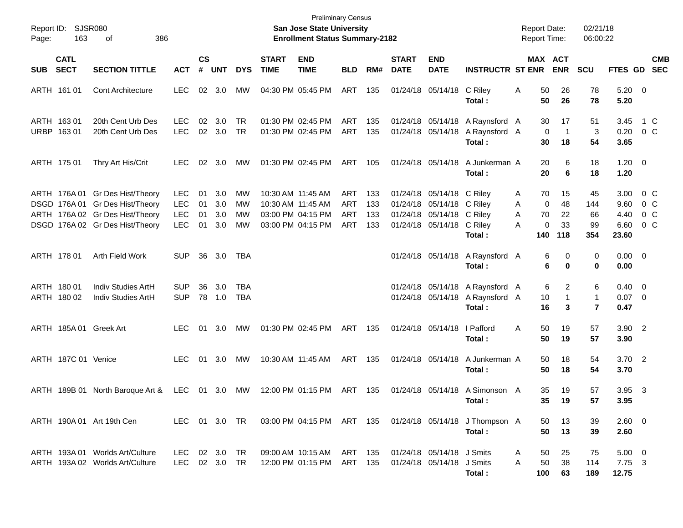| Report ID:<br>Page:                      | <b>SJSR080</b><br>163 | 386<br>οf                                                                                                                                |                                                      |                      |                          |                        |                                        | <b>Preliminary Census</b><br>San Jose State University<br><b>Enrollment Status Summary-2182</b> |                                        |                          |                             |                                                                                                                  |                                                                               |                  |                           | <b>Report Date:</b><br><b>Report Time:</b> | 02/21/18<br>06:00:22                |                                       |                          |
|------------------------------------------|-----------------------|------------------------------------------------------------------------------------------------------------------------------------------|------------------------------------------------------|----------------------|--------------------------|------------------------|----------------------------------------|-------------------------------------------------------------------------------------------------|----------------------------------------|--------------------------|-----------------------------|------------------------------------------------------------------------------------------------------------------|-------------------------------------------------------------------------------|------------------|---------------------------|--------------------------------------------|-------------------------------------|---------------------------------------|--------------------------|
| <b>CATL</b><br><b>SECT</b><br><b>SUB</b> |                       | <b>SECTION TITTLE</b>                                                                                                                    | <b>ACT</b>                                           | $\mathsf{cs}$<br>#   | <b>UNT</b>               | <b>DYS</b>             | <b>START</b><br><b>TIME</b>            | <b>END</b><br><b>TIME</b>                                                                       | <b>BLD</b>                             | RM#                      | <b>START</b><br><b>DATE</b> | <b>END</b><br><b>DATE</b>                                                                                        | <b>INSTRUCTR ST ENR</b>                                                       |                  |                           | MAX ACT<br><b>ENR</b>                      | <b>SCU</b>                          | FTES GD                               | <b>CMB</b><br><b>SEC</b> |
| ARTH 161 01                              |                       | <b>Cont Architecture</b>                                                                                                                 | <b>LEC</b>                                           | 02                   | 3.0                      | МW                     | 04:30 PM 05:45 PM                      |                                                                                                 | ART                                    | 135                      |                             | 01/24/18 05/14/18                                                                                                | C Riley<br>Total:                                                             | Α                | 50<br>50                  | 26<br>26                                   | 78<br>78                            | $5.20 \ 0$<br>5.20                    |                          |
| ARTH 163 01<br>URBP 163 01               |                       | 20th Cent Urb Des<br>20th Cent Urb Des                                                                                                   | <b>LEC</b><br><b>LEC</b>                             | 02                   | 3.0<br>02 3.0            | <b>TR</b><br><b>TR</b> |                                        | 01:30 PM 02:45 PM<br>01:30 PM 02:45 PM                                                          | ART<br><b>ART</b>                      | 135<br>135               |                             |                                                                                                                  | 01/24/18 05/14/18 A Raynsford A<br>01/24/18 05/14/18 A Raynsford A<br>Total : |                  | 30<br>$\mathbf 0$<br>30   | 17<br>$\mathbf 1$<br>18                    | 51<br>3<br>54                       | 3.45<br>0.20<br>3.65                  | 1 C<br>$0\,$ C           |
| ARTH 175 01                              |                       | Thry Art His/Crit                                                                                                                        | <b>LEC</b>                                           | 02                   | 3.0                      | МW                     | 01:30 PM 02:45 PM                      |                                                                                                 | ART                                    | 105                      |                             | 01/24/18 05/14/18                                                                                                | A Junkerman A<br>Total:                                                       |                  | 20<br>20                  | 6<br>6                                     | 18<br>18                            | $1.20 \t 0$<br>1.20                   |                          |
|                                          |                       | ARTH 176A 01 Gr Des Hist/Theory<br>DSGD 176A 01 Gr Des Hist/Theory<br>ARTH 176A 02 Gr Des Hist/Theory<br>DSGD 176A 02 Gr Des Hist/Theory | <b>LEC</b><br><b>LEC</b><br><b>LEC</b><br><b>LEC</b> | 01<br>01<br>01<br>01 | 3.0<br>3.0<br>3.0<br>3.0 | MW<br>МW<br>МW<br>МW   | 10:30 AM 11:45 AM<br>10:30 AM 11:45 AM | 03:00 PM 04:15 PM<br>03:00 PM 04:15 PM                                                          | ART<br><b>ART</b><br>ART<br><b>ART</b> | 133<br>133<br>133<br>133 |                             | 01/24/18 05/14/18 C Riley<br>01/24/18 05/14/18 C Riley<br>01/24/18 05/14/18 C Riley<br>01/24/18 05/14/18 C Riley | Total:                                                                        | A<br>A<br>A<br>A | 70<br>0<br>70<br>0<br>140 | 15<br>48<br>22<br>33<br>118                | 45<br>144<br>66<br>99<br>354        | 3.00<br>9.60<br>4.40<br>6.60<br>23.60 | 0 C<br>0 C<br>0 C<br>0 C |
| ARTH 178 01                              |                       | Arth Field Work                                                                                                                          | <b>SUP</b>                                           | 36                   | 3.0                      | TBA                    |                                        |                                                                                                 |                                        |                          |                             |                                                                                                                  | 01/24/18 05/14/18 A Raynsford A<br>Total:                                     |                  | 6<br>6                    | 0<br>0                                     | 0<br>0                              | $0.00 \t 0$<br>0.00                   |                          |
| ARTH 180 01<br>ARTH 180 02               |                       | Indiv Studies ArtH<br>Indiv Studies ArtH                                                                                                 | <b>SUP</b><br><b>SUP</b>                             | 36                   | 3.0<br>78 1.0            | TBA<br><b>TBA</b>      |                                        |                                                                                                 |                                        |                          |                             |                                                                                                                  | 01/24/18 05/14/18 A Raynsford A<br>01/24/18 05/14/18 A Raynsford A<br>Total:  |                  | 6<br>10<br>16             | 2<br>$\mathbf{1}$<br>3                     | 6<br>$\mathbf{1}$<br>$\overline{7}$ | $0.40 \quad 0$<br>$0.07$ 0<br>0.47    |                          |
| ARTH 185A 01 Greek Art                   |                       |                                                                                                                                          | <b>LEC</b>                                           | 01                   | 3.0                      | MW                     |                                        | 01:30 PM 02:45 PM                                                                               | ART                                    | 135                      |                             | 01/24/18 05/14/18                                                                                                | I Pafford<br>Total:                                                           | A                | 50<br>50                  | 19<br>19                                   | 57<br>57                            | $3.90$ 2<br>3.90                      |                          |
| ARTH 187C 01 Venice                      |                       |                                                                                                                                          | <b>LEC</b>                                           |                      | 01 3.0                   | МW                     | 10:30 AM 11:45 AM                      |                                                                                                 | ART                                    | 135                      |                             | 01/24/18 05/14/18                                                                                                | A Junkerman A<br>Total:                                                       |                  | 50<br>50                  | 18<br>18                                   | 54<br>54                            | 3.70 2<br>3.70                        |                          |
|                                          |                       | ARTH 189B 01 North Baroque Art &                                                                                                         | LEC                                                  |                      | 01 3.0                   | MW                     |                                        | 12:00 PM 01:15 PM                                                                               | ART                                    | 135                      |                             | 01/24/18 05/14/18                                                                                                | A Simonson A<br>Total :                                                       |                  | 35<br>35                  | 19<br>19                                   | 57<br>57                            | 3.95<br>3.95                          | $\overline{\mathbf{3}}$  |
|                                          |                       | ARTH 190A 01 Art 19th Cen                                                                                                                | LEC 01 3.0 TR                                        |                      |                          |                        |                                        | 03:00 PM 04:15 PM ART 135                                                                       |                                        |                          |                             |                                                                                                                  | 01/24/18 05/14/18 J Thompson A<br>Total:                                      |                  | 50<br>50                  | 13<br>13                                   | 39<br>39                            | $2.60 \t 0$<br>2.60                   |                          |
|                                          |                       | ARTH 193A 01 Worlds Art/Culture<br>ARTH 193A 02 Worlds Art/Culture                                                                       | LEC 02 3.0 TR<br>LEC                                 |                      | 02 3.0                   | TR                     |                                        | 09:00 AM 10:15 AM<br>12:00 PM 01:15 PM                                                          | ART<br>ART                             | 135<br>135               |                             | 01/24/18 05/14/18 J Smits<br>01/24/18 05/14/18 J Smits                                                           | Total:                                                                        | A<br>A           | 50<br>50<br>100           | 25<br>38<br>63                             | 75<br>114<br>189                    | $5.00 \t 0$<br>7.75 3<br>12.75        |                          |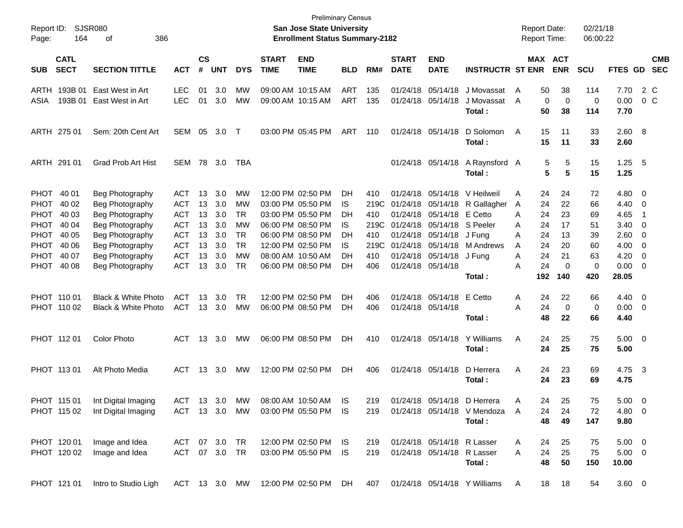| Report ID:<br>Page:                  | 164                                                     | SJSR080<br>386<br>οf                                                                                           |                                                                                  |                                  |                                        |                                         |                                        | <b>Preliminary Census</b><br><b>San Jose State University</b><br><b>Enrollment Status Summary-2182</b>                     |                                     |                                           |                             |                                                                                                                |                                                                               | <b>Report Date:</b><br><b>Report Time:</b> |                                  |                                  | 02/21/18<br>06:00:22             |                                              |                                                                                               |                          |
|--------------------------------------|---------------------------------------------------------|----------------------------------------------------------------------------------------------------------------|----------------------------------------------------------------------------------|----------------------------------|----------------------------------------|-----------------------------------------|----------------------------------------|----------------------------------------------------------------------------------------------------------------------------|-------------------------------------|-------------------------------------------|-----------------------------|----------------------------------------------------------------------------------------------------------------|-------------------------------------------------------------------------------|--------------------------------------------|----------------------------------|----------------------------------|----------------------------------|----------------------------------------------|-----------------------------------------------------------------------------------------------|--------------------------|
| <b>SUB</b>                           | <b>CATL</b><br><b>SECT</b>                              | <b>SECTION TITTLE</b>                                                                                          | <b>ACT</b>                                                                       | <b>CS</b><br>#                   | <b>UNT</b>                             | <b>DYS</b>                              | <b>START</b><br><b>TIME</b>            | <b>END</b><br><b>TIME</b>                                                                                                  | <b>BLD</b>                          | RM#                                       | <b>START</b><br><b>DATE</b> | <b>END</b><br><b>DATE</b>                                                                                      | <b>INSTRUCTR ST ENR</b>                                                       |                                            |                                  | MAX ACT<br><b>ENR</b>            | <b>SCU</b>                       | <b>FTES GD</b>                               |                                                                                               | <b>CMB</b><br><b>SEC</b> |
| ARTH<br>ASIA                         | 193B 01<br>193B 01                                      | East West in Art<br>East West in Art                                                                           | <b>LEC</b><br><b>LEC</b>                                                         | 01<br>01                         | 3.0<br>3.0                             | МW<br>MW                                | 09:00 AM 10:15 AM<br>09:00 AM 10:15 AM |                                                                                                                            | <b>ART</b><br>ART                   | 135<br>135                                |                             | 01/24/18 05/14/18<br>01/24/18 05/14/18                                                                         | J Movassat<br>J Movassat<br>Total :                                           | A<br>A                                     | 50<br>$\mathbf 0$<br>50          | 38<br>0<br>38                    | 114<br>0<br>114                  | 7.70<br>0.00<br>7.70                         | 2 C<br>0 <sup>o</sup>                                                                         |                          |
|                                      | ARTH 275 01                                             | Sem: 20th Cent Art                                                                                             | SEM                                                                              | 05                               | 3.0                                    | $\top$                                  |                                        | 03:00 PM 05:45 PM                                                                                                          | ART                                 | 110                                       |                             | 01/24/18 05/14/18                                                                                              | D Solomon<br>Total:                                                           | A                                          | 15<br>15                         | 11<br>11                         | 33<br>33                         | 2.60 8<br>2.60                               |                                                                                               |                          |
|                                      | ARTH 291 01                                             | <b>Grad Prob Art Hist</b>                                                                                      | SEM                                                                              | 78                               | 3.0                                    | TBA                                     |                                        |                                                                                                                            |                                     |                                           |                             | 01/24/18 05/14/18                                                                                              | A Raynsford A<br>Total :                                                      |                                            | 5<br>5                           | 5<br>5                           | 15<br>15                         | $1.25$ 5<br>1.25                             |                                                                                               |                          |
| PHOT<br>PHOT<br>PHOT<br>PHOT<br>PHOT | PHOT 40 01<br>40 02<br>40 03<br>40 04<br>40 05<br>40 06 | Beg Photography<br>Beg Photography<br>Beg Photography<br>Beg Photography<br>Beg Photography<br>Beg Photography | <b>ACT</b><br><b>ACT</b><br><b>ACT</b><br><b>ACT</b><br><b>ACT</b><br><b>ACT</b> | 13<br>13<br>13<br>13<br>13<br>13 | 3.0<br>3.0<br>3.0<br>3.0<br>3.0<br>3.0 | МW<br>MW<br>TR<br>MW<br>TR<br><b>TR</b> |                                        | 12:00 PM 02:50 PM<br>03:00 PM 05:50 PM<br>03:00 PM 05:50 PM<br>06:00 PM 08:50 PM<br>06:00 PM 08:50 PM<br>12:00 PM 02:50 PM | DH<br>IS.<br>DН<br>IS.<br>DН<br>IS. | 410<br>219C<br>410<br>219C<br>410<br>219C |                             | 01/24/18 05/14/18<br>01/24/18 05/14/18<br>01/24/18 05/14/18 S Peeler<br>01/24/18 05/14/18<br>01/24/18 05/14/18 | V Heilweil<br>01/24/18 05/14/18 R Gallagher<br>E Cetto<br>J Funa<br>M Andrews | Α<br>A<br>A<br>A<br>A<br>A                 | 24<br>24<br>24<br>24<br>24<br>24 | 24<br>22<br>23<br>17<br>13<br>20 | 72<br>66<br>69<br>51<br>39<br>60 | 4.80<br>4.40<br>4.65<br>3.40<br>2.60<br>4.00 | $\overline{\phantom{0}}$<br>$\overline{\mathbf{0}}$<br>$\overline{\mathbf{1}}$<br>0<br>0<br>0 |                          |
| PHOT<br>PHOT                         | 40 07<br>40 08                                          | Beg Photography<br>Beg Photography                                                                             | <b>ACT</b><br><b>ACT</b>                                                         | 13<br>13                         | 3.0<br>3.0                             | <b>MW</b><br>TR                         | 08:00 AM 10:50 AM                      | 06:00 PM 08:50 PM                                                                                                          | DН<br>DH                            | 410<br>406                                |                             | 01/24/18 05/14/18<br>01/24/18 05/14/18                                                                         | J Fung<br>Total :                                                             | Α<br>Α                                     | 24<br>24<br>192                  | 21<br>$\mathbf 0$<br>140         | 63<br>0<br>420                   | 4.20<br>0.00<br>28.05                        | 0<br>0                                                                                        |                          |
|                                      | PHOT 110 01<br>PHOT 110 02                              | <b>Black &amp; White Photo</b><br>Black & White Photo                                                          | <b>ACT</b><br><b>ACT</b>                                                         | 13                               | 3.0<br>13 3.0                          | TR<br>MW                                |                                        | 12:00 PM 02:50 PM<br>06:00 PM 08:50 PM                                                                                     | DH<br>DH                            | 406<br>406                                |                             | 01/24/18 05/14/18<br>01/24/18 05/14/18                                                                         | E Cetto<br>Total :                                                            | A<br>Α                                     | 24<br>24<br>48                   | 22<br>0<br>22                    | 66<br>0<br>66                    | 4.40<br>0.00<br>4.40                         | $\overline{\phantom{0}}$<br>$\overline{\mathbf{0}}$                                           |                          |
|                                      | PHOT 112 01                                             | <b>Color Photo</b>                                                                                             | ACT                                                                              | 13                               | 3.0                                    | MW                                      |                                        | 06:00 PM 08:50 PM                                                                                                          | DH                                  | 410                                       |                             | 01/24/18 05/14/18                                                                                              | Y Williams<br>Total :                                                         | Α                                          | 24<br>24                         | 25<br>25                         | 75<br>75                         | $5.00 \t 0$<br>5.00                          |                                                                                               |                          |
|                                      | PHOT 113 01                                             | Alt Photo Media                                                                                                | <b>ACT</b>                                                                       |                                  | 13 3.0                                 | MW                                      |                                        | 12:00 PM 02:50 PM                                                                                                          | DH.                                 | 406                                       |                             | 01/24/18 05/14/18                                                                                              | D Herrera<br>Total :                                                          | Α                                          | 24<br>24                         | 23<br>23                         | 69<br>69                         | 4.75 3<br>4.75                               |                                                                                               |                          |
|                                      | PHOT 115 01<br>PHOT 115 02                              | Int Digital Imaging<br>Int Digital Imaging                                                                     | ACT                                                                              |                                  | 13 3.0                                 | MW                                      |                                        | 08:00 AM 10:50 AM<br>ACT 13 3.0 MW 03:00 PM 05:50 PM IS                                                                    | IS.                                 | 219<br>219                                |                             | 01/24/18 05/14/18                                                                                              | D Herrera<br>01/24/18 05/14/18 V Mendoza A<br>Total:                          | A                                          | 24<br>24<br>48                   | 25<br>24<br>49                   | 75<br>72<br>147                  | 5.00<br>$4.80\ 0$<br>9.80                    | $\overline{0}$                                                                                |                          |
|                                      | PHOT 120 01<br>PHOT 120 02                              | Image and Idea<br>Image and Idea                                                                               | ACT 07 3.0 TR<br>ACT 07 3.0 TR                                                   |                                  |                                        |                                         |                                        | 12:00 PM 02:50 PM IS<br>03:00 PM 05:50 PM IS                                                                               |                                     | 219<br>219                                |                             | 01/24/18 05/14/18 R Lasser<br>01/24/18 05/14/18 R Lasser                                                       | Total:                                                                        | A<br>A                                     | 24<br>24<br>48                   | 25<br>25<br>50                   | 75<br>75<br>150                  | $5.00 \t 0$<br>$5.00 \t 0$<br>10.00          |                                                                                               |                          |
|                                      | PHOT 121 01                                             | Intro to Studio Ligh                                                                                           |                                                                                  |                                  |                                        |                                         |                                        | ACT 13 3.0 MW 12:00 PM 02:50 PM DH                                                                                         |                                     |                                           |                             |                                                                                                                | 407 01/24/18 05/14/18 Y Williams                                              | A                                          | 18                               | 18                               | 54                               | $3.60 \ 0$                                   |                                                                                               |                          |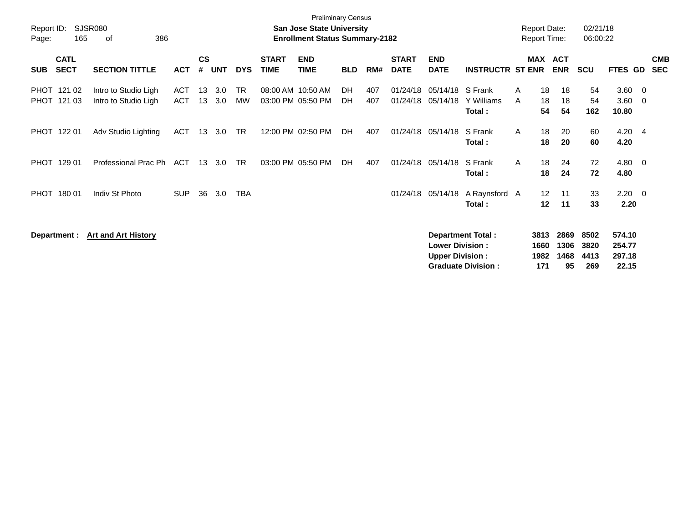| Report ID:<br>Page: | 165                        | SJSR080<br>386<br>οf                         |                          |                    |            |            |                                        | <b>Preliminary Census</b><br><b>San Jose State University</b><br><b>Enrollment Status Summary-2182</b> |                 |            |                             |                                                  |                                                       |              | <b>Report Date:</b><br><b>Report Time:</b> |                            | 02/21/18<br>06:00:22        |                                     |                         |                          |
|---------------------|----------------------------|----------------------------------------------|--------------------------|--------------------|------------|------------|----------------------------------------|--------------------------------------------------------------------------------------------------------|-----------------|------------|-----------------------------|--------------------------------------------------|-------------------------------------------------------|--------------|--------------------------------------------|----------------------------|-----------------------------|-------------------------------------|-------------------------|--------------------------|
| <b>SUB</b>          | <b>CATL</b><br><b>SECT</b> | <b>SECTION TITTLE</b>                        | <b>ACT</b>               | $\mathsf{cs}$<br># | <b>UNT</b> | <b>DYS</b> | <b>START</b><br><b>TIME</b>            | <b>END</b><br><b>TIME</b>                                                                              | <b>BLD</b>      | RM#        | <b>START</b><br><b>DATE</b> | <b>END</b><br><b>DATE</b>                        | <b>INSTRUCTR ST ENR</b>                               |              |                                            | MAX ACT<br><b>ENR</b>      | <b>SCU</b>                  | <b>FTES GD</b>                      |                         | <b>CMB</b><br><b>SEC</b> |
|                     | PHOT 121 02<br>PHOT 121 03 | Intro to Studio Ligh<br>Intro to Studio Ligh | <b>ACT</b><br><b>ACT</b> | 13<br>13           | 3.0<br>3.0 | TR.<br>МW  | 08:00 AM 10:50 AM<br>03:00 PM 05:50 PM |                                                                                                        | <b>DH</b><br>DH | 407<br>407 | 01/24/18<br>01/24/18        | 05/14/18<br>05/14/18                             | S Frank<br>Y Williams<br>Total:                       | A<br>A       | 18<br>18<br>54                             | 18<br>18<br>54             | 54<br>54<br>162             | 3.60<br>3.60<br>10.80               | - 0<br>- 0              |                          |
|                     | PHOT 122 01                | Adv Studio Lighting                          | <b>ACT</b>               | 13                 | 3.0        | <b>TR</b>  |                                        | 12:00 PM 02:50 PM                                                                                      | DH              | 407        | 01/24/18                    | 05/14/18                                         | S Frank<br>Total:                                     | $\mathsf{A}$ | 18<br>18                                   | 20<br>20                   | 60<br>60                    | 4.20<br>4.20                        | $\overline{4}$          |                          |
|                     | PHOT 129 01                | Professional Prac Ph                         | ACT                      | 13                 | 3.0        | <b>TR</b>  |                                        | 03:00 PM 05:50 PM                                                                                      | DH              | 407        | 01/24/18                    | 05/14/18                                         | S Frank<br>Total:                                     | A            | 18<br>18                                   | 24<br>24                   | 72<br>72                    | 4.80<br>4.80                        | $\overline{\mathbf{0}}$ |                          |
| <b>PHOT</b>         | 180 01                     | Indiv St Photo                               | <b>SUP</b>               | 36                 | 3.0        | <b>TBA</b> |                                        |                                                                                                        |                 |            | 01/24/18                    | 05/14/18                                         | A Raynsford A<br>Total:                               |              | 12<br>12                                   | 11<br>11                   | 33<br>33                    | $2.20 \t 0$<br>2.20                 |                         |                          |
|                     | Department :               | <b>Art and Art History</b>                   |                          |                    |            |            |                                        |                                                                                                        |                 |            |                             | <b>Lower Division:</b><br><b>Upper Division:</b> | <b>Department Total:</b><br><b>Graduate Division:</b> |              | 3813<br>1660<br>1982<br>171                | 2869<br>1306<br>1468<br>95 | 8502<br>3820<br>4413<br>269 | 574.10<br>254.77<br>297.18<br>22.15 |                         |                          |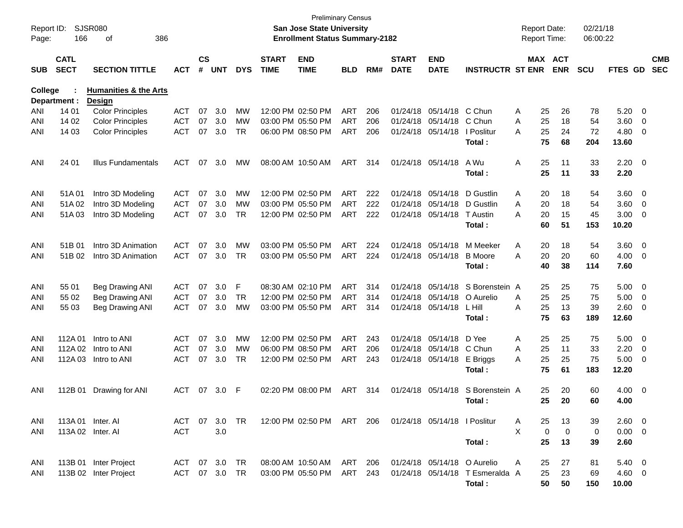| Report ID:<br>Page: | 166                        | SJSR080<br>386<br>οf             |            |                    |            |            |                             | San Jose State University<br><b>Enrollment Status Summary-2182</b> | <b>Preliminary Census</b> |     |                             |                             |                         |   | <b>Report Date:</b><br>Report Time: | 02/21/18<br>06:00:22 |                |                          |                          |
|---------------------|----------------------------|----------------------------------|------------|--------------------|------------|------------|-----------------------------|--------------------------------------------------------------------|---------------------------|-----|-----------------------------|-----------------------------|-------------------------|---|-------------------------------------|----------------------|----------------|--------------------------|--------------------------|
| <b>SUB</b>          | <b>CATL</b><br><b>SECT</b> | <b>SECTION TITTLE</b>            | <b>ACT</b> | $\mathsf{cs}$<br># | <b>UNT</b> | <b>DYS</b> | <b>START</b><br><b>TIME</b> | <b>END</b><br><b>TIME</b>                                          | <b>BLD</b>                | RM# | <b>START</b><br><b>DATE</b> | <b>END</b><br><b>DATE</b>   | <b>INSTRUCTR ST ENR</b> |   | MAX ACT<br><b>ENR</b>               | <b>SCU</b>           | <b>FTES GD</b> |                          | <b>CMB</b><br><b>SEC</b> |
| <b>College</b>      |                            | <b>Humanities &amp; the Arts</b> |            |                    |            |            |                             |                                                                    |                           |     |                             |                             |                         |   |                                     |                      |                |                          |                          |
|                     | Department :               | Design                           |            |                    |            |            |                             |                                                                    |                           |     |                             |                             |                         |   |                                     |                      |                |                          |                          |
| ANI                 | 14 01                      | <b>Color Principles</b>          | <b>ACT</b> | 07                 | 3.0        | МW         |                             | 12:00 PM 02:50 PM                                                  | ART                       | 206 |                             | 01/24/18 05/14/18           | C Chun                  | Α | 26<br>25                            | 78                   | 5.20           | $\overline{\phantom{0}}$ |                          |
| ANI                 | 14 02                      | <b>Color Principles</b>          | <b>ACT</b> | 07                 | 3.0        | MW         |                             | 03:00 PM 05:50 PM                                                  | ART                       | 206 |                             | 01/24/18 05/14/18           | C Chun                  | Α | 25<br>18                            | 54                   | 3.60           | 0                        |                          |
| ANI                 | 14 03                      | <b>Color Principles</b>          | <b>ACT</b> | 07                 | 3.0        | <b>TR</b>  |                             | 06:00 PM 08:50 PM                                                  | ART                       | 206 |                             | 01/24/18 05/14/18           | I Poslitur              | Α | 25<br>24                            | 72                   | 4.80           | 0                        |                          |
|                     |                            |                                  |            |                    |            |            |                             |                                                                    |                           |     |                             |                             | Total:                  |   | 75<br>68                            | 204                  | 13.60          |                          |                          |
| ANI                 | 24 01                      | <b>Illus Fundamentals</b>        | <b>ACT</b> | 07                 | 3.0        | MW         |                             | 08:00 AM 10:50 AM                                                  | ART                       | 314 |                             | 01/24/18 05/14/18           | A Wu                    | Α | 25<br>11                            | 33                   | $2.20 \t 0$    |                          |                          |
|                     |                            |                                  |            |                    |            |            |                             |                                                                    |                           |     |                             |                             | Total:                  |   | 25<br>11                            | 33                   | 2.20           |                          |                          |
| ANI                 | 51A01                      | Intro 3D Modeling                | <b>ACT</b> | 07                 | 3.0        | МW         |                             | 12:00 PM 02:50 PM                                                  | ART                       | 222 |                             | 01/24/18 05/14/18           | D Gustlin               | A | 20<br>18                            | 54                   | 3.60           | $\overline{\phantom{0}}$ |                          |
| ANI                 | 51A02                      | Intro 3D Modeling                | <b>ACT</b> | 07                 | 3.0        | MW         |                             | 03:00 PM 05:50 PM                                                  | ART                       | 222 |                             | 01/24/18 05/14/18           | D Gustlin               | A | 20<br>18                            | 54                   | 3.60           | $\overline{\mathbf{0}}$  |                          |
| ANI                 | 51A03                      | Intro 3D Modeling                | <b>ACT</b> | 07                 | 3.0        | TR.        |                             | 12:00 PM 02:50 PM                                                  | ART                       | 222 |                             | 01/24/18 05/14/18           | T Austin                | Α | 20<br>15                            | 45                   | 3.00           | $\overline{\mathbf{0}}$  |                          |
|                     |                            |                                  |            |                    |            |            |                             |                                                                    |                           |     |                             |                             | Total:                  |   | 51<br>60                            | 153                  | 10.20          |                          |                          |
| ANI                 | 51B 01                     | Intro 3D Animation               | <b>ACT</b> | 07                 | 3.0        | МW         |                             | 03:00 PM 05:50 PM                                                  | ART                       | 224 |                             | 01/24/18 05/14/18           | M Meeker                | A | 20<br>18                            | 54                   | 3.60           | $\overline{\phantom{0}}$ |                          |
| ANI                 | 51B 02                     | Intro 3D Animation               | <b>ACT</b> | 07                 | 3.0        | <b>TR</b>  |                             | 03:00 PM 05:50 PM                                                  | ART                       | 224 |                             | 01/24/18 05/14/18           | <b>B</b> Moore          | Α | 20<br>20                            | 60                   | 4.00           | $\overline{\mathbf{0}}$  |                          |
|                     |                            |                                  |            |                    |            |            |                             |                                                                    |                           |     |                             |                             | Total:                  |   | 40<br>38                            | 114                  | 7.60           |                          |                          |
| ANI                 | 55 01                      | <b>Beg Drawing ANI</b>           | <b>ACT</b> | 07                 | 3.0        | F          |                             | 08:30 AM 02:10 PM                                                  | <b>ART</b>                | 314 |                             | 01/24/18 05/14/18           | S Borenstein A          |   | 25<br>25                            | 75                   | 5.00           | $\overline{\phantom{0}}$ |                          |
| ANI                 | 55 02                      | Beg Drawing ANI                  | <b>ACT</b> | 07                 | 3.0        | <b>TR</b>  |                             | 12:00 PM 02:50 PM                                                  | ART                       | 314 |                             | 01/24/18 05/14/18           | O Aurelio               | A | 25<br>25                            | 75                   | 5.00           | $\overline{\mathbf{0}}$  |                          |
| ANI                 | 55 03                      | <b>Beg Drawing ANI</b>           | <b>ACT</b> | 07                 | 3.0        | MW         |                             | 03:00 PM 05:50 PM                                                  | ART                       | 314 |                             | 01/24/18 05/14/18           | L Hill                  | Α | 25<br>13                            | 39                   | 2.60           | 0                        |                          |
|                     |                            |                                  |            |                    |            |            |                             |                                                                    |                           |     |                             |                             | Total:                  |   | 75<br>63                            | 189                  | 12.60          |                          |                          |
| ANI                 | 112A 01                    | Intro to ANI                     | <b>ACT</b> | 07                 | 3.0        | МW         |                             | 12:00 PM 02:50 PM                                                  | ART                       | 243 |                             | 01/24/18 05/14/18           | D Yee                   | A | 25<br>25                            | 75                   | 5.00           | $\overline{\phantom{0}}$ |                          |
| ANI                 | 112A 02                    | Intro to ANI                     | <b>ACT</b> | 07                 | 3.0        | MW         |                             | 06:00 PM 08:50 PM                                                  | ART                       | 206 |                             | 01/24/18 05/14/18           | C Chun                  | Α | 25<br>11                            | 33                   | 2.20           | $\overline{\mathbf{0}}$  |                          |
| ANI                 | 112A 03                    | Intro to ANI                     | <b>ACT</b> | 07                 | 3.0        | <b>TR</b>  |                             | 12:00 PM 02:50 PM                                                  | ART                       | 243 |                             | 01/24/18 05/14/18           | E Briggs                | A | 25<br>25                            | 75                   | 5.00           | 0                        |                          |
|                     |                            |                                  |            |                    |            |            |                             |                                                                    |                           |     |                             |                             | Total:                  |   | 75<br>61                            | 183                  | 12.20          |                          |                          |
| ANI                 | 112B 01                    | Drawing for ANI                  | <b>ACT</b> | 07                 | 3.0        | F          |                             | 02:20 PM 08:00 PM                                                  | ART                       | 314 |                             | 01/24/18 05/14/18           | S Borenstein A          |   | 20<br>25                            | 60                   | 4.00           | $\overline{\phantom{0}}$ |                          |
|                     |                            |                                  |            |                    |            |            |                             |                                                                    |                           |     |                             |                             | Total:                  |   | 25<br>20                            | 60                   | 4.00           |                          |                          |
| ANI                 |                            | 113A 01 Inter. AI                | ACT        | 07                 | 3.0        | TR         |                             | 12:00 PM 02:50 PM ART 206 01/24/18 05/14/18 I Poslitur             |                           |     |                             |                             |                         | A | 25<br>13                            | 39                   | $2.60 \t 0$    |                          |                          |
| ANI                 |                            | 113A 02 Inter. AI                | <b>ACT</b> |                    | 3.0        |            |                             |                                                                    |                           |     |                             |                             |                         | X | $\mathbf 0$<br>$\mathbf 0$          | 0                    | $0.00 \t 0$    |                          |                          |
|                     |                            |                                  |            |                    |            |            |                             |                                                                    |                           |     |                             |                             | Total:                  |   | 25<br>13                            | 39                   | 2.60           |                          |                          |
| ANI                 |                            | 113B 01 Inter Project            | ACT        |                    | 07 3.0     | TR         |                             | 08:00 AM 10:50 AM                                                  | ART                       | 206 |                             | 01/24/18 05/14/18 O Aurelio |                         | A | 27<br>25                            | 81                   | $5.40 \ 0$     |                          |                          |
| ANI                 |                            | 113B 02 Inter Project            | ACT        |                    | 07 3.0     | TR         |                             | 03:00 PM 05:50 PM                                                  | ART                       | 243 |                             | 01/24/18 05/14/18           | T Esmeralda A           |   | 25<br>23                            | 69                   | 4.60 0         |                          |                          |
|                     |                            |                                  |            |                    |            |            |                             |                                                                    |                           |     |                             |                             | Total:                  |   | 50<br>50                            | 150                  | 10.00          |                          |                          |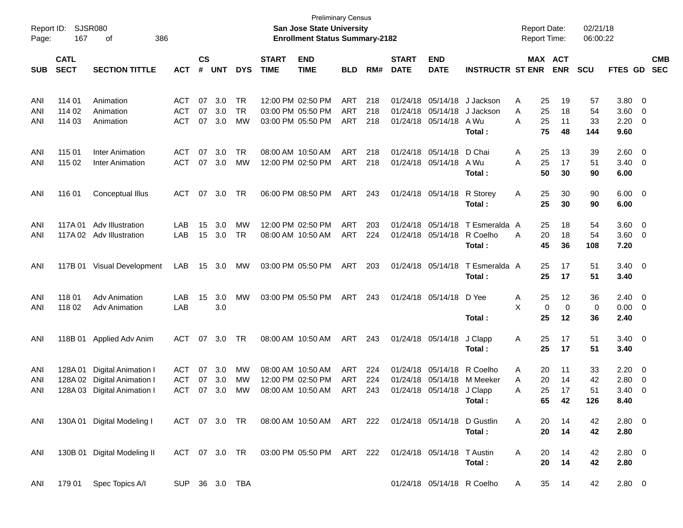| Report ID:<br>Page: | 167         | <b>SJSR080</b><br>386<br>οf |                |               |            |               |              | <b>San Jose State University</b><br><b>Enrollment Status Summary-2182</b> | <b>Preliminary Census</b> |     |              |                             |                         | <b>Report Date:</b><br><b>Report Time:</b> |    |                | 02/21/18<br>06:00:22 |                |                          |            |
|---------------------|-------------|-----------------------------|----------------|---------------|------------|---------------|--------------|---------------------------------------------------------------------------|---------------------------|-----|--------------|-----------------------------|-------------------------|--------------------------------------------|----|----------------|----------------------|----------------|--------------------------|------------|
|                     | <b>CATL</b> |                             |                | $\mathsf{cs}$ |            |               | <b>START</b> | <b>END</b>                                                                |                           |     | <b>START</b> | <b>END</b>                  |                         |                                            |    | <b>MAX ACT</b> |                      |                |                          | <b>CMB</b> |
| <b>SUB</b>          | <b>SECT</b> | <b>SECTION TITTLE</b>       | <b>ACT</b>     | #             | <b>UNT</b> | <b>DYS</b>    | <b>TIME</b>  | <b>TIME</b>                                                               | <b>BLD</b>                | RM# | <b>DATE</b>  | <b>DATE</b>                 | <b>INSTRUCTR ST ENR</b> |                                            |    | <b>ENR</b>     | <b>SCU</b>           | <b>FTES GD</b> |                          | <b>SEC</b> |
| ANI                 | 114 01      | Animation                   | <b>ACT</b>     | 07            | 3.0        | TR            |              | 12:00 PM 02:50 PM                                                         | ART                       | 218 |              | 01/24/18 05/14/18           | J Jackson               | A                                          | 25 | 19             | 57                   | 3.80           | $\overline{\phantom{0}}$ |            |
| ANI                 | 114 02      | Animation                   | <b>ACT</b>     | 07            | 3.0        | <b>TR</b>     |              | 03:00 PM 05:50 PM                                                         | ART                       | 218 |              | 01/24/18 05/14/18           | J Jackson               | Α                                          | 25 | 18             | 54                   | 3.60           | $\overline{0}$           |            |
| ANI                 | 114 03      | Animation                   | <b>ACT</b>     | 07            | 3.0        | MW            |              | 03:00 PM 05:50 PM                                                         | ART                       | 218 |              | 01/24/18 05/14/18           | A Wu                    | Α                                          | 25 | 11             | 33                   | 2.20           | $\overline{0}$           |            |
|                     |             |                             |                |               |            |               |              |                                                                           |                           |     |              |                             | Total :                 |                                            | 75 | 48             | 144                  | 9.60           |                          |            |
| ANI                 | 115 01      | <b>Inter Animation</b>      | <b>ACT</b>     | 07            | 3.0        | TR            |              | 08:00 AM 10:50 AM                                                         | ART                       | 218 |              | 01/24/18 05/14/18           | D Chai                  | A                                          | 25 | 13             | 39                   | 2.60           | $\overline{\mathbf{0}}$  |            |
| ANI                 | 115 02      | <b>Inter Animation</b>      | <b>ACT</b>     | 07            | 3.0        | MW            |              | 12:00 PM 02:50 PM                                                         | ART                       | 218 |              | 01/24/18 05/14/18           | A Wu                    | A                                          | 25 | 17             | 51                   | 3.40           | $\overline{\mathbf{0}}$  |            |
|                     |             |                             |                |               |            |               |              |                                                                           |                           |     |              |                             | Total:                  |                                            | 50 | 30             | 90                   | 6.00           |                          |            |
| ANI                 | 116 01      | Conceptual Illus            | <b>ACT</b>     | 07            | 3.0        | TR            |              | 06:00 PM 08:50 PM                                                         | ART                       | 243 |              | 01/24/18 05/14/18           | R Storey                | Α                                          | 25 | 30             | 90                   | 6.00           | $\overline{\phantom{0}}$ |            |
|                     |             |                             |                |               |            |               |              |                                                                           |                           |     |              |                             | Total:                  |                                            | 25 | 30             | 90                   | 6.00           |                          |            |
| ANI                 | 117A 01     | Adv Illustration            | LAB            | 15            | 3.0        | MW            |              | 12:00 PM 02:50 PM                                                         | ART                       | 203 |              | 01/24/18 05/14/18           | T Esmeralda A           |                                            | 25 | 18             | 54                   | 3.60           | $\overline{0}$           |            |
| ANI                 |             | 117A 02 Adv Illustration    | LAB            | 15            | 3.0        | <b>TR</b>     |              | 08:00 AM 10:50 AM                                                         | <b>ART</b>                | 224 |              | 01/24/18 05/14/18           | R Coelho                | Α                                          | 20 | 18             | 54                   | 3.60           | $\overline{\phantom{0}}$ |            |
|                     |             |                             |                |               |            |               |              |                                                                           |                           |     |              |                             | Total:                  |                                            | 45 | 36             | 108                  | 7.20           |                          |            |
| ANI                 |             | 117B 01 Visual Development  | LAB            | 15            | 3.0        | MW            |              | 03:00 PM 05:50 PM                                                         | ART                       | 203 |              | 01/24/18 05/14/18           | T Esmeralda A           |                                            | 25 | 17             | 51                   | 3.40           | $\overline{\phantom{0}}$ |            |
|                     |             |                             |                |               |            |               |              |                                                                           |                           |     |              |                             | Total:                  |                                            | 25 | 17             | 51                   | 3.40           |                          |            |
| ANI                 | 118 01      | <b>Adv Animation</b>        | LAB            | 15            | 3.0        | MW            |              | 03:00 PM 05:50 PM                                                         | ART                       | 243 |              | 01/24/18 05/14/18           | D Yee                   | A                                          | 25 | 12             | 36                   | 2.40           | $\overline{\mathbf{0}}$  |            |
| ANI                 | 118 02      | <b>Adv Animation</b>        | LAB            |               | 3.0        |               |              |                                                                           |                           |     |              |                             |                         | X                                          | 0  | 0              | 0                    | 0.00           | $\overline{\phantom{0}}$ |            |
|                     |             |                             |                |               |            |               |              |                                                                           |                           |     |              |                             | Total:                  |                                            | 25 | 12             | 36                   | 2.40           |                          |            |
| ANI                 |             | 118B 01 Applied Adv Anim    | <b>ACT</b>     | 07            | 3.0        | TR            |              | 08:00 AM 10:50 AM                                                         | ART                       | 243 |              | 01/24/18 05/14/18           | J Clapp                 | Α                                          | 25 | 17             | 51                   | $3.40 \quad 0$ |                          |            |
|                     |             |                             |                |               |            |               |              |                                                                           |                           |     |              |                             | Total:                  |                                            | 25 | 17             | 51                   | 3.40           |                          |            |
| ANI                 | 128A 01     | Digital Animation I         | ACT            | 07            | 3.0        | <b>MW</b>     |              | 08:00 AM 10:50 AM                                                         | ART                       | 224 |              | 01/24/18 05/14/18           | R Coelho                | A                                          | 20 | 11             | 33                   | 2.20           | $\overline{\mathbf{0}}$  |            |
| ANI                 |             | 128A 02 Digital Animation I | ACT            | 07            | 3.0        | <b>MW</b>     |              | 12:00 PM 02:50 PM                                                         | <b>ART</b>                | 224 | 01/24/18     | 05/14/18                    | M Meeker                | A                                          | 20 | 14             | 42                   | 2.80           | $\overline{0}$           |            |
| ANI                 |             | 128A 03 Digital Animation I | <b>ACT</b>     | 07            | 3.0        | MW            |              | 08:00 AM 10:50 AM                                                         | ART                       | 243 |              | 01/24/18 05/14/18 J Clapp   |                         | Α                                          | 25 | 17             | 51                   | 3.40           | $\overline{\mathbf{0}}$  |            |
|                     |             |                             |                |               |            |               |              |                                                                           |                           |     |              |                             | Total:                  |                                            | 65 | 42             | 126                  | 8.40           |                          |            |
| ANI                 |             | 130A 01 Digital Modeling I  |                |               |            |               |              | ACT 07 3.0 TR  08:00 AM  10:50 AM  ART  222                               |                           |     |              | 01/24/18 05/14/18 D Gustlin |                         | A                                          | 20 | 14             | 42                   | $2.80 \t 0$    |                          |            |
|                     |             |                             |                |               |            |               |              |                                                                           |                           |     |              |                             | Total:                  |                                            | 20 | 14             | 42                   | 2.80           |                          |            |
| ANI                 |             | 130B 01 Digital Modeling II |                |               |            | ACT 07 3.0 TR |              | 03:00 PM 05:50 PM ART 222                                                 |                           |     |              | 01/24/18 05/14/18 T Austin  |                         | A                                          | 20 | 14             | 42                   | $2.80 \t 0$    |                          |            |
|                     |             |                             |                |               |            |               |              |                                                                           |                           |     |              |                             | Total:                  |                                            | 20 | 14             | 42                   | 2.80           |                          |            |
| ANI                 | 179 01      | Spec Topics A/I             | SUP 36 3.0 TBA |               |            |               |              |                                                                           |                           |     |              | 01/24/18 05/14/18 R Coelho  |                         | A                                          | 35 | 14             | 42                   | $2.80 \t 0$    |                          |            |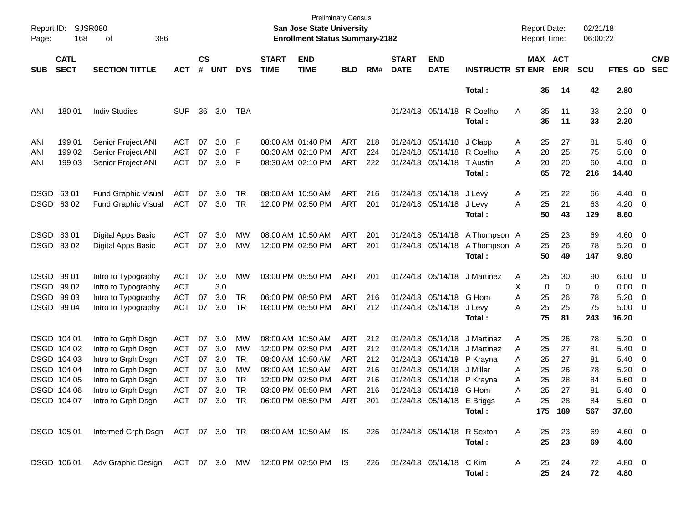| Report ID:<br>Page: | 168                        | <b>SJSR080</b><br>386<br>οf                                       |            |                    |            |            |                             | <b>Preliminary Census</b><br>San Jose State University<br><b>Enrollment Status Summary-2182</b> |            |     |                             |                                |                                | <b>Report Date:</b> |             | <b>Report Time:</b>   | 02/21/18<br>06:00:22 |                     |                          |                          |
|---------------------|----------------------------|-------------------------------------------------------------------|------------|--------------------|------------|------------|-----------------------------|-------------------------------------------------------------------------------------------------|------------|-----|-----------------------------|--------------------------------|--------------------------------|---------------------|-------------|-----------------------|----------------------|---------------------|--------------------------|--------------------------|
| <b>SUB</b>          | <b>CATL</b><br><b>SECT</b> | <b>SECTION TITTLE</b>                                             | <b>ACT</b> | $\mathsf{cs}$<br># | <b>UNT</b> | <b>DYS</b> | <b>START</b><br><b>TIME</b> | <b>END</b><br><b>TIME</b>                                                                       | <b>BLD</b> | RM# | <b>START</b><br><b>DATE</b> | <b>END</b><br><b>DATE</b>      | <b>INSTRUCTR ST ENR</b>        |                     |             | MAX ACT<br><b>ENR</b> | <b>SCU</b>           | FTES GD             |                          | <b>CMB</b><br><b>SEC</b> |
|                     |                            |                                                                   |            |                    |            |            |                             |                                                                                                 |            |     |                             |                                | Total:                         |                     | 35          | 14                    | 42                   | 2.80                |                          |                          |
| ANI                 | 180 01                     | <b>Indiv Studies</b>                                              | <b>SUP</b> | 36                 | 3.0        | TBA        |                             |                                                                                                 |            |     |                             | 01/24/18 05/14/18              | R Coelho<br>Total:             | Α                   | 35<br>35    | 11<br>11              | 33<br>33             | $2.20 \t 0$<br>2.20 |                          |                          |
| ANI                 | 199 01                     | Senior Project ANI                                                | ACT        | 07                 | 3.0        | F          |                             | 08:00 AM 01:40 PM                                                                               | ART        | 218 |                             | 01/24/18 05/14/18              | J Clapp                        | Α                   | 25          | 27                    | 81                   | 5.40 0              |                          |                          |
| ANI                 | 199 02                     | Senior Project ANI                                                | <b>ACT</b> | 07                 | 3.0        | F          |                             | 08:30 AM 02:10 PM                                                                               | ART        | 224 |                             | 01/24/18 05/14/18 R Coelho     |                                | A                   | 20          | 25                    | 75                   | 5.00                | $\overline{\phantom{0}}$ |                          |
| ANI                 | 199 03                     | Senior Project ANI                                                | <b>ACT</b> | 07                 | 3.0        | F          |                             | 08:30 AM 02:10 PM                                                                               | ART        | 222 |                             | 01/24/18 05/14/18              | <b>T</b> Austin                | Α                   | 20          | 20                    | 60                   | $4.00 \ 0$          |                          |                          |
|                     |                            |                                                                   |            |                    |            |            |                             |                                                                                                 |            |     |                             |                                | Total:                         |                     | 65          | 72                    | 216                  | 14.40               |                          |                          |
|                     | DSGD 63 01                 | Fund Graphic Visual                                               | <b>ACT</b> | 07                 | 3.0        | TR         |                             | 08:00 AM 10:50 AM                                                                               | ART        | 216 |                             | 01/24/18 05/14/18              | J Levy                         | A                   | 25          | 22                    | 66                   | 4.40 0              |                          |                          |
|                     | DSGD 6302                  | <b>Fund Graphic Visual</b>                                        | ACT        | 07                 | 3.0        | TR         |                             | 12:00 PM 02:50 PM                                                                               | ART        | 201 |                             | 01/24/18 05/14/18              | J Levy                         | A                   | 25          | 21                    | 63                   | $4.20 \ 0$          |                          |                          |
|                     |                            |                                                                   |            |                    |            |            |                             |                                                                                                 |            |     |                             |                                | Total:                         |                     | 50          | 43                    | 129                  | 8.60                |                          |                          |
|                     | DSGD 83 01                 | Digital Apps Basic                                                | ACT        | 07                 | 3.0        | MW         |                             | 08:00 AM 10:50 AM                                                                               | ART        | 201 |                             |                                | 01/24/18 05/14/18 A Thompson A |                     | 25          | 23                    | 69                   | $4.60$ 0            |                          |                          |
|                     | DSGD 8302                  | Digital Apps Basic                                                | ACT        | 07                 | 3.0        | МW         |                             | 12:00 PM 02:50 PM                                                                               | ART        | 201 |                             | 01/24/18 05/14/18              | A Thompson A                   |                     | 25          | 26                    | 78                   | $5.20 \ 0$          |                          |                          |
|                     |                            |                                                                   |            |                    |            |            |                             |                                                                                                 |            |     |                             |                                | Total:                         |                     | 50          | 49                    | 147                  | 9.80                |                          |                          |
|                     | DSGD 99 01                 | Intro to Typography                                               | <b>ACT</b> | 07                 | 3.0        | MW         |                             | 03:00 PM 05:50 PM                                                                               | ART        | 201 |                             | 01/24/18 05/14/18              | J Martinez                     | A                   | 25          | 30                    | 90                   | $6.00 \t 0$         |                          |                          |
|                     | DSGD 99 02                 | Intro to Typography                                               | <b>ACT</b> |                    | 3.0        |            |                             |                                                                                                 |            |     |                             |                                |                                | X                   | $\mathbf 0$ | $\mathbf 0$           | 0                    | $0.00 \t 0$         |                          |                          |
|                     | DSGD 99 03                 | Intro to Typography                                               | ACT        | 07                 | 3.0        | TR         |                             | 06:00 PM 08:50 PM                                                                               | ART        | 216 |                             | 01/24/18 05/14/18 G Hom        |                                | A                   | 25          | 26                    | 78                   | 5.20                | $\overline{\phantom{0}}$ |                          |
|                     | DSGD 99 04                 | Intro to Typography                                               | ACT        | 07                 | 3.0        | TR         |                             | 03:00 PM 05:50 PM                                                                               | ART        | 212 |                             | 01/24/18 05/14/18              | J Levy                         | A                   | 25          | 25                    | 75                   | $5.00 \t 0$         |                          |                          |
|                     |                            |                                                                   |            |                    |            |            |                             |                                                                                                 |            |     |                             |                                | Total:                         |                     | 75          | 81                    | 243                  | 16.20               |                          |                          |
|                     | DSGD 104 01                | Intro to Grph Dsgn                                                | <b>ACT</b> | 07                 | 3.0        | MW         |                             | 08:00 AM 10:50 AM                                                                               | ART        | 212 |                             | 01/24/18 05/14/18              | J Martinez                     | A                   | 25          | 26                    | 78                   | $5.20 \ 0$          |                          |                          |
|                     | DSGD 104 02                | Intro to Grph Dsgn                                                | <b>ACT</b> | 07                 | 3.0        | MW         |                             | 12:00 PM 02:50 PM                                                                               | ART        | 212 |                             | 01/24/18 05/14/18              | J Martinez                     | Α                   | 25          | 27                    | 81                   | $5.40 \ 0$          |                          |                          |
|                     | DSGD 104 03                | Intro to Grph Dsgn                                                | <b>ACT</b> | 07                 | 3.0        | TR         |                             | 08:00 AM 10:50 AM                                                                               | ART        | 212 |                             | 01/24/18 05/14/18              | P Krayna                       | Α                   | 25          | 27                    | 81                   | 5.40                | $\overline{\phantom{0}}$ |                          |
|                     | DSGD 104 04                | Intro to Grph Dsgn                                                | <b>ACT</b> | 07                 | 3.0        | <b>MW</b>  |                             | 08:00 AM 10:50 AM                                                                               | ART        | 216 |                             | 01/24/18 05/14/18              | J Miller                       | Α                   | 25          | 26                    | 78                   | 5.20                | $\overline{\phantom{0}}$ |                          |
|                     | DSGD 104 05                | Intro to Grph Dsgn                                                | <b>ACT</b> | 07                 | 3.0        | TR         |                             | 12:00 PM 02:50 PM                                                                               | ART        | 216 |                             | 01/24/18 05/14/18              | P Krayna                       | Α                   | 25          | 28                    | 84                   | 5.60                | $\overline{\phantom{0}}$ |                          |
|                     | DSGD 104 06                | Intro to Grph Dsgn                                                | <b>ACT</b> | 07                 | 3.0        | <b>TR</b>  |                             | 03:00 PM 05:50 PM                                                                               | ART        | 216 |                             | 01/24/18 05/14/18 G Hom        |                                | Α                   | 25          | 27                    | 81                   | 5.40                | $\overline{\phantom{0}}$ |                          |
|                     | DSGD 104 07                | Intro to Grph Dsgn                                                | ACT        | 07                 | 3.0 TR     |            |                             | 06:00 PM 08:50 PM ART 201                                                                       |            |     |                             | 01/24/18 05/14/18 E Briggs     |                                | A                   | 25          | 28                    | 84                   | 5.60                | - 0                      |                          |
|                     |                            |                                                                   |            |                    |            |            |                             |                                                                                                 |            |     |                             |                                | Total :                        |                     |             | 175 189               | 567                  | 37.80               |                          |                          |
|                     |                            | DSGD 105 01 Intermed Grph Dsgn ACT 07 3.0 TR 08:00 AM 10:50 AM IS |            |                    |            |            |                             |                                                                                                 |            |     |                             | 226 01/24/18 05/14/18 R Sexton |                                | A                   | 25          | 23                    | 69                   | $4.60$ 0            |                          |                          |
|                     |                            |                                                                   |            |                    |            |            |                             |                                                                                                 |            |     |                             |                                | Total:                         |                     | 25          | 23                    | 69                   | 4.60                |                          |                          |
|                     |                            |                                                                   |            |                    |            |            |                             |                                                                                                 |            |     |                             |                                |                                |                     |             |                       |                      |                     |                          |                          |
|                     |                            | DSGD 106 01 Adv Graphic Design ACT 07 3.0 MW 12:00 PM 02:50 PM IS |            |                    |            |            |                             |                                                                                                 |            |     |                             | 226 01/24/18 05/14/18 C Kim    |                                | A                   | 25          | 24                    | 72                   | 4.80 0              |                          |                          |
|                     |                            |                                                                   |            |                    |            |            |                             |                                                                                                 |            |     |                             |                                | Total:                         |                     | 25          | 24                    | 72                   | 4.80                |                          |                          |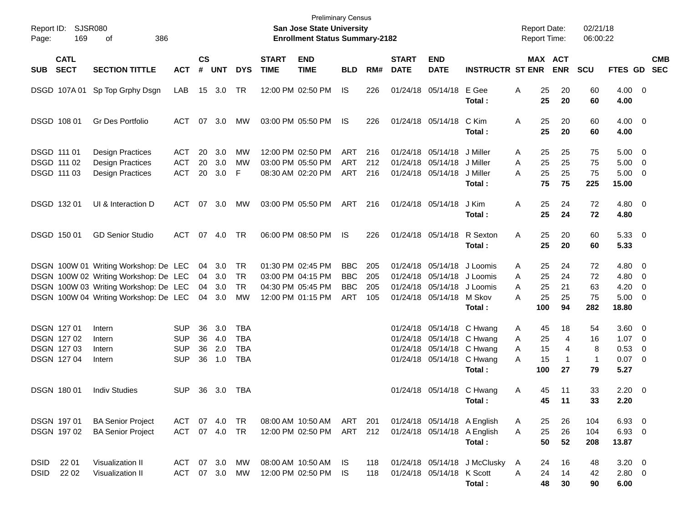| Report ID:<br>Page:        | SJSR080<br>169                                                 | 386<br>οf                                                                                                                                                        |                                               |                      |                          |                                               |                             | <b>Preliminary Census</b><br><b>San Jose State University</b><br><b>Enrollment Status Summary-2182</b> |                                               |                          |                             |                                                             |                                                                                                                            | <b>Report Date:</b><br><b>Report Time:</b>      |                                   | 02/21/18<br>06:00:22                |                                                           |                                                     |            |
|----------------------------|----------------------------------------------------------------|------------------------------------------------------------------------------------------------------------------------------------------------------------------|-----------------------------------------------|----------------------|--------------------------|-----------------------------------------------|-----------------------------|--------------------------------------------------------------------------------------------------------|-----------------------------------------------|--------------------------|-----------------------------|-------------------------------------------------------------|----------------------------------------------------------------------------------------------------------------------------|-------------------------------------------------|-----------------------------------|-------------------------------------|-----------------------------------------------------------|-----------------------------------------------------|------------|
| <b>SUB</b>                 | <b>CATL</b><br><b>SECT</b>                                     | <b>SECTION TITTLE</b>                                                                                                                                            | <b>ACT</b>                                    | <b>CS</b><br>#       | <b>UNT</b>               | <b>DYS</b>                                    | <b>START</b><br><b>TIME</b> | <b>END</b><br><b>TIME</b>                                                                              | <b>BLD</b>                                    | RM#                      | <b>START</b><br><b>DATE</b> | <b>END</b><br><b>DATE</b>                                   | <b>INSTRUCTR ST ENR</b>                                                                                                    |                                                 | MAX ACT<br><b>ENR</b>             | <b>SCU</b>                          | FTES GD SEC                                               |                                                     | <b>CMB</b> |
|                            | DSGD 107A01                                                    | Sp Top Grphy Dsgn                                                                                                                                                | LAB                                           |                      | 15 3.0                   | TR                                            |                             | 12:00 PM 02:50 PM                                                                                      | IS.                                           | 226                      |                             | 01/24/18 05/14/18 E Gee                                     | Total:                                                                                                                     | 25<br>Α<br>25                                   | 20<br>20                          | 60<br>60                            | 4.00 0<br>4.00                                            |                                                     |            |
|                            | DSGD 108 01                                                    | Gr Des Portfolio                                                                                                                                                 | ACT                                           | 07                   | 3.0                      | МW                                            |                             | 03:00 PM 05:50 PM                                                                                      | IS                                            | 226                      |                             | 01/24/18 05/14/18                                           | C Kim<br>Total:                                                                                                            | 25<br>Α<br>25                                   | 20<br>20                          | 60<br>60                            | $4.00 \ 0$<br>4.00                                        |                                                     |            |
| DSGD 111 01                | DSGD 111 02<br>DSGD 111 03                                     | <b>Design Practices</b><br><b>Design Practices</b><br><b>Design Practices</b>                                                                                    | ACT<br><b>ACT</b><br><b>ACT</b>               | 20<br>20<br>20       | 3.0<br>3.0<br>3.0        | MW<br>МW<br>F                                 |                             | 12:00 PM 02:50 PM<br>03:00 PM 05:50 PM<br>08:30 AM 02:20 PM                                            | ART<br><b>ART</b><br>ART                      | 216<br>212<br>216        | 01/24/18                    | 01/24/18 05/14/18<br>05/14/18<br>01/24/18 05/14/18          | J Miller<br>J Miller<br>J Miller<br>Total:                                                                                 | 25<br>Α<br>25<br>Α<br>25<br>Α<br>75             | 25<br>25<br>25<br>75              | 75<br>75<br>75<br>225               | $5.00 \quad 0$<br>5.00<br>$5.00 \t 0$<br>15.00            | $\overline{\phantom{0}}$                            |            |
|                            | DSGD 132 01                                                    | UI & Interaction D                                                                                                                                               | ACT                                           |                      | 07 3.0                   | МW                                            |                             | 03:00 PM 05:50 PM                                                                                      | ART                                           | 216                      |                             | 01/24/18 05/14/18                                           | J Kim<br>Total:                                                                                                            | 25<br>Α<br>25                                   | 24<br>24                          | 72<br>72                            | $4.80\ 0$<br>4.80                                         |                                                     |            |
|                            | DSGD 150 01                                                    | <b>GD Senior Studio</b>                                                                                                                                          | ACT                                           |                      | 07 4.0                   | TR                                            |                             | 06:00 PM 08:50 PM                                                                                      | IS                                            | 226                      |                             | 01/24/18 05/14/18 R Sexton                                  | Total:                                                                                                                     | 25<br>Α<br>25                                   | 20<br>20                          | 60<br>60                            | 5.3300<br>5.33                                            |                                                     |            |
|                            |                                                                | DSGN 100W 01 Writing Workshop: De LEC<br>DSGN 100W 02 Writing Workshop: De LEC<br>DSGN 100W 03 Writing Workshop: De LEC<br>DSGN 100W 04 Writing Workshop: De LEC |                                               | 04<br>04<br>04<br>04 | 3.0<br>3.0<br>3.0<br>3.0 | TR<br><b>TR</b><br><b>TR</b><br>MW            |                             | 01:30 PM 02:45 PM<br>03:00 PM 04:15 PM<br>04:30 PM 05:45 PM<br>12:00 PM 01:15 PM                       | <b>BBC</b><br><b>BBC</b><br><b>BBC</b><br>ART | 205<br>205<br>205<br>105 | 01/24/18<br>01/24/18        | 01/24/18 05/14/18 J Loomis<br>05/14/18<br>01/24/18 05/14/18 | 05/14/18 J Loomis<br>J Loomis<br>M Skov<br>Total:                                                                          | 25<br>Α<br>25<br>A<br>25<br>A<br>25<br>Α<br>100 | 24<br>24<br>21<br>25<br>94        | 72<br>72<br>63<br>75<br>282         | $4.80\ 0$<br>4.80<br>4.20<br>$5.00 \t 0$<br>18.80         | $\overline{\phantom{0}}$<br>$\overline{\mathbf{0}}$ |            |
|                            | DSGN 127 01<br>DSGN 127 02<br><b>DSGN 12703</b><br>DSGN 127 04 | Intern<br>Intern<br>Intern<br>Intern                                                                                                                             | SUP<br><b>SUP</b><br><b>SUP</b><br><b>SUP</b> | 36<br>36<br>36<br>36 | 3.0<br>4.0<br>2.0<br>1.0 | TBA<br><b>TBA</b><br><b>TBA</b><br><b>TBA</b> |                             |                                                                                                        |                                               |                          |                             |                                                             | 01/24/18 05/14/18 C Hwang<br>01/24/18 05/14/18 C Hwang<br>01/24/18 05/14/18 C Hwang<br>01/24/18 05/14/18 C Hwang<br>Total: | 45<br>Α<br>25<br>A<br>15<br>A<br>15<br>Α<br>100 | 18<br>4<br>4<br>$\mathbf 1$<br>27 | 54<br>16<br>8<br>$\mathbf{1}$<br>79 | $3.60 \quad 0$<br>$1.07 \t 0$<br>0.53<br>$0.07$ 0<br>5.27 | $\overline{\mathbf{0}}$                             |            |
|                            | <b>DSGN 18001</b>                                              | <b>Indiv Studies</b>                                                                                                                                             | <b>SUP</b>                                    | 36                   | 3.0                      | TBA                                           |                             |                                                                                                        |                                               |                          |                             |                                                             | 01/24/18 05/14/18 C Hwang<br>Total:                                                                                        | 45<br>A<br>45                                   | 11<br>11                          | 33<br>33                            | $2.20 \t 0$<br>2.20                                       |                                                     |            |
|                            | DSGN 197 01<br>DSGN 197 02                                     | <b>BA Senior Project</b><br><b>BA Senior Project</b>                                                                                                             | ACT 07 4.0<br>ACT 07 4.0 TR                   |                      |                          | TR                                            |                             | 08:00 AM 10:50 AM<br>12:00 PM 02:50 PM                                                                 | ART<br>ART                                    | 201<br>212               |                             |                                                             | 01/24/18 05/14/18 A English<br>01/24/18 05/14/18 A English<br>Total:                                                       | 25<br>A<br>25<br>A<br>50                        | 26<br>26<br>52                    | 104<br>104<br>208                   | 6.93 0<br>6.93 0<br>13.87                                 |                                                     |            |
| <b>DSID</b><br><b>DSID</b> | 22 01<br>22 02                                                 | Visualization II<br>Visualization II                                                                                                                             | ACT 07 3.0 MW<br>ACT 07 3.0 MW                |                      |                          |                                               |                             | 08:00 AM 10:50 AM<br>12:00 PM 02:50 PM                                                                 | IS.<br>IS.                                    | 118<br>118               |                             | 01/24/18 05/14/18 K Scott                                   | 01/24/18 05/14/18 J McClusky<br>Total:                                                                                     | 24<br>A<br>24<br>A<br>48                        | 16<br>14<br>30                    | 48<br>42<br>90                      | $3.20 \ 0$<br>2.80 0<br>6.00                              |                                                     |            |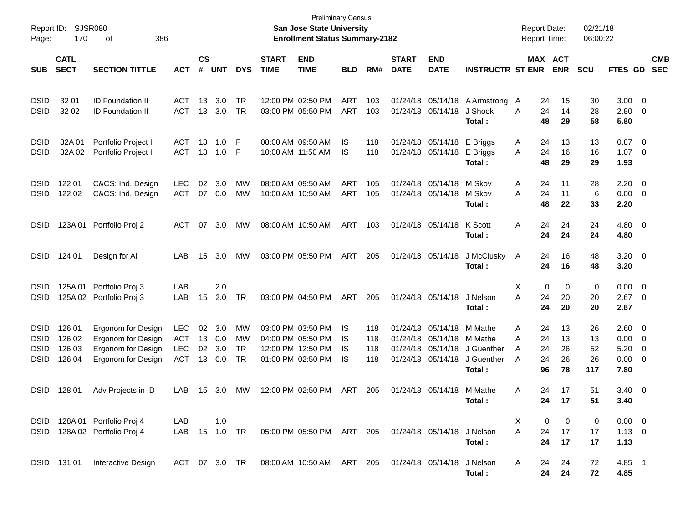| Report ID:<br>Page:                                      | 170                                  | <b>SJSR080</b><br>386<br>οf                                                          |                                                      |                      |                          |                                    |                             | <b>Preliminary Census</b><br><b>San Jose State University</b><br><b>Enrollment Status Summary-2182</b> |                          |                          |                                  |                                                       |                                                          | <b>Report Date:</b><br><b>Report Time:</b>     |                            | 02/21/18<br>06:00:22        |                                      |                                                                |                          |
|----------------------------------------------------------|--------------------------------------|--------------------------------------------------------------------------------------|------------------------------------------------------|----------------------|--------------------------|------------------------------------|-----------------------------|--------------------------------------------------------------------------------------------------------|--------------------------|--------------------------|----------------------------------|-------------------------------------------------------|----------------------------------------------------------|------------------------------------------------|----------------------------|-----------------------------|--------------------------------------|----------------------------------------------------------------|--------------------------|
| <b>SUB</b>                                               | <b>CATL</b><br><b>SECT</b>           | <b>SECTION TITTLE</b>                                                                | <b>ACT</b>                                           | <b>CS</b><br>#       | <b>UNT</b>               | <b>DYS</b>                         | <b>START</b><br><b>TIME</b> | <b>END</b><br><b>TIME</b>                                                                              | <b>BLD</b>               | RM#                      | <b>START</b><br><b>DATE</b>      | <b>END</b><br><b>DATE</b>                             | <b>INSTRUCTR ST ENR</b>                                  |                                                | MAX ACT<br><b>ENR</b>      | <b>SCU</b>                  | <b>FTES GD</b>                       |                                                                | <b>CMB</b><br><b>SEC</b> |
| <b>DSID</b><br><b>DSID</b>                               | 32 01<br>32 02                       | <b>ID Foundation II</b><br><b>ID Foundation II</b>                                   | ACT<br><b>ACT</b>                                    | 13<br>13             | 3.0<br>3.0               | <b>TR</b><br><b>TR</b>             |                             | 12:00 PM 02:50 PM<br>03:00 PM 05:50 PM                                                                 | <b>ART</b><br><b>ART</b> | 103<br>103               | 01/24/18<br>01/24/18             | 05/14/18<br>05/14/18                                  | A Armstrong<br>J Shook<br>Total:                         | 24<br>A<br>24<br>A<br>48                       | 15<br>14<br>29             | 30<br>28<br>58              | 3.00<br>2.80<br>5.80                 | $\overline{\mathbf{0}}$<br>0                                   |                          |
| <b>DSID</b><br><b>DSID</b>                               | 32A01<br>32A 02                      | Portfolio Project I<br>Portfolio Project I                                           | ACT<br>ACT                                           | 13<br>13             | 1.0<br>1.0               | F<br>F                             |                             | 08:00 AM 09:50 AM<br>10:00 AM 11:50 AM                                                                 | IS<br>IS                 | 118<br>118               | 01/24/18                         | 05/14/18<br>01/24/18 05/14/18                         | E Briggs<br>E Briggs<br>Total:                           | 24<br>A<br>24<br>A<br>48                       | 13<br>16<br>29             | 13<br>16<br>29              | 0.87<br>1.07<br>1.93                 | $\overline{\mathbf{0}}$<br>$\overline{\mathbf{0}}$             |                          |
| <b>DSID</b><br><b>DSID</b>                               | 122 01<br>122 02                     | C&CS: Ind. Design<br>C&CS: Ind. Design                                               | <b>LEC</b><br>ACT                                    | 02                   | 3.0<br>07 0.0            | MW<br>MW                           |                             | 08:00 AM 09:50 AM<br>10:00 AM 10:50 AM                                                                 | <b>ART</b><br>ART        | 105<br>105               | 01/24/18                         | 05/14/18<br>01/24/18 05/14/18                         | M Skov<br>M Skov<br>Total:                               | Α<br>24<br>24<br>Α<br>48                       | 11<br>11<br>22             | 28<br>6<br>33               | 2.20<br>0.00<br>2.20                 | $\overline{\mathbf{0}}$<br>$\overline{\mathbf{0}}$             |                          |
| <b>DSID</b>                                              |                                      | 123A 01 Portfolio Proj 2                                                             | <b>ACT</b>                                           | 07                   | 3.0                      | МW                                 |                             | 08:00 AM 10:50 AM                                                                                      | ART                      | 103                      |                                  | 01/24/18 05/14/18                                     | K Scott<br>Total:                                        | 24<br>A<br>24                                  | 24<br>24                   | 24<br>24                    | $4.80$ 0<br>4.80                     |                                                                |                          |
| <b>DSID</b>                                              | 124 01                               | Design for All                                                                       | LAB                                                  | 15                   | 3.0                      | МW                                 |                             | 03:00 PM 05:50 PM                                                                                      | ART                      | 205                      |                                  | 01/24/18 05/14/18                                     | J McClusky<br>Total:                                     | 24<br>A<br>24                                  | 16<br>16                   | 48<br>48                    | $3.20 \ 0$<br>3.20                   |                                                                |                          |
| <b>DSID</b><br><b>DSID</b>                               | 125A 01                              | Portfolio Proj 3<br>125A 02 Portfolio Proj 3                                         | LAB<br>LAB                                           | 15                   | 2.0<br>2.0               | <b>TR</b>                          |                             | 03:00 PM 04:50 PM                                                                                      | ART                      | 205                      |                                  | 01/24/18 05/14/18                                     | J Nelson<br>Total :                                      | X<br>0<br>Α<br>24<br>24                        | 0<br>20<br>20              | 0<br>20<br>20               | 0.00<br>2.67<br>2.67                 | $\overline{\mathbf{0}}$<br>$\overline{\phantom{0}}$            |                          |
| <b>DSID</b><br><b>DSID</b><br><b>DSID</b><br><b>DSID</b> | 126 01<br>126 02<br>126 03<br>126 04 | Ergonom for Design<br>Ergonom for Design<br>Ergonom for Design<br>Ergonom for Design | <b>LEC</b><br><b>ACT</b><br><b>LEC</b><br><b>ACT</b> | 02<br>13<br>02<br>13 | 3.0<br>0.0<br>3.0<br>0.0 | MW<br>MW<br><b>TR</b><br><b>TR</b> |                             | 03:00 PM 03:50 PM<br>04:00 PM 05:50 PM<br>12:00 PM 12:50 PM<br>01:00 PM 02:50 PM                       | IS<br>IS<br>IS<br>IS     | 118<br>118<br>118<br>118 | 01/24/18<br>01/24/18<br>01/24/18 | 05/14/18<br>05/14/18<br>05/14/18<br>01/24/18 05/14/18 | M Mathe<br>M Mathe<br>J Guenther<br>J Guenther<br>Total: | 24<br>Α<br>24<br>Α<br>24<br>A<br>24<br>A<br>96 | 13<br>13<br>26<br>26<br>78 | 26<br>13<br>52<br>26<br>117 | 2.60<br>0.00<br>5.20<br>0.00<br>7.80 | $\overline{\mathbf{0}}$<br>- 0<br>0<br>$\overline{\mathbf{0}}$ |                          |
| <b>DSID</b>                                              | 128 01                               | Adv Projects in ID                                                                   | LAB.                                                 | 15                   | 3.0                      | <b>MW</b>                          |                             | 12:00 PM 02:50 PM                                                                                      | ART                      | 205                      |                                  | 01/24/18 05/14/18                                     | M Mathe<br>Total:                                        | 24<br>Α<br>24                                  | 17<br>17                   | 51<br>51                    | $3.40 \quad 0$<br>3.40               |                                                                |                          |
| <b>DSID</b>                                              |                                      | DSID 128A 01 Portfolio Proj 4<br>128A 02 Portfolio Proj 4                            | LAB<br>LAB                                           |                      | 1.0<br>15  1.0  TR       |                                    |                             | 05:00 PM 05:50 PM ART 205 01/24/18 05/14/18 J Nelson                                                   |                          |                          |                                  |                                                       | Total:                                                   | X<br>0<br>A<br>24<br>24                        | 0<br>17<br>17              | 0<br>17<br>17               | $0.00 \t 0$<br>$1.13 \ 0$<br>1.13    |                                                                |                          |
|                                                          |                                      | DSID 131 01 Interactive Design                                                       |                                                      |                      |                          |                                    |                             | ACT 07 3.0 TR 08:00 AM 10:50 AM ART 205                                                                |                          |                          | 01/24/18 05/14/18                |                                                       | J Nelson<br>Total:                                       | A<br>24<br>24                                  | 24<br>24                   | 72<br>72                    | 4.85 1<br>4.85                       |                                                                |                          |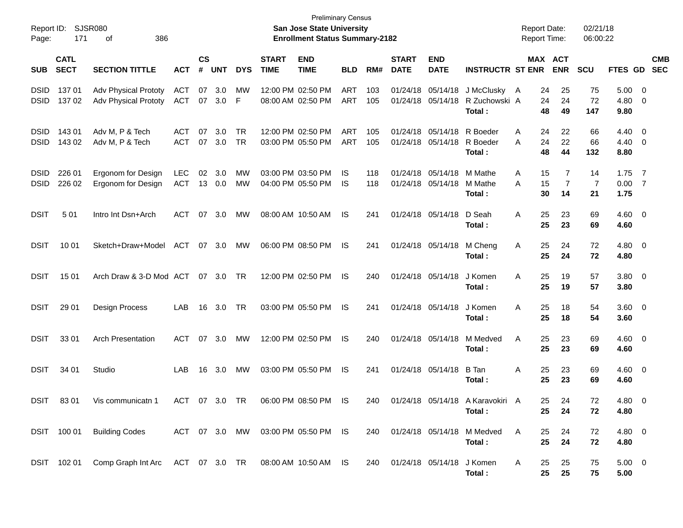| Report ID:<br>Page:        | 171                        | SJSR080<br>386<br>οf                                              |                          |                             |               |            |                             | <b>Preliminary Census</b><br><b>San Jose State University</b><br><b>Enrollment Status Summary-2182</b> |                          |            |                             |                                                 |                                                         | <b>Report Date:</b><br><b>Report Time:</b> |                            | 02/21/18<br>06:00:22 |                             |                          |                          |
|----------------------------|----------------------------|-------------------------------------------------------------------|--------------------------|-----------------------------|---------------|------------|-----------------------------|--------------------------------------------------------------------------------------------------------|--------------------------|------------|-----------------------------|-------------------------------------------------|---------------------------------------------------------|--------------------------------------------|----------------------------|----------------------|-----------------------------|--------------------------|--------------------------|
| <b>SUB</b>                 | <b>CATL</b><br><b>SECT</b> | <b>SECTION TITTLE</b>                                             | <b>ACT</b>               | $\mathbf{c}\mathbf{s}$<br># | <b>UNT</b>    | <b>DYS</b> | <b>START</b><br><b>TIME</b> | <b>END</b><br><b>TIME</b>                                                                              | <b>BLD</b>               | RM#        | <b>START</b><br><b>DATE</b> | <b>END</b><br><b>DATE</b>                       | <b>INSTRUCTR ST ENR</b>                                 |                                            | MAX ACT<br><b>ENR</b>      | <b>SCU</b>           | FTES GD                     |                          | <b>CMB</b><br><b>SEC</b> |
| <b>DSID</b><br><b>DSID</b> | 13701<br>137 02            | Adv Physical Prototy<br><b>Adv Physical Prototy</b>               | <b>ACT</b><br><b>ACT</b> | 07                          | 3.0<br>07 3.0 | MW<br>F    |                             | 12:00 PM 02:50 PM<br>08:00 AM 02:50 PM                                                                 | <b>ART</b><br><b>ART</b> | 103<br>105 |                             | 01/24/18 05/14/18                               | 01/24/18 05/14/18 J McClusky<br>R Zuchowski A<br>Total: | A<br>48                                    | 25<br>24<br>24<br>24<br>49 | 75<br>72<br>147      | $5.00 \t 0$<br>4.80<br>9.80 | - 0                      |                          |
| <b>DSID</b><br><b>DSID</b> | 143 01<br>143 02           | Adv M, P & Tech<br>Adv M, P & Tech                                | <b>ACT</b><br><b>ACT</b> | 07                          | 3.0<br>07 3.0 | TR<br>TR   |                             | 12:00 PM 02:50 PM<br>03:00 PM 05:50 PM                                                                 | <b>ART</b><br><b>ART</b> | 105<br>105 |                             | 01/24/18 05/14/18 R Boeder<br>01/24/18 05/14/18 | R Boeder<br>Total:                                      | A<br>A<br>24<br>48                         | 22<br>24<br>22<br>44       | 66<br>66<br>132      | 4.40 0<br>4.40<br>8.80      | $\overline{\phantom{0}}$ |                          |
| <b>DSID</b><br><b>DSID</b> | 226 01<br>226 02           | Ergonom for Design<br>Ergonom for Design                          | <b>LEC</b><br><b>ACT</b> | 02                          | 3.0<br>13 0.0 | MW<br>МW   |                             | 03:00 PM 03:50 PM<br>04:00 PM 05:50 PM                                                                 | IS<br>IS                 | 118<br>118 |                             | 01/24/18 05/14/18<br>01/24/18 05/14/18          | M Mathe<br>M Mathe<br>Total:                            | A<br>15<br>A<br>15<br>30                   | 7<br>7<br>14               | 14<br>7<br>21        | 1.75<br>0.007<br>1.75       | $\overline{7}$           |                          |
| <b>DSIT</b>                | 501                        | Intro Int Dsn+Arch                                                | <b>ACT</b>               | 07                          | 3.0           | MW         |                             | 08:00 AM 10:50 AM                                                                                      | IS.                      | 241        |                             | 01/24/18 05/14/18                               | D Seah<br>Total:                                        | Α<br>25<br>25                              | 23<br>23                   | 69<br>69             | $4.60 \quad 0$<br>4.60      |                          |                          |
| <b>DSIT</b>                | 10 01                      | Sketch+Draw+Model                                                 | ACT                      |                             | 07 3.0        | МW         |                             | 06:00 PM 08:50 PM                                                                                      | IS.                      | 241        |                             | 01/24/18 05/14/18                               | M Cheng<br>Total:                                       | Α<br>25<br>25                              | 24<br>24                   | 72<br>72             | 4.80 0<br>4.80              |                          |                          |
| <b>DSIT</b>                | 15 01                      | Arch Draw & 3-D Mod ACT                                           |                          |                             | 07 3.0        | TR         |                             | 12:00 PM 02:50 PM                                                                                      | IS.                      | 240        |                             | 01/24/18 05/14/18                               | J Komen<br>Total:                                       | Α<br>25<br>25                              | 19<br>19                   | 57<br>57             | $3.80\ 0$<br>3.80           |                          |                          |
| <b>DSIT</b>                | 29 01                      | <b>Design Process</b>                                             | LAB                      | 16                          | 3.0           | TR         |                             | 03:00 PM 05:50 PM                                                                                      | IS.                      | 241        |                             | 01/24/18 05/14/18                               | J Komen<br>Total:                                       | Α<br>25<br>25                              | 18<br>18                   | 54<br>54             | $3.60 \quad 0$<br>3.60      |                          |                          |
| <b>DSIT</b>                | 33 01                      | <b>Arch Presentation</b>                                          | <b>ACT</b>               | 07                          | 3.0           | МW         |                             | 12:00 PM 02:50 PM                                                                                      | IS.                      | 240        |                             | 01/24/18 05/14/18                               | M Medved<br>Total :                                     | Α<br>25<br>25                              | 23<br>23                   | 69<br>69             | $4.60 \quad 0$<br>4.60      |                          |                          |
| <b>DSIT</b>                | 34 01                      | Studio                                                            | LAB                      | 16                          | 3.0           | МW         |                             | 03:00 PM 05:50 PM                                                                                      | IS                       | 241        |                             | 01/24/18 05/14/18                               | B Tan<br>Total :                                        | Α<br>25<br>25                              | 23<br>23                   | 69<br>69             | $4.60 \quad 0$<br>4.60      |                          |                          |
| <b>DSIT</b>                | 83 01                      | Vis communicatn 1                                                 | <b>ACT</b>               |                             | 07 3.0 TR     |            |                             | 06:00 PM 08:50 PM                                                                                      | IS.                      | 240        |                             |                                                 | 01/24/18 05/14/18 A Karavokiri A<br>Total:              |                                            | 25.<br>24<br>25<br>24      | 72<br>72             | $4.80\quad 0$<br>4.80       |                          |                          |
|                            | DSIT 100 01                | <b>Building Codes</b>                                             |                          |                             |               |            |                             | ACT 07 3.0 MW 03:00 PM 05:50 PM IS                                                                     |                          | 240        |                             |                                                 | 01/24/18 05/14/18 M Medved<br>Total:                    | Α                                          | 24<br>25<br>25<br>24       | 72<br>72             | 4.80 0<br>4.80              |                          |                          |
|                            |                            | DSIT 102 01 Comp Graph Int Arc ACT 07 3.0 TR 08:00 AM 10:50 AM IS |                          |                             |               |            |                             |                                                                                                        |                          | 240        |                             | 01/24/18 05/14/18 J Komen                       | Total:                                                  | A<br>25                                    | 25<br>$25\,$<br>25         | 75<br>75             | $5.00 \t 0$<br>5.00         |                          |                          |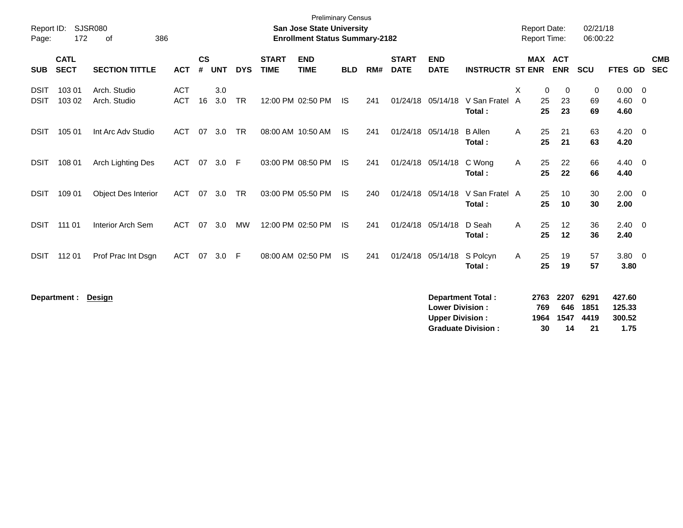| Report ID:                 |                            | SJSR080                      |                          |                    |            |            |                             | <b>Preliminary Census</b><br><b>San Jose State University</b> |            |     |                             |                                                  |                                                       |        | <b>Report Date:</b>       |                           | 02/21/18                   |                                    |                          |
|----------------------------|----------------------------|------------------------------|--------------------------|--------------------|------------|------------|-----------------------------|---------------------------------------------------------------|------------|-----|-----------------------------|--------------------------------------------------|-------------------------------------------------------|--------|---------------------------|---------------------------|----------------------------|------------------------------------|--------------------------|
| Page:                      | 172                        | 386<br>οf                    |                          |                    |            |            |                             | <b>Enrollment Status Summary-2182</b>                         |            |     |                             |                                                  |                                                       |        | Report Time:              |                           | 06:00:22                   |                                    |                          |
| <b>SUB</b>                 | <b>CATL</b><br><b>SECT</b> | <b>SECTION TITTLE</b>        | <b>ACT</b>               | $\mathsf{cs}$<br># | <b>UNT</b> | <b>DYS</b> | <b>START</b><br><b>TIME</b> | <b>END</b><br><b>TIME</b>                                     | <b>BLD</b> | RM# | <b>START</b><br><b>DATE</b> | <b>END</b><br><b>DATE</b>                        | <b>INSTRUCTR ST ENR</b>                               |        | MAX ACT                   | <b>ENR</b>                | <b>SCU</b>                 | FTES GD                            | <b>CMB</b><br><b>SEC</b> |
| <b>DSIT</b><br><b>DSIT</b> | 103 01<br>103 02           | Arch. Studio<br>Arch. Studio | <b>ACT</b><br><b>ACT</b> | 16                 | 3.0<br>3.0 | <b>TR</b>  |                             | 12:00 PM 02:50 PM                                             | <b>IS</b>  | 241 | 01/24/18                    | 05/14/18                                         | V San Fratel<br>Total:                                | X<br>A | 0<br>25<br>25             | 0<br>23<br>23             | 0<br>69<br>69              | 0.00<br>4.60<br>4.60               | - 0<br>$\overline{0}$    |
| <b>DSIT</b>                | 105 01                     | Int Arc Adv Studio           | <b>ACT</b>               | 07                 | 3.0        | <b>TR</b>  |                             | 08:00 AM 10:50 AM                                             | IS.        | 241 | 01/24/18 05/14/18           |                                                  | <b>B</b> Allen<br>Total:                              | A      | 25<br>25                  | 21<br>21                  | 63<br>63                   | $4.20 \ 0$<br>4.20                 |                          |
| <b>DSIT</b>                | 108 01                     | Arch Lighting Des            | <b>ACT</b>               | 07                 | 3.0        | -F         |                             | 03:00 PM 08:50 PM                                             | - IS       | 241 |                             | 01/24/18 05/14/18                                | C Wong<br>Total:                                      | A      | 25<br>25                  | 22<br>22                  | 66<br>66                   | 4.40<br>4.40                       | $\overline{\mathbf{0}}$  |
| <b>DSIT</b>                | 109 01                     | Object Des Interior          | <b>ACT</b>               | 07                 | 3.0        | <b>TR</b>  |                             | 03:00 PM 05:50 PM                                             | <b>IS</b>  | 240 | 01/24/18                    | 05/14/18                                         | V San Fratel A<br>Total:                              |        | 25<br>25                  | 10<br>10                  | 30<br>30                   | 2.00<br>2.00                       | $\overline{0}$           |
| <b>DSIT</b>                | 111 01                     | Interior Arch Sem            | <b>ACT</b>               | 07                 | 3.0        | <b>MW</b>  |                             | 12:00 PM 02:50 PM                                             | <b>IS</b>  | 241 | 01/24/18 05/14/18           |                                                  | D Seah<br>Total:                                      | A      | 25<br>25                  | 12<br>12                  | 36<br>36                   | 2.40<br>2.40                       | $\overline{0}$           |
| <b>DSIT</b>                | 112 01                     | Prof Prac Int Dsgn           | <b>ACT</b>               | 07                 | 3.0        | F          |                             | 08:00 AM 02:50 PM                                             | <b>IS</b>  | 241 | 01/24/18                    | 05/14/18                                         | S Polcyn<br>Total:                                    | A      | 25<br>25                  | 19<br>19                  | 57<br>57                   | $3.80\ 0$<br>3.80                  |                          |
|                            | Department :               | <b>Design</b>                |                          |                    |            |            |                             |                                                               |            |     |                             | <b>Lower Division:</b><br><b>Upper Division:</b> | <b>Department Total:</b><br><b>Graduate Division:</b> |        | 2763<br>769<br>1964<br>30 | 2207<br>646<br>1547<br>14 | 6291<br>1851<br>4419<br>21 | 427.60<br>125.33<br>300.52<br>1.75 |                          |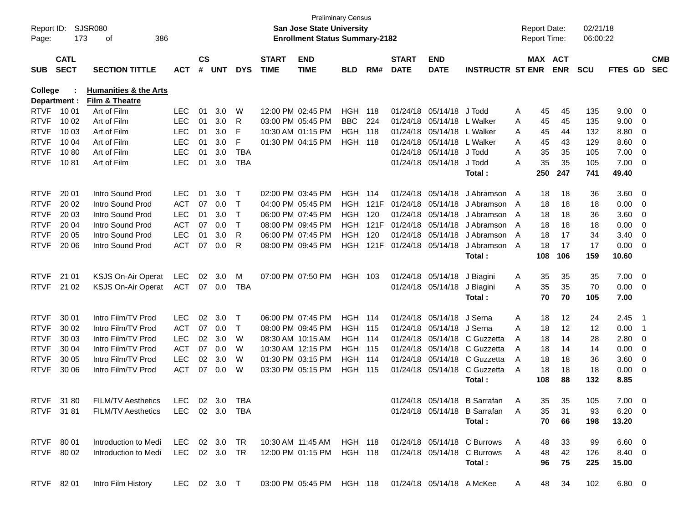| Report ID:<br>Page: | 173                        | SJSR080<br>386<br>οf             |                |                    |            |            |                             | <b>San Jose State University</b><br><b>Enrollment Status Summary-2182</b> | <b>Preliminary Census</b> |       |                             |                           |                                                                            |     | <b>Report Date:</b><br><b>Report Time:</b> | 02/21/18<br>06:00:22 |                |                |                          |
|---------------------|----------------------------|----------------------------------|----------------|--------------------|------------|------------|-----------------------------|---------------------------------------------------------------------------|---------------------------|-------|-----------------------------|---------------------------|----------------------------------------------------------------------------|-----|--------------------------------------------|----------------------|----------------|----------------|--------------------------|
| <b>SUB</b>          | <b>CATL</b><br><b>SECT</b> | <b>SECTION TITTLE</b>            | АСТ            | $\mathsf{cs}$<br># | <b>UNT</b> | <b>DYS</b> | <b>START</b><br><b>TIME</b> | <b>END</b><br><b>TIME</b>                                                 | <b>BLD</b>                | RM#   | <b>START</b><br><b>DATE</b> | <b>END</b><br><b>DATE</b> | <b>INSTRUCTR ST ENR</b>                                                    |     | MAX ACT<br><b>ENR</b>                      | <b>SCU</b>           | <b>FTES GD</b> |                | <b>CMB</b><br><b>SEC</b> |
| <b>College</b>      |                            | <b>Humanities &amp; the Arts</b> |                |                    |            |            |                             |                                                                           |                           |       |                             |                           |                                                                            |     |                                            |                      |                |                |                          |
|                     | Department :               | Film & Theatre                   |                |                    |            |            |                             |                                                                           |                           |       |                             |                           |                                                                            |     |                                            |                      |                |                |                          |
| <b>RTVF</b>         | 10 01                      | Art of Film                      | <b>LEC</b>     | 01                 | 3.0        | W          |                             | 12:00 PM 02:45 PM                                                         | HGH                       | 118   |                             | 01/24/18 05/14/18         | J Todd                                                                     | A   | 45<br>45                                   | 135                  | 9.00           | 0              |                          |
| <b>RTVF</b>         | 10 02                      | Art of Film                      | <b>LEC</b>     | 01                 | 3.0        | R          |                             | 03:00 PM 05:45 PM                                                         | <b>BBC</b>                | 224   | 01/24/18                    | 05/14/18                  | L Walker                                                                   | A   | 45<br>45                                   | 135                  | 9.00           | 0              |                          |
| <b>RTVF</b>         | 10 03                      | Art of Film                      | <b>LEC</b>     | 01                 | 3.0        | F          |                             | 10:30 AM 01:15 PM                                                         | <b>HGH 118</b>            |       | 01/24/18                    | 05/14/18                  | L Walker                                                                   | Α   | 45<br>44                                   | 132                  | 8.80           | 0              |                          |
| <b>RTVF</b>         | 10 04                      | Art of Film                      | <b>LEC</b>     | 01                 | 3.0        | F          |                             | 01:30 PM 04:15 PM                                                         | <b>HGH 118</b>            |       | 01/24/18                    | 05/14/18                  | L Walker                                                                   | A   | 45<br>43                                   | 129                  | 8.60           | 0              |                          |
| <b>RTVF</b>         | 1080                       | Art of Film                      | <b>LEC</b>     | 01                 | 3.0        | <b>TBA</b> |                             |                                                                           |                           |       |                             | 01/24/18 05/14/18         | J Todd                                                                     | A   | 35<br>35                                   | 105                  | 7.00           | 0              |                          |
| <b>RTVF</b>         | 1081                       | Art of Film                      | <b>LEC</b>     | 01                 | 3.0        | <b>TBA</b> |                             |                                                                           |                           |       |                             | 01/24/18 05/14/18         | J Todd                                                                     | Α   | 35<br>35                                   | 105                  | 7.00           | 0              |                          |
|                     |                            |                                  |                |                    |            |            |                             |                                                                           |                           |       |                             |                           | Total:                                                                     |     | 250<br>247                                 | 741                  | 49.40          |                |                          |
| <b>RTVF</b>         | 20 01                      | Intro Sound Prod                 | <b>LEC</b>     | 01                 | 3.0        | Т          |                             | 02:00 PM 03:45 PM                                                         | HGH                       | - 114 | 01/24/18                    | 05/14/18                  | J Abramson                                                                 | A   | 18<br>18                                   | 36                   | 3.60           | 0              |                          |
| <b>RTVF</b>         | 20 02                      | Intro Sound Prod                 | <b>ACT</b>     | 07                 | 0.0        | Τ          |                             | 04:00 PM 05:45 PM                                                         | HGH.                      | 121F  | 01/24/18                    | 05/14/18                  | J Abramson                                                                 | A   | 18<br>18                                   | 18                   | 0.00           | 0              |                          |
| <b>RTVF</b>         | 20 03                      | Intro Sound Prod                 | <b>LEC</b>     | 01                 | 3.0        | Τ          |                             | 06:00 PM 07:45 PM                                                         | HGH.                      | 120   | 01/24/18                    | 05/14/18                  | J Abramson                                                                 | A   | 18<br>18                                   | 36                   | 3.60           | 0              |                          |
| <b>RTVF</b>         | 20 04                      | Intro Sound Prod                 | <b>ACT</b>     | 07                 | 0.0        | Т          |                             | 08:00 PM 09:45 PM                                                         | HGH.                      | 121F  | 01/24/18                    | 05/14/18                  | J Abramson                                                                 | A   | 18<br>18                                   | 18                   | 0.00           | 0              |                          |
| <b>RTVF</b>         | 20 05                      | Intro Sound Prod                 | <b>LEC</b>     | 01                 | 3.0        | R          |                             | 06:00 PM 07:45 PM                                                         | <b>HGH</b>                | 120   |                             | 01/24/18 05/14/18         | J Abramson                                                                 | A   | 17<br>18                                   | 34                   | 3.40           | 0              |                          |
| <b>RTVF</b>         | 20 06                      | Intro Sound Prod                 | <b>ACT</b>     | 07                 | 0.0        | R          |                             | 08:00 PM 09:45 PM                                                         | HGH                       | 121F  |                             | 01/24/18 05/14/18         | J Abramson                                                                 | A   | 18<br>17                                   | 17                   | 0.00           | 0              |                          |
|                     |                            |                                  |                |                    |            |            |                             |                                                                           |                           |       |                             |                           | Total:                                                                     | 108 | 106                                        | 159                  | 10.60          |                |                          |
| <b>RTVF</b>         | 21 01                      | <b>KSJS On-Air Operat</b>        | LEC            | 02                 | 3.0        | M          |                             | 07:00 PM 07:50 PM                                                         | HGH 103                   |       |                             | 01/24/18 05/14/18         | J Biagini                                                                  | A   | 35<br>35                                   | 35                   | 7.00           | $\overline{0}$ |                          |
| <b>RTVF</b>         | 21 02                      | <b>KSJS On-Air Operat</b>        | <b>ACT</b>     |                    | 07 0.0     | TBA        |                             |                                                                           |                           |       |                             | 01/24/18 05/14/18         | J Biagini                                                                  | A   | 35<br>35                                   | 70                   | 0.00           | 0              |                          |
|                     |                            |                                  |                |                    |            |            |                             |                                                                           |                           |       |                             |                           | Total:                                                                     |     | 70<br>70                                   | 105                  | 7.00           |                |                          |
| <b>RTVF</b>         | 30 01                      | Intro Film/TV Prod               | <b>LEC</b>     | 02                 | 3.0        | $\top$     |                             | 06:00 PM 07:45 PM                                                         | <b>HGH 114</b>            |       |                             | 01/24/18 05/14/18         | J Serna                                                                    | A   | 12<br>18                                   | 24                   | 2.45           | $\overline{1}$ |                          |
| <b>RTVF</b>         | 30 02                      | Intro Film/TV Prod               | <b>ACT</b>     | 07                 | 0.0        | T          |                             | 08:00 PM 09:45 PM                                                         | <b>HGH 115</b>            |       | 01/24/18                    | 05/14/18                  | J Serna                                                                    | A   | 12<br>18                                   | 12                   | 0.00           | $\overline{1}$ |                          |
| <b>RTVF</b>         | 30 03                      | Intro Film/TV Prod               | <b>LEC</b>     | 02                 | 3.0        | W          |                             | 08:30 AM 10:15 AM                                                         | <b>HGH 114</b>            |       | 01/24/18                    | 05/14/18                  | C Guzzetta                                                                 | A   | 18<br>14                                   | 28                   | 2.80           | 0              |                          |
| <b>RTVF</b>         | 30 04                      | Intro Film/TV Prod               | <b>ACT</b>     | 07                 | 0.0        | W          |                             | 10:30 AM 12:15 PM                                                         | <b>HGH 115</b>            |       | 01/24/18                    | 05/14/18                  | C Guzzetta                                                                 | A   | 18<br>14                                   | 14                   | 0.00           | 0              |                          |
| <b>RTVF</b>         | 30 05                      | Intro Film/TV Prod               | <b>LEC</b>     | 02                 | 3.0        | W          |                             | 01:30 PM 03:15 PM                                                         | HGH                       | 114   |                             | 01/24/18 05/14/18         | C Guzzetta                                                                 | A   | 18<br>18                                   | 36                   | 3.60           | 0              |                          |
| <b>RTVF</b>         | 30 06                      | Intro Film/TV Prod               | <b>ACT</b>     | 07                 | 0.0        | W          |                             | 03:30 PM 05:15 PM                                                         | <b>HGH 115</b>            |       |                             | 01/24/18 05/14/18         | C Guzzetta                                                                 | A   | 18<br>18                                   | 18                   | 0.00           | 0              |                          |
|                     |                            |                                  |                |                    |            |            |                             |                                                                           |                           |       |                             |                           | Total:                                                                     | 108 | 88                                         | 132                  | 8.85           |                |                          |
|                     |                            |                                  |                |                    |            |            |                             |                                                                           |                           |       |                             |                           |                                                                            |     |                                            |                      |                |                |                          |
| <b>RTVF</b>         | 31 80                      | <b>FILM/TV Aesthetics</b>        | $LEC$ 02 3.0   |                    |            | <b>TBA</b> |                             |                                                                           |                           |       |                             |                           | 01/24/18 05/14/18 B Sarrafan                                               | A   | 35<br>35                                   | 105                  | 7.00           | - 0            |                          |
|                     | RTVF 3181                  | <b>FILM/TV Aesthetics</b>        | LEC 02 3.0 TBA |                    |            |            |                             |                                                                           |                           |       |                             |                           | 01/24/18 05/14/18 B Sarrafan A                                             |     | 35<br>31                                   | 93                   | $6.20 \quad 0$ |                |                          |
|                     |                            |                                  |                |                    |            |            |                             |                                                                           |                           |       |                             |                           | Total:                                                                     |     | 70<br>66                                   | 198                  | 13.20          |                |                          |
|                     | RTVF 80 01                 | Introduction to Medi             |                |                    |            |            |                             |                                                                           |                           |       |                             |                           | LEC 02 3.0 TR  10:30 AM  11:45 AM  HGH  118  01/24/18  05/14/18  C Burrows | A   | 33<br>48                                   | 99                   | $6.60 \quad 0$ |                |                          |
|                     | RTVF 80 02                 | Introduction to Medi             |                |                    |            |            |                             |                                                                           |                           |       |                             |                           | LEC 02 3.0 TR 12:00 PM 01:15 PM HGH 118 01/24/18 05/14/18 C Burrows        | A   | 48<br>42                                   | 126                  | 8.40 0         |                |                          |
|                     |                            |                                  |                |                    |            |            |                             |                                                                           |                           |       |                             |                           | Total:                                                                     |     | 96<br>75                                   | 225                  | 15.00          |                |                          |
|                     | RTVF 8201                  | Intro Film History               | LEC 02 3.0 T   |                    |            |            |                             | 03:00 PM 05:45 PM HGH 118 01/24/18 05/14/18 AMcKee                        |                           |       |                             |                           |                                                                            | A   | 34<br>48                                   | 102                  | $6.80\quad 0$  |                |                          |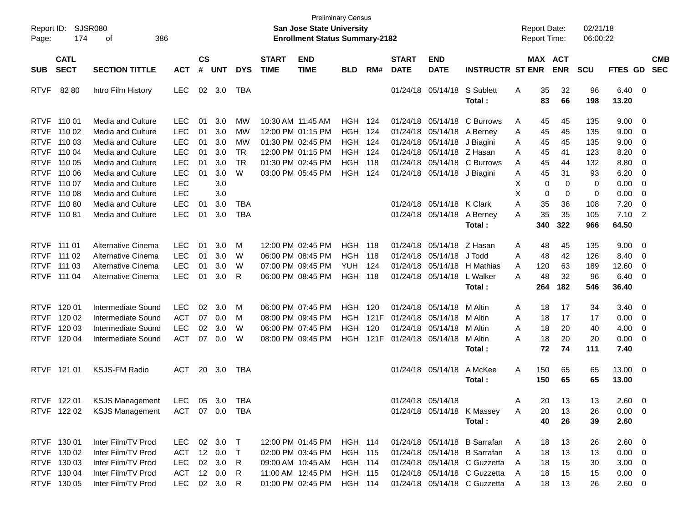| <b>CS</b><br><b>CATL</b><br><b>START</b><br><b>END</b><br><b>START</b><br><b>END</b><br><b>MAX ACT</b><br><b>CMB</b><br><b>SECT</b><br>#<br><b>ENR</b><br><b>SEC</b><br><b>SECTION TITTLE</b><br><b>UNT</b><br><b>DYS</b><br><b>TIME</b><br><b>TIME</b><br><b>BLD</b><br>RM#<br><b>DATE</b><br><b>DATE</b><br><b>INSTRUCTR ST ENR</b><br><b>SCU</b><br>FTES GD<br><b>SUB</b><br><b>ACT</b><br><b>LEC</b><br>02 3.0<br>S Sublett<br>35<br>32<br>96<br>$6.40 \quad 0$<br><b>RTVF</b><br>82 80<br>Intro Film History<br>TBA<br>01/24/18 05/14/18<br>Α<br>83<br>Total:<br>66<br>198<br>13.20<br>RTVF 110 01<br>10:30 AM 11:45 AM<br>9.00<br>Media and Culture<br><b>LEC</b><br>01<br>3.0<br>МW<br>HGH.<br>124<br>01/24/18<br>05/14/18 C Burrows<br>45<br>45<br>135<br>- 0<br>A<br><b>Media and Culture</b><br><b>LEC</b><br>01<br>3.0<br>12:00 PM 01:15 PM<br><b>HGH</b><br>124<br>45<br>135<br>9.00<br><b>RTVF</b><br>110 02<br>МW<br>01/24/18<br>05/14/18 A Berney<br>45<br>- 0<br>Α<br><b>LEC</b><br>3.0<br>9.00<br><b>RTVF</b><br>110 03<br>Media and Culture<br>01<br>МW<br>01:30 PM 02:45 PM<br>HGH<br>124<br>01/24/18<br>05/14/18<br>J Biagini<br>45<br>45<br>135<br>- 0<br>A<br><b>LEC</b><br>01<br>3.0<br><b>TR</b><br>12:00 PM 01:15 PM<br><b>HGH</b><br>01/24/18 05/14/18 Z Hasan<br>8.20<br>RTVF 110 04<br>Media and Culture<br>124<br>45<br>41<br>123<br>- 0<br>A<br><b>LEC</b><br>01<br>3.0<br><b>TR</b><br>01:30 PM 02:45 PM<br>118<br>05/14/18 C Burrows<br>45<br>8.80<br>RTVF 110 05<br>Media and Culture<br>HGH<br>01/24/18<br>44<br>132<br>- 0<br>A<br><b>LEC</b><br>01<br>3.0<br>W<br>03:00 PM 05:45 PM<br>124<br>45<br>31<br>6.20<br><b>RTVF</b><br>110 06<br>Media and Culture<br>HGH<br>01/24/18 05/14/18 J Biagini<br>Α<br>93<br>- 0<br><b>LEC</b><br>3.0<br>Χ<br>0<br>0.00<br>RTVF 11007<br>Media and Culture<br>$\Omega$<br>0<br>- 0<br>Χ<br><b>LEC</b><br>3.0<br>0<br>0<br>$\mathbf 0$<br>0.00<br>RTVF 110 08<br>Media and Culture<br>- 0<br><b>LEC</b><br><b>Media and Culture</b><br>3.0<br><b>TBA</b><br>01/24/18 05/14/18 K Clark<br>A<br>35<br>36<br>7.20<br>RTVF 11080<br>01<br>108<br>- 0<br><b>LEC</b><br>35<br>01<br>3.0<br><b>TBA</b><br>35<br>$7.10$ 2<br>RTVF 110 81<br><b>Media and Culture</b><br>01/24/18 05/14/18<br>A Berney<br>Α<br>105<br>340<br>322<br>966<br>64.50<br>Total:<br>Alternative Cinema<br><b>LEC</b><br>12:00 PM 02:45 PM<br>05/14/18 Z Hasan<br>9.00<br>RTVF 111 01<br>01<br>3.0<br>M<br>HGH<br>118<br>01/24/18<br>48<br>45<br>135<br>$\overline{\mathbf{0}}$<br>Α<br>Alternative Cinema<br><b>LEC</b><br>01<br>3.0<br>06:00 PM 08:45 PM<br><b>HGH</b><br>118<br>05/14/18<br>J Todd<br>48<br>42<br>126<br>8.40<br><b>RTVF</b><br>111 02<br>W<br>01/24/18<br>Α<br>0<br><b>LEC</b><br>3.0<br>W<br><b>YUH</b><br>124<br>63<br>12.60<br>RTVF 111 03<br>Alternative Cinema<br>01<br>07:00 PM 09:45 PM<br>01/24/18<br>05/14/18 H Mathias<br>120<br>189<br>- 0<br>A<br><b>LEC</b><br>01<br>3.0<br>R<br>48<br>32<br>96<br>6.40<br>RTVF 111 04<br>Alternative Cinema<br>06:00 PM 08:45 PM<br>HGH<br>118<br>01/24/18 05/14/18<br>L Walker<br>A<br>$\overline{\mathbf{0}}$<br>182<br>546<br>36.40<br>Total:<br>264<br>Intermediate Sound<br><b>LEC</b><br>06:00 PM 07:45 PM<br>120<br><b>RTVF</b><br>120 01<br>02<br>3.0<br>M<br>HGH.<br>01/24/18<br>05/14/18<br>M Altin<br>18<br>17<br>34<br>3.40<br>$\overline{\phantom{0}}$<br>A<br>Intermediate Sound<br><b>ACT</b><br><b>HGH</b><br>121F<br>0.00<br><b>RTVF</b><br>120 02<br>07<br>0.0<br>M<br>08:00 PM 09:45 PM<br>01/24/18<br>05/14/18<br>M Altin<br>Α<br>18<br>17<br>17<br>$\overline{\mathbf{0}}$<br><b>LEC</b><br>02<br>3.0<br>W<br>120<br>18<br>20<br>4.00<br><b>RTVF</b><br>120 03<br>Intermediate Sound<br>06:00 PM 07:45 PM<br>HGH<br>01/24/18<br>05/14/18<br>M Altin<br>Α<br>40<br>$\overline{\mathbf{0}}$<br><b>ACT</b><br>07<br>0.0<br>W<br>121F<br>18<br>20<br>20<br>0.00<br><b>RTVF</b><br>120 04<br>Intermediate Sound<br>08:00 PM 09:45 PM<br>HGH<br>01/24/18 05/14/18<br>M Altin<br>A<br>$\overline{\phantom{0}}$<br>72<br>74<br>Total:<br>111<br>7.40<br><b>KSJS-FM Radio</b><br>A McKee<br>13.00 0<br><b>RTVF</b><br>121 01<br>ACT<br>20 3.0<br>TBA<br>01/24/18 05/14/18<br>A<br>150<br>65<br>65<br>65<br>65<br>13.00<br>Total:<br>150<br>RTVF 122 01<br><b>KSJS Management</b><br><b>LEC</b><br>05 3.0<br>TBA<br>01/24/18 05/14/18<br>20<br>13<br>13<br>$2.60 \t 0$<br>A<br>ACT 07 0.0 TBA<br>01/24/18 05/14/18 K Massey<br>$0.00 \t 0$<br>RTVF 122 02<br><b>KSJS Management</b><br>20<br>13<br>26<br>A<br>40<br>26<br>39<br>2.60<br>Total: | Report ID:<br>Page: | 174 | SJSR080<br>386<br>οf |            |  |  | <b>San Jose State University</b><br><b>Enrollment Status Summary-2182</b> | <b>Preliminary Census</b> |  |  | <b>Report Date:</b><br><b>Report Time:</b> |    | 02/21/18<br>06:00:22 |  |
|--------------------------------------------------------------------------------------------------------------------------------------------------------------------------------------------------------------------------------------------------------------------------------------------------------------------------------------------------------------------------------------------------------------------------------------------------------------------------------------------------------------------------------------------------------------------------------------------------------------------------------------------------------------------------------------------------------------------------------------------------------------------------------------------------------------------------------------------------------------------------------------------------------------------------------------------------------------------------------------------------------------------------------------------------------------------------------------------------------------------------------------------------------------------------------------------------------------------------------------------------------------------------------------------------------------------------------------------------------------------------------------------------------------------------------------------------------------------------------------------------------------------------------------------------------------------------------------------------------------------------------------------------------------------------------------------------------------------------------------------------------------------------------------------------------------------------------------------------------------------------------------------------------------------------------------------------------------------------------------------------------------------------------------------------------------------------------------------------------------------------------------------------------------------------------------------------------------------------------------------------------------------------------------------------------------------------------------------------------------------------------------------------------------------------------------------------------------------------------------------------------------------------------------------------------------------------------------------------------------------------------------------------------------------------------------------------------------------------------------------------------------------------------------------------------------------------------------------------------------------------------------------------------------------------------------------------------------------------------------------------------------------------------------------------------------------------------------------------------------------------------------------------------------------------------------------------------------------------------------------------------------------------------------------------------------------------------------------------------------------------------------------------------------------------------------------------------------------------------------------------------------------------------------------------------------------------------------------------------------------------------------------------------------------------------------------------------------------------------------------------------------------------------------------------------------------------------------------------------------------------------------------------------------------------------------------------------------------------------------------------------------------------------------------------------------------------------------------------------------------------------------------------------------------------------------------------------------------------------------------------------------------------------------------------------------------------------------------------------------------------------------------------------------------------------------------------------------------------------------------------------------------------------------------------------------------|---------------------|-----|----------------------|------------|--|--|---------------------------------------------------------------------------|---------------------------|--|--|--------------------------------------------|----|----------------------|--|
|                                                                                                                                                                                                                                                                                                                                                                                                                                                                                                                                                                                                                                                                                                                                                                                                                                                                                                                                                                                                                                                                                                                                                                                                                                                                                                                                                                                                                                                                                                                                                                                                                                                                                                                                                                                                                                                                                                                                                                                                                                                                                                                                                                                                                                                                                                                                                                                                                                                                                                                                                                                                                                                                                                                                                                                                                                                                                                                                                                                                                                                                                                                                                                                                                                                                                                                                                                                                                                                                                                                                                                                                                                                                                                                                                                                                                                                                                                                                                                                                                                                                                                                                                                                                                                                                                                                                                                                                                                                                                                                                                                    |                     |     |                      |            |  |  |                                                                           |                           |  |  |                                            |    |                      |  |
|                                                                                                                                                                                                                                                                                                                                                                                                                                                                                                                                                                                                                                                                                                                                                                                                                                                                                                                                                                                                                                                                                                                                                                                                                                                                                                                                                                                                                                                                                                                                                                                                                                                                                                                                                                                                                                                                                                                                                                                                                                                                                                                                                                                                                                                                                                                                                                                                                                                                                                                                                                                                                                                                                                                                                                                                                                                                                                                                                                                                                                                                                                                                                                                                                                                                                                                                                                                                                                                                                                                                                                                                                                                                                                                                                                                                                                                                                                                                                                                                                                                                                                                                                                                                                                                                                                                                                                                                                                                                                                                                                                    |                     |     |                      |            |  |  |                                                                           |                           |  |  |                                            |    |                      |  |
|                                                                                                                                                                                                                                                                                                                                                                                                                                                                                                                                                                                                                                                                                                                                                                                                                                                                                                                                                                                                                                                                                                                                                                                                                                                                                                                                                                                                                                                                                                                                                                                                                                                                                                                                                                                                                                                                                                                                                                                                                                                                                                                                                                                                                                                                                                                                                                                                                                                                                                                                                                                                                                                                                                                                                                                                                                                                                                                                                                                                                                                                                                                                                                                                                                                                                                                                                                                                                                                                                                                                                                                                                                                                                                                                                                                                                                                                                                                                                                                                                                                                                                                                                                                                                                                                                                                                                                                                                                                                                                                                                                    |                     |     |                      |            |  |  |                                                                           |                           |  |  |                                            |    |                      |  |
|                                                                                                                                                                                                                                                                                                                                                                                                                                                                                                                                                                                                                                                                                                                                                                                                                                                                                                                                                                                                                                                                                                                                                                                                                                                                                                                                                                                                                                                                                                                                                                                                                                                                                                                                                                                                                                                                                                                                                                                                                                                                                                                                                                                                                                                                                                                                                                                                                                                                                                                                                                                                                                                                                                                                                                                                                                                                                                                                                                                                                                                                                                                                                                                                                                                                                                                                                                                                                                                                                                                                                                                                                                                                                                                                                                                                                                                                                                                                                                                                                                                                                                                                                                                                                                                                                                                                                                                                                                                                                                                                                                    |                     |     |                      |            |  |  |                                                                           |                           |  |  |                                            |    |                      |  |
|                                                                                                                                                                                                                                                                                                                                                                                                                                                                                                                                                                                                                                                                                                                                                                                                                                                                                                                                                                                                                                                                                                                                                                                                                                                                                                                                                                                                                                                                                                                                                                                                                                                                                                                                                                                                                                                                                                                                                                                                                                                                                                                                                                                                                                                                                                                                                                                                                                                                                                                                                                                                                                                                                                                                                                                                                                                                                                                                                                                                                                                                                                                                                                                                                                                                                                                                                                                                                                                                                                                                                                                                                                                                                                                                                                                                                                                                                                                                                                                                                                                                                                                                                                                                                                                                                                                                                                                                                                                                                                                                                                    |                     |     |                      |            |  |  |                                                                           |                           |  |  |                                            |    |                      |  |
|                                                                                                                                                                                                                                                                                                                                                                                                                                                                                                                                                                                                                                                                                                                                                                                                                                                                                                                                                                                                                                                                                                                                                                                                                                                                                                                                                                                                                                                                                                                                                                                                                                                                                                                                                                                                                                                                                                                                                                                                                                                                                                                                                                                                                                                                                                                                                                                                                                                                                                                                                                                                                                                                                                                                                                                                                                                                                                                                                                                                                                                                                                                                                                                                                                                                                                                                                                                                                                                                                                                                                                                                                                                                                                                                                                                                                                                                                                                                                                                                                                                                                                                                                                                                                                                                                                                                                                                                                                                                                                                                                                    |                     |     |                      |            |  |  |                                                                           |                           |  |  |                                            |    |                      |  |
|                                                                                                                                                                                                                                                                                                                                                                                                                                                                                                                                                                                                                                                                                                                                                                                                                                                                                                                                                                                                                                                                                                                                                                                                                                                                                                                                                                                                                                                                                                                                                                                                                                                                                                                                                                                                                                                                                                                                                                                                                                                                                                                                                                                                                                                                                                                                                                                                                                                                                                                                                                                                                                                                                                                                                                                                                                                                                                                                                                                                                                                                                                                                                                                                                                                                                                                                                                                                                                                                                                                                                                                                                                                                                                                                                                                                                                                                                                                                                                                                                                                                                                                                                                                                                                                                                                                                                                                                                                                                                                                                                                    |                     |     |                      |            |  |  |                                                                           |                           |  |  |                                            |    |                      |  |
|                                                                                                                                                                                                                                                                                                                                                                                                                                                                                                                                                                                                                                                                                                                                                                                                                                                                                                                                                                                                                                                                                                                                                                                                                                                                                                                                                                                                                                                                                                                                                                                                                                                                                                                                                                                                                                                                                                                                                                                                                                                                                                                                                                                                                                                                                                                                                                                                                                                                                                                                                                                                                                                                                                                                                                                                                                                                                                                                                                                                                                                                                                                                                                                                                                                                                                                                                                                                                                                                                                                                                                                                                                                                                                                                                                                                                                                                                                                                                                                                                                                                                                                                                                                                                                                                                                                                                                                                                                                                                                                                                                    |                     |     |                      |            |  |  |                                                                           |                           |  |  |                                            |    |                      |  |
|                                                                                                                                                                                                                                                                                                                                                                                                                                                                                                                                                                                                                                                                                                                                                                                                                                                                                                                                                                                                                                                                                                                                                                                                                                                                                                                                                                                                                                                                                                                                                                                                                                                                                                                                                                                                                                                                                                                                                                                                                                                                                                                                                                                                                                                                                                                                                                                                                                                                                                                                                                                                                                                                                                                                                                                                                                                                                                                                                                                                                                                                                                                                                                                                                                                                                                                                                                                                                                                                                                                                                                                                                                                                                                                                                                                                                                                                                                                                                                                                                                                                                                                                                                                                                                                                                                                                                                                                                                                                                                                                                                    |                     |     |                      |            |  |  |                                                                           |                           |  |  |                                            |    |                      |  |
|                                                                                                                                                                                                                                                                                                                                                                                                                                                                                                                                                                                                                                                                                                                                                                                                                                                                                                                                                                                                                                                                                                                                                                                                                                                                                                                                                                                                                                                                                                                                                                                                                                                                                                                                                                                                                                                                                                                                                                                                                                                                                                                                                                                                                                                                                                                                                                                                                                                                                                                                                                                                                                                                                                                                                                                                                                                                                                                                                                                                                                                                                                                                                                                                                                                                                                                                                                                                                                                                                                                                                                                                                                                                                                                                                                                                                                                                                                                                                                                                                                                                                                                                                                                                                                                                                                                                                                                                                                                                                                                                                                    |                     |     |                      |            |  |  |                                                                           |                           |  |  |                                            |    |                      |  |
|                                                                                                                                                                                                                                                                                                                                                                                                                                                                                                                                                                                                                                                                                                                                                                                                                                                                                                                                                                                                                                                                                                                                                                                                                                                                                                                                                                                                                                                                                                                                                                                                                                                                                                                                                                                                                                                                                                                                                                                                                                                                                                                                                                                                                                                                                                                                                                                                                                                                                                                                                                                                                                                                                                                                                                                                                                                                                                                                                                                                                                                                                                                                                                                                                                                                                                                                                                                                                                                                                                                                                                                                                                                                                                                                                                                                                                                                                                                                                                                                                                                                                                                                                                                                                                                                                                                                                                                                                                                                                                                                                                    |                     |     |                      |            |  |  |                                                                           |                           |  |  |                                            |    |                      |  |
|                                                                                                                                                                                                                                                                                                                                                                                                                                                                                                                                                                                                                                                                                                                                                                                                                                                                                                                                                                                                                                                                                                                                                                                                                                                                                                                                                                                                                                                                                                                                                                                                                                                                                                                                                                                                                                                                                                                                                                                                                                                                                                                                                                                                                                                                                                                                                                                                                                                                                                                                                                                                                                                                                                                                                                                                                                                                                                                                                                                                                                                                                                                                                                                                                                                                                                                                                                                                                                                                                                                                                                                                                                                                                                                                                                                                                                                                                                                                                                                                                                                                                                                                                                                                                                                                                                                                                                                                                                                                                                                                                                    |                     |     |                      |            |  |  |                                                                           |                           |  |  |                                            |    |                      |  |
|                                                                                                                                                                                                                                                                                                                                                                                                                                                                                                                                                                                                                                                                                                                                                                                                                                                                                                                                                                                                                                                                                                                                                                                                                                                                                                                                                                                                                                                                                                                                                                                                                                                                                                                                                                                                                                                                                                                                                                                                                                                                                                                                                                                                                                                                                                                                                                                                                                                                                                                                                                                                                                                                                                                                                                                                                                                                                                                                                                                                                                                                                                                                                                                                                                                                                                                                                                                                                                                                                                                                                                                                                                                                                                                                                                                                                                                                                                                                                                                                                                                                                                                                                                                                                                                                                                                                                                                                                                                                                                                                                                    |                     |     |                      |            |  |  |                                                                           |                           |  |  |                                            |    |                      |  |
| RTVF 130 01<br>02 3.0 T<br>12:00 PM 01:45 PM<br>01/24/18 05/14/18 B Sarrafan<br>2.60 0<br><b>HGH 114</b><br>18<br>A<br>RTVF 130 02<br>Inter Film/TV Prod<br>12 0.0 T<br><b>HGH 115</b><br>01/24/18 05/14/18 B Sarrafan<br>$0.00 \t 0$<br>ACT<br>02:00 PM 03:45 PM<br>18<br>13<br>13<br>A                                                                                                                                                                                                                                                                                                                                                                                                                                                                                                                                                                                                                                                                                                                                                                                                                                                                                                                                                                                                                                                                                                                                                                                                                                                                                                                                                                                                                                                                                                                                                                                                                                                                                                                                                                                                                                                                                                                                                                                                                                                                                                                                                                                                                                                                                                                                                                                                                                                                                                                                                                                                                                                                                                                                                                                                                                                                                                                                                                                                                                                                                                                                                                                                                                                                                                                                                                                                                                                                                                                                                                                                                                                                                                                                                                                                                                                                                                                                                                                                                                                                                                                                                                                                                                                                           |                     |     | Inter Film/TV Prod   | <b>LEC</b> |  |  |                                                                           |                           |  |  |                                            | 13 | 26                   |  |
| RTVF 130 03<br>Inter Film/TV Prod<br><b>LEC</b><br>02 3.0<br>01/24/18 05/14/18 C Guzzetta<br>15<br>$3.00 \ 0$<br>R<br>09:00 AM 10:45 AM<br><b>HGH 114</b><br>18<br>30<br>A<br>RTVF 130 04<br>Inter Film/TV Prod<br>ACT<br>12 0.0<br>11:00 AM 12:45 PM<br>HGH 115<br>01/24/18 05/14/18 C Guzzetta<br>$0.00 \t 0$<br>R<br>18<br>15<br>15<br>A<br>RTVF 130 05<br>Inter Film/TV Prod<br><b>LEC</b><br>02 3.0 R<br>01:00 PM 02:45 PM<br><b>HGH 114</b><br>01/24/18 05/14/18 C Guzzetta<br>26<br>$2.60 \t 0$<br>18<br>13<br>A                                                                                                                                                                                                                                                                                                                                                                                                                                                                                                                                                                                                                                                                                                                                                                                                                                                                                                                                                                                                                                                                                                                                                                                                                                                                                                                                                                                                                                                                                                                                                                                                                                                                                                                                                                                                                                                                                                                                                                                                                                                                                                                                                                                                                                                                                                                                                                                                                                                                                                                                                                                                                                                                                                                                                                                                                                                                                                                                                                                                                                                                                                                                                                                                                                                                                                                                                                                                                                                                                                                                                                                                                                                                                                                                                                                                                                                                                                                                                                                                                                            |                     |     |                      |            |  |  |                                                                           |                           |  |  |                                            |    |                      |  |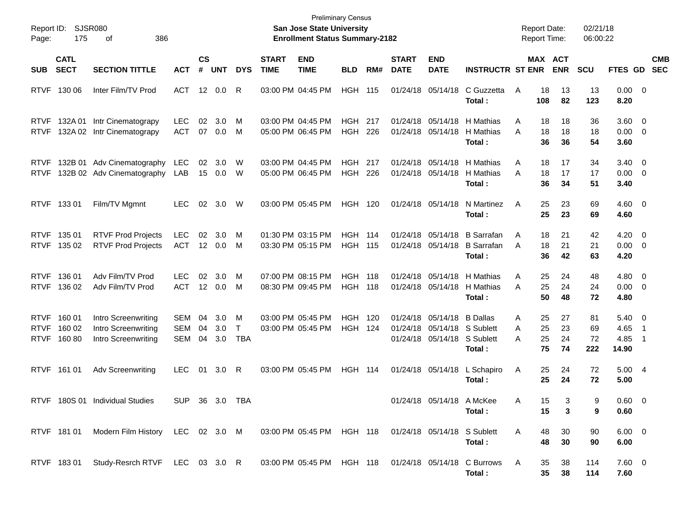| Report ID:<br>Page:                       | 175                        | SJSR080<br>386<br>οf                                              |                                        |                        |                   |                      |                             | <b>Preliminary Census</b><br>San Jose State University<br><b>Enrollment Status Summary-2182</b> |                                  |            |                             |                                                                       |                                                  |             |                      | <b>Report Date:</b><br><b>Report Time:</b> | 02/21/18<br>06:00:22  |                                         |                          |                          |
|-------------------------------------------|----------------------------|-------------------------------------------------------------------|----------------------------------------|------------------------|-------------------|----------------------|-----------------------------|-------------------------------------------------------------------------------------------------|----------------------------------|------------|-----------------------------|-----------------------------------------------------------------------|--------------------------------------------------|-------------|----------------------|--------------------------------------------|-----------------------|-----------------------------------------|--------------------------|--------------------------|
| <b>SUB</b>                                | <b>CATL</b><br><b>SECT</b> | <b>SECTION TITTLE</b>                                             | <b>ACT</b>                             | $\mathsf{cs}$<br>#     | <b>UNT</b>        | <b>DYS</b>           | <b>START</b><br><b>TIME</b> | <b>END</b><br><b>TIME</b>                                                                       | <b>BLD</b>                       | RM#        | <b>START</b><br><b>DATE</b> | <b>END</b><br><b>DATE</b>                                             | <b>INSTRUCTR ST ENR</b>                          |             |                      | MAX ACT<br><b>ENR</b>                      | <b>SCU</b>            | FTES GD                                 |                          | <b>CMB</b><br><b>SEC</b> |
| <b>RTVF</b>                               | 130 06                     | Inter Film/TV Prod                                                | <b>ACT</b>                             | 12                     | 0.0               | R                    |                             | 03:00 PM 04:45 PM                                                                               | <b>HGH</b>                       | 115        |                             | 01/24/18 05/14/18                                                     | C Guzzetta<br>Total:                             | Α           | 18<br>108            | 13<br>82                                   | 13<br>123             | $0.00 \t 0$<br>8.20                     |                          |                          |
| <b>RTVF</b><br><b>RTVF</b>                | 132A 01<br>132A 02         | Intr Cinematograpy<br>Intr Cinematograpy                          | <b>LEC</b><br><b>ACT</b>               | 02<br>07               | 3.0<br>0.0        | M<br>M               |                             | 03:00 PM 04:45 PM<br>05:00 PM 06:45 PM                                                          | HGH<br><b>HGH</b>                | 217<br>226 |                             | 01/24/18 05/14/18<br>01/24/18 05/14/18                                | H Mathias<br>H Mathias<br>Total:                 | A<br>A      | 18<br>18<br>36       | 18<br>18<br>36                             | 36<br>18<br>54        | $3.60 \quad 0$<br>0.00<br>3.60          | $\overline{\phantom{0}}$ |                          |
| <b>RTVF</b><br><b>RTVF</b>                |                            | 132B 01 Adv Cinematography<br>132B 02 Adv Cinematography          | <b>LEC</b><br>LAB                      | 02<br>15               | 3.0<br>$0.0\,$    | W<br>W               |                             | 03:00 PM 04:45 PM<br>05:00 PM 06:45 PM                                                          | HGH<br><b>HGH</b>                | 217<br>226 |                             | 01/24/18 05/14/18<br>01/24/18 05/14/18                                | H Mathias<br>H Mathias<br>Total:                 | A<br>A      | 18<br>18<br>36       | 17<br>17<br>34                             | 34<br>17<br>51        | $3.40 \ 0$<br>$0.00 \t 0$<br>3.40       |                          |                          |
|                                           | RTVF 133 01                | Film/TV Mgmnt                                                     | LEC.                                   | 02                     | 3.0               | W                    |                             | 03:00 PM 05:45 PM                                                                               | <b>HGH</b>                       | 120        |                             | 01/24/18 05/14/18                                                     | N Martinez<br>Total:                             | Α           | 25<br>25             | 23<br>23                                   | 69<br>69              | $4.60 \quad 0$<br>4.60                  |                          |                          |
| <b>RTVF</b><br><b>RTVF</b>                | 135 01<br>135 02           | <b>RTVF Prod Projects</b><br><b>RTVF Prod Projects</b>            | <b>LEC</b><br>ACT                      | 02                     | 3.0<br>12 0.0     | M<br>M               |                             | 01:30 PM 03:15 PM<br>03:30 PM 05:15 PM                                                          | <b>HGH</b><br><b>HGH 115</b>     | 114        |                             | 01/24/18 05/14/18<br>01/24/18 05/14/18                                | <b>B</b> Sarrafan<br><b>B</b> Sarrafan<br>Total: | A<br>A      | 18<br>18<br>36       | 21<br>21<br>42                             | 42<br>21<br>63        | $4.20 \ 0$<br>0.00<br>4.20              | $\overline{\phantom{0}}$ |                          |
| <b>RTVF</b><br><b>RTVF</b>                | 136 01<br>136 02           | Adv Film/TV Prod<br>Adv Film/TV Prod                              | LEC.<br><b>ACT</b>                     | 02<br>12 <sup>12</sup> | 3.0<br>0.0        | M<br>M               |                             | 07:00 PM 08:15 PM<br>08:30 PM 09:45 PM                                                          | <b>HGH 118</b><br><b>HGH 118</b> |            |                             | 01/24/18 05/14/18<br>01/24/18 05/14/18                                | H Mathias<br>H Mathias<br>Total:                 | A<br>A      | 25<br>25<br>50       | 24<br>24<br>48                             | 48<br>24<br>72        | $4.80\ 0$<br>0.00<br>4.80               | $\overline{\phantom{0}}$ |                          |
| <b>RTVF</b><br><b>RTVF</b><br><b>RTVF</b> | 160 01<br>160 02<br>16080  | Intro Screenwriting<br>Intro Screenwriting<br>Intro Screenwriting | <b>SEM</b><br><b>SEM</b><br><b>SEM</b> | 04<br>04<br>04         | 3.0<br>3.0<br>3.0 | M<br>T<br><b>TBA</b> |                             | 03:00 PM 05:45 PM<br>03:00 PM 05:45 PM                                                          | <b>HGH</b><br><b>HGH</b>         | 120<br>124 |                             | 01/24/18 05/14/18<br>01/24/18 05/14/18 S Sublett<br>01/24/18 05/14/18 | <b>B</b> Dallas<br>S Sublett<br>Total:           | A<br>A<br>A | 25<br>25<br>25<br>75 | 27<br>23<br>24<br>74                       | 81<br>69<br>72<br>222 | $5.40 \quad 0$<br>4.65<br>4.85<br>14.90 | - 1<br>-1                |                          |
|                                           | RTVF 161 01                | <b>Adv Screenwriting</b>                                          | LEC.                                   | 01                     | 3.0               | R                    |                             | 03:00 PM 05:45 PM                                                                               | <b>HGH 114</b>                   |            |                             | 01/24/18 05/14/18                                                     | L Schapiro<br>Total:                             | Α           | 25<br>25             | 24<br>24                                   | 72<br>72              | 5.004<br>5.00                           |                          |                          |
|                                           |                            | RTVF 180S 01 Individual Studies                                   | <b>SUP</b>                             |                        | 36 3.0 TBA        |                      |                             |                                                                                                 |                                  |            |                             | 01/24/18 05/14/18 A McKee                                             | Total:                                           | A           | 15<br>15             | 3<br>3                                     | 9<br>9                | $0.60 \quad 0$<br>0.60                  |                          |                          |
|                                           | RTVF 181 01                | Modern Film History LEC 02 3.0 M                                  |                                        |                        |                   |                      |                             | 03:00 PM 05:45 PM HGH 118                                                                       |                                  |            |                             | 01/24/18 05/14/18 S Sublett                                           | Total:                                           | A           | 48<br>48             | 30<br>30                                   | 90<br>90              | $6.00 \quad 0$<br>6.00                  |                          |                          |
|                                           | RTVF 18301                 | Study-Resrch RTVF LEC 03 3.0 R                                    |                                        |                        |                   |                      |                             | 03:00 PM 05:45 PM HGH 118                                                                       |                                  |            |                             |                                                                       | 01/24/18 05/14/18 C Burrows<br>Total:            | A           | 35<br>35             | 38<br>38                                   | 114<br>114            | $7.60 \t 0$<br>7.60                     |                          |                          |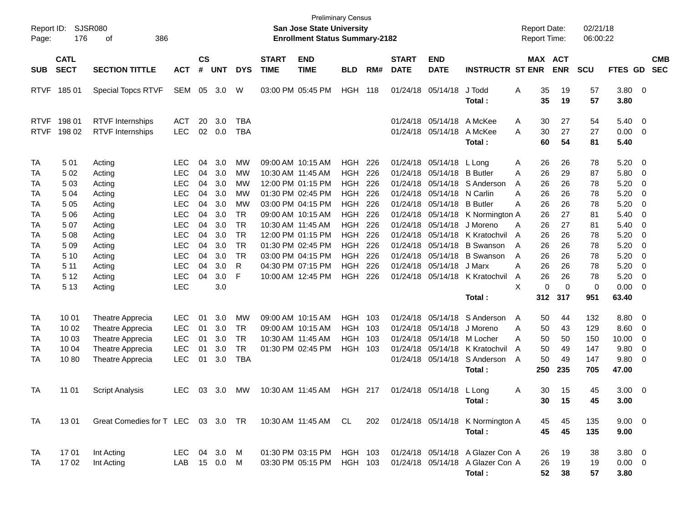| Report ID:<br>Page:        | 176                                      | <b>SJSR080</b><br>386<br>οf                                                                      |                                                                    |                            |                                 |                                                         |                             | <b>Preliminary Census</b><br><b>San Jose State University</b><br><b>Enrollment Status Summary-2182</b> |                                               |                                |                             |                                                                                  |                                                                                              | <b>Report Date:</b><br><b>Report Time:</b>                 |                                   | 02/21/18<br>06:00:22                   |                                                |                                    |                          |
|----------------------------|------------------------------------------|--------------------------------------------------------------------------------------------------|--------------------------------------------------------------------|----------------------------|---------------------------------|---------------------------------------------------------|-----------------------------|--------------------------------------------------------------------------------------------------------|-----------------------------------------------|--------------------------------|-----------------------------|----------------------------------------------------------------------------------|----------------------------------------------------------------------------------------------|------------------------------------------------------------|-----------------------------------|----------------------------------------|------------------------------------------------|------------------------------------|--------------------------|
| <b>SUB</b>                 | <b>CATL</b><br><b>SECT</b>               | <b>SECTION TITTLE</b>                                                                            | <b>ACT</b>                                                         | $\mathsf{cs}$<br>#         | <b>UNT</b>                      | <b>DYS</b>                                              | <b>START</b><br><b>TIME</b> | <b>END</b><br><b>TIME</b>                                                                              | <b>BLD</b>                                    | RM#                            | <b>START</b><br><b>DATE</b> | <b>END</b><br><b>DATE</b>                                                        | <b>INSTRUCTR ST ENR</b>                                                                      |                                                            | MAX ACT<br><b>ENR</b>             | <b>SCU</b>                             | FTES GD                                        |                                    | <b>CMB</b><br><b>SEC</b> |
| <b>RTVF</b>                | 18501                                    | <b>Special Topcs RTVF</b>                                                                        | <b>SEM</b>                                                         | 05                         | 3.0                             | W                                                       |                             | 03:00 PM 05:45 PM                                                                                      | <b>HGH</b>                                    | 118                            |                             | 01/24/18 05/14/18                                                                | J Todd<br>Total:                                                                             | A<br>35<br>35                                              | 19<br>19                          | 57<br>57                               | 3.80<br>3.80                                   | $\overline{\mathbf{0}}$            |                          |
| <b>RTVF</b><br><b>RTVF</b> | 198 01<br>198 02                         | <b>RTVF</b> Internships<br><b>RTVF</b> Internships                                               | <b>ACT</b><br><b>LEC</b>                                           | 20<br>02                   | 3.0<br>0.0                      | <b>TBA</b><br><b>TBA</b>                                |                             |                                                                                                        |                                               |                                |                             | 01/24/18 05/14/18<br>01/24/18 05/14/18                                           | A McKee<br>A McKee<br>Total:                                                                 | 30<br>Α<br>30<br>A<br>60                                   | 27<br>27<br>54                    | 54<br>27<br>81                         | 5.40<br>0.00<br>5.40                           | $\overline{0}$<br>$\overline{0}$   |                          |
| TA<br>TA<br>TA             | 501<br>502<br>503                        | Acting<br>Acting<br>Acting                                                                       | LEC<br><b>LEC</b><br><b>LEC</b>                                    | 04<br>04<br>04             | 3.0<br>3.0<br>3.0               | MW<br>MW<br>МW                                          | 10:30 AM 11:45 AM           | 09:00 AM 10:15 AM<br>12:00 PM 01:15 PM                                                                 | HGH<br><b>HGH</b><br><b>HGH</b>               | 226<br>226<br>226              |                             | 01/24/18 05/14/18<br>01/24/18 05/14/18                                           | L Long<br><b>B</b> Butler<br>01/24/18 05/14/18 S Anderson                                    | 26<br>Α<br>26<br>A<br>26<br>A                              | 26<br>29<br>26                    | 78<br>87<br>78                         | 5.20<br>5.80<br>5.20                           | $\overline{0}$<br>0<br>0           |                          |
| TA<br>TA<br>TA             | 504<br>5 0 5<br>5 0 6                    | Acting<br>Acting<br>Acting                                                                       | <b>LEC</b><br><b>LEC</b><br><b>LEC</b>                             | 04<br>04<br>04             | 3.0<br>3.0<br>3.0               | МW<br>MW<br><b>TR</b>                                   |                             | 01:30 PM 02:45 PM<br>03:00 PM 04:15 PM<br>09:00 AM 10:15 AM                                            | <b>HGH</b><br><b>HGH</b><br><b>HGH</b>        | 226<br>226<br>226              |                             | 01/24/18 05/14/18 N Carlin<br>01/24/18 05/14/18                                  | <b>B</b> Butler<br>01/24/18 05/14/18 K Normington A                                          | A<br>26<br>26<br>A<br>26                                   | 26<br>26<br>27                    | 78<br>78<br>81                         | 5.20<br>5.20<br>5.40                           | 0<br>0<br>0                        |                          |
| TA<br>TA<br>TA             | 507<br>508<br>509                        | Acting<br>Acting<br>Acting                                                                       | <b>LEC</b><br><b>LEC</b><br><b>LEC</b>                             | 04<br>04<br>04             | 3.0<br>3.0<br>3.0               | <b>TR</b><br><b>TR</b><br><b>TR</b>                     | 10:30 AM 11:45 AM           | 12:00 PM 01:15 PM<br>01:30 PM 02:45 PM                                                                 | <b>HGH</b><br><b>HGH</b><br><b>HGH</b>        | 226<br>226<br>226              | 01/24/18                    | 01/24/18 05/14/18<br>05/14/18<br>01/24/18 05/14/18                               | J Moreno<br>K Kratochvil<br><b>B</b> Swanson                                                 | A<br>26<br>26<br>A<br>26<br>A                              | 27<br>26<br>26                    | 81<br>78<br>78                         | 5.40<br>5.20<br>5.20                           | 0<br>0<br>0                        |                          |
| TA<br>TA<br>TA<br>TA       | 5 10<br>5 1 1<br>5 1 2<br>5 1 3          | Acting<br>Acting<br>Acting<br>Acting                                                             | LEC<br><b>LEC</b><br><b>LEC</b><br><b>LEC</b>                      | 04<br>04<br>04             | 3.0<br>3.0<br>3.0<br>3.0        | TR<br>R<br>F                                            |                             | 03:00 PM 04:15 PM<br>04:30 PM 07:15 PM<br>10:00 AM 12:45 PM                                            | <b>HGH</b><br><b>HGH</b><br><b>HGH</b>        | 226<br>226<br>226              |                             | 01/24/18 05/14/18<br>01/24/18 05/14/18                                           | <b>B</b> Swanson<br>J Marx<br>01/24/18 05/14/18 K Kratochvil                                 | A<br>26<br>26<br>A<br>26<br>Α<br>X<br>$\Omega$             | 26<br>26<br>26<br>$\mathbf 0$     | 78<br>78<br>78<br>0                    | 5.20<br>5.20<br>5.20<br>0.00                   | 0<br>0<br>0<br>0                   |                          |
|                            |                                          |                                                                                                  |                                                                    |                            |                                 |                                                         |                             |                                                                                                        |                                               |                                |                             |                                                                                  | Total:                                                                                       | 312                                                        | 317                               | 951                                    | 63.40                                          |                                    |                          |
| TA<br>TA<br>ТA<br>TA<br>TA | 10 01<br>10 02<br>10 03<br>10 04<br>1080 | Theatre Apprecia<br>Theatre Apprecia<br>Theatre Apprecia<br>Theatre Apprecia<br>Theatre Apprecia | <b>LEC</b><br><b>LEC</b><br><b>LEC</b><br><b>LEC</b><br><b>LEC</b> | 01<br>01<br>01<br>01<br>01 | 3.0<br>3.0<br>3.0<br>3.0<br>3.0 | <b>MW</b><br>TR<br><b>TR</b><br><b>TR</b><br><b>TBA</b> | 10:30 AM 11:45 AM           | 09:00 AM 10:15 AM<br>09:00 AM 10:15 AM<br>01:30 PM 02:45 PM                                            | <b>HGH</b><br><b>HGH</b><br><b>HGH</b><br>HGH | - 103<br>- 103<br>103<br>- 103 |                             | 01/24/18 05/14/18<br>01/24/18 05/14/18<br>01/24/18 05/14/18<br>01/24/18 05/14/18 | S Anderson<br>J Moreno<br>M Locher<br>01/24/18 05/14/18 K Kratochvil<br>S Anderson<br>Total: | 50<br>A<br>50<br>A<br>50<br>A<br>50<br>A<br>50<br>A<br>250 | 44<br>43<br>50<br>49<br>49<br>235 | 132<br>129<br>150<br>147<br>147<br>705 | 8.80<br>8.60<br>10.00<br>9.80<br>9.80<br>47.00 | $\overline{0}$<br>0<br>0<br>0<br>0 |                          |
| TA                         | 11 01                                    | <b>Script Analysis</b>                                                                           | <b>LEC</b>                                                         | 03                         | 3.0                             | MW                                                      | 10:30 AM 11:45 AM           |                                                                                                        | <b>HGH 217</b>                                |                                |                             | 01/24/18 05/14/18                                                                | L Long<br>Total:                                                                             | 30<br>A<br>30                                              | 15<br>15                          | 45<br>45                               | 3.00<br>3.00                                   | $\overline{\mathbf{0}}$            |                          |
| <b>TA</b>                  | 1301                                     | Great Comedies for T LEC 03 3.0 TR 10:30 AM 11:45 AM CL                                          |                                                                    |                            |                                 |                                                         |                             |                                                                                                        |                                               | 202                            |                             |                                                                                  | 01/24/18 05/14/18 K Normington A<br>Total:                                                   | 45<br>45                                                   | 45<br>45                          | 135<br>135                             | $9.00 \quad 0$<br>9.00                         |                                    |                          |
| TA<br>TA                   | 17 01<br>1702                            | Int Acting<br>Int Acting                                                                         | LEC 04 3.0 M<br>LAB 15 0.0 M                                       |                            |                                 |                                                         |                             | 01:30 PM 03:15 PM<br>03:30 PM 05:15 PM                                                                 | HGH 103<br>HGH 103                            |                                |                             |                                                                                  | 01/24/18 05/14/18 A Glazer Con A<br>01/24/18 05/14/18 A Glazer Con A<br>Total:               | 26<br>26<br>52                                             | 19<br>19<br>38                    | 38<br>19<br>57                         | $3.80\ 0$<br>$0.00 \t 0$<br>3.80               |                                    |                          |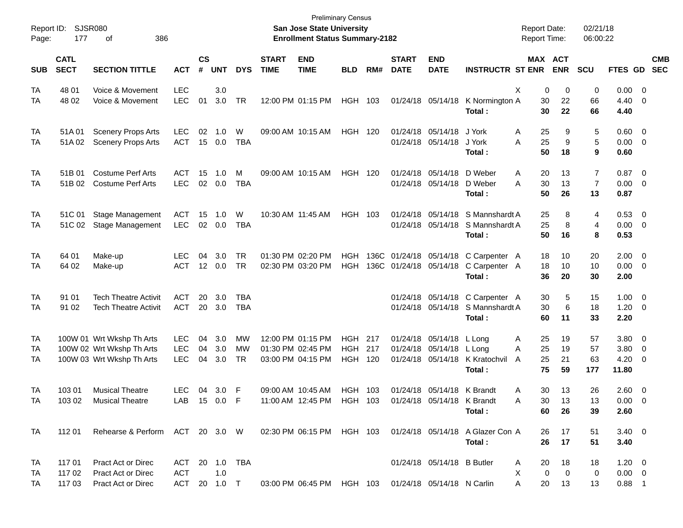| Report ID:<br>Page: | 177                        | <b>SJSR080</b><br>386<br>οf                                                         |                                 |                    |                   |                        |                             | San Jose State University<br><b>Enrollment Status Summary-2182</b>        | <b>Preliminary Census</b>                      |     |                             |                                                          |                                                                                        | <b>Report Date:</b><br><b>Report Time:</b> |                       | 02/21/18<br>06:00:22                   |                                        |                                                     |            |
|---------------------|----------------------------|-------------------------------------------------------------------------------------|---------------------------------|--------------------|-------------------|------------------------|-----------------------------|---------------------------------------------------------------------------|------------------------------------------------|-----|-----------------------------|----------------------------------------------------------|----------------------------------------------------------------------------------------|--------------------------------------------|-----------------------|----------------------------------------|----------------------------------------|-----------------------------------------------------|------------|
| <b>SUB</b>          | <b>CATL</b><br><b>SECT</b> | <b>SECTION TITTLE</b>                                                               | <b>ACT</b>                      | $\mathsf{cs}$<br># | <b>UNT</b>        | <b>DYS</b>             | <b>START</b><br><b>TIME</b> | <b>END</b><br><b>TIME</b>                                                 | <b>BLD</b>                                     | RM# | <b>START</b><br><b>DATE</b> | <b>END</b><br><b>DATE</b>                                | <b>INSTRUCTR ST ENR</b>                                                                |                                            | MAX ACT<br><b>ENR</b> | <b>SCU</b>                             | FTES GD SEC                            |                                                     | <b>CMB</b> |
| TA<br>TA            | 48 01<br>48 02             | Voice & Movement<br>Voice & Movement                                                | <b>LEC</b><br>LEC               | 01                 | 3.0<br>3.0        | <b>TR</b>              |                             | 12:00 PM 01:15 PM                                                         | HGH 103                                        |     |                             |                                                          | 01/24/18 05/14/18 K Normington A<br>Total:                                             | X<br>0<br>30<br>30                         | 0<br>22<br>22         | 0<br>66<br>66                          | $0.00 \t 0$<br>4.40<br>4.40            | $\overline{\phantom{0}}$                            |            |
| TA<br>TA            | 51A 01<br>51A02            | <b>Scenery Props Arts</b><br><b>Scenery Props Arts</b>                              | <b>LEC</b><br><b>ACT</b>        | 02<br>15           | 1.0<br>0.0        | W<br><b>TBA</b>        |                             | 09:00 AM 10:15 AM                                                         | HGH 120                                        |     |                             | 01/24/18 05/14/18<br>01/24/18 05/14/18                   | J York<br>J York<br>Total:                                                             | 25<br>Α<br>A<br>25<br>50                   | 9<br>9<br>18          | 5<br>5<br>9                            | $0.60 \quad 0$<br>$0.00 \t 0$<br>0.60  |                                                     |            |
| TA<br>TA            | 51B 01<br>51B 02           | <b>Costume Perf Arts</b><br><b>Costume Perf Arts</b>                                | <b>ACT</b><br><b>LEC</b>        | 15<br>02           | 1.0<br>0.0        | м<br><b>TBA</b>        |                             | 09:00 AM 10:15 AM                                                         | HGH 120                                        |     |                             | 01/24/18 05/14/18<br>01/24/18 05/14/18                   | D Weber<br>D Weber<br>Total:                                                           | 20<br>Α<br>30<br>A<br>50                   | 13<br>13<br>26        | $\overline{7}$<br>$\overline{7}$<br>13 | $0.87$ 0<br>$0.00 \t 0$<br>0.87        |                                                     |            |
| TA<br>TA            | 51C 01<br>51C 02           | Stage Management<br><b>Stage Management</b>                                         | <b>ACT</b><br><b>LEC</b>        | 15<br>02           | 1.0<br>0.0        | W<br><b>TBA</b>        |                             | 10:30 AM 11:45 AM                                                         | HGH 103                                        |     |                             |                                                          | 01/24/18 05/14/18 S Mannshardt A<br>01/24/18 05/14/18 S Mannshardt A<br>Total:         | 25<br>25<br>50                             | 8<br>8<br>16          | 4<br>4<br>8                            | $0.53$ 0<br>$0.00 \ 0$<br>0.53         |                                                     |            |
| TA<br>TA            | 64 01<br>64 02             | Make-up<br>Make-up                                                                  | LEC<br><b>ACT</b>               | 04<br>12           | 3.0<br>0.0        | <b>TR</b><br><b>TR</b> |                             | 01:30 PM 02:20 PM<br>02:30 PM 03:20 PM                                    | HGH<br><b>HGH</b>                              |     |                             |                                                          | 136C 01/24/18 05/14/18 C Carpenter A<br>136C 01/24/18 05/14/18 C Carpenter A<br>Total: | 18<br>18<br>36                             | 10<br>10<br>20        | 20<br>10<br>30                         | $2.00 \t 0$<br>$0.00 \t 0$<br>2.00     |                                                     |            |
| TA<br>TA            | 91 01<br>91 02             | <b>Tech Theatre Activit</b><br><b>Tech Theatre Activit</b>                          | <b>ACT</b><br><b>ACT</b>        | 20<br>20           | 3.0<br>3.0        | TBA<br><b>TBA</b>      |                             |                                                                           |                                                |     |                             |                                                          | 01/24/18 05/14/18 C Carpenter A<br>01/24/18 05/14/18 S Mannshardt A<br>Total:          | 30<br>30<br>60                             | 5<br>6<br>11          | 15<br>18<br>33                         | $1.00 \t 0$<br>$1.20 \t 0$<br>2.20     |                                                     |            |
| TA<br>TA<br>TA      |                            | 100W 01 Wrt Wkshp Th Arts<br>100W 02 Wrt Wkshp Th Arts<br>100W 03 Wrt Wkshp Th Arts | <b>LEC</b><br><b>LEC</b><br>LEC | 04<br>04<br>04     | 3.0<br>3.0<br>3.0 | МW<br>МW<br><b>TR</b>  |                             | 12:00 PM 01:15 PM<br>01:30 PM 02:45 PM<br>03:00 PM 04:15 PM               | <b>HGH 217</b><br><b>HGH</b><br><b>HGH 120</b> | 217 | 01/24/18                    | 01/24/18 05/14/18 L Long<br>05/14/18 L Long              | 01/24/18 05/14/18 K Kratochvil<br>Total:                                               | 25<br>Α<br>25<br>A<br>25<br>A<br>75        | 19<br>19<br>21<br>59  | 57<br>57<br>63<br>177                  | 3.80 0<br>3.80<br>4.20<br>11.80        | $\overline{\mathbf{0}}$<br>$\overline{\phantom{0}}$ |            |
| TA<br>TA            | 103 01<br>103 02           | <b>Musical Theatre</b><br><b>Musical Theatre</b>                                    | <b>LEC</b><br>LAB 15 0.0 F      | 04                 | 3.0               | F                      |                             | 09:00 AM 10:45 AM<br>11:00 AM 12:45 PM HGH 103 01/24/18 05/14/18 K Brandt | HGH 103                                        |     |                             | 01/24/18 05/14/18 K Brandt                               | Total:                                                                                 | 30<br>Α<br>Α<br>30<br>60                   | 13<br>13<br>26        | 26<br>13<br>39                         | 2.60 0<br>$0.00 \t 0$<br>2.60          |                                                     |            |
| TA                  | 112 01                     | Rehearse & Perform ACT 20 3.0 W                                                     |                                 |                    |                   |                        |                             |                                                                           |                                                |     |                             |                                                          | 02:30 PM 06:15 PM HGH 103 01/24/18 05/14/18 A Glazer Con A<br>Total:                   | 26<br>26                                   | 17<br>17              | 51<br>51                               | $3.40 \ 0$<br>3.40                     |                                                     |            |
| TA<br>TA<br>TA      | 117 01<br>117 02<br>117 03 | <b>Pract Act or Direc</b><br>Pract Act or Direc<br>Pract Act or Direc               | ACT<br><b>ACT</b><br>ACT        |                    | 1.0<br>20 1.0 T   | 20 1.0 TBA             |                             | 03:00 PM 06:45 PM HGH 103                                                 |                                                |     |                             | 01/24/18 05/14/18 B Butler<br>01/24/18 05/14/18 N Carlin |                                                                                        | 20<br>Α<br>0<br>X<br>A<br>20               | 18<br>0<br>13         | 18<br>0<br>13                          | $1.20 \t 0$<br>$0.00 \t 0$<br>$0.88$ 1 |                                                     |            |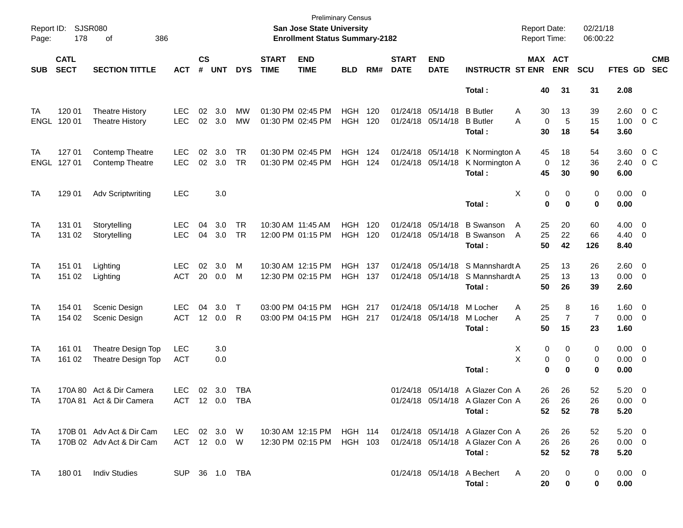| Page:      | Report ID: SJSR080<br>178  | 386<br>οf                 |                |                             |            |              |                             | <b>Preliminary Census</b><br>San Jose State University<br><b>Enrollment Status Summary-2182</b> |            |       |                             |                           |                                  | <b>Report Date:</b><br><b>Report Time:</b> |                | 02/21/18<br>06:00:22 |                |                         |                          |
|------------|----------------------------|---------------------------|----------------|-----------------------------|------------|--------------|-----------------------------|-------------------------------------------------------------------------------------------------|------------|-------|-----------------------------|---------------------------|----------------------------------|--------------------------------------------|----------------|----------------------|----------------|-------------------------|--------------------------|
| <b>SUB</b> | <b>CATL</b><br><b>SECT</b> | <b>SECTION TITTLE</b>     | <b>ACT</b>     | $\mathsf{cs}$<br>$\pmb{\#}$ | <b>UNT</b> | <b>DYS</b>   | <b>START</b><br><b>TIME</b> | <b>END</b><br><b>TIME</b>                                                                       | <b>BLD</b> | RM#   | <b>START</b><br><b>DATE</b> | <b>END</b><br><b>DATE</b> | <b>INSTRUCTR ST ENR</b>          | MAX ACT                                    | <b>ENR</b>     | <b>SCU</b>           | <b>FTES GD</b> |                         | <b>CMB</b><br><b>SEC</b> |
|            |                            |                           |                |                             |            |              |                             |                                                                                                 |            |       |                             |                           | Total:                           | 40                                         | 31             | 31                   | 2.08           |                         |                          |
| TA         | 120 01                     | <b>Theatre History</b>    | <b>LEC</b>     | 02                          | 3.0        | MW           |                             | 01:30 PM 02:45 PM                                                                               | HGH        | 120   |                             | 01/24/18 05/14/18         | <b>B</b> Butler                  | A<br>30                                    | 13             | 39                   | 2.60           | $0\,$ C                 |                          |
| ENGL       | 120 01                     | <b>Theatre History</b>    | <b>LEC</b>     |                             | 02 3.0     | <b>MW</b>    |                             | 01:30 PM 02:45 PM                                                                               | <b>HGH</b> | 120   |                             | 01/24/18 05/14/18         | <b>B</b> Butler                  | 0<br>Α                                     | 5              | 15                   | 1.00           | 0 <sup>o</sup>          |                          |
|            |                            |                           |                |                             |            |              |                             |                                                                                                 |            |       |                             |                           | Total :                          | 30                                         | 18             | 54                   | 3.60           |                         |                          |
| TA         | 127 01                     | <b>Contemp Theatre</b>    | <b>LEC</b>     | 02                          | 3.0        | <b>TR</b>    |                             | 01:30 PM 02:45 PM                                                                               | HGH        | - 124 |                             | 01/24/18 05/14/18         | K Normington A                   | 45                                         | 18             | 54                   | 3.60           | $0\,$ C                 |                          |
| ENGL       | 127 01                     | <b>Contemp Theatre</b>    | <b>LEC</b>     |                             | 02 3.0     | <b>TR</b>    |                             | 01:30 PM 02:45 PM                                                                               | <b>HGH</b> | 124   |                             | 01/24/18 05/14/18         | K Normington A                   | 0                                          | $12 \,$        | 36                   | 2.40           | 0 <sup>o</sup>          |                          |
|            |                            |                           |                |                             |            |              |                             |                                                                                                 |            |       |                             |                           | Total:                           | 45                                         | 30             | 90                   | 6.00           |                         |                          |
| <b>TA</b>  | 129 01                     | Adv Scriptwriting         | <b>LEC</b>     |                             | 3.0        |              |                             |                                                                                                 |            |       |                             |                           |                                  | Χ<br>0                                     | 0              | 0                    | $0.00 \t 0$    |                         |                          |
|            |                            |                           |                |                             |            |              |                             |                                                                                                 |            |       |                             |                           | Total:                           | 0                                          | $\mathbf 0$    | 0                    | 0.00           |                         |                          |
| TA         | 131 01                     | Storytelling              | <b>LEC</b>     | 04                          | 3.0        | <b>TR</b>    | 10:30 AM 11:45 AM           |                                                                                                 | <b>HGH</b> | 120   |                             | 01/24/18 05/14/18         | <b>B</b> Swanson                 | 25<br>A                                    | 20             | 60                   | 4.00           | $\overline{\mathbf{0}}$ |                          |
| TA         | 131 02                     | Storytelling              | <b>LEC</b>     | 04                          | 3.0        | <b>TR</b>    |                             | 12:00 PM 01:15 PM                                                                               | <b>HGH</b> | 120   |                             | 01/24/18 05/14/18         | <b>B</b> Swanson                 | 25<br>$\overline{A}$                       | 22             | 66                   | 4.40           | $\overline{\mathbf{0}}$ |                          |
|            |                            |                           |                |                             |            |              |                             |                                                                                                 |            |       |                             |                           | Total:                           | 50                                         | 42             | 126                  | 8.40           |                         |                          |
| TA         | 151 01                     | Lighting                  | <b>LEC</b>     | 02                          | 3.0        | M            |                             | 10:30 AM 12:15 PM                                                                               | <b>HGH</b> | 137   |                             | 01/24/18 05/14/18         | S Mannshardt A                   | 25                                         | 13             | 26                   | 2.60           | $\overline{\mathbf{0}}$ |                          |
| TA         | 151 02                     | Lighting                  | <b>ACT</b>     | 20                          | 0.0        | M            |                             | 12:30 PM 02:15 PM                                                                               | <b>HGH</b> | 137   |                             | 01/24/18 05/14/18         | S Mannshardt A                   | 25                                         | 13             | 13                   | 0.00           | $\overline{\mathbf{0}}$ |                          |
|            |                            |                           |                |                             |            |              |                             |                                                                                                 |            |       |                             |                           | Total:                           | 50                                         | 26             | 39                   | 2.60           |                         |                          |
| TA         | 154 01                     | Scenic Design             | <b>LEC</b>     | 04                          | 3.0        | $\mathsf{T}$ |                             | 03:00 PM 04:15 PM                                                                               | <b>HGH</b> | 217   |                             | 01/24/18 05/14/18         | M Locher                         | 25<br>A                                    | 8              | 16                   | $1.60 \t 0$    |                         |                          |
| TA         | 154 02                     | Scenic Design             | <b>ACT</b>     |                             | 12 0.0     | R            |                             | 03:00 PM 04:15 PM                                                                               | <b>HGH</b> | 217   |                             | 01/24/18 05/14/18         | M Locher                         | 25<br>A                                    | $\overline{7}$ | 7                    | 0.00           | $\overline{\mathbf{0}}$ |                          |
|            |                            |                           |                |                             |            |              |                             |                                                                                                 |            |       |                             |                           | Total:                           | 50                                         | 15             | 23                   | 1.60           |                         |                          |
| TA         | 161 01                     | Theatre Design Top        | <b>LEC</b>     |                             | 3.0        |              |                             |                                                                                                 |            |       |                             |                           |                                  | X<br>0                                     | 0              | 0                    | $0.00 \t 0$    |                         |                          |
| TA         | 161 02                     | Theatre Design Top        | <b>ACT</b>     |                             | 0.0        |              |                             |                                                                                                 |            |       |                             |                           |                                  | X<br>0                                     | 0              | 0                    | 0.00           | $\overline{\mathbf{0}}$ |                          |
|            |                            |                           |                |                             |            |              |                             |                                                                                                 |            |       |                             |                           | Total:                           | $\bf{0}$                                   | $\bf{0}$       | 0                    | 0.00           |                         |                          |
| TA         |                            | 170A 80 Act & Dir Camera  | <b>LEC</b>     |                             | 02 3.0     | TBA          |                             |                                                                                                 |            |       |                             |                           | 01/24/18 05/14/18 A Glazer Con A | 26                                         | 26             | 52                   | 5.20           | $\overline{\mathbf{0}}$ |                          |
| TA         |                            | 170A 81 Act & Dir Camera  | ACT 12 0.0 TBA |                             |            |              |                             |                                                                                                 |            |       |                             |                           | 01/24/18 05/14/18 A Glazer Con A | 26                                         | 26             | 26                   | $0.00 \t 0$    |                         |                          |
|            |                            |                           |                |                             |            |              |                             |                                                                                                 |            |       |                             |                           | Total :                          | 52                                         | 52             | 78                   | 5.20           |                         |                          |
| TA         |                            | 170B 01 Adv Act & Dir Cam | LEC 02 3.0 W   |                             |            |              |                             | 10:30 AM 12:15 PM HGH 114                                                                       |            |       |                             |                           | 01/24/18 05/14/18 A Glazer Con A | 26                                         | 26             | 52                   | $5.20 \ 0$     |                         |                          |
| TA         |                            | 170B 02 Adv Act & Dir Cam | ACT 12 0.0 W   |                             |            |              |                             | 12:30 PM 02:15 PM                                                                               | HGH 103    |       |                             |                           | 01/24/18 05/14/18 A Glazer Con A | 26                                         | 26             | 26                   | $0.00 \t 0$    |                         |                          |
|            |                            |                           |                |                             |            |              |                             |                                                                                                 |            |       |                             |                           | Total:                           | 52                                         | 52             | 78                   | 5.20           |                         |                          |
| TA         | 180 01                     | <b>Indiv Studies</b>      | SUP 36 1.0 TBA |                             |            |              |                             |                                                                                                 |            |       |                             |                           | 01/24/18 05/14/18 A Bechert      | 20<br>A                                    | 0              | 0                    | $0.00 \quad 0$ |                         |                          |
|            |                            |                           |                |                             |            |              |                             |                                                                                                 |            |       |                             |                           | Total:                           | 20                                         | 0              | $\mathbf 0$          | 0.00           |                         |                          |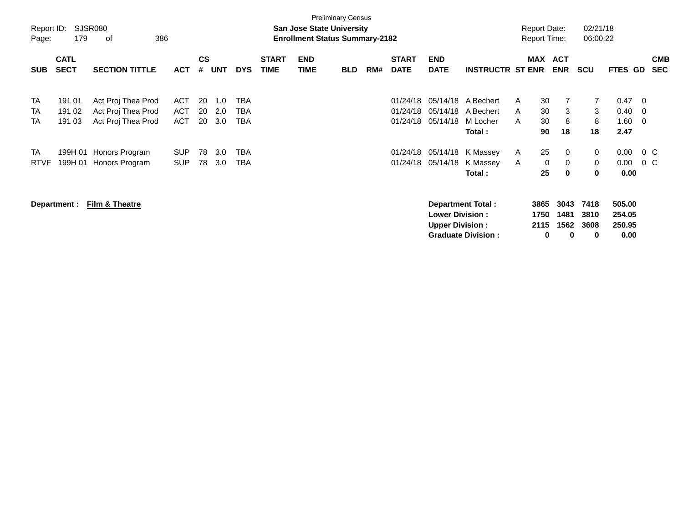| Report ID:<br>Page:                 | 179                        | SJSR080<br>386<br>0f                                           |                                        |                |                   |                          |                             | <b>San Jose State University</b><br><b>Enrollment Status Summary-2182</b> | <b>Preliminary Census</b> |     |                                  |                                                   |                                                |             | <b>Report Date:</b><br><b>Report Time:</b> |                           | 02/21/18<br>06:00:22      |                                    |                   |                          |
|-------------------------------------|----------------------------|----------------------------------------------------------------|----------------------------------------|----------------|-------------------|--------------------------|-----------------------------|---------------------------------------------------------------------------|---------------------------|-----|----------------------------------|---------------------------------------------------|------------------------------------------------|-------------|--------------------------------------------|---------------------------|---------------------------|------------------------------------|-------------------|--------------------------|
| <b>SUB</b>                          | <b>CATL</b><br><b>SECT</b> | <b>SECTION TITTLE</b>                                          | <b>ACT</b>                             | <b>CS</b><br># | <b>UNT</b>        | <b>DYS</b>               | <b>START</b><br><b>TIME</b> | <b>END</b><br><b>TIME</b>                                                 | <b>BLD</b>                | RM# | <b>START</b><br><b>DATE</b>      | <b>END</b><br><b>DATE</b>                         | <b>INSTRUCTR ST ENR</b>                        |             | MAX ACT                                    | <b>ENR</b>                | <b>SCU</b>                | <b>FTES GD</b>                     |                   | <b>CMB</b><br><b>SEC</b> |
| <b>TA</b><br><b>TA</b><br><b>TA</b> | 191 01<br>191 02<br>191 03 | Act Proj Thea Prod<br>Act Proj Thea Prod<br>Act Proj Thea Prod | <b>ACT</b><br><b>ACT</b><br><b>ACT</b> | 20<br>20<br>20 | 1.0<br>2.0<br>3.0 | TBA<br><b>TBA</b><br>TBA |                             |                                                                           |                           |     | 01/24/18<br>01/24/18<br>01/24/18 | 05/14/18<br>05/14/18<br>05/14/18                  | A Bechert<br>A Bechert<br>M Locher             | A<br>A<br>A | 30<br>30<br>30                             | 7<br>3<br>8               | $\overline{7}$<br>3<br>8  | 0.47<br>0.40<br>1.60               | - 0<br>- 0<br>- 0 |                          |
|                                     |                            |                                                                |                                        |                |                   |                          |                             |                                                                           |                           |     |                                  |                                                   | Total :                                        |             | 90                                         | 18                        | 18                        | 2.47                               |                   |                          |
| TA<br><b>RTVF</b>                   | 199H 01<br>199H 01         | Honors Program<br>Honors Program                               | <b>SUP</b><br><b>SUP</b>               | 78<br>78       | 3.0<br>3.0        | TBA<br>TBA               |                             |                                                                           |                           |     | 01/24/18<br>01/24/18             | 05/14/18<br>05/14/18                              | K Massey<br>K Massey                           | A<br>A      | 25<br>0                                    | 0<br>0                    | 0<br>0                    | 0.00<br>0.00                       | $0\,C$<br>$0\,$ C |                          |
|                                     |                            |                                                                |                                        |                |                   |                          |                             |                                                                           |                           |     |                                  |                                                   | Total:                                         |             | 25                                         | $\bf{0}$                  | 0                         | 0.00                               |                   |                          |
|                                     | Department :               | Film & Theatre                                                 |                                        |                |                   |                          |                             |                                                                           |                           |     |                                  | <b>Lower Division :</b><br><b>Upper Division:</b> | Department Total:<br><b>Graduate Division:</b> |             | 3865<br>1750<br>2115<br>0                  | 3043<br>1481<br>1562<br>0 | 7418<br>3810<br>3608<br>0 | 505.00<br>254.05<br>250.95<br>0.00 |                   |                          |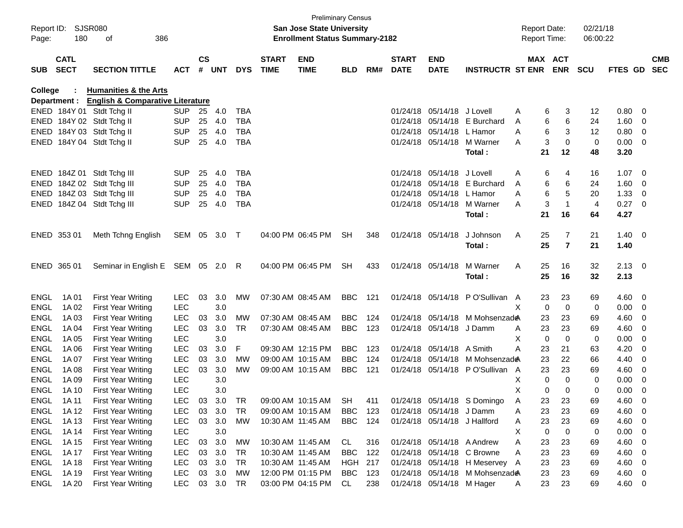| $\mathsf{cs}$<br><b>CATL</b><br><b>START</b><br><b>END</b><br><b>START</b><br><b>END</b><br><b>MAX ACT</b><br><b>CMB</b><br><b>SECT</b><br><b>SECTION TITTLE</b><br># UNT<br><b>DYS</b><br><b>TIME</b><br><b>TIME</b><br>RM#<br><b>DATE</b><br><b>DATE</b><br><b>INSTRUCTR ST ENR</b><br><b>ENR</b><br><b>SCU</b><br>FTES GD SEC<br><b>ACT</b><br><b>BLD</b><br>College<br><b>Humanities &amp; the Arts</b><br><b>English &amp; Comparative Literature</b><br>Department :<br>ENED 184Y 01 Stdt Tchg II<br>0.80<br><b>SUP</b><br>25<br>4.0<br><b>TBA</b><br>01/24/18<br>05/14/18 J Lovell<br>3<br>12<br>- 0<br>Α<br>6<br>25<br><b>TBA</b><br>05/14/18 E Burchard<br>6<br>6<br>1.60<br>ENED 184Y 02 Stdt Tchg II<br><b>SUP</b><br>4.0<br>01/24/18<br>24<br>- 0<br>A<br>6<br>3<br>ENED 184Y 03 Stdt Tchg II<br>25<br><b>TBA</b><br>05/14/18 L Hamor<br>0.80<br><b>SUP</b><br>4.0<br>01/24/18<br>A<br>12<br>$\overline{\phantom{0}}$<br>3<br>ENED 184Y 04 Stdt Tchg II<br><b>SUP</b><br>25<br>4.0<br><b>TBA</b><br>01/24/18 05/14/18 M Warner<br>$\mathbf 0$<br>$\mathbf 0$<br>$0.00 \t 0$<br>A<br>21<br>12<br>48<br>3.20<br>Total:<br>ENED 184Z 01 Stdt Tchg III<br>05/14/18 J Lovell<br>1.07<br><b>SUP</b><br>25<br>4.0<br><b>TBA</b><br>01/24/18<br>6<br>16<br>$\overline{\phantom{0}}$<br>Α<br>4<br>ENED 184Z 02 Stdt Tchg III<br>25<br><b>TBA</b><br>05/14/18 E Burchard<br>6<br>6<br>1.60<br><b>SUP</b><br>4.0<br>01/24/18<br>24<br>A<br>- 0<br>6<br>5<br>ENED 184Z 03 Stdt Tchg III<br><b>SUP</b><br>25<br><b>TBA</b><br>05/14/18 L Hamor<br>20<br>1.33<br>4.0<br>01/24/18<br>- 0<br>A<br>3<br>$\overline{1}$<br>ENED 184Z 04 Stdt Tchg III<br><b>SUP</b><br>25<br><b>TBA</b><br>01/24/18 05/14/18 M Warner<br>$\overline{4}$<br>0.27<br>4.0<br>$\overline{\phantom{0}}$<br>A<br>21<br>16<br>4.27<br>Total:<br>64<br>04:00 PM 06:45 PM<br>7<br>21<br>$1.40 \ 0$<br>ENED 353 01<br>Meth Tchng English<br>SEM 05 3.0<br>$\top$<br><b>SH</b><br>348<br>01/24/18 05/14/18<br>J Johnson<br>Α<br>25<br>25<br>$\overline{7}$<br>Total:<br>21<br>1.40<br>Seminar in English E SEM 05 2.0<br>M Warner<br>32<br>$2.13 \ 0$<br>ENED 365 01<br>R<br>04:00 PM 06:45 PM<br>SH<br>433<br>01/24/18 05/14/18<br>Α<br>25<br>16<br>25<br>Total:<br>16<br>32<br>2.13<br>3.0<br><b>BBC</b><br>01/24/18 05/14/18 PO'Sullivan A<br>23<br>$4.60$ 0<br>1A 01<br><b>First Year Writing</b><br><b>LEC</b><br>03<br>МW<br>07:30 AM 08:45 AM<br>121<br>23<br>69<br>3.0<br>1A 02<br><b>LEC</b><br>X<br>$\mathbf 0$<br>$\mathbf 0$<br>0<br>0.00<br><b>First Year Writing</b><br>$\overline{\mathbf{0}}$<br><b>LEC</b><br>03<br>3.0<br><b>BBC</b><br>4.60<br>1A03<br><b>First Year Writing</b><br>МW<br>07:30 AM 08:45 AM<br>124<br>01/24/18 05/14/18 M Mohsenzade<br>23<br>23<br>69<br>- 0<br><b>LEC</b><br>03<br>3.0<br><b>BBC</b><br>123<br>01/24/18 05/14/18 J Damm<br>23<br>23<br>4.60<br>1A 04<br><b>First Year Writing</b><br>TR.<br>07:30 AM 08:45 AM<br>69<br>- 0<br>A<br><b>LEC</b><br>3.0<br>X<br>$\mathbf 0$<br>$\mathbf 0$<br>0<br>0.00<br><b>ENGL</b><br>1A 05<br><b>First Year Writing</b><br>- 0<br><b>LEC</b><br>03<br>3.0<br>F<br>09:30 AM 12:15 PM<br><b>BBC</b><br>05/14/18 A Smith<br>4.20<br><b>ENGL</b><br>1A 06<br><b>First Year Writing</b><br>123<br>01/24/18<br>А<br>23<br>21<br>63<br>0<br><b>LEC</b><br>03<br>3.0<br>09:00 AM 10:15 AM<br><b>BBC</b><br>124<br>01/24/18<br>23<br>22<br>4.40<br><b>ENGL</b><br>1A 07<br><b>First Year Writing</b><br>МW<br>05/14/18 M Mohsenzade<br>66<br>0<br><b>LEC</b><br>03<br>3.0<br><b>MW</b><br><b>BBC</b><br>121<br>23<br>23<br>4.60<br><b>ENGL</b><br>1A 08<br><b>First Year Writing</b><br>09:00 AM 10:15 AM<br>01/24/18 05/14/18 PO'Sullivan<br>A<br>69<br>0<br><b>LEC</b><br>3.0<br>Χ<br>$\mathbf 0$<br>$\Omega$<br>0<br><b>ENGL</b><br>1A 09<br><b>First Year Writing</b><br>0.00<br>- 0<br><b>LEC</b><br>3.0<br>х<br>0<br>$\Omega$<br>0<br>0.00<br><b>ENGL</b><br>1A 10<br><b>First Year Writing</b><br>- 0<br>01/24/18 05/14/18 S Domingo<br>09:00 AM 10:15 AM<br>ENGL<br>1A 11<br><b>First Year Writing</b><br><b>LEC</b><br>03<br>3.0<br><b>TR</b><br>23<br>23<br>69<br>4.60<br>- 0<br><b>SH</b><br>411<br>A<br>03<br>3.0<br>4.60<br>ENGL<br>1A 12<br><b>First Year Writing</b><br><b>LEC</b><br>TR<br>09:00 AM 10:15 AM<br>BBC<br>123<br>01/24/18 05/14/18 J Damm<br>23<br>23<br>69<br>- 0<br>Α<br>1A 13<br><b>LEC</b><br>03 3.0<br><b>BBC</b><br>01/24/18 05/14/18 J Hallford<br>23<br>23<br>4.60 0<br>ENGL<br><b>First Year Writing</b><br>МW<br>10:30 AM 11:45 AM<br>124<br>69<br>A<br>1A 14<br>3.0<br>$\mathbf 0$<br>0<br>0<br>$0.00 \t 0$<br>ENGL<br><b>First Year Writing</b><br>LEC<br>Χ<br><b>ENGL</b><br><b>LEC</b><br>03<br>3.0<br>MW<br>10:30 AM 11:45 AM<br>01/24/18 05/14/18 A Andrew<br>4.60<br>1A 15<br><b>First Year Writing</b><br>CL<br>316<br>23<br>23<br>69<br>$\overline{\mathbf{0}}$<br>Α<br><b>ENGL</b><br><b>LEC</b><br>3.0<br><b>BBC</b><br>01/24/18 05/14/18 C Browne<br>23<br>23<br>4.60<br>1A 17<br><b>First Year Writing</b><br>03<br>TR<br>10:30 AM 11:45 AM<br>122<br>69<br>$\overline{\mathbf{0}}$<br>Α<br><b>LEC</b><br>03<br>3.0<br>23<br>4.60 0<br>ENGL<br>1A 18<br><b>First Year Writing</b><br>TR<br>10:30 AM 11:45 AM<br>HGH<br>217<br>01/24/18 05/14/18 H Meservey A<br>23<br>69<br>ENGL<br>First Year Writing<br><b>LEC</b><br>03<br>3.0<br><b>MW</b><br>12:00 PM 01:15 PM<br><b>BBC</b><br>01/24/18 05/14/18 M Mohsenzade<br>23<br>23<br>4.60 0<br>1A 19<br>123<br>69<br>03 3.0<br>03:00 PM 04:15 PM<br>23<br>01/24/18 05/14/18 M Hager | Report ID:<br>Page: | 180   | SJSR080<br>386<br>оf |            |  |    | <b>Preliminary Census</b><br><b>San Jose State University</b><br><b>Enrollment Status Summary-2182</b> |    |     |  | <b>Report Date:</b><br>Report Time: |    | 02/21/18<br>06:00:22 |        |  |
|------------------------------------------------------------------------------------------------------------------------------------------------------------------------------------------------------------------------------------------------------------------------------------------------------------------------------------------------------------------------------------------------------------------------------------------------------------------------------------------------------------------------------------------------------------------------------------------------------------------------------------------------------------------------------------------------------------------------------------------------------------------------------------------------------------------------------------------------------------------------------------------------------------------------------------------------------------------------------------------------------------------------------------------------------------------------------------------------------------------------------------------------------------------------------------------------------------------------------------------------------------------------------------------------------------------------------------------------------------------------------------------------------------------------------------------------------------------------------------------------------------------------------------------------------------------------------------------------------------------------------------------------------------------------------------------------------------------------------------------------------------------------------------------------------------------------------------------------------------------------------------------------------------------------------------------------------------------------------------------------------------------------------------------------------------------------------------------------------------------------------------------------------------------------------------------------------------------------------------------------------------------------------------------------------------------------------------------------------------------------------------------------------------------------------------------------------------------------------------------------------------------------------------------------------------------------------------------------------------------------------------------------------------------------------------------------------------------------------------------------------------------------------------------------------------------------------------------------------------------------------------------------------------------------------------------------------------------------------------------------------------------------------------------------------------------------------------------------------------------------------------------------------------------------------------------------------------------------------------------------------------------------------------------------------------------------------------------------------------------------------------------------------------------------------------------------------------------------------------------------------------------------------------------------------------------------------------------------------------------------------------------------------------------------------------------------------------------------------------------------------------------------------------------------------------------------------------------------------------------------------------------------------------------------------------------------------------------------------------------------------------------------------------------------------------------------------------------------------------------------------------------------------------------------------------------------------------------------------------------------------------------------------------------------------------------------------------------------------------------------------------------------------------------------------------------------------------------------------------------------------------------------------------------------------------------------------------------------------------------------------------------------------------------------------------------------------------------------------------------------------------------------------------------------------------------------------------------------------------------------------------------------------------------------------------------------------------------------------------------------------------------------------------------------------------------------------------------------------------------------------------------------------------------------------------------------------------------------------------------------------------------------------------------------------------------------------------------------------------------------------------------------------------------------------------------------------------------------------------------------------------------------------------|---------------------|-------|----------------------|------------|--|----|--------------------------------------------------------------------------------------------------------|----|-----|--|-------------------------------------|----|----------------------|--------|--|
|                                                                                                                                                                                                                                                                                                                                                                                                                                                                                                                                                                                                                                                                                                                                                                                                                                                                                                                                                                                                                                                                                                                                                                                                                                                                                                                                                                                                                                                                                                                                                                                                                                                                                                                                                                                                                                                                                                                                                                                                                                                                                                                                                                                                                                                                                                                                                                                                                                                                                                                                                                                                                                                                                                                                                                                                                                                                                                                                                                                                                                                                                                                                                                                                                                                                                                                                                                                                                                                                                                                                                                                                                                                                                                                                                                                                                                                                                                                                                                                                                                                                                                                                                                                                                                                                                                                                                                                                                                                                                                                                                                                                                                                                                                                                                                                                                                                                                                                                                                                                                                                                                                                                                                                                                                                                                                                                                                                                                                                                                                                                    | <b>SUB</b>          |       |                      |            |  |    |                                                                                                        |    |     |  |                                     |    |                      |        |  |
|                                                                                                                                                                                                                                                                                                                                                                                                                                                                                                                                                                                                                                                                                                                                                                                                                                                                                                                                                                                                                                                                                                                                                                                                                                                                                                                                                                                                                                                                                                                                                                                                                                                                                                                                                                                                                                                                                                                                                                                                                                                                                                                                                                                                                                                                                                                                                                                                                                                                                                                                                                                                                                                                                                                                                                                                                                                                                                                                                                                                                                                                                                                                                                                                                                                                                                                                                                                                                                                                                                                                                                                                                                                                                                                                                                                                                                                                                                                                                                                                                                                                                                                                                                                                                                                                                                                                                                                                                                                                                                                                                                                                                                                                                                                                                                                                                                                                                                                                                                                                                                                                                                                                                                                                                                                                                                                                                                                                                                                                                                                                    |                     |       |                      |            |  |    |                                                                                                        |    |     |  |                                     |    |                      |        |  |
|                                                                                                                                                                                                                                                                                                                                                                                                                                                                                                                                                                                                                                                                                                                                                                                                                                                                                                                                                                                                                                                                                                                                                                                                                                                                                                                                                                                                                                                                                                                                                                                                                                                                                                                                                                                                                                                                                                                                                                                                                                                                                                                                                                                                                                                                                                                                                                                                                                                                                                                                                                                                                                                                                                                                                                                                                                                                                                                                                                                                                                                                                                                                                                                                                                                                                                                                                                                                                                                                                                                                                                                                                                                                                                                                                                                                                                                                                                                                                                                                                                                                                                                                                                                                                                                                                                                                                                                                                                                                                                                                                                                                                                                                                                                                                                                                                                                                                                                                                                                                                                                                                                                                                                                                                                                                                                                                                                                                                                                                                                                                    |                     |       |                      |            |  |    |                                                                                                        |    |     |  |                                     |    |                      |        |  |
|                                                                                                                                                                                                                                                                                                                                                                                                                                                                                                                                                                                                                                                                                                                                                                                                                                                                                                                                                                                                                                                                                                                                                                                                                                                                                                                                                                                                                                                                                                                                                                                                                                                                                                                                                                                                                                                                                                                                                                                                                                                                                                                                                                                                                                                                                                                                                                                                                                                                                                                                                                                                                                                                                                                                                                                                                                                                                                                                                                                                                                                                                                                                                                                                                                                                                                                                                                                                                                                                                                                                                                                                                                                                                                                                                                                                                                                                                                                                                                                                                                                                                                                                                                                                                                                                                                                                                                                                                                                                                                                                                                                                                                                                                                                                                                                                                                                                                                                                                                                                                                                                                                                                                                                                                                                                                                                                                                                                                                                                                                                                    |                     |       |                      |            |  |    |                                                                                                        |    |     |  |                                     |    |                      |        |  |
|                                                                                                                                                                                                                                                                                                                                                                                                                                                                                                                                                                                                                                                                                                                                                                                                                                                                                                                                                                                                                                                                                                                                                                                                                                                                                                                                                                                                                                                                                                                                                                                                                                                                                                                                                                                                                                                                                                                                                                                                                                                                                                                                                                                                                                                                                                                                                                                                                                                                                                                                                                                                                                                                                                                                                                                                                                                                                                                                                                                                                                                                                                                                                                                                                                                                                                                                                                                                                                                                                                                                                                                                                                                                                                                                                                                                                                                                                                                                                                                                                                                                                                                                                                                                                                                                                                                                                                                                                                                                                                                                                                                                                                                                                                                                                                                                                                                                                                                                                                                                                                                                                                                                                                                                                                                                                                                                                                                                                                                                                                                                    |                     |       |                      |            |  |    |                                                                                                        |    |     |  |                                     |    |                      |        |  |
|                                                                                                                                                                                                                                                                                                                                                                                                                                                                                                                                                                                                                                                                                                                                                                                                                                                                                                                                                                                                                                                                                                                                                                                                                                                                                                                                                                                                                                                                                                                                                                                                                                                                                                                                                                                                                                                                                                                                                                                                                                                                                                                                                                                                                                                                                                                                                                                                                                                                                                                                                                                                                                                                                                                                                                                                                                                                                                                                                                                                                                                                                                                                                                                                                                                                                                                                                                                                                                                                                                                                                                                                                                                                                                                                                                                                                                                                                                                                                                                                                                                                                                                                                                                                                                                                                                                                                                                                                                                                                                                                                                                                                                                                                                                                                                                                                                                                                                                                                                                                                                                                                                                                                                                                                                                                                                                                                                                                                                                                                                                                    |                     |       |                      |            |  |    |                                                                                                        |    |     |  |                                     |    |                      |        |  |
|                                                                                                                                                                                                                                                                                                                                                                                                                                                                                                                                                                                                                                                                                                                                                                                                                                                                                                                                                                                                                                                                                                                                                                                                                                                                                                                                                                                                                                                                                                                                                                                                                                                                                                                                                                                                                                                                                                                                                                                                                                                                                                                                                                                                                                                                                                                                                                                                                                                                                                                                                                                                                                                                                                                                                                                                                                                                                                                                                                                                                                                                                                                                                                                                                                                                                                                                                                                                                                                                                                                                                                                                                                                                                                                                                                                                                                                                                                                                                                                                                                                                                                                                                                                                                                                                                                                                                                                                                                                                                                                                                                                                                                                                                                                                                                                                                                                                                                                                                                                                                                                                                                                                                                                                                                                                                                                                                                                                                                                                                                                                    |                     |       |                      |            |  |    |                                                                                                        |    |     |  |                                     |    |                      |        |  |
|                                                                                                                                                                                                                                                                                                                                                                                                                                                                                                                                                                                                                                                                                                                                                                                                                                                                                                                                                                                                                                                                                                                                                                                                                                                                                                                                                                                                                                                                                                                                                                                                                                                                                                                                                                                                                                                                                                                                                                                                                                                                                                                                                                                                                                                                                                                                                                                                                                                                                                                                                                                                                                                                                                                                                                                                                                                                                                                                                                                                                                                                                                                                                                                                                                                                                                                                                                                                                                                                                                                                                                                                                                                                                                                                                                                                                                                                                                                                                                                                                                                                                                                                                                                                                                                                                                                                                                                                                                                                                                                                                                                                                                                                                                                                                                                                                                                                                                                                                                                                                                                                                                                                                                                                                                                                                                                                                                                                                                                                                                                                    |                     |       |                      |            |  |    |                                                                                                        |    |     |  |                                     |    |                      |        |  |
|                                                                                                                                                                                                                                                                                                                                                                                                                                                                                                                                                                                                                                                                                                                                                                                                                                                                                                                                                                                                                                                                                                                                                                                                                                                                                                                                                                                                                                                                                                                                                                                                                                                                                                                                                                                                                                                                                                                                                                                                                                                                                                                                                                                                                                                                                                                                                                                                                                                                                                                                                                                                                                                                                                                                                                                                                                                                                                                                                                                                                                                                                                                                                                                                                                                                                                                                                                                                                                                                                                                                                                                                                                                                                                                                                                                                                                                                                                                                                                                                                                                                                                                                                                                                                                                                                                                                                                                                                                                                                                                                                                                                                                                                                                                                                                                                                                                                                                                                                                                                                                                                                                                                                                                                                                                                                                                                                                                                                                                                                                                                    |                     |       |                      |            |  |    |                                                                                                        |    |     |  |                                     |    |                      |        |  |
|                                                                                                                                                                                                                                                                                                                                                                                                                                                                                                                                                                                                                                                                                                                                                                                                                                                                                                                                                                                                                                                                                                                                                                                                                                                                                                                                                                                                                                                                                                                                                                                                                                                                                                                                                                                                                                                                                                                                                                                                                                                                                                                                                                                                                                                                                                                                                                                                                                                                                                                                                                                                                                                                                                                                                                                                                                                                                                                                                                                                                                                                                                                                                                                                                                                                                                                                                                                                                                                                                                                                                                                                                                                                                                                                                                                                                                                                                                                                                                                                                                                                                                                                                                                                                                                                                                                                                                                                                                                                                                                                                                                                                                                                                                                                                                                                                                                                                                                                                                                                                                                                                                                                                                                                                                                                                                                                                                                                                                                                                                                                    |                     |       |                      |            |  |    |                                                                                                        |    |     |  |                                     |    |                      |        |  |
|                                                                                                                                                                                                                                                                                                                                                                                                                                                                                                                                                                                                                                                                                                                                                                                                                                                                                                                                                                                                                                                                                                                                                                                                                                                                                                                                                                                                                                                                                                                                                                                                                                                                                                                                                                                                                                                                                                                                                                                                                                                                                                                                                                                                                                                                                                                                                                                                                                                                                                                                                                                                                                                                                                                                                                                                                                                                                                                                                                                                                                                                                                                                                                                                                                                                                                                                                                                                                                                                                                                                                                                                                                                                                                                                                                                                                                                                                                                                                                                                                                                                                                                                                                                                                                                                                                                                                                                                                                                                                                                                                                                                                                                                                                                                                                                                                                                                                                                                                                                                                                                                                                                                                                                                                                                                                                                                                                                                                                                                                                                                    |                     |       |                      |            |  |    |                                                                                                        |    |     |  |                                     |    |                      |        |  |
|                                                                                                                                                                                                                                                                                                                                                                                                                                                                                                                                                                                                                                                                                                                                                                                                                                                                                                                                                                                                                                                                                                                                                                                                                                                                                                                                                                                                                                                                                                                                                                                                                                                                                                                                                                                                                                                                                                                                                                                                                                                                                                                                                                                                                                                                                                                                                                                                                                                                                                                                                                                                                                                                                                                                                                                                                                                                                                                                                                                                                                                                                                                                                                                                                                                                                                                                                                                                                                                                                                                                                                                                                                                                                                                                                                                                                                                                                                                                                                                                                                                                                                                                                                                                                                                                                                                                                                                                                                                                                                                                                                                                                                                                                                                                                                                                                                                                                                                                                                                                                                                                                                                                                                                                                                                                                                                                                                                                                                                                                                                                    |                     |       |                      |            |  |    |                                                                                                        |    |     |  |                                     |    |                      |        |  |
|                                                                                                                                                                                                                                                                                                                                                                                                                                                                                                                                                                                                                                                                                                                                                                                                                                                                                                                                                                                                                                                                                                                                                                                                                                                                                                                                                                                                                                                                                                                                                                                                                                                                                                                                                                                                                                                                                                                                                                                                                                                                                                                                                                                                                                                                                                                                                                                                                                                                                                                                                                                                                                                                                                                                                                                                                                                                                                                                                                                                                                                                                                                                                                                                                                                                                                                                                                                                                                                                                                                                                                                                                                                                                                                                                                                                                                                                                                                                                                                                                                                                                                                                                                                                                                                                                                                                                                                                                                                                                                                                                                                                                                                                                                                                                                                                                                                                                                                                                                                                                                                                                                                                                                                                                                                                                                                                                                                                                                                                                                                                    |                     |       |                      |            |  |    |                                                                                                        |    |     |  |                                     |    |                      |        |  |
|                                                                                                                                                                                                                                                                                                                                                                                                                                                                                                                                                                                                                                                                                                                                                                                                                                                                                                                                                                                                                                                                                                                                                                                                                                                                                                                                                                                                                                                                                                                                                                                                                                                                                                                                                                                                                                                                                                                                                                                                                                                                                                                                                                                                                                                                                                                                                                                                                                                                                                                                                                                                                                                                                                                                                                                                                                                                                                                                                                                                                                                                                                                                                                                                                                                                                                                                                                                                                                                                                                                                                                                                                                                                                                                                                                                                                                                                                                                                                                                                                                                                                                                                                                                                                                                                                                                                                                                                                                                                                                                                                                                                                                                                                                                                                                                                                                                                                                                                                                                                                                                                                                                                                                                                                                                                                                                                                                                                                                                                                                                                    |                     |       |                      |            |  |    |                                                                                                        |    |     |  |                                     |    |                      |        |  |
|                                                                                                                                                                                                                                                                                                                                                                                                                                                                                                                                                                                                                                                                                                                                                                                                                                                                                                                                                                                                                                                                                                                                                                                                                                                                                                                                                                                                                                                                                                                                                                                                                                                                                                                                                                                                                                                                                                                                                                                                                                                                                                                                                                                                                                                                                                                                                                                                                                                                                                                                                                                                                                                                                                                                                                                                                                                                                                                                                                                                                                                                                                                                                                                                                                                                                                                                                                                                                                                                                                                                                                                                                                                                                                                                                                                                                                                                                                                                                                                                                                                                                                                                                                                                                                                                                                                                                                                                                                                                                                                                                                                                                                                                                                                                                                                                                                                                                                                                                                                                                                                                                                                                                                                                                                                                                                                                                                                                                                                                                                                                    |                     |       |                      |            |  |    |                                                                                                        |    |     |  |                                     |    |                      |        |  |
|                                                                                                                                                                                                                                                                                                                                                                                                                                                                                                                                                                                                                                                                                                                                                                                                                                                                                                                                                                                                                                                                                                                                                                                                                                                                                                                                                                                                                                                                                                                                                                                                                                                                                                                                                                                                                                                                                                                                                                                                                                                                                                                                                                                                                                                                                                                                                                                                                                                                                                                                                                                                                                                                                                                                                                                                                                                                                                                                                                                                                                                                                                                                                                                                                                                                                                                                                                                                                                                                                                                                                                                                                                                                                                                                                                                                                                                                                                                                                                                                                                                                                                                                                                                                                                                                                                                                                                                                                                                                                                                                                                                                                                                                                                                                                                                                                                                                                                                                                                                                                                                                                                                                                                                                                                                                                                                                                                                                                                                                                                                                    |                     |       |                      |            |  |    |                                                                                                        |    |     |  |                                     |    |                      |        |  |
|                                                                                                                                                                                                                                                                                                                                                                                                                                                                                                                                                                                                                                                                                                                                                                                                                                                                                                                                                                                                                                                                                                                                                                                                                                                                                                                                                                                                                                                                                                                                                                                                                                                                                                                                                                                                                                                                                                                                                                                                                                                                                                                                                                                                                                                                                                                                                                                                                                                                                                                                                                                                                                                                                                                                                                                                                                                                                                                                                                                                                                                                                                                                                                                                                                                                                                                                                                                                                                                                                                                                                                                                                                                                                                                                                                                                                                                                                                                                                                                                                                                                                                                                                                                                                                                                                                                                                                                                                                                                                                                                                                                                                                                                                                                                                                                                                                                                                                                                                                                                                                                                                                                                                                                                                                                                                                                                                                                                                                                                                                                                    | <b>ENGL</b>         |       |                      |            |  |    |                                                                                                        |    |     |  |                                     |    |                      |        |  |
|                                                                                                                                                                                                                                                                                                                                                                                                                                                                                                                                                                                                                                                                                                                                                                                                                                                                                                                                                                                                                                                                                                                                                                                                                                                                                                                                                                                                                                                                                                                                                                                                                                                                                                                                                                                                                                                                                                                                                                                                                                                                                                                                                                                                                                                                                                                                                                                                                                                                                                                                                                                                                                                                                                                                                                                                                                                                                                                                                                                                                                                                                                                                                                                                                                                                                                                                                                                                                                                                                                                                                                                                                                                                                                                                                                                                                                                                                                                                                                                                                                                                                                                                                                                                                                                                                                                                                                                                                                                                                                                                                                                                                                                                                                                                                                                                                                                                                                                                                                                                                                                                                                                                                                                                                                                                                                                                                                                                                                                                                                                                    | <b>ENGL</b>         |       |                      |            |  |    |                                                                                                        |    |     |  |                                     |    |                      |        |  |
|                                                                                                                                                                                                                                                                                                                                                                                                                                                                                                                                                                                                                                                                                                                                                                                                                                                                                                                                                                                                                                                                                                                                                                                                                                                                                                                                                                                                                                                                                                                                                                                                                                                                                                                                                                                                                                                                                                                                                                                                                                                                                                                                                                                                                                                                                                                                                                                                                                                                                                                                                                                                                                                                                                                                                                                                                                                                                                                                                                                                                                                                                                                                                                                                                                                                                                                                                                                                                                                                                                                                                                                                                                                                                                                                                                                                                                                                                                                                                                                                                                                                                                                                                                                                                                                                                                                                                                                                                                                                                                                                                                                                                                                                                                                                                                                                                                                                                                                                                                                                                                                                                                                                                                                                                                                                                                                                                                                                                                                                                                                                    | <b>ENGL</b>         |       |                      |            |  |    |                                                                                                        |    |     |  |                                     |    |                      |        |  |
|                                                                                                                                                                                                                                                                                                                                                                                                                                                                                                                                                                                                                                                                                                                                                                                                                                                                                                                                                                                                                                                                                                                                                                                                                                                                                                                                                                                                                                                                                                                                                                                                                                                                                                                                                                                                                                                                                                                                                                                                                                                                                                                                                                                                                                                                                                                                                                                                                                                                                                                                                                                                                                                                                                                                                                                                                                                                                                                                                                                                                                                                                                                                                                                                                                                                                                                                                                                                                                                                                                                                                                                                                                                                                                                                                                                                                                                                                                                                                                                                                                                                                                                                                                                                                                                                                                                                                                                                                                                                                                                                                                                                                                                                                                                                                                                                                                                                                                                                                                                                                                                                                                                                                                                                                                                                                                                                                                                                                                                                                                                                    | <b>ENGL</b>         |       |                      |            |  |    |                                                                                                        |    |     |  |                                     |    |                      |        |  |
|                                                                                                                                                                                                                                                                                                                                                                                                                                                                                                                                                                                                                                                                                                                                                                                                                                                                                                                                                                                                                                                                                                                                                                                                                                                                                                                                                                                                                                                                                                                                                                                                                                                                                                                                                                                                                                                                                                                                                                                                                                                                                                                                                                                                                                                                                                                                                                                                                                                                                                                                                                                                                                                                                                                                                                                                                                                                                                                                                                                                                                                                                                                                                                                                                                                                                                                                                                                                                                                                                                                                                                                                                                                                                                                                                                                                                                                                                                                                                                                                                                                                                                                                                                                                                                                                                                                                                                                                                                                                                                                                                                                                                                                                                                                                                                                                                                                                                                                                                                                                                                                                                                                                                                                                                                                                                                                                                                                                                                                                                                                                    |                     |       |                      |            |  |    |                                                                                                        |    |     |  |                                     |    |                      |        |  |
|                                                                                                                                                                                                                                                                                                                                                                                                                                                                                                                                                                                                                                                                                                                                                                                                                                                                                                                                                                                                                                                                                                                                                                                                                                                                                                                                                                                                                                                                                                                                                                                                                                                                                                                                                                                                                                                                                                                                                                                                                                                                                                                                                                                                                                                                                                                                                                                                                                                                                                                                                                                                                                                                                                                                                                                                                                                                                                                                                                                                                                                                                                                                                                                                                                                                                                                                                                                                                                                                                                                                                                                                                                                                                                                                                                                                                                                                                                                                                                                                                                                                                                                                                                                                                                                                                                                                                                                                                                                                                                                                                                                                                                                                                                                                                                                                                                                                                                                                                                                                                                                                                                                                                                                                                                                                                                                                                                                                                                                                                                                                    |                     |       |                      |            |  |    |                                                                                                        |    |     |  |                                     |    |                      |        |  |
|                                                                                                                                                                                                                                                                                                                                                                                                                                                                                                                                                                                                                                                                                                                                                                                                                                                                                                                                                                                                                                                                                                                                                                                                                                                                                                                                                                                                                                                                                                                                                                                                                                                                                                                                                                                                                                                                                                                                                                                                                                                                                                                                                                                                                                                                                                                                                                                                                                                                                                                                                                                                                                                                                                                                                                                                                                                                                                                                                                                                                                                                                                                                                                                                                                                                                                                                                                                                                                                                                                                                                                                                                                                                                                                                                                                                                                                                                                                                                                                                                                                                                                                                                                                                                                                                                                                                                                                                                                                                                                                                                                                                                                                                                                                                                                                                                                                                                                                                                                                                                                                                                                                                                                                                                                                                                                                                                                                                                                                                                                                                    |                     |       |                      |            |  |    |                                                                                                        |    |     |  |                                     |    |                      |        |  |
|                                                                                                                                                                                                                                                                                                                                                                                                                                                                                                                                                                                                                                                                                                                                                                                                                                                                                                                                                                                                                                                                                                                                                                                                                                                                                                                                                                                                                                                                                                                                                                                                                                                                                                                                                                                                                                                                                                                                                                                                                                                                                                                                                                                                                                                                                                                                                                                                                                                                                                                                                                                                                                                                                                                                                                                                                                                                                                                                                                                                                                                                                                                                                                                                                                                                                                                                                                                                                                                                                                                                                                                                                                                                                                                                                                                                                                                                                                                                                                                                                                                                                                                                                                                                                                                                                                                                                                                                                                                                                                                                                                                                                                                                                                                                                                                                                                                                                                                                                                                                                                                                                                                                                                                                                                                                                                                                                                                                                                                                                                                                    |                     |       |                      |            |  |    |                                                                                                        |    |     |  |                                     |    |                      |        |  |
|                                                                                                                                                                                                                                                                                                                                                                                                                                                                                                                                                                                                                                                                                                                                                                                                                                                                                                                                                                                                                                                                                                                                                                                                                                                                                                                                                                                                                                                                                                                                                                                                                                                                                                                                                                                                                                                                                                                                                                                                                                                                                                                                                                                                                                                                                                                                                                                                                                                                                                                                                                                                                                                                                                                                                                                                                                                                                                                                                                                                                                                                                                                                                                                                                                                                                                                                                                                                                                                                                                                                                                                                                                                                                                                                                                                                                                                                                                                                                                                                                                                                                                                                                                                                                                                                                                                                                                                                                                                                                                                                                                                                                                                                                                                                                                                                                                                                                                                                                                                                                                                                                                                                                                                                                                                                                                                                                                                                                                                                                                                                    |                     |       |                      |            |  |    |                                                                                                        |    |     |  |                                     |    |                      |        |  |
|                                                                                                                                                                                                                                                                                                                                                                                                                                                                                                                                                                                                                                                                                                                                                                                                                                                                                                                                                                                                                                                                                                                                                                                                                                                                                                                                                                                                                                                                                                                                                                                                                                                                                                                                                                                                                                                                                                                                                                                                                                                                                                                                                                                                                                                                                                                                                                                                                                                                                                                                                                                                                                                                                                                                                                                                                                                                                                                                                                                                                                                                                                                                                                                                                                                                                                                                                                                                                                                                                                                                                                                                                                                                                                                                                                                                                                                                                                                                                                                                                                                                                                                                                                                                                                                                                                                                                                                                                                                                                                                                                                                                                                                                                                                                                                                                                                                                                                                                                                                                                                                                                                                                                                                                                                                                                                                                                                                                                                                                                                                                    |                     |       |                      |            |  |    |                                                                                                        |    |     |  |                                     |    |                      |        |  |
|                                                                                                                                                                                                                                                                                                                                                                                                                                                                                                                                                                                                                                                                                                                                                                                                                                                                                                                                                                                                                                                                                                                                                                                                                                                                                                                                                                                                                                                                                                                                                                                                                                                                                                                                                                                                                                                                                                                                                                                                                                                                                                                                                                                                                                                                                                                                                                                                                                                                                                                                                                                                                                                                                                                                                                                                                                                                                                                                                                                                                                                                                                                                                                                                                                                                                                                                                                                                                                                                                                                                                                                                                                                                                                                                                                                                                                                                                                                                                                                                                                                                                                                                                                                                                                                                                                                                                                                                                                                                                                                                                                                                                                                                                                                                                                                                                                                                                                                                                                                                                                                                                                                                                                                                                                                                                                                                                                                                                                                                                                                                    |                     |       |                      |            |  |    |                                                                                                        |    |     |  |                                     |    |                      |        |  |
|                                                                                                                                                                                                                                                                                                                                                                                                                                                                                                                                                                                                                                                                                                                                                                                                                                                                                                                                                                                                                                                                                                                                                                                                                                                                                                                                                                                                                                                                                                                                                                                                                                                                                                                                                                                                                                                                                                                                                                                                                                                                                                                                                                                                                                                                                                                                                                                                                                                                                                                                                                                                                                                                                                                                                                                                                                                                                                                                                                                                                                                                                                                                                                                                                                                                                                                                                                                                                                                                                                                                                                                                                                                                                                                                                                                                                                                                                                                                                                                                                                                                                                                                                                                                                                                                                                                                                                                                                                                                                                                                                                                                                                                                                                                                                                                                                                                                                                                                                                                                                                                                                                                                                                                                                                                                                                                                                                                                                                                                                                                                    |                     |       |                      |            |  |    |                                                                                                        |    |     |  |                                     |    |                      |        |  |
|                                                                                                                                                                                                                                                                                                                                                                                                                                                                                                                                                                                                                                                                                                                                                                                                                                                                                                                                                                                                                                                                                                                                                                                                                                                                                                                                                                                                                                                                                                                                                                                                                                                                                                                                                                                                                                                                                                                                                                                                                                                                                                                                                                                                                                                                                                                                                                                                                                                                                                                                                                                                                                                                                                                                                                                                                                                                                                                                                                                                                                                                                                                                                                                                                                                                                                                                                                                                                                                                                                                                                                                                                                                                                                                                                                                                                                                                                                                                                                                                                                                                                                                                                                                                                                                                                                                                                                                                                                                                                                                                                                                                                                                                                                                                                                                                                                                                                                                                                                                                                                                                                                                                                                                                                                                                                                                                                                                                                                                                                                                                    |                     |       |                      |            |  |    |                                                                                                        |    |     |  |                                     |    |                      |        |  |
|                                                                                                                                                                                                                                                                                                                                                                                                                                                                                                                                                                                                                                                                                                                                                                                                                                                                                                                                                                                                                                                                                                                                                                                                                                                                                                                                                                                                                                                                                                                                                                                                                                                                                                                                                                                                                                                                                                                                                                                                                                                                                                                                                                                                                                                                                                                                                                                                                                                                                                                                                                                                                                                                                                                                                                                                                                                                                                                                                                                                                                                                                                                                                                                                                                                                                                                                                                                                                                                                                                                                                                                                                                                                                                                                                                                                                                                                                                                                                                                                                                                                                                                                                                                                                                                                                                                                                                                                                                                                                                                                                                                                                                                                                                                                                                                                                                                                                                                                                                                                                                                                                                                                                                                                                                                                                                                                                                                                                                                                                                                                    |                     |       |                      |            |  |    |                                                                                                        |    |     |  |                                     |    |                      |        |  |
|                                                                                                                                                                                                                                                                                                                                                                                                                                                                                                                                                                                                                                                                                                                                                                                                                                                                                                                                                                                                                                                                                                                                                                                                                                                                                                                                                                                                                                                                                                                                                                                                                                                                                                                                                                                                                                                                                                                                                                                                                                                                                                                                                                                                                                                                                                                                                                                                                                                                                                                                                                                                                                                                                                                                                                                                                                                                                                                                                                                                                                                                                                                                                                                                                                                                                                                                                                                                                                                                                                                                                                                                                                                                                                                                                                                                                                                                                                                                                                                                                                                                                                                                                                                                                                                                                                                                                                                                                                                                                                                                                                                                                                                                                                                                                                                                                                                                                                                                                                                                                                                                                                                                                                                                                                                                                                                                                                                                                                                                                                                                    |                     |       |                      |            |  |    |                                                                                                        |    |     |  |                                     |    |                      |        |  |
|                                                                                                                                                                                                                                                                                                                                                                                                                                                                                                                                                                                                                                                                                                                                                                                                                                                                                                                                                                                                                                                                                                                                                                                                                                                                                                                                                                                                                                                                                                                                                                                                                                                                                                                                                                                                                                                                                                                                                                                                                                                                                                                                                                                                                                                                                                                                                                                                                                                                                                                                                                                                                                                                                                                                                                                                                                                                                                                                                                                                                                                                                                                                                                                                                                                                                                                                                                                                                                                                                                                                                                                                                                                                                                                                                                                                                                                                                                                                                                                                                                                                                                                                                                                                                                                                                                                                                                                                                                                                                                                                                                                                                                                                                                                                                                                                                                                                                                                                                                                                                                                                                                                                                                                                                                                                                                                                                                                                                                                                                                                                    |                     |       |                      |            |  |    |                                                                                                        |    |     |  |                                     |    |                      |        |  |
|                                                                                                                                                                                                                                                                                                                                                                                                                                                                                                                                                                                                                                                                                                                                                                                                                                                                                                                                                                                                                                                                                                                                                                                                                                                                                                                                                                                                                                                                                                                                                                                                                                                                                                                                                                                                                                                                                                                                                                                                                                                                                                                                                                                                                                                                                                                                                                                                                                                                                                                                                                                                                                                                                                                                                                                                                                                                                                                                                                                                                                                                                                                                                                                                                                                                                                                                                                                                                                                                                                                                                                                                                                                                                                                                                                                                                                                                                                                                                                                                                                                                                                                                                                                                                                                                                                                                                                                                                                                                                                                                                                                                                                                                                                                                                                                                                                                                                                                                                                                                                                                                                                                                                                                                                                                                                                                                                                                                                                                                                                                                    |                     |       |                      |            |  |    |                                                                                                        |    |     |  |                                     |    |                      |        |  |
|                                                                                                                                                                                                                                                                                                                                                                                                                                                                                                                                                                                                                                                                                                                                                                                                                                                                                                                                                                                                                                                                                                                                                                                                                                                                                                                                                                                                                                                                                                                                                                                                                                                                                                                                                                                                                                                                                                                                                                                                                                                                                                                                                                                                                                                                                                                                                                                                                                                                                                                                                                                                                                                                                                                                                                                                                                                                                                                                                                                                                                                                                                                                                                                                                                                                                                                                                                                                                                                                                                                                                                                                                                                                                                                                                                                                                                                                                                                                                                                                                                                                                                                                                                                                                                                                                                                                                                                                                                                                                                                                                                                                                                                                                                                                                                                                                                                                                                                                                                                                                                                                                                                                                                                                                                                                                                                                                                                                                                                                                                                                    | ENGL                | 1A 20 | First Year Writing   | <b>LEC</b> |  | TR |                                                                                                        | CL | 238 |  | A                                   | 23 | 69                   | 4.60 0 |  |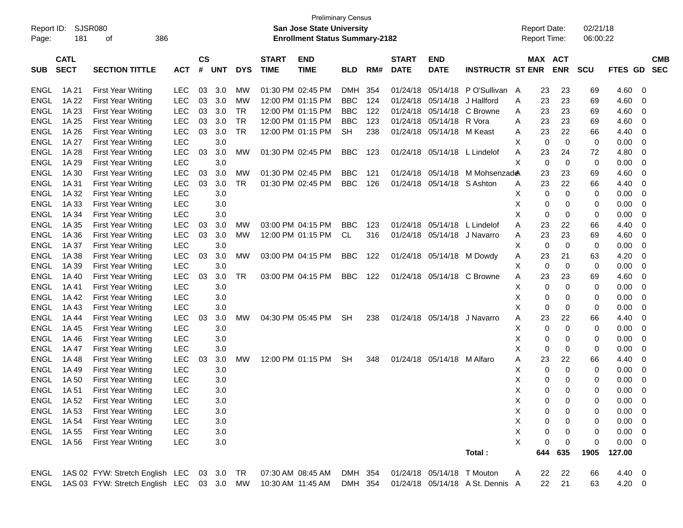| Report ID:<br>Page: | SJSR080<br>181             | 386<br>οf                                 |            |                    |            |            |                             | <b>Preliminary Census</b><br><b>San Jose State University</b><br><b>Enrollment Status Summary-2182</b> |            |     |                             |                            |                                  | <b>Report Date:</b> |     | <b>Report Time:</b>   | 02/21/18<br>06:00:22 |            |                          |
|---------------------|----------------------------|-------------------------------------------|------------|--------------------|------------|------------|-----------------------------|--------------------------------------------------------------------------------------------------------|------------|-----|-----------------------------|----------------------------|----------------------------------|---------------------|-----|-----------------------|----------------------|------------|--------------------------|
| <b>SUB</b>          | <b>CATL</b><br><b>SECT</b> | <b>SECTION TITTLE</b>                     | <b>ACT</b> | $\mathsf{cs}$<br># | <b>UNT</b> | <b>DYS</b> | <b>START</b><br><b>TIME</b> | <b>END</b><br><b>TIME</b>                                                                              | <b>BLD</b> | RM# | <b>START</b><br><b>DATE</b> | <b>END</b><br><b>DATE</b>  | <b>INSTRUCTR ST ENR</b>          |                     |     | MAX ACT<br><b>ENR</b> | <b>SCU</b>           | FTES GD    | <b>CMB</b><br><b>SEC</b> |
| <b>ENGL</b>         | 1A 21                      | <b>First Year Writing</b>                 | <b>LEC</b> | 03                 | 3.0        | МW         |                             | 01:30 PM 02:45 PM                                                                                      | <b>DMH</b> | 354 | 01/24/18                    | 05/14/18                   | P O'Sullivan A                   |                     | 23  | 23                    | 69                   | 4.60       | -0                       |
| <b>ENGL</b>         | 1A 22                      | <b>First Year Writing</b>                 | LEC        | 03                 | 3.0        | МW         |                             | 12:00 PM 01:15 PM                                                                                      | <b>BBC</b> | 124 | 01/24/18                    | 05/14/18                   | J Hallford                       | A                   | 23  | 23                    | 69                   | 4.60       | 0                        |
| <b>ENGL</b>         | 1A 23                      | <b>First Year Writing</b>                 | <b>LEC</b> | 03                 | 3.0        | <b>TR</b>  |                             | 12:00 PM 01:15 PM                                                                                      | <b>BBC</b> | 122 | 01/24/18                    | 05/14/18                   | C Browne                         | Α                   | 23  | 23                    | 69                   | 4.60       | 0                        |
| <b>ENGL</b>         | 1A 25                      | <b>First Year Writing</b>                 | LEC        | 03                 | 3.0        | <b>TR</b>  |                             | 12:00 PM 01:15 PM                                                                                      | <b>BBC</b> | 123 | 01/24/18                    | 05/14/18                   | R Vora                           | A                   | 23  | 23                    | 69                   | 4.60       | 0                        |
| <b>ENGL</b>         | 1A 26                      | <b>First Year Writing</b>                 | <b>LEC</b> | 03                 | 3.0        | <b>TR</b>  |                             | 12:00 PM 01:15 PM                                                                                      | <b>SH</b>  | 238 | 01/24/18                    | 05/14/18                   | M Keast                          | A                   | 23  | 22                    | 66                   | 4.40       | 0                        |
| <b>ENGL</b>         | 1A 27                      | <b>First Year Writing</b>                 | LEC        |                    | 3.0        |            |                             |                                                                                                        |            |     |                             |                            |                                  | X                   | 0   | $\mathbf 0$           | 0                    | 0.00       | 0                        |
| <b>ENGL</b>         | 1A 28                      | <b>First Year Writing</b>                 | <b>LEC</b> | 03                 | 3.0        | <b>MW</b>  |                             | 01:30 PM 02:45 PM                                                                                      | <b>BBC</b> | 123 | 01/24/18                    | 05/14/18                   | L Lindelof                       | Α                   | 23  | 24                    | 72                   | 4.80       | 0                        |
| <b>ENGL</b>         | 1A 29                      | First Year Writing                        | LEC        |                    | 3.0        |            |                             |                                                                                                        |            |     |                             |                            |                                  | X                   | 0   | $\mathbf 0$           | 0                    | 0.00       | 0                        |
| <b>ENGL</b>         | 1A 30                      | <b>First Year Writing</b>                 | LEC        | 03                 | 3.0        | МW         | 01:30 PM 02:45 PM           |                                                                                                        | <b>BBC</b> | 121 | 01/24/18                    | 05/14/18                   | M Mohsenzad <del>@</del>         |                     | 23  | 23                    | 69                   | 4.60       | 0                        |
| <b>ENGL</b>         | 1A 31                      | <b>First Year Writing</b>                 | <b>LEC</b> | 03                 | 3.0        | <b>TR</b>  |                             | 01:30 PM 02:45 PM                                                                                      | <b>BBC</b> | 126 | 01/24/18                    | 05/14/18 S Ashton          |                                  | A                   | 23  | 22                    | 66                   | 4.40       | 0                        |
| <b>ENGL</b>         | 1A 32                      | <b>First Year Writing</b>                 | <b>LEC</b> |                    | 3.0        |            |                             |                                                                                                        |            |     |                             |                            |                                  | X                   | 0   | $\mathbf 0$           | 0                    | 0.00       | 0                        |
| <b>ENGL</b>         | 1A 33                      | <b>First Year Writing</b>                 | <b>LEC</b> |                    | 3.0        |            |                             |                                                                                                        |            |     |                             |                            |                                  | X                   | 0   | 0                     | 0                    | 0.00       | 0                        |
| <b>ENGL</b>         | 1A 34                      | <b>First Year Writing</b>                 | LEC        |                    | 3.0        |            |                             |                                                                                                        |            |     |                             |                            |                                  | X                   | 0   | 0                     | 0                    | 0.00       | 0                        |
| <b>ENGL</b>         | 1A 35                      | <b>First Year Writing</b>                 | <b>LEC</b> | 03                 | 3.0        | МW         |                             | 03:00 PM 04:15 PM                                                                                      | <b>BBC</b> | 123 | 01/24/18                    | 05/14/18                   | L Lindelof                       | Α                   | 23  | 22                    | 66                   | 4.40       | 0                        |
| <b>ENGL</b>         | 1A 36                      | <b>First Year Writing</b>                 | LEC        | 03                 | 3.0        | <b>MW</b>  |                             | 12:00 PM 01:15 PM                                                                                      | <b>CL</b>  | 316 | 01/24/18                    |                            | 05/14/18 J Navarro               | A                   | 23  | 23                    | 69                   | 4.60       | 0                        |
| <b>ENGL</b>         | 1A 37                      | <b>First Year Writing</b>                 | <b>LEC</b> |                    | 3.0        |            |                             |                                                                                                        |            |     |                             |                            |                                  | X                   | 0   | 0                     | 0                    | 0.00       | 0                        |
| <b>ENGL</b>         | 1A 38                      | <b>First Year Writing</b>                 | <b>LEC</b> | 03                 | 3.0        | МW         |                             | 03:00 PM 04:15 PM                                                                                      | <b>BBC</b> | 122 |                             | 01/24/18 05/14/18          | M Dowdy                          | Α                   | 23  | 21                    | 63                   | 4.20       | 0                        |
| <b>ENGL</b>         | 1A 39                      | <b>First Year Writing</b>                 | LEC        |                    | 3.0        |            |                             |                                                                                                        |            |     |                             |                            |                                  | X                   | 0   | $\mathbf 0$           | 0                    | 0.00       | 0                        |
| <b>ENGL</b>         | 1A 40                      | <b>First Year Writing</b>                 | <b>LEC</b> | 03                 | 3.0        | <b>TR</b>  |                             | 03:00 PM 04:15 PM                                                                                      | <b>BBC</b> | 122 | 01/24/18                    | 05/14/18                   | C Browne                         | A                   | 23  | 23                    | 69                   | 4.60       | 0                        |
| <b>ENGL</b>         | 1A41                       | <b>First Year Writing</b>                 | LEC        |                    | 3.0        |            |                             |                                                                                                        |            |     |                             |                            |                                  | X                   | 0   | $\mathbf 0$           | 0                    | 0.00       | 0                        |
| <b>ENGL</b>         | 1A 42                      | <b>First Year Writing</b>                 | <b>LEC</b> |                    | 3.0        |            |                             |                                                                                                        |            |     |                             |                            |                                  | X                   | 0   | 0                     | 0                    | 0.00       | 0                        |
| <b>ENGL</b>         | 1A43                       | <b>First Year Writing</b>                 | LEC        |                    | 3.0        |            |                             |                                                                                                        |            |     |                             |                            |                                  | X                   | 0   | 0                     | 0                    | 0.00       | 0                        |
| <b>ENGL</b>         | 1A 44                      | <b>First Year Writing</b>                 | <b>LEC</b> | 03                 | 3.0        | МW         |                             | 04:30 PM 05:45 PM                                                                                      | <b>SH</b>  | 238 | 01/24/18                    | 05/14/18                   | J Navarro                        | Α                   | 23  | 22                    | 66                   | 4.40       | 0                        |
| <b>ENGL</b>         | 1A 45                      | <b>First Year Writing</b>                 | LEC        |                    | 3.0        |            |                             |                                                                                                        |            |     |                             |                            |                                  | X                   | 0   | $\mathbf 0$           | 0                    | 0.00       | 0                        |
| <b>ENGL</b>         | 1A46                       | <b>First Year Writing</b>                 | LEC        |                    | 3.0        |            |                             |                                                                                                        |            |     |                             |                            |                                  | X                   | 0   | 0                     | 0                    | 0.00       | 0                        |
| <b>ENGL</b>         | 1A 47                      | <b>First Year Writing</b>                 | LEC        |                    | 3.0        |            |                             |                                                                                                        |            |     |                             |                            |                                  | X                   | 0   | 0                     | 0                    | 0.00       | 0                        |
| <b>ENGL</b>         | 1A48                       | <b>First Year Writing</b>                 | LEC        | 03                 | 3.0        | МW         |                             | 12:00 PM 01:15 PM                                                                                      | <b>SH</b>  | 348 | 01/24/18                    | 05/14/18                   | M Alfaro                         | Α                   | 23  | 22                    | 66                   | 4.40       | 0                        |
| <b>ENGL</b>         | 1A 49                      | <b>First Year Writing</b>                 | <b>LEC</b> |                    | 3.0        |            |                             |                                                                                                        |            |     |                             |                            |                                  | X                   | 0   | 0                     | 0                    | 0.00       | 0                        |
| <b>ENGL</b>         | 1A 50                      | <b>First Year Writing</b>                 | <b>LEC</b> |                    | 3.0        |            |                             |                                                                                                        |            |     |                             |                            |                                  | X                   | 0   | 0                     | 0                    | 0.00       | 0                        |
| <b>ENGL</b>         | 1A 51                      | <b>First Year Writing</b>                 | <b>LEC</b> |                    | 3.0        |            |                             |                                                                                                        |            |     |                             |                            |                                  | X                   | 0   | $\Omega$              | 0                    | 0.00       | 0                        |
| ENGL                | 1A 52                      | <b>First Year Writing</b>                 | <b>LEC</b> |                    | 3.0        |            |                             |                                                                                                        |            |     |                             |                            |                                  | X                   | 0   | 0                     | 0                    | 0.00       | $\overline{0}$           |
| ENGL                | 1A 53                      | <b>First Year Writing</b>                 | LEC        |                    | 3.0        |            |                             |                                                                                                        |            |     |                             |                            |                                  | X                   | 0   | 0                     | 0                    | 0.00       | - 0                      |
| ENGL                | 1A 54                      | <b>First Year Writing</b>                 | <b>LEC</b> |                    | 3.0        |            |                             |                                                                                                        |            |     |                             |                            |                                  | X                   | 0   | 0                     | 0                    | 0.00       | - 0                      |
| ENGL                | 1A 55                      | <b>First Year Writing</b>                 | <b>LEC</b> |                    | $3.0\,$    |            |                             |                                                                                                        |            |     |                             |                            |                                  | X                   | 0   | 0                     | 0                    | 0.00       | - 0                      |
| <b>ENGL</b>         | 1A 56                      | <b>First Year Writing</b>                 | <b>LEC</b> |                    | $3.0\,$    |            |                             |                                                                                                        |            |     |                             |                            |                                  | X                   | 0   | 0                     | 0                    | 0.00       | - 0                      |
|                     |                            |                                           |            |                    |            |            |                             |                                                                                                        |            |     |                             |                            | Total:                           |                     | 644 | 635                   | 1905                 | 127.00     |                          |
| ENGL                |                            | 1AS 02 FYW: Stretch English LEC           |            |                    | 03 3.0     | TR         | 07:30 AM 08:45 AM           |                                                                                                        | DMH 354    |     |                             | 01/24/18 05/14/18 T Mouton |                                  | A                   | 22  | 22                    | 66                   | 4.40 0     |                          |
| ENGL                |                            | 1AS 03 FYW: Stretch English LEC 03 3.0 MW |            |                    |            |            | 10:30 AM 11:45 AM           |                                                                                                        | DMH 354    |     |                             |                            | 01/24/18 05/14/18 A St. Dennis A |                     | 22  | 21                    | 63                   | $4.20 \ 0$ |                          |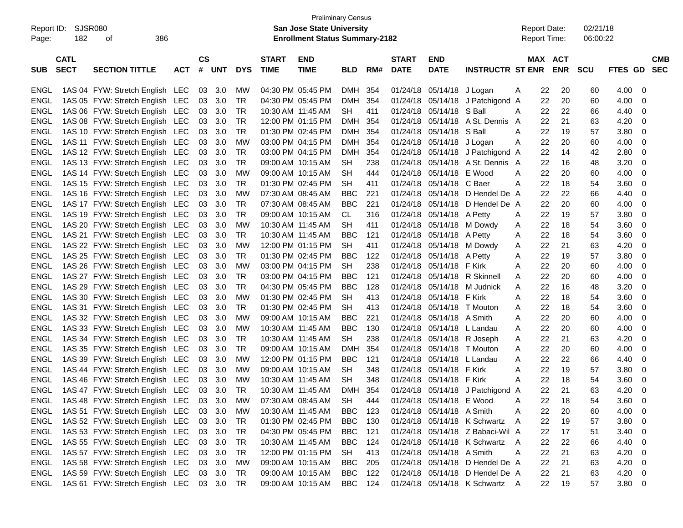|                     |                |                                        |            |           |            |            |                   | <b>Preliminary Census</b>                                                 |            |     |              |                           |                                  |                                            |    |                |                      |         |            |
|---------------------|----------------|----------------------------------------|------------|-----------|------------|------------|-------------------|---------------------------------------------------------------------------|------------|-----|--------------|---------------------------|----------------------------------|--------------------------------------------|----|----------------|----------------------|---------|------------|
| Report ID:<br>Page: | SJSR080<br>182 | 386<br>οf                              |            |           |            |            |                   | <b>San Jose State University</b><br><b>Enrollment Status Summary-2182</b> |            |     |              |                           |                                  | <b>Report Date:</b><br><b>Report Time:</b> |    |                | 02/21/18<br>06:00:22 |         |            |
|                     |                |                                        |            |           |            |            |                   |                                                                           |            |     |              |                           |                                  |                                            |    |                |                      |         |            |
|                     | <b>CATL</b>    |                                        |            | <b>CS</b> |            |            | <b>START</b>      | <b>END</b>                                                                |            |     | <b>START</b> | <b>END</b>                |                                  |                                            |    | <b>MAX ACT</b> |                      |         | <b>CMB</b> |
| <b>SUB</b>          | <b>SECT</b>    | <b>SECTION TITTLE</b>                  | <b>ACT</b> | #         | <b>UNT</b> | <b>DYS</b> | <b>TIME</b>       | <b>TIME</b>                                                               | <b>BLD</b> | RM# | <b>DATE</b>  | <b>DATE</b>               | <b>INSTRUCTR ST ENR</b>          |                                            |    | <b>ENR</b>     | SCU                  | FTES GD | <b>SEC</b> |
| ENGL                |                | 1AS 04 FYW: Stretch English LEC        |            | 03        | - 3.0      | МW         |                   | 04:30 PM 05:45 PM                                                         | DMH        | 354 | 01/24/18     | 05/14/18                  | J Logan                          | Α                                          | 22 | 20             | 60                   | 4.00    | -0         |
| <b>ENGL</b>         |                | 1AS 05 FYW: Stretch English LEC        |            | 03        | 3.0        | TR         | 04:30 PM 05:45 PM |                                                                           | DMH        | 354 | 01/24/18     | 05/14/18                  | J Patchigond A                   |                                            | 22 | 20             | 60                   | 4.00    | 0          |
| ENGL                |                | 1AS 06 FYW: Stretch English LEC        |            | 03        | 3.0        | TR         | 10:30 AM 11:45 AM |                                                                           | <b>SH</b>  | 411 | 01/24/18     | 05/14/18                  | S Ball                           | Α                                          | 22 | 22             | 66                   | 4.40    | 0          |
| <b>ENGL</b>         |                | 1AS 08 FYW: Stretch English LEC        |            | 03        | 3.0        | TR         |                   | 12:00 PM 01:15 PM                                                         | <b>DMH</b> | 354 | 01/24/18     | 05/14/18                  | A St. Dennis                     | A                                          | 22 | 21             | 63                   | 4.20    | 0          |
| <b>ENGL</b>         |                | 1AS 10 FYW: Stretch English LEC        |            | 03        | 3.0        | TR         | 01:30 PM 02:45 PM |                                                                           | DMH        | 354 | 01/24/18     | 05/14/18                  | S Ball                           | Α                                          | 22 | 19             | 57                   | 3.80    | 0          |
| <b>ENGL</b>         |                | 1AS 11 FYW: Stretch English LEC        |            | 03        | 3.0        | <b>MW</b>  | 03:00 PM 04:15 PM |                                                                           | DMH        | 354 | 01/24/18     | 05/14/18                  | J Logan                          | Α                                          | 22 | 20             | 60                   | 4.00    | 0          |
| <b>ENGL</b>         |                | 1AS 12 FYW: Stretch English LEC        |            | 03        | 3.0        | TR         |                   | 03:00 PM 04:15 PM                                                         | <b>DMH</b> | 354 | 01/24/18     | 05/14/18                  | J Patchigond A                   |                                            | 22 | 14             | 42                   | 2.80    | 0          |
| <b>ENGL</b>         |                | 1AS 13 FYW: Stretch English LEC        |            | 03        | 3.0        | TR         |                   | 09:00 AM 10:15 AM                                                         | <b>SH</b>  | 238 | 01/24/18     |                           | 05/14/18 A St. Dennis A          |                                            | 22 | 16             | 48                   | 3.20    | 0          |
| <b>ENGL</b>         |                | 1AS 14 FYW: Stretch English LEC        |            | 03        | 3.0        | <b>MW</b>  |                   | 09:00 AM 10:15 AM                                                         | <b>SH</b>  | 444 | 01/24/18     | 05/14/18                  | E Wood                           | Α                                          | 22 | 20             | 60                   | 4.00    | 0          |
| <b>ENGL</b>         |                | 1AS 15 FYW: Stretch English LEC        |            | 03        | 3.0        | TR         |                   | 01:30 PM 02:45 PM                                                         | <b>SH</b>  | 411 | 01/24/18     | 05/14/18                  | C Baer                           | Α                                          | 22 | 18             | 54                   | 3.60    | 0          |
| <b>ENGL</b>         |                | 1AS 16 FYW: Stretch English LEC        |            | 03        | 3.0        | <b>MW</b>  |                   | 07:30 AM 08:45 AM                                                         | <b>BBC</b> | 221 | 01/24/18     | 05/14/18                  | D Hendel De A                    |                                            | 22 | 22             | 66                   | 4.40    | 0          |
| <b>ENGL</b>         |                | 1AS 17 FYW: Stretch English LEC        |            | 03        | 3.0        | TR         |                   | 07:30 AM 08:45 AM                                                         | <b>BBC</b> | 221 | 01/24/18     | 05/14/18                  | D Hendel De A                    |                                            | 22 | 20             | 60                   | 4.00    | 0          |
| <b>ENGL</b>         |                | 1AS 19 FYW: Stretch English LEC        |            | 03        | 3.0        | TR         |                   | 09:00 AM 10:15 AM                                                         | CL.        | 316 | 01/24/18     | 05/14/18 A Petty          |                                  | Α                                          | 22 | 19             | 57                   | 3.80    | 0          |
| <b>ENGL</b>         |                | 1AS 20 FYW: Stretch English LEC        |            | 03        | 3.0        | <b>MW</b>  | 10:30 AM 11:45 AM |                                                                           | <b>SH</b>  | 411 | 01/24/18     | 05/14/18                  | M Dowdy                          | Α                                          | 22 | 18             | 54                   | 3.60    | 0          |
| <b>ENGL</b>         |                | 1AS 21 FYW: Stretch English LEC        |            | 03        | 3.0        | TR         |                   | 10:30 AM 11:45 AM                                                         | <b>BBC</b> | 121 | 01/24/18     | 05/14/18 A Petty          |                                  | Α                                          | 22 | 18             | 54                   | 3.60    | 0          |
| ENGL                |                | 1AS 22 FYW: Stretch English LEC        |            | 03        | 3.0        | <b>MW</b>  |                   | 12:00 PM 01:15 PM                                                         | <b>SH</b>  | 411 | 01/24/18     | 05/14/18                  | M Dowdy                          | Α                                          | 22 | 21             | 63                   | 4.20    | 0          |
| <b>ENGL</b>         |                | 1AS 25 FYW: Stretch English LEC        |            | 03        | 3.0        | TR         | 01:30 PM 02:45 PM |                                                                           | <b>BBC</b> | 122 | 01/24/18     | 05/14/18                  | A Petty                          | Α                                          | 22 | 19             | 57                   | 3.80    | 0          |
| <b>ENGL</b>         |                | 1AS 26 FYW: Stretch English LEC        |            | 03        | 3.0        | <b>MW</b>  |                   | 03:00 PM 04:15 PM                                                         | <b>SH</b>  | 238 | 01/24/18     | 05/14/18                  | F Kirk                           | Α                                          | 22 | 20             | 60                   | 4.00    | 0          |
| <b>ENGL</b>         |                | 1AS 27 FYW: Stretch English LEC        |            | 03        | 3.0        | TR         |                   | 03:00 PM 04:15 PM                                                         | <b>BBC</b> | 121 | 01/24/18     | 05/14/18                  | <b>R</b> Skinnell                | Α                                          | 22 | 20             | 60                   | 4.00    | 0          |
| <b>ENGL</b>         |                | 1AS 29 FYW: Stretch English LEC        |            | 03        | 3.0        | TR         |                   | 04:30 PM 05:45 PM                                                         | <b>BBC</b> | 128 | 01/24/18     | 05/14/18                  | M Judnick                        | Α                                          | 22 | 16             | 48                   | 3.20    | 0          |
| <b>ENGL</b>         |                | 1AS 30 FYW: Stretch English LEC        |            | 03        | 3.0        | <b>MW</b>  |                   | 01:30 PM 02:45 PM                                                         | <b>SH</b>  | 413 | 01/24/18     | 05/14/18                  | F Kirk                           | Α                                          | 22 | 18             | 54                   | 3.60    | 0          |
| <b>ENGL</b>         |                | 1AS 31 FYW: Stretch English LEC        |            | 03        | 3.0        | TR         |                   | 01:30 PM 02:45 PM                                                         | <b>SH</b>  | 413 | 01/24/18     | 05/14/18                  | T Mouton                         | Α                                          | 22 | 18             | 54                   | 3.60    | 0          |
| <b>ENGL</b>         |                | 1AS 32 FYW: Stretch English LEC        |            | 03        | 3.0        | <b>MW</b>  |                   | 09:00 AM 10:15 AM                                                         | <b>BBC</b> | 221 | 01/24/18     | 05/14/18                  | A Smith                          | Α                                          | 22 | 20             | 60                   | 4.00    | 0          |
| <b>ENGL</b>         |                | 1AS 33 FYW: Stretch English LEC        |            | 03        | 3.0        | <b>MW</b>  | 10:30 AM 11:45 AM |                                                                           | <b>BBC</b> | 130 | 01/24/18     | 05/14/18                  | L Landau                         | Α                                          | 22 | 20             | 60                   | 4.00    | 0          |
| <b>ENGL</b>         |                | 1AS 34 FYW: Stretch English LEC        |            | 03        | 3.0        | TR         | 10:30 AM 11:45 AM |                                                                           | <b>SH</b>  | 238 | 01/24/18     | 05/14/18                  | R Joseph                         | Α                                          | 22 | 21             | 63                   | 4.20    | 0          |
| ENGL                |                | 1AS 35 FYW: Stretch English LEC        |            | 03        | 3.0        | TR         | 09:00 AM 10:15 AM |                                                                           | <b>DMH</b> | 354 | 01/24/18     | 05/14/18                  | T Mouton                         | Α                                          | 22 | 20             | 60                   | 4.00    | 0          |
| ENGL                |                | 1AS 39 FYW: Stretch English LEC        |            | 03        | 3.0        | <b>MW</b>  |                   | 12:00 PM 01:15 PM                                                         | <b>BBC</b> | 121 | 01/24/18     | 05/14/18                  | L Landau                         | Α                                          | 22 | 22             | 66                   | 4.40    | 0          |
| ENGL                |                | 1AS 44 FYW: Stretch English LEC        |            | 03        | 3.0        | МW         |                   | 09:00 AM 10:15 AM                                                         | <b>SH</b>  | 348 | 01/24/18     | 05/14/18                  | F Kirk                           | Α                                          | 22 | 19             | 57                   | 3.80    | 0          |
| ENGL                |                | 1AS 46 FYW: Stretch English LEC        |            | 03        | 3.0        | <b>MW</b>  | 10:30 AM 11:45 AM |                                                                           | <b>SH</b>  | 348 | 01/24/18     | 05/14/18                  | F Kirk                           | Α                                          | 22 | 18             | 54                   | 3.60    | 0          |
| <b>ENGL</b>         |                | 1AS 47 FYW: Stretch English LEC        |            |           | 03 3.0     | TR         | 10:30 AM 11:45 AM |                                                                           | DMH        | 354 |              |                           | 01/24/18 05/14/18 J Patchigond A |                                            | 22 | 21             | 63                   | 4.20    | 0          |
| ${\sf ENGL}$        |                | 1AS 48 FYW: Stretch English LEC 03 3.0 |            |           |            | <b>MW</b>  |                   | 07:30 AM 08:45 AM                                                         | SH         | 444 |              | 01/24/18 05/14/18         | E Wood                           | A                                          | 22 | 18             | 54                   | 3.60    | 0          |
| ENGL                |                | 1AS 51 FYW: Stretch English LEC        |            |           | 03 3.0     | МW         |                   | 10:30 AM 11:45 AM                                                         | <b>BBC</b> | 123 |              | 01/24/18 05/14/18 A Smith |                                  | Α                                          | 22 | 20             | 60                   | 4.00    | 0          |
| ENGL                |                | 1AS 52 FYW: Stretch English LEC        |            |           | 03 3.0     | TR         |                   | 01:30 PM 02:45 PM                                                         | BBC        | 130 |              |                           | 01/24/18 05/14/18 K Schwartz     | Α                                          | 22 | 19             | 57                   | 3.80    | 0          |
| ENGL                |                | 1AS 53 FYW: Stretch English LEC        |            |           | 03 3.0     | TR         |                   | 04:30 PM 05:45 PM                                                         | BBC        | 121 |              |                           | 01/24/18 05/14/18 Z Babaci-Wil A |                                            | 22 | 17             | 51                   | 3.40    | 0          |
| ENGL                |                | 1AS 55 FYW: Stretch English LEC        |            |           | 03 3.0     | TR         |                   | 10:30 AM 11:45 AM                                                         | <b>BBC</b> | 124 |              |                           | 01/24/18 05/14/18 K Schwartz A   |                                            | 22 | 22             | 66                   | 4.40    | 0          |
| ENGL                |                | 1AS 57 FYW: Stretch English LEC        |            |           | 03 3.0     | TR         |                   | 12:00 PM 01:15 PM                                                         | SH         | 413 |              | 01/24/18 05/14/18 A Smith |                                  | Α                                          | 22 | 21             | 63                   | 4.20    | 0          |
| ENGL                |                | 1AS 58 FYW: Stretch English LEC        |            |           | 03 3.0     | MW         |                   | 09:00 AM 10:15 AM                                                         | BBC        | 205 |              |                           | 01/24/18 05/14/18 D Hendel De A  |                                            | 22 | 21             | 63                   | 4.20    | 0          |
| ENGL                |                | 1AS 59 FYW: Stretch English LEC        |            |           | 03 3.0     | TR         |                   | 09:00 AM 10:15 AM                                                         | BBC        | 122 |              |                           | 01/24/18 05/14/18 D Hendel De A  |                                            | 22 | 21             | 63                   | 4.20    | 0          |
| ENGL                |                | 1AS 61 FYW: Stretch English LEC 03 3.0 |            |           |            | TR         |                   | 09:00 AM 10:15 AM                                                         | BBC 124    |     |              |                           | 01/24/18 05/14/18 K Schwartz A   |                                            | 22 | 19             | 57                   | 3.80 0  |            |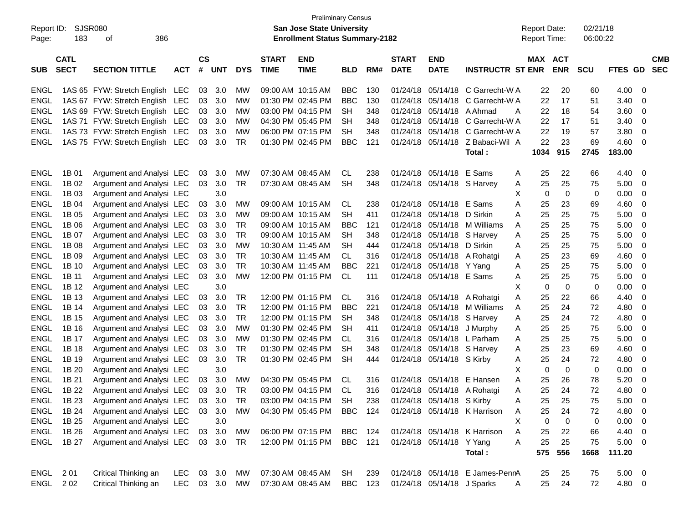| <b>Preliminary Census</b><br><b>SJSR080</b><br><b>San Jose State University</b><br><b>Report Date:</b><br>02/21/18<br>Report ID: |             |                                 |            |               |            |            |                   |                                       |            |     |              |                             |                                 |   |                     |             |            |             |                         |
|----------------------------------------------------------------------------------------------------------------------------------|-------------|---------------------------------|------------|---------------|------------|------------|-------------------|---------------------------------------|------------|-----|--------------|-----------------------------|---------------------------------|---|---------------------|-------------|------------|-------------|-------------------------|
|                                                                                                                                  |             |                                 |            |               |            |            |                   |                                       |            |     |              |                             |                                 |   |                     |             |            |             |                         |
| Page:                                                                                                                            | 183         | 386<br>οf                       |            |               |            |            |                   | <b>Enrollment Status Summary-2182</b> |            |     |              |                             |                                 |   | <b>Report Time:</b> |             | 06:00:22   |             |                         |
|                                                                                                                                  |             |                                 |            |               |            |            |                   |                                       |            |     |              |                             |                                 |   |                     |             |            |             |                         |
|                                                                                                                                  | <b>CATL</b> |                                 |            | $\mathsf{cs}$ |            |            | <b>START</b>      | <b>END</b>                            |            |     | <b>START</b> | <b>END</b>                  |                                 |   | MAX                 | <b>ACT</b>  |            |             | <b>CMB</b>              |
| <b>SUB</b>                                                                                                                       | <b>SECT</b> | <b>SECTION TITTLE</b>           | АСТ        | #             | <b>UNT</b> | <b>DYS</b> | <b>TIME</b>       | <b>TIME</b>                           | <b>BLD</b> | RM# | <b>DATE</b>  | <b>DATE</b>                 | <b>INSTRUCTR ST ENR</b>         |   |                     | <b>ENR</b>  | <b>SCU</b> | FTES GD     | <b>SEC</b>              |
| ENGL                                                                                                                             |             | 1AS 65 FYW: Stretch English LEC |            | 03            | 3.0        | МW         | 09:00 AM 10:15 AM |                                       | <b>BBC</b> | 130 | 01/24/18     | 05/14/18                    | C Garrecht-W A                  |   | 22                  | 20          | 60         | 4.00        | $\mathbf 0$             |
| <b>ENGL</b>                                                                                                                      |             | 1AS 67 FYW: Stretch English LEC |            | 03            | 3.0        | МW         | 01:30 PM 02:45 PM |                                       | <b>BBC</b> | 130 | 01/24/18     |                             | 05/14/18 C Garrecht-W A         |   | 22                  | 17          | 51         | 3.40        | 0                       |
| <b>ENGL</b>                                                                                                                      |             | 1AS 69 FYW: Stretch English LEC |            | 03            | 3.0        | МW         |                   | 03:00 PM 04:15 PM                     | <b>SH</b>  | 348 | 01/24/18     | 05/14/18 A Ahmad            |                                 | A | 22                  | 18          | 54         | 3.60        | 0                       |
| <b>ENGL</b>                                                                                                                      |             | 1AS 71 FYW: Stretch English LEC |            | 03            | 3.0        | МW         | 04:30 PM 05:45 PM |                                       | <b>SH</b>  | 348 | 01/24/18     |                             | 05/14/18 C Garrecht-W A         |   | 22                  | 17          | 51         | 3.40        | 0                       |
| <b>ENGL</b>                                                                                                                      |             | 1AS 73 FYW: Stretch English LEC |            | 03            | 3.0        | МW         |                   | 06:00 PM 07:15 PM                     | <b>SH</b>  | 348 | 01/24/18     |                             | 05/14/18 C Garrecht-W A         |   | 22                  | 19          | 57         | 3.80        | 0                       |
|                                                                                                                                  |             |                                 |            |               |            |            |                   |                                       |            |     |              |                             |                                 |   | 22                  |             |            |             |                         |
| <b>ENGL</b>                                                                                                                      |             | 1AS 75 FYW: Stretch English LEC |            | 03            | 3.0        | TR.        | 01:30 PM 02:45 PM |                                       | BBC        | 121 | 01/24/18     |                             | 05/14/18 Z Babaci-Wil A         |   |                     | 23          | 69         | 4.60        | $\overline{0}$          |
|                                                                                                                                  |             |                                 |            |               |            |            |                   |                                       |            |     |              |                             | Total:                          |   | 1034                | 915         | 2745       | 183.00      |                         |
| ENGL                                                                                                                             | 1B 01       | Argument and Analysi LEC        |            | 03            | 3.0        | МW         | 07:30 AM 08:45 AM |                                       | <b>CL</b>  | 238 | 01/24/18     | 05/14/18                    | E Sams                          | A | 25                  | 22          | 66         | 4.40        | 0                       |
| <b>ENGL</b>                                                                                                                      | 1B 02       | Argument and Analysi LEC        |            | 03            | 3.0        | TR         |                   | 07:30 AM 08:45 AM                     | <b>SH</b>  | 348 |              | 01/24/18 05/14/18 S Harvey  |                                 | A | 25                  | 25          | 75         | 5.00        | 0                       |
| <b>ENGL</b>                                                                                                                      | 1B 03       | Argument and Analysi LEC        |            |               | 3.0        |            |                   |                                       |            |     |              |                             |                                 | Х | 0                   | $\mathbf 0$ | 0          | 0.00        | $\overline{0}$          |
| <b>ENGL</b>                                                                                                                      | 1B 04       | Argument and Analysi LEC        |            | 03            | 3.0        | МW         | 09:00 AM 10:15 AM |                                       | CL         | 238 |              | 01/24/18 05/14/18 E Sams    |                                 | Α | 25                  | 23          | 69         | 4.60        | 0                       |
| <b>ENGL</b>                                                                                                                      | 1B 05       | Argument and Analysi LEC        |            | 03            | 3.0        | МW         | 09:00 AM 10:15 AM |                                       | <b>SH</b>  | 411 |              | 01/24/18 05/14/18 D Sirkin  |                                 | Α | 25                  | 25          | 75         | 5.00        | 0                       |
| <b>ENGL</b>                                                                                                                      | 1B 06       | Argument and Analysi LEC        |            | 03            | 3.0        | TR         | 09:00 AM 10:15 AM |                                       | <b>BBC</b> | 121 | 01/24/18     | 05/14/18                    | M Williams                      | A | 25                  | 25          | 75         | 5.00        | 0                       |
| <b>ENGL</b>                                                                                                                      | 1B 07       | Argument and Analysi LEC        |            | 03            | 3.0        | <b>TR</b>  | 09:00 AM 10:15 AM |                                       | <b>SH</b>  | 348 |              | 01/24/18 05/14/18 S Harvey  |                                 | Α | 25                  | 25          | 75         | 5.00        | 0                       |
| <b>ENGL</b>                                                                                                                      | 1B 08       | Argument and Analysi LEC        |            | 03            | 3.0        | МW         | 10:30 AM 11:45 AM |                                       | <b>SH</b>  | 444 | 01/24/18     | 05/14/18 D Sirkin           |                                 | Α | 25                  | 25          | 75         | 5.00        | 0                       |
| <b>ENGL</b>                                                                                                                      | 1B 09       | Argument and Analysi LEC        |            | 03            | 3.0        | TR         | 10:30 AM 11:45 AM |                                       | CL         | 316 | 01/24/18     |                             | 05/14/18 A Rohatgi              | Α | 25                  | 23          | 69         | 4.60        | 0                       |
| <b>ENGL</b>                                                                                                                      | 1B 10       | Argument and Analysi LEC        |            | 03            | 3.0        | <b>TR</b>  | 10:30 AM 11:45 AM |                                       | BBC        | 221 |              | 01/24/18 05/14/18 Y Yang    |                                 | Α | 25                  | 25          | 75         | 5.00        | 0                       |
| <b>ENGL</b>                                                                                                                      | 1B 11       | Argument and Analysi LEC        |            | 03            | 3.0        | МW         |                   | 12:00 PM 01:15 PM                     | CL         | 111 |              | 01/24/18 05/14/18 E Sams    |                                 | A | 25                  | 25          | 75         | 5.00        | 0                       |
| <b>ENGL</b>                                                                                                                      | 1B 12       | Argument and Analysi LEC        |            |               | 3.0        |            |                   |                                       |            |     |              |                             |                                 | X | 0                   | $\mathbf 0$ | 0          | 0.00        | 0                       |
| <b>ENGL</b>                                                                                                                      | 1B 13       | Argument and Analysi LEC        |            | 03            | 3.0        | TR         |                   | 12:00 PM 01:15 PM                     | CL         | 316 |              | 01/24/18 05/14/18 A Rohatgi |                                 | Α | 25                  | 22          | 66         | 4.40        | 0                       |
| <b>ENGL</b>                                                                                                                      | 1B 14       | Argument and Analysi LEC        |            | 03            | 3.0        | TR         |                   | 12:00 PM 01:15 PM                     | <b>BBC</b> | 221 |              |                             | 01/24/18 05/14/18 M Williams    | A | 25                  | 24          | 72         | 4.80        | 0                       |
| <b>ENGL</b>                                                                                                                      | 1B 15       | Argument and Analysi LEC        |            | 03            | 3.0        | <b>TR</b>  |                   | 12:00 PM 01:15 PM                     | <b>SH</b>  | 348 |              | 01/24/18 05/14/18 S Harvey  |                                 | Α | 25                  | 24          | 72         | 4.80        | 0                       |
| <b>ENGL</b>                                                                                                                      | 1B 16       | Argument and Analysi LEC        |            | 03            | 3.0        | МW         | 01:30 PM 02:45 PM |                                       | <b>SH</b>  | 411 |              | 01/24/18 05/14/18 J Murphy  |                                 | Α | 25                  | 25          | 75         | 5.00        | $\overline{0}$          |
| <b>ENGL</b>                                                                                                                      | 1B 17       | Argument and Analysi LEC        |            | 03            | 3.0        | МW         | 01:30 PM 02:45 PM |                                       | CL         | 316 | 01/24/18     | 05/14/18 L Parham           |                                 | A | 25                  | 25          | 75         | 5.00        | 0                       |
| <b>ENGL</b>                                                                                                                      | 1B 18       | Argument and Analysi LEC        |            | 03            | 3.0        | TR.        | 01:30 PM 02:45 PM |                                       | <b>SH</b>  | 348 |              | 01/24/18 05/14/18 S Harvey  |                                 | Α | 25                  | 23          | 69         | 4.60        | 0                       |
| <b>ENGL</b>                                                                                                                      | 1B 19       | Argument and Analysi LEC        |            | 03            | 3.0        | <b>TR</b>  |                   | 01:30 PM 02:45 PM                     | <b>SH</b>  | 444 |              | 01/24/18 05/14/18 S Kirby   |                                 | A | 25                  | 24          | 72         | 4.80        | 0                       |
| <b>ENGL</b>                                                                                                                      | 1B 20       | Argument and Analysi LEC        |            |               | 3.0        |            |                   |                                       |            |     |              |                             |                                 | Х | $\mathbf 0$         | $\mathbf 0$ | 0          | 0.00        | 0                       |
| <b>ENGL</b>                                                                                                                      | 1B 21       | Argument and Analysi LEC        |            | 03            | 3.0        | МW         | 04:30 PM 05:45 PM |                                       | CL.        | 316 | 01/24/18     |                             | 05/14/18 E Hansen               | A | 25                  | 26          | 78         | 5.20        | 0                       |
| <b>ENGL</b>                                                                                                                      | 1B 22       | Argument and Analysi LEC        |            |               | 03 3.0     | TR         |                   | 03:00 PM 04:15 PM                     | <b>CL</b>  | 316 |              |                             | 01/24/18 05/14/18 A Rohatgi     | Α | 25                  | 24          | 72         | 4.80        | 0                       |
| ENGL                                                                                                                             | 1B 23       | Argument and Analysi LEC 03 3.0 |            |               |            | TR         |                   | 03:00 PM 04:15 PM SH                  |            | 238 |              | 01/24/18 05/14/18 S Kirby   |                                 | Α | 25                  | 25          | 75         | 5.00        | $\mathbf 0$             |
|                                                                                                                                  | ENGL 1B 24  | Argument and Analysi LEC 03 3.0 |            |               |            | MW         |                   | 04:30 PM 05:45 PM BBC 124             |            |     |              |                             | 01/24/18 05/14/18 K Harrison    | A | 25                  | 24          | 72         | 4.80        | $\overline{0}$          |
|                                                                                                                                  | ENGL 1B 25  | Argument and Analysi LEC        |            |               | 3.0        |            |                   |                                       |            |     |              |                             |                                 | X | $\mathbf 0$         | $\mathbf 0$ | 0          | 0.00        | $\overline{0}$          |
|                                                                                                                                  | ENGL 1B 26  | Argument and Analysi LEC 03 3.0 |            |               |            | MW         |                   | 06:00 PM 07:15 PM BBC 124             |            |     |              |                             | 01/24/18 05/14/18 K Harrison    | Α | 25                  | 22          | 66         | 4.40        | $\overline{0}$          |
|                                                                                                                                  | ENGL 1B 27  | Argument and Analysi LEC 03 3.0 |            |               |            | TR         |                   | 12:00 PM 01:15 PM                     | BBC 121    |     |              | 01/24/18 05/14/18 Y Yang    |                                 | A | 25                  | 25          | 75         | 5.00        | $\overline{\mathbf{0}}$ |
|                                                                                                                                  |             |                                 |            |               |            |            |                   |                                       |            |     |              |                             |                                 |   |                     |             |            |             |                         |
|                                                                                                                                  |             |                                 |            |               |            |            |                   |                                       |            |     |              |                             | Total:                          |   | 575                 | 556         | 1668       | 111.20      |                         |
| ENGL 201                                                                                                                         |             | Critical Thinking an            | LEC 03 3.0 |               |            | MW         |                   | 07:30 AM 08:45 AM SH                  |            | 239 |              |                             | 01/24/18 05/14/18 E James-PennA |   | 25                  | 25          | 75         | $5.00 \t 0$ |                         |
| ENGL 202                                                                                                                         |             | Critical Thinking an            | LEC 03 3.0 |               |            | MW         |                   | 07:30 AM 08:45 AM                     | BBC 123    |     |              | 01/24/18 05/14/18 J Sparks  |                                 | Α | 25                  | 24          | 72         | 4.80 0      |                         |
|                                                                                                                                  |             |                                 |            |               |            |            |                   |                                       |            |     |              |                             |                                 |   |                     |             |            |             |                         |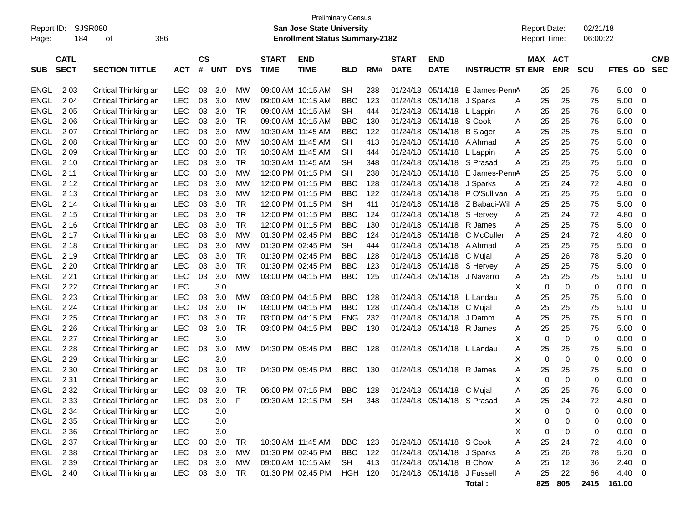| Report ID:<br>Page: | 184                        | SJSR080<br>386<br>οf  |            |                    |            |             |                             | <b>Preliminary Census</b><br><b>San Jose State University</b><br><b>Enrollment Status Summary-2182</b> |                |     |                             |                             |                         | <b>Report Date:</b><br>Report Time: |                              | 02/21/18<br>06:00:22 |                |                          |
|---------------------|----------------------------|-----------------------|------------|--------------------|------------|-------------|-----------------------------|--------------------------------------------------------------------------------------------------------|----------------|-----|-----------------------------|-----------------------------|-------------------------|-------------------------------------|------------------------------|----------------------|----------------|--------------------------|
| <b>SUB</b>          | <b>CATL</b><br><b>SECT</b> | <b>SECTION TITTLE</b> | <b>ACT</b> | $\mathsf{cs}$<br># | <b>UNT</b> | <b>DYS</b>  | <b>START</b><br><b>TIME</b> | <b>END</b><br><b>TIME</b>                                                                              | <b>BLD</b>     | RM# | <b>START</b><br><b>DATE</b> | <b>END</b><br><b>DATE</b>   | <b>INSTRUCTR ST ENR</b> |                                     | <b>MAX ACT</b><br><b>ENR</b> | <b>SCU</b>           | <b>FTES GD</b> | <b>CMB</b><br><b>SEC</b> |
| ENGL                | 2 0 3                      | Critical Thinking an  | <b>LEC</b> | 03                 | 3.0        | MW          |                             | 09:00 AM 10:15 AM                                                                                      | <b>SH</b>      | 238 | 01/24/18                    | 05/14/18                    | E James-PennA           | 25                                  | 25                           | 75                   | 5.00           | 0                        |
| <b>ENGL</b>         | 204                        | Critical Thinking an  | <b>LEC</b> | 03                 | 3.0        | MW          |                             | 09:00 AM 10:15 AM                                                                                      | <b>BBC</b>     | 123 | 01/24/18                    | 05/14/18                    | J Sparks                | 25<br>A                             | 25                           | 75                   | 5.00           | 0                        |
| <b>ENGL</b>         | 2 0 5                      | Critical Thinking an  | <b>LEC</b> | 03                 | 3.0        | TR          |                             | 09:00 AM 10:15 AM                                                                                      | <b>SH</b>      | 444 | 01/24/18                    | 05/14/18                    | L Lappin                | 25<br>A                             | 25                           | 75                   | 5.00           | 0                        |
| <b>ENGL</b>         | 2 0 6                      | Critical Thinking an  | LEC        | 03                 | 3.0        | TR          |                             | 09:00 AM 10:15 AM                                                                                      | BBC            | 130 | 01/24/18                    | 05/14/18                    | S Cook                  | 25<br>A                             | 25                           | 75                   | 5.00           | 0                        |
| <b>ENGL</b>         | 207                        | Critical Thinking an  | LEC        | 03                 | 3.0        | <b>MW</b>   |                             | 10:30 AM 11:45 AM                                                                                      | <b>BBC</b>     | 122 | 01/24/18                    | 05/14/18                    | <b>B</b> Slager         | 25<br>A                             | 25                           | 75                   | 5.00           | 0                        |
| <b>ENGL</b>         | 2 0 8                      | Critical Thinking an  | LEC        | 03                 | 3.0        | <b>MW</b>   |                             | 10:30 AM 11:45 AM                                                                                      | SН             | 413 | 01/24/18                    | 05/14/18                    | A Ahmad                 | 25<br>A                             | 25                           | 75                   | 5.00           | 0                        |
| <b>ENGL</b>         | 209                        | Critical Thinking an  | LEC        | 03                 | 3.0        | TR          |                             | 10:30 AM 11:45 AM                                                                                      | SН             | 444 | 01/24/18                    | 05/14/18                    | L Lappin                | 25<br>A                             | 25                           | 75                   | 5.00           | 0                        |
| <b>ENGL</b>         | 2 1 0                      | Critical Thinking an  | LEC        | 03                 | 3.0        | TR          |                             | 10:30 AM 11:45 AM                                                                                      | SН             | 348 | 01/24/18                    | 05/14/18                    | S Prasad                | 25<br>A                             | 25                           | 75                   | 5.00           | 0                        |
| <b>ENGL</b>         | 2 11                       | Critical Thinking an  | LEC        | 03                 | 3.0        | <b>MW</b>   |                             | 12:00 PM 01:15 PM                                                                                      | SН             | 238 | 01/24/18                    | 05/14/18                    | E James-PennA           | 25                                  | 25                           | 75                   | 5.00           | 0                        |
| <b>ENGL</b>         | 2 1 2                      | Critical Thinking an  | LEC        | 03                 | 3.0        | <b>MW</b>   |                             | 12:00 PM 01:15 PM                                                                                      | <b>BBC</b>     | 128 | 01/24/18                    | 05/14/18                    | J Sparks                | 25<br>Α                             | 24                           | 72                   | 4.80           | 0                        |
| <b>ENGL</b>         | 2 1 3                      | Critical Thinking an  | LEC        | 03                 | 3.0        | <b>MW</b>   |                             | 12:00 PM 01:15 PM                                                                                      | BBC            | 122 | 01/24/18                    | 05/14/18                    | PO'Sullivan A           | 25                                  | 25                           | 75                   | 5.00           | 0                        |
| <b>ENGL</b>         | 2 14                       | Critical Thinking an  | LEC        | 03                 | 3.0        | TR          |                             | 12:00 PM 01:15 PM                                                                                      | <b>SH</b>      | 411 | 01/24/18                    | 05/14/18                    | Z Babaci-Wil A          | 25                                  | 25                           | 75                   | 5.00           | 0                        |
| <b>ENGL</b>         | 2 1 5                      | Critical Thinking an  | <b>LEC</b> | 03                 | 3.0        | TR          |                             | 12:00 PM 01:15 PM                                                                                      | <b>BBC</b>     | 124 | 01/24/18                    | 05/14/18                    | S Hervey                | 25<br>A                             | 24                           | 72                   | 4.80           | 0                        |
| <b>ENGL</b>         | 2 1 6                      | Critical Thinking an  | <b>LEC</b> | 03                 | 3.0        | TR          |                             | 12:00 PM 01:15 PM                                                                                      | BBC            | 130 | 01/24/18                    | 05/14/18                    | R James                 | 25<br>A                             | 25                           | 75                   | 5.00           | 0                        |
| <b>ENGL</b>         | 2 1 7                      | Critical Thinking an  | LEC        | 03                 | 3.0        | <b>MW</b>   | 01:30 PM 02:45 PM           |                                                                                                        | BBC            | 124 | 01/24/18                    | 05/14/18                    | C McCullen              | 25<br>A                             | 24                           | 72                   | 4.80           | 0                        |
| <b>ENGL</b>         | 2 1 8                      | Critical Thinking an  | LEC        | 03                 | 3.0        | <b>MW</b>   |                             | 01:30 PM 02:45 PM                                                                                      | <b>SH</b>      | 444 | 01/24/18                    | 05/14/18                    | A Ahmad                 | 25<br>A                             | 25                           | 75                   | 5.00           | 0                        |
| <b>ENGL</b>         | 2 1 9                      | Critical Thinking an  | <b>LEC</b> | 03                 | 3.0        | TR          |                             | 01:30 PM 02:45 PM                                                                                      | <b>BBC</b>     | 128 | 01/24/18                    | 05/14/18                    | C Mujal                 | 25<br>A                             | 26                           | 78                   | 5.20           | 0                        |
| <b>ENGL</b>         | 2 2 0                      | Critical Thinking an  | LEC        | 03                 | 3.0        | TR          |                             | 01:30 PM 02:45 PM                                                                                      | <b>BBC</b>     | 123 | 01/24/18                    | 05/14/18                    | S Hervey                | 25<br>A                             | 25                           | 75                   | 5.00           | 0                        |
| <b>ENGL</b>         | 2 2 1                      | Critical Thinking an  | <b>LEC</b> | 03                 | 3.0        | <b>MW</b>   |                             | 03:00 PM 04:15 PM                                                                                      | <b>BBC</b>     | 125 | 01/24/18                    | 05/14/18                    | J Navarro               | 25<br>A                             | 25                           | 75                   | 5.00           | 0                        |
| <b>ENGL</b>         | 2 2 2                      | Critical Thinking an  | <b>LEC</b> |                    | 3.0        |             |                             |                                                                                                        |                |     |                             |                             |                         | х<br>0                              | 0                            | 0                    | 0.00           | 0                        |
| <b>ENGL</b>         | 2 2 3                      | Critical Thinking an  | <b>LEC</b> | 03                 | 3.0        | MW          | 03:00 PM 04:15 PM           |                                                                                                        | <b>BBC</b>     | 128 | 01/24/18                    | 05/14/18                    | L Landau                | 25<br>A                             | 25                           | 75                   | 5.00           | 0                        |
| <b>ENGL</b>         | 2 2 4                      | Critical Thinking an  | LEC        | 03                 | 3.0        | TR          | 03:00 PM 04:15 PM           |                                                                                                        | <b>BBC</b>     | 128 | 01/24/18                    | 05/14/18                    | C Mujal                 | 25<br>A                             | 25                           | 75                   | 5.00           | 0                        |
| <b>ENGL</b>         | 2 2 5                      | Critical Thinking an  | <b>LEC</b> | 03                 | 3.0        | TR          |                             | 03:00 PM 04:15 PM                                                                                      | <b>ENG</b>     | 232 | 01/24/18                    | 05/14/18                    | J Damm                  | 25<br>Α                             | 25                           | 75                   | 5.00           | 0                        |
| <b>ENGL</b>         | 2 2 6                      | Critical Thinking an  | <b>LEC</b> | 03                 | 3.0        | <b>TR</b>   |                             | 03:00 PM 04:15 PM                                                                                      | <b>BBC</b>     | 130 | 01/24/18                    | 05/14/18 R James            |                         | 25<br>A                             | 25                           | 75                   | 5.00           | 0                        |
| <b>ENGL</b>         | 2 2 7                      | Critical Thinking an  | <b>LEC</b> |                    | 3.0        |             |                             |                                                                                                        |                |     |                             |                             |                         | 0<br>X                              | 0                            | 0                    | 0.00           | 0                        |
| <b>ENGL</b>         | 2 2 8                      | Critical Thinking an  | <b>LEC</b> | 03                 | 3.0        | <b>MW</b>   |                             | 04:30 PM 05:45 PM                                                                                      | <b>BBC</b>     | 128 | 01/24/18                    | 05/14/18 L Landau           |                         | 25<br>A                             | 25                           | 75                   | 5.00           | 0                        |
| <b>ENGL</b>         | 2 2 9                      | Critical Thinking an  | <b>LEC</b> |                    | 3.0        |             |                             |                                                                                                        |                |     |                             |                             |                         | 0<br>Х                              | 0                            | 0                    | 0.00           | 0                        |
| <b>ENGL</b>         | 2 3 0                      | Critical Thinking an  | LEC        | 03                 | 3.0        | TR          |                             | 04:30 PM 05:45 PM                                                                                      | <b>BBC</b>     | 130 |                             | 01/24/18 05/14/18 R James   |                         | 25<br>A                             | 25                           | 75                   | 5.00           | 0                        |
| <b>ENGL</b>         | 2 3 1                      | Critical Thinking an  | <b>LEC</b> |                    | 3.0        |             |                             |                                                                                                        |                |     |                             |                             |                         | х<br>0                              | $\mathbf 0$                  | 0                    | 0.00           | 0                        |
| ENGL                | 2 3 2                      | Critical Thinking an  | <b>LEC</b> | 03                 | 3.0        | TR          |                             | 06:00 PM 07:15 PM                                                                                      | <b>BBC</b>     | 128 |                             | 01/24/18 05/14/18 C Mujal   |                         | 25<br>Α                             | 25                           | 75                   | 5.00           | 0                        |
| ENGL 233            |                            | Critical Thinking an  | LEC        | 03                 | 3.0        | $\mathsf F$ |                             | 09:30 AM 12:15 PM                                                                                      | SH             | 348 |                             | 01/24/18 05/14/18 S Prasad  |                         | 25<br>A                             | 24                           | 72                   | 4.80           | $\mathbf 0$              |
| ENGL                | 2 3 4                      | Critical Thinking an  | <b>LEC</b> |                    | 3.0        |             |                             |                                                                                                        |                |     |                             |                             |                         | Х<br>0                              | 0                            | 0                    | 0.00           | 0                        |
| <b>ENGL</b>         | 2 3 5                      | Critical Thinking an  | <b>LEC</b> |                    | 3.0        |             |                             |                                                                                                        |                |     |                             |                             |                         | Х<br>0                              | 0                            | 0                    | 0.00           | 0                        |
| <b>ENGL</b>         | 2 3 6                      | Critical Thinking an  | <b>LEC</b> |                    | 3.0        |             |                             |                                                                                                        |                |     |                             |                             |                         | 0<br>Х                              | 0                            | 0                    | 0.00           | 0                        |
| <b>ENGL</b>         | 2 3 7                      | Critical Thinking an  | LEC        | 03                 | 3.0        | <b>TR</b>   |                             | 10:30 AM 11:45 AM                                                                                      | BBC            | 123 |                             | 01/24/18 05/14/18 S Cook    |                         | Α<br>25                             | 24                           | 72                   | 4.80           | 0                        |
| <b>ENGL</b>         | 2 3 8                      | Critical Thinking an  | <b>LEC</b> | 03                 | 3.0        | <b>MW</b>   |                             | 01:30 PM 02:45 PM                                                                                      | <b>BBC</b>     | 122 |                             | 01/24/18 05/14/18 J Sparks  |                         | 25<br>A                             | 26                           | 78                   | 5.20           | 0                        |
| <b>ENGL</b>         | 2 3 9                      | Critical Thinking an  | <b>LEC</b> |                    | 03 3.0     | MW          |                             | 09:00 AM 10:15 AM                                                                                      | SH             | 413 |                             | 01/24/18 05/14/18 B Chow    |                         | 25<br>A                             | 12                           | 36                   | 2.40           | 0                        |
| <b>ENGL</b>         | 240                        | Critical Thinking an  | <b>LEC</b> |                    | 03 3.0     | TR          |                             | 01:30 PM 02:45 PM                                                                                      | <b>HGH 120</b> |     |                             | 01/24/18 05/14/18 J Fussell |                         | 25<br>A                             | 22                           | 66                   | 4.40           | 0                        |
|                     |                            |                       |            |                    |            |             |                             |                                                                                                        |                |     |                             |                             | Total:                  | 825                                 | 805                          | 2415                 | 161.00         |                          |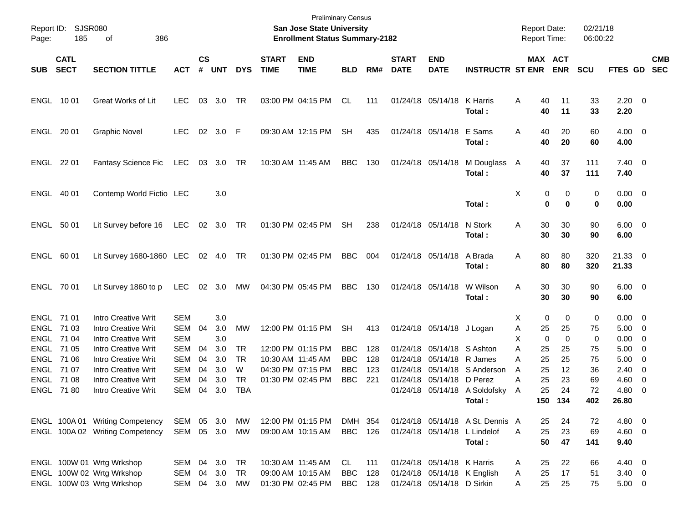| Page:      | Report ID: SJSR080<br>185  | 386<br>οf                       |            |                    |             |            |                             | <b>Preliminary Census</b><br>San Jose State University<br><b>Enrollment Status Summary-2182</b> |            |     |                             |                            |                                  | <b>Report Date:</b><br>Report Time: |                         | 02/21/18<br>06:00:22 |                        |                          |                          |
|------------|----------------------------|---------------------------------|------------|--------------------|-------------|------------|-----------------------------|-------------------------------------------------------------------------------------------------|------------|-----|-----------------------------|----------------------------|----------------------------------|-------------------------------------|-------------------------|----------------------|------------------------|--------------------------|--------------------------|
| <b>SUB</b> | <b>CATL</b><br><b>SECT</b> | <b>SECTION TITTLE</b>           | <b>ACT</b> | $\mathsf{cs}$<br># | <b>UNT</b>  | <b>DYS</b> | <b>START</b><br><b>TIME</b> | <b>END</b><br><b>TIME</b>                                                                       | <b>BLD</b> | RM# | <b>START</b><br><b>DATE</b> | <b>END</b><br><b>DATE</b>  | <b>INSTRUCTR ST ENR</b>          |                                     | MAX ACT<br><b>ENR</b>   | <b>SCU</b>           | <b>FTES GD</b>         |                          | <b>CMB</b><br><b>SEC</b> |
|            | ENGL 1001                  | <b>Great Works of Lit</b>       | <b>LEC</b> | 03                 | 3.0         | TR         |                             | 03:00 PM 04:15 PM                                                                               | CL         | 111 |                             | 01/24/18 05/14/18          | K Harris<br>Total:               | A<br>40<br>40                       | 11<br>11                | 33<br>33             | $2.20 \t 0$<br>2.20    |                          |                          |
|            | ENGL 20 01                 | <b>Graphic Novel</b>            | <b>LEC</b> |                    | 02 3.0 F    |            |                             | 09:30 AM 12:15 PM                                                                               | <b>SH</b>  | 435 |                             | 01/24/18 05/14/18          | E Sams<br>Total:                 | Α<br>40<br>40                       | 20<br>20                | 60<br>60             | $4.00 \ 0$<br>4.00     |                          |                          |
|            | ENGL 22 01                 | <b>Fantasy Science Fic</b>      | LEC        |                    | 03 3.0 TR   |            |                             | 10:30 AM 11:45 AM                                                                               | BBC        | 130 |                             | 01/24/18 05/14/18          | M Douglass A<br>Total:           | 40<br>40                            | 37<br>37                | 111<br>111           | $7.40 \quad 0$<br>7.40 |                          |                          |
|            | ENGL 40 01                 | Contemp World Fictio LEC        |            |                    | 3.0         |            |                             |                                                                                                 |            |     |                             |                            | Total:                           | Χ                                   | 0<br>0<br>0<br>$\bf{0}$ | 0<br>0               | $0.00 \t 0$<br>0.00    |                          |                          |
|            | ENGL 50 01                 | Lit Survey before 16            | LEC        |                    | 02 3.0 TR   |            |                             | 01:30 PM 02:45 PM                                                                               | <b>SH</b>  | 238 |                             | 01/24/18 05/14/18          | N Stork<br>Total:                | Α<br>30<br>30                       | 30<br>30                | 90<br>90             | $6.00 \quad 0$<br>6.00 |                          |                          |
|            | ENGL 60 01                 | Lit Survey 1680-1860 LEC        |            |                    | 02  4.0  TR |            |                             | 01:30 PM 02:45 PM                                                                               | BBC        | 004 |                             | 01/24/18 05/14/18          | A Brada<br>Total:                | Α<br>80<br>80                       | 80<br>80                | 320<br>320           | $21.33$ 0<br>21.33     |                          |                          |
|            | ENGL 70 01                 | Lit Survey 1860 to p            | <b>LEC</b> |                    | 02 3.0      | МW         |                             | 04:30 PM 05:45 PM                                                                               | BBC        | 130 |                             | 01/24/18 05/14/18          | W Wilson<br>Total:               | Α<br>30<br>30                       | 30<br>30                | 90<br>90             | $6.00 \quad 0$<br>6.00 |                          |                          |
|            | ENGL 71 01                 | Intro Creative Writ             | SEM        |                    | 3.0         |            |                             |                                                                                                 |            |     |                             |                            |                                  | 0<br>X.                             | 0                       | 0                    | $0.00 \ 0$             |                          |                          |
|            | ENGL 71 03                 | <b>Intro Creative Writ</b>      | <b>SEM</b> | 04                 | 3.0         | MW         |                             | 12:00 PM 01:15 PM                                                                               | <b>SH</b>  | 413 |                             | 01/24/18 05/14/18 J Logan  |                                  | Α<br>25                             | 25                      | 75                   | $5.00 \quad 0$         |                          |                          |
|            | ENGL 7104                  | <b>Intro Creative Writ</b>      | <b>SEM</b> |                    | 3.0         |            |                             |                                                                                                 |            |     |                             |                            |                                  | $\mathbf 0$<br>х                    | $\mathbf 0$             | 0                    | 0.00                   | $\overline{\mathbf{0}}$  |                          |
|            | ENGL 7105                  | <b>Intro Creative Writ</b>      | <b>SEM</b> | 04                 | 3.0         | TR         |                             | 12:00 PM 01:15 PM                                                                               | BBC        | 128 |                             | 01/24/18 05/14/18          | S Ashton                         | Α<br>25                             | 25                      | 75                   | 5.00                   | $\overline{\phantom{0}}$ |                          |
|            | ENGL 71 06                 | <b>Intro Creative Writ</b>      | <b>SEM</b> | 04                 | 3.0         | TR.        |                             | 10:30 AM 11:45 AM                                                                               | <b>BBC</b> | 128 |                             | 01/24/18 05/14/18          | R James                          | 25<br>А                             | 25                      | 75                   | 5.00                   | $\overline{\mathbf{0}}$  |                          |
|            | ENGL 7107                  | <b>Intro Creative Writ</b>      | <b>SEM</b> | 04                 | 3.0         | W          |                             | 04:30 PM 07:15 PM                                                                               | <b>BBC</b> | 123 |                             | 01/24/18 05/14/18          | S Anderson                       | 25<br>Α                             | 12                      | 36                   | 2.40                   | $\overline{\mathbf{0}}$  |                          |
|            | ENGL 7108                  | <b>Intro Creative Writ</b>      | SEM        | 04                 | 3.0         | <b>TR</b>  |                             | 01:30 PM 02:45 PM                                                                               | <b>BBC</b> | 221 | 01/24/18                    | 05/14/18                   | D Perez                          | 25<br>А                             | 23                      | 69                   | 4.60                   | - 0                      |                          |
|            | <b>ENGL 7180</b>           | <b>Intro Creative Writ</b>      | <b>SEM</b> | 04                 | 3.0         | TBA        |                             |                                                                                                 |            |     |                             |                            | 01/24/18 05/14/18 A Soldofsky    | 25<br>A                             | 24                      | 72                   | 4.80                   | - 0                      |                          |
|            |                            |                                 |            |                    |             |            |                             |                                                                                                 |            |     |                             |                            | Total:                           |                                     | 150 134                 | 402                  | 26.80                  |                          |                          |
|            |                            | ENGL 100A 01 Writing Competency | SEM        |                    | 05 3.0      | МW         |                             | 12:00 PM 01:15 PM                                                                               | DMH 354    |     |                             |                            | 01/24/18 05/14/18 A St. Dennis A | 25                                  | 24                      | 72                   | 4.80 0                 |                          |                          |
|            |                            | ENGL 100A 02 Writing Competency | SEM        |                    | 05 3.0      | МW         |                             | 09:00 AM 10:15 AM                                                                               | BBC        | 126 |                             | 01/24/18 05/14/18          | L Lindelof                       | 25<br>A                             | 23                      | 69                   | $4.60$ 0               |                          |                          |
|            |                            |                                 |            |                    |             |            |                             |                                                                                                 |            |     |                             |                            | Total:                           | 50                                  | 47                      | 141                  | 9.40                   |                          |                          |
|            |                            | ENGL 100W 01 Wrtg Wrkshop       | SEM        | 04                 | 3.0         | TR         |                             | 10:30 AM 11:45 AM                                                                               | CL         | 111 |                             | 01/24/18 05/14/18 K Harris |                                  | 25<br>Α                             | 22                      | 66                   | 4.40 0                 |                          |                          |
|            |                            | ENGL 100W 02 Wrtg Wrkshop       | SEM        | 04                 | 3.0         | TR         |                             | 09:00 AM 10:15 AM                                                                               | <b>BBC</b> | 128 |                             |                            | 01/24/18 05/14/18 K English      | 25<br>A                             | 17                      | 51                   | $3.40 \ 0$             |                          |                          |
|            |                            | ENGL 100W 03 Wrtg Wrkshop       | SEM        |                    | 04 3.0 MW   |            |                             | 01:30 PM 02:45 PM                                                                               | BBC        | 128 |                             | 01/24/18 05/14/18 D Sirkin |                                  | 25<br>Α                             | 25                      | 75                   | $5.00 \t 0$            |                          |                          |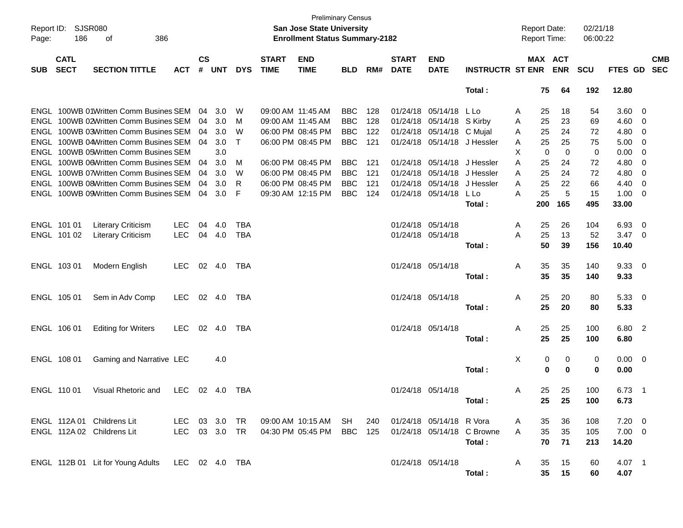| Page:      | Report ID: SJSR080<br>186  | 386<br>οf                                                                      |                |                             |                |               |                                        | <b>Preliminary Census</b><br><b>San Jose State University</b><br><b>Enrollment Status Summary-2182</b> |                          |            |                               |                           |                            | <b>Report Date:</b><br><b>Report Time:</b> |          |                       | 02/21/18<br>06:00:22 |              |                                |                          |
|------------|----------------------------|--------------------------------------------------------------------------------|----------------|-----------------------------|----------------|---------------|----------------------------------------|--------------------------------------------------------------------------------------------------------|--------------------------|------------|-------------------------------|---------------------------|----------------------------|--------------------------------------------|----------|-----------------------|----------------------|--------------|--------------------------------|--------------------------|
| <b>SUB</b> | <b>CATL</b><br><b>SECT</b> | <b>SECTION TITTLE</b>                                                          | <b>ACT</b>     | $\mathsf{cs}$<br>$\pmb{\#}$ | <b>UNT</b>     | <b>DYS</b>    | <b>START</b><br><b>TIME</b>            | <b>END</b><br><b>TIME</b>                                                                              | <b>BLD</b>               | RM#        | <b>START</b><br><b>DATE</b>   | <b>END</b><br><b>DATE</b> | <b>INSTRUCTR ST ENR</b>    |                                            |          | MAX ACT<br><b>ENR</b> | <b>SCU</b>           | FTES GD      |                                | <b>CMB</b><br><b>SEC</b> |
|            |                            |                                                                                |                |                             |                |               |                                        |                                                                                                        |                          |            |                               |                           | Total:                     |                                            | 75       | 64                    | 192                  | 12.80        |                                |                          |
|            |                            | ENGL 100WB 01Written Comm Busines SEM<br>ENGL 100WB 02Written Comm Busines SEM |                | 04<br>04                    | 3.0<br>3.0     | W<br>M        | 09:00 AM 11:45 AM<br>09:00 AM 11:45 AM |                                                                                                        | <b>BBC</b><br><b>BBC</b> | 128<br>128 | 01/24/18 05/14/18<br>01/24/18 | 05/14/18 S Kirby          | L Lo                       | Α<br>Α                                     | 25<br>25 | 18<br>23              | 54<br>69             | 3.60<br>4.60 | $\overline{\mathbf{0}}$<br>- 0 |                          |
|            |                            | ENGL 100WB 03Written Comm Busines SEM                                          |                | 04                          | 3.0            | W             |                                        | 06:00 PM 08:45 PM                                                                                      | <b>BBC</b>               | 122        | 01/24/18                      | 05/14/18 C Mujal          |                            | A                                          | 25       | 24                    | 72                   | 4.80         | - 0                            |                          |
|            |                            | ENGL 100WB 04Written Comm Busines SEM                                          |                | 04                          | 3.0            | Т             |                                        | 06:00 PM 08:45 PM                                                                                      | <b>BBC</b>               | 121        | 01/24/18                      | 05/14/18 J Hessler        |                            | A                                          | 25       | 25                    | 75                   | 5.00         | - 0                            |                          |
|            |                            | ENGL 100WB 05Written Comm Busines SEM                                          |                |                             | 3.0            |               |                                        |                                                                                                        |                          |            |                               |                           |                            | х                                          | 0        | 0                     | 0                    | 0.00         | 0                              |                          |
|            |                            | ENGL 100WB 06Written Comm Busines SEM                                          |                | 04                          | 3.0            | м             |                                        | 06:00 PM 08:45 PM                                                                                      | <b>BBC</b>               | 121        | 01/24/18                      | 05/14/18                  | J Hessler                  | A                                          | 25       | 24                    | 72                   | 4.80         | 0                              |                          |
|            |                            | ENGL 100WB 07Written Comm Busines SEM                                          |                | 04                          | 3.0            | W             |                                        | 06:00 PM 08:45 PM                                                                                      | <b>BBC</b>               | 121        | 01/24/18                      | 05/14/18                  | J Hessler                  | A                                          | 25       | 24                    | 72                   | 4.80         | 0                              |                          |
|            |                            | ENGL 100WB 08Written Comm Busines SEM                                          |                | 04                          | 3.0            | R             |                                        | 06:00 PM 08:45 PM                                                                                      | <b>BBC</b>               | 121        | 01/24/18                      | 05/14/18                  | J Hessler                  | A                                          | 25       | 22                    | 66                   | 4.40         | 0                              |                          |
|            |                            | ENGL 100WB 09Written Comm Busines SEM                                          |                | 04                          | 3.0            | F             |                                        | 09:30 AM 12:15 PM                                                                                      | <b>BBC</b>               | 124        | 01/24/18                      | 05/14/18                  | L Lo                       | A                                          | 25       | 5                     | 15                   | 1.00         | 0                              |                          |
|            |                            |                                                                                |                |                             |                |               |                                        |                                                                                                        |                          |            |                               |                           | Total :                    |                                            | 200      | 165                   | 495                  | 33.00        |                                |                          |
|            |                            |                                                                                |                |                             |                |               |                                        |                                                                                                        |                          |            |                               |                           |                            |                                            |          |                       |                      |              |                                |                          |
|            | ENGL 101 01                | <b>Literary Criticism</b>                                                      | <b>LEC</b>     | 04                          | 4.0            | <b>TBA</b>    |                                        |                                                                                                        |                          |            | 01/24/18 05/14/18             |                           |                            | A                                          | 25       | 26                    | 104                  | 6.93         | - 0                            |                          |
|            | ENGL 101 02                | <b>Literary Criticism</b>                                                      | <b>LEC</b>     |                             | 04 4.0         | <b>TBA</b>    |                                        |                                                                                                        |                          |            | 01/24/18 05/14/18             |                           |                            | A                                          | 25       | 13                    | 52                   | 3.47         | - 0                            |                          |
|            |                            |                                                                                |                |                             |                |               |                                        |                                                                                                        |                          |            |                               |                           | Total:                     |                                            | 50       | 39                    | 156                  | 10.40        |                                |                          |
|            |                            |                                                                                |                |                             |                |               |                                        |                                                                                                        |                          |            |                               |                           |                            |                                            |          |                       |                      |              |                                |                          |
|            | ENGL 103 01                | Modern English                                                                 | <b>LEC</b>     |                             | 02 4.0         | TBA           |                                        |                                                                                                        |                          |            | 01/24/18 05/14/18             |                           |                            | A                                          | 35<br>35 | 35<br>35              | 140                  | 9.3300       |                                |                          |
|            |                            |                                                                                |                |                             |                |               |                                        |                                                                                                        |                          |            |                               |                           | Total :                    |                                            |          |                       | 140                  | 9.33         |                                |                          |
|            | ENGL 105 01                | Sem in Adv Comp                                                                | <b>LEC</b>     |                             | 02 4.0         | TBA           |                                        |                                                                                                        |                          |            | 01/24/18 05/14/18             |                           |                            | A                                          | 25       | 20                    | 80                   | $5.33\ 0$    |                                |                          |
|            |                            |                                                                                |                |                             |                |               |                                        |                                                                                                        |                          |            |                               |                           | Total :                    |                                            | 25       | 20                    | 80                   | 5.33         |                                |                          |
|            |                            |                                                                                |                |                             |                |               |                                        |                                                                                                        |                          |            |                               |                           |                            |                                            |          |                       |                      |              |                                |                          |
|            | ENGL 106 01                | <b>Editing for Writers</b>                                                     | LEC.           |                             | $02 \quad 4.0$ | TBA           |                                        |                                                                                                        |                          |            | 01/24/18 05/14/18             |                           |                            | A                                          | 25       | 25                    | 100                  | 6.80 2       |                                |                          |
|            |                            |                                                                                |                |                             |                |               |                                        |                                                                                                        |                          |            |                               |                           | Total :                    |                                            | 25       | 25                    | 100                  | 6.80         |                                |                          |
|            |                            |                                                                                |                |                             |                |               |                                        |                                                                                                        |                          |            |                               |                           |                            |                                            |          |                       |                      |              |                                |                          |
|            | ENGL 108 01                | Gaming and Narrative LEC                                                       |                |                             | 4.0            |               |                                        |                                                                                                        |                          |            |                               |                           |                            | Χ                                          | 0        | 0                     | 0                    | $0.00 \t 0$  |                                |                          |
|            |                            |                                                                                |                |                             |                |               |                                        |                                                                                                        |                          |            |                               |                           | Total:                     |                                            | 0        | 0                     | 0                    | 0.00         |                                |                          |
|            |                            |                                                                                |                |                             |                |               |                                        |                                                                                                        |                          |            |                               |                           |                            |                                            |          |                       |                      |              |                                |                          |
|            | ENGL 110 01                | Visual Rhetoric and                                                            | LEC.           |                             | $02 \quad 4.0$ | TBA           |                                        |                                                                                                        |                          |            | 01/24/18 05/14/18             |                           |                            | A                                          | 25<br>25 | 25<br>25              | 100                  | 6.73         | $\overline{1}$                 |                          |
|            |                            |                                                                                |                |                             |                |               |                                        |                                                                                                        |                          |            |                               |                           | Total :                    |                                            |          |                       | 100                  | 6.73         |                                |                          |
|            |                            | ENGL 112A 01 Childrens Lit                                                     |                |                             |                | LEC 03 3.0 TR |                                        | 09:00 AM_10:15 AM__SH                                                                                  |                          | 240        |                               | 01/24/18 05/14/18 R Vora  |                            | A                                          | 35       | 36                    | 108                  | $7.20 \t 0$  |                                |                          |
|            |                            | ENGL 112A 02 Childrens Lit                                                     | LEC 03 3.0 TR  |                             |                |               |                                        | 04:30 PM 05:45 PM                                                                                      | BBC 125                  |            |                               |                           | 01/24/18 05/14/18 C Browne | A                                          | 35       | 35                    | 105                  | $7.00 \t 0$  |                                |                          |
|            |                            |                                                                                |                |                             |                |               |                                        |                                                                                                        |                          |            |                               |                           | Total:                     |                                            | 70       | 71                    | 213                  | 14.20        |                                |                          |
|            |                            |                                                                                |                |                             |                |               |                                        |                                                                                                        |                          |            |                               |                           |                            |                                            |          |                       |                      |              |                                |                          |
|            |                            | ENGL 112B 01 Lit for Young Adults                                              | LEC 02 4.0 TBA |                             |                |               |                                        |                                                                                                        |                          |            | 01/24/18 05/14/18             |                           |                            | A                                          | 35       | 15                    | 60                   | 4.07 1       |                                |                          |
|            |                            |                                                                                |                |                             |                |               |                                        |                                                                                                        |                          |            |                               |                           | Total :                    |                                            | 35       | 15                    | 60                   | 4.07         |                                |                          |
|            |                            |                                                                                |                |                             |                |               |                                        |                                                                                                        |                          |            |                               |                           |                            |                                            |          |                       |                      |              |                                |                          |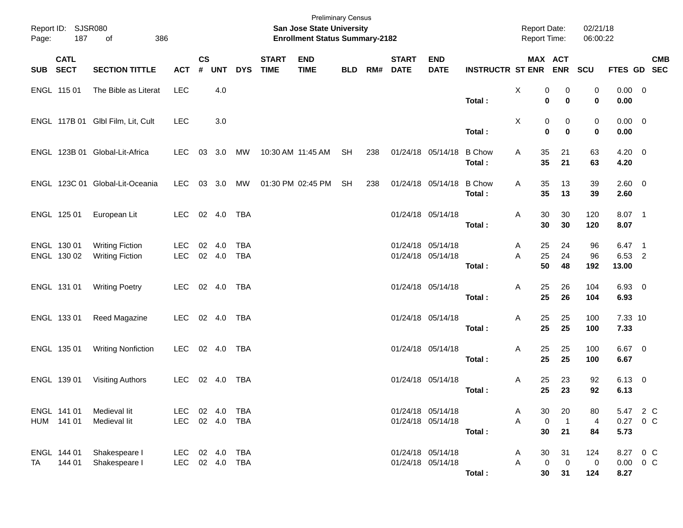| Page:      | Report ID: SJSR080<br>187  | 386<br>of                                        |                          |                    |                        |                          |                             | San Jose State University<br><b>Enrollment Status Summary-2182</b> | <b>Preliminary Census</b> |     |                             |                                        |                         | <b>Report Date:</b><br><b>Report Time:</b> |                            | 02/21/18<br>06:00:22    |                                   |            |
|------------|----------------------------|--------------------------------------------------|--------------------------|--------------------|------------------------|--------------------------|-----------------------------|--------------------------------------------------------------------|---------------------------|-----|-----------------------------|----------------------------------------|-------------------------|--------------------------------------------|----------------------------|-------------------------|-----------------------------------|------------|
| <b>SUB</b> | <b>CATL</b><br><b>SECT</b> | <b>SECTION TITTLE</b>                            | <b>ACT</b>               | $\mathsf{cs}$<br># | <b>UNT</b>             | <b>DYS</b>               | <b>START</b><br><b>TIME</b> | <b>END</b><br><b>TIME</b>                                          | <b>BLD</b>                | RM# | <b>START</b><br><b>DATE</b> | <b>END</b><br><b>DATE</b>              | <b>INSTRUCTR ST ENR</b> |                                            | MAX ACT<br><b>ENR</b>      | <b>SCU</b>              | FTES GD SEC                       | <b>CMB</b> |
|            | ENGL 115 01                | The Bible as Literat                             | <b>LEC</b>               |                    | 4.0                    |                          |                             |                                                                    |                           |     |                             |                                        | Total:                  | X<br>0                                     | 0<br>0<br>$\bf{0}$         | 0<br>$\mathbf 0$        | $0.00 \t 0$<br>0.00               |            |
|            |                            | ENGL 117B 01 Glbl Film, Lit, Cult                | <b>LEC</b>               |                    | 3.0                    |                          |                             |                                                                    |                           |     |                             |                                        | Total:                  | Χ<br>$\mathbf 0$                           | 0<br>0<br>$\bf{0}$         | 0<br>0                  | $0.00 \t 0$<br>0.00               |            |
|            |                            | ENGL 123B 01 Global-Lit-Africa                   | <b>LEC</b>               | 03                 | 3.0                    | МW                       |                             | 10:30 AM 11:45 AM                                                  | SH                        | 238 |                             | 01/24/18 05/14/18                      | <b>B</b> Chow<br>Total: | 35<br>A<br>35                              | 21<br>21                   | 63<br>63                | $4.20 \ 0$<br>4.20                |            |
|            |                            | ENGL 123C 01 Global-Lit-Oceania                  | <b>LEC</b>               | 03                 | 3.0                    | MW                       |                             | 01:30 PM 02:45 PM                                                  | <b>SH</b>                 | 238 |                             | 01/24/18 05/14/18                      | <b>B</b> Chow<br>Total: | 35<br>A<br>35                              | 13<br>13                   | 39<br>39                | 2.60 0<br>2.60                    |            |
|            | ENGL 125 01                | European Lit                                     | LEC.                     |                    | 02 4.0                 | <b>TBA</b>               |                             |                                                                    |                           |     |                             | 01/24/18 05/14/18                      | Total:                  | 30<br>Α<br>30                              | 30<br>30                   | 120<br>120              | 8.07 1<br>8.07                    |            |
|            | ENGL 130 01<br>ENGL 130 02 | <b>Writing Fiction</b><br><b>Writing Fiction</b> | <b>LEC</b><br><b>LEC</b> | 02                 | 4.0<br>02 4.0          | <b>TBA</b><br><b>TBA</b> |                             |                                                                    |                           |     |                             | 01/24/18 05/14/18<br>01/24/18 05/14/18 | Total:                  | 25<br>A<br>25<br>A<br>50                   | 24<br>24<br>48             | 96<br>96<br>192         | $6.47$ 1<br>6.53 2<br>13.00       |            |
|            | ENGL 131 01                | <b>Writing Poetry</b>                            | LEC.                     |                    | 02 4.0                 | TBA                      |                             |                                                                    |                           |     |                             | 01/24/18 05/14/18                      | Total:                  | 25<br>Α<br>25                              | 26<br>26                   | 104<br>104              | 6.93 0<br>6.93                    |            |
|            | ENGL 133 01                | <b>Reed Magazine</b>                             | <b>LEC</b>               |                    | 02 4.0                 | TBA                      |                             |                                                                    |                           |     |                             | 01/24/18 05/14/18                      | Total:                  | 25<br>Α<br>25                              | 25<br>25                   | 100<br>100              | 7.33 10<br>7.33                   |            |
|            | ENGL 135 01                | <b>Writing Nonfiction</b>                        | <b>LEC</b>               |                    | 02 4.0                 | <b>TBA</b>               |                             |                                                                    |                           |     |                             | 01/24/18 05/14/18                      | Total:                  | 25<br>Α<br>25                              | 25<br>25                   | 100<br>100              | $6.67$ 0<br>6.67                  |            |
|            | ENGL 139 01                | <b>Visiting Authors</b>                          | LEC.                     |                    | 02 4.0                 | <b>TBA</b>               |                             |                                                                    |                           |     |                             | 01/24/18 05/14/18                      | Total:                  | 25<br>Α<br>25                              | 23<br>23                   | 92<br>92                | $6.13$ 0<br>6.13                  |            |
|            | ENGL 141 01<br>HUM 141 01  | Medieval lit<br>Medieval lit                     | <b>LEC</b><br><b>LEC</b> |                    | 02 4.0<br>02 4.0 TBA   | TBA                      |                             |                                                                    |                           |     |                             | 01/24/18 05/14/18<br>01/24/18 05/14/18 | Total:                  | 30<br>A<br>A<br>$\boldsymbol{0}$<br>30     | 20<br>$\overline{1}$<br>21 | 80<br>4<br>84           | 5.47 2 C<br>0.27 0 C<br>5.73      |            |
| TA         | ENGL 144 01<br>144 01      | Shakespeare I<br>Shakespeare I                   | LEC<br>LEC               |                    | 02 4.0<br>02  4.0  TBA | <b>TBA</b>               |                             |                                                                    |                           |     |                             | 01/24/18 05/14/18<br>01/24/18 05/14/18 | Total:                  | 30<br>A<br>Α<br>$\pmb{0}$<br>30            | 31<br>$\mathbf 0$<br>31    | 124<br>$\pmb{0}$<br>124 | 8.27 0 C<br>$0.00 \t 0 C$<br>8.27 |            |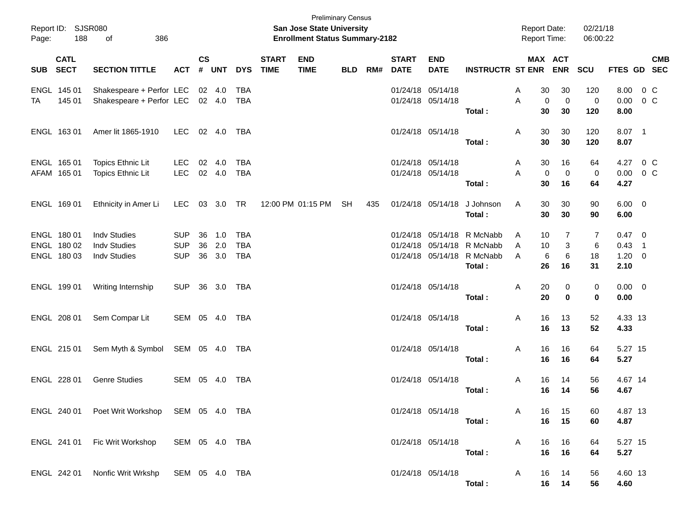| Page:      | Report ID: SJSR080<br>188                 | 386<br>of                                                         |                                        |                |                   |                                        |                             | San Jose State University<br><b>Enrollment Status Summary-2182</b> | <b>Preliminary Census</b> |     |                             |                                        |                                                                                                  | Report Date:<br>Report Time:       |                         | 02/21/18<br>06:00:22 |                                                   |                          |            |
|------------|-------------------------------------------|-------------------------------------------------------------------|----------------------------------------|----------------|-------------------|----------------------------------------|-----------------------------|--------------------------------------------------------------------|---------------------------|-----|-----------------------------|----------------------------------------|--------------------------------------------------------------------------------------------------|------------------------------------|-------------------------|----------------------|---------------------------------------------------|--------------------------|------------|
| <b>SUB</b> | <b>CATL</b><br><b>SECT</b>                | <b>SECTION TITTLE</b>                                             | <b>ACT</b>                             | <b>CS</b><br># | <b>UNT</b>        | <b>DYS</b>                             | <b>START</b><br><b>TIME</b> | <b>END</b><br><b>TIME</b>                                          | <b>BLD</b>                | RM# | <b>START</b><br><b>DATE</b> | <b>END</b><br><b>DATE</b>              | <b>INSTRUCTR ST ENR</b>                                                                          | MAX ACT                            | <b>ENR</b>              | SCU                  | FTES GD SEC                                       |                          | <b>CMB</b> |
| ТA         | ENGL 145 01<br>145 01                     | Shakespeare + Perfor LEC<br>Shakespeare + Perfor LEC              |                                        |                | 02 4.0<br>02 4.0  | TBA<br><b>TBA</b>                      |                             |                                                                    |                           |     |                             | 01/24/18 05/14/18<br>01/24/18 05/14/18 | Total:                                                                                           | 30<br>A<br>A<br>0<br>30            | 30<br>$\mathbf 0$<br>30 | 120<br>0<br>120      | 8.00<br>0.00<br>8.00                              | 0 <sup>o</sup><br>$0\,C$ |            |
|            | ENGL 163 01                               | Amer lit 1865-1910                                                | LEC.                                   |                | 02 4.0            | TBA                                    |                             |                                                                    |                           |     |                             | 01/24/18 05/14/18                      | Total:                                                                                           | 30<br>A<br>30                      | 30<br>30                | 120<br>120           | 8.07 1<br>8.07                                    |                          |            |
|            | ENGL 165 01<br>AFAM 165 01                | Topics Ethnic Lit<br>Topics Ethnic Lit                            | <b>LEC</b><br><b>LEC</b>               | 02             | 4.0<br>02 4.0     | TBA<br><b>TBA</b>                      |                             |                                                                    |                           |     |                             | 01/24/18 05/14/18<br>01/24/18 05/14/18 | Total:                                                                                           | 30<br>A<br>A<br>0<br>30            | 16<br>$\mathbf 0$<br>16 | 64<br>0<br>64        | 4.27<br>0.00<br>4.27                              | 0 <sup>o</sup><br>$0\,C$ |            |
|            | ENGL 169 01                               | Ethnicity in Amer Li                                              | LEC.                                   |                | 03 3.0 TR         |                                        |                             | 12:00 PM 01:15 PM                                                  | SH                        | 435 |                             | 01/24/18 05/14/18                      | J Johnson<br>Total:                                                                              | 30<br>A<br>30                      | 30<br>30                | 90<br>90             | $6.00 \quad 0$<br>6.00                            |                          |            |
|            | ENGL 180 01<br>ENGL 180 02<br>ENGL 180 03 | <b>Indv Studies</b><br><b>Indv Studies</b><br><b>Indy Studies</b> | <b>SUP</b><br><b>SUP</b><br><b>SUP</b> | 36<br>36<br>36 | 1.0<br>2.0<br>3.0 | <b>TBA</b><br><b>TBA</b><br><b>TBA</b> |                             |                                                                    |                           |     |                             |                                        | 01/24/18 05/14/18 R McNabb<br>01/24/18 05/14/18 R McNabb<br>01/24/18 05/14/18 R McNabb<br>Total: | 10<br>A<br>A<br>10<br>6<br>A<br>26 | 7<br>3<br>6<br>16       | 7<br>6<br>18<br>31   | $0.47 \quad 0$<br>$0.43$ 1<br>$1.20 \t 0$<br>2.10 |                          |            |
|            | ENGL 199 01                               | Writing Internship                                                | <b>SUP</b>                             |                | 36 3.0 TBA        |                                        |                             |                                                                    |                           |     |                             | 01/24/18 05/14/18                      | Total:                                                                                           | A<br>20<br>20                      | 0<br>$\bf{0}$           | 0<br>0               | $0.00 \t 0$<br>0.00                               |                          |            |
|            | ENGL 208 01                               | Sem Compar Lit                                                    | SEM 05 4.0 TBA                         |                |                   |                                        |                             |                                                                    |                           |     |                             | 01/24/18 05/14/18                      | Total:                                                                                           | 16<br>A<br>16                      | 13<br>13                | 52<br>52             | 4.33 13<br>4.33                                   |                          |            |
|            | ENGL 215 01                               | Sem Myth & Symbol                                                 | SEM 05 4.0 TBA                         |                |                   |                                        |                             |                                                                    |                           |     |                             | 01/24/18 05/14/18                      | Total:                                                                                           | A<br>16<br>16                      | 16<br>16                | 64<br>64             | 5.27 15<br>5.27                                   |                          |            |
|            | ENGL 228 01                               | <b>Genre Studies</b>                                              | SEM 05 4.0                             |                |                   | TBA                                    |                             |                                                                    |                           |     |                             | 01/24/18 05/14/18                      | Total:                                                                                           | Α<br>16<br>16                      | 14<br>14                | 56<br>56             | 4.67 14<br>4.67                                   |                          |            |
|            |                                           | ENGL 240 01  Poet Writ Workshop  SEM  05  4.0  TBA                |                                        |                |                   |                                        |                             |                                                                    |                           |     |                             | 01/24/18 05/14/18                      | Total:                                                                                           | 16<br>A<br>16                      | 15<br>15                | 60<br>60             | 4.87 13<br>4.87                                   |                          |            |
|            |                                           | ENGL 241 01 Fic Writ Workshop                                     | SEM 05 4.0 TBA                         |                |                   |                                        |                             |                                                                    |                           |     |                             | 01/24/18 05/14/18                      | Total:                                                                                           | 16<br>A<br>16                      | 16<br>16                | 64<br>64             | 5.27 15<br>5.27                                   |                          |            |
|            |                                           | ENGL 242 01 Nonfic Writ Wrkshp                                    | SEM 05 4.0 TBA                         |                |                   |                                        |                             |                                                                    |                           |     |                             | 01/24/18 05/14/18                      | Total:                                                                                           | 16<br>A                            | 14<br>16 14             | 56<br>56             | 4.60 13<br>4.60                                   |                          |            |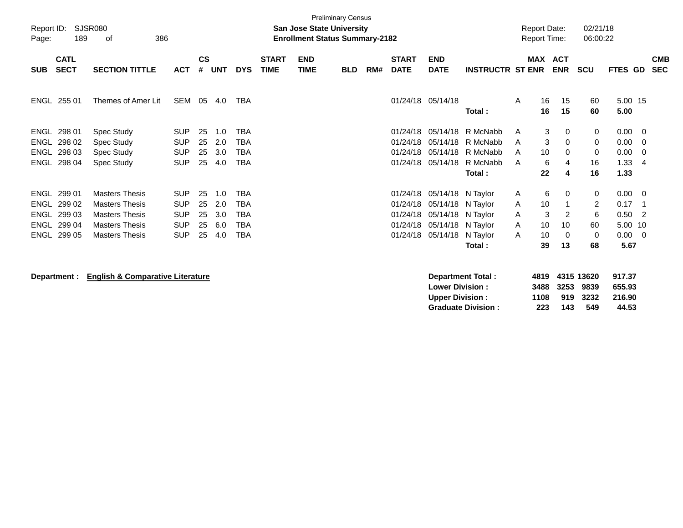| Report ID:<br>Page: | 189                        | SJSR080<br>386<br>οf     |                          |                    |            |                   |                             | <b>San Jose State University</b><br><b>Enrollment Status Summary-2182</b> | <b>Preliminary Census</b> |     |                             |                           |                         | <b>Report Date:</b><br><b>Report Time:</b> |                       | 02/21/18<br>06:00:22 |                 |                |                          |
|---------------------|----------------------------|--------------------------|--------------------------|--------------------|------------|-------------------|-----------------------------|---------------------------------------------------------------------------|---------------------------|-----|-----------------------------|---------------------------|-------------------------|--------------------------------------------|-----------------------|----------------------|-----------------|----------------|--------------------------|
| <b>SUB</b>          | <b>CATL</b><br><b>SECT</b> | <b>SECTION TITTLE</b>    | <b>ACT</b>               | $\mathsf{cs}$<br># | <b>UNT</b> | <b>DYS</b>        | <b>START</b><br><b>TIME</b> | <b>END</b><br><b>TIME</b>                                                 | <b>BLD</b>                | RM# | <b>START</b><br><b>DATE</b> | <b>END</b><br><b>DATE</b> | <b>INSTRUCTR ST ENR</b> |                                            | MAX ACT<br><b>ENR</b> | <b>SCU</b>           | FTES GD         |                | <b>CMB</b><br><b>SEC</b> |
|                     | ENGL 255 01                | Themes of Amer Lit       | SEM                      | 05                 | 4.0        | <b>TBA</b>        |                             |                                                                           |                           |     |                             | 01/24/18 05/14/18         | Total:                  | 16<br>A<br>16                              | 15<br>15              | 60<br>60             | 5.00 15<br>5.00 |                |                          |
|                     | ENGL 298 01                | Spec Study               | <b>SUP</b>               | 25                 | 1.0        | <b>TBA</b>        |                             |                                                                           |                           |     | 01/24/18                    | 05/14/18                  | R McNabb                | A                                          | 3<br>0                | 0                    | 0.00            | $\overline{0}$ |                          |
|                     | ENGL 298 02<br>ENGL 298 03 | Spec Study<br>Spec Study | <b>SUP</b><br><b>SUP</b> | 25<br>25           | 2.0<br>3.0 | TBA<br><b>TBA</b> |                             |                                                                           |                           |     | 01/24/18<br>01/24/18        | 05/14/18<br>05/14/18      | R McNabb<br>R McNabb    | A<br>10<br>A                               | 3<br>0<br>0           | 0<br>0               | 0.00<br>0.00    | 0<br>0         |                          |
|                     | ENGL 298 04                | Spec Study               | <b>SUP</b>               | 25                 | 4.0        | TBA               |                             |                                                                           |                           |     |                             | 01/24/18 05/14/18         | R McNabb                | A                                          | 6<br>4                | 16                   | 1.33            | -4             |                          |
|                     |                            |                          |                          |                    |            |                   |                             |                                                                           |                           |     |                             |                           | Total:                  | 22                                         | 4                     | 16                   | 1.33            |                |                          |
|                     | ENGL 299 01                | <b>Masters Thesis</b>    | <b>SUP</b>               | 25                 | 1.0        | <b>TBA</b>        |                             |                                                                           |                           |     | 01/24/18                    | 05/14/18 N Taylor         |                         | A                                          | 6<br>0                | 0                    | 0.00            | - 0            |                          |
| ENGL                | 299 02                     | <b>Masters Thesis</b>    | <b>SUP</b>               | 25                 | 2.0        | TBA               |                             |                                                                           |                           |     | 01/24/18                    | 05/14/18                  | N Taylor                | 10<br>A                                    | 1                     | 2                    | 0.17            | -1             |                          |
| ENGL                | 299 03                     | <b>Masters Thesis</b>    | <b>SUP</b>               | 25                 | 3.0        | <b>TBA</b>        |                             |                                                                           |                           |     | 01/24/18                    | 05/14/18 N Taylor         |                         | A                                          | 3<br>2                | 6                    | 0.50            | $\overline{2}$ |                          |
| ENGL                | 299 04                     | <b>Masters Thesis</b>    | <b>SUP</b>               | 25                 | 6.0        | <b>TBA</b>        |                             |                                                                           |                           |     | 01/24/18                    | 05/14/18 N Taylor         |                         | A<br>10                                    | 10                    | 60                   | 5.00            | 10             |                          |
|                     | ENGL 299 05                | <b>Masters Thesis</b>    | <b>SUP</b>               | 25                 | 4.0        | TBA               |                             |                                                                           |                           |     | 01/24/18                    | 05/14/18                  | N Taylor                | 10<br>A                                    | 0                     | 0                    | 0.00            | - 0            |                          |
|                     |                            |                          |                          |                    |            |                   |                             |                                                                           |                           |     |                             |                           | Total:                  | 39                                         | 13                    | 68                   | 5.67            |                |                          |
|                     |                            |                          |                          |                    |            |                   |                             |                                                                           |                           |     |                             |                           |                         |                                            |                       |                      |                 |                |                          |

**Department : English & Comparative Literature Department Total : 4819 4315 13620 917.37 Lower Division : 3488 3253 9839 655.93 Upper Division : 1108 919 3232 216.90 Graduate Division : 223 143 549 44.53**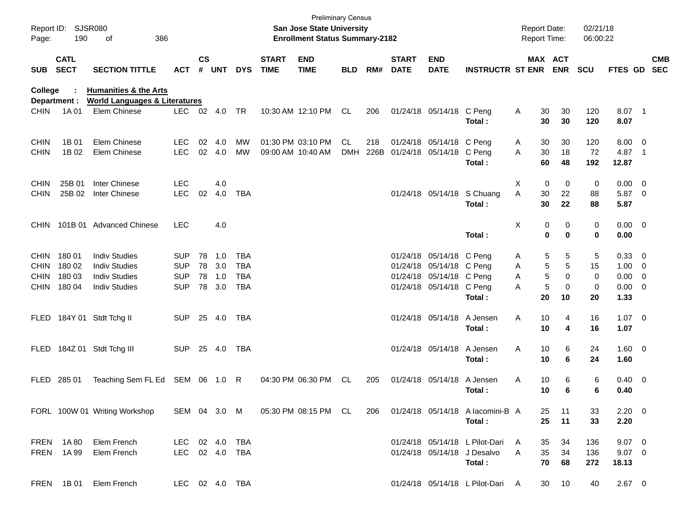| Page:       | Report ID: SJSR080<br>190  | 386<br>of                                |                |               |        |            |                             | <b>Preliminary Census</b><br>San Jose State University<br><b>Enrollment Status Summary-2182</b> |            |      |                             |                           |                                  | <b>Report Date:</b> | <b>Report Time:</b>     | 02/21/18<br>06:00:22 |                |                          |            |
|-------------|----------------------------|------------------------------------------|----------------|---------------|--------|------------|-----------------------------|-------------------------------------------------------------------------------------------------|------------|------|-----------------------------|---------------------------|----------------------------------|---------------------|-------------------------|----------------------|----------------|--------------------------|------------|
| <b>SUB</b>  | <b>CATL</b><br><b>SECT</b> | <b>SECTION TITTLE</b>                    | <b>ACT</b>     | $\mathsf{cs}$ | # UNT  | <b>DYS</b> | <b>START</b><br><b>TIME</b> | <b>END</b><br><b>TIME</b>                                                                       | <b>BLD</b> | RM#  | <b>START</b><br><b>DATE</b> | <b>END</b><br><b>DATE</b> | <b>INSTRUCTR ST ENR</b>          |                     | MAX ACT<br><b>ENR</b>   | <b>SCU</b>           | FTES GD SEC    |                          | <b>CMB</b> |
| College     |                            | <b>Humanities &amp; the Arts</b>         |                |               |        |            |                             |                                                                                                 |            |      |                             |                           |                                  |                     |                         |                      |                |                          |            |
|             | Department :               | <b>World Languages &amp; Literatures</b> |                |               |        |            |                             |                                                                                                 |            |      |                             |                           |                                  |                     |                         |                      |                |                          |            |
| <b>CHIN</b> | 1A 01                      | Elem Chinese                             | <b>LEC</b>     |               | 02 4.0 | TR         |                             | 10:30 AM 12:10 PM                                                                               | CL.        | 206  |                             | 01/24/18 05/14/18 C Peng  | Total:                           | A                   | 30<br>30<br>30<br>30    | 120<br>120           | 8.07 1<br>8.07 |                          |            |
| <b>CHIN</b> | 1B 01                      | Elem Chinese                             | <b>LEC</b>     | 02            | 4.0    | MW         |                             | 01:30 PM 03:10 PM                                                                               | CL         | 218  |                             | 01/24/18 05/14/18 C Peng  |                                  | A                   | 30<br>30                | 120                  | $8.00 \t 0$    |                          |            |
| <b>CHIN</b> | 1B 02                      | Elem Chinese                             | LEC            |               | 02 4.0 | <b>MW</b>  |                             | 09:00 AM 10:40 AM                                                                               | <b>DMH</b> | 226B |                             | 01/24/18 05/14/18         | C Peng                           | A                   | 30<br>18                | 72                   | 4.87           | $\overline{\phantom{1}}$ |            |
|             |                            |                                          |                |               |        |            |                             |                                                                                                 |            |      |                             |                           | Total :                          |                     | 60<br>48                | 192                  | 12.87          |                          |            |
| <b>CHIN</b> | 25B 01                     | Inter Chinese                            | <b>LEC</b>     |               | 4.0    |            |                             |                                                                                                 |            |      |                             |                           |                                  | X                   | 0<br>$\mathbf 0$        | 0                    | $0.00 \t 0$    |                          |            |
| <b>CHIN</b> | 25B 02                     | Inter Chinese                            | <b>LEC</b>     | 02            | 4.0    | TBA        |                             |                                                                                                 |            |      |                             |                           | 01/24/18 05/14/18 S Chuang       | A                   | 30<br>22                | 88                   | 5.87 0         |                          |            |
|             |                            |                                          |                |               |        |            |                             |                                                                                                 |            |      |                             |                           | Total :                          |                     | 22<br>30                | 88                   | 5.87           |                          |            |
| <b>CHIN</b> |                            | 101B 01 Advanced Chinese                 | <b>LEC</b>     |               | 4.0    |            |                             |                                                                                                 |            |      |                             |                           |                                  | Χ                   | 0<br>0                  | 0                    | $0.00 \t 0$    |                          |            |
|             |                            |                                          |                |               |        |            |                             |                                                                                                 |            |      |                             |                           | Total:                           |                     | $\bf{0}$<br>$\mathbf 0$ | 0                    | 0.00           |                          |            |
| <b>CHIN</b> | 18001                      | <b>Indiv Studies</b>                     | <b>SUP</b>     | 78            | 1.0    | <b>TBA</b> |                             |                                                                                                 |            |      |                             | 01/24/18 05/14/18 C Peng  |                                  | Α                   | 5<br>5                  | 5                    | 0.33 0         |                          |            |
| <b>CHIN</b> | 180 02                     | <b>Indiv Studies</b>                     | <b>SUP</b>     | 78            | 3.0    | <b>TBA</b> |                             |                                                                                                 |            |      |                             | 01/24/18 05/14/18 C Peng  |                                  | Α                   | 5<br>5                  | 15                   | $1.00 \t 0$    |                          |            |
| <b>CHIN</b> | 180 03                     | <b>Indiv Studies</b>                     | <b>SUP</b>     | 78            | 1.0    | <b>TBA</b> |                             |                                                                                                 |            |      |                             | 01/24/18 05/14/18 C Peng  |                                  | A                   | 5<br>0                  | 0                    | $0.00 \t 0$    |                          |            |
| <b>CHIN</b> | 180 04                     | <b>Indiv Studies</b>                     | <b>SUP</b>     | 78            | 3.0    | <b>TBA</b> |                             |                                                                                                 |            |      |                             | 01/24/18 05/14/18 C Peng  |                                  | A                   | 5<br>0                  | 0                    | $0.00 \t 0$    |                          |            |
|             |                            |                                          |                |               |        |            |                             |                                                                                                 |            |      |                             |                           | Total:                           |                     | 20<br>10                | 20                   | 1.33           |                          |            |
| <b>FLED</b> |                            | 184Y 01 Stdt Tchg II                     | <b>SUP</b>     |               | 25 4.0 | TBA        |                             |                                                                                                 |            |      |                             | 01/24/18 05/14/18         | A Jensen                         | Α                   | 10<br>4                 | 16                   | $1.07 \t 0$    |                          |            |
|             |                            |                                          |                |               |        |            |                             |                                                                                                 |            |      |                             |                           | Total:                           |                     | 10<br>4                 | 16                   | 1.07           |                          |            |
| FLED        |                            | 184Z 01 Stdt Tchg III                    | <b>SUP</b>     |               | 25 4.0 | TBA        |                             |                                                                                                 |            |      |                             | 01/24/18 05/14/18         | A Jensen                         | A                   | 6<br>10                 | 24                   | 1.60 0         |                          |            |
|             |                            |                                          |                |               |        |            |                             |                                                                                                 |            |      |                             |                           | Total:                           |                     | 10<br>6                 | 24                   | 1.60           |                          |            |
| <b>FLED</b> | 285 01                     | Teaching Sem FL Ed SEM 06 1.0 R          |                |               |        |            |                             | 04:30 PM 06:30 PM                                                                               | <b>CL</b>  | 205  |                             | 01/24/18 05/14/18         | A Jensen                         | Α                   | 10<br>6                 | 6                    | $0.40 \quad 0$ |                          |            |
|             |                            |                                          |                |               |        |            |                             |                                                                                                 |            |      |                             |                           | Total :                          |                     | 10<br>6                 | 6                    | 0.40           |                          |            |
|             |                            | FORL 100W 01 Writing Workshop            | SEM 04 3.0 M   |               |        |            |                             | 05:30 PM 08:15 PM CL                                                                            |            | 206  |                             |                           | 01/24/18 05/14/18 A lacomini-B A |                     | 25<br>11                | 33                   | $2.20 \t 0$    |                          |            |
|             |                            |                                          |                |               |        |            |                             |                                                                                                 |            |      |                             |                           | Total:                           |                     | 25<br>11                | 33                   | 2.20           |                          |            |
|             | FREN 1A80                  | Elem French                              | LEC 02 4.0 TBA |               |        |            |                             |                                                                                                 |            |      |                             |                           | 01/24/18 05/14/18 L Pilot-Dari   | A                   | 34<br>35                | 136                  | $9.07$ 0       |                          |            |
|             | FREN 1A 99                 | Elem French                              | LEC 02 4.0 TBA |               |        |            |                             |                                                                                                 |            |      |                             |                           | 01/24/18 05/14/18 J Desalvo      | Α                   | 35<br>34                | 136                  | $9.07$ 0       |                          |            |
|             |                            |                                          |                |               |        |            |                             |                                                                                                 |            |      |                             |                           | Total:                           |                     | 70<br>68                | 272                  | 18.13          |                          |            |
|             | FREN 1B01                  | Elem French                              | LEC 02 4.0 TBA |               |        |            |                             |                                                                                                 |            |      |                             |                           | 01/24/18 05/14/18 L Pilot-Dari A |                     | 30<br>10                | 40                   | $2.67$ 0       |                          |            |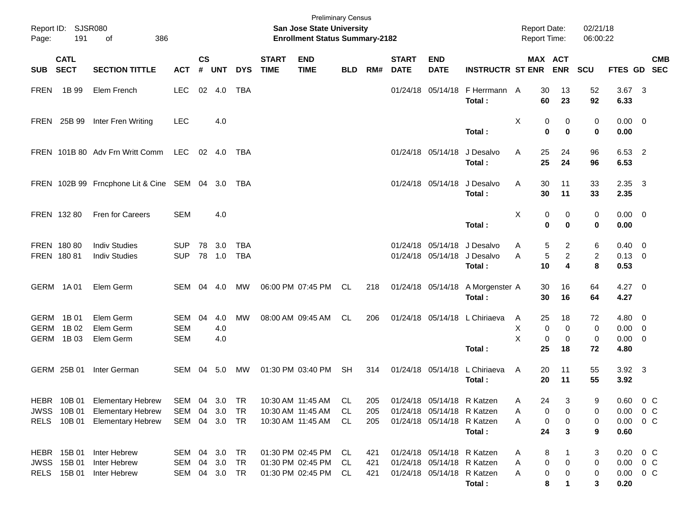| Page:       | Report ID: SJSR080<br>191                       | 386<br>of                                                                        |                                 |                    |                   |                              |                             | <b>Preliminary Census</b><br><b>San Jose State University</b><br><b>Enrollment Status Summary-2182</b> |                       |                   |                             |                                                                                        |                                                    | Report Date:<br>Report Time: |                                                 | 02/21/18<br>06:00:22         |                                           |                                    |  |
|-------------|-------------------------------------------------|----------------------------------------------------------------------------------|---------------------------------|--------------------|-------------------|------------------------------|-----------------------------|--------------------------------------------------------------------------------------------------------|-----------------------|-------------------|-----------------------------|----------------------------------------------------------------------------------------|----------------------------------------------------|------------------------------|-------------------------------------------------|------------------------------|-------------------------------------------|------------------------------------|--|
| <b>SUB</b>  | <b>CATL</b><br><b>SECT</b>                      | <b>SECTION TITTLE</b>                                                            | <b>ACT</b>                      | $\mathsf{cs}$<br># | <b>UNT</b>        | <b>DYS</b>                   | <b>START</b><br><b>TIME</b> | <b>END</b><br><b>TIME</b>                                                                              | <b>BLD</b>            | RM#               | <b>START</b><br><b>DATE</b> | <b>END</b><br><b>DATE</b>                                                              | <b>INSTRUCTR ST ENR</b>                            |                              | MAX ACT<br><b>ENR</b>                           | SCU                          | FTES GD SEC                               | <b>CMB</b>                         |  |
| <b>FREN</b> | 1B 99                                           | Elem French                                                                      | <b>LEC</b>                      |                    | 02 4.0            | TBA                          |                             |                                                                                                        |                       |                   |                             |                                                                                        | 01/24/18 05/14/18 F Herrmann A<br>Total:           | 30<br>60                     | 13<br>23                                        | 52<br>92                     | $3.67$ 3<br>6.33                          |                                    |  |
|             | FREN 25B 99                                     | Inter Fren Writing                                                               | <b>LEC</b>                      |                    | 4.0               |                              |                             |                                                                                                        |                       |                   |                             |                                                                                        | Total:                                             | X                            | 0<br>0<br>$\bf{0}$<br>0                         | 0<br>$\bf{0}$                | $0.00 \t 0$<br>0.00                       |                                    |  |
|             |                                                 | FREN 101B 80 Adv Frn Writt Comm                                                  | LEC 02 4.0                      |                    |                   | TBA                          |                             |                                                                                                        |                       |                   |                             | 01/24/18 05/14/18                                                                      | J Desalvo<br>Total:                                | 25<br>A<br>25                | 24<br>24                                        | 96<br>96                     | 6.53 2<br>6.53                            |                                    |  |
|             |                                                 | FREN 102B 99 Frncphone Lit & Cine SEM 04 3.0 TBA                                 |                                 |                    |                   |                              |                             |                                                                                                        |                       |                   |                             | 01/24/18 05/14/18                                                                      | J Desalvo<br>Total:                                | 30<br>A<br>30                | 11<br>11                                        | 33<br>33                     | $2.35 \quad 3$<br>2.35                    |                                    |  |
|             | FREN 132 80                                     | Fren for Careers                                                                 | <b>SEM</b>                      |                    | 4.0               |                              |                             |                                                                                                        |                       |                   |                             |                                                                                        | Total:                                             | X                            | 0<br>0<br>0<br>$\bf{0}$                         | 0<br>$\bf{0}$                | $0.00 \t 0$<br>0.00                       |                                    |  |
|             | FREN 180 80<br>FREN 180 81                      | <b>Indiv Studies</b><br><b>Indiv Studies</b>                                     | <b>SUP</b><br><b>SUP</b>        | 78                 | 3.0<br>78 1.0     | <b>TBA</b><br><b>TBA</b>     |                             |                                                                                                        |                       |                   | 01/24/18                    | 05/14/18                                                                               | J Desalvo<br>01/24/18 05/14/18 J Desalvo<br>Total: | A<br>A<br>10                 | $\overline{2}$<br>5<br>5<br>$\overline{c}$<br>4 | 6<br>$\overline{2}$<br>8     | $0.40 \quad 0$<br>$0.13 \quad 0$<br>0.53  |                                    |  |
|             | GERM 1A01                                       | Elem Germ                                                                        | SEM 04                          |                    | - 4.0             | МW                           |                             | 06:00 PM 07:45 PM                                                                                      | CL                    | 218               |                             | 01/24/18 05/14/18                                                                      | A Morgenster A<br>Total:                           | 30<br>30                     | 16<br>16                                        | 64<br>64                     | $4.27 \ 0$<br>4.27                        |                                    |  |
| <b>GERM</b> | GERM 1B 01<br>1B 02<br>GERM 1B03                | Elem Germ<br>Elem Germ<br>Elem Germ                                              | SEM<br><b>SEM</b><br><b>SEM</b> | 04                 | 4.0<br>4.0<br>4.0 | <b>MW</b>                    |                             | 08:00 AM 09:45 AM                                                                                      | CL                    | 206               |                             |                                                                                        | 01/24/18 05/14/18 L Chiriaeva<br>Total:            | 25<br>A<br>Χ<br>X<br>25      | 18<br>0<br>0<br>0<br>0<br>18                    | 72<br>$\mathbf 0$<br>0<br>72 | $4.80 \ 0$<br>0.00<br>$0.00 \t 0$<br>4.80 | $\overline{\mathbf{0}}$            |  |
|             | GERM 25B 01                                     | Inter German                                                                     | SEM 04                          |                    | 5.0               | MW                           |                             | 01:30 PM 03:40 PM                                                                                      | <b>SH</b>             | 314               |                             | 01/24/18 05/14/18                                                                      | L Chiriaeva<br>Total:                              | 20<br>A<br>20                | 11<br>11                                        | 55<br>55                     | $3.92 \quad 3$<br>3.92                    |                                    |  |
|             | HEBR 10B 01<br><b>JWSS 10B01</b><br>RELS 10B 01 | <b>Elementary Hebrew</b><br><b>Elementary Hebrew</b><br><b>Elementary Hebrew</b> | SEM<br>SEM<br>SEM 04 3.0        | 04<br>04           | 3.0<br>3.0        | <b>TR</b><br>TR<br><b>TR</b> |                             | 10:30 AM 11:45 AM<br>10:30 AM 11:45 AM<br>10:30 AM 11:45 AM                                            | <b>CL</b><br>CL<br>CL | 205<br>205<br>205 |                             | 01/24/18 05/14/18 R Katzen<br>01/24/18 05/14/18 R Katzen<br>01/24/18 05/14/18 R Katzen | Total:                                             | 24<br>Α<br>Α<br>Α<br>24      | $\mathbf{3}$<br>0<br>0<br>0<br>0<br>3           | 9<br>0<br>0<br>9             | 0.60<br>0.00<br>0.00<br>0.60              | $0\,C$<br>$0\,$ C<br>$0\,$ C       |  |
|             | HEBR 15B 01<br>JWSS 15B 01<br>RELS 15B 01       | Inter Hebrew<br>Inter Hebrew<br>Inter Hebrew                                     | SEM 04 3.0<br>SEM<br>SEM 04 3.0 | 04                 | 3.0               | TR<br>TR<br>TR               |                             | 01:30 PM 02:45 PM<br>01:30 PM 02:45 PM<br>01:30 PM 02:45 PM                                            | -CL<br>CL<br>CL       | 421<br>421<br>421 |                             | 01/24/18 05/14/18 R Katzen<br>01/24/18 05/14/18 R Katzen<br>01/24/18 05/14/18 R Katzen | Total:                                             | A<br>Α<br>Α                  | 8<br>$\pmb{0}$<br>0<br>0<br>0<br>8<br>1         | 3<br>0<br>0<br>$\mathbf 3$   | 0.20<br>0.00<br>0.20                      | $0\,C$<br>$0\,$ C<br>$0.00 \t 0 C$ |  |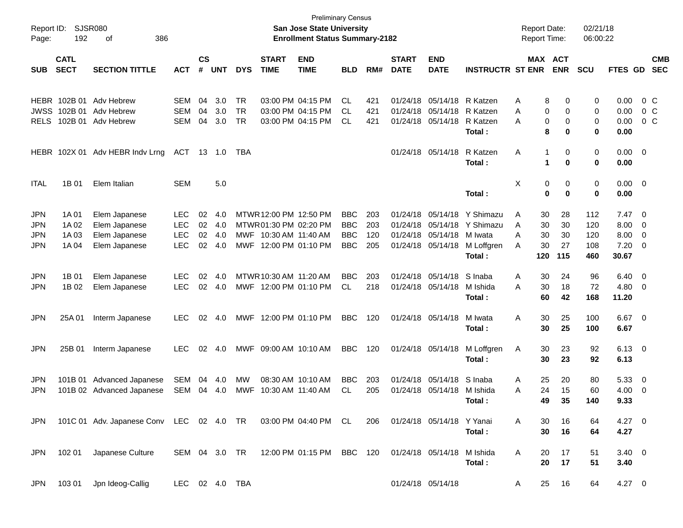| Report ID:<br>Page: | 192         | SJSR080<br>386<br>οf                                          |                |               |            |            |                        | <b>Preliminary Census</b><br><b>San Jose State University</b><br><b>Enrollment Status Summary-2182</b> |            |     |              |                           |                         | <b>Report Date:</b><br><b>Report Time:</b> |     |                | 02/21/18<br>06:00:22 |                |                          |                |
|---------------------|-------------|---------------------------------------------------------------|----------------|---------------|------------|------------|------------------------|--------------------------------------------------------------------------------------------------------|------------|-----|--------------|---------------------------|-------------------------|--------------------------------------------|-----|----------------|----------------------|----------------|--------------------------|----------------|
|                     | <b>CATL</b> |                                                               |                | $\mathsf{cs}$ |            |            | <b>START</b>           | <b>END</b>                                                                                             |            |     | <b>START</b> | <b>END</b>                |                         |                                            |     | <b>MAX ACT</b> |                      |                |                          | <b>CMB</b>     |
| <b>SUB</b>          | <b>SECT</b> | <b>SECTION TITTLE</b>                                         | <b>ACT</b>     | #             | <b>UNT</b> | <b>DYS</b> | <b>TIME</b>            | <b>TIME</b>                                                                                            | <b>BLD</b> | RM# | <b>DATE</b>  | <b>DATE</b>               | <b>INSTRUCTR ST ENR</b> |                                            |     | <b>ENR</b>     | <b>SCU</b>           | FTES GD        |                          | <b>SEC</b>     |
| HEBR                | 102B 01     | Adv Hebrew                                                    | <b>SEM</b>     | 04            | 3.0        | <b>TR</b>  |                        | 03:00 PM 04:15 PM                                                                                      | CL.        | 421 | 01/24/18     | 05/14/18                  | R Katzen                | Α                                          | 8   | 0              | 0                    | 0.00           |                          | 0 C            |
| <b>JWSS</b>         | 102B 01     | Adv Hebrew                                                    | <b>SEM</b>     | 04            | 3.0        | <b>TR</b>  |                        | 03:00 PM 04:15 PM                                                                                      | CL.        | 421 | 01/24/18     | 05/14/18                  | R Katzen                | Α                                          | 0   | 0              | 0                    | 0.00           |                          | 0 <sup>o</sup> |
| <b>RELS</b>         | 102B 01     | Adv Hebrew                                                    | <b>SEM</b>     | 04            | 3.0        | <b>TR</b>  |                        | 03:00 PM 04:15 PM                                                                                      | CL.        | 421 |              | 01/24/18 05/14/18         | R Katzen                | Α                                          | 0   | 0              | 0                    | 0.00           |                          | $0\,C$         |
|                     |             |                                                               |                |               |            |            |                        |                                                                                                        |            |     |              |                           | Total:                  |                                            | 8   | 0              | 0                    | 0.00           |                          |                |
|                     |             | HEBR 102X 01 Adv HEBR Indv Lrng                               | ACT            | 13            | - 1.0      | TBA        |                        |                                                                                                        |            |     |              | 01/24/18 05/14/18         | R Katzen                | Α                                          | 1   | 0              | 0                    | $0.00 \t 0$    |                          |                |
|                     |             |                                                               |                |               |            |            |                        |                                                                                                        |            |     |              |                           | Total:                  |                                            | 1   | 0              | 0                    | 0.00           |                          |                |
| <b>ITAL</b>         | 1B 01       | Elem Italian                                                  | <b>SEM</b>     |               | 5.0        |            |                        |                                                                                                        |            |     |              |                           |                         | X                                          | 0   | 0              | 0                    | $0.00 \t 0$    |                          |                |
|                     |             |                                                               |                |               |            |            |                        |                                                                                                        |            |     |              |                           | Total:                  |                                            | 0   | 0              | 0                    | 0.00           |                          |                |
| <b>JPN</b>          | 1A 01       | Elem Japanese                                                 | <b>LEC</b>     | 02            | 4.0        |            | MTWR 12:00 PM 12:50 PM |                                                                                                        | <b>BBC</b> | 203 | 01/24/18     | 05/14/18                  | Y Shimazu               | Α                                          | 30  | 28             | 112                  | 7.47           | $\overline{\mathbf{0}}$  |                |
| <b>JPN</b>          | 1A 02       | Elem Japanese                                                 | <b>LEC</b>     | 02            | 4.0        |            | MTWR01:30 PM 02:20 PM  |                                                                                                        | <b>BBC</b> | 203 | 01/24/18     | 05/14/18                  | Y Shimazu               | A                                          | 30  | 30             | 120                  | 8.00           | 0                        |                |
| <b>JPN</b>          | 1A 03       | Elem Japanese                                                 | <b>LEC</b>     | 02            | 4.0        | MWF        | 10:30 AM 11:40 AM      |                                                                                                        | <b>BBC</b> | 120 | 01/24/18     | 05/14/18                  | M Iwata                 | Α                                          | 30  | 30             | 120                  | 8.00           | $\overline{\mathbf{0}}$  |                |
| <b>JPN</b>          | 1A 04       | Elem Japanese                                                 | <b>LEC</b>     | 02            | 4.0        |            | MWF 12:00 PM 01:10 PM  |                                                                                                        | <b>BBC</b> | 205 |              | 01/24/18 05/14/18         | M Loffgren              | A                                          | 30  | 27             | 108                  | 7.20           | $\overline{\mathbf{0}}$  |                |
|                     |             |                                                               |                |               |            |            |                        |                                                                                                        |            |     |              |                           | Total:                  |                                            | 120 | 115            | 460                  | 30.67          |                          |                |
| <b>JPN</b>          | 1B 01       | Elem Japanese                                                 | LEC.           | 02            | 4.0        |            | MTWR 10:30 AM 11:20 AM |                                                                                                        | <b>BBC</b> | 203 | 01/24/18     | 05/14/18                  | S Inaba                 | Α                                          | 30  | 24             | 96                   | 6.40           | $\overline{\phantom{0}}$ |                |
| <b>JPN</b>          | 1B 02       | Elem Japanese                                                 | <b>LEC</b>     | 02            | 4.0        |            | MWF 12:00 PM 01:10 PM  |                                                                                                        | CL         | 218 |              | 01/24/18 05/14/18         | M Ishida                | A                                          | 30  | 18             | 72                   | 4.80           | $\overline{\mathbf{0}}$  |                |
|                     |             |                                                               |                |               |            |            |                        |                                                                                                        |            |     |              |                           | Total:                  |                                            | 60  | 42             | 168                  | 11.20          |                          |                |
| <b>JPN</b>          | 25A 01      | Interm Japanese                                               | LEC.           | 02            | 4.0        | MWF        | 12:00 PM 01:10 PM      |                                                                                                        | <b>BBC</b> | 120 |              | 01/24/18 05/14/18         | M Iwata                 | A                                          | 30  | 25             | 100                  | $6.67$ 0       |                          |                |
|                     |             |                                                               |                |               |            |            |                        |                                                                                                        |            |     |              |                           | Total:                  |                                            | 30  | 25             | 100                  | 6.67           |                          |                |
| <b>JPN</b>          | 25B 01      | Interm Japanese                                               | LEC.           | 02            | 4.0        |            | MWF 09:00 AM 10:10 AM  |                                                                                                        | <b>BBC</b> | 120 |              | 01/24/18 05/14/18         | M Loffgren              | Α                                          | 30  | 23             | 92                   | $6.13 \quad 0$ |                          |                |
|                     |             |                                                               |                |               |            |            |                        |                                                                                                        |            |     |              |                           | Total:                  |                                            | 30  | 23             | 92                   | 6.13           |                          |                |
| <b>JPN</b>          | 101B 01     | <b>Advanced Japanese</b>                                      | SEM            | 04            | -4.0       | MW         |                        | 08:30 AM 10:10 AM                                                                                      | <b>BBC</b> | 203 | 01/24/18     | 05/14/18                  | S Inaba                 | A                                          | 25  | 20             | 80                   | 5.33           | $\overline{\mathbf{0}}$  |                |
| <b>JPN</b>          |             | 101B 02 Advanced Japanese                                     | SEM            |               | 04 4.0     | MWF        |                        | 10:30 AM 11:40 AM                                                                                      | CL         | 205 |              | 01/24/18 05/14/18         | M Ishida                | A                                          | 24  | 15             | 60                   | 4.00           | 0                        |                |
|                     |             |                                                               |                |               |            |            |                        |                                                                                                        |            |     |              |                           | Total:                  |                                            | 49  | 35             | 140                  | 9.33           |                          |                |
| JPN                 |             | 101C 01 Adv. Japanese Conv LEC 02 4.0 TR 03:00 PM 04:40 PM CL |                |               |            |            |                        |                                                                                                        |            | 206 |              | 01/24/18 05/14/18 Y Yanai |                         | A                                          | 30  | 16             | 64                   | $4.27$ 0       |                          |                |
|                     |             |                                                               |                |               |            |            |                        |                                                                                                        |            |     |              |                           | Total:                  |                                            | 30  | 16             | 64                   | 4.27           |                          |                |
| <b>JPN</b>          | 102 01      | Japanese Culture                                              |                |               |            |            |                        | SEM 04 3.0 TR 12:00 PM 01:15 PM BBC 120                                                                |            |     |              | 01/24/18 05/14/18         | M Ishida                | A                                          | 20  | 17             | 51                   | $3.40 \ 0$     |                          |                |
|                     |             |                                                               |                |               |            |            |                        |                                                                                                        |            |     |              |                           | Total:                  |                                            | 20  | 17             | 51                   | 3.40           |                          |                |
| JPN                 | 103 01      | Jpn Ideog-Callig                                              | LEC 02 4.0 TBA |               |            |            |                        |                                                                                                        |            |     |              | 01/24/18 05/14/18         |                         | A                                          | 25  | 16             | 64                   | 4.27 0         |                          |                |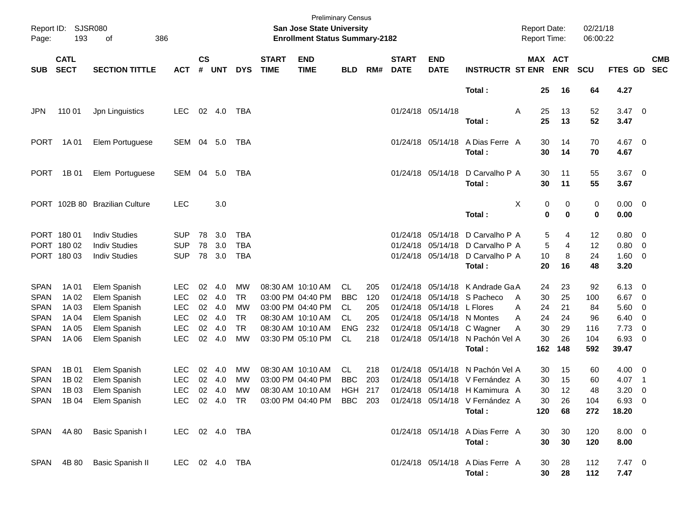| Report ID:<br>Page: | <b>SJSR080</b><br>193      | 386<br>οf                      |                |                    |            |            |                             | <b>Preliminary Census</b><br><b>San Jose State University</b><br><b>Enrollment Status Summary-2182</b> |                |     |                             |                           |                                                                         | <b>Report Date:</b><br>Report Time: |                  | 02/21/18<br>06:00:22 |                        |                          |                          |
|---------------------|----------------------------|--------------------------------|----------------|--------------------|------------|------------|-----------------------------|--------------------------------------------------------------------------------------------------------|----------------|-----|-----------------------------|---------------------------|-------------------------------------------------------------------------|-------------------------------------|------------------|----------------------|------------------------|--------------------------|--------------------------|
| <b>SUB</b>          | <b>CATL</b><br><b>SECT</b> | <b>SECTION TITTLE</b>          | <b>ACT</b>     | $\mathsf{cs}$<br># | <b>UNT</b> | <b>DYS</b> | <b>START</b><br><b>TIME</b> | <b>END</b><br><b>TIME</b>                                                                              | <b>BLD</b>     | RM# | <b>START</b><br><b>DATE</b> | <b>END</b><br><b>DATE</b> | <b>INSTRUCTR ST ENR</b>                                                 | MAX ACT                             | <b>ENR</b>       | <b>SCU</b>           | FTES GD                |                          | <b>CMB</b><br><b>SEC</b> |
|                     |                            |                                |                |                    |            |            |                             |                                                                                                        |                |     |                             |                           | Total:                                                                  | 25                                  | 16               | 64                   | 4.27                   |                          |                          |
| <b>JPN</b>          | 110 01                     | Jpn Linguistics                | <b>LEC</b>     |                    | 02 4.0     | TBA        |                             |                                                                                                        |                |     |                             | 01/24/18 05/14/18         | Total:                                                                  | 25<br>Α<br>25                       | 13<br>13         | 52<br>52             | $3.47 \quad 0$<br>3.47 |                          |                          |
| <b>PORT</b>         | 1A 01                      | Elem Portuguese                | SEM 04 5.0     |                    |            | TBA        |                             |                                                                                                        |                |     |                             | 01/24/18 05/14/18         | A Dias Ferre A<br>Total:                                                | 30<br>30                            | 14<br>14         | 70<br>70             | 4.67 0<br>4.67         |                          |                          |
| <b>PORT</b>         | 1B 01                      | Elem Portuguese                | SEM            | 04                 | 5.0        | TBA        |                             |                                                                                                        |                |     |                             | 01/24/18 05/14/18         | D Carvalho P A<br>Total:                                                | 30<br>30                            | 11<br>11         | 55<br>55             | $3.67$ 0<br>3.67       |                          |                          |
|                     |                            | PORT 102B 80 Brazilian Culture | <b>LEC</b>     |                    | 3.0        |            |                             |                                                                                                        |                |     |                             |                           | Total:                                                                  | Χ<br>0<br>0                         | 0<br>$\mathbf 0$ | 0<br>0               | $0.00 \t 0$<br>0.00    |                          |                          |
|                     | PORT 180 01                | <b>Indiv Studies</b>           | <b>SUP</b>     | 78                 | 3.0        | <b>TBA</b> |                             |                                                                                                        |                |     |                             | 01/24/18 05/14/18         | D Carvalho P A                                                          | 5                                   | 4                | 12                   | 0.80                   | $\overline{\phantom{0}}$ |                          |
|                     | PORT 180 02                | <b>Indiv Studies</b>           | <b>SUP</b>     | 78                 | 3.0        | <b>TBA</b> |                             |                                                                                                        |                |     | 01/24/18                    | 05/14/18                  | D Carvalho P A                                                          | 5                                   | 4                | 12                   | 0.80                   | $\overline{\mathbf{0}}$  |                          |
|                     | PORT 180 03                | <b>Indiv Studies</b>           | <b>SUP</b>     | 78                 | 3.0        | <b>TBA</b> |                             |                                                                                                        |                |     |                             |                           | 01/24/18 05/14/18 D Carvalho P A<br>Total:                              | 10<br>20                            | 8<br>16          | 24<br>48             | 1.60<br>3.20           | $\overline{\phantom{0}}$ |                          |
| <b>SPAN</b>         | 1A 01                      | Elem Spanish                   | <b>LEC</b>     | 02                 | 4.0        | MW         |                             | 08:30 AM 10:10 AM                                                                                      | CL.            | 205 | 01/24/18                    | 05/14/18                  | K Andrade Ga A                                                          | 24                                  | 23               | 92                   | 6.13                   | $\overline{\phantom{0}}$ |                          |
| <b>SPAN</b>         | 1A 02                      | Elem Spanish                   | <b>LEC</b>     | 02                 | 4.0        | <b>TR</b>  |                             | 03:00 PM 04:40 PM                                                                                      | <b>BBC</b>     | 120 | 01/24/18                    | 05/14/18                  | S Pacheco                                                               | 30<br>A                             | 25               | 100                  | 6.67                   | $\overline{\mathbf{0}}$  |                          |
| <b>SPAN</b>         | 1A 03                      | Elem Spanish                   | <b>LEC</b>     | 02                 | 4.0        | MW         |                             | 03:00 PM 04:40 PM                                                                                      | CL.            | 205 | 01/24/18                    | 05/14/18                  | L Flores                                                                | 24<br>Α                             | 21               | 84                   | 5.60                   | 0                        |                          |
| <b>SPAN</b>         | 1A 04                      | Elem Spanish                   | <b>LEC</b>     | 02                 | 4.0        | <b>TR</b>  |                             | 08:30 AM 10:10 AM                                                                                      | CL             | 205 | 01/24/18                    | 05/14/18                  | N Montes                                                                | 24<br>Α                             | 24               | 96                   | 6.40                   | $\overline{\mathbf{0}}$  |                          |
| <b>SPAN</b>         | 1A 05                      | Elem Spanish                   | <b>LEC</b>     | 02                 | 4.0        | <b>TR</b>  |                             | 08:30 AM 10:10 AM                                                                                      | <b>ENG</b>     | 232 | 01/24/18                    | 05/14/18                  | C Wagner                                                                | 30<br>Α                             | 29               | 116                  | 7.73                   | $\overline{\mathbf{0}}$  |                          |
| <b>SPAN</b>         | 1A 06                      | Elem Spanish                   | LEC            | 02                 | 4.0        | <b>MW</b>  |                             | 03:30 PM 05:10 PM                                                                                      | CL             | 218 |                             |                           | 01/24/18 05/14/18 N Pachón Vel A<br>Total:                              | 30<br>162                           | 26<br>148        | 104<br>592           | 6.93<br>39.47          | $\overline{\phantom{0}}$ |                          |
| <b>SPAN</b>         | 1B 01                      | Elem Spanish                   | <b>LEC</b>     | 02                 | 4.0        | МW         |                             | 08:30 AM 10:10 AM                                                                                      | CL.            | 218 |                             | 01/24/18 05/14/18         | N Pachón Vel A                                                          | 30                                  | 15               | 60                   | 4.00                   | $\overline{\mathbf{0}}$  |                          |
| <b>SPAN</b>         | 1B 02                      | Elem Spanish                   | <b>LEC</b>     | 02                 | 4.0        | MW         |                             | 03:00 PM 04:40 PM                                                                                      | <b>BBC</b>     | 203 | 01/24/18                    | 05/14/18                  | V Fernández A                                                           | 30                                  | 15               | 60                   | 4.07                   | $\overline{\phantom{1}}$ |                          |
| <b>SPAN</b>         | 1B 03                      | Elem Spanish                   | <b>LEC</b>     | 02                 | 4.0        | МW         |                             | 08:30 AM 10:10 AM                                                                                      | <b>HGH 217</b> |     |                             |                           | 01/24/18 05/14/18 H Kamimura A                                          | 30                                  | 12               | 48                   | 3.20                   | 0                        |                          |
|                     |                            | SPAN 1B 04 Elem Spanish        |                |                    |            |            |                             |                                                                                                        |                |     |                             |                           | LEC 02 4.0 TR 03:00 PM 04:40 PM BBC 203 01/24/18 05/14/18 V Fernández A | $30\,$                              | $26\,$           | 104                  | 6.93 0                 |                          |                          |
|                     |                            |                                |                |                    |            |            |                             |                                                                                                        |                |     |                             |                           | Total:                                                                  | 120                                 | 68               | 272                  | 18.20                  |                          |                          |
|                     | SPAN 4A80                  | Basic Spanish I                | LEC 02 4.0 TBA |                    |            |            |                             |                                                                                                        |                |     |                             |                           | 01/24/18 05/14/18 A Dias Ferre A                                        | 30                                  | 30               | 120                  | $8.00 \t 0$            |                          |                          |
|                     |                            |                                |                |                    |            |            |                             |                                                                                                        |                |     |                             |                           | Total:                                                                  | 30                                  | 30               | 120                  | 8.00                   |                          |                          |
|                     | SPAN 4B80                  | <b>Basic Spanish II</b>        | LEC 02 4.0 TBA |                    |            |            |                             |                                                                                                        |                |     |                             |                           | 01/24/18 05/14/18 A Dias Ferre A<br>Total:                              | 30<br>30                            | 28<br>28         | 112<br>112           | $7.47\ 0$<br>7.47      |                          |                          |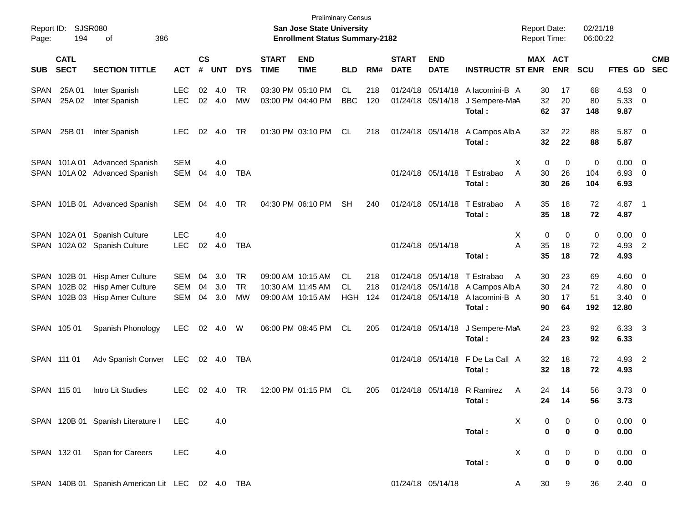| Report ID:<br>Page:                | 194                        | SJSR080<br>386<br>οf                                                                |                          |                             |                   |                |                             | <b>Preliminary Census</b><br>San Jose State University<br><b>Enrollment Status Summary-2182</b> |                          |                   |                             |                                        |                                                                            | <b>Report Date:</b><br><b>Report Time:</b> |                      | 02/21/18<br>06:00:22  |                               |                                           |                          |
|------------------------------------|----------------------------|-------------------------------------------------------------------------------------|--------------------------|-----------------------------|-------------------|----------------|-----------------------------|-------------------------------------------------------------------------------------------------|--------------------------|-------------------|-----------------------------|----------------------------------------|----------------------------------------------------------------------------|--------------------------------------------|----------------------|-----------------------|-------------------------------|-------------------------------------------|--------------------------|
| <b>SUB</b>                         | <b>CATL</b><br><b>SECT</b> | <b>SECTION TITTLE</b>                                                               | <b>ACT</b>               | $\mathbf{c}\mathbf{s}$<br># | <b>UNT</b>        | <b>DYS</b>     | <b>START</b><br><b>TIME</b> | <b>END</b><br><b>TIME</b>                                                                       | <b>BLD</b>               | RM#               | <b>START</b><br><b>DATE</b> | <b>END</b><br><b>DATE</b>              | <b>INSTRUCTR ST ENR</b>                                                    | MAX ACT                                    | <b>ENR</b>           | <b>SCU</b>            | <b>FTES GD</b>                |                                           | <b>CMB</b><br><b>SEC</b> |
| <b>SPAN</b><br><b>SPAN</b>         | 25A 01<br>25A 02           | Inter Spanish<br>Inter Spanish                                                      | <b>LEC</b><br><b>LEC</b> | 02                          | 4.0<br>02 4.0     | TR<br>MW       |                             | 03:30 PM 05:10 PM<br>03:00 PM 04:40 PM                                                          | CL.<br><b>BBC</b>        | 218<br>120        |                             | 01/24/18 05/14/18<br>01/24/18 05/14/18 | A lacomini-B A<br>J Sempere-MaA<br>Total:                                  | 30<br>32<br>62                             | 17<br>20<br>37       | 68<br>80<br>148       | 4.53<br>5.33<br>9.87          | $\overline{0}$<br>0                       |                          |
| <b>SPAN</b>                        | 25B 01                     | Inter Spanish                                                                       | <b>LEC</b>               | 02                          | 4.0               | TR             |                             | 01:30 PM 03:10 PM                                                                               | CL                       | 218               |                             | 01/24/18 05/14/18                      | A Campos Alb A<br>Total:                                                   | 32<br>32                                   | 22<br>22             | 88<br>88              | 5.87 0<br>5.87                |                                           |                          |
| <b>SPAN</b><br>SPAN                |                            | 101A 01 Advanced Spanish<br>101A 02 Advanced Spanish                                | <b>SEM</b><br>SEM        | 04                          | 4.0<br>4.0        | <b>TBA</b>     |                             |                                                                                                 |                          |                   |                             | 01/24/18 05/14/18                      | T Estrabao<br>Total:                                                       | Χ<br>0<br>A<br>30<br>30                    | 0<br>26<br>26        | 0<br>104<br>104       | 0.00<br>6.93<br>6.93          | $\overline{\mathbf{0}}$<br>$\overline{0}$ |                          |
| <b>SPAN</b>                        |                            | 101B 01 Advanced Spanish                                                            | SEM                      | 04                          | 4.0               | TR             |                             | 04:30 PM 06:10 PM                                                                               | <b>SH</b>                | 240               |                             | 01/24/18 05/14/18                      | T Estrabao<br>Total:                                                       | Α<br>35<br>35                              | 18<br>18             | 72<br>72              | 4.87 1<br>4.87                |                                           |                          |
| <b>SPAN</b><br><b>SPAN</b>         |                            | 102A 01 Spanish Culture<br>102A 02 Spanish Culture                                  | LEC<br><b>LEC</b>        | 02                          | 4.0<br>4.0        | <b>TBA</b>     |                             |                                                                                                 |                          |                   |                             | 01/24/18 05/14/18                      | Total:                                                                     | Χ<br>0<br>Α<br>35<br>35                    | 0<br>18<br>18        | 0<br>72<br>72         | 0.00<br>4.93 2<br>4.93        | $\overline{\mathbf{0}}$                   |                          |
| <b>SPAN</b><br><b>SPAN</b><br>SPAN |                            | 102B 01 Hisp Amer Culture<br>102B 02 Hisp Amer Culture<br>102B 03 Hisp Amer Culture | SEM<br><b>SEM</b><br>SEM | 04<br>04<br>04              | 3.0<br>3.0<br>3.0 | TR<br>TR<br>MW |                             | 09:00 AM 10:15 AM<br>10:30 AM 11:45 AM<br>09:00 AM 10:15 AM                                     | CL.<br>CL.<br><b>HGH</b> | 218<br>218<br>124 |                             | 01/24/18 05/14/18<br>01/24/18 05/14/18 | T Estrabao<br>01/24/18 05/14/18 A Campos Alb A<br>A lacomini-B A<br>Total: | A<br>30<br>30<br>30<br>90                  | 23<br>24<br>17<br>64 | 69<br>72<br>51<br>192 | 4.60<br>4.80<br>3.40<br>12.80 | $\overline{\mathbf{0}}$<br>0<br>0         |                          |
|                                    | SPAN 105 01                | Spanish Phonology                                                                   | <b>LEC</b>               |                             | 02 4.0            | W              |                             | 06:00 PM 08:45 PM                                                                               | CL.                      | 205               |                             | 01/24/18 05/14/18                      | J Sempere-MaA<br>Total:                                                    | 24<br>24                                   | 23<br>23             | 92<br>92              | 6.33 3<br>6.33                |                                           |                          |
|                                    | SPAN 111 01                | Adv Spanish Conver                                                                  | LEC                      |                             | 02 4.0            | TBA            |                             |                                                                                                 |                          |                   |                             | 01/24/18 05/14/18                      | F De La Call A<br>Total:                                                   | 32<br>32                                   | 18<br>18             | 72<br>72              | 4.93 2<br>4.93                |                                           |                          |
|                                    | SPAN 115 01                | Intro Lit Studies                                                                   | <b>LEC</b>               | 02                          | 4.0               | TR             |                             | 12:00 PM 01:15 PM                                                                               | CL.                      | 205               |                             | 01/24/18 05/14/18                      | R Ramirez<br>Total:                                                        | Α<br>24<br>24                              | 14<br>14             | 56<br>56              | 3.73<br>3.73                  | $\overline{\mathbf{0}}$                   |                          |
|                                    |                            | SPAN 120B 01 Spanish Literature I                                                   | <b>LEC</b>               |                             | 4.0               |                |                             |                                                                                                 |                          |                   |                             |                                        | Total:                                                                     | X<br>0<br>0                                | 0<br>$\bf{0}$        | 0<br>$\bf{0}$         | $0.00 \quad 0$<br>0.00        |                                           |                          |
|                                    | SPAN 132 01                | Span for Careers                                                                    | <b>LEC</b>               |                             | 4.0               |                |                             |                                                                                                 |                          |                   |                             |                                        | Total:                                                                     | X<br>0<br>0                                | 0<br>$\mathbf 0$     | 0<br>0                | $0.00 \t 0$<br>0.00           |                                           |                          |
|                                    |                            | SPAN 140B 01 Spanish American Lit LEC 02 4.0 TBA                                    |                          |                             |                   |                |                             |                                                                                                 |                          |                   |                             | 01/24/18 05/14/18                      |                                                                            | 30<br>A                                    | 9                    | 36                    | $2.40 \t 0$                   |                                           |                          |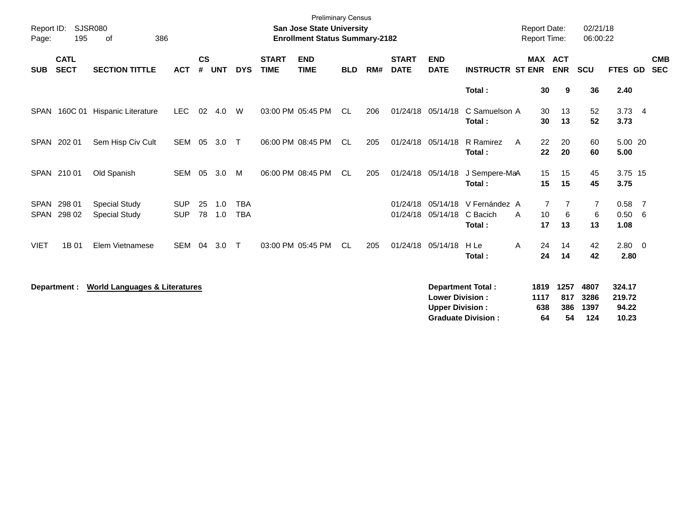| Report ID:<br>Page:        | 195                        | <b>SJSR080</b><br>386<br>of                  |                          |                |            |                          |                             | <b>Preliminary Census</b><br><b>San Jose State University</b><br><b>Enrollment Status Summary-2182</b> |            |     |                             |                                                  |                                                       | <b>Report Date:</b><br>Report Time: |                          | 02/21/18<br>06:00:22        |                                    |                          |
|----------------------------|----------------------------|----------------------------------------------|--------------------------|----------------|------------|--------------------------|-----------------------------|--------------------------------------------------------------------------------------------------------|------------|-----|-----------------------------|--------------------------------------------------|-------------------------------------------------------|-------------------------------------|--------------------------|-----------------------------|------------------------------------|--------------------------|
| <b>SUB</b>                 | <b>CATL</b><br><b>SECT</b> | <b>SECTION TITTLE</b>                        | <b>ACT</b>               | <b>CS</b><br># | <b>UNT</b> | <b>DYS</b>               | <b>START</b><br><b>TIME</b> | <b>END</b><br><b>TIME</b>                                                                              | <b>BLD</b> | RM# | <b>START</b><br><b>DATE</b> | <b>END</b><br><b>DATE</b>                        | <b>INSTRUCTR ST ENR</b>                               | <b>MAX ACT</b>                      | <b>ENR</b>               | <b>SCU</b>                  | FTES GD                            | <b>CMB</b><br><b>SEC</b> |
|                            |                            |                                              |                          |                |            |                          |                             |                                                                                                        |            |     |                             |                                                  | Total:                                                | 30                                  | 9                        | 36                          | 2.40                               |                          |
|                            |                            | SPAN 160C 01 Hispanic Literature             | <b>LEC</b>               | 02             | 4.0        | W                        |                             | 03:00 PM 05:45 PM                                                                                      | CL.        | 206 |                             | 01/24/18 05/14/18                                | C Samuelson A<br>Total:                               | 30<br>30                            | 13<br>13                 | 52<br>52                    | $3.73$ 4<br>3.73                   |                          |
|                            | SPAN 202 01                | Sem Hisp Civ Cult                            | SEM                      | 05             | 3.0        | $\top$                   |                             | 06:00 PM 08:45 PM                                                                                      | CL         | 205 |                             | 01/24/18 05/14/18                                | R Ramirez<br>A<br>Total:                              | 22<br>22                            | 20<br>20                 | 60<br>60                    | 5.00 20<br>5.00                    |                          |
|                            | SPAN 210 01                | Old Spanish                                  | <b>SEM</b>               | 05             | 3.0        | M                        |                             | 06:00 PM 08:45 PM                                                                                      | CL.        | 205 |                             | 01/24/18 05/14/18                                | J Sempere-MaA<br>Total:                               | 15<br>15                            | 15<br>15                 | 45<br>45                    | 3.75 15<br>3.75                    |                          |
| <b>SPAN</b><br><b>SPAN</b> | 298 01<br>298 02           | <b>Special Study</b><br><b>Special Study</b> | <b>SUP</b><br><b>SUP</b> | 25<br>78       | 1.0<br>1.0 | <b>TBA</b><br><b>TBA</b> |                             |                                                                                                        |            |     | 01/24/18                    | 05/14/18<br>01/24/18 05/14/18                    | V Fernández A<br>C Bacich<br>A<br>Total:              | 7<br>10<br>17                       | 6<br>13                  | 7<br>6<br>13                | 0.58<br>0.50 6<br>1.08             | $\overline{7}$           |
| <b>VIET</b>                | 1B 01                      | Elem Vietnamese                              | <b>SEM</b>               | 04             | 3.0        | $\top$                   |                             | 03:00 PM 05:45 PM                                                                                      | <b>CL</b>  | 205 |                             | 01/24/18 05/14/18                                | H Le<br>Α<br>Total:                                   | 24<br>24                            | 14<br>14                 | 42<br>42                    | $2.80 \ 0$<br>2.80                 |                          |
|                            | Department :               | <b>World Languages &amp; Literatures</b>     |                          |                |            |                          |                             |                                                                                                        |            |     |                             | <b>Lower Division:</b><br><b>Upper Division:</b> | <b>Department Total:</b><br><b>Graduate Division:</b> | 1819<br>1117<br>638<br>64           | 1257<br>817<br>386<br>54 | 4807<br>3286<br>1397<br>124 | 324.17<br>219.72<br>94.22<br>10.23 |                          |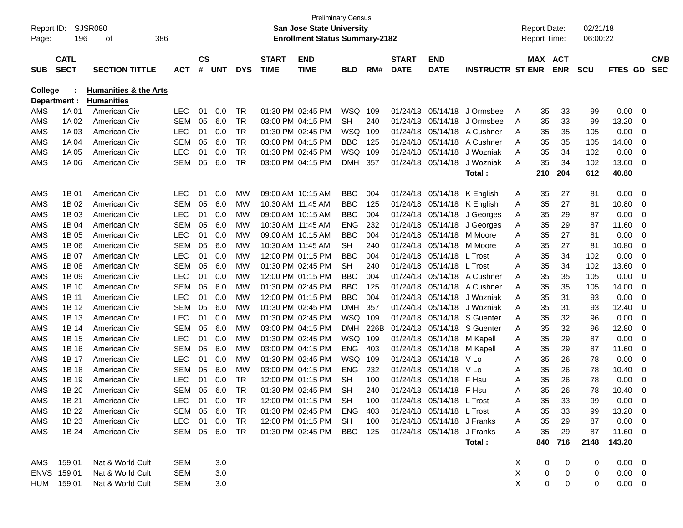| Report ID:<br>Page: | 196                        | SJSR080<br>386<br>οf                                  |               |                    |               |            |                             | <b>San Jose State University</b><br><b>Enrollment Status Summary-2182</b> | <b>Preliminary Census</b> |      |                             |                            |                         |   | <b>Report Date:</b><br><b>Report Time:</b> |               | 02/21/18<br>06:00:22 |                   |                          |
|---------------------|----------------------------|-------------------------------------------------------|---------------|--------------------|---------------|------------|-----------------------------|---------------------------------------------------------------------------|---------------------------|------|-----------------------------|----------------------------|-------------------------|---|--------------------------------------------|---------------|----------------------|-------------------|--------------------------|
| <b>SUB</b>          | <b>CATL</b><br><b>SECT</b> | <b>SECTION TITTLE</b>                                 | АСТ           | $\mathsf{cs}$<br># | <b>UNT</b>    | <b>DYS</b> | <b>START</b><br><b>TIME</b> | <b>END</b><br><b>TIME</b>                                                 | BLD                       | RM#  | <b>START</b><br><b>DATE</b> | <b>END</b><br><b>DATE</b>  | <b>INSTRUCTR ST ENR</b> |   | MAX ACT                                    | <b>ENR</b>    | <b>SCU</b>           | <b>FTES GD</b>    | <b>CMB</b><br><b>SEC</b> |
|                     |                            |                                                       |               |                    |               |            |                             |                                                                           |                           |      |                             |                            |                         |   |                                            |               |                      |                   |                          |
| College             | Department :               | <b>Humanities &amp; the Arts</b><br><b>Humanities</b> |               |                    |               |            |                             |                                                                           |                           |      |                             |                            |                         |   |                                            |               |                      |                   |                          |
| AMS                 | 1A 01                      | American Civ                                          | LEC           | 01                 | 0.0           | TR         |                             | 01:30 PM 02:45 PM                                                         | WSQ 109                   |      | 01/24/18                    | 05/14/18                   | J Ormsbee               | A | 35                                         | 33            | 99                   | 0.00              | 0                        |
| AMS                 | 1A 02                      | American Civ                                          | SEM           | 05                 | 6.0           | TR         |                             | 03:00 PM 04:15 PM                                                         | <b>SH</b>                 | 240  | 01/24/18                    | 05/14/18                   | J Ormsbee               | A | 35                                         | 33            | 99                   | 13.20             | 0                        |
| AMS                 | 1A03                       | American Civ                                          | <b>LEC</b>    | 01                 | 0.0           | <b>TR</b>  |                             | 01:30 PM 02:45 PM                                                         | WSQ 109                   |      | 01/24/18                    | 05/14/18                   | A Cushner               | A | 35                                         | 35            | 105                  | 0.00              | 0                        |
| AMS                 | 1A 04                      | American Civ                                          | SEM           | 05                 | 6.0           | <b>TR</b>  |                             | 03:00 PM 04:15 PM                                                         | <b>BBC</b>                | 125  | 01/24/18                    | 05/14/18                   | A Cushner               | A | 35                                         | 35            | 105                  | 14.00             | 0                        |
| AMS                 | 1A 05                      | American Civ                                          | <b>LEC</b>    | 01                 | 0.0           | <b>TR</b>  |                             | 01:30 PM 02:45 PM                                                         | WSQ 109                   |      | 01/24/18                    | 05/14/18                   | J Wozniak               | A | 35                                         | 34            | 102                  | 0.00              | 0                        |
| AMS                 | 1A 06                      | American Civ                                          | SEM           | 05                 | 6.0           | <b>TR</b>  |                             | 03:00 PM 04:15 PM                                                         | DMH                       | 357  | 01/24/18                    | 05/14/18                   | J Wozniak               | A | 35                                         | 34            | 102                  | 13.60             | 0                        |
|                     |                            |                                                       |               |                    |               |            |                             |                                                                           |                           |      |                             |                            | Total :                 |   | 210                                        | 204           | 612                  | 40.80             |                          |
| AMS                 | 1B 01                      | American Civ                                          | <b>LEC</b>    | 01                 | 0.0           | <b>MW</b>  |                             | 09:00 AM 10:15 AM                                                         | <b>BBC</b>                | 004  | 01/24/18                    | 05/14/18                   | K English               | A | 35                                         | 27            | 81                   | 0.00              | 0                        |
| AMS                 | 1B 02                      | American Civ                                          | SEM           | 05                 | 6.0           | MW         |                             | 10:30 AM 11:45 AM                                                         | <b>BBC</b>                | 125  | 01/24/18                    | 05/14/18                   | K English               | A | 35                                         | 27            | 81                   | 10.80             | 0                        |
| AMS                 | 1B 03                      | American Civ                                          | <b>LEC</b>    | 01                 | 0.0           | MW         |                             | 09:00 AM 10:15 AM                                                         | <b>BBC</b>                | 004  | 01/24/18                    | 05/14/18                   | J Georges               | A | 35                                         | 29            | 87                   | 0.00              | 0                        |
| AMS                 | 1B 04                      | American Civ                                          | SEM           | 05                 | 6.0           | МW         |                             | 10:30 AM 11:45 AM                                                         | <b>ENG</b>                | 232  | 01/24/18                    | 05/14/18                   | J Georges               | A | 35                                         | 29            | 87                   | 11.60             | 0                        |
| AMS                 | 1B 05                      | American Civ                                          | <b>LEC</b>    | 01                 | 0.0           | MW         |                             | 09:00 AM 10:15 AM                                                         | <b>BBC</b>                | 004  | 01/24/18                    | 05/14/18                   | M Moore                 | A | 35                                         | 27            | 81                   | 0.00              | 0                        |
| AMS                 | 1B 06                      | American Civ                                          | SEM           | 05                 | 6.0           | МW         |                             | 10:30 AM 11:45 AM                                                         | <b>SH</b>                 | 240  | 01/24/18                    | 05/14/18                   | M Moore                 | A | 35                                         | 27            | 81                   | 10.80             | 0                        |
| AMS                 | 1B 07                      | American Civ                                          | <b>LEC</b>    | 01                 | 0.0           | MW         |                             | 12:00 PM 01:15 PM                                                         | <b>BBC</b>                | 004  | 01/24/18                    | 05/14/18                   | L Trost                 | A | 35                                         | 34            | 102                  | 0.00              | 0                        |
| AMS                 | 1B 08                      | American Civ                                          | SEM           | 05                 | 6.0           | MW         |                             | 01:30 PM 02:45 PM                                                         | <b>SH</b>                 | 240  | 01/24/18                    | 05/14/18                   | L Trost                 | A | 35                                         | 34            | 102                  | 13.60             | 0                        |
| AMS                 | 1B 09                      | American Civ                                          | <b>LEC</b>    | 01                 | 0.0           | МW         |                             | 12:00 PM 01:15 PM                                                         | <b>BBC</b>                | 004  | 01/24/18                    |                            | 05/14/18 A Cushner      | A | 35                                         | 35            | 105                  | 0.00              | 0                        |
| AMS                 | 1B 10                      | American Civ                                          | SEM           | 05                 | 6.0           | MW         |                             | 01:30 PM 02:45 PM                                                         | <b>BBC</b>                | 125  | 01/24/18                    |                            | 05/14/18 A Cushner      | A | 35                                         | 35            | 105                  | 14.00             | 0                        |
| AMS                 | 1B 11                      | American Civ                                          | <b>LEC</b>    | 01                 | 0.0           | MW         |                             | 12:00 PM 01:15 PM                                                         | <b>BBC</b>                | 004  | 01/24/18                    | 05/14/18                   | J Wozniak               | A | 35                                         | 31            | 93                   | 0.00              | 0                        |
| AMS                 | 1B 12                      | American Civ                                          | SEM           | 05                 | 6.0           | МW         |                             | 01:30 PM 02:45 PM                                                         | <b>DMH</b>                | 357  | 01/24/18                    | 05/14/18                   | J Wozniak               | A | 35                                         | 31            | 93                   | 12.40             | 0                        |
| AMS                 | 1B 13                      | American Civ                                          | <b>LEC</b>    | 01                 | 0.0           | МW         |                             | 01:30 PM 02:45 PM                                                         | WSQ 109                   |      | 01/24/18                    | 05/14/18                   | S Guenter               | A | 35                                         | 32            | 96                   | 0.00              | 0                        |
| AMS                 | 1B 14                      | American Civ                                          | SEM           | 05                 | 6.0           | МW         |                             | 03:00 PM 04:15 PM                                                         | <b>DMH</b>                | 226B | 01/24/18                    | 05/14/18                   | S Guenter               | A | 35                                         | 32            | 96                   | 12.80             | 0                        |
| AMS                 | 1B 15                      | American Civ                                          | <b>LEC</b>    | 01                 | 0.0           | МW         |                             | 01:30 PM 02:45 PM                                                         | WSQ                       | 109  | 01/24/18                    | 05/14/18                   | M Kapell                | A | 35                                         | 29            | 87                   | 0.00              | 0                        |
| AMS                 | 1B 16                      | American Civ                                          | SEM           | 05                 | 6.0           | МW         |                             | 03:00 PM 04:15 PM                                                         | <b>ENG</b>                | 403  | 01/24/18                    | 05/14/18                   | M Kapell                | A | 35                                         | 29            | 87                   | 11.60             | 0                        |
| AMS                 | 1B 17                      | American Civ                                          | <b>LEC</b>    | 01                 | 0.0           | МW         |                             | 01:30 PM 02:45 PM                                                         | WSQ 109                   |      | 01/24/18                    | 05/14/18                   | V Lo                    | A | 35                                         | 26            | 78                   | 0.00              | 0                        |
| AMS                 | 1B 18                      | American Civ                                          | SEM           | 05                 | 6.0           | MW         |                             | 03:00 PM 04:15 PM                                                         | <b>ENG</b>                | 232  | 01/24/18                    | 05/14/18                   | V Lo                    | A | 35                                         | 26            | 78                   | 10.40             | 0                        |
| AMS                 | 1B 19                      | American Civ                                          | <b>LEC</b>    | 01                 | 0.0           | TR         |                             | 12:00 PM 01:15 PM                                                         | SН                        | 100  | 01/24/18                    | 05/14/18                   | F Hsu                   | A | 35                                         | 26            | 78                   | 0.00              | 0                        |
| AMS                 | 1B 20                      | American Civ                                          | SEM           | 05                 | 6.0           | <b>TR</b>  |                             | 01:30 PM 02:45 PM                                                         | <b>SH</b>                 | 240  | 01/24/18                    | 05/14/18                   | F Hsu                   | A | 35                                         | 26            | 78                   | 10.40             | 0                        |
| AMS                 | 1B 21                      | American Civ                                          | LEC           | 01                 | 0.0           | TR         |                             | 12:00 PM 01:15 PM                                                         | <b>SH</b>                 | 100  |                             | 01/24/18 05/14/18 L Trost  |                         | A | 35                                         | 33            | qq                   | 0.00              | $\Omega$                 |
| AMS                 |                            | 1B 22 American Civ                                    |               |                    | SEM 05 6.0 TR |            |                             | 01:30 PM 02:45 PM ENG 403                                                 |                           |      |                             | 01/24/18 05/14/18 L Trost  |                         | A | 35                                         | 33            | 99                   | 13.20 0           |                          |
| AMS                 | 1B 23                      | American Civ                                          | LEC 01 0.0 TR |                    |               |            |                             | 12:00 PM 01:15 PM                                                         | SH                        | 100  |                             | 01/24/18 05/14/18 J Franks |                         | A | 35                                         | 29            | 87                   | $0.00 \t 0$       |                          |
| AMS                 |                            | 1B 24 American Civ                                    | SEM 05 6.0 TR |                    |               |            |                             | 01:30 PM 02:45 PM BBC 125                                                 |                           |      |                             | 01/24/18 05/14/18 J Franks | Total:                  | A | 35                                         | 29<br>840 716 | 87<br>2148           | 11.60 0<br>143.20 |                          |
|                     |                            |                                                       |               |                    |               |            |                             |                                                                           |                           |      |                             |                            |                         |   |                                            |               |                      |                   |                          |
|                     | AMS 159 01                 | Nat & World Cult                                      | SEM           |                    | 3.0           |            |                             |                                                                           |                           |      |                             |                            |                         | X | 0                                          | 0             | 0                    | $0.00 \quad 0$    |                          |
|                     | ENVS 159 01                | Nat & World Cult                                      | SEM           |                    | 3.0           |            |                             |                                                                           |                           |      |                             |                            |                         | Χ | 0                                          | 0             | 0                    | $0.00 \t 0$       |                          |
|                     | HUM 159 01                 | Nat & World Cult                                      | SEM           |                    | 3.0           |            |                             |                                                                           |                           |      |                             |                            |                         | X | $\mathbf 0$                                | 0             | 0                    | $0.00 \t 0$       |                          |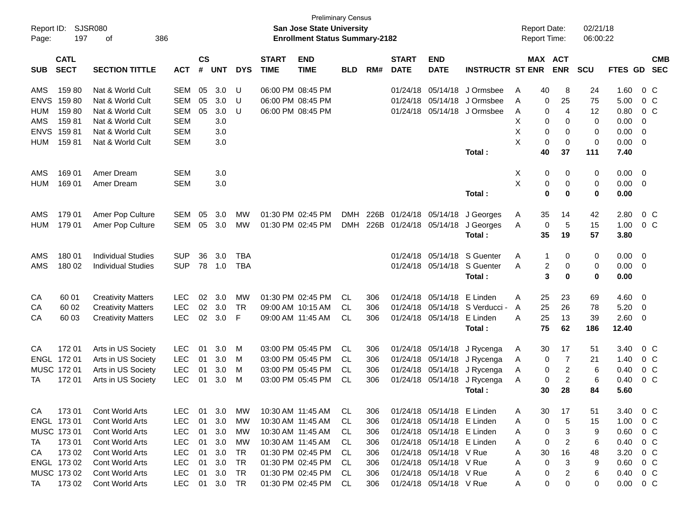| Report ID:<br>Page: | 197                        | SJSR080<br>οf             |                    |            |            |                             |                           | <b>Preliminary Census</b><br><b>San Jose State University</b><br><b>Enrollment Status Summary-2182</b> |            |                             |                           |                            |              | <b>Report Date:</b><br><b>Report Time:</b> |                       |                | 02/21/18<br>06:00:22 |       |                          |                |
|---------------------|----------------------------|---------------------------|--------------------|------------|------------|-----------------------------|---------------------------|--------------------------------------------------------------------------------------------------------|------------|-----------------------------|---------------------------|----------------------------|--------------|--------------------------------------------|-----------------------|----------------|----------------------|-------|--------------------------|----------------|
|                     | 386                        |                           |                    |            |            |                             |                           |                                                                                                        |            |                             |                           |                            |              |                                            |                       |                |                      |       |                          |                |
| <b>SUB</b>          | <b>CATL</b><br><b>SECT</b> | <b>ACT</b>                | $\mathsf{cs}$<br># | <b>UNT</b> | <b>DYS</b> | <b>START</b><br><b>TIME</b> | <b>END</b><br><b>TIME</b> | <b>BLD</b>                                                                                             | RM#        | <b>START</b><br><b>DATE</b> | <b>END</b><br><b>DATE</b> | <b>INSTRUCTR ST ENR</b>    |              |                                            | MAX ACT<br><b>ENR</b> | <b>SCU</b>     | FTES GD              |       | <b>CMB</b><br><b>SEC</b> |                |
| AMS                 | 15980                      | Nat & World Cult          | <b>SEM</b>         | 05         | 3.0        | U                           |                           | 06:00 PM 08:45 PM                                                                                      |            |                             | 01/24/18                  | 05/14/18                   | J Ormsbee    | A                                          | 40                    | 8              | 24                   | 1.60  |                          | $0\,C$         |
| <b>ENVS</b>         | 15980                      | Nat & World Cult          | <b>SEM</b>         | 05         | 3.0        | U                           |                           | 06:00 PM 08:45 PM                                                                                      |            |                             | 01/24/18                  | 05/14/18                   | J Ormsbee    | A                                          | 0                     | 25             | 75                   | 5.00  |                          | 0 <sup>C</sup> |
| <b>HUM</b>          | 15980                      | Nat & World Cult          | <b>SEM</b>         | 05         | 3.0        | U                           |                           | 06:00 PM 08:45 PM                                                                                      |            |                             | 01/24/18                  | 05/14/18                   | J Ormsbee    | A                                          | 0                     | $\overline{4}$ | 12                   | 0.80  |                          | 0 <sup>C</sup> |
| AMS                 | 15981                      | Nat & World Cult          | <b>SEM</b>         |            | 3.0        |                             |                           |                                                                                                        |            |                             |                           |                            |              | X                                          | 0                     | 0              | 0                    | 0.00  | $\mathbf 0$              |                |
| <b>ENVS</b>         | 15981                      | Nat & World Cult          | <b>SEM</b>         |            | 3.0        |                             |                           |                                                                                                        |            |                             |                           |                            |              | X                                          | 0                     | 0              | 0                    | 0.00  | $\overline{0}$           |                |
| <b>HUM</b>          | 15981                      | Nat & World Cult          | <b>SEM</b>         |            | 3.0        |                             |                           |                                                                                                        |            |                             |                           |                            |              | X                                          | 0                     | $\mathbf 0$    | 0                    | 0.00  | 0                        |                |
|                     |                            |                           |                    |            |            |                             |                           |                                                                                                        |            |                             |                           |                            | Total:       |                                            | 40                    | 37             | 111                  | 7.40  |                          |                |
| AMS                 | 169 01                     | Amer Dream                | <b>SEM</b>         |            | 3.0        |                             |                           |                                                                                                        |            |                             |                           |                            |              | Χ                                          | 0                     | 0              | 0                    | 0.00  | 0                        |                |
| <b>HUM</b>          | 169 01                     | Amer Dream                | <b>SEM</b>         |            | 3.0        |                             |                           |                                                                                                        |            |                             |                           |                            |              | X                                          | 0                     | 0              | 0                    | 0.00  | 0                        |                |
|                     |                            |                           |                    |            |            |                             |                           |                                                                                                        |            |                             |                           |                            | Total:       |                                            | 0                     | 0              | 0                    | 0.00  |                          |                |
| AMS                 | 179 01                     | Amer Pop Culture          | <b>SEM</b>         | 05         | 3.0        | MW                          |                           | 01:30 PM 02:45 PM                                                                                      | <b>DMH</b> | 226B                        | 01/24/18                  | 05/14/18                   | J Georges    | A                                          | 35                    | 14             | 42                   | 2.80  |                          | 0 <sup>C</sup> |
| <b>HUM</b>          | 179 01                     | Amer Pop Culture          | <b>SEM</b>         | 05         | 3.0        | MW                          |                           | 01:30 PM 02:45 PM                                                                                      | <b>DMH</b> | 226B                        | 01/24/18                  | 05/14/18                   | J Georges    | Α                                          | 0                     | 5              | 15                   | 1.00  |                          | 0 <sup>C</sup> |
|                     |                            |                           |                    |            |            |                             |                           |                                                                                                        |            |                             |                           |                            | Total:       |                                            | 35                    | 19             | 57                   | 3.80  |                          |                |
| AMS                 | 180 01                     | <b>Individual Studies</b> | <b>SUP</b>         | 36         | 3.0        | <b>TBA</b>                  |                           |                                                                                                        |            |                             | 01/24/18                  | 05/14/18                   | S Guenter    | A                                          | 1                     | 0              | 0                    | 0.00  | 0                        |                |
| AMS                 | 180 02                     | <b>Individual Studies</b> | <b>SUP</b>         | 78         | 1.0        | <b>TBA</b>                  |                           |                                                                                                        |            |                             | 01/24/18                  | 05/14/18                   | S Guenter    | A                                          | $\overline{c}$        | 0              | 0                    | 0.00  | - 0                      |                |
|                     |                            |                           |                    |            |            |                             |                           |                                                                                                        |            |                             |                           |                            | Total:       |                                            | 3                     | 0              | 0                    | 0.00  |                          |                |
| CA                  | 60 01                      | <b>Creativity Matters</b> | <b>LEC</b>         | 02         | 3.0        | <b>MW</b>                   |                           | 01:30 PM 02:45 PM                                                                                      | <b>CL</b>  | 306                         | 01/24/18                  | 05/14/18                   | E Linden     | A                                          | 25                    | 23             | 69                   | 4.60  | - 0                      |                |
| CA                  | 60 02                      | <b>Creativity Matters</b> | <b>LEC</b>         | 02         | 3.0        | <b>TR</b>                   |                           | 09:00 AM 10:15 AM                                                                                      | CL         | 306                         | 01/24/18                  | 05/14/18                   | S Verducci - | A                                          | 25                    | 26             | 78                   | 5.20  | 0                        |                |
| СA                  | 60 03                      | <b>Creativity Matters</b> | <b>LEC</b>         | 02         | 3.0        | F                           |                           | 09:00 AM 11:45 AM                                                                                      | CL         | 306                         | 01/24/18                  | 05/14/18                   | E Linden     | A                                          | 25                    | 13             | 39                   | 2.60  | 0                        |                |
|                     |                            |                           |                    |            |            |                             |                           |                                                                                                        |            |                             |                           |                            | Total:       |                                            | 75                    | 62             | 186                  | 12.40 |                          |                |
| CA                  | 172 01                     | Arts in US Society        | LEC                | 01         | 3.0        | M                           |                           | 03:00 PM 05:45 PM                                                                                      | CL         | 306                         | 01/24/18                  | 05/14/18                   | J Rycenga    | A                                          | 30                    | 17             | 51                   | 3.40  |                          | 0 <sup>C</sup> |
| ENGL                | 17201                      | Arts in US Society        | LEC                | 01         | 3.0        | M                           |                           | 03:00 PM 05:45 PM                                                                                      | CL         | 306                         | 01/24/18                  | 05/14/18                   | J Rycenga    | A                                          | 0                     | $\overline{7}$ | 21                   | 1.40  |                          | 0 <sup>C</sup> |
|                     | MUSC 172 01                | Arts in US Society        | <b>LEC</b>         | 01         | 3.0        | M                           |                           | 03:00 PM 05:45 PM                                                                                      | CL         | 306                         | 01/24/18                  | 05/14/18                   | J Rycenga    | A                                          | 0                     | $\overline{c}$ | 6                    | 0.40  |                          | 0 <sup>C</sup> |
| TA                  | 17201                      | Arts in US Society        | <b>LEC</b>         | 01         | 3.0        | M                           |                           | 03:00 PM 05:45 PM                                                                                      | CL         | 306                         | 01/24/18                  | 05/14/18                   | J Rycenga    | A                                          | 0                     | $\overline{c}$ | 6                    | 0.40  |                          | 0 <sup>C</sup> |
|                     |                            |                           |                    |            |            |                             |                           |                                                                                                        |            |                             |                           |                            | Total:       |                                            | 30                    | 28             | 84                   | 5.60  |                          |                |
| CA                  | 17301                      | Cont World Arts           | <b>LEC</b>         | 01         | 3.0        | МW                          |                           | 10:30 AM 11:45 AM                                                                                      | CL.        | 306                         |                           | 01/24/18 05/14/18 E Linden |              | A                                          | 30                    | 17             | 51                   | 3.40  |                          | $0\,C$         |
|                     | ENGL 173 01                | Cont World Arts           | <b>LEC</b>         | 01         | 3.0        | МW                          |                           | 10:30 AM 11:45 AM                                                                                      | CL.        | 306                         |                           | 01/24/18 05/14/18 E Linden |              | A                                          | 0                     | 5              | 15                   | 1.00  |                          | $0\,C$         |
|                     | MUSC 173 01                | Cont World Arts           | <b>LEC</b>         | 01         | 3.0        | МW                          |                           | 10:30 AM 11:45 AM                                                                                      | CL.        | 306                         |                           | 01/24/18 05/14/18 E Linden |              | A                                          | 0                     | 3              | 9                    | 0.60  |                          | $0\,C$         |
| TA                  | 17301                      | Cont World Arts           | <b>LEC</b>         | 01         | 3.0        | МW                          | 10:30 AM 11:45 AM         |                                                                                                        | CL.        | 306                         |                           | 01/24/18 05/14/18 E Linden |              | A                                          | 0                     | $\overline{c}$ | 6                    | 0.40  |                          | $0\,C$         |
| CA                  | 173 02                     | Cont World Arts           | <b>LEC</b>         | 01         | 3.0        | TR                          |                           | 01:30 PM 02:45 PM                                                                                      | CL.        | 306                         |                           | 01/24/18 05/14/18 V Rue    |              | A                                          | 30                    | 16             | 48                   | 3.20  |                          | 0 C            |
|                     | ENGL 173 02                | Cont World Arts           | <b>LEC</b>         | 01         | 3.0        | <b>TR</b>                   |                           | 01:30 PM 02:45 PM                                                                                      | CL.        | 306                         |                           | 01/24/18 05/14/18 V Rue    |              | A                                          | 0                     | 3              | 9                    | 0.60  |                          | 0 C            |
|                     | MUSC 173 02                | Cont World Arts           | <b>LEC</b>         | 01         | 3.0        | TR                          |                           | 01:30 PM 02:45 PM                                                                                      | CL.        | 306                         |                           | 01/24/18 05/14/18 V Rue    |              | A                                          | 0                     | $\overline{c}$ | 6                    | 0.40  |                          | 0 C            |
| TA                  | 17302                      | Cont World Arts           | LEC                |            | 01 3.0     | <b>TR</b>                   |                           | 01:30 PM 02:45 PM                                                                                      | CL         | 306                         |                           | 01/24/18 05/14/18 V Rue    |              | A                                          | 0                     | 0              | 0                    | 0.00  | $0\,$ C                  |                |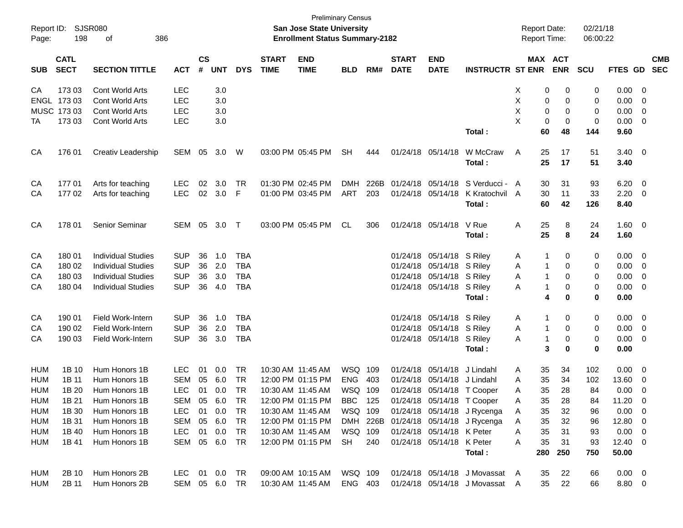| Report ID:<br>Page: | SJSR080<br>198                                                                                       | 386<br>οf                 |                             |    |                             |            |                             | <b>Preliminary Census</b><br>San Jose State University<br><b>Enrollment Status Summary-2182</b> |            |      |                             |                             |                                      | <b>Report Date:</b><br>Report Time: |                       | 02/21/18<br>06:00:22 |                  |                           |
|---------------------|------------------------------------------------------------------------------------------------------|---------------------------|-----------------------------|----|-----------------------------|------------|-----------------------------|-------------------------------------------------------------------------------------------------|------------|------|-----------------------------|-----------------------------|--------------------------------------|-------------------------------------|-----------------------|----------------------|------------------|---------------------------|
| <b>SUB</b>          | <b>CATL</b><br><b>SECT</b><br><b>SECTION TITTLE</b><br><b>ACT</b><br>17303<br><b>Cont World Arts</b> |                           |                             |    | $\mathsf{cs}$<br><b>UNT</b> | <b>DYS</b> | <b>START</b><br><b>TIME</b> | <b>END</b><br><b>TIME</b>                                                                       | <b>BLD</b> | RM#  | <b>START</b><br><b>DATE</b> | <b>END</b><br><b>DATE</b>   | <b>INSTRUCTR ST ENR</b>              |                                     | MAX ACT<br><b>ENR</b> | <b>SCU</b>           |                  | <b>CMB</b><br>FTES GD SEC |
| CA                  |                                                                                                      |                           | <b>LEC</b>                  |    | 3.0                         |            |                             |                                                                                                 |            |      |                             |                             |                                      | Х                                   | 0<br>0                | 0                    | 0.00             | $\overline{\mathbf{0}}$   |
|                     | ENGL 173 03                                                                                          | <b>Cont World Arts</b>    | <b>LEC</b>                  |    | 3.0                         |            |                             |                                                                                                 |            |      |                             |                             |                                      | X                                   | 0<br>0                | 0                    | 0.00             | 0                         |
|                     | MUSC 173 03                                                                                          | <b>Cont World Arts</b>    | <b>LEC</b>                  |    | 3.0                         |            |                             |                                                                                                 |            |      |                             |                             |                                      | X                                   | 0<br>0                | 0                    | 0.00             | 0                         |
| ТA                  | 17303                                                                                                | <b>Cont World Arts</b>    | <b>LEC</b>                  |    | 3.0                         |            |                             |                                                                                                 |            |      |                             |                             |                                      | X                                   | 0<br>0                | 0                    | 0.00             | $\overline{\mathbf{0}}$   |
|                     |                                                                                                      |                           |                             |    |                             |            |                             |                                                                                                 |            |      |                             |                             | Total:                               | 60                                  | 48                    | 144                  | 9.60             |                           |
| CA                  | 176 01                                                                                               | Creativ Leadership        | SEM 05 3.0 W                |    |                             |            |                             | 03:00 PM 05:45 PM                                                                               | <b>SH</b>  | 444  |                             | 01/24/18 05/14/18           | W McCraw                             | A<br>25                             | 17                    | 51                   | $3.40 \quad 0$   |                           |
|                     |                                                                                                      |                           |                             |    |                             |            |                             |                                                                                                 |            |      |                             |                             | Total:                               | 25                                  | 17                    | 51                   | 3.40             |                           |
| CA                  | 17701                                                                                                | Arts for teaching         | <b>LEC</b>                  | 02 | 3.0                         | <b>TR</b>  |                             | 01:30 PM 02:45 PM                                                                               | <b>DMH</b> | 226B |                             | 01/24/18 05/14/18           | S Verducci - A                       | 30                                  | 31                    | 93                   | 6.20             | $\overline{\mathbf{0}}$   |
| CA                  | 17702                                                                                                | Arts for teaching         | <b>LEC</b>                  | 02 | 3.0                         | F          |                             | 01:00 PM 03:45 PM                                                                               | ART        | 203  |                             | 01/24/18 05/14/18           | K Kratochvil A                       | 30                                  | 11                    | 33                   | 2.20             | $\overline{\mathbf{0}}$   |
|                     |                                                                                                      |                           |                             |    |                             |            |                             |                                                                                                 |            |      |                             |                             | Total:                               | 60                                  | 42                    | 126                  | 8.40             |                           |
| CA                  | 178 01                                                                                               | Senior Seminar            | SEM 05 3.0 T                |    |                             |            |                             | 03:00 PM 05:45 PM                                                                               | CL         | 306  |                             | 01/24/18 05/14/18 V Rue     |                                      | Α<br>25                             | 8                     | 24                   | $1.60 \t 0$      |                           |
|                     |                                                                                                      |                           |                             |    |                             |            |                             |                                                                                                 |            |      |                             |                             | Total:                               | 25                                  | 8                     | 24                   | 1.60             |                           |
| CA                  | 180 01                                                                                               | <b>Individual Studies</b> | <b>SUP</b>                  | 36 | 1.0                         | <b>TBA</b> |                             |                                                                                                 |            |      |                             | 01/24/18 05/14/18 S Riley   |                                      | A                                   | -1<br>0               | 0                    | 0.00             | $\overline{\phantom{0}}$  |
| CА                  | 180 02                                                                                               | <b>Individual Studies</b> | <b>SUP</b>                  | 36 | 2.0                         | <b>TBA</b> |                             |                                                                                                 |            |      |                             | 01/24/18 05/14/18 S Riley   |                                      | Α                                   | $\mathbf{1}$<br>0     | 0                    | 0.00             | $\overline{\mathbf{0}}$   |
| CА                  | 180 03                                                                                               | <b>Individual Studies</b> | <b>SUP</b>                  | 36 | 3.0                         | <b>TBA</b> |                             |                                                                                                 |            |      |                             | 01/24/18 05/14/18 S Riley   |                                      | Α                                   | $\mathbf{1}$<br>0     | 0                    | 0.00             | 0                         |
| CA                  | 180 04                                                                                               | <b>Individual Studies</b> | <b>SUP</b>                  | 36 | 4.0                         | <b>TBA</b> |                             |                                                                                                 |            |      |                             | 01/24/18 05/14/18 S Riley   |                                      | Α                                   | $\mathbf{1}$<br>0     | 0                    | 0.00             | $\overline{\mathbf{0}}$   |
|                     |                                                                                                      |                           |                             |    |                             |            |                             |                                                                                                 |            |      |                             |                             | Total:                               |                                     | 4<br>0                | 0                    | 0.00             |                           |
| СA                  | 190 01                                                                                               | Field Work-Intern         | <b>SUP</b>                  | 36 | 1.0                         | <b>TBA</b> |                             |                                                                                                 |            |      |                             | 01/24/18 05/14/18 S Riley   |                                      | A                                   | -1<br>0               | 0                    | 0.00             | $\overline{\phantom{0}}$  |
| CА                  | 190 02                                                                                               | Field Work-Intern         | <b>SUP</b>                  | 36 | 2.0                         | <b>TBA</b> |                             |                                                                                                 |            |      |                             | 01/24/18 05/14/18 S Riley   |                                      | Α                                   | $\mathbf{1}$<br>0     | 0                    | 0.00             | $\overline{\mathbf{0}}$   |
| CA                  | 190 03                                                                                               | Field Work-Intern         | <b>SUP</b>                  | 36 | 3.0                         | <b>TBA</b> |                             |                                                                                                 |            |      |                             | 01/24/18 05/14/18 S Riley   |                                      | Α                                   | $\mathbf{1}$<br>0     | 0                    | 0.00             | $\overline{\mathbf{0}}$   |
|                     |                                                                                                      |                           |                             |    |                             |            |                             |                                                                                                 |            |      |                             |                             | Total:                               |                                     | 3<br>0                | 0                    | 0.00             |                           |
| HUM                 | 1B 10                                                                                                | Hum Honors 1B             | <b>LEC</b>                  | 01 | 0.0                         | <b>TR</b>  |                             | 10:30 AM 11:45 AM                                                                               | WSQ        | 109  |                             | 01/24/18 05/14/18           | J Lindahl                            | 35<br>A                             | 34                    | 102                  | 0.00             | $\overline{\mathbf{0}}$   |
| HUM                 | 1B 11                                                                                                | Hum Honors 1B             | <b>SEM</b>                  | 05 | 6.0                         | <b>TR</b>  |                             | 12:00 PM 01:15 PM                                                                               | <b>ENG</b> | 403  |                             | 01/24/18 05/14/18 J Lindahl |                                      | 35<br>Α                             | 34                    | 102                  | 13.60            | 0                         |
| HUM                 | 1B 20                                                                                                | Hum Honors 1B             | <b>LEC</b>                  | 01 | 0.0                         | <b>TR</b>  |                             | 10:30 AM 11:45 AM                                                                               | WSQ 109    |      |                             | 01/24/18 05/14/18 T Cooper  |                                      | 35<br>Α                             | 28                    | 84                   | 0.00             | 0                         |
| HUM                 | 1B 21                                                                                                | Hum Honors 1B             | SEM                         | 05 | 6.0                         | TR         |                             | 12:00 PM 01:15 PM                                                                               | <b>BBC</b> | 125  |                             | 01/24/18 05/14/18 T Cooper  |                                      | A<br>35                             | 28                    | 84                   | 11.20            | $\overline{\mathbf{0}}$   |
| <b>HUM</b>          | 1B 30                                                                                                | Hum Honors 1B             | <b>LEC</b>                  | 01 | 0.0                         | <b>TR</b>  |                             | 10:30 AM 11:45 AM                                                                               | WSQ 109    |      |                             |                             | 01/24/18 05/14/18 J Rycenga          | 35<br>Α                             | 32                    | 96                   | 0.00             | $\overline{\phantom{0}}$  |
| <b>HUM</b>          | 1B 31                                                                                                | Hum Honors 1B             | SEM                         | 05 | 6.0                         | TR         |                             | 12:00 PM 01:15 PM                                                                               |            |      |                             |                             | DMH 226B 01/24/18 05/14/18 J Rycenga | Α<br>35                             | 32                    | 96                   | 12.80 0          |                           |
| HUM                 | 1B 40                                                                                                | Hum Honors 1B             | <b>LEC</b><br>SEM 05 6.0 TR | 01 | 0.0                         | TR         |                             | 10:30 AM 11:45 AM                                                                               | WSQ 109    |      |                             | 01/24/18 05/14/18 K Peter   |                                      | 35<br>Α                             | 31                    | 93                   | $0.00 \t 0$      |                           |
| <b>HUM</b>          | 1B 41                                                                                                | Hum Honors 1B             |                             |    |                             |            |                             | 12:00 PM 01:15 PM                                                                               | <b>SH</b>  | 240  |                             | 01/24/18 05/14/18 K Peter   | Total:                               | 35<br>Α<br>280                      | 31<br>250             | 93<br>750            | 12.40 0<br>50.00 |                           |
| HUM                 | 2B 10                                                                                                | Hum Honors 2B             | <b>LEC</b>                  | 01 | 0.0 TR                      |            |                             | 09:00 AM 10:15 AM                                                                               | WSQ 109    |      |                             |                             | 01/24/18 05/14/18 J Movassat A       | 35                                  | 22                    | 66                   | $0.00 \t 0$      |                           |
| HUM                 | 2B 11                                                                                                | Hum Honors 2B             | SEM 05 6.0 TR               |    |                             |            |                             | 10:30 AM 11:45 AM                                                                               | ENG 403    |      |                             |                             | 01/24/18 05/14/18 J Movassat A       | 35                                  | 22                    | 66                   | 8.80 0           |                           |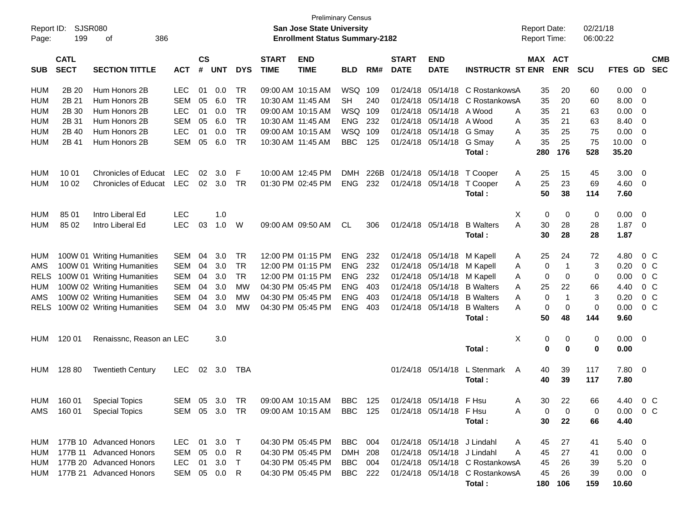| Report ID:<br>Page: | 199                        | <b>SJSR080</b><br>386<br>οf |               |                |                |               |                             | <b>Preliminary Census</b><br>San Jose State University<br><b>Enrollment Status Summary-2182</b> |                |      |                             |                             |                                 | <b>Report Date:</b><br><b>Report Time:</b> |                | 02/21/18<br>06:00:22 |                |                         |                          |
|---------------------|----------------------------|-----------------------------|---------------|----------------|----------------|---------------|-----------------------------|-------------------------------------------------------------------------------------------------|----------------|------|-----------------------------|-----------------------------|---------------------------------|--------------------------------------------|----------------|----------------------|----------------|-------------------------|--------------------------|
| <b>SUB</b>          | <b>CATL</b><br><b>SECT</b> | <b>SECTION TITTLE</b>       | <b>ACT</b>    | <b>CS</b><br># | <b>UNT</b>     | <b>DYS</b>    | <b>START</b><br><b>TIME</b> | <b>END</b><br><b>TIME</b>                                                                       | <b>BLD</b>     | RM#  | <b>START</b><br><b>DATE</b> | <b>END</b><br><b>DATE</b>   | <b>INSTRUCTR ST ENR</b>         | MAX ACT                                    | <b>ENR</b>     | <b>SCU</b>           | FTES GD        |                         | <b>CMB</b><br><b>SEC</b> |
| HUM                 | 2B 20                      | Hum Honors 2B               | <b>LEC</b>    | 01             | 0.0            | <b>TR</b>     |                             | 09:00 AM 10:15 AM                                                                               | WSQ            | 109  | 01/24/18                    | 05/14/18                    | C RostankowsA                   | 35                                         | 20             | 60                   | 0.00           | - 0                     |                          |
| <b>HUM</b>          | 2B 21                      | Hum Honors 2B               | <b>SEM</b>    | 05             | 6.0            | <b>TR</b>     | 10:30 AM 11:45 AM           |                                                                                                 | <b>SH</b>      | 240  | 01/24/18                    | 05/14/18                    | C RostankowsA                   | 35                                         | 20             | 60                   | 8.00           | - 0                     |                          |
| <b>HUM</b>          | 2B 30                      | Hum Honors 2B               | <b>LEC</b>    | 01             | 0.0            | <b>TR</b>     |                             | 09:00 AM 10:15 AM                                                                               | WSQ            | -109 | 01/24/18                    | 05/14/18                    | A Wood                          | 35<br>A                                    | 21             | 63                   | 0.00           | 0                       |                          |
| <b>HUM</b>          | 2B 31                      | Hum Honors 2B               | <b>SEM</b>    | 05             | 6.0            | <b>TR</b>     | 10:30 AM 11:45 AM           |                                                                                                 | <b>ENG</b>     | 232  | 01/24/18                    | 05/14/18                    | A Wood                          | 35<br>A                                    | 21             | 63                   | 8.40           | 0                       |                          |
| <b>HUM</b>          | 2B 40                      | Hum Honors 2B               | <b>LEC</b>    | 01             | 0.0            | <b>TR</b>     |                             | 09:00 AM 10:15 AM                                                                               | WSQ            | 109  | 01/24/18                    | 05/14/18                    | G Smay                          | 35<br>Α                                    | 25             | 75                   | 0.00           | 0                       |                          |
| <b>HUM</b>          | 2B 41                      | Hum Honors 2B               | <b>SEM</b>    | 05             | 6.0            | <b>TR</b>     | 10:30 AM 11:45 AM           |                                                                                                 | <b>BBC</b>     | 125  | 01/24/18                    | 05/14/18                    | G Smay                          | 35<br>A                                    | 25             | 75                   | 10.00          | 0                       |                          |
|                     |                            |                             |               |                |                |               |                             |                                                                                                 |                |      |                             |                             | Total:                          | 280                                        | 176            | 528                  | 35.20          |                         |                          |
|                     |                            |                             |               |                |                |               |                             |                                                                                                 |                |      |                             |                             |                                 |                                            |                |                      |                |                         |                          |
| HUM                 | 10 01                      | <b>Chronicles of Educat</b> | <b>LEC</b>    | 02             | 3.0            | F             |                             | 10:00 AM 12:45 PM                                                                               | <b>DMH</b>     | 226B | 01/24/18                    | 05/14/18                    | T Cooper                        | A<br>25                                    | 15             | 45                   | 3.00           | 0                       |                          |
| <b>HUM</b>          | 10 02                      | <b>Chronicles of Educat</b> | <b>LEC</b>    | 02             | 3.0            | <b>TR</b>     |                             | 01:30 PM 02:45 PM                                                                               | <b>ENG</b>     | 232  | 01/24/18                    | 05/14/18                    | T Cooper                        | 25<br>A                                    | 23             | 69                   | 4.60           | 0                       |                          |
|                     |                            |                             |               |                |                |               |                             |                                                                                                 |                |      |                             |                             | Total:                          | 50                                         | 38             | 114                  | 7.60           |                         |                          |
|                     |                            |                             |               |                |                |               |                             |                                                                                                 |                |      |                             |                             |                                 |                                            |                |                      |                |                         |                          |
| HUM                 | 85 01                      | Intro Liberal Ed            | <b>LEC</b>    |                | 1.0            |               |                             |                                                                                                 |                |      |                             |                             |                                 | Χ<br>0                                     | 0              | 0                    | 0.00           | 0                       |                          |
| <b>HUM</b>          | 85 02                      | Intro Liberal Ed            | <b>LEC</b>    | 03             | 1.0            | W             |                             | 09:00 AM 09:50 AM                                                                               | <b>CL</b>      | 306  |                             | 01/24/18 05/14/18           | <b>B</b> Walters                | 30<br>A                                    | 28             | 28                   | 1.87           | 0                       |                          |
|                     |                            |                             |               |                |                |               |                             |                                                                                                 |                |      |                             |                             | Total:                          | 30                                         | 28             | 28                   | 1.87           |                         |                          |
|                     |                            |                             |               |                |                |               |                             |                                                                                                 |                |      |                             |                             |                                 |                                            |                |                      |                |                         |                          |
| HUM                 |                            | 100W 01 Writing Humanities  | <b>SEM</b>    | 04             | 3.0            | <b>TR</b>     |                             | 12:00 PM 01:15 PM                                                                               | <b>ENG</b>     | 232  | 01/24/18                    | 05/14/18                    | M Kapell                        | 25<br>A                                    | 24             | 72                   | 4.80           | 0 <sup>o</sup>          |                          |
| AMS                 |                            | 100W 01 Writing Humanities  | <b>SEM</b>    | 04             | 3.0            | <b>TR</b>     |                             | 12:00 PM 01:15 PM                                                                               | <b>ENG</b>     | 232  | 01/24/18                    | 05/14/18                    | M Kapell                        | 0<br>Α                                     | $\overline{1}$ | 3                    | 0.20           | 0 <sup>o</sup>          |                          |
| <b>RELS</b>         |                            | 100W 01 Writing Humanities  | <b>SEM</b>    | 04             | 3.0            | <b>TR</b>     |                             | 12:00 PM 01:15 PM                                                                               | <b>ENG</b>     | 232  | 01/24/18                    | 05/14/18                    | M Kapell                        | A<br>0                                     | 0              | 0                    | 0.00           | 0 <sup>o</sup>          |                          |
| HUM                 |                            | 100W 02 Writing Humanities  | <b>SEM</b>    | 04             | 3.0            | МW            | 04:30 PM 05:45 PM           |                                                                                                 | <b>ENG</b>     | 403  | 01/24/18                    | 05/14/18                    | <b>B</b> Walters                | 25<br>A                                    | 22             | 66                   | 4.40           | 0 <sup>o</sup>          |                          |
| AMS                 |                            | 100W 02 Writing Humanities  | <b>SEM</b>    | 04             | 3.0            | MW            | 04:30 PM 05:45 PM           |                                                                                                 | <b>ENG</b>     | 403  | 01/24/18                    | 05/14/18                    | <b>B</b> Walters                | 0<br>A                                     | $\overline{1}$ | 3                    | 0.20           | 0 <sup>o</sup>          |                          |
| <b>RELS</b>         |                            | 100W 02 Writing Humanities  | <b>SEM</b>    | 04             | 3.0            | MW            |                             | 04:30 PM 05:45 PM                                                                               | <b>ENG</b>     | 403  | 01/24/18                    | 05/14/18                    | <b>B</b> Walters                | A<br>0                                     | 0              | 0                    | 0.00           | 0 <sup>o</sup>          |                          |
|                     |                            |                             |               |                |                |               |                             |                                                                                                 |                |      |                             |                             | Total:                          | 50                                         | 48             | 144                  | 9.60           |                         |                          |
|                     |                            |                             |               |                |                |               |                             |                                                                                                 |                |      |                             |                             |                                 |                                            |                |                      |                |                         |                          |
| <b>HUM</b>          | 120 01                     | Renaissnc, Reason an LEC    |               |                | 3.0            |               |                             |                                                                                                 |                |      |                             |                             |                                 | Χ<br>0                                     | 0              | 0                    | 0.00           | $\overline{\mathbf{0}}$ |                          |
|                     |                            |                             |               |                |                |               |                             |                                                                                                 |                |      |                             |                             | Total:                          | 0                                          | 0              | 0                    | 0.00           |                         |                          |
|                     |                            |                             |               |                |                |               |                             |                                                                                                 |                |      |                             |                             |                                 |                                            |                |                      |                |                         |                          |
| HUM                 | 128 80                     | <b>Twentieth Century</b>    | <b>LEC</b>    |                | $02 \quad 3.0$ | TBA           |                             |                                                                                                 |                |      |                             | 01/24/18 05/14/18           | L Stenmark<br>A                 | 40                                         | 39             | 117                  | 7.80           | $\overline{\mathbf{0}}$ |                          |
|                     |                            |                             |               |                |                |               |                             |                                                                                                 |                |      |                             |                             | Total :                         | 40                                         | 39             | 117                  | 7.80           |                         |                          |
|                     |                            |                             |               |                |                |               |                             |                                                                                                 |                |      |                             |                             |                                 |                                            |                |                      |                |                         |                          |
|                     |                            | HUM 160 01 Special Topics   | SEM 05 3.0 TR |                |                |               |                             | 09:00 AM 10:15 AM BBC                                                                           |                | 125  |                             | 01/24/18 05/14/18 F Hsu     |                                 | 30                                         | 22             | 66                   | 4.40 0 C       |                         |                          |
|                     |                            | AMS 160 01 Special Topics   |               |                |                | SEM 05 3.0 TR |                             | 09:00 AM 10:15 AM BBC 125                                                                       |                |      |                             | 01/24/18 05/14/18 F Hsu     |                                 | 0<br>Α                                     | 0              | 0                    | $0.00 \t 0 C$  |                         |                          |
|                     |                            |                             |               |                |                |               |                             |                                                                                                 |                |      |                             |                             | Total:                          | 30                                         | 22             | 66                   | 4.40           |                         |                          |
|                     |                            | HUM 177B 10 Advanced Honors | LEC.          |                | 01 3.0 T       |               | 04:30 PM 05:45 PM           |                                                                                                 | BBC 004        |      |                             | 01/24/18 05/14/18 J Lindahl |                                 | 45<br>A                                    | 27             | 41                   | $5.40 \quad 0$ |                         |                          |
| HUM                 |                            | 177B 11 Advanced Honors     | SEM           | 05             | 0.0            | R             | 04:30 PM 05:45 PM           |                                                                                                 | DMH 208        |      |                             | 01/24/18 05/14/18 J Lindahl |                                 | A<br>45                                    | 27             | 41                   | $0.00 \quad 0$ |                         |                          |
|                     |                            | HUM 177B 20 Advanced Honors | <b>LEC</b>    |                | 01 3.0         | $\top$        | 04:30 PM 05:45 PM           |                                                                                                 | BBC 004        |      |                             |                             | 01/24/18 05/14/18 C RostankowsA | 45                                         | 26             | 39                   | $5.20 \ 0$     |                         |                          |
|                     |                            | HUM 177B 21 Advanced Honors | SEM 05 0.0    |                |                | - R           | 04:30 PM 05:45 PM           |                                                                                                 | <b>BBC</b> 222 |      |                             |                             | 01/24/18 05/14/18 C RostankowsA | 45                                         | 26             | 39                   | $0.00 \quad 0$ |                         |                          |
|                     |                            |                             |               |                |                |               |                             |                                                                                                 |                |      |                             |                             | Total:                          | 180                                        | 106            | 159                  | 10.60          |                         |                          |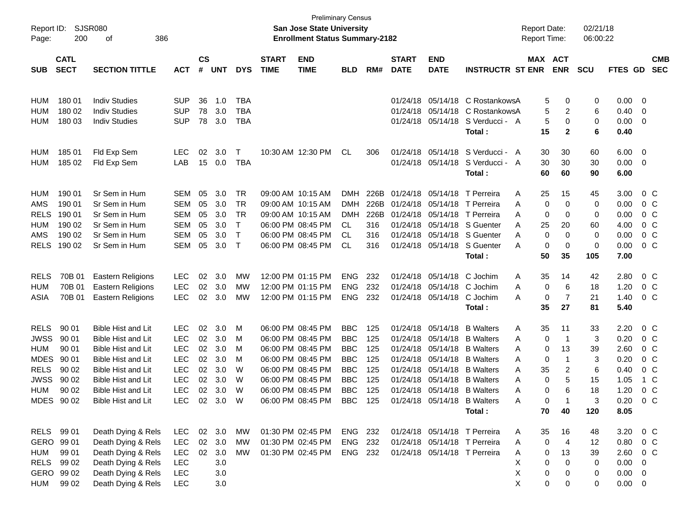| Page:       | Report ID:<br>SJSR080<br>200<br>386<br>οf<br><b>CATL</b> |                           |            |                    |            |            |                             | <b>San Jose State University</b><br><b>Enrollment Status Summary-2182</b> | <b>Preliminary Census</b> |      |                             |                           |                              | <b>Report Date:</b><br>Report Time: |    |             | 02/21/18<br>06:00:22 |             |                |                          |
|-------------|----------------------------------------------------------|---------------------------|------------|--------------------|------------|------------|-----------------------------|---------------------------------------------------------------------------|---------------------------|------|-----------------------------|---------------------------|------------------------------|-------------------------------------|----|-------------|----------------------|-------------|----------------|--------------------------|
| <b>SUB</b>  | <b>SECT</b>                                              | <b>SECTION TITTLE</b>     | <b>ACT</b> | $\mathsf{cs}$<br># | <b>UNT</b> | <b>DYS</b> | <b>START</b><br><b>TIME</b> | <b>END</b><br><b>TIME</b>                                                 | <b>BLD</b>                | RM#  | <b>START</b><br><b>DATE</b> | <b>END</b><br><b>DATE</b> | <b>INSTRUCTR ST ENR</b>      | MAX ACT                             |    | <b>ENR</b>  | <b>SCU</b>           | FTES GD     |                | <b>CMB</b><br><b>SEC</b> |
|             |                                                          |                           |            |                    |            |            |                             |                                                                           |                           |      |                             |                           |                              |                                     |    |             |                      |             |                |                          |
| <b>HUM</b>  | 180 01                                                   | <b>Indiv Studies</b>      | <b>SUP</b> | 36                 | 1.0        | TBA        |                             |                                                                           |                           |      |                             | 01/24/18 05/14/18         | C RostankowsA                |                                     | 5  | 0           | 0                    | 0.00        | - 0            |                          |
| <b>HUM</b>  | 180 02                                                   | <b>Indiv Studies</b>      | <b>SUP</b> | 78                 | 3.0        | TBA        |                             |                                                                           |                           |      |                             | 01/24/18 05/14/18         | C RostankowsA                |                                     | 5  | 2           | 6                    | 0.40        | 0              |                          |
| <b>HUM</b>  | 180 03                                                   | <b>Indiv Studies</b>      | <b>SUP</b> | 78                 | 3.0        | TBA        |                             |                                                                           |                           |      |                             | 01/24/18 05/14/18         | S Verducci - A               |                                     | 5  | 0           | 0                    | 0.00        | 0              |                          |
|             |                                                          |                           |            |                    |            |            |                             |                                                                           |                           |      |                             |                           | Total:                       |                                     | 15 | 2           | 6                    | 0.40        |                |                          |
| HUM         | 185 01                                                   | Fld Exp Sem               | <b>LEC</b> | 02                 | 3.0        | Τ          |                             | 10:30 AM 12:30 PM                                                         | CL                        | 306  |                             | 01/24/18 05/14/18         | S Verducci - A               |                                     | 30 | 30          | 60                   | 6.00        | $\overline{0}$ |                          |
| <b>HUM</b>  | 185 02                                                   | Fld Exp Sem               | LAB        | 15                 | 0.0        | TBA        |                             |                                                                           |                           |      |                             | 01/24/18 05/14/18         | S Verducci - A               |                                     | 30 | 30          | 30                   | 0.00        | 0              |                          |
|             |                                                          |                           |            |                    |            |            |                             |                                                                           |                           |      |                             |                           | Total:                       |                                     | 60 | 60          | 90                   | 6.00        |                |                          |
| <b>HUM</b>  | 190 01                                                   | Sr Sem in Hum             | <b>SEM</b> | 05                 | 3.0        | TR         |                             | 09:00 AM 10:15 AM                                                         | DMH                       | 226B |                             | 01/24/18 05/14/18         | T Perreira                   | A                                   | 25 | 15          | 45                   | 3.00        | $0\,C$         |                          |
| AMS         | 190 01                                                   | Sr Sem in Hum             | <b>SEM</b> | 05                 | 3.0        | TR         |                             | 09:00 AM 10:15 AM                                                         | <b>DMH</b>                | 226B | 01/24/18 05/14/18           |                           | T Perreira                   | A                                   | 0  | 0           | 0                    | 0.00        | 0 <sup>C</sup> |                          |
| <b>RELS</b> | 190 01                                                   | Sr Sem in Hum             | <b>SEM</b> | 05                 | 3.0        | <b>TR</b>  |                             | 09:00 AM 10:15 AM                                                         | <b>DMH</b>                | 226B | 01/24/18 05/14/18           |                           | T Perreira                   | A                                   | 0  | 0           | 0                    | 0.00        | $0\,C$         |                          |
| <b>HUM</b>  | 190 02                                                   | Sr Sem in Hum             | <b>SEM</b> | 05                 | 3.0        | T          |                             | 06:00 PM 08:45 PM                                                         | CL.                       | 316  |                             | 01/24/18 05/14/18         | S Guenter                    | A                                   | 25 | 20          | 60                   | 4.00        | $0\,C$         |                          |
| AMS         | 190 02                                                   | Sr Sem in Hum             | <b>SEM</b> | 05                 | 3.0        | $\top$     |                             | 06:00 PM 08:45 PM                                                         | CL                        | 316  |                             | 01/24/18 05/14/18         | S Guenter                    | A                                   | 0  | 0           | 0                    | 0.00        | $0\,C$         |                          |
| <b>RELS</b> | 190 02                                                   | Sr Sem in Hum             | <b>SEM</b> | 05                 | 3.0        | $\top$     |                             | 06:00 PM 08:45 PM                                                         | CL                        | 316  |                             | 01/24/18 05/14/18         | S Guenter                    | A                                   | 0  | 0           | 0                    | 0.00        | $0\,C$         |                          |
|             |                                                          |                           |            |                    |            |            |                             |                                                                           |                           |      |                             |                           | Total:                       |                                     | 50 | 35          | 105                  | 7.00        |                |                          |
| <b>RELS</b> | 70B 01                                                   | <b>Eastern Religions</b>  | <b>LEC</b> | 02                 | 3.0        | MW         |                             | 12:00 PM 01:15 PM                                                         | <b>ENG</b>                | 232  |                             | 01/24/18 05/14/18         | C Jochim                     | A                                   | 35 | 14          | 42                   | 2.80        | $0\,C$         |                          |
| <b>HUM</b>  | 70B 01                                                   | <b>Eastern Religions</b>  | <b>LEC</b> | 02                 | 3.0        | МW         |                             | 12:00 PM 01:15 PM                                                         | <b>ENG</b>                | 232  |                             | 01/24/18 05/14/18         | C Jochim                     | Α                                   | 0  | 6           | 18                   | 1.20        | $0\,C$         |                          |
| ASIA        | 70B 01                                                   | <b>Eastern Religions</b>  | <b>LEC</b> | 02                 | 3.0        | МW         |                             | 12:00 PM 01:15 PM                                                         | <b>ENG</b>                | 232  |                             | 01/24/18 05/14/18         | C Jochim                     | A                                   | 0  | 7           | 21                   | 1.40        | $0\,C$         |                          |
|             |                                                          |                           |            |                    |            |            |                             |                                                                           |                           |      |                             |                           | Total:                       |                                     | 35 | 27          | 81                   | 5.40        |                |                          |
| <b>RELS</b> | 90 01                                                    | <b>Bible Hist and Lit</b> | <b>LEC</b> | 02                 | 3.0        | М          |                             | 06:00 PM 08:45 PM                                                         | <b>BBC</b>                | 125  |                             | 01/24/18 05/14/18         | <b>B</b> Walters             | A                                   | 35 | 11          | 33                   | 2.20        | $0\,C$         |                          |
| <b>JWSS</b> | 90 01                                                    | Bible Hist and Lit        | <b>LEC</b> | 02                 | 3.0        | M          |                             | 06:00 PM 08:45 PM                                                         | <b>BBC</b>                | 125  |                             | 01/24/18 05/14/18         | <b>B</b> Walters             | A                                   | 0  | -1          | 3                    | 0.20        | $0\,C$         |                          |
| <b>HUM</b>  | 90 01                                                    | Bible Hist and Lit        | <b>LEC</b> | 02                 | 3.0        | M          |                             | 06:00 PM 08:45 PM                                                         | <b>BBC</b>                | 125  |                             | 01/24/18 05/14/18         | <b>B</b> Walters             | A                                   | 0  | 13          | 39                   | 2.60        | $0\,C$         |                          |
| <b>MDES</b> | 90 01                                                    | Bible Hist and Lit        | <b>LEC</b> | 02                 | 3.0        | M          |                             | 06:00 PM 08:45 PM                                                         | <b>BBC</b>                | 125  |                             | 01/24/18 05/14/18         | <b>B</b> Walters             | A                                   | 0  | $\mathbf 1$ | 3                    | 0.20        | $0\,C$         |                          |
| <b>RELS</b> | 90 02                                                    | <b>Bible Hist and Lit</b> | <b>LEC</b> | 02                 | 3.0        | W          |                             | 06:00 PM 08:45 PM                                                         | <b>BBC</b>                | 125  |                             | 01/24/18 05/14/18         | <b>B</b> Walters             | A                                   | 35 | 2           | 6                    | 0.40        | $0\,C$         |                          |
| <b>JWSS</b> | 90 02                                                    | <b>Bible Hist and Lit</b> | <b>LEC</b> | 02                 | 3.0        | W          |                             | 06:00 PM 08:45 PM                                                         | <b>BBC</b>                | 125  |                             | 01/24/18 05/14/18         | <b>B</b> Walters             | A                                   | 0  | 5           | 15                   | 1.05        | 1 C            |                          |
| <b>HUM</b>  | 90 02                                                    | <b>Bible Hist and Lit</b> | <b>LEC</b> | 02                 | 3.0        | W          |                             | 06:00 PM 08:45 PM                                                         | <b>BBC</b>                | 125  |                             | 01/24/18 05/14/18         | <b>B</b> Walters             | Α                                   | 0  | 6           | 18                   | 1.20        | $0\,C$         |                          |
| <b>MDES</b> | 90.02                                                    | Bible Hist and Lit        | LEC.       |                    | 02 3.0     | W          |                             | 06:00 PM 08:45 PM                                                         | BBC.                      | 125  |                             |                           | 01/24/18 05/14/18 B Walters  | A                                   | 0  | 1           | 3                    | 0.20        |                | 0 C                      |
|             |                                                          |                           |            |                    |            |            |                             |                                                                           |                           |      |                             |                           | Total:                       |                                     | 70 | 40          | 120                  | 8.05        |                |                          |
| RELS 99 01  |                                                          | Death Dying & Rels        | <b>LEC</b> |                    | 02 3.0     | MW         |                             | 01:30 PM 02:45 PM                                                         | ENG 232                   |      |                             |                           | 01/24/18 05/14/18 T Perreira | A                                   | 35 | 16          | 48                   | 3.20        | 0 C            |                          |
| GERO        | 99 01                                                    | Death Dying & Rels        | <b>LEC</b> | 02                 | 3.0        | <b>MW</b>  |                             | 01:30 PM 02:45 PM                                                         | ENG 232                   |      |                             |                           | 01/24/18 05/14/18 T Perreira | Α                                   | 0  | 4           | 12                   | 0.80        | 0 <sup>C</sup> |                          |
| <b>HUM</b>  | 99 01                                                    | Death Dying & Rels        | <b>LEC</b> | 02                 | 3.0        | MW         |                             | 01:30 PM 02:45 PM                                                         | ENG 232                   |      |                             |                           | 01/24/18 05/14/18 T Perreira | A                                   | 0  | 13          | 39                   | 2.60        | $0\,C$         |                          |
| <b>RELS</b> | 99 02                                                    | Death Dying & Rels        | <b>LEC</b> |                    | 3.0        |            |                             |                                                                           |                           |      |                             |                           |                              | Χ                                   | 0  | 0           | 0                    | 0.00        | 0              |                          |
|             | GERO 99 02                                               | Death Dying & Rels        | <b>LEC</b> |                    | 3.0        |            |                             |                                                                           |                           |      |                             |                           |                              | X                                   | 0  | 0           | 0                    | $0.00 \t 0$ |                |                          |
| <b>HUM</b>  | 99 02                                                    | Death Dying & Rels        | <b>LEC</b> |                    | 3.0        |            |                             |                                                                           |                           |      |                             |                           |                              | X                                   | 0  | 0           | 0                    | $0.00 \t 0$ |                |                          |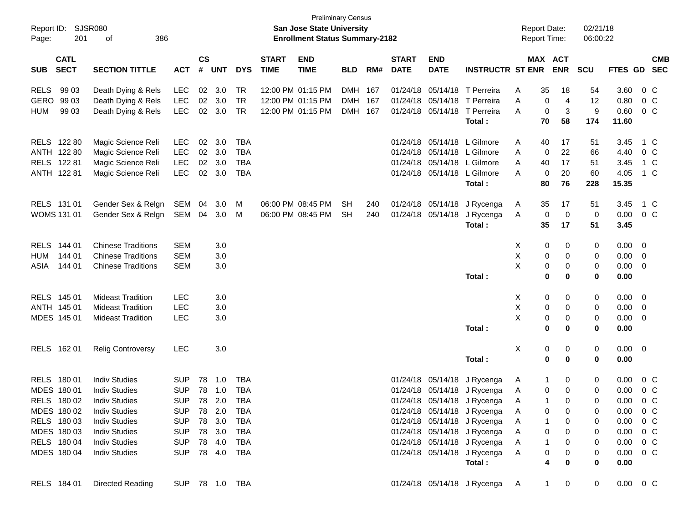| Report ID:<br>Page:                      | <b>SJSR080</b><br>201<br>386<br>οf |            |                |            |                |                             | San Jose State University<br><b>Enrollment Status Summary-2182</b> | <b>Preliminary Census</b> |     |                             |                           |                               | <b>Report Date:</b><br><b>Report Time:</b> |                       | 02/21/18<br>06:00:22 |               |                         |            |
|------------------------------------------|------------------------------------|------------|----------------|------------|----------------|-----------------------------|--------------------------------------------------------------------|---------------------------|-----|-----------------------------|---------------------------|-------------------------------|--------------------------------------------|-----------------------|----------------------|---------------|-------------------------|------------|
| <b>CATL</b><br><b>SECT</b><br><b>SUB</b> | <b>SECTION TITTLE</b>              | <b>ACT</b> | <b>CS</b><br># | <b>UNT</b> | <b>DYS</b>     | <b>START</b><br><b>TIME</b> | <b>END</b><br><b>TIME</b>                                          | <b>BLD</b>                | RM# | <b>START</b><br><b>DATE</b> | <b>END</b><br><b>DATE</b> | <b>INSTRUCTR ST ENR</b>       |                                            | MAX ACT<br><b>ENR</b> | <b>SCU</b>           | FTES GD SEC   |                         | <b>CMB</b> |
| <b>RELS</b><br>99 03                     | Death Dying & Rels                 | LEC        |                | 02 3.0     | <b>TR</b>      |                             | 12:00 PM 01:15 PM                                                  | DMH 167                   |     |                             |                           | 01/24/18 05/14/18 T Perreira  | 35<br>Α                                    | 18                    | 54                   | 3.60          | $0\,$ C                 |            |
| <b>GERO</b><br>99 03                     | Death Dying & Rels                 | LEC        |                | 02 3.0     | <b>TR</b>      |                             | 12:00 PM 01:15 PM                                                  | DMH 167                   |     |                             |                           | 01/24/18 05/14/18 T Perreira  | A                                          | $\overline{4}$<br>0   | 12                   | 0.80          | $0\,$ C                 |            |
| 99 03<br><b>HUM</b>                      | Death Dying & Rels                 | <b>LEC</b> |                | 02 3.0     | TR             |                             | 12:00 PM 01:15 PM                                                  | DMH 167                   |     |                             | 01/24/18 05/14/18         | T Perreira                    | A                                          | 0<br>3                | 9                    | 0.60          | $0\,C$                  |            |
|                                          |                                    |            |                |            |                |                             |                                                                    |                           |     |                             |                           | Total:                        | 70                                         | 58                    | 174                  | 11.60         |                         |            |
| RELS 122 80                              | Magic Science Reli                 | LEC        | 02             | 3.0        | TBA            |                             |                                                                    |                           |     |                             |                           | 01/24/18 05/14/18 L Gilmore   | A<br>40                                    | 17                    | 51                   | 3.45          | 1 C                     |            |
| ANTH 122 80                              | Magic Science Reli                 | LEC        | 02             | 3.0        | TBA            |                             |                                                                    |                           |     |                             |                           | 01/24/18 05/14/18 L Gilmore   | A                                          | 22<br>0               | 66                   | 4.40          | $0\,$ C                 |            |
| RELS 122 81                              | Magic Science Reli                 | LEC        | 02             | 3.0        | <b>TBA</b>     |                             |                                                                    |                           |     |                             |                           | 01/24/18 05/14/18 L Gilmore   | A<br>40                                    | 17                    | 51                   | 3.45          | 1 C                     |            |
| ANTH 122 81                              | Magic Science Reli                 | <b>LEC</b> |                | 02 3.0     | <b>TBA</b>     |                             |                                                                    |                           |     |                             |                           | 01/24/18 05/14/18 L Gilmore   | A                                          | 0<br>20               | 60                   | 4.05          | 1 C                     |            |
|                                          |                                    |            |                |            |                |                             |                                                                    |                           |     |                             |                           | Total:                        | 80                                         | 76                    | 228                  | 15.35         |                         |            |
| RELS 131 01                              | Gender Sex & Relgn                 | SEM        | 04             | 3.0        | M              |                             | 06:00 PM 08:45 PM                                                  | <b>SH</b>                 | 240 |                             | 01/24/18 05/14/18         | J Rycenga                     | 35<br>A                                    | 17                    | 51                   | 3.45          | 1 C                     |            |
| <b>WOMS 131 01</b>                       | Gender Sex & Relgn                 | SEM 04     |                | 3.0        | M              |                             | 06:00 PM 08:45 PM                                                  | <b>SH</b>                 | 240 |                             | 01/24/18 05/14/18         | J Rycenga                     | A                                          | 0<br>0                | 0                    | 0.00          | $0\,C$                  |            |
|                                          |                                    |            |                |            |                |                             |                                                                    |                           |     |                             |                           | Total:                        | 35                                         | 17                    | 51                   | 3.45          |                         |            |
| RELS 144 01                              | <b>Chinese Traditions</b>          | <b>SEM</b> |                | 3.0        |                |                             |                                                                    |                           |     |                             |                           |                               | X                                          | 0<br>0                | 0                    | 0.00          | $\overline{\mathbf{0}}$ |            |
| 144 01<br><b>HUM</b>                     | <b>Chinese Traditions</b>          | <b>SEM</b> |                | 3.0        |                |                             |                                                                    |                           |     |                             |                           |                               | Χ                                          | 0<br>0                | 0                    | $0.00 \t 0$   |                         |            |
| 144 01<br>ASIA                           | <b>Chinese Traditions</b>          | <b>SEM</b> |                | 3.0        |                |                             |                                                                    |                           |     |                             |                           |                               | X                                          | 0<br>0                | 0                    | 0.00          | $\overline{\mathbf{0}}$ |            |
|                                          |                                    |            |                |            |                |                             |                                                                    |                           |     |                             |                           | Total:                        |                                            | $\bf{0}$<br>0         | $\mathbf 0$          | 0.00          |                         |            |
| RELS 145 01                              | <b>Mideast Tradition</b>           | <b>LEC</b> |                | 3.0        |                |                             |                                                                    |                           |     |                             |                           |                               | X.                                         | 0<br>0                | 0                    | $0.00 \t 0$   |                         |            |
| ANTH 145 01                              | <b>Mideast Tradition</b>           | <b>LEC</b> |                | 3.0        |                |                             |                                                                    |                           |     |                             |                           |                               | Χ                                          | 0<br>0                | 0                    | $0.00 \t 0$   |                         |            |
| MDES 145 01                              | <b>Mideast Tradition</b>           | <b>LEC</b> |                | 3.0        |                |                             |                                                                    |                           |     |                             |                           |                               | X                                          | 0<br>0                | 0                    | 0.00          | $\overline{\mathbf{0}}$ |            |
|                                          |                                    |            |                |            |                |                             |                                                                    |                           |     |                             |                           | Total:                        |                                            | $\bf{0}$<br>0         | 0                    | 0.00          |                         |            |
| RELS 162 01                              | <b>Relig Controversy</b>           | <b>LEC</b> |                | 3.0        |                |                             |                                                                    |                           |     |                             |                           |                               | X                                          | 0<br>0                | 0                    | $0.00 \t 0$   |                         |            |
|                                          |                                    |            |                |            |                |                             |                                                                    |                           |     |                             |                           | Total:                        |                                            | $\bf{0}$<br>$\bf{0}$  | 0                    | 0.00          |                         |            |
| RELS 180 01                              | <b>Indiv Studies</b>               | <b>SUP</b> | 78             | 1.0        | TBA            |                             |                                                                    |                           |     |                             | 01/24/18 05/14/18         | J Rycenga                     | A                                          | 1<br>0                | 0                    | 0.00          | $0\,C$                  |            |
| MDES 180 01                              | <b>Indiv Studies</b>               | <b>SUP</b> | 78             | 1.0        | <b>TBA</b>     |                             |                                                                    |                           |     |                             |                           | 01/24/18 05/14/18 J Rycenga   | A                                          | 0<br>0                | 0                    | 0.00          | 0 <sup>o</sup>          |            |
| RELS 180 02                              | <b>Indiv Studies</b>               | <b>SUP</b> |                | 78 2.0     | TBA            |                             |                                                                    |                           |     |                             |                           | 01/24/18 05/14/18 J Rycenga   | Α                                          | 0                     | 0                    | 0.00          | $0\,C$                  |            |
| MDES 180 02                              | <b>Indiv Studies</b>               |            |                |            | SUP 78 2.0 TBA |                             |                                                                    |                           |     |                             |                           | 01/24/18 05/14/18 J Rycenga   | A                                          | 0<br>0                | 0                    | $0.00 \t 0 C$ |                         |            |
| RELS 180 03                              | <b>Indiv Studies</b>               | <b>SUP</b> |                | 78 3.0     | TBA            |                             |                                                                    |                           |     |                             |                           | 01/24/18 05/14/18 J Rycenga   | A                                          | $\mathbf{1}$<br>0     | 0                    | $0.00 \t 0 C$ |                         |            |
| MDES 180 03                              | <b>Indiv Studies</b>               | SUP        |                | 78 3.0     | TBA            |                             |                                                                    |                           |     |                             |                           | 01/24/18 05/14/18 J Rycenga   | A                                          | 0<br>0                | 0                    | $0.00 \t 0 C$ |                         |            |
| RELS 180 04                              | <b>Indiv Studies</b>               | SUP        |                | 78 4.0     | TBA            |                             |                                                                    |                           |     |                             |                           | 01/24/18 05/14/18 J Rycenga   | A                                          | 0<br>$\mathbf{1}$     | 0                    | $0.00 \t 0 C$ |                         |            |
| MDES 180 04                              | <b>Indiv Studies</b>               |            |                |            | SUP 78 4.0 TBA |                             |                                                                    |                           |     |                             |                           | 01/24/18 05/14/18 J Rycenga   | A                                          | 0<br>0                | 0                    | $0.00 \t 0 C$ |                         |            |
|                                          |                                    |            |                |            |                |                             |                                                                    |                           |     |                             |                           | Total:                        |                                            | 4<br>0                | $\mathbf 0$          | 0.00          |                         |            |
| RELS 184 01                              | Directed Reading                   |            |                |            | SUP 78 1.0 TBA |                             |                                                                    |                           |     |                             |                           | 01/24/18 05/14/18 J Rycenga A |                                            | 1<br>0                | $\mathbf 0$          | $0.00 \t 0 C$ |                         |            |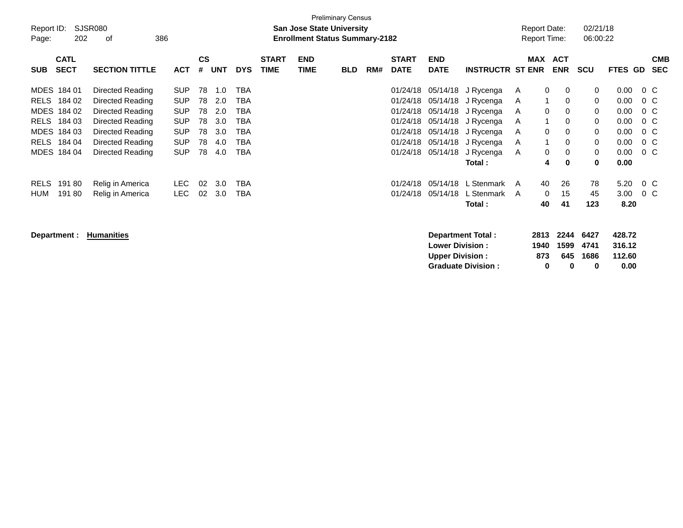| Report ID:<br>Page: | 202                        | SJSR080<br>386<br>оf  |            |                    |     |            |                             | <b>San Jose State University</b><br><b>Enrollment Status Summary-2182</b> | <b>Preliminary Census</b> |     |                             |                           |                         |   |              | <b>Report Date:</b><br><b>Report Time:</b> | 02/21/18<br>06:00:22 |         |        |                          |
|---------------------|----------------------------|-----------------------|------------|--------------------|-----|------------|-----------------------------|---------------------------------------------------------------------------|---------------------------|-----|-----------------------------|---------------------------|-------------------------|---|--------------|--------------------------------------------|----------------------|---------|--------|--------------------------|
| <b>SUB</b>          | <b>CATL</b><br><b>SECT</b> | <b>SECTION TITTLE</b> | <b>ACT</b> | $\mathsf{cs}$<br># | UNT | <b>DYS</b> | <b>START</b><br><b>TIME</b> | <b>END</b><br><b>TIME</b>                                                 | <b>BLD</b>                | RM# | <b>START</b><br><b>DATE</b> | <b>END</b><br><b>DATE</b> | <b>INSTRUCTR ST ENR</b> |   | MAX          | <b>ACT</b><br><b>ENR</b>                   | <b>SCU</b>           | FTES GD |        | <b>CMB</b><br><b>SEC</b> |
| MDES 184 01         |                            | Directed Reading      | <b>SUP</b> | 78                 | 1.0 | TBA        |                             |                                                                           |                           |     | 01/24/18                    | 05/14/18                  | J Rycenga               | A | 0            | $\mathbf{0}$                               | 0                    | 0.00    | $0\,C$ |                          |
| <b>RELS</b>         | 184 02                     | Directed Reading      | <b>SUP</b> | 78                 | 2.0 | TBA        |                             |                                                                           |                           |     | 01/24/18                    | 05/14/18                  | J Rycenga               | A |              | 0                                          | 0                    | 0.00    | $0\,C$ |                          |
| MDES 184 02         |                            | Directed Reading      | <b>SUP</b> | 78                 | 2.0 | TBA        |                             |                                                                           |                           |     | 01/24/18                    | 05/14/18                  | J Rycenga               | A | 0            | 0                                          | 0                    | 0.00    | $0\,C$ |                          |
| RELS 184 03         |                            | Directed Reading      | <b>SUP</b> | 78                 | 3.0 | TBA        |                             |                                                                           |                           |     | 01/24/18                    | 05/14/18                  | J Rycenga               | A | 1            | 0                                          | 0                    | 0.00    | $0\,C$ |                          |
| MDES 184 03         |                            | Directed Reading      | <b>SUP</b> | 78                 | 3.0 | TBA        |                             |                                                                           |                           |     | 01/24/18                    | 05/14/18                  | J Rycenga               | A | 0            | 0                                          | 0                    | 0.00    | $0\,C$ |                          |
| RELS 184 04         |                            | Directed Reading      | <b>SUP</b> | 78                 | 4.0 | TBA        |                             |                                                                           |                           |     | 01/24/18                    | 05/14/18                  | J Rycenga               | A | $\mathbf{1}$ | 0                                          | $\mathbf 0$          | 0.00    | $0\,C$ |                          |
| MDES 184 04         |                            | Directed Reading      | <b>SUP</b> | 78                 | 4.0 | TBA        |                             |                                                                           |                           |     | 01/24/18                    | 05/14/18                  | J Rycenga               | A | 0            | 0                                          | 0                    | 0.00    | $0\,C$ |                          |
|                     |                            |                       |            |                    |     |            |                             |                                                                           |                           |     |                             |                           | Total:                  |   | 4            | 0                                          | 0                    | 0.00    |        |                          |
| <b>RELS</b>         | 19180                      | Relig in America      | LEC.       | 02                 | 3.0 | TBA        |                             |                                                                           |                           |     | 01/24/18                    | 05/14/18                  | L Stenmark              | A | 40           | 26                                         | 78                   | 5.20    | $0\,C$ |                          |
| HUM                 | 19180                      | Relig in America      | <b>LEC</b> | 02                 | 3.0 | TBA        |                             |                                                                           |                           |     | 01/24/18                    | 05/14/18                  | L Stenmark              | A | $\mathbf 0$  | 15                                         | 45                   | 3.00    | $0\,C$ |                          |
|                     |                            |                       |            |                    |     |            |                             |                                                                           |                           |     |                             |                           | Total:                  |   | 40           | 41                                         | 123                  | 8.20    |        |                          |
| Department :        |                            | <b>Humanities</b>     |            |                    |     |            |                             |                                                                           |                           |     |                             |                           | Department Total:       |   | 2813         | 2244                                       | 6427                 | 428.72  |        |                          |

**Lower Division : 1940 1599 4741 316.12**

Graduate Division : 0 0

**Upper Division : 873 645 1686 112.60**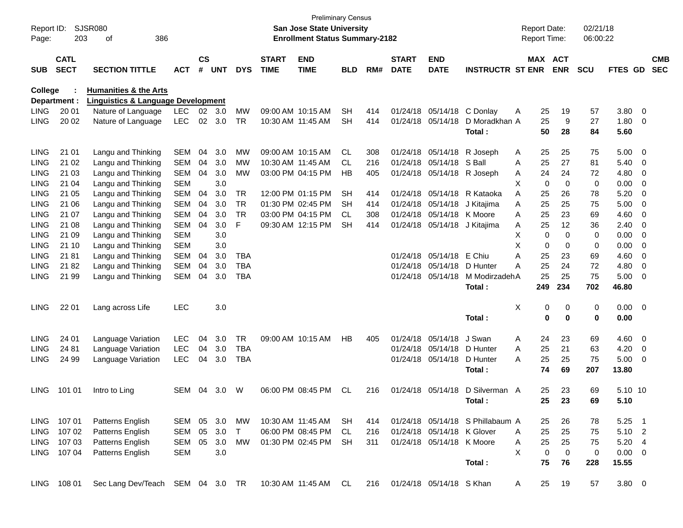| Report ID:<br>Page: | 203                        | <b>SJSR080</b><br>386<br>οf                           |            |                    |            |            |                             | San Jose State University<br><b>Enrollment Status Summary-2182</b> | <b>Preliminary Census</b> |     |                             |                              |                                  | <b>Report Date:</b><br>Report Time: |             |                       | 02/21/18<br>06:00:22 |                |                         |                          |
|---------------------|----------------------------|-------------------------------------------------------|------------|--------------------|------------|------------|-----------------------------|--------------------------------------------------------------------|---------------------------|-----|-----------------------------|------------------------------|----------------------------------|-------------------------------------|-------------|-----------------------|----------------------|----------------|-------------------------|--------------------------|
| <b>SUB</b>          | <b>CATL</b><br><b>SECT</b> | <b>SECTION TITTLE</b>                                 | <b>ACT</b> | $\mathsf{cs}$<br># | <b>UNT</b> | <b>DYS</b> | <b>START</b><br><b>TIME</b> | <b>END</b><br><b>TIME</b>                                          | <b>BLD</b>                | RM# | <b>START</b><br><b>DATE</b> | <b>END</b><br><b>DATE</b>    | <b>INSTRUCTR ST ENR</b>          |                                     |             | MAX ACT<br><b>ENR</b> | <b>SCU</b>           | <b>FTES GD</b> |                         | <b>CMB</b><br><b>SEC</b> |
| College             |                            | <b>Humanities &amp; the Arts</b>                      |            |                    |            |            |                             |                                                                    |                           |     |                             |                              |                                  |                                     |             |                       |                      |                |                         |                          |
|                     | Department :               | <b>Linguistics &amp; Language Development</b>         |            |                    |            |            |                             |                                                                    |                           |     |                             |                              |                                  |                                     |             |                       |                      |                |                         |                          |
| <b>LING</b>         | 20 01                      | Nature of Language                                    | <b>LEC</b> | 02 <sub>2</sub>    | 3.0        | <b>MW</b>  |                             | 09:00 AM 10:15 AM                                                  | <b>SH</b>                 | 414 |                             | 01/24/18 05/14/18            | C Donlay                         | Α                                   | 25          | 19                    | 57                   | 3.80           | $\overline{\mathbf{0}}$ |                          |
| <b>LING</b>         | 20 02                      | Nature of Language                                    | <b>LEC</b> | $02\,$             | 3.0        | <b>TR</b>  |                             | 10:30 AM 11:45 AM                                                  | <b>SH</b>                 | 414 |                             | 01/24/18 05/14/18            | D Moradkhan A                    |                                     | 25          | 9                     | 27                   | 1.80           | 0                       |                          |
|                     |                            |                                                       |            |                    |            |            |                             |                                                                    |                           |     |                             |                              | Total :                          |                                     | 50          | 28                    | 84                   | 5.60           |                         |                          |
| <b>LING</b>         | 21 01                      | Langu and Thinking                                    | <b>SEM</b> | 04                 | 3.0        | MW         |                             | 09:00 AM 10:15 AM                                                  | CL                        | 308 |                             | 01/24/18 05/14/18            | R Joseph                         | A                                   | 25          | 25                    | 75                   | 5.00           | - 0                     |                          |
| LING                | 21 02                      | Langu and Thinking                                    | <b>SEM</b> | 04                 | 3.0        | МW         |                             | 10:30 AM 11:45 AM                                                  | CL                        | 216 |                             | 01/24/18 05/14/18            | S Ball                           | Α                                   | 25          | 27                    | 81                   | 5.40           | 0                       |                          |
| LING                | 21 03                      | Langu and Thinking                                    | <b>SEM</b> | 04                 | 3.0        | <b>MW</b>  |                             | 03:00 PM 04:15 PM                                                  | НB                        | 405 |                             | 01/24/18 05/14/18            | R Joseph                         | Α                                   | 24          | 24                    | 72                   | 4.80           | 0                       |                          |
| LING                | 21 04                      | Langu and Thinking                                    | <b>SEM</b> |                    | 3.0        |            |                             |                                                                    |                           |     |                             |                              |                                  | Х                                   | 0           | 0                     | 0                    | 0.00           | 0                       |                          |
| <b>LING</b>         | 21 05                      | Langu and Thinking                                    | <b>SEM</b> | 04                 | 3.0        | TR         |                             | 12:00 PM 01:15 PM                                                  | <b>SH</b>                 | 414 |                             | 01/24/18 05/14/18            | R Kataoka                        | A                                   | 25          | 26                    | 78                   | 5.20           | 0                       |                          |
| LING                | 21 06                      | Langu and Thinking                                    | <b>SEM</b> | 04                 | 3.0        | <b>TR</b>  |                             | 01:30 PM 02:45 PM                                                  | SН                        | 414 |                             | 01/24/18 05/14/18            | J Kitajima                       | A                                   | 25          | 25                    | 75                   | 5.00           | 0                       |                          |
| LING                | 21 07                      | Langu and Thinking                                    | <b>SEM</b> | 04                 | 3.0        | <b>TR</b>  |                             | 03:00 PM 04:15 PM                                                  | CL                        | 308 |                             | 01/24/18 05/14/18 K Moore    |                                  | A                                   | 25          | 23                    | 69                   | 4.60           | 0                       |                          |
| <b>LING</b>         | 21 08                      | Langu and Thinking                                    | <b>SEM</b> | 04                 | 3.0        | F          |                             | 09:30 AM 12:15 PM                                                  | <b>SH</b>                 | 414 |                             | 01/24/18 05/14/18            | J Kitajima                       | Α                                   | 25          | 12                    | 36                   | 2.40           | 0                       |                          |
| LING                | 21 09                      | Langu and Thinking                                    | <b>SEM</b> |                    | 3.0        |            |                             |                                                                    |                           |     |                             |                              |                                  | X                                   | 0           | $\mathbf 0$           | 0                    | 0.00           | 0                       |                          |
| LING                | 21 10                      | Langu and Thinking                                    | <b>SEM</b> |                    | 3.0        |            |                             |                                                                    |                           |     |                             |                              |                                  | X                                   | 0           | 0                     | 0                    | 0.00           | 0                       |                          |
| <b>LING</b>         | 2181                       | Langu and Thinking                                    | <b>SEM</b> | 04                 | 3.0        | <b>TBA</b> |                             |                                                                    |                           |     |                             | 01/24/18 05/14/18            | E Chiu                           | Α                                   | 25          | 23                    | 69                   | 4.60           | 0                       |                          |
| <b>LING</b>         | 2182                       | Langu and Thinking                                    | <b>SEM</b> | 04                 | 3.0        | <b>TBA</b> |                             |                                                                    |                           |     |                             | 01/24/18 05/14/18            | D Hunter                         | Α                                   | 25          | 24                    | 72                   | 4.80           | 0                       |                          |
| <b>LING</b>         | 21 99                      | Langu and Thinking                                    | <b>SEM</b> | 04                 | 3.0        | <b>TBA</b> |                             |                                                                    |                           |     |                             | 01/24/18 05/14/18            | M ModirzadehA                    |                                     | 25          | 25                    | 75                   | 5.00           | 0                       |                          |
|                     |                            |                                                       |            |                    |            |            |                             |                                                                    |                           |     |                             |                              | Total:                           |                                     | 249         | 234                   | 702                  | 46.80          |                         |                          |
| <b>LING</b>         | 22 01                      | Lang across Life                                      | <b>LEC</b> |                    | 3.0        |            |                             |                                                                    |                           |     |                             |                              |                                  | X                                   | 0           | 0                     | 0                    | $0.00 \t 0$    |                         |                          |
|                     |                            |                                                       |            |                    |            |            |                             |                                                                    |                           |     |                             |                              | Total:                           |                                     | $\mathbf 0$ | 0                     | 0                    | 0.00           |                         |                          |
| <b>LING</b>         | 24 01                      | Language Variation                                    | <b>LEC</b> | 04                 | 3.0        | <b>TR</b>  |                             | 09:00 AM 10:15 AM                                                  | HB                        | 405 |                             | 01/24/18 05/14/18            | J Swan                           | Α                                   | 24          | 23                    | 69                   | 4.60           | $\overline{0}$          |                          |
| <b>LING</b>         | 24 81                      | Language Variation                                    | <b>LEC</b> | 04                 | 3.0        | <b>TBA</b> |                             |                                                                    |                           |     |                             | 01/24/18 05/14/18            | D Hunter                         | A                                   | 25          | 21                    | 63                   | 4.20           | 0                       |                          |
| <b>LING</b>         | 24 99                      | Language Variation                                    | <b>LEC</b> | 04                 | 3.0        | <b>TBA</b> |                             |                                                                    |                           |     |                             | 01/24/18 05/14/18            | D Hunter                         | A                                   | 25          | 25                    | 75                   | 5.00           | $\mathbf 0$             |                          |
|                     |                            |                                                       |            |                    |            |            |                             |                                                                    |                           |     |                             |                              | Total :                          |                                     | 74          | 69                    | 207                  | 13.80          |                         |                          |
| LING                | 101 01                     | Intro to Ling                                         | <b>SEM</b> | 04                 | 3.0        | W          |                             | 06:00 PM 08:45 PM                                                  | <b>CL</b>                 | 216 |                             | 01/24/18 05/14/18            | D Silverman A                    |                                     | 25          | 23                    | 69                   | 5.10 10        |                         |                          |
|                     |                            |                                                       |            |                    |            |            |                             |                                                                    |                           |     |                             |                              | Total:                           |                                     | 25          | 23                    | 69                   | 5.10           |                         |                          |
|                     | LING 107 01                | Patterns English                                      | SEM 05 3.0 |                    |            | МW         |                             | 10:30 AM 11:45 AM                                                  | SH.                       | 414 |                             |                              | 01/24/18 05/14/18 S Phillabaum A |                                     | 25          | 26                    | 78                   | $5.25$ 1       |                         |                          |
| LING                | 107 02                     | Patterns English                                      | SEM        | 05                 | 3.0        | T.         |                             | 06:00 PM 08:45 PM                                                  | CL                        | 216 |                             | 01/24/18 05/14/18 K Glover   |                                  | Α                                   | 25          | 25                    | 75                   | 5.10 2         |                         |                          |
|                     | LING 107 03                | Patterns English                                      | SEM 05     |                    | 3.0        | MW         |                             | 01:30 PM 02:45 PM                                                  | SH                        | 311 |                             | 01/24/18 05/14/18 K Moore    |                                  | A                                   | 25          | 25                    | 75                   | 5.20 4         |                         |                          |
|                     | LING 107 04                | Patterns English                                      | <b>SEM</b> |                    | 3.0        |            |                             |                                                                    |                           |     |                             |                              |                                  | X                                   | $\mathbf 0$ | $\mathbf 0$           | 0                    | $0.00 \t 0$    |                         |                          |
|                     |                            |                                                       |            |                    |            |            |                             |                                                                    |                           |     |                             |                              | Total:                           |                                     | 75          | 76                    | 228                  | 15.55          |                         |                          |
|                     | LING 108 01                | Sec Lang Dev/Teach SEM 04 3.0 TR 10:30 AM 11:45 AM CL |            |                    |            |            |                             |                                                                    |                           |     |                             | 216 01/24/18 05/14/18 S Khan |                                  | A                                   | 25          | 19                    | 57                   | $3.80\ 0$      |                         |                          |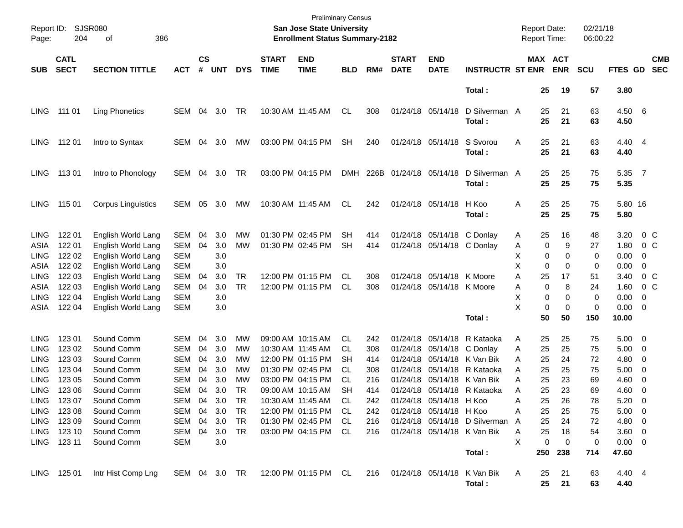| Report ID:<br>Page:                                                      | 204                                                      | SJSR080<br>386<br>οf                                                                 |                                                                           |                                  |                                        |                                  |                             | <b>Preliminary Census</b><br>San Jose State University<br><b>Enrollment Status Summary-2182</b>       |                                            |                                        |                             |                                                                                              |                                                                                             | <b>Report Date:</b><br>Report Time: |                                  |                                  | 02/21/18<br>06:00:22             |                                                                 |                                                  |                          |
|--------------------------------------------------------------------------|----------------------------------------------------------|--------------------------------------------------------------------------------------|---------------------------------------------------------------------------|----------------------------------|----------------------------------------|----------------------------------|-----------------------------|-------------------------------------------------------------------------------------------------------|--------------------------------------------|----------------------------------------|-----------------------------|----------------------------------------------------------------------------------------------|---------------------------------------------------------------------------------------------|-------------------------------------|----------------------------------|----------------------------------|----------------------------------|-----------------------------------------------------------------|--------------------------------------------------|--------------------------|
| <b>SUB</b>                                                               | <b>CATL</b><br><b>SECT</b>                               | <b>SECTION TITTLE</b>                                                                | <b>ACT</b>                                                                | <b>CS</b><br>#                   | <b>UNT</b>                             | <b>DYS</b>                       | <b>START</b><br><b>TIME</b> | <b>END</b><br><b>TIME</b>                                                                             | <b>BLD</b>                                 | RM#                                    | <b>START</b><br><b>DATE</b> | <b>END</b><br><b>DATE</b>                                                                    | <b>INSTRUCTR ST ENR</b>                                                                     |                                     | MAX ACT<br><b>ENR</b>            |                                  | <b>SCU</b>                       | FTES GD                                                         |                                                  | <b>CMB</b><br><b>SEC</b> |
|                                                                          |                                                          |                                                                                      |                                                                           |                                  |                                        |                                  |                             |                                                                                                       |                                            |                                        |                             |                                                                                              | Total:                                                                                      |                                     | 25                               | 19                               | 57                               | 3.80                                                            |                                                  |                          |
| <b>LING</b>                                                              | 111 01                                                   | <b>Ling Phonetics</b>                                                                | <b>SEM</b>                                                                | 04                               | 3.0                                    | TR                               |                             | 10:30 AM 11:45 AM                                                                                     | CL                                         | 308                                    |                             | 01/24/18 05/14/18                                                                            | D Silverman A<br>Total:                                                                     |                                     | 25<br>25                         | 21<br>21                         | 63<br>63                         | $4.50\ 6$<br>4.50                                               |                                                  |                          |
| <b>LING</b>                                                              | 11201                                                    | Intro to Syntax                                                                      | <b>SEM</b>                                                                | 04                               | 3.0                                    | MW                               |                             | 03:00 PM 04:15 PM                                                                                     | <b>SH</b>                                  | 240                                    |                             | 01/24/18 05/14/18                                                                            | S Svorou<br>Total:                                                                          | Α                                   | 25<br>25                         | 21<br>21                         | 63<br>63                         | 4.40 4<br>4.40                                                  |                                                  |                          |
| <b>LING</b>                                                              | 11301                                                    | Intro to Phonology                                                                   | <b>SEM</b>                                                                | 04                               | 3.0                                    | TR                               |                             | 03:00 PM 04:15 PM                                                                                     | <b>DMH</b>                                 |                                        | 226B 01/24/18 05/14/18      |                                                                                              | D Silverman A<br>Total:                                                                     |                                     | 25<br>25                         | 25<br>25                         | 75<br>75                         | 5.35<br>5.35                                                    | $\overline{7}$                                   |                          |
| <b>LING</b>                                                              | 115 01                                                   | <b>Corpus Linguistics</b>                                                            | <b>SEM</b>                                                                | 05                               | 3.0                                    | MW                               |                             | 10:30 AM 11:45 AM                                                                                     | CL                                         | 242                                    |                             | 01/24/18 05/14/18                                                                            | H Koo<br>Total:                                                                             | Α                                   | 25<br>25                         | 25<br>25                         | 75<br>75                         | 5.80 16<br>5.80                                                 |                                                  |                          |
| <b>LING</b><br>ASIA<br><b>LING</b><br>ASIA                               | 122 01<br>122 01<br>122 02<br>122 02                     | English World Lang<br>English World Lang<br>English World Lang<br>English World Lang | <b>SEM</b><br><b>SEM</b><br><b>SEM</b><br><b>SEM</b>                      | 04<br>04                         | 3.0<br>3.0<br>3.0<br>3.0               | MW<br><b>MW</b>                  |                             | 01:30 PM 02:45 PM<br>01:30 PM 02:45 PM                                                                | SН<br><b>SH</b>                            | 414<br>414                             |                             | 01/24/18 05/14/18<br>01/24/18 05/14/18 C Donlay                                              | C Donlay                                                                                    | A<br>Α<br>X<br>X                    | 25<br>0<br>0<br>$\mathbf 0$      | 16<br>9<br>0<br>0                | 48<br>27<br>0<br>0               | 3.20<br>1.80<br>0.00<br>0.00                                    | $0\,$ C<br>0 <sup>o</sup><br>0<br>0              |                          |
| <b>LING</b><br>ASIA<br><b>LING</b>                                       | 122 03<br>122 03<br>122 04                               | English World Lang<br>English World Lang<br>English World Lang                       | <b>SEM</b><br><b>SEM</b><br><b>SEM</b>                                    | 04<br>04                         | 3.0<br>3.0<br>3.0                      | <b>TR</b><br><b>TR</b>           |                             | 12:00 PM 01:15 PM<br>12:00 PM 01:15 PM                                                                | CL.<br><b>CL</b>                           | 308<br>308                             |                             | 01/24/18 05/14/18<br>01/24/18 05/14/18                                                       | K Moore<br>K Moore                                                                          | Α<br>Α<br>X<br>X                    | 25<br>$\mathbf 0$<br>$\mathbf 0$ | 17<br>8<br>0<br>$\mathbf 0$      | 51<br>24<br>0<br>0               | 3.40<br>1.60<br>0.00                                            | $0\,$ C<br>0 <sup>o</sup><br>0                   |                          |
| ASIA                                                                     | 122 04                                                   | English World Lang                                                                   | <b>SEM</b>                                                                |                                  | 3.0                                    |                                  |                             |                                                                                                       |                                            |                                        |                             |                                                                                              | Total:                                                                                      |                                     | 0<br>50                          | 50                               | 150                              | 0.00<br>10.00                                                   | 0                                                |                          |
| <b>LING</b><br>LING<br><b>LING</b><br><b>LING</b><br>LING<br><b>LING</b> | 123 01<br>123 02<br>123 03<br>123 04<br>123 05<br>123 06 | Sound Comm<br>Sound Comm<br>Sound Comm<br>Sound Comm<br>Sound Comm<br>Sound Comm     | <b>SEM</b><br><b>SEM</b><br><b>SEM</b><br><b>SEM</b><br>SEM<br><b>SEM</b> | 04<br>04<br>04<br>04<br>04<br>04 | 3.0<br>3.0<br>3.0<br>3.0<br>3.0<br>3.0 | MW<br>MW<br>MW<br>MW<br>МW<br>TR | 10:30 AM 11:45 AM           | 09:00 AM 10:15 AM<br>12:00 PM 01:15 PM<br>01:30 PM 02:45 PM<br>03:00 PM 04:15 PM<br>09:00 AM 10:15 AM | CL.<br>CL.<br>SН<br>CL.<br>СL<br><b>SH</b> | 242<br>308<br>414<br>308<br>216<br>414 | 01/24/18                    | 01/24/18 05/14/18<br>01/24/18 05/14/18<br>01/24/18 05/14/18<br>01/24/18 05/14/18<br>05/14/18 | R Kataoka<br>C Donlay<br>K Van Bik<br>R Kataoka<br>K Van Bik<br>01/24/18 05/14/18 R Kataoka | A<br>Α<br>A<br>A<br>A<br>Α          | 25<br>25<br>25<br>25<br>25<br>25 | 25<br>25<br>24<br>25<br>23<br>23 | 75<br>75<br>72<br>75<br>69<br>69 | 5.00<br>5.00<br>4.80<br>5.00<br>4.60<br>4.60                    | $\overline{\mathbf{0}}$<br>0<br>0<br>0<br>0<br>0 |                          |
| LING<br>LING<br>LING                                                     | 123 07<br>123 08<br>123 09<br>LING 123 10<br>LING 123 11 | Sound Comm<br>Sound Comm<br>Sound Comm<br>Sound Comm<br>Sound Comm                   | SEM<br><b>SEM</b><br>SEM<br><b>SEM</b><br><b>SEM</b>                      | 04<br>04<br>04                   | 3.0<br>3.0<br>04 3.0<br>3.0<br>3.0     | <b>TR</b><br>TR<br>TR<br>TR      |                             | 10:30 AM 11:45 AM<br>12:00 PM 01:15 PM<br>01:30 PM 02:45 PM<br>03:00 PM 04:15 PM                      | CL<br>CL.<br>CL<br>CL                      | 242<br>242<br>216<br>216               |                             | 01/24/18 05/14/18<br>01/24/18 05/14/18 H Koo                                                 | H Koo<br>01/24/18 05/14/18 D Silverman<br>01/24/18 05/14/18 K Van Bik<br>Total:             | A<br>A<br>A<br>A<br>X<br>250        | 25<br>25<br>25<br>25<br>0<br>238 | 26<br>25<br>24<br>18<br>0        | 78<br>75<br>72<br>54<br>0<br>714 | 5.20<br>$5.00 \t 0$<br>4.80 0<br>3.60 0<br>$0.00 \t 0$<br>47.60 | $\overline{\phantom{0}}$                         |                          |
|                                                                          | LING 125 01                                              | Intr Hist Comp Lng                                                                   | SEM 04 3.0 TR                                                             |                                  |                                        |                                  |                             | 12:00 PM 01:15 PM CL                                                                                  |                                            | 216                                    |                             | 01/24/18 05/14/18                                                                            | K Van Bik<br>Total:                                                                         | A                                   | 25<br>25                         | 21<br>21                         | 63<br>63                         | 4.40 4<br>4.40                                                  |                                                  |                          |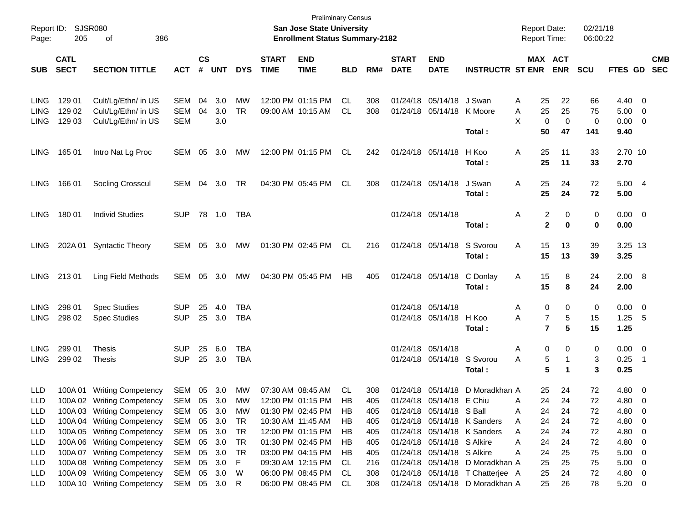| Report ID:<br>Page: | 205                        | <b>SJSR080</b><br>386<br>οf |               |                |            |            |                             | <b>Preliminary Census</b><br>San Jose State University<br><b>Enrollment Status Summary-2182</b> |            |     |                             |                            |                                  | <b>Report Date:</b><br>Report Time: |                       | 02/21/18<br>06:00:22 |                |                          |                          |
|---------------------|----------------------------|-----------------------------|---------------|----------------|------------|------------|-----------------------------|-------------------------------------------------------------------------------------------------|------------|-----|-----------------------------|----------------------------|----------------------------------|-------------------------------------|-----------------------|----------------------|----------------|--------------------------|--------------------------|
| <b>SUB</b>          | <b>CATL</b><br><b>SECT</b> | <b>SECTION TITTLE</b>       | <b>ACT</b>    | <b>CS</b><br># | <b>UNT</b> | <b>DYS</b> | <b>START</b><br><b>TIME</b> | <b>END</b><br><b>TIME</b>                                                                       | <b>BLD</b> | RM# | <b>START</b><br><b>DATE</b> | <b>END</b><br><b>DATE</b>  | <b>INSTRUCTR ST ENR</b>          |                                     | MAX ACT<br><b>ENR</b> | <b>SCU</b>           | <b>FTES GD</b> |                          | <b>CMB</b><br><b>SEC</b> |
|                     |                            |                             |               |                |            |            |                             |                                                                                                 |            |     |                             |                            |                                  |                                     |                       |                      |                |                          |                          |
| <b>LING</b>         | 129 01                     | Cult/Lg/Ethn/ in US         | <b>SEM</b>    | 04             | 3.0        | MW         |                             | 12:00 PM 01:15 PM                                                                               | CL.        | 308 | 01/24/18                    | 05/14/18                   | J Swan                           | 25<br>Α                             | 22                    | 66                   | 4.40           | $\overline{0}$           |                          |
| <b>LING</b>         | 129 02                     | Cult/Lg/Ethn/ in US         | <b>SEM</b>    | 04             | 3.0        | <b>TR</b>  |                             | 09:00 AM 10:15 AM                                                                               | CL.        | 308 |                             | 01/24/18 05/14/18          | K Moore                          | 25<br>Α                             | 25                    | 75                   | 5.00           | 0                        |                          |
| <b>LING</b>         | 129 03                     | Cult/Lg/Ethn/ in US         | <b>SEM</b>    |                | 3.0        |            |                             |                                                                                                 |            |     |                             |                            |                                  | X                                   | 0<br>0                | 0                    | 0.00           | 0                        |                          |
|                     |                            |                             |               |                |            |            |                             |                                                                                                 |            |     |                             |                            | Total:                           | 50                                  | 47                    | 141                  | 9.40           |                          |                          |
| <b>LING</b>         | 165 01                     | Intro Nat Lg Proc           | <b>SEM</b>    | 05             | 3.0        | MW         |                             | 12:00 PM 01:15 PM                                                                               | <b>CL</b>  | 242 |                             | 01/24/18 05/14/18          | H Koo                            | Α<br>25                             | 11                    | 33                   | 2.70 10        |                          |                          |
|                     |                            |                             |               |                |            |            |                             |                                                                                                 |            |     |                             |                            | Total:                           | 25                                  | 11                    | 33                   | 2.70           |                          |                          |
| <b>LING</b>         | 166 01                     | Socling Crosscul            | <b>SEM</b>    | 04             | 3.0        | TR         |                             | 04:30 PM 05:45 PM                                                                               | <b>CL</b>  | 308 |                             | 01/24/18 05/14/18          | J Swan                           | Α<br>25                             | 24                    | 72                   | 5.00           | - 4                      |                          |
|                     |                            |                             |               |                |            |            |                             |                                                                                                 |            |     |                             |                            | Total:                           | 25                                  | 24                    | 72                   | 5.00           |                          |                          |
| <b>LING</b>         | 180 01                     | <b>Individ Studies</b>      | <b>SUP</b>    | 78             | 1.0        | TBA        |                             |                                                                                                 |            |     |                             | 01/24/18 05/14/18          |                                  | Α                                   | 2<br>0                | 0                    | 0.00           | $\overline{\phantom{0}}$ |                          |
|                     |                            |                             |               |                |            |            |                             |                                                                                                 |            |     |                             |                            | Total:                           |                                     | $\mathbf{2}$<br>0     | 0                    | 0.00           |                          |                          |
| <b>LING</b>         |                            | 202A 01 Syntactic Theory    | <b>SEM</b>    | 05             | 3.0        | МW         |                             | 01:30 PM 02:45 PM                                                                               | <b>CL</b>  | 216 |                             | 01/24/18 05/14/18          | S Svorou                         | Α<br>15                             | 13                    | 39                   | 3.25 13        |                          |                          |
|                     |                            |                             |               |                |            |            |                             |                                                                                                 |            |     |                             |                            | Total:                           | 15                                  | 13                    | 39                   | 3.25           |                          |                          |
| <b>LING</b>         | 21301                      | Ling Field Methods          | <b>SEM</b>    | 05             | 3.0        | МW         | 04:30 PM 05:45 PM           |                                                                                                 | HB         | 405 |                             | 01/24/18 05/14/18          | C Donlay                         | 15<br>A                             | 8                     | 24                   | $2.00\quad 8$  |                          |                          |
|                     |                            |                             |               |                |            |            |                             |                                                                                                 |            |     |                             |                            | Total:                           | 15                                  | 8                     | 24                   | 2.00           |                          |                          |
| <b>LING</b>         | 298 01                     | <b>Spec Studies</b>         | <b>SUP</b>    | 25             | 4.0        | TBA        |                             |                                                                                                 |            |     |                             | 01/24/18 05/14/18          |                                  | Α                                   | 0<br>0                | 0                    | 0.00           | - 0                      |                          |
| <b>LING</b>         | 298 02                     | <b>Spec Studies</b>         | <b>SUP</b>    |                | 25 3.0     | <b>TBA</b> |                             |                                                                                                 |            |     |                             | 01/24/18 05/14/18          | H Koo                            | Α                                   | 7<br>5                | 15                   | 1.25           | - 5                      |                          |
|                     |                            |                             |               |                |            |            |                             |                                                                                                 |            |     |                             |                            | Total:                           |                                     | $\overline{7}$<br>5   | 15                   | 1.25           |                          |                          |
| <b>LING</b>         | 299 01                     | <b>Thesis</b>               | <b>SUP</b>    | 25             | 6.0        | TBA        |                             |                                                                                                 |            |     |                             | 01/24/18 05/14/18          |                                  | Α                                   | 0<br>0                | 0                    | 0.00           | - 0                      |                          |
| <b>LING</b>         | 299 02                     | Thesis                      | <b>SUP</b>    | 25             | 3.0        | TBA        |                             |                                                                                                 |            |     |                             | 01/24/18 05/14/18          | S Svorou                         | Α                                   | 5<br>-1               | 3                    | 0.25           | - 1                      |                          |
|                     |                            |                             |               |                |            |            |                             |                                                                                                 |            |     |                             |                            | Total:                           |                                     | 5<br>1                | 3                    | 0.25           |                          |                          |
| <b>LLD</b>          | 100A01                     | <b>Writing Competency</b>   | <b>SEM</b>    | 05             | 3.0        | МW         | 07:30 AM 08:45 AM           |                                                                                                 | <b>CL</b>  | 308 |                             | 01/24/18 05/14/18          | D Moradkhan A                    | 25                                  | 24                    | 72                   | 4.80           | $\overline{0}$           |                          |
| LLD                 |                            | 100A 02 Writing Competency  | SEM 05 3.0 MW |                |            |            |                             | 12:00 PM 01:15 PM                                                                               | HB         | 405 |                             | 01/24/18 05/14/18 E Chiu   |                                  | 24<br>A                             | 24                    | 72                   | 4.80 0         |                          |                          |
| LLD                 |                            | 100A 03 Writing Competency  | <b>SEM</b>    | 05             | 3.0        | МW         | 01:30 PM 02:45 PM           |                                                                                                 | HB         | 405 |                             | 01/24/18 05/14/18 S Ball   |                                  | 24<br>A                             | 24                    | 72                   | 4.80           | 0                        |                          |
| LLD                 |                            | 100A 04 Writing Competency  | <b>SEM</b>    | 05             | 3.0        | <b>TR</b>  |                             | 10:30 AM 11:45 AM                                                                               | HB.        | 405 |                             |                            | 01/24/18 05/14/18 K Sanders      | 24<br>Α                             | 24                    | 72                   | 4.80           | 0                        |                          |
| LLD                 |                            | 100A 05 Writing Competency  | <b>SEM</b>    | 05             | 3.0        | <b>TR</b>  |                             | 12:00 PM 01:15 PM                                                                               | HB         | 405 |                             |                            | 01/24/18 05/14/18 K Sanders      | 24<br>Α                             | 24                    | 72                   | 4.80           | 0                        |                          |
| LLD                 |                            | 100A 06 Writing Competency  | <b>SEM</b>    | 05             | 3.0        | <b>TR</b>  |                             | 01:30 PM 02:45 PM                                                                               | HB         | 405 |                             | 01/24/18 05/14/18 S Alkire |                                  | 24<br>Α                             | 24                    | 72                   | 4.80           | 0                        |                          |
| LLD                 |                            | 100A 07 Writing Competency  | <b>SEM</b>    | 05             | 3.0        | <b>TR</b>  |                             | 03:00 PM 04:15 PM                                                                               | HB         | 405 |                             | 01/24/18 05/14/18 S Alkire |                                  | 24<br>Α                             | 25                    | 75                   | 5.00           | 0                        |                          |
| LLD                 |                            | 100A 08 Writing Competency  | <b>SEM</b>    | 05             | 3.0        | F          |                             | 09:30 AM 12:15 PM                                                                               | <b>CL</b>  | 216 |                             | 01/24/18 05/14/18          | D Moradkhan A                    | 25                                  | 25                    | 75                   | 5.00           | 0                        |                          |
| LLD                 |                            | 100A 09 Writing Competency  | <b>SEM</b>    | 05             | 3.0        | W          |                             | 06:00 PM 08:45 PM                                                                               | <b>CL</b>  | 308 |                             |                            | 01/24/18 05/14/18 T Chatterjee A | 25                                  | 24                    | 72                   | 4.80           | 0                        |                          |
| <b>LLD</b>          |                            | 100A 10 Writing Competency  | SEM           |                | 05 3.0 R   |            |                             | 06:00 PM 08:45 PM                                                                               | CL         | 308 |                             |                            | 01/24/18 05/14/18 D Moradkhan A  | 25                                  | 26                    | 78                   | 5.20           | $\overline{\mathbf{0}}$  |                          |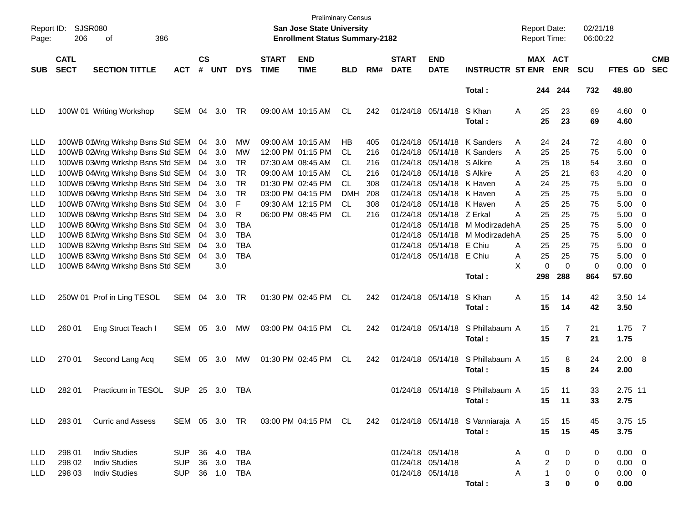| Report ID:<br>Page:                    | 206                        | <b>SJSR080</b><br>386<br>οf                                                                              |                          |                    |                   |                          |                                        | <b>Preliminary Census</b><br>San Jose State University<br><b>Enrollment Status Summary-2182</b> |                  |                   |                                        |                                                             |                                            |             | <b>Report Date:</b><br>Report Time: |                     | 02/21/18<br>06:00:22 |                                          |                                                    |                          |
|----------------------------------------|----------------------------|----------------------------------------------------------------------------------------------------------|--------------------------|--------------------|-------------------|--------------------------|----------------------------------------|-------------------------------------------------------------------------------------------------|------------------|-------------------|----------------------------------------|-------------------------------------------------------------|--------------------------------------------|-------------|-------------------------------------|---------------------|----------------------|------------------------------------------|----------------------------------------------------|--------------------------|
| <b>SUB</b>                             | <b>CATL</b><br><b>SECT</b> | <b>SECTION TITTLE</b>                                                                                    | <b>ACT</b>               | $\mathsf{cs}$<br># | <b>UNT</b>        | <b>DYS</b>               | <b>START</b><br><b>TIME</b>            | <b>END</b><br><b>TIME</b>                                                                       | <b>BLD</b>       | RM#               | <b>START</b><br><b>DATE</b>            | <b>END</b><br><b>DATE</b>                                   | <b>INSTRUCTR ST ENR</b>                    |             | MAX ACT                             | <b>ENR</b>          | <b>SCU</b>           | FTES GD                                  |                                                    | <b>CMB</b><br><b>SEC</b> |
|                                        |                            |                                                                                                          |                          |                    |                   |                          |                                        |                                                                                                 |                  |                   |                                        |                                                             | Total:                                     |             |                                     | 244 244             | 732                  | 48.80                                    |                                                    |                          |
| LLD                                    |                            | 100W 01 Writing Workshop                                                                                 | <b>SEM</b>               | 04                 | 3.0               | TR                       | 09:00 AM 10:15 AM                      |                                                                                                 | CL               | 242               | 01/24/18 05/14/18                      |                                                             | S Khan<br>Total:                           | Α           | 25<br>25                            | 23<br>23            | 69<br>69             | $4.60 \quad 0$<br>4.60                   |                                                    |                          |
| LLD<br><b>LLD</b>                      |                            | 100WB 01Wrtg Wrkshp Bsns Std SEM<br>100WB 02Wrtg Wrkshp Bsns Std SEM                                     |                          | 04<br>04           | 3.0<br>3.0        | МW<br>MW                 | 09:00 AM 10:15 AM                      | 12:00 PM 01:15 PM                                                                               | НB<br>CL         | 405<br>216        |                                        | 01/24/18 05/14/18<br>01/24/18 05/14/18                      | K Sanders<br>K Sanders                     | Α<br>Α      | 24<br>25                            | 24<br>25            | 72<br>75             | 4.80<br>5.00                             | $\overline{\mathbf{0}}$<br>$\overline{\mathbf{0}}$ |                          |
| <b>LLD</b><br><b>LLD</b><br><b>LLD</b> |                            | 100WB 03Wrtg Wrkshp Bsns Std SEM<br>100WB 04Wrtg Wrkshp Bsns Std SEM<br>100WB 05Wrtg Wrkshp Bsns Std SEM |                          | 04<br>04<br>04     | 3.0<br>3.0<br>3.0 | TR<br>TR<br><b>TR</b>    | 07:30 AM 08:45 AM<br>09:00 AM 10:15 AM | 01:30 PM 02:45 PM                                                                               | CL<br>CL<br>CL   | 216<br>216<br>308 |                                        | 01/24/18 05/14/18<br>01/24/18 05/14/18<br>01/24/18 05/14/18 | S Alkire<br>S Alkire<br>K Haven            | A<br>Α<br>Α | 25<br>25<br>24                      | 18<br>21<br>25      | 54<br>63<br>75       | 3.60<br>4.20<br>5.00                     | 0<br>0<br>0                                        |                          |
| <b>LLD</b><br><b>LLD</b>               |                            | 100WB 06Wrtg Wrkshp Bsns Std SEM<br>100WB 07Wrtg Wrkshp Bsns Std SEM                                     |                          | 04<br>04           | 3.0<br>3.0        | <b>TR</b><br>F           | 03:00 PM 04:15 PM                      | 09:30 AM 12:15 PM                                                                               | <b>DMH</b><br>CL | 208<br>308        |                                        | 01/24/18 05/14/18<br>01/24/18 05/14/18                      | K Haven<br>K Haven                         | A<br>Α      | 25<br>25                            | 25<br>25            | 75<br>75             | 5.00<br>5.00                             | 0<br>0                                             |                          |
| <b>LLD</b><br><b>LLD</b><br><b>LLD</b> |                            | 100WB 08Wrtg Wrkshp Bsns Std SEM<br>100WB 80Wrtg Wrkshp Bsns Std SEM<br>100WB 81Wrtg Wrkshp Bsns Std SEM |                          | 04<br>04<br>04     | 3.0<br>3.0<br>3.0 | R<br><b>TBA</b><br>TBA   |                                        | 06:00 PM 08:45 PM                                                                               | CL               | 216               |                                        | 01/24/18 05/14/18<br>01/24/18 05/14/18<br>01/24/18 05/14/18 | Z Erkal<br>M ModirzadehA<br>M ModirzadehA  | Α           | 25<br>25<br>25                      | 25<br>25<br>25      | 75<br>75<br>75       | 5.00<br>5.00<br>5.00                     | 0<br>0<br>0                                        |                          |
| <b>LLD</b><br><b>LLD</b>               |                            | 100WB 82Wrtg Wrkshp Bsns Std SEM<br>100WB 83Wrtg Wrkshp Bsns Std SEM                                     |                          | 04<br>04           | 3.0<br>3.0<br>3.0 | <b>TBA</b><br><b>TBA</b> |                                        |                                                                                                 |                  |                   |                                        | 01/24/18 05/14/18<br>01/24/18 05/14/18                      | E Chiu<br>E Chiu                           | Α<br>Α<br>X | 25<br>25<br>0                       | 25<br>25<br>0       | 75<br>75<br>0        | 5.00<br>5.00<br>0.00                     | 0<br>0                                             |                          |
| LLD                                    |                            | 100WB 84Wrtg Wrkshp Bsns Std SEM                                                                         |                          |                    |                   |                          |                                        |                                                                                                 |                  |                   |                                        |                                                             | Total:                                     |             | 298                                 | 288                 | 864                  | 57.60                                    | 0                                                  |                          |
| LLD                                    |                            | 250W 01 Prof in Ling TESOL                                                                               | <b>SEM</b>               | 04                 | 3.0               | TR                       | 01:30 PM 02:45 PM                      |                                                                                                 | CL               | 242               | 01/24/18 05/14/18                      |                                                             | S Khan<br>Total:                           | Α           | 15<br>15                            | 14<br>14            | 42<br>42             | 3.50 14<br>3.50                          |                                                    |                          |
| LLD                                    | 260 01                     | Eng Struct Teach I                                                                                       | <b>SEM</b>               | 05                 | 3.0               | МW                       | 03:00 PM 04:15 PM                      |                                                                                                 | CL               | 242               |                                        | 01/24/18 05/14/18                                           | S Phillabaum A<br>Total:                   |             | 15<br>15                            | 7<br>$\overline{7}$ | 21<br>21             | 1.75<br>1.75                             | $\overline{7}$                                     |                          |
| LLD                                    | 270 01                     | Second Lang Acq                                                                                          | <b>SEM</b>               | 05                 | 3.0               | MW                       | 01:30 PM 02:45 PM                      |                                                                                                 | CL               | 242               |                                        | 01/24/18 05/14/18                                           | S Phillabaum A<br>Total:                   |             | 15<br>15                            | 8<br>8              | 24<br>24             | 2.00 8<br>2.00                           |                                                    |                          |
| LLD                                    | 282 01                     | Practicum in TESOL                                                                                       | <b>SUP</b>               | 25                 | 3.0               | TBA                      |                                        |                                                                                                 |                  |                   |                                        | 01/24/18 05/14/18                                           | S Phillabaum A<br>Total :                  |             | 15<br>15                            | 11<br>11            | 33<br>33             | 2.75 11<br>2.75                          |                                                    |                          |
| LLD.                                   | 283 01                     | <b>Curric and Assess</b>                                                                                 |                          |                    |                   |                          |                                        | SEM 05 3.0 TR 03:00 PM 04:15 PM CL                                                              |                  | 242               |                                        |                                                             | 01/24/18 05/14/18 S Vanniaraja A<br>Total: |             | 15<br>15                            | 15<br>15            | 45<br>45             | 3.75 15<br>3.75                          |                                                    |                          |
| LLD                                    | 298 01                     | <b>Indiv Studies</b>                                                                                     | <b>SUP</b>               |                    | 36 4.0            | TBA                      |                                        |                                                                                                 |                  |                   | 01/24/18 05/14/18                      |                                                             |                                            | Α           | 0                                   | 0                   | 0                    | $0.00 \t 0$                              |                                                    |                          |
| <b>LLD</b><br>LLD.                     | 298 02<br>298 03           | <b>Indiv Studies</b><br><b>Indiv Studies</b>                                                             | <b>SUP</b><br><b>SUP</b> |                    | 36 3.0<br>36 1.0  | TBA<br>TBA               |                                        |                                                                                                 |                  |                   | 01/24/18 05/14/18<br>01/24/18 05/14/18 |                                                             | Total:                                     | A<br>A      | 2<br>$\mathbf{1}$<br>3              | 0<br>0<br>0         | 0<br>0<br>0          | $0.00 \quad 0$<br>$0.00 \quad 0$<br>0.00 |                                                    |                          |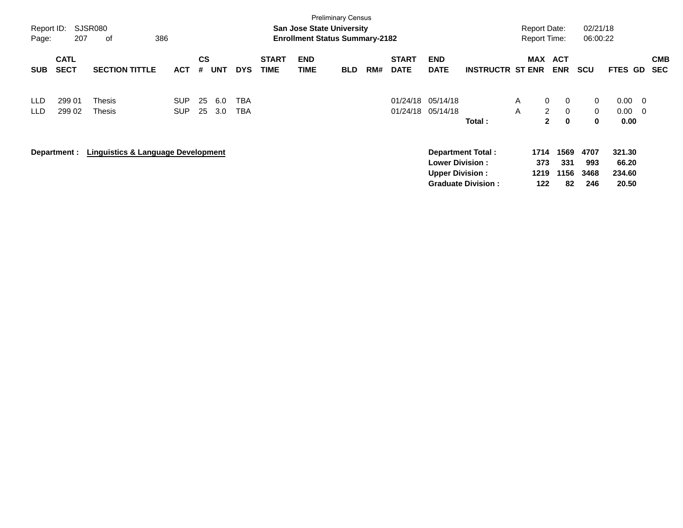| Report ID:<br>Page: | 207                        | <b>SJSR080</b><br>386<br>οf                   |                          |                |            |                   |                             | <b>San Jose State University</b><br><b>Enrollment Status Summary-2182</b> | <b>Preliminary Census</b> |     |                             |                                                  |                                                       |                   | <b>Report Date:</b><br><b>Report Time:</b>                                                             | 02/21/18<br>06:00:22              |                                    |            |                          |
|---------------------|----------------------------|-----------------------------------------------|--------------------------|----------------|------------|-------------------|-----------------------------|---------------------------------------------------------------------------|---------------------------|-----|-----------------------------|--------------------------------------------------|-------------------------------------------------------|-------------------|--------------------------------------------------------------------------------------------------------|-----------------------------------|------------------------------------|------------|--------------------------|
| <b>SUB</b>          | <b>CATL</b><br><b>SECT</b> | <b>SECTION TITTLE</b>                         | <b>ACT</b>               | <b>CS</b><br># | <b>UNT</b> | <b>DYS</b>        | <b>START</b><br><b>TIME</b> | <b>END</b><br>TIME                                                        | <b>BLD</b>                | RM# | <b>START</b><br><b>DATE</b> | <b>END</b><br><b>DATE</b>                        | <b>INSTRUCTR ST ENR</b>                               | <b>MAX</b>        | <b>ACT</b><br><b>ENR</b>                                                                               | <b>SCU</b>                        | FTES GD                            |            | <b>CMB</b><br><b>SEC</b> |
| <b>LLD</b><br>LLD.  | 299 01<br>299 02           | Thesis<br>Thesis                              | <b>SUP</b><br><b>SUP</b> | 25<br>25       | 6.0<br>3.0 | TBA<br><b>TBA</b> |                             |                                                                           |                           |     | 01/24/18                    | 05/14/18<br>01/24/18 05/14/18                    | Total:                                                | $\mathsf{A}$<br>A | $\mathbf{0}$<br>$\mathbf{0}$<br>$\mathbf{2}^{\circ}$<br>$\overline{0}$<br>$\mathbf{2}$<br>$\mathbf{0}$ | $\mathbf{0}$<br>$\mathbf{0}$<br>0 | 0.00<br>0.00<br>0.00               | - 0<br>- 0 |                          |
|                     | Department :               | <b>Linguistics &amp; Language Development</b> |                          |                |            |                   |                             |                                                                           |                           |     |                             | <b>Lower Division:</b><br><b>Upper Division:</b> | <b>Department Total:</b><br><b>Graduate Division:</b> | 1714<br>1219      | 1569<br>373<br>331<br>1156<br>82<br>122                                                                | 4707<br>993<br>3468<br>246        | 321.30<br>66.20<br>234.60<br>20.50 |            |                          |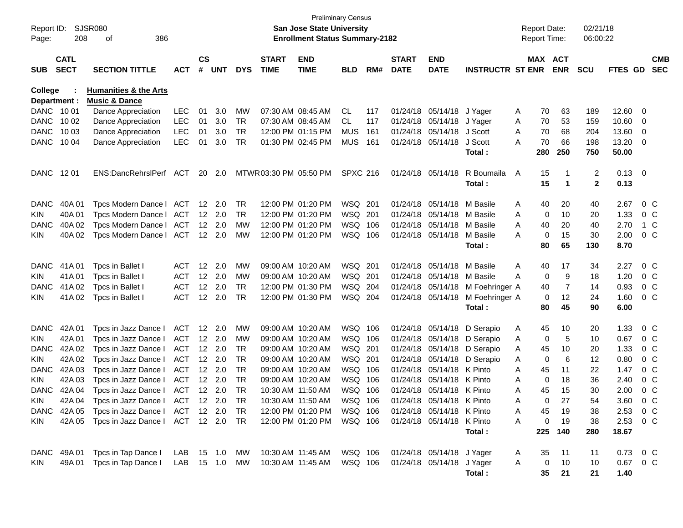| Report ID:<br>Page:            | 208                        | SJSR080<br>386<br>of                                         |               |                    |                |            |                             | <b>San Jose State University</b><br><b>Enrollment Status Summary-2182</b> | <b>Preliminary Census</b> |     |                             |                            |                                  | <b>Report Date:</b><br><b>Report Time:</b> |             |        | 02/21/18<br>06:00:22 |                    |                          |
|--------------------------------|----------------------------|--------------------------------------------------------------|---------------|--------------------|----------------|------------|-----------------------------|---------------------------------------------------------------------------|---------------------------|-----|-----------------------------|----------------------------|----------------------------------|--------------------------------------------|-------------|--------|----------------------|--------------------|--------------------------|
| SUB                            | <b>CATL</b><br><b>SECT</b> | <b>SECTION TITTLE</b>                                        | ACT           | $\mathsf{cs}$<br># | <b>UNT</b>     | <b>DYS</b> | <b>START</b><br><b>TIME</b> | <b>END</b><br><b>TIME</b>                                                 | <b>BLD</b>                | RM# | <b>START</b><br><b>DATE</b> | <b>END</b><br><b>DATE</b>  | <b>INSTRUCTR ST ENR</b>          | MAX ACT                                    | <b>ENR</b>  |        | <b>SCU</b>           | FTES GD            | <b>CMB</b><br><b>SEC</b> |
| <b>College</b><br>Department : |                            | <b>Humanities &amp; the Arts</b><br><b>Music &amp; Dance</b> |               |                    |                |            |                             |                                                                           |                           |     |                             |                            |                                  |                                            |             |        |                      |                    |                          |
| DANC 10 01                     |                            | Dance Appreciation                                           | LEC           | 01                 | 3.0            | MW         |                             | 07:30 AM 08:45 AM                                                         | CL.                       | 117 |                             | 01/24/18 05/14/18 J Yager  |                                  | Α                                          | 70          | 63     | 189                  | 12.60 0            |                          |
| DANC                           | 10 02                      | Dance Appreciation                                           | <b>LEC</b>    | 01                 | 3.0            | TR         |                             | 07:30 AM 08:45 AM                                                         | CL.                       | 117 |                             | 01/24/18 05/14/18 J Yager  |                                  | Α                                          | 70          | 53     | 159                  | 10.60 0            |                          |
| <b>DANC</b>                    | 10 03                      | Dance Appreciation                                           | <b>LEC</b>    | 01                 | 3.0            | <b>TR</b>  |                             | 12:00 PM 01:15 PM                                                         | <b>MUS</b>                | 161 |                             | 01/24/18 05/14/18 J Scott  |                                  | A                                          | 70          | 68     | 204                  | 13.60 0            |                          |
| <b>DANC</b>                    | 10 04                      | Dance Appreciation                                           | <b>LEC</b>    | 01                 | 3.0            | TR         |                             | 01:30 PM 02:45 PM                                                         | <b>MUS</b>                | 161 |                             | 01/24/18 05/14/18          | J Scott                          | Α                                          | 70          | 66     | 198                  | 13.20 0            |                          |
|                                |                            |                                                              |               |                    |                |            |                             |                                                                           |                           |     |                             |                            | Total :                          | 280                                        |             | 250    | 750                  | 50.00              |                          |
| DANC 1201                      |                            | ENS:DancRehrslPerf ACT                                       |               | 20                 | 2.0            |            | MTWR 03:30 PM 05:50 PM      |                                                                           | <b>SPXC 216</b>           |     |                             | 01/24/18 05/14/18          | R Boumaila<br>Total :            | A                                          | 15<br>15    | 1<br>1 | 2<br>$\mathbf{2}$    | $0.13 \ 0$<br>0.13 |                          |
| <b>DANC</b>                    | 40A 01                     | Tpcs Modern Dance   ACT                                      |               |                    | 12 2.0         | TR         |                             | 12:00 PM 01:20 PM                                                         | WSQ 201                   |     |                             | 01/24/18 05/14/18          | M Basile                         | Α                                          | 40          | 20     | 40                   | 2.67               | $0\,$ C                  |
| KIN                            | 40A 01                     | Tpcs Modern Dance I                                          | ACT           |                    | $12 \quad 2.0$ | TR         |                             | 12:00 PM 01:20 PM                                                         | WSQ 201                   |     |                             | 01/24/18 05/14/18 M Basile |                                  | A                                          | 0           | 10     | 20                   | 1.33               | $0\,$ C                  |
| <b>DANC</b>                    | 40A 02                     | Tpcs Modern Dance I                                          | ACT           |                    | 12 2.0         | МW         |                             | 12:00 PM 01:20 PM                                                         | WSQ 106                   |     |                             | 01/24/18 05/14/18 M Basile |                                  | A                                          | 40          | 20     | 40                   | 2.70               | 1 C                      |
| KIN                            | 40A 02                     | Tpcs Modern Dance   ACT                                      |               |                    | $12 \quad 2.0$ | <b>MW</b>  |                             | 12:00 PM 01:20 PM                                                         | WSQ 106                   |     |                             | 01/24/18 05/14/18 M Basile |                                  | A                                          | $\mathbf 0$ | 15     | 30                   | 2.00               | $0\,$ C                  |
|                                |                            |                                                              |               |                    |                |            |                             |                                                                           |                           |     |                             |                            | Total :                          |                                            | 80          | 65     | 130                  | 8.70               |                          |
| <b>DANC</b>                    | 41A 01                     | Tpcs in Ballet I                                             | ACT           |                    | 12 2.0         | MW         |                             | 09:00 AM 10:20 AM                                                         | WSQ 201                   |     |                             | 01/24/18 05/14/18          | M Basile                         | Α                                          | 40          | 17     | 34                   | 2.27               | $0\,$ C                  |
| KIN                            | 41A01                      | Tpcs in Ballet I                                             | <b>ACT</b>    |                    | 12 2.0         | MW         |                             | 09:00 AM 10:20 AM                                                         | WSQ 201                   |     |                             | 01/24/18 05/14/18 M Basile |                                  | A                                          | 0           | 9      | 18                   | 1.20               | $0\,$ C                  |
| DANC.                          | 41A 02                     | Tpcs in Ballet I                                             | <b>ACT</b>    | 12 <sup>2</sup>    | 2.0            | TR         |                             | 12:00 PM 01:30 PM                                                         | WSQ 204                   |     |                             |                            | 01/24/18 05/14/18 M Foehringer A |                                            | 40          | 7      | 14                   | 0.93               | $0\,$ C                  |
| KIN.                           | 41A 02                     | Tpcs in Ballet I                                             | <b>ACT</b>    |                    | 12 2.0         | <b>TR</b>  |                             | 12:00 PM 01:30 PM                                                         | WSQ 204                   |     |                             |                            | 01/24/18 05/14/18 M Foehringer A |                                            | 0           | 12     | 24                   | 1.60               | $0\,$ C                  |
|                                |                            |                                                              |               |                    |                |            |                             |                                                                           |                           |     |                             |                            | Total:                           |                                            | 80          | 45     | 90                   | 6.00               |                          |
| <b>DANC</b>                    | 42A 01                     | Tpcs in Jazz Dance I                                         | <b>ACT</b>    |                    | 12 2.0         | MW         |                             | 09:00 AM 10:20 AM                                                         | WSQ 106                   |     |                             | 01/24/18 05/14/18          | D Serapio                        | Α                                          | 45          | 10     | 20                   | 1.33               | $0\,$ C                  |
| KIN                            | 42A 01                     | Tpcs in Jazz Dance I                                         | <b>ACT</b>    |                    | $12 \quad 2.0$ | <b>MW</b>  |                             | 09:00 AM 10:20 AM                                                         | WSQ 106                   |     |                             |                            | 01/24/18 05/14/18 D Serapio      | Α                                          | 0           | 5      | 10                   | 0.67               | $0\,$ C                  |
| <b>DANC</b>                    | 42A 02                     | Tpcs in Jazz Dance I                                         | <b>ACT</b>    |                    | 12 2.0         | TR         |                             | 09:00 AM 10:20 AM                                                         | WSQ 201                   |     |                             | 01/24/18 05/14/18          | D Serapio                        | Α                                          | 45          | 10     | 20                   | 1.33               | $0\,$ C                  |
| KIN                            | 42A 02                     | Tpcs in Jazz Dance I                                         | <b>ACT</b>    |                    | 12 2.0         | TR         |                             | 09:00 AM 10:20 AM                                                         | WSQ 201                   |     |                             | 01/24/18 05/14/18          | D Serapio                        | Α                                          | 0           | 6      | 12                   | 0.80               | $0\,$ C                  |
| DANC.                          | 42A 03                     | Tpcs in Jazz Dance I                                         | <b>ACT</b>    |                    | 12 2.0         | TR         |                             | 09:00 AM 10:20 AM                                                         | WSQ 106                   |     |                             | 01/24/18 05/14/18 K Pinto  |                                  | A                                          | 45          | 11     | 22                   | 1.47               | $0\,$ C                  |
| KIN                            | 42A 03                     | Tpcs in Jazz Dance I                                         | <b>ACT</b>    |                    | $12 \quad 2.0$ | TR         |                             | 09:00 AM 10:20 AM                                                         | WSQ 106                   |     |                             | 01/24/18 05/14/18 K Pinto  |                                  | Α                                          | 0           | 18     | 36                   | 2.40               | $0\,$ C                  |
| <b>DANC</b>                    | 42A 04                     | Tpcs in Jazz Dance I                                         | <b>ACT</b>    |                    | 12 2.0         | TR         | 10:30 AM 11:50 AM           |                                                                           | WSQ 106                   |     |                             | 01/24/18 05/14/18 K Pinto  |                                  | Α                                          | 45          | 15     | 30                   | 2.00               | $0\,$ C                  |
| KIN                            |                            | 42A 04 Tpcs in Jazz Dance I                                  | ACT 12 2.0    |                    |                | TR         |                             | 10:30 AM 11:50 AM                                                         | WSQ 106                   |     |                             | 01/24/18 05/14/18 K Pinto  |                                  | A                                          | 0           | 27     | 54                   | 3.60               | 0 C                      |
|                                |                            | DANC 42A 05 Tpcs in Jazz Dance   ACT 12 2.0 TR               |               |                    |                |            |                             | 12:00 PM 01:20 PM                                                         | WSQ 106                   |     |                             | 01/24/18 05/14/18 K Pinto  |                                  | Α                                          | 45          | 19     | 38                   | 2.53 0 C           |                          |
| KIN.                           |                            | 42A 05 Tpcs in Jazz Dance   ACT 12 2.0 TR                    |               |                    |                |            |                             | 12:00 PM 01:20 PM                                                         | WSQ 106                   |     |                             | 01/24/18 05/14/18 K Pinto  |                                  | Α                                          | 0           | 19     | 38                   | 2.53 0 C           |                          |
|                                |                            |                                                              |               |                    |                |            |                             |                                                                           |                           |     |                             |                            | Total:                           | 225                                        |             | 140    | 280                  | 18.67              |                          |
|                                | DANC 49A 01                | Tpcs in Tap Dance I                                          | LAB 15 1.0 MW |                    |                |            |                             | 10:30 AM 11:45 AM                                                         | WSQ 106                   |     |                             | 01/24/18 05/14/18 J Yager  |                                  | A                                          | 35          | 11     | 11                   | 0.73 0 C           |                          |
| KIN.                           | 49A 01                     | Tpcs in Tap Dance I                                          |               |                    |                |            |                             | LAB 15 1.0 MW 10:30 AM 11:45 AM                                           | WSQ 106                   |     |                             | 01/24/18 05/14/18 J Yager  |                                  | A                                          | 0           | 10     | 10                   | 0.67 0 C           |                          |
|                                |                            |                                                              |               |                    |                |            |                             |                                                                           |                           |     |                             |                            | Total:                           |                                            | 35          | 21     | 21                   | 1.40               |                          |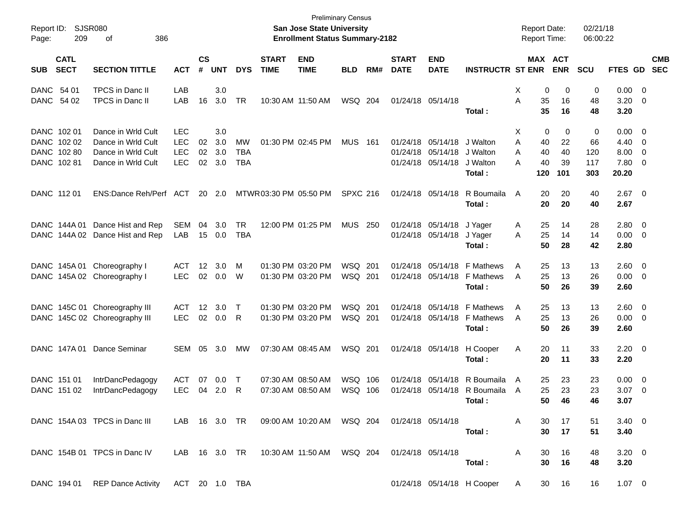| Page: | Report ID: SJSR080<br>209  | 386<br>оf                       |                |                    |            |            |                             | <b>San Jose State University</b><br><b>Enrollment Status Summary-2182</b> | <b>Preliminary Census</b> |     |                             |                           |                              | <b>Report Date:</b><br><b>Report Time:</b> |                       | 02/21/18<br>06:00:22 |                    |                          |                          |
|-------|----------------------------|---------------------------------|----------------|--------------------|------------|------------|-----------------------------|---------------------------------------------------------------------------|---------------------------|-----|-----------------------------|---------------------------|------------------------------|--------------------------------------------|-----------------------|----------------------|--------------------|--------------------------|--------------------------|
| SUB   | <b>CATL</b><br><b>SECT</b> | <b>SECTION TITTLE</b>           | <b>ACT</b>     | $\mathsf{cs}$<br># | <b>UNT</b> | <b>DYS</b> | <b>START</b><br><b>TIME</b> | <b>END</b><br><b>TIME</b>                                                 | <b>BLD</b>                | RM# | <b>START</b><br><b>DATE</b> | <b>END</b><br><b>DATE</b> | <b>INSTRUCTR ST ENR</b>      |                                            | MAX ACT<br><b>ENR</b> | <b>SCU</b>           | <b>FTES GD</b>     |                          | <b>CMB</b><br><b>SEC</b> |
|       | DANC 54 01                 | <b>TPCS</b> in Danc II          | LAB            |                    | 3.0        |            |                             |                                                                           |                           |     |                             |                           |                              | 0<br>Х                                     | 0                     | 0                    | $0.00 \t 0$        |                          |                          |
|       | DANC 54 02                 | TPCS in Danc II                 | LAB            | 16                 | 3.0        | TR         |                             | 10:30 AM 11:50 AM                                                         | WSQ 204                   |     |                             | 01/24/18 05/14/18         | Total:                       | A<br>35<br>35                              | 16<br>16              | 48<br>48             | $3.20 \ 0$<br>3.20 |                          |                          |
|       | DANC 102 01                | Dance in Wrld Cult              | <b>LEC</b>     |                    | 3.0        |            |                             |                                                                           |                           |     |                             |                           |                              | $\mathbf 0$<br>Х                           | 0                     | 0                    | $0.00 \t 0$        |                          |                          |
|       | DANC 102 02                | Dance in Wrld Cult              | <b>LEC</b>     | 02                 | 3.0        | MW         |                             | 01:30 PM 02:45 PM                                                         | <b>MUS</b> 161            |     |                             | 01/24/18 05/14/18         | J Walton                     | 40<br>Α                                    | 22                    | 66                   | $4.40 \ 0$         |                          |                          |
|       | DANC 102 80                | Dance in Wrld Cult              | <b>LEC</b>     | 02                 | 3.0        | <b>TBA</b> |                             |                                                                           |                           |     |                             | 01/24/18 05/14/18         | J Walton                     | A<br>40                                    | 40                    | 120                  | $8.00 \t 0$        |                          |                          |
|       | DANC 102 81                | Dance in Wrld Cult              | <b>LEC</b>     | 02                 | 3.0        | <b>TBA</b> |                             |                                                                           |                           |     |                             | 01/24/18 05/14/18         | J Walton<br>Total:           | 40<br>А<br>120                             | 39<br>101             | 117<br>303           | 7.80 0<br>20.20    |                          |                          |
|       | DANC 112 01                | ENS:Dance Reh/Perf ACT 20 2.0   |                |                    |            |            | MTWR 03:30 PM 05:50 PM      |                                                                           | <b>SPXC 216</b>           |     |                             | 01/24/18 05/14/18         | R Boumaila<br>Total:         | 20<br>A<br>20                              | 20<br>20              | 40<br>40             | $2.67$ 0<br>2.67   |                          |                          |
|       | DANC 144A 01               | Dance Hist and Rep              | SEM            | 04                 | 3.0        | <b>TR</b>  |                             | 12:00 PM 01:25 PM                                                         | <b>MUS 250</b>            |     |                             | 01/24/18 05/14/18         | J Yager                      | 25<br>A                                    | 14                    | 28                   | $2.80 \t 0$        |                          |                          |
|       |                            | DANC 144A 02 Dance Hist and Rep | LAB            | 15                 | 0.0        | <b>TBA</b> |                             |                                                                           |                           |     |                             | 01/24/18 05/14/18         | J Yager                      | 25<br>A                                    | 14                    | 14                   | $0.00 \t 0$        |                          |                          |
|       |                            |                                 |                |                    |            |            |                             |                                                                           |                           |     |                             |                           | Total:                       | 50                                         | 28                    | 42                   | 2.80               |                          |                          |
|       |                            | DANC 145A 01 Choreography I     | ACT            | 12                 | 3.0        | м          |                             | 01:30 PM 03:20 PM                                                         | WSQ 201                   |     |                             | 01/24/18 05/14/18         | <b>F</b> Mathews             | 25<br>A                                    | 13                    | 13                   | $2.60 \t 0$        |                          |                          |
|       |                            | DANC 145A 02 Choreography I     | <b>LEC</b>     | 02                 | 0.0        | W          |                             | 01:30 PM 03:20 PM                                                         | WSQ 201                   |     |                             | 01/24/18 05/14/18         | <b>F</b> Mathews             | 25<br>A                                    | 13                    | 26                   | $0.00 \t 0$        |                          |                          |
|       |                            |                                 |                |                    |            |            |                             |                                                                           |                           |     |                             |                           | Total:                       | 50                                         | 26                    | 39                   | 2.60               |                          |                          |
|       |                            | DANC 145C 01 Choreography III   | ACT            | 12                 | 3.0        | Т          |                             | 01:30 PM 03:20 PM                                                         | WSQ 201                   |     |                             | 01/24/18 05/14/18         | <b>F</b> Mathews             | 25<br>A                                    | 13                    | 13                   | $2.60 \t 0$        |                          |                          |
|       |                            | DANC 145C 02 Choreography III   | <b>LEC</b>     | 02                 | 0.0        | R          |                             | 01:30 PM 03:20 PM                                                         | WSQ 201                   |     |                             | 01/24/18 05/14/18         | F Mathews                    | 25<br>A                                    | 13                    | 26                   | $0.00 \t 0$        |                          |                          |
|       |                            |                                 |                |                    |            |            |                             |                                                                           |                           |     |                             |                           | Total:                       | 50                                         | 26                    | 39                   | 2.60               |                          |                          |
|       | DANC 147A 01               | Dance Seminar                   | SEM            | 05                 | 3.0        | MW         |                             | 07:30 AM 08:45 AM                                                         | WSQ 201                   |     |                             | 01/24/18 05/14/18         | H Cooper                     | Α<br>20                                    | 11                    | 33                   | $2.20 \t 0$        |                          |                          |
|       |                            |                                 |                |                    |            |            |                             |                                                                           |                           |     |                             |                           | Total:                       | 20                                         | 11                    | 33                   | 2.20               |                          |                          |
|       | DANC 151 01                | IntrDancPedagogy                | ACT            | 07                 | 0.0        | Т          |                             | 07:30 AM 08:50 AM                                                         | WSQ                       | 106 | 01/24/18                    | 05/14/18                  | R Boumaila                   | 25<br>A                                    | 23                    | 23                   | $0.00 \t 0$        |                          |                          |
|       | DANC 151 02                | IntrDancPedagogy                | <b>LEC</b>     | 04                 | 2.0        | R          |                             | 07:30 AM 08:50 AM                                                         | WSQ 106                   |     |                             |                           | 01/24/18 05/14/18 R Boumaila | 25<br>A                                    | 23                    | 23                   | 3.07               | $\overline{\phantom{0}}$ |                          |
|       |                            |                                 |                |                    |            |            |                             |                                                                           |                           |     |                             |                           | Total:                       |                                            | 50 46                 | 46                   | 3.07               |                          |                          |
|       |                            | DANC 154A 03 TPCS in Danc III   |                |                    |            |            |                             | LAB 16 3.0 TR 09:00 AM 10:20 AM WSQ 204                                   |                           |     | 01/24/18 05/14/18           |                           |                              | 30<br>A                                    | 17                    | 51                   | $3.40 \ 0$         |                          |                          |
|       |                            |                                 |                |                    |            |            |                             |                                                                           |                           |     |                             |                           | Total:                       | 30                                         | 17                    | 51                   | 3.40               |                          |                          |
|       |                            | DANC 154B 01 TPCS in Danc IV    |                |                    |            |            |                             | LAB 16 3.0 TR 10:30 AM 11:50 AM WSQ 204                                   |                           |     |                             | 01/24/18 05/14/18         |                              | 30<br>A                                    | 16                    | 48                   | $3.20 \ 0$         |                          |                          |
|       |                            |                                 |                |                    |            |            |                             |                                                                           |                           |     |                             |                           | Total:                       | 30                                         | 16                    | 48                   | 3.20               |                          |                          |
|       |                            | DANC 194 01 REP Dance Activity  | ACT 20 1.0 TBA |                    |            |            |                             |                                                                           |                           |     |                             |                           | 01/24/18 05/14/18 H Cooper   | A                                          | 16<br>30              | 16                   | $1.07 \t 0$        |                          |                          |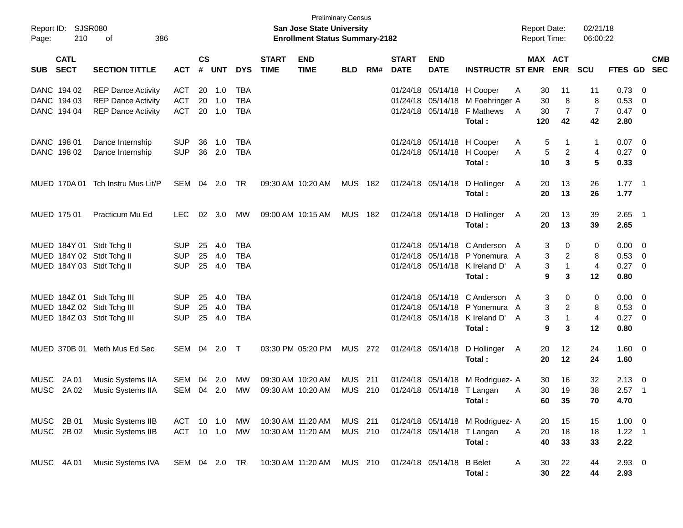| Report ID:<br>Page: | <b>SJSR080</b><br>210      | 386<br>оf                    |               |                    |            |            |                             | <b>Preliminary Census</b><br>San Jose State University<br><b>Enrollment Status Summary-2182</b> |                |     |                             |                           |                                  |                |     | <b>Report Date:</b><br><b>Report Time:</b> | 02/21/18<br>06:00:22 |             |                            |                          |
|---------------------|----------------------------|------------------------------|---------------|--------------------|------------|------------|-----------------------------|-------------------------------------------------------------------------------------------------|----------------|-----|-----------------------------|---------------------------|----------------------------------|----------------|-----|--------------------------------------------|----------------------|-------------|----------------------------|--------------------------|
| <b>SUB</b>          | <b>CATL</b><br><b>SECT</b> | <b>SECTION TITTLE</b>        | <b>ACT</b>    | $\mathsf{cs}$<br># | <b>UNT</b> | <b>DYS</b> | <b>START</b><br><b>TIME</b> | <b>END</b><br><b>TIME</b>                                                                       | <b>BLD</b>     | RM# | <b>START</b><br><b>DATE</b> | <b>END</b><br><b>DATE</b> | <b>INSTRUCTR ST ENR</b>          |                |     | MAX ACT<br><b>ENR</b>                      | <b>SCU</b>           | FTES GD     |                            | <b>CMB</b><br><b>SEC</b> |
|                     | DANC 194 02                | <b>REP Dance Activity</b>    | <b>ACT</b>    | 20                 | 1.0        | <b>TBA</b> |                             |                                                                                                 |                |     |                             | 01/24/18 05/14/18         | H Cooper                         | Α              | 30  | 11                                         | 11                   | 0.73        | $\overline{\mathbf{0}}$    |                          |
|                     | DANC 194 03                | <b>REP Dance Activity</b>    | <b>ACT</b>    | 20                 | 1.0        | <b>TBA</b> |                             |                                                                                                 |                |     |                             | 01/24/18 05/14/18         | M Foehringer A                   |                | 30  | 8                                          | 8                    | 0.53        | 0                          |                          |
|                     | DANC 194 04                | <b>REP Dance Activity</b>    | <b>ACT</b>    | 20                 | 1.0        | <b>TBA</b> |                             |                                                                                                 |                |     |                             | 01/24/18 05/14/18         | F Mathews                        | $\overline{A}$ | 30  | 7                                          | $\overline{7}$       | 0.47 0      |                            |                          |
|                     |                            |                              |               |                    |            |            |                             |                                                                                                 |                |     |                             |                           | Total:                           |                | 120 | 42                                         | 42                   | 2.80        |                            |                          |
|                     | DANC 198 01                | Dance Internship             | <b>SUP</b>    | 36                 | 1.0        | <b>TBA</b> |                             |                                                                                                 |                |     |                             | 01/24/18 05/14/18         | H Cooper                         | A              | 5   | -1                                         | 1                    | 0.07        | $\overline{\phantom{0}}$   |                          |
|                     | DANC 198 02                | Dance Internship             | <b>SUP</b>    |                    | 36 2.0     | <b>TBA</b> |                             |                                                                                                 |                |     |                             | 01/24/18 05/14/18         | H Cooper                         | A              | 5   | $\overline{c}$                             | 4                    | $0.27 \t 0$ |                            |                          |
|                     |                            |                              |               |                    |            |            |                             |                                                                                                 |                |     |                             |                           | Total:                           |                | 10  | 3                                          | 5                    | 0.33        |                            |                          |
|                     | MUED 170A 01               | Tch Instru Mus Lit/P         | SEM           | 04                 | 2.0        | TR         |                             | 09:30 AM 10:20 AM                                                                               | <b>MUS</b>     | 182 |                             | 01/24/18 05/14/18         | D Hollinger                      | A              | 20  | 13                                         | 26                   | $1.77$ 1    |                            |                          |
|                     |                            |                              |               |                    |            |            |                             |                                                                                                 |                |     |                             |                           | Total:                           |                | 20  | 13                                         | 26                   | 1.77        |                            |                          |
|                     | MUED 175 01                | Practicum Mu Ed              | <b>LEC</b>    | 02                 | 3.0        | МW         |                             | 09:00 AM 10:15 AM                                                                               | <b>MUS</b>     | 182 |                             | 01/24/18 05/14/18         | D Hollinger                      | A              | 20  | 13                                         | 39                   | 2.65        | - 1                        |                          |
|                     |                            |                              |               |                    |            |            |                             |                                                                                                 |                |     |                             |                           | Total:                           |                | 20  | 13                                         | 39                   | 2.65        |                            |                          |
|                     |                            | MUED 184Y 01 Stdt Tchg II    | <b>SUP</b>    | 25                 | 4.0        | <b>TBA</b> |                             |                                                                                                 |                |     |                             | 01/24/18 05/14/18         | C Anderson A                     |                | 3   | 0                                          | 0                    | 0.00        | $\overline{\phantom{0}}$   |                          |
|                     |                            | MUED 184Y 02 Stdt Tchg II    | <b>SUP</b>    | 25                 | 4.0        | <b>TBA</b> |                             |                                                                                                 |                |     |                             | 01/24/18 05/14/18         | P Yonemura                       | A              | 3   | 2                                          | 8                    | 0.53        | $\overline{\mathbf{0}}$    |                          |
|                     |                            | MUED 184Y 03 Stdt Tchg II    | <b>SUP</b>    |                    | 25 4.0     | <b>TBA</b> |                             |                                                                                                 |                |     |                             | 01/24/18 05/14/18         | K Ireland D'                     | A              | 3   | $\mathbf{1}$                               | $\overline{4}$       | 0.27        | $\overline{\phantom{0}}$   |                          |
|                     |                            |                              |               |                    |            |            |                             |                                                                                                 |                |     |                             |                           | Total:                           |                | 9   | 3                                          | 12                   | 0.80        |                            |                          |
|                     |                            | MUED 184Z 01 Stdt Tchg III   | <b>SUP</b>    | 25                 | 4.0        | <b>TBA</b> |                             |                                                                                                 |                |     |                             | 01/24/18 05/14/18         | C Anderson A                     |                | 3   | 0                                          | 0                    | 0.00        | $\overline{\mathbf{0}}$    |                          |
|                     |                            | MUED 184Z 02 Stdt Tchg III   | <b>SUP</b>    | 25                 | 4.0        | <b>TBA</b> |                             |                                                                                                 |                |     |                             | 01/24/18 05/14/18         | P Yonemura                       | A              | 3   | 2                                          | 8                    | 0.53        | $\overline{\phantom{0}}$   |                          |
|                     |                            | MUED 184Z 03 Stdt Tchg III   | <b>SUP</b>    |                    | 25 4.0     | <b>TBA</b> |                             |                                                                                                 |                |     |                             | 01/24/18 05/14/18         | K Ireland D'                     | A              | 3   | 1                                          | $\overline{4}$       | $0.27$ 0    |                            |                          |
|                     |                            |                              |               |                    |            |            |                             |                                                                                                 |                |     |                             |                           | Total:                           |                | 9   | 3                                          | 12                   | 0.80        |                            |                          |
|                     |                            | MUED 370B 01 Meth Mus Ed Sec | SEM 04 2.0    |                    |            | $\top$     |                             | 03:30 PM 05:20 PM                                                                               | <b>MUS 272</b> |     |                             | 01/24/18 05/14/18         | D Hollinger                      | A              | 20  | 12                                         | 24                   | $1.60 \t 0$ |                            |                          |
|                     |                            |                              |               |                    |            |            |                             |                                                                                                 |                |     |                             |                           | Total:                           |                | 20  | 12                                         | 24                   | 1.60        |                            |                          |
| <b>MUSC</b>         | 2A 01                      | Music Systems IIA            | SEM           | 04                 | 2.0        | MW         |                             | 09:30 AM 10:20 AM                                                                               | <b>MUS</b>     | 211 |                             | 01/24/18 05/14/18         | M Rodriguez- A                   |                | 30  | 16                                         | 32                   | 2.13        | - 0                        |                          |
| <b>MUSC</b>         | 2A 02                      | Music Systems IIA            | SEM           |                    | 04 2.0     | MW         |                             | 09:30 AM 10:20 AM                                                                               | MUS            | 210 |                             | 01/24/18 05/14/18         | T Langan                         | A              | 30  | 19                                         | 38                   | 2.57        | $\overline{\phantom{0}}$ 1 |                          |
|                     |                            |                              |               |                    |            |            |                             |                                                                                                 |                |     |                             |                           | Total:                           |                | 60. | 35                                         | 70                   | 4.70        |                            |                          |
|                     | MUSC 2B 01                 | Music Systems IIB            | ACT           |                    | 10 1.0     | MW         | 10:30 AM 11:20 AM           |                                                                                                 | MUS 211        |     |                             |                           | 01/24/18 05/14/18 M Rodriguez- A |                | 20  | 15                                         | 15                   | $1.00 \t 0$ |                            |                          |
|                     | MUSC 2B 02                 | Music Systems IIB            | <b>ACT</b>    |                    | $10$ $1.0$ | MW         | 10:30 AM 11:20 AM           |                                                                                                 | MUS 210        |     |                             | 01/24/18 05/14/18         | T Langan                         | A              | 20  | 18                                         | 18                   | 1.22        | $\overline{\phantom{0}}$ 1 |                          |
|                     |                            |                              |               |                    |            |            |                             |                                                                                                 |                |     |                             |                           | Total:                           |                | 40  | 33                                         | 33                   | 2.22        |                            |                          |
|                     | MUSC 4A 01                 | Music Systems IVA            | SEM 04 2.0 TR |                    |            |            |                             | 10:30 AM 11:20 AM                                                                               | MUS 210        |     |                             | 01/24/18 05/14/18         | <b>B</b> Belet                   | A              | 30  | 22                                         | 44                   | $2.93$ 0    |                            |                          |
|                     |                            |                              |               |                    |            |            |                             |                                                                                                 |                |     |                             |                           | Total:                           |                | 30  | 22                                         | 44                   | 2.93        |                            |                          |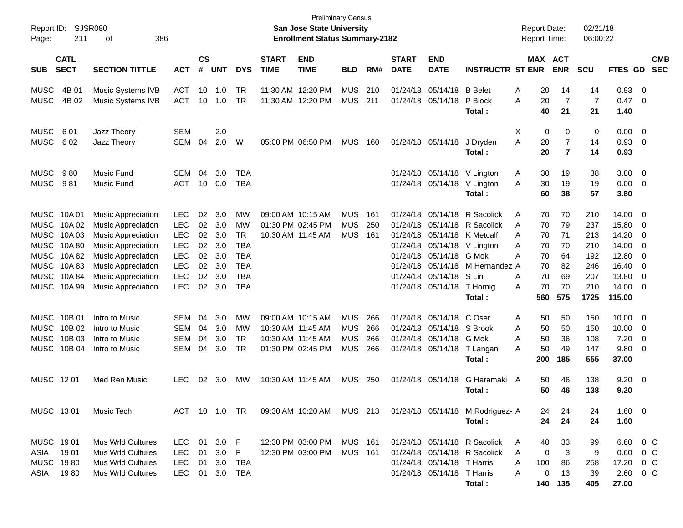| Report ID:<br>Page:        | 211                        | <b>SJSR080</b><br>386<br>οf                            |                          |                |            |                          |                             | <b>Preliminary Census</b><br><b>San Jose State University</b><br><b>Enrollment Status Summary-2182</b> |                |     |                             |                                        |                                  | <b>Report Date:</b><br><b>Report Time:</b> |                | 02/21/18<br>06:00:22 |                |                          |                          |
|----------------------------|----------------------------|--------------------------------------------------------|--------------------------|----------------|------------|--------------------------|-----------------------------|--------------------------------------------------------------------------------------------------------|----------------|-----|-----------------------------|----------------------------------------|----------------------------------|--------------------------------------------|----------------|----------------------|----------------|--------------------------|--------------------------|
| <b>SUB</b>                 | <b>CATL</b><br><b>SECT</b> | <b>SECTION TITTLE</b>                                  | <b>ACT</b>               | <b>CS</b><br># | <b>UNT</b> | <b>DYS</b>               | <b>START</b><br><b>TIME</b> | <b>END</b><br><b>TIME</b>                                                                              | <b>BLD</b>     | RM# | <b>START</b><br><b>DATE</b> | <b>END</b><br><b>DATE</b>              | <b>INSTRUCTR ST ENR</b>          | <b>MAX ACT</b>                             | <b>ENR</b>     | <b>SCU</b>           | FTES GD        |                          | <b>CMB</b><br><b>SEC</b> |
|                            |                            |                                                        |                          |                |            |                          |                             |                                                                                                        |                |     |                             |                                        |                                  |                                            |                |                      |                |                          |                          |
| <b>MUSC</b>                | 4B 01                      | Music Systems IVB                                      | <b>ACT</b>               | 10             | 1.0        | TR                       |                             | 11:30 AM 12:20 PM                                                                                      | <b>MUS</b>     | 210 |                             | 01/24/18 05/14/18                      | <b>B</b> Belet                   | A<br>20                                    | 14             | 14                   | 0.93           | 0                        |                          |
| <b>MUSC</b>                | 4B 02                      | <b>Music Systems IVB</b>                               | <b>ACT</b>               | 10             | 1.0        | <b>TR</b>                |                             | 11:30 AM 12:20 PM                                                                                      | <b>MUS</b>     | 211 |                             | 01/24/18 05/14/18                      | P Block<br>Total :               | 20<br>A<br>40                              | 7<br>21        | $\overline{7}$<br>21 | 0.47<br>1.40   | $\overline{0}$           |                          |
| <b>MUSC</b>                | 601                        | Jazz Theory                                            | SEM                      |                | 2.0        |                          |                             |                                                                                                        |                |     |                             |                                        |                                  | X<br>0                                     | 0              | 0                    | 0.00           | $\overline{\mathbf{0}}$  |                          |
| <b>MUSC</b>                | 602                        | Jazz Theory                                            | SEM                      | 04             | 2.0        | W                        |                             | 05:00 PM 06:50 PM                                                                                      | <b>MUS</b>     | 160 |                             | 01/24/18 05/14/18                      | J Dryden                         | 20<br>A                                    | 7              | 14                   | 0.93           | 0                        |                          |
|                            |                            |                                                        |                          |                |            |                          |                             |                                                                                                        |                |     |                             |                                        | Total:                           | 20                                         | $\overline{7}$ | 14                   | 0.93           |                          |                          |
| <b>MUSC</b>                | 980                        | Music Fund                                             | SEM                      | 04             | 3.0        | <b>TBA</b>               |                             |                                                                                                        |                |     |                             | 01/24/18 05/14/18 V Lington            |                                  | A<br>30                                    | 19             | 38                   | 3.80           | $\overline{0}$           |                          |
| <b>MUSC</b>                | 981                        | Music Fund                                             | <b>ACT</b>               | 10             | 0.0        | <b>TBA</b>               |                             |                                                                                                        |                |     |                             | 01/24/18 05/14/18                      | V Lington                        | 30<br>A                                    | 19             | 19                   | 0.00           | 0                        |                          |
|                            |                            |                                                        |                          |                |            |                          |                             |                                                                                                        |                |     |                             |                                        | Total:                           | 60                                         | 38             | 57                   | 3.80           |                          |                          |
| MUSC 10A 01                |                            | <b>Music Appreciation</b>                              | <b>LEC</b>               | 02             | 3.0        | МW                       |                             | 09:00 AM 10:15 AM                                                                                      | <b>MUS</b>     | 161 |                             | 01/24/18 05/14/18                      | R Sacolick                       | 70<br>Α                                    | 70             | 210                  | 14.00          | $\overline{0}$           |                          |
| <b>MUSC</b>                | 10A 02                     | <b>Music Appreciation</b>                              | <b>LEC</b>               | 02             | 3.0        | MW                       |                             | 01:30 PM 02:45 PM                                                                                      | <b>MUS</b>     | 250 |                             | 01/24/18 05/14/18                      | R Sacolick                       | 70<br>A                                    | 79             | 237                  | 15.80          | 0                        |                          |
| <b>MUSC</b>                | 10A 03                     | <b>Music Appreciation</b>                              | <b>LEC</b>               | 02             | 3.0        | <b>TR</b>                | 10:30 AM 11:45 AM           |                                                                                                        | <b>MUS</b>     | 161 |                             | 01/24/18 05/14/18                      | K Metcalf                        | 70<br>A                                    | 71             | 213                  | 14.20          | 0                        |                          |
| <b>MUSC</b>                | 10A 80                     | <b>Music Appreciation</b>                              | <b>LEC</b>               | 02             | 3.0        | <b>TBA</b>               |                             |                                                                                                        |                |     |                             |                                        | 01/24/18 05/14/18 V Lington      | 70<br>A                                    | 70             | 210                  | 14.00          | 0                        |                          |
| <b>MUSC</b>                | 10A 82                     | <b>Music Appreciation</b>                              | <b>LEC</b>               | 02             | 3.0        | <b>TBA</b>               |                             |                                                                                                        |                |     |                             | 01/24/18 05/14/18                      | G Mok                            | 70<br>A                                    | 64             | 192                  | 12.80          | 0                        |                          |
|                            | MUSC 10A83                 | <b>Music Appreciation</b>                              | <b>LEC</b>               | 02             | 3.0        | <b>TBA</b><br><b>TBA</b> |                             |                                                                                                        |                |     |                             | 01/24/18 05/14/18<br>01/24/18 05/14/18 | M Hernandez A<br>S Lin           | 70<br>70                                   | 82<br>69       | 246                  | 16.40          | 0                        |                          |
| <b>MUSC</b><br><b>MUSC</b> | 10A 84<br>10A 99           | <b>Music Appreciation</b><br><b>Music Appreciation</b> | <b>LEC</b><br><b>LEC</b> | 02<br>02       | 3.0<br>3.0 | <b>TBA</b>               |                             |                                                                                                        |                |     |                             | 01/24/18 05/14/18                      | T Hornig                         | A<br>70<br>A                               | 70             | 207<br>210           | 13.80<br>14.00 | 0<br>$\overline{0}$      |                          |
|                            |                            |                                                        |                          |                |            |                          |                             |                                                                                                        |                |     |                             |                                        | Total:                           | 560                                        | 575            | 1725                 | 115.00         |                          |                          |
|                            | MUSC 10B 01                | Intro to Music                                         | SEM                      | 04             | 3.0        | <b>MW</b>                |                             | 09:00 AM 10:15 AM                                                                                      | <b>MUS</b>     | 266 |                             | 01/24/18 05/14/18                      | C Oser                           | 50<br>A                                    | 50             | 150                  | 10.00          | 0                        |                          |
| <b>MUSC</b>                | 10B 02                     | Intro to Music                                         | SEM                      | 04             | 3.0        | МW                       | 10:30 AM 11:45 AM           |                                                                                                        | <b>MUS</b>     | 266 |                             | 01/24/18 05/14/18                      | S Brook                          | 50<br>A                                    | 50             | 150                  | 10.00          | 0                        |                          |
| <b>MUSC</b>                | 10B 03                     | Intro to Music                                         | <b>SEM</b>               | 04             | 3.0        | TR                       | 10:30 AM 11:45 AM           |                                                                                                        | <b>MUS</b>     | 266 |                             | 01/24/18 05/14/18                      | G Mok                            | 50<br>A                                    | 36             | 108                  | 7.20           | 0                        |                          |
| <b>MUSC</b>                | 10B 04                     | Intro to Music                                         | <b>SEM</b>               | 04             | 3.0        | TR                       |                             | 01:30 PM 02:45 PM                                                                                      | <b>MUS</b>     | 266 |                             | 01/24/18 05/14/18                      | T Langan                         | 50<br>A                                    | 49             | 147                  | 9.80           | 0                        |                          |
|                            |                            |                                                        |                          |                |            |                          |                             |                                                                                                        |                |     |                             |                                        | Total :                          | 200                                        | 185            | 555                  | 37.00          |                          |                          |
| MUSC 1201                  |                            | Med Ren Music                                          | <b>LEC</b>               | 02             | 3.0        | MW                       | 10:30 AM 11:45 AM           |                                                                                                        | <b>MUS</b>     | 250 |                             | 01/24/18 05/14/18                      | G Haramaki A                     | 50                                         | 46             | 138                  | 9.20           | $\overline{\phantom{0}}$ |                          |
|                            |                            |                                                        |                          |                |            |                          |                             |                                                                                                        |                |     |                             |                                        | Total :                          | 50                                         | 46             | 138                  | 9.20           |                          |                          |
| MUSC 1301                  |                            | Music Tech                                             | ACT 10 1.0 TR            |                |            |                          |                             | 09:30 AM 10:20 AM MUS 213                                                                              |                |     |                             |                                        | 01/24/18 05/14/18 M Rodriguez- A | 24                                         | 24             | 24                   | $1.60 \t 0$    |                          |                          |
|                            |                            |                                                        |                          |                |            |                          |                             |                                                                                                        |                |     |                             |                                        | Total:                           | 24                                         | 24             | 24                   | 1.60           |                          |                          |
| MUSC 1901                  |                            | Mus Wrld Cultures                                      | LEC 01 3.0 F             |                |            |                          |                             | 12:30 PM 03:00 PM                                                                                      | <b>MUS 161</b> |     |                             |                                        | 01/24/18 05/14/18 R Sacolick     | 40<br>A                                    | 33             | 99                   | 6.60 0 C       |                          |                          |
| ASIA                       | 1901                       | <b>Mus Wrld Cultures</b>                               | LEC                      | 01             | 3.0        | F                        |                             | 12:30 PM 03:00 PM                                                                                      | <b>MUS 161</b> |     |                             |                                        | 01/24/18 05/14/18 R Sacolick     | 0<br>A                                     | 3              | 9                    | 0.60           | $0\,$ C                  |                          |
| MUSC 1980                  |                            | Mus Wrld Cultures                                      | <b>LEC</b>               | 01             | 3.0        | TBA                      |                             |                                                                                                        |                |     |                             | 01/24/18 05/14/18 T Harris             |                                  | 100<br>A                                   | 86             | 258                  | 17.20 0 C      |                          |                          |
| ASIA 1980                  |                            | Mus Wrld Cultures                                      | LEC 01 3.0               |                |            | <b>TBA</b>               |                             |                                                                                                        |                |     |                             | 01/24/18 05/14/18 T Harris             |                                  | 0<br>A                                     | 13             | 39                   | 2.60 0 C       |                          |                          |
|                            |                            |                                                        |                          |                |            |                          |                             |                                                                                                        |                |     |                             |                                        | Total :                          |                                            | 140 135        | 405                  | 27.00          |                          |                          |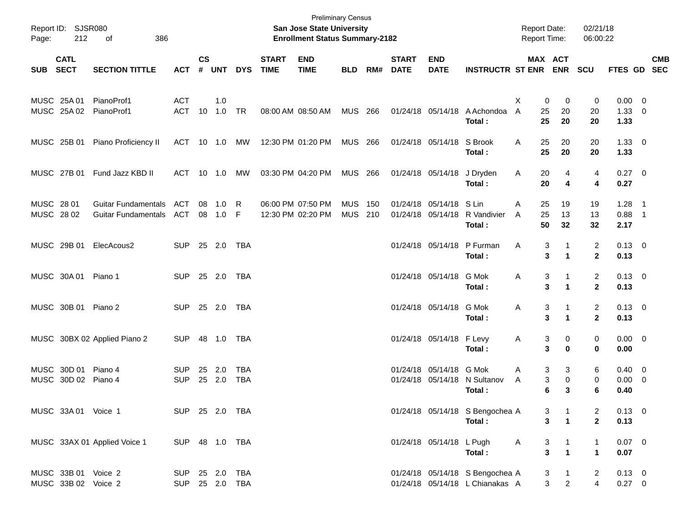| Page:                    | Report ID: SJSR080<br>212                  | 386<br>оf                                                |                                  |                    |               |                          |                             | San Jose State University<br><b>Enrollment Status Summary-2182</b> | <b>Preliminary Census</b> |            |                             |                                              |                                                                    | <b>Report Date:</b><br><b>Report Time:</b> |                                                              | 02/21/18<br>06:00:22           |                                       |            |
|--------------------------|--------------------------------------------|----------------------------------------------------------|----------------------------------|--------------------|---------------|--------------------------|-----------------------------|--------------------------------------------------------------------|---------------------------|------------|-----------------------------|----------------------------------------------|--------------------------------------------------------------------|--------------------------------------------|--------------------------------------------------------------|--------------------------------|---------------------------------------|------------|
| SUB SECT                 | <b>CATL</b>                                | <b>SECTION TITTLE</b>                                    | <b>ACT</b>                       | $\mathsf{cs}$<br># | UNT           | <b>DYS</b>               | <b>START</b><br><b>TIME</b> | <b>END</b><br><b>TIME</b>                                          | <b>BLD</b>                | RM#        | <b>START</b><br><b>DATE</b> | <b>END</b><br><b>DATE</b>                    | <b>INSTRUCTR ST ENR</b>                                            |                                            | MAX ACT<br><b>ENR</b>                                        | <b>SCU</b>                     | FTES GD SEC                           | <b>CMB</b> |
|                          | MUSC 25A 01<br>MUSC 25A 02                 | PianoProf1<br>PianoProf1                                 | <b>ACT</b><br>ACT 10             |                    | 1.0<br>1.0 TR |                          |                             | 08:00 AM 08:50 AM                                                  | MUS 266                   |            |                             | 01/24/18 05/14/18                            | A Achondoa<br>Total:                                               | X<br>0<br>25<br>A<br>25                    | 0<br>20<br>20                                                | 0<br>20<br>20                  | $0.00 \t 0$<br>$1.33 \ 0$<br>1.33     |            |
|                          | MUSC 25B 01                                | Piano Proficiency II                                     | ACT 10 1.0                       |                    |               | MW                       |                             | 12:30 PM 01:20 PM                                                  | MUS 266                   |            |                             | 01/24/18 05/14/18                            | S Brook<br>Total:                                                  | 25<br>Α<br>25                              | 20<br>20                                                     | 20<br>20                       | $1.33 \ 0$<br>1.33                    |            |
|                          | MUSC 27B 01                                | Fund Jazz KBD II                                         | ACT 10 1.0                       |                    |               | MW                       |                             | 03:30 PM 04:20 PM                                                  | MUS 266                   |            |                             | 01/24/18 05/14/18                            | J Dryden<br>Total:                                                 | Α<br>20<br>20                              | 4<br>4                                                       | 4<br>4                         | $0.27$ 0<br>0.27                      |            |
| MUSC 28 01<br>MUSC 28 02 |                                            | <b>Guitar Fundamentals</b><br><b>Guitar Fundamentals</b> | ACT<br>ACT                       | 08                 | 1.0<br>08 1.0 | R<br>- F                 |                             | 06:00 PM 07:50 PM<br>12:30 PM 02:20 PM                             | <b>MUS</b><br><b>MUS</b>  | 150<br>210 |                             | 01/24/18 05/14/18<br>01/24/18 05/14/18       | S Lin<br>R Vandivier<br>Total:                                     | 25<br>A<br>25<br>A<br>50                   | 19<br>13<br>32                                               | 19<br>13<br>32                 | $1.28$ 1<br>$0.88$ 1<br>2.17          |            |
|                          | MUSC 29B 01                                | ElecAcous2                                               | <b>SUP</b>                       |                    | 25 2.0        | TBA                      |                             |                                                                    |                           |            |                             | 01/24/18 05/14/18                            | P Furman<br>Total:                                                 | Α<br>3<br>3                                | 1<br>$\blacktriangleleft$                                    | 2<br>$\mathbf{2}$              | $0.13 \quad 0$<br>0.13                |            |
|                          | MUSC 30A 01 Piano 1                        |                                                          | SUP 25 2.0 TBA                   |                    |               |                          |                             |                                                                    |                           |            |                             | 01/24/18 05/14/18                            | G Mok<br>Total:                                                    | Α<br>3<br>3                                | 1<br>$\blacktriangleleft$                                    | $\overline{c}$<br>$\mathbf{2}$ | $0.13 \quad 0$<br>0.13                |            |
|                          | MUSC 30B 01 Piano 2                        |                                                          | SUP 25 2.0 TBA                   |                    |               |                          |                             |                                                                    |                           |            |                             | 01/24/18 05/14/18                            | G Mok<br>Total:                                                    | Α<br>3<br>3                                | 1<br>$\mathbf{1}$                                            | 2<br>$\mathbf{2}$              | $0.13 \quad 0$<br>0.13                |            |
|                          |                                            | MUSC 30BX 02 Applied Piano 2                             | <b>SUP</b>                       |                    |               |                          |                             |                                                                    |                           |            |                             | 01/24/18 05/14/18 F Levy                     | Total:                                                             | Α                                          | 3<br>0<br>3<br>0                                             | 0<br>0                         | $0.00 \t 0$<br>0.00                   |            |
|                          | MUSC 30D 01 Piano 4<br>MUSC 30D 02 Piano 4 |                                                          | <b>SUP</b><br><b>SUP</b>         | 25                 | 2.0<br>25 2.0 | <b>TBA</b><br><b>TBA</b> |                             |                                                                    |                           |            |                             | 01/24/18 05/14/18 G Mok<br>01/24/18 05/14/18 | N Sultanov<br>Total:                                               | Α<br>A<br>6                                | 3<br>3<br>3<br>0<br>3                                        | 6<br>0<br>6                    | $0.40 \quad 0$<br>$0.00 \t 0$<br>0.40 |            |
|                          | MUSC 33A 01 Voice 1                        |                                                          | SUP 25 2.0 TBA                   |                    |               |                          |                             |                                                                    |                           |            |                             |                                              | 01/24/18 05/14/18 S Bengochea A<br>Total:                          |                                            | 3<br>$\mathbf{1}$<br>$\mathbf{1}$<br>$\mathbf{3}$            | 2<br>$\overline{2}$            | $0.13 \ 0$<br>0.13                    |            |
|                          |                                            | MUSC 33AX 01 Applied Voice 1                             | SUP 48 1.0 TBA                   |                    |               |                          |                             |                                                                    |                           |            |                             | 01/24/18 05/14/18 L Pugh                     | Total:                                                             | A                                          | 3<br>$\mathbf{1}$<br>$\overline{\mathbf{3}}$<br>$\mathbf{1}$ | 1<br>$\mathbf{1}$              | $0.07$ 0<br>0.07                      |            |
|                          | MUSC 33B 01 Voice 2<br>MUSC 33B 02 Voice 2 |                                                          | SUP 25 2.0 TBA<br>SUP 25 2.0 TBA |                    |               |                          |                             |                                                                    |                           |            |                             |                                              | 01/24/18 05/14/18 S Bengochea A<br>01/24/18 05/14/18 L Chianakas A |                                            | 3<br>$\mathbf{1}$<br>$\overline{2}$<br>$\mathbf{3}$          | 2<br>$\overline{4}$            | $0.13 \ 0$<br>$0.27 \t 0$             |            |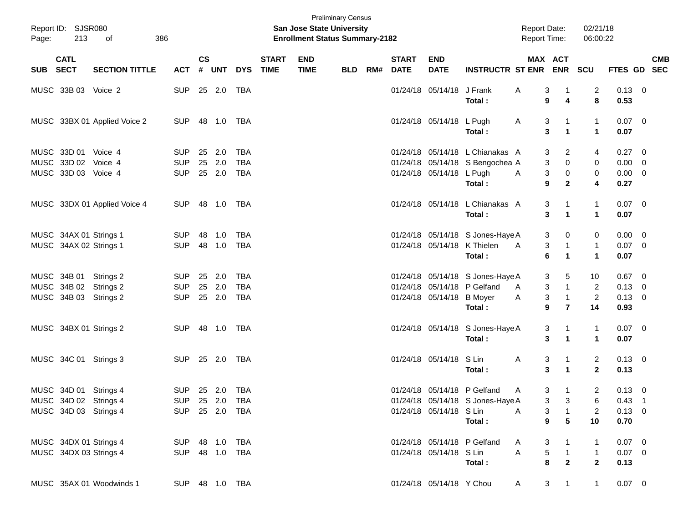| Page:    | Report ID: SJSR080<br>213 | 386<br>of                    |                |                |              |            |                             | <b>Preliminary Census</b><br><b>San Jose State University</b><br><b>Enrollment Status Summary-2182</b> |            |     |                             |                           |                                  |   | <b>Report Date:</b><br>Report Time: |                         | 02/21/18<br>06:00:22 |                |            |
|----------|---------------------------|------------------------------|----------------|----------------|--------------|------------|-----------------------------|--------------------------------------------------------------------------------------------------------|------------|-----|-----------------------------|---------------------------|----------------------------------|---|-------------------------------------|-------------------------|----------------------|----------------|------------|
| SUB SECT | <b>CATL</b>               | <b>SECTION TITTLE</b>        | <b>ACT</b>     | <b>CS</b><br># | <b>UNT</b>   | <b>DYS</b> | <b>START</b><br><b>TIME</b> | <b>END</b><br><b>TIME</b>                                                                              | <b>BLD</b> | RM# | <b>START</b><br><b>DATE</b> | <b>END</b><br><b>DATE</b> | <b>INSTRUCTR ST ENR ENR</b>      |   | MAX ACT                             |                         | SCU                  | FTES GD SEC    | <b>CMB</b> |
|          | MUSC 33B 03 Voice 2       |                              | <b>SUP</b>     |                | 25 2.0       | TBA        |                             |                                                                                                        |            |     |                             | 01/24/18 05/14/18 J Frank |                                  | Α | 3                                   | $\overline{1}$          | 2                    | $0.13 \quad 0$ |            |
|          |                           |                              |                |                |              |            |                             |                                                                                                        |            |     |                             |                           | Total:                           |   | 9                                   | $\overline{\mathbf{4}}$ | 8                    | 0.53           |            |
|          |                           | MUSC 33BX 01 Applied Voice 2 | <b>SUP</b>     |                | 48 1.0       | TBA        |                             |                                                                                                        |            |     |                             | 01/24/18 05/14/18 L Pugh  |                                  | A | 3                                   | $\mathbf 1$             | $\mathbf{1}$         | $0.07$ 0       |            |
|          |                           |                              |                |                |              |            |                             |                                                                                                        |            |     |                             |                           | Total:                           |   | 3                                   | $\mathbf{1}$            | $\mathbf{1}$         | 0.07           |            |
|          | MUSC 33D 01 Voice 4       |                              | <b>SUP</b>     |                | 25 2.0       | <b>TBA</b> |                             |                                                                                                        |            |     |                             |                           | 01/24/18 05/14/18 L Chianakas A  |   | 3                                   | $\overline{c}$          | 4                    | $0.27 \ 0$     |            |
|          | MUSC 33D 02 Voice 4       |                              | <b>SUP</b>     |                | 25 2.0       | <b>TBA</b> |                             |                                                                                                        |            |     |                             |                           | 01/24/18 05/14/18 S Bengochea A  |   | 3                                   | 0                       | 0                    | $0.00 \t 0$    |            |
|          | MUSC 33D 03 Voice 4       |                              | <b>SUP</b>     |                | 25 2.0       | <b>TBA</b> |                             |                                                                                                        |            |     |                             | 01/24/18 05/14/18 L Pugh  |                                  | Α | 3                                   | 0                       | 0                    | $0.00 \t 0$    |            |
|          |                           |                              |                |                |              |            |                             |                                                                                                        |            |     |                             |                           | Total:                           |   | 9                                   | $\mathbf{2}$            | 4                    | 0.27           |            |
|          |                           | MUSC 33DX 01 Applied Voice 4 | <b>SUP</b>     |                | 48 1.0       | TBA        |                             |                                                                                                        |            |     |                             |                           | 01/24/18 05/14/18 L Chianakas A  |   | 3                                   | $\mathbf 1$             | $\mathbf{1}$         | $0.07$ 0       |            |
|          |                           |                              |                |                |              |            |                             |                                                                                                        |            |     |                             |                           | Total:                           |   | 3                                   | $\mathbf{1}$            | $\mathbf{1}$         | 0.07           |            |
|          | MUSC 34AX 01 Strings 1    |                              | <b>SUP</b>     | 48             | 1.0          | <b>TBA</b> |                             |                                                                                                        |            |     |                             |                           | 01/24/18 05/14/18 S Jones-Haye A |   | 3                                   | 0                       | 0                    | $0.00 \t 0$    |            |
|          | MUSC 34AX 02 Strings 1    |                              | <b>SUP</b>     |                | 48 1.0       | <b>TBA</b> |                             |                                                                                                        |            |     |                             |                           | 01/24/18 05/14/18 K Thielen      | A | 3                                   | $\mathbf{1}$            | $\mathbf{1}$         | $0.07$ 0       |            |
|          |                           |                              |                |                |              |            |                             |                                                                                                        |            |     |                             |                           | Total:                           |   | $6\phantom{1}6$                     | $\mathbf{1}$            | $\mathbf{1}$         | 0.07           |            |
|          | MUSC 34B 01 Strings 2     |                              | <b>SUP</b>     |                | 25 2.0       | <b>TBA</b> |                             |                                                                                                        |            |     |                             |                           | 01/24/18 05/14/18 S Jones-Haye A |   | 3                                   | 5                       | 10                   | $0.67$ 0       |            |
|          | MUSC 34B 02 Strings 2     |                              | <b>SUP</b>     |                | 25 2.0       | <b>TBA</b> |                             |                                                                                                        |            |     |                             |                           | 01/24/18 05/14/18 P Gelfand      | A | 3                                   | $\mathbf{1}$            | $\overline{2}$       | $0.13 \ 0$     |            |
|          | MUSC 34B 03 Strings 2     |                              | <b>SUP</b>     |                | 25 2.0       | <b>TBA</b> |                             |                                                                                                        |            |     |                             | 01/24/18 05/14/18 B Moyer |                                  | Α | 3                                   | $\overline{1}$          | $\overline{c}$       | $0.13 \ 0$     |            |
|          |                           |                              |                |                |              |            |                             |                                                                                                        |            |     |                             |                           | Total :                          |   | 9                                   | $\overline{7}$          | 14                   | 0.93           |            |
|          | MUSC 34BX 01 Strings 2    |                              | <b>SUP</b>     |                | 48  1.0  TBA |            |                             |                                                                                                        |            |     |                             |                           | 01/24/18 05/14/18 S Jones-Haye A |   | 3                                   | $\mathbf 1$             | $\mathbf{1}$         | $0.07$ 0       |            |
|          |                           |                              |                |                |              |            |                             |                                                                                                        |            |     |                             |                           | Total:                           |   | 3                                   | $\mathbf{1}$            | $\mathbf 1$          | 0.07           |            |
|          | MUSC 34C 01 Strings 3     |                              | SUP 25 2.0 TBA |                |              |            |                             |                                                                                                        |            |     |                             | 01/24/18 05/14/18 S Lin   |                                  | Α | 3                                   | $\mathbf 1$             | $\overline{2}$       | $0.13 \quad 0$ |            |
|          |                           |                              |                |                |              |            |                             |                                                                                                        |            |     |                             |                           | Total:                           |   | 3                                   | $\blacktriangleleft$    | $\overline{2}$       | 0.13           |            |
|          | MUSC 34D 01 Strings 4     |                              | SUP 25 2.0     |                |              | TBA        |                             |                                                                                                        |            |     |                             |                           | 01/24/18 05/14/18 P Gelfand      | A | 3                                   | $\mathbf{1}$            | 2                    | $0.13 \quad 0$ |            |
|          |                           | MUSC 34D 02 Strings 4        | SUP 25 2.0 TBA |                |              |            |                             |                                                                                                        |            |     |                             |                           | 01/24/18 05/14/18 S Jones-Haye A |   |                                     | $3 \quad 3$             | 6                    | $0.43$ 1       |            |
|          | MUSC 34D 03 Strings 4     |                              | SUP 25 2.0 TBA |                |              |            |                             |                                                                                                        |            |     |                             | 01/24/18 05/14/18 S Lin   |                                  | A | 3                                   | $\overline{1}$          | 2                    | $0.13 \ 0$     |            |
|          |                           |                              |                |                |              |            |                             |                                                                                                        |            |     |                             |                           | Total:                           |   | $\bf{9}$                            | $5\phantom{.0}$         | 10                   | 0.70           |            |
|          | MUSC 34DX 01 Strings 4    |                              | SUP 48 1.0 TBA |                |              |            |                             |                                                                                                        |            |     |                             |                           | 01/24/18 05/14/18 P Gelfand      | A | 3                                   | $\mathbf{1}$            | $\mathbf{1}$         | $0.07$ 0       |            |
|          | MUSC 34DX 03 Strings 4    |                              | SUP 48 1.0 TBA |                |              |            |                             |                                                                                                        |            |     |                             | 01/24/18 05/14/18 S Lin   |                                  | A | 5                                   | $\overline{1}$          | $\mathbf{1}$         | $0.07$ 0       |            |
|          |                           |                              |                |                |              |            |                             |                                                                                                        |            |     |                             |                           | Total:                           |   | 8                                   | $\overline{2}$          | $\overline{2}$       | 0.13           |            |
|          |                           | MUSC 35AX 01 Woodwinds 1     | SUP 48 1.0 TBA |                |              |            |                             |                                                                                                        |            |     |                             | 01/24/18 05/14/18 Y Chou  |                                  | A | 3 <sup>1</sup>                      | $\overline{1}$          | $\mathbf{1}$         | $0.07$ 0       |            |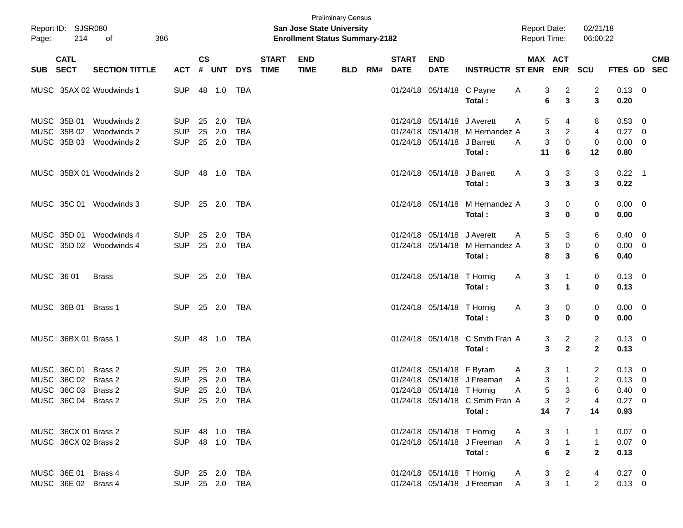| Page:      | Report ID: SJSR080<br>214 | 386<br>of                |                |                    |            |            |                             | <b>San Jose State University</b><br><b>Enrollment Status Summary-2182</b> | <b>Preliminary Census</b> |     |                             |                             |                                  | <b>Report Date:</b><br><b>Report Time:</b> |                                                        | 02/21/18<br>06:00:22 |                |                           |
|------------|---------------------------|--------------------------|----------------|--------------------|------------|------------|-----------------------------|---------------------------------------------------------------------------|---------------------------|-----|-----------------------------|-----------------------------|----------------------------------|--------------------------------------------|--------------------------------------------------------|----------------------|----------------|---------------------------|
| SUB SECT   | <b>CATL</b>               | <b>SECTION TITTLE</b>    | <b>ACT</b>     | $\mathsf{cs}$<br># | <b>UNT</b> | <b>DYS</b> | <b>START</b><br><b>TIME</b> | <b>END</b><br><b>TIME</b>                                                 | <b>BLD</b>                | RM# | <b>START</b><br><b>DATE</b> | <b>END</b><br><b>DATE</b>   | <b>INSTRUCTR ST ENR</b>          |                                            | <b>MAX ACT</b><br><b>ENR</b>                           | <b>SCU</b>           |                | <b>CMB</b><br>FTES GD SEC |
|            |                           | MUSC 35AX 02 Woodwinds 1 | <b>SUP</b>     |                    | 48 1.0     | TBA        |                             |                                                                           |                           |     |                             | 01/24/18 05/14/18 C Payne   |                                  | A                                          | $\overline{c}$<br>3                                    | 2                    | $0.13 \ 0$     |                           |
|            |                           |                          |                |                    |            |            |                             |                                                                           |                           |     |                             |                             | Total:                           |                                            | 6<br>3                                                 | 3                    | 0.20           |                           |
|            | MUSC 35B 01               | Woodwinds 2              | <b>SUP</b>     | 25                 | 2.0        | <b>TBA</b> |                             |                                                                           |                           |     |                             | 01/24/18 05/14/18 J Averett |                                  | A                                          | 5<br>4                                                 | 8                    | 0.53 0         |                           |
|            | MUSC 35B 02               | Woodwinds 2              | <b>SUP</b>     | 25                 | 2.0        | <b>TBA</b> |                             |                                                                           |                           |     |                             |                             | 01/24/18 05/14/18 M Hernandez A  |                                            | 3<br>$\overline{2}$                                    | $\overline{4}$       | $0.27$ 0       |                           |
|            |                           | MUSC 35B 03 Woodwinds 2  | <b>SUP</b>     |                    | 25 2.0     | TBA        |                             |                                                                           |                           |     |                             | 01/24/18 05/14/18 J Barrett |                                  | A                                          | $\mathbf 0$<br>3                                       | 0                    | $0.00 \t 0$    |                           |
|            |                           |                          |                |                    |            |            |                             |                                                                           |                           |     |                             |                             | Total:                           | 11                                         | 6                                                      | 12                   | 0.80           |                           |
|            |                           | MUSC 35BX 01 Woodwinds 2 | <b>SUP</b>     |                    |            | TBA        |                             |                                                                           |                           |     |                             | 01/24/18 05/14/18 J Barrett |                                  | A                                          | 3<br>3                                                 | 3                    | $0.22$ 1       |                           |
|            |                           |                          |                |                    |            |            |                             |                                                                           |                           |     |                             |                             | Total:                           |                                            | 3<br>3                                                 | 3                    | 0.22           |                           |
|            |                           | MUSC 35C 01 Woodwinds 3  | <b>SUP</b>     |                    | 25 2.0     | TBA        |                             |                                                                           |                           |     |                             |                             | 01/24/18 05/14/18 M Hernandez A  |                                            | 3<br>0                                                 | 0                    | $0.00 \t 0$    |                           |
|            |                           |                          |                |                    |            |            |                             |                                                                           |                           |     |                             |                             | Total:                           |                                            | 3<br>$\bf{0}$                                          | 0                    | 0.00           |                           |
|            | MUSC 35D 01               | Woodwinds 4              | <b>SUP</b>     | 25                 | 2.0        | <b>TBA</b> |                             |                                                                           |                           |     |                             | 01/24/18 05/14/18 J Averett |                                  | A                                          | 3<br>5                                                 | 6                    | $0.40 \quad 0$ |                           |
|            |                           | MUSC 35D 02 Woodwinds 4  | <b>SUP</b>     |                    | 25 2.0     | TBA        |                             |                                                                           |                           |     |                             |                             | 01/24/18 05/14/18 M Hernandez A  |                                            | 3<br>0                                                 | 0                    | $0.00 \t 0$    |                           |
|            |                           |                          |                |                    |            |            |                             |                                                                           |                           |     |                             |                             | Total:                           |                                            | 8<br>3                                                 | 6                    | 0.40           |                           |
| MUSC 36 01 |                           | <b>Brass</b>             | <b>SUP</b>     |                    | 25 2.0     | TBA        |                             |                                                                           |                           |     |                             | 01/24/18 05/14/18 T Hornig  |                                  | A                                          | 3<br>$\mathbf 1$                                       | 0                    | $0.13 \ 0$     |                           |
|            |                           |                          |                |                    |            |            |                             |                                                                           |                           |     |                             |                             | Total:                           |                                            | 3<br>$\mathbf{1}$                                      | 0                    | 0.13           |                           |
|            | MUSC 36B 01               | Brass 1                  | <b>SUP</b>     |                    | 25 2.0     | TBA        |                             |                                                                           |                           |     |                             | 01/24/18 05/14/18 T Hornig  |                                  | A                                          | 3<br>0                                                 | 0                    | $0.00 \t 0$    |                           |
|            |                           |                          |                |                    |            |            |                             |                                                                           |                           |     |                             |                             | Total:                           |                                            | 3<br>$\bf{0}$                                          | 0                    | 0.00           |                           |
|            | MUSC 36BX 01 Brass 1      |                          | <b>SUP</b>     |                    | 48  1.0    | TBA        |                             |                                                                           |                           |     |                             |                             | 01/24/18 05/14/18 C Smith Fran A |                                            | 2<br>3                                                 | 2                    | $0.13 \ 0$     |                           |
|            |                           |                          |                |                    |            |            |                             |                                                                           |                           |     |                             |                             | Total:                           |                                            | $\mathbf{2}$<br>3                                      | $\mathbf{2}$         | 0.13           |                           |
|            | MUSC 36C 01               | Brass 2                  | <b>SUP</b>     | 25                 | 2.0        | <b>TBA</b> |                             |                                                                           |                           |     |                             | 01/24/18 05/14/18 F Byram   |                                  | A                                          | 3<br>$\mathbf 1$                                       | 2                    | $0.13 \quad 0$ |                           |
|            | MUSC 36C 02 Brass 2       |                          | <b>SUP</b>     | 25                 | 2.0        | <b>TBA</b> |                             |                                                                           |                           |     |                             |                             | 01/24/18 05/14/18 J Freeman      | A                                          | 3<br>$\overline{1}$                                    | 2                    | $0.13 \ 0$     |                           |
|            | MUSC 36C 03 Brass 2       |                          | <b>SUP</b>     |                    | 25 2.0     | <b>TBA</b> |                             |                                                                           |                           |     |                             | 01/24/18 05/14/18 T Hornig  |                                  | Α                                          | 5<br>3                                                 | 6                    | $0.40 \ 0$     |                           |
|            | MUSC 36C 04 Brass 2       |                          | SUP 25 2.0 TBA |                    |            |            |                             |                                                                           |                           |     |                             |                             | 01/24/18 05/14/18 C Smith Fran A |                                            | 3<br>$\overline{\mathbf{2}}$                           | 4                    | $0.27 \t 0$    |                           |
|            |                           |                          |                |                    |            |            |                             |                                                                           |                           |     |                             |                             | Total:                           | 14                                         | $\overline{7}$                                         | 14                   | 0.93           |                           |
|            | MUSC 36CX 01 Brass 2      |                          | SUP 48 1.0 TBA |                    |            |            |                             |                                                                           |                           |     |                             | 01/24/18 05/14/18 T Hornig  |                                  | A                                          | 3<br>$\overline{1}$                                    | 1                    | $0.07$ 0       |                           |
|            | MUSC 36CX 02 Brass 2      |                          | SUP 48 1.0 TBA |                    |            |            |                             |                                                                           |                           |     |                             |                             | 01/24/18 05/14/18 J Freeman A    |                                            | $\overline{1}$<br>3                                    | $\mathbf{1}$         | $0.07$ 0       |                           |
|            |                           |                          |                |                    |            |            |                             |                                                                           |                           |     |                             |                             | Total:                           |                                            | $\overline{2}$<br>6                                    | $\overline{2}$       | 0.13           |                           |
|            | MUSC 36E 01 Brass 4       |                          | SUP 25 2.0 TBA |                    |            |            |                             |                                                                           |                           |     |                             | 01/24/18 05/14/18 T Hornig  |                                  | A                                          | $\frac{3}{3}$<br>$\begin{array}{c} 2 \\ 1 \end{array}$ | 4                    | $0.27 \ 0$     |                           |
|            | MUSC 36E 02 Brass 4       |                          | SUP 25 2.0 TBA |                    |            |            |                             |                                                                           |                           |     |                             |                             | 01/24/18 05/14/18 J Freeman A    |                                            |                                                        | $\overline{2}$       | $0.13 \ 0$     |                           |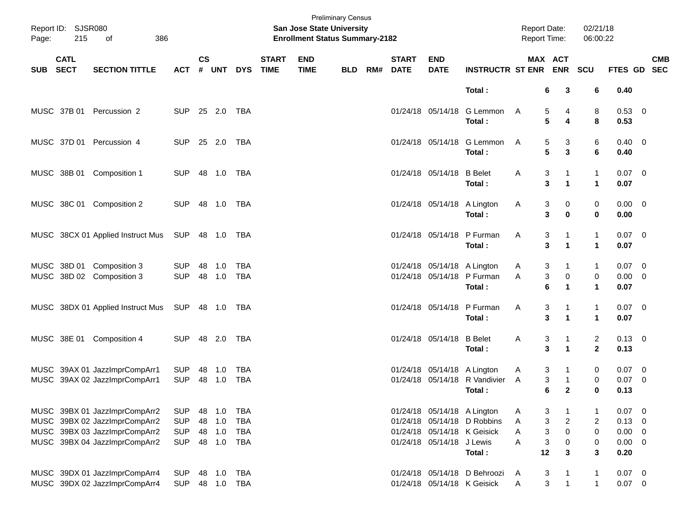| Page:      | Report ID: SJSR080<br>215  | 386<br>of                                                                                                                        |                                                      |                      |                          |                                                      |                             | <b>San Jose State University</b><br><b>Enrollment Status Summary-2182</b> | <b>Preliminary Census</b> |     |                             |                                                          |                                                                      | Report Date:<br>Report Time:                                       |                                            | 02/21/18<br>06:00:22                                         |                                      |                                                   |
|------------|----------------------------|----------------------------------------------------------------------------------------------------------------------------------|------------------------------------------------------|----------------------|--------------------------|------------------------------------------------------|-----------------------------|---------------------------------------------------------------------------|---------------------------|-----|-----------------------------|----------------------------------------------------------|----------------------------------------------------------------------|--------------------------------------------------------------------|--------------------------------------------|--------------------------------------------------------------|--------------------------------------|---------------------------------------------------|
| <b>SUB</b> | <b>CATL</b><br><b>SECT</b> | <b>SECTION TITTLE</b>                                                                                                            | <b>ACT</b>                                           | $\mathsf{cs}$<br>#   | <b>UNT</b>               | <b>DYS</b>                                           | <b>START</b><br><b>TIME</b> | <b>END</b><br><b>TIME</b>                                                 | <b>BLD</b>                | RM# | <b>START</b><br><b>DATE</b> | <b>END</b><br><b>DATE</b>                                | <b>INSTRUCTR ST ENR ENR</b>                                          | MAX ACT                                                            |                                            | SCU                                                          |                                      | <b>CMB</b><br>FTES GD SEC                         |
|            |                            |                                                                                                                                  |                                                      |                      |                          |                                                      |                             |                                                                           |                           |     |                             |                                                          | Total:                                                               | 6                                                                  | 3                                          | 6                                                            | 0.40                                 |                                                   |
|            | MUSC 37B 01                | Percussion 2                                                                                                                     | <b>SUP</b>                                           |                      | 25 2.0                   | <b>TBA</b>                                           |                             |                                                                           |                           |     |                             |                                                          | 01/24/18 05/14/18 G Lemmon<br>Total:                                 | 5<br>A<br>5                                                        | 4<br>4                                     | 8<br>8                                                       | 0.53 0<br>0.53                       |                                                   |
|            |                            | MUSC 37D 01 Percussion 4                                                                                                         | <b>SUP</b>                                           |                      | 25 2.0                   | <b>TBA</b>                                           |                             |                                                                           |                           |     |                             |                                                          | 01/24/18 05/14/18 G Lemmon<br>Total:                                 | 5<br>A<br>5                                                        | 3<br>3                                     | 6<br>6                                                       | $0.40 \quad 0$<br>0.40               |                                                   |
|            | MUSC 38B 01                | Composition 1                                                                                                                    | <b>SUP</b>                                           |                      |                          |                                                      |                             |                                                                           |                           |     |                             | 01/24/18 05/14/18                                        | <b>B</b> Belet<br>Total:                                             | Α<br>3<br>$\overline{\mathbf{3}}$                                  | 1<br>$\blacktriangleleft$                  | $\mathbf{1}$<br>$\mathbf{1}$                                 | $0.07 \ 0$<br>0.07                   |                                                   |
|            |                            | MUSC 38C 01 Composition 2                                                                                                        | <b>SUP</b>                                           |                      | 48 1.0                   | TBA                                                  |                             |                                                                           |                           |     |                             | 01/24/18 05/14/18 A Lington                              | Total:                                                               | Α<br>3<br>3                                                        | 0<br>$\bf{0}$                              | 0<br>$\bf{0}$                                                | $0.00 \t 0$<br>0.00                  |                                                   |
|            |                            | MUSC 38CX 01 Applied Instruct Mus                                                                                                | SUP                                                  |                      | 48  1.0  TBA             |                                                      |                             |                                                                           |                           |     |                             |                                                          | 01/24/18 05/14/18 P Furman<br>Total:                                 | Α<br>3<br>$\overline{\mathbf{3}}$                                  | 1<br>$\blacktriangleleft$                  | $\mathbf{1}$<br>$\mathbf{1}$                                 | $0.07 \ 0$<br>0.07                   |                                                   |
|            | MUSC 38D 01                | Composition 3<br>MUSC 38D 02 Composition 3                                                                                       | <b>SUP</b><br><b>SUP</b>                             | 48                   | 1.0<br>48 1.0            | <b>TBA</b><br><b>TBA</b>                             |                             |                                                                           |                           |     |                             | 01/24/18 05/14/18 A Lington                              | 01/24/18 05/14/18 P Furman<br>Total:                                 | 3<br>A<br>$\ensuremath{\mathsf{3}}$<br>A<br>6                      | 1<br>$\,0\,$<br>$\mathbf 1$                | $\mathbf{1}$<br>0<br>$\mathbf{1}$                            | $0.07 \ 0$<br>$0.00 \t 0$<br>0.07    |                                                   |
|            |                            | MUSC 38DX 01 Applied Instruct Mus                                                                                                | SUP                                                  |                      |                          |                                                      |                             |                                                                           |                           |     |                             |                                                          | 01/24/18 05/14/18 P Furman<br>Total:                                 | Α<br>3<br>$\overline{\mathbf{3}}$                                  | $\blacktriangleleft$                       | $\mathbf{1}$<br>$\mathbf{1}$                                 | $0.07 \ 0$<br>0.07                   |                                                   |
|            | MUSC 38E 01                | Composition 4                                                                                                                    | <b>SUP</b>                                           |                      | 48 2.0                   | TBA                                                  |                             |                                                                           |                           |     |                             | 01/24/18 05/14/18                                        | <b>B</b> Belet<br>Total:                                             | Α<br>3<br>$\overline{\mathbf{3}}$                                  | $\blacktriangleleft$                       | $\overline{a}$<br>$\mathbf 2$                                | $0.13 \quad 0$<br>0.13               |                                                   |
|            |                            | MUSC 39AX 01 JazzImprCompArr1<br>MUSC 39AX 02 JazzImprCompArr1                                                                   | <b>SUP</b><br><b>SUP</b>                             | 48<br>48             | 1.0<br>1.0               | <b>TBA</b><br><b>TBA</b>                             |                             |                                                                           |                           |     |                             | 01/24/18 05/14/18 A Lington                              | 01/24/18 05/14/18 R Vandivier<br>Total:                              | 3<br>A<br>3<br>A<br>6                                              | $\mathbf{1}$<br>$\mathbf{2}$               | 0<br>0<br>$\mathbf 0$                                        | $0.07$ 0<br>$0.07$ 0<br>0.13         |                                                   |
|            |                            | MUSC 39BX 01 JazzImprCompArr2<br>MUSC 39BX 02 JazzImprCompArr2<br>MUSC 39BX 03 JazzImprCompArr2<br>MUSC 39BX 04 JazzImprCompArr2 | <b>SUP</b><br><b>SUP</b><br><b>SUP</b><br><b>SUP</b> | 48<br>48<br>48<br>48 | 1.0<br>1.0<br>1.0<br>1.0 | <b>TBA</b><br><b>TBA</b><br><b>TBA</b><br><b>TBA</b> |                             |                                                                           |                           |     |                             | 01/24/18 05/14/18 A Lington<br>01/24/18 05/14/18 J Lewis | 01/24/18 05/14/18 D Robbins<br>01/24/18 05/14/18 K Geisick<br>Total: | 3<br>Α<br>3<br>Α<br>3<br>Α<br>$\ensuremath{\mathsf{3}}$<br>Α<br>12 | 1<br>$\overline{c}$<br>0<br>$\pmb{0}$<br>3 | $\mathbf 1$<br>$\overline{c}$<br>$\pmb{0}$<br>$\pmb{0}$<br>3 | 0.07<br>0.13<br>0.00<br>0.00<br>0.20 | 0<br>$\mathbf 0$<br>$\mathbf 0$<br>$\overline{0}$ |
|            |                            | MUSC 39DX 01 JazzImprCompArr4<br>MUSC 39DX 02 JazzImprCompArr4                                                                   | <b>SUP</b><br><b>SUP</b>                             | 48                   | 1.0<br>48 1.0            | <b>TBA</b><br><b>TBA</b>                             |                             |                                                                           |                           |     |                             |                                                          | 01/24/18 05/14/18 D Behroozi<br>01/24/18 05/14/18 K Geisick          | 3<br>A<br>$\ensuremath{\mathsf{3}}$<br>Α                           | 1<br>$\mathbf{1}$                          | $\mathbf{1}$<br>$\mathbf{1}$                                 | $0.07$ 0<br>$0.07$ 0                 |                                                   |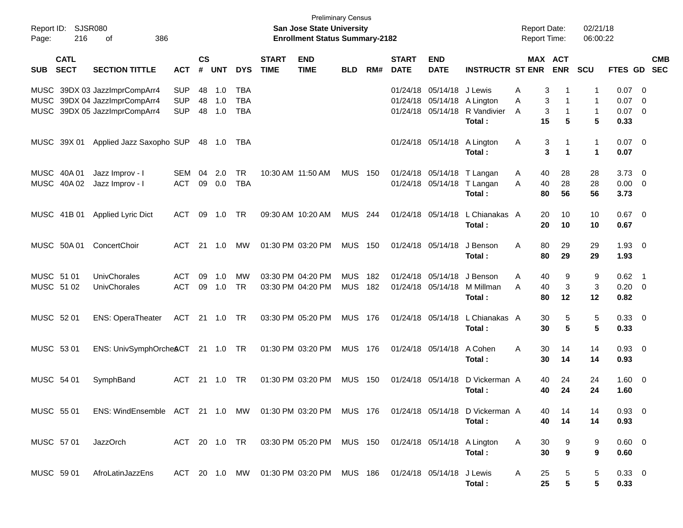| Report ID:<br>Page:      | <b>SJSR080</b><br>216      | 386<br>оf                                                                             |                                        |                    |                   |                                        |                             | <b>Preliminary Census</b><br>San Jose State University<br><b>Enrollment Status Summary-2182</b> |                          |            |                             |                                                             |                                               | <b>Report Date:</b><br><b>Report Time:</b> |                                          | 02/21/18<br>06:00:22 |                                |                                                             |                          |
|--------------------------|----------------------------|---------------------------------------------------------------------------------------|----------------------------------------|--------------------|-------------------|----------------------------------------|-----------------------------|-------------------------------------------------------------------------------------------------|--------------------------|------------|-----------------------------|-------------------------------------------------------------|-----------------------------------------------|--------------------------------------------|------------------------------------------|----------------------|--------------------------------|-------------------------------------------------------------|--------------------------|
| <b>SUB</b>               | <b>CATL</b><br><b>SECT</b> | <b>SECTION TITTLE</b>                                                                 | <b>ACT</b>                             | $\mathsf{cs}$<br># | <b>UNT</b>        | <b>DYS</b>                             | <b>START</b><br><b>TIME</b> | <b>END</b><br><b>TIME</b>                                                                       | <b>BLD</b>               | RM#        | <b>START</b><br><b>DATE</b> | <b>END</b><br><b>DATE</b>                                   | <b>INSTRUCTR ST ENR</b>                       |                                            | MAX ACT<br><b>ENR</b>                    | <b>SCU</b>           | FTES GD                        |                                                             | <b>CMB</b><br><b>SEC</b> |
| MUSC<br>MUSC             |                            | MUSC 39DX 03 JazzImprCompArr4<br>39DX 04 JazzImprCompArr4<br>39DX 05 JazzImprCompArr4 | <b>SUP</b><br><b>SUP</b><br><b>SUP</b> | 48<br>48<br>48     | 1.0<br>1.0<br>1.0 | <b>TBA</b><br><b>TBA</b><br><b>TBA</b> |                             |                                                                                                 |                          |            |                             | 01/24/18 05/14/18<br>01/24/18 05/14/18<br>01/24/18 05/14/18 | J Lewis<br>A Lington<br>R Vandivier<br>Total: | A<br>A<br>A                                | 3<br>-1<br>3<br>-1<br>3<br>-1<br>5<br>15 | 1<br>1<br>1<br>5     | 0.07<br>0.07<br>0.07<br>0.33   | $\overline{\phantom{0}}$<br>- 0<br>$\overline{\phantom{0}}$ |                          |
|                          | MUSC 39X 01                | Applied Jazz Saxopho SUP                                                              |                                        |                    | 48 1.0            | TBA                                    |                             |                                                                                                 |                          |            |                             | 01/24/18 05/14/18                                           | A Lington<br>Total:                           | Α                                          | 3<br>1<br>3<br>$\mathbf 1$               | $\mathbf{1}$<br>1    | $0.07$ 0<br>0.07               |                                                             |                          |
|                          | MUSC 40A 01<br>MUSC 40A 02 | Jazz Improv - I<br>Jazz Improv - I                                                    | <b>SEM</b><br><b>ACT</b>               | 04<br>09           | 2.0<br>0.0        | <b>TR</b><br><b>TBA</b>                |                             | 10:30 AM 11:50 AM                                                                               | <b>MUS</b>               | 150        |                             | 01/24/18 05/14/18<br>01/24/18 05/14/18                      | T Langan<br>T Langan<br>Total:                | A<br>A                                     | 28<br>40<br>28<br>40<br>80<br>56         | 28<br>28<br>56       | 3.73<br>$0.00 \t 0$<br>3.73    | $\overline{\phantom{0}}$                                    |                          |
|                          | MUSC 41B 01                | Applied Lyric Dict                                                                    | <b>ACT</b>                             | 09                 | 1.0               | TR                                     |                             | 09:30 AM 10:20 AM                                                                               | <b>MUS</b>               | 244        |                             | 01/24/18 05/14/18                                           | L Chianakas A<br>Total:                       |                                            | 20<br>10<br>20<br>10                     | 10<br>10             | $0.67$ 0<br>0.67               |                                                             |                          |
|                          | MUSC 50A 01                | ConcertChoir                                                                          | <b>ACT</b>                             | 21                 | 1.0               | МW                                     |                             | 01:30 PM 03:20 PM                                                                               | <b>MUS</b>               | 150        |                             | 01/24/18 05/14/18                                           | J Benson<br>Total:                            | Α                                          | 80<br>29<br>80<br>29                     | 29<br>29             | $1.93$ 0<br>1.93               |                                                             |                          |
| MUSC 51 01<br>MUSC 51 02 |                            | UnivChorales<br><b>UnivChorales</b>                                                   | <b>ACT</b><br><b>ACT</b>               | 09<br>09           | 1.0<br>1.0        | <b>MW</b><br><b>TR</b>                 |                             | 03:30 PM 04:20 PM<br>03:30 PM 04:20 PM                                                          | <b>MUS</b><br><b>MUS</b> | 182<br>182 | 01/24/18 05/14/18           | 01/24/18 05/14/18                                           | J Benson<br>M Millman<br>Total:               | A<br>A                                     | 9<br>40<br>3<br>40<br>12<br>80           | 9<br>3<br>12         | $0.62$ 1<br>$0.20 \ 0$<br>0.82 |                                                             |                          |
| MUSC 52 01               |                            | <b>ENS: OperaTheater</b>                                                              | <b>ACT</b>                             |                    | 21 1.0            | TR                                     |                             | 03:30 PM 05:20 PM                                                                               | <b>MUS</b>               | 176        |                             | 01/24/18 05/14/18                                           | L Chianakas A<br>Total:                       |                                            | 30<br>5<br>5<br>30                       | 5<br>5               | $0.33 \ 0$<br>0.33             |                                                             |                          |
| MUSC 53 01               |                            | ENS: UnivSymphOrcheACT 21 1.0 TR                                                      |                                        |                    |                   |                                        |                             | 01:30 PM 03:20 PM                                                                               | <b>MUS</b>               | 176        |                             | 01/24/18 05/14/18                                           | A Cohen<br>Total:                             | A                                          | 30<br>14<br>30<br>14                     | 14<br>14             | $0.93 \ 0$<br>0.93             |                                                             |                          |
| MUSC 54 01               |                            | SymphBand                                                                             | <b>ACT</b>                             | 21                 | 1.0               | TR                                     |                             | 01:30 PM 03:20 PM                                                                               | <b>MUS</b>               | 150        | 01/24/18 05/14/18           |                                                             | D Vickerman A<br>Total:                       |                                            | 24<br>40<br>40<br>24                     | 24<br>24             | $1.60 \t 0$<br>1.60            |                                                             |                          |
| MUSC 55 01               |                            | ENS: WindEnsemble ACT 21 1.0 MW 01:30 PM 03:20 PM MUS 176                             |                                        |                    |                   |                                        |                             |                                                                                                 |                          |            |                             |                                                             | 01/24/18 05/14/18 D Vickerman A<br>Total:     |                                            | 40<br>14<br>40<br>14                     | 14<br>14             | $0.93 \ 0$<br>0.93             |                                                             |                          |
| MUSC 57 01               |                            | JazzOrch                                                                              |                                        |                    |                   |                                        |                             | ACT 20 1.0 TR  03:30 PM  05:20 PM  MUS  150  01/24/18  05/14/18  A Lington                      |                          |            |                             |                                                             | Total:                                        | A                                          | 30<br>9<br>30<br>9                       | 9<br>9               | $0.60 \quad 0$<br>0.60         |                                                             |                          |
| MUSC 59 01               |                            | AfroLatinJazzEns                                                                      |                                        |                    |                   |                                        |                             | ACT 20 1.0 MW  01:30 PM  03:20 PM  MUS  186  01/24/18  05/14/18  J Lewis                        |                          |            |                             |                                                             | Total:                                        | A                                          | 25<br>5<br>25<br>5                       | 5<br>5               | $0.33 \ 0$<br>0.33             |                                                             |                          |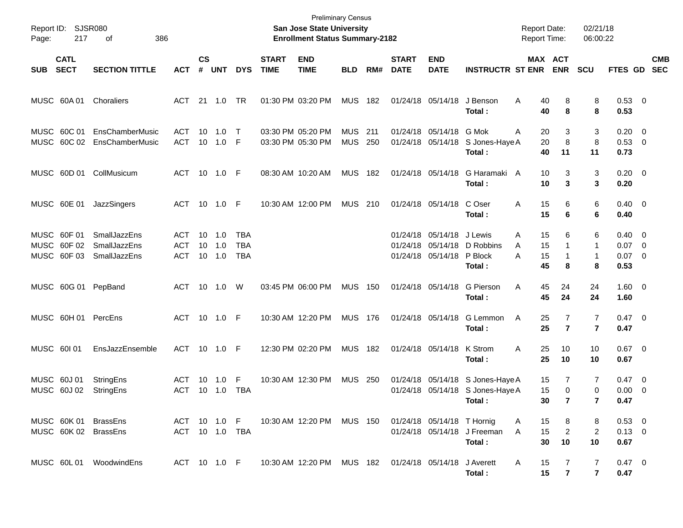| Page:      | Report ID: SJSR080<br>217                 | 386<br>оf                                           |                                |                    |                         |                                 |                             | <b>Preliminary Census</b><br>San Jose State University<br><b>Enrollment Status Summary-2182</b> |                          |            |                             |                                                             |                                                                                | <b>Report Date:</b><br><b>Report Time:</b> |                                        | 02/21/18<br>06:00:22                      |                                                |                          |
|------------|-------------------------------------------|-----------------------------------------------------|--------------------------------|--------------------|-------------------------|---------------------------------|-----------------------------|-------------------------------------------------------------------------------------------------|--------------------------|------------|-----------------------------|-------------------------------------------------------------|--------------------------------------------------------------------------------|--------------------------------------------|----------------------------------------|-------------------------------------------|------------------------------------------------|--------------------------|
| <b>SUB</b> | <b>CATL</b><br><b>SECT</b>                | <b>SECTION TITTLE</b>                               | <b>ACT</b>                     | $\mathsf{cs}$<br># | UNT                     | <b>DYS</b>                      | <b>START</b><br><b>TIME</b> | <b>END</b><br><b>TIME</b>                                                                       | <b>BLD</b>               | RM#        | <b>START</b><br><b>DATE</b> | <b>END</b><br><b>DATE</b>                                   | <b>INSTRUCTR ST ENR</b>                                                        |                                            | MAX ACT<br><b>ENR</b>                  | <b>SCU</b>                                | FTES GD                                        | <b>CMB</b><br><b>SEC</b> |
|            | MUSC 60A 01                               | Choraliers                                          | ACT 21 1.0                     |                    |                         | <b>TR</b>                       |                             | 01:30 PM 03:20 PM                                                                               | <b>MUS</b>               | 182        |                             | 01/24/18 05/14/18                                           | J Benson<br>Total:                                                             | Α<br>40<br>40                              | 8<br>8                                 | 8<br>8                                    | 0.53 0<br>0.53                                 |                          |
|            | MUSC 60C 01                               | EnsChamberMusic<br>MUSC 60C 02 EnsChamberMusic      | <b>ACT</b><br>ACT              | 10                 | 1.0<br>10 1.0 F         | $\top$                          |                             | 03:30 PM 05:20 PM<br>03:30 PM 05:30 PM                                                          | <b>MUS</b><br><b>MUS</b> | 211<br>250 |                             | 01/24/18 05/14/18<br>01/24/18 05/14/18                      | G Mok<br>S Jones-Haye A<br>Total:                                              | 20<br>A<br>40                              | 3<br>$\,8\,$<br>20<br>11               | 3<br>8<br>11                              | $0.20 \ 0$<br>0.53 0<br>0.73                   |                          |
|            |                                           | MUSC 60D 01 CollMusicum                             | ACT 10 1.0 F                   |                    |                         |                                 |                             | 08:30 AM 10:20 AM                                                                               | <b>MUS</b>               | 182        |                             | 01/24/18 05/14/18                                           | G Haramaki A<br>Total:                                                         |                                            | 3<br>10<br>3<br>10                     | 3<br>3                                    | $0.20 \ 0$<br>0.20                             |                          |
|            | MUSC 60E 01                               | JazzSingers                                         | ACT 10 1.0 F                   |                    |                         |                                 |                             | 10:30 AM 12:00 PM                                                                               | <b>MUS</b>               | 210        |                             | 01/24/18 05/14/18                                           | C Oser<br>Total:                                                               | 15<br>Α<br>15                              | 6<br>6                                 | 6<br>6                                    | $0.40 \quad 0$<br>0.40                         |                          |
|            | MUSC 60F 01<br>MUSC 60F 02<br>MUSC 60F 03 | <b>SmallJazzEns</b><br>SmallJazzEns<br>SmallJazzEns | ACT<br>ACT<br><b>ACT</b>       | 10                 | 10 1.0<br>1.0<br>10 1.0 | TBA<br><b>TBA</b><br><b>TBA</b> |                             |                                                                                                 |                          |            |                             | 01/24/18 05/14/18<br>01/24/18 05/14/18<br>01/24/18 05/14/18 | J Lewis<br>D Robbins<br>P Block<br>Total:                                      | 15<br>A<br>15<br>A<br>A<br>15<br>45        | 6<br>$\mathbf{1}$<br>$\mathbf{1}$<br>8 | 6<br>1<br>1<br>8                          | $0.40 \quad 0$<br>$0.07$ 0<br>$0.07$ 0<br>0.53 |                          |
|            |                                           | MUSC 60G 01 PepBand                                 | ACT 10 1.0 W                   |                    |                         |                                 |                             | 03:45 PM 06:00 PM                                                                               | <b>MUS 150</b>           |            |                             | 01/24/18 05/14/18                                           | G Pierson<br>Total:                                                            | 45<br>Α<br>45                              | 24<br>24                               | 24<br>24                                  | $1.60 \t 0$<br>1.60                            |                          |
|            |                                           | MUSC 60H 01 PercEns                                 | ACT 10 1.0 F                   |                    |                         |                                 |                             | 10:30 AM 12:20 PM                                                                               | <b>MUS 176</b>           |            |                             | 01/24/18 05/14/18                                           | G Lemmon<br>Total:                                                             | A<br>25                                    | 25<br>7<br>$\overline{7}$              | $\overline{7}$<br>$\overline{\mathbf{r}}$ | $0.47 \quad 0$<br>0.47                         |                          |
|            | MUSC 60101                                | EnsJazzEnsemble                                     | ACT 10 1.0 F                   |                    |                         |                                 |                             | 12:30 PM 02:20 PM                                                                               | <b>MUS</b>               | 182        |                             | 01/24/18 05/14/18                                           | K Strom<br>Total:                                                              | 25<br>A<br>25                              | 10<br>10                               | 10<br>10                                  | $0.67$ 0<br>0.67                               |                          |
|            | MUSC 60J 01<br>MUSC 60J 02                | StringEns<br>StringEns                              | ACT<br>ACT                     | 10                 | 1.0<br>10 1.0           | F<br>TBA                        |                             | 10:30 AM 12:30 PM                                                                               | <b>MUS 250</b>           |            |                             |                                                             | 01/24/18 05/14/18 S Jones-Haye A<br>01/24/18 05/14/18 S Jones-Haye A<br>Total: | 15<br>15                                   | 7<br>0<br>30<br>$\overline{7}$         | 7<br>0<br>$\mathbf{7}$                    | $0.47 \quad 0$<br>$0.00 \t 0$<br>0.47          |                          |
|            |                                           | MUSC 60K 01 BrassEns<br>MUSC 60K 02 BrassEns        | ACT 10 1.0 F<br>ACT 10 1.0 TBA |                    |                         |                                 |                             | 10:30 AM 12:20 PM MUS 150                                                                       |                          |            |                             | 01/24/18 05/14/18 T Hornig                                  | 01/24/18 05/14/18 J Freeman<br>Total:                                          | 15<br>A<br>15<br>A                         | 8<br>$\overline{c}$<br>30<br>10        | 8<br>2<br>10                              | $0.53$ 0<br>$0.13 \ 0$<br>0.67                 |                          |
|            |                                           | MUSC 60L 01 WoodwindEns                             | ACT 10 1.0 F                   |                    |                         |                                 |                             | 10:30 AM 12:20 PM MUS 182 01/24/18 05/14/18                                                     |                          |            |                             |                                                             | J Averett<br>Total:                                                            | 15<br>A                                    | 7<br>15<br>$\overline{7}$              | 7<br>$\overline{7}$                       | 0.47 0<br>0.47                                 |                          |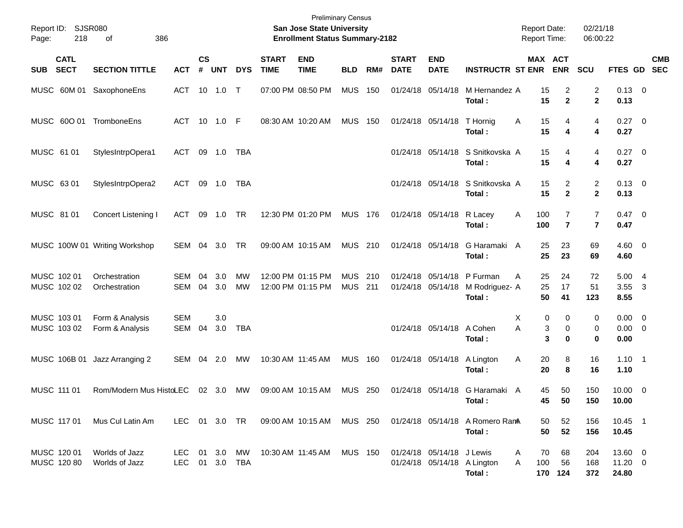| Report ID:<br>218<br>Page:               | SJSR080<br>386<br>οf               |                   |                |                         |                        |                             | <b>Preliminary Census</b><br>San Jose State University<br><b>Enrollment Status Summary-2182</b> |                              |     |                             |                           |                                                        | <b>Report Date:</b><br><b>Report Time:</b> |                                      | 02/21/18<br>06:00:22             |                                    |                           |
|------------------------------------------|------------------------------------|-------------------|----------------|-------------------------|------------------------|-----------------------------|-------------------------------------------------------------------------------------------------|------------------------------|-----|-----------------------------|---------------------------|--------------------------------------------------------|--------------------------------------------|--------------------------------------|----------------------------------|------------------------------------|---------------------------|
| <b>CATL</b><br><b>SECT</b><br><b>SUB</b> | <b>SECTION TITTLE</b>              | <b>ACT</b>        | <b>CS</b><br># | <b>UNT</b>              | <b>DYS</b>             | <b>START</b><br><b>TIME</b> | <b>END</b><br><b>TIME</b>                                                                       | <b>BLD</b>                   | RM# | <b>START</b><br><b>DATE</b> | <b>END</b><br><b>DATE</b> | <b>INSTRUCTR ST ENR</b>                                |                                            | MAX ACT<br><b>ENR</b>                | <b>SCU</b>                       |                                    | <b>CMB</b><br>FTES GD SEC |
| MUSC 60M 01 SaxophoneEns                 |                                    | ACT               |                | 10 1.0                  | $\top$                 |                             | 07:00 PM 08:50 PM                                                                               | <b>MUS</b>                   | 150 |                             | 01/24/18 05/14/18         | M Hernandez A<br>Total:                                | 15<br>15                                   | 2<br>$\mathbf{2}$                    | $\overline{c}$<br>$\mathbf{2}$   | $0.13 \ 0$<br>0.13                 |                           |
| MUSC 600 01 TromboneEns                  |                                    | ACT 10 1.0 F      |                |                         |                        |                             | 08:30 AM 10:20 AM                                                                               | <b>MUS</b>                   | 150 |                             | 01/24/18 05/14/18         | T Hornig<br>Total:                                     | 15<br>Α<br>15                              | 4<br>4                               | 4<br>4                           | $0.27$ 0<br>0.27                   |                           |
| MUSC 61 01                               | StylesIntrpOpera1                  | ACT               |                | 09 1.0                  | TBA                    |                             |                                                                                                 |                              |     |                             | 01/24/18 05/14/18         | S Snitkovska A<br>Total:                               | 15<br>15                                   | 4<br>4                               | 4<br>4                           | $0.27$ 0<br>0.27                   |                           |
| MUSC 63 01                               | StylesIntrpOpera2                  | ACT               |                | 09 1.0                  | TBA                    |                             |                                                                                                 |                              |     |                             |                           | 01/24/18 05/14/18 S Snitkovska A<br>Total:             | 15<br>15                                   | 2<br>$\mathbf{2}$                    | $\overline{2}$<br>$\mathbf{2}$   | $0.13 \ 0$<br>0.13                 |                           |
| MUSC 81 01                               | Concert Listening I                | ACT               | 09             | 1.0                     | TR                     |                             | 12:30 PM 01:20 PM                                                                               | <b>MUS 176</b>               |     |                             | 01/24/18 05/14/18         | R Lacey<br>Total:                                      | 100<br>Α<br>100                            | $\overline{7}$<br>$\overline{7}$     | $\overline{7}$<br>$\overline{7}$ | $0.47 \quad 0$<br>0.47             |                           |
|                                          | MUSC 100W 01 Writing Workshop      | SEM               | 04             | - 3.0                   | TR                     |                             | 09:00 AM 10:15 AM                                                                               | MUS 210                      |     |                             | 01/24/18 05/14/18         | G Haramaki A<br>Total:                                 | 25<br>25                                   | 23<br>23                             | 69<br>69                         | $4.60 \ 0$<br>4.60                 |                           |
| MUSC 102 01<br>MUSC 102 02               | Orchestration<br>Orchestration     | <b>SEM</b><br>SEM | 04<br>04       | 3.0<br>3.0              | <b>MW</b><br><b>MW</b> |                             | 12:00 PM 01:15 PM<br>12:00 PM 01:15 PM                                                          | <b>MUS</b><br><b>MUS 211</b> | 210 |                             | 01/24/18 05/14/18         | 01/24/18 05/14/18 P Furman<br>M Rodriguez- A<br>Total: | 25<br>A<br>25<br>50                        | 24<br>17<br>41                       | 72<br>51<br>123                  | 5.004<br>3.55<br>8.55              | $\overline{\mathbf{3}}$   |
| MUSC 103 01<br>MUSC 103 02               | Form & Analysis<br>Form & Analysis | <b>SEM</b><br>SEM | 04             | 3.0<br>3.0              | <b>TBA</b>             |                             |                                                                                                 |                              |     |                             | 01/24/18 05/14/18 A Cohen | Total:                                                 | х<br>A                                     | 0<br>0<br>3<br>$\mathbf 0$<br>3<br>0 | 0<br>0<br>0                      | $0.00 \t 0$<br>$0.00 \t 0$<br>0.00 |                           |
| MUSC 106B 01                             | Jazz Arranging 2                   | SEM               | 04             | 2.0                     | МW                     |                             | 10:30 AM 11:45 AM                                                                               | <b>MUS 160</b>               |     |                             | 01/24/18 05/14/18         | A Lington<br>Total:                                    | 20<br>Α<br>20                              | 8<br>8                               | 16<br>16                         | $1.10 \quad 1$<br>1.10             |                           |
| MUSC 111 01                              | Rom/Modern Mus HistoLEC            |                   |                | 02 3.0                  | MW                     | 09:00 AM 10:15 AM           |                                                                                                 | <b>MUS 250</b>               |     |                             |                           | 01/24/18 05/14/18 G Haramaki A<br>Total:               | 45                                         | 50<br>45<br>50                       | 150<br>150                       | $10.00 \t 0$<br>10.00              |                           |
| MUSC 117 01                              | Mus Cul Latin Am                   | LEC 01 3.0 TR     |                |                         |                        |                             | 09:00 AM 10:15 AM MUS 250                                                                       |                              |     |                             |                           | 01/24/18 05/14/18 A Romero RamA<br>Total:              | 50<br>50                                   | 52<br>52                             | 156<br>156                       | 10.45 1<br>10.45                   |                           |
| MUSC 120 01<br>MUSC 120 80               | Worlds of Jazz<br>Worlds of Jazz   | LEC.<br>LEC       |                | 01 3.0 MW<br>01 3.0 TBA |                        |                             | 10:30 AM 11:45 AM                                                                               | <b>MUS 150</b>               |     |                             | 01/24/18 05/14/18 J Lewis | 01/24/18 05/14/18 A Lington<br>Total:                  | 70<br>A<br>100<br>A                        | 68<br>56<br>170 124                  | 204<br>168<br>372                | 13.60 0<br>$11.20 \t 0$<br>24.80   |                           |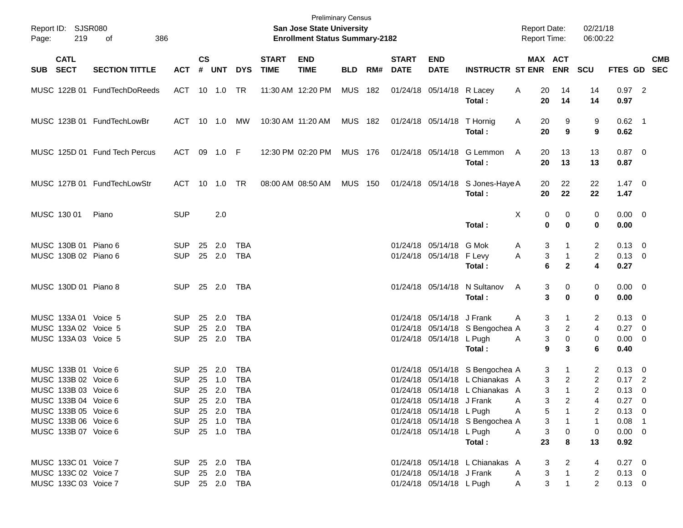| Page:       | Report ID: SJSR080<br>219                                                                                                                                            | 386<br>of                     |                                                                                                    |          |                                          |                                                             |                             | <b>Preliminary Census</b><br><b>San Jose State University</b><br><b>Enrollment Status Summary-2182</b> |                |     |                             |                                                                                   |                                                                                                                                          | <b>Report Date:</b><br>Report Time:                                    |                                               | 02/21/18<br>06:00:22                                      |                                                                                               |                           |
|-------------|----------------------------------------------------------------------------------------------------------------------------------------------------------------------|-------------------------------|----------------------------------------------------------------------------------------------------|----------|------------------------------------------|-------------------------------------------------------------|-----------------------------|--------------------------------------------------------------------------------------------------------|----------------|-----|-----------------------------|-----------------------------------------------------------------------------------|------------------------------------------------------------------------------------------------------------------------------------------|------------------------------------------------------------------------|-----------------------------------------------|-----------------------------------------------------------|-----------------------------------------------------------------------------------------------|---------------------------|
|             | <b>CATL</b><br>SUB SECT<br><b>SECTION TITTLE</b><br><b>ACT</b><br>MUSC 122B 01 FundTechDoReeds                                                                       |                               |                                                                                                    |          | <b>UNT</b>                               | <b>DYS</b>                                                  | <b>START</b><br><b>TIME</b> | <b>END</b><br><b>TIME</b>                                                                              | BLD            | RM# | <b>START</b><br><b>DATE</b> | <b>END</b><br><b>DATE</b>                                                         | <b>INSTRUCTR ST ENR</b>                                                                                                                  | MAX ACT                                                                | <b>ENR</b>                                    | <b>SCU</b>                                                |                                                                                               | <b>CMB</b><br>FTES GD SEC |
|             |                                                                                                                                                                      |                               | ACT 10 1.0                                                                                         |          |                                          | TR                                                          |                             | 11:30 AM 12:20 PM                                                                                      | <b>MUS 182</b> |     |                             | 01/24/18 05/14/18                                                                 | R Lacey<br>Total:                                                                                                                        | 20<br>A<br>20                                                          | 14<br>14                                      | 14<br>14                                                  | $0.97$ 2<br>0.97                                                                              |                           |
|             |                                                                                                                                                                      | MUSC 123B 01 FundTechLowBr    | ACT 10 1.0                                                                                         |          |                                          | MW                                                          | 10:30 AM 11:20 AM           |                                                                                                        | <b>MUS 182</b> |     |                             | 01/24/18 05/14/18 T Hornig                                                        | Total:                                                                                                                                   | A<br>20<br>20                                                          | 9<br>9                                        | 9<br>9                                                    | $0.62$ 1<br>0.62                                                                              |                           |
|             |                                                                                                                                                                      | MUSC 125D 01 Fund Tech Percus | ACT                                                                                                |          | 09 1.0 F                                 |                                                             |                             | 12:30 PM 02:20 PM                                                                                      | <b>MUS 176</b> |     |                             |                                                                                   | 01/24/18 05/14/18 G Lemmon<br>Total:                                                                                                     | A<br>20<br>20                                                          | 13<br>13                                      | 13<br>13                                                  | $0.87 \quad 0$<br>0.87                                                                        |                           |
|             |                                                                                                                                                                      | MUSC 127B 01 FundTechLowStr   | ACT                                                                                                |          |                                          |                                                             |                             | 08:00 AM 08:50 AM                                                                                      | <b>MUS 150</b> |     |                             |                                                                                   | 01/24/18 05/14/18 S Jones-Haye A<br>Total:                                                                                               | 20<br>20                                                               | 22<br>22                                      | 22<br>22                                                  | $1.47 \quad 0$<br>1.47                                                                        |                           |
| MUSC 130 01 |                                                                                                                                                                      | Piano                         | <b>SUP</b>                                                                                         |          | 2.0                                      |                                                             |                             |                                                                                                        |                |     |                             |                                                                                   | Total:                                                                                                                                   | Χ<br>0<br>$\mathbf 0$                                                  | 0<br>$\bf{0}$                                 | 0<br>0                                                    | $0.00 \t 0$<br>0.00                                                                           |                           |
|             | MUSC 130B 01 Piano 6<br>MUSC 130B 02 Piano 6                                                                                                                         |                               | <b>SUP</b><br><b>SUP</b>                                                                           | 25       | 2.0<br>25 2.0                            | <b>TBA</b><br><b>TBA</b>                                    |                             |                                                                                                        |                |     |                             | 01/24/18 05/14/18 G Mok<br>01/24/18 05/14/18 F Levy                               | Total:                                                                                                                                   | 3<br>A<br>3<br>Α<br>6                                                  | $\mathbf{1}$<br>$\mathbf{1}$<br>$\mathbf{2}$  | $\overline{2}$<br>$\overline{2}$<br>4                     | $0.13 \quad 0$<br>$0.13 \ 0$<br>0.27                                                          |                           |
|             | MUSC 130D 01 Piano 8                                                                                                                                                 |                               | SUP.                                                                                               |          | 25 2.0 TBA                               |                                                             |                             |                                                                                                        |                |     |                             |                                                                                   | 01/24/18 05/14/18 N Sultanov<br>Total:                                                                                                   | A<br>3<br>3                                                            | 0<br>$\bf{0}$                                 | 0<br>0                                                    | $0.00 \t 0$<br>0.00                                                                           |                           |
|             | MUSC 133A 01 Voice 5<br>MUSC 133A 02 Voice 5<br>MUSC 133A 03 Voice 5                                                                                                 |                               | <b>SUP</b><br><b>SUP</b><br><b>SUP</b>                                                             |          | 25 2.0<br>25 2.0<br>25 2.0               | <b>TBA</b><br><b>TBA</b><br><b>TBA</b>                      |                             |                                                                                                        |                |     |                             | 01/24/18 05/14/18 J Frank<br>01/24/18 05/14/18 L Pugh                             | 01/24/18 05/14/18 S Bengochea A<br>Total:                                                                                                | 3<br>A<br>3<br>3<br>A<br>9                                             | 1<br>$\overline{c}$<br>$\pmb{0}$<br>3         | 2<br>$\overline{4}$<br>0<br>6                             | $0.13 \quad 0$<br>0.27 0<br>$0.00 \t 0$<br>0.40                                               |                           |
|             | MUSC 133B 01 Voice 6<br>MUSC 133B 02 Voice 6<br>MUSC 133B 03 Voice 6<br>MUSC 133B 04 Voice 6<br>MUSC 133B 05 Voice 6<br>MUSC 133B 06 Voice 6<br>MUSC 133B 07 Voice 6 |                               | <b>SUP</b><br><b>SUP</b><br><b>SUP</b><br>SUP 25 2.0<br><b>SUP</b><br><b>SUP</b><br>SUP 25 1.0 TBA | 25<br>25 | 2.0<br>1.0<br>25 2.0<br>25 2.0<br>25 1.0 | <b>TBA</b><br><b>TBA</b><br><b>TBA</b><br>TBA<br>TBA<br>TBA |                             |                                                                                                        |                |     |                             | 01/24/18 05/14/18 J Frank<br>01/24/18 05/14/18 L Pugh<br>01/24/18 05/14/18 L Pugh | 01/24/18 05/14/18 S Bengochea A<br>01/24/18 05/14/18 L Chianakas A<br>01/24/18 05/14/18 L Chianakas A<br>01/24/18 05/14/18 S Bengochea A | 3<br>3<br>3<br>3<br>A<br>5<br>A<br>$\ensuremath{\mathsf{3}}$<br>3<br>A | 1<br>$\overline{2}$<br>$\mathbf{1}$<br>2<br>0 | 2<br>$\overline{2}$<br>2<br>4<br>2<br>$\overline{1}$<br>0 | $0.13 \quad 0$<br>$0.17$ 2<br>0.13<br>$0.27 \quad 0$<br>$0.13 \ 0$<br>$0.08$ 1<br>$0.00 \t 0$ | $\overline{0}$            |
|             | MUSC 133C 01 Voice 7<br>MUSC 133C 02 Voice 7<br>MUSC 133C 03 Voice 7                                                                                                 |                               | SUP 25 2.0 TBA<br><b>SUP</b><br>SUP 25 2.0 TBA                                                     |          | 25 2.0                                   | TBA                                                         |                             |                                                                                                        |                |     |                             | 01/24/18 05/14/18 J Frank<br>01/24/18 05/14/18 L Pugh                             | Total:<br>01/24/18 05/14/18 L Chianakas A                                                                                                | 23<br>3<br>3<br>A<br>3<br>A                                            | 8<br>2<br>$\mathbf{1}$<br>$\mathbf{1}$        | 13<br>4<br>$\overline{c}$<br>$\overline{2}$               | 0.92<br>$0.27 \t 0$<br>$0.13 \ 0$<br>$0.13 \ 0$                                               |                           |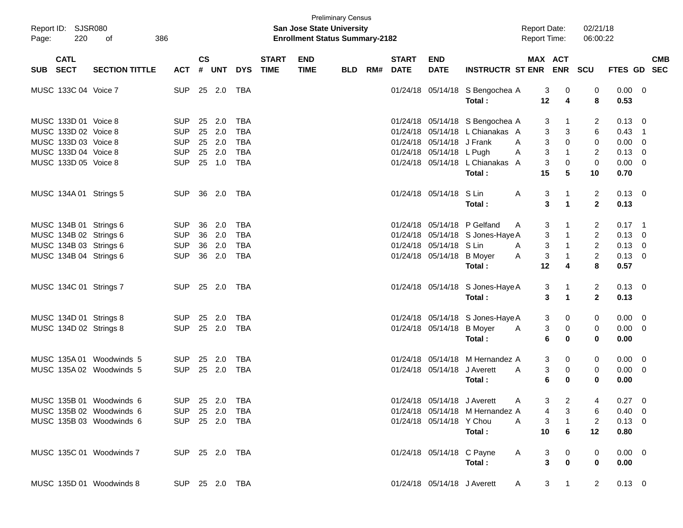| Page: | Report ID: SJSR080<br>220 | 386<br>of                |                |                    |            |            |                             | <b>San Jose State University</b><br><b>Enrollment Status Summary-2182</b> | <b>Preliminary Census</b> |     |                             |                             |                                  | <b>Report Date:</b><br><b>Report Time:</b> |                          | 02/21/18<br>06:00:22 |                |                          |
|-------|---------------------------|--------------------------|----------------|--------------------|------------|------------|-----------------------------|---------------------------------------------------------------------------|---------------------------|-----|-----------------------------|-----------------------------|----------------------------------|--------------------------------------------|--------------------------|----------------------|----------------|--------------------------|
|       | <b>CATL</b><br>SUB SECT   | <b>SECTION TITTLE</b>    | <b>ACT</b>     | $\mathsf{cs}$<br># | <b>UNT</b> | <b>DYS</b> | <b>START</b><br><b>TIME</b> | <b>END</b><br><b>TIME</b>                                                 | <b>BLD</b>                | RM# | <b>START</b><br><b>DATE</b> | <b>END</b><br><b>DATE</b>   | <b>INSTRUCTR ST ENR</b>          | <b>MAX ACT</b>                             |                          | ENR SCU              | FTES GD        | <b>CMB</b><br><b>SEC</b> |
|       | MUSC 133C 04 Voice 7      |                          | <b>SUP</b>     |                    | 25 2.0     | TBA        |                             |                                                                           |                           |     |                             |                             | 01/24/18 05/14/18 S Bengochea A  | 3                                          | 0                        | 0                    | $0.00 \t 0$    |                          |
|       |                           |                          |                |                    |            |            |                             |                                                                           |                           |     |                             |                             | Total:                           | 12                                         | 4                        | 8                    | 0.53           |                          |
|       | MUSC 133D 01 Voice 8      |                          | <b>SUP</b>     | 25                 | 2.0        | <b>TBA</b> |                             |                                                                           |                           |     |                             |                             | 01/24/18 05/14/18 S Bengochea A  | 3                                          | $\mathbf{1}$             | 2                    | $0.13 \quad 0$ |                          |
|       | MUSC 133D 02 Voice 8      |                          | <b>SUP</b>     | 25                 | 2.0        | <b>TBA</b> |                             |                                                                           |                           |     |                             |                             | 01/24/18 05/14/18 L Chianakas A  | 3                                          | 3                        | 6                    | 0.43           | $\overline{1}$           |
|       | MUSC 133D 03 Voice 8      |                          | <b>SUP</b>     |                    | 25 2.0     | <b>TBA</b> |                             |                                                                           |                           |     |                             | 01/24/18 05/14/18 J Frank   |                                  | 3<br>A                                     | $\mathbf 0$              | 0                    | 0.00           | $\overline{\mathbf{0}}$  |
|       | MUSC 133D 04 Voice 8      |                          | <b>SUP</b>     | 25                 | 2.0        | <b>TBA</b> |                             |                                                                           |                           |     |                             | 01/24/18 05/14/18 L Pugh    |                                  | 3<br>A                                     | $\overline{1}$           | 2                    | 0.13           | $\overline{\phantom{0}}$ |
|       | MUSC 133D 05 Voice 8      |                          | <b>SUP</b>     |                    | 25 1.0     | <b>TBA</b> |                             |                                                                           |                           |     |                             |                             | 01/24/18 05/14/18 L Chianakas A  | 3                                          | $\mathbf 0$              | 0                    | $0.00 \t 0$    |                          |
|       |                           |                          |                |                    |            |            |                             |                                                                           |                           |     |                             |                             | Total:                           | 15                                         | 5                        | 10                   | 0.70           |                          |
|       | MUSC 134A 01 Strings 5    |                          | <b>SUP</b>     |                    | 36 2.0     | TBA        |                             |                                                                           |                           |     |                             | 01/24/18 05/14/18 S Lin     |                                  | Α<br>3                                     | $\mathbf{1}$             | 2                    | $0.13 \ 0$     |                          |
|       |                           |                          |                |                    |            |            |                             |                                                                           |                           |     |                             |                             | Total:                           | 3                                          | $\mathbf{1}$             | $\overline{2}$       | 0.13           |                          |
|       | MUSC 134B 01 Strings 6    |                          | <b>SUP</b>     |                    | 36 2.0     | <b>TBA</b> |                             |                                                                           |                           |     |                             |                             | 01/24/18 05/14/18 P Gelfand      | 3<br>A                                     | $\mathbf{1}$             | 2                    | $0.17$ 1       |                          |
|       | MUSC 134B 02 Strings 6    |                          | <b>SUP</b>     |                    | 36 2.0     | <b>TBA</b> |                             |                                                                           |                           |     |                             |                             | 01/24/18 05/14/18 S Jones-Haye A | 3                                          | $\overline{1}$           | $\overline{2}$       | 0.13           | $\overline{\phantom{0}}$ |
|       | MUSC 134B 03 Strings 6    |                          | <b>SUP</b>     |                    | 36 2.0     | <b>TBA</b> |                             |                                                                           |                           |     |                             | 01/24/18 05/14/18           | S Lin                            | 3<br>A                                     | $\overline{1}$           | $\overline{2}$       | 0.13           | $\overline{\phantom{0}}$ |
|       | MUSC 134B 04 Strings 6    |                          | <b>SUP</b>     |                    | 36 2.0     | TBA        |                             |                                                                           |                           |     |                             | 01/24/18 05/14/18 B Moyer   |                                  | 3<br>Α                                     | $\mathbf{1}$             | $\overline{c}$       | $0.13 \ 0$     |                          |
|       |                           |                          |                |                    |            |            |                             |                                                                           |                           |     |                             |                             | Total:                           | 12                                         | 4                        | 8                    | 0.57           |                          |
|       | MUSC 134C 01 Strings 7    |                          | <b>SUP</b>     |                    | 25 2.0     | TBA        |                             |                                                                           |                           |     |                             |                             | 01/24/18 05/14/18 S Jones-Haye A | 3                                          | $\mathbf{1}$             | 2                    | $0.13 \ 0$     |                          |
|       |                           |                          |                |                    |            |            |                             |                                                                           |                           |     |                             |                             | Total:                           | 3                                          | $\mathbf{1}$             | $\overline{2}$       | 0.13           |                          |
|       | MUSC 134D 01 Strings 8    |                          | <b>SUP</b>     | 25                 | 2.0        | <b>TBA</b> |                             |                                                                           |                           |     |                             |                             | 01/24/18 05/14/18 S Jones-Haye A | 3                                          | 0                        | 0                    | $0.00 \t 0$    |                          |
|       | MUSC 134D 02 Strings 8    |                          | <b>SUP</b>     |                    | 25 2.0     | <b>TBA</b> |                             |                                                                           |                           |     |                             | 01/24/18 05/14/18 B Moyer   |                                  | 3<br>A                                     | 0                        | 0                    | $0.00 \t 0$    |                          |
|       |                           |                          |                |                    |            |            |                             |                                                                           |                           |     |                             |                             | Total:                           | 6                                          | $\mathbf 0$              | $\bf{0}$             | 0.00           |                          |
|       |                           | MUSC 135A 01 Woodwinds 5 | <b>SUP</b>     | 25                 | 2.0        | <b>TBA</b> |                             |                                                                           |                           |     |                             | 01/24/18 05/14/18           | M Hernandez A                    | 3                                          | 0                        | 0                    | $0.00 \t 0$    |                          |
|       |                           | MUSC 135A 02 Woodwinds 5 | <b>SUP</b>     |                    | 25 2.0     | TBA        |                             |                                                                           |                           |     |                             | 01/24/18 05/14/18 J Averett |                                  | 3<br>A                                     | 0                        | 0                    | $0.00 \t 0$    |                          |
|       |                           |                          |                |                    |            |            |                             |                                                                           |                           |     |                             |                             | Total:                           | 6                                          | $\bf{0}$                 | 0                    | 0.00           |                          |
|       |                           | MUSC 135B 01 Woodwinds 6 | SUP 25 2.0 TBA |                    |            |            |                             |                                                                           |                           |     |                             |                             | 01/24/18 05/14/18 J Averett<br>A |                                            | $3\quad 2$               | $\overline{4}$       | $0.27$ 0       |                          |
|       |                           | MUSC 135B 02 Woodwinds 6 | SUP 25 2.0 TBA |                    |            |            |                             |                                                                           |                           |     |                             |                             | 01/24/18 05/14/18 M Hernandez A  | 4                                          | 3                        | 6                    | $0.40 \quad 0$ |                          |
|       |                           | MUSC 135B 03 Woodwinds 6 | SUP 25 2.0 TBA |                    |            |            |                             |                                                                           |                           |     |                             | 01/24/18 05/14/18 Y Chou    |                                  | $\mathsf{A}$<br>3                          | $\overline{\phantom{a}}$ | $\overline{c}$       | $0.13 \ 0$     |                          |
|       |                           |                          |                |                    |            |            |                             |                                                                           |                           |     |                             |                             | Total:                           | 10                                         | 6                        | 12                   | 0.80           |                          |
|       |                           | MUSC 135C 01 Woodwinds 7 | SUP 25 2.0 TBA |                    |            |            |                             |                                                                           |                           |     |                             | 01/24/18 05/14/18 C Payne   |                                  | 3<br>A                                     | 0                        | 0                    | $0.00 \t 0$    |                          |
|       |                           |                          |                |                    |            |            |                             |                                                                           |                           |     |                             |                             | Total:                           | $\mathbf{3}$                               | $\mathbf 0$              | $\bf{0}$             | 0.00           |                          |
|       |                           | MUSC 135D 01 Woodwinds 8 | SUP 25 2.0 TBA |                    |            |            |                             |                                                                           |                           |     |                             | 01/24/18 05/14/18 J Averett |                                  | A                                          | $3 \quad 1$              | $\overline{2}$       | $0.13 \ 0$     |                          |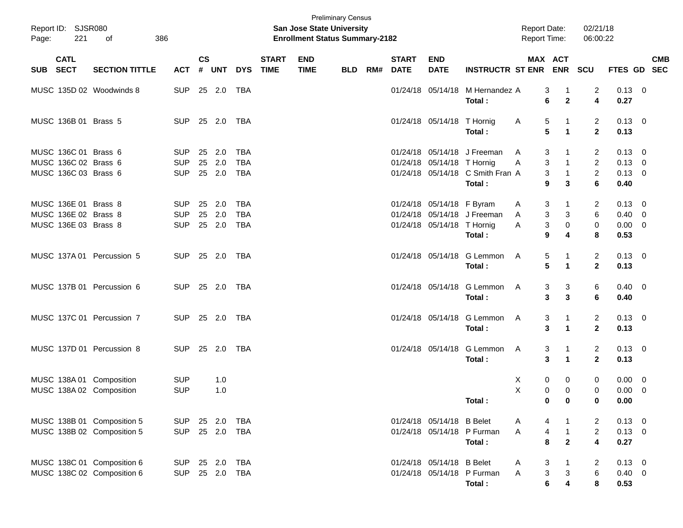| Page:    | Report ID: SJSR080<br>221 | 386<br>of                  |            |                |            |            |                             | <b>Preliminary Census</b><br>San Jose State University<br><b>Enrollment Status Summary-2182</b> |            |     |                             |                            |                                  | <b>Report Date:</b><br><b>Report Time:</b> |                             | 02/21/18<br>06:00:22    |                |                           |
|----------|---------------------------|----------------------------|------------|----------------|------------|------------|-----------------------------|-------------------------------------------------------------------------------------------------|------------|-----|-----------------------------|----------------------------|----------------------------------|--------------------------------------------|-----------------------------|-------------------------|----------------|---------------------------|
| SUB SECT | <b>CATL</b>               | <b>SECTION TITTLE</b>      | <b>ACT</b> | <b>CS</b><br># | <b>UNT</b> | <b>DYS</b> | <b>START</b><br><b>TIME</b> | <b>END</b><br><b>TIME</b>                                                                       | <b>BLD</b> | RM# | <b>START</b><br><b>DATE</b> | <b>END</b><br><b>DATE</b>  | <b>INSTRUCTR ST ENR</b>          | <b>MAX ACT</b>                             | <b>ENR</b>                  | SCU                     |                | <b>CMB</b><br>FTES GD SEC |
|          |                           | MUSC 135D 02 Woodwinds 8   | <b>SUP</b> |                | 25 2.0     | TBA        |                             |                                                                                                 |            |     |                             |                            | 01/24/18 05/14/18 M Hernandez A  | 3                                          | $\overline{1}$              | 2                       | $0.13 \ 0$     |                           |
|          |                           |                            |            |                |            |            |                             |                                                                                                 |            |     |                             |                            | Total:                           | 6                                          | $\mathbf{2}$                | $\overline{\mathbf{4}}$ | 0.27           |                           |
|          | MUSC 136B 01 Brass 5      |                            | <b>SUP</b> | 25 2.0         |            | TBA        |                             |                                                                                                 |            |     |                             | 01/24/18 05/14/18 T Hornig |                                  | 5<br>A                                     | $\mathbf{1}$                | 2                       | $0.13 \quad 0$ |                           |
|          |                           |                            |            |                |            |            |                             |                                                                                                 |            |     |                             |                            | Total:                           | 5                                          | $\blacktriangleleft$        | $\overline{2}$          | 0.13           |                           |
|          | MUSC 136C 01 Brass 6      |                            | <b>SUP</b> |                | 25 2.0     | <b>TBA</b> |                             |                                                                                                 |            |     |                             |                            | 01/24/18 05/14/18 J Freeman      | 3<br>A                                     |                             | 2                       | $0.13 \quad 0$ |                           |
|          | MUSC 136C 02 Brass 6      |                            | <b>SUP</b> |                | 25 2.0     | <b>TBA</b> |                             |                                                                                                 |            |     |                             | 01/24/18 05/14/18 T Hornig |                                  | 3<br>Α                                     | $\mathbf{1}$                | $\overline{c}$          | $0.13 \ 0$     |                           |
|          | MUSC 136C 03 Brass 6      |                            | <b>SUP</b> |                | 25 2.0     | <b>TBA</b> |                             |                                                                                                 |            |     |                             |                            | 01/24/18 05/14/18 C Smith Fran A | 3                                          | $\overline{1}$              | $\overline{c}$          | $0.13 \ 0$     |                           |
|          |                           |                            |            |                |            |            |                             |                                                                                                 |            |     |                             |                            | Total:                           | 9                                          | 3                           | $6\phantom{a}$          | 0.40           |                           |
|          | MUSC 136E 01 Brass 8      |                            | <b>SUP</b> |                | 25 2.0     | <b>TBA</b> |                             |                                                                                                 |            |     |                             | 01/24/18 05/14/18 F Byram  |                                  | 3<br>A                                     | 1                           | 2                       | $0.13 \quad 0$ |                           |
|          | MUSC 136E 02 Brass 8      |                            | <b>SUP</b> |                | 25 2.0     | <b>TBA</b> |                             |                                                                                                 |            |     |                             |                            | 01/24/18 05/14/18 J Freeman      | 3<br>A                                     | 3                           | 6                       | $0.40 \ 0$     |                           |
|          | MUSC 136E 03 Brass 8      |                            | <b>SUP</b> |                | 25 2.0     | <b>TBA</b> |                             |                                                                                                 |            |     |                             | 01/24/18 05/14/18 T Hornig |                                  | 3<br>A                                     | $\mathbf 0$                 | $\pmb{0}$               | $0.00 \t 0$    |                           |
|          |                           |                            |            |                |            |            |                             |                                                                                                 |            |     |                             |                            | Total:                           | 9                                          | 4                           | 8                       | 0.53           |                           |
|          |                           | MUSC 137A 01 Percussion 5  | <b>SUP</b> | 25 2.0         |            | TBA        |                             |                                                                                                 |            |     |                             |                            | 01/24/18 05/14/18 G Lemmon       | 5<br>A                                     | -1                          | $\overline{2}$          | $0.13 \quad 0$ |                           |
|          |                           |                            |            |                |            |            |                             |                                                                                                 |            |     |                             |                            | Total:                           | 5                                          | $\mathbf{1}$                | $\mathbf{2}$            | 0.13           |                           |
|          |                           | MUSC 137B 01 Percussion 6  | <b>SUP</b> | 25 2.0         |            | TBA        |                             |                                                                                                 |            |     |                             |                            | 01/24/18 05/14/18 G Lemmon       | 3<br>A                                     | 3                           | 6                       | $0.40 \quad 0$ |                           |
|          |                           |                            |            |                |            |            |                             |                                                                                                 |            |     |                             |                            | Total:                           | 3                                          | 3                           | 6                       | 0.40           |                           |
|          |                           | MUSC 137C 01 Percussion 7  | <b>SUP</b> | 25 2.0         |            | TBA        |                             |                                                                                                 |            |     |                             |                            | 01/24/18 05/14/18 G Lemmon       | 3<br>A                                     | $\mathbf 1$                 | $\overline{2}$          | $0.13 \quad 0$ |                           |
|          |                           |                            |            |                |            |            |                             |                                                                                                 |            |     |                             |                            | Total:                           | 3                                          | $\blacktriangleleft$        | $\overline{2}$          | 0.13           |                           |
|          |                           | MUSC 137D 01 Percussion 8  | <b>SUP</b> | 25 2.0         |            | TBA        |                             |                                                                                                 |            |     |                             |                            | 01/24/18 05/14/18 G Lemmon       | 3<br>A                                     | 1                           | $\overline{2}$          | $0.13 \quad 0$ |                           |
|          |                           |                            |            |                |            |            |                             |                                                                                                 |            |     |                             |                            | Total:                           | 3                                          | $\blacktriangleleft$        | $\overline{2}$          | 0.13           |                           |
|          |                           | MUSC 138A 01 Composition   | <b>SUP</b> |                | 1.0        |            |                             |                                                                                                 |            |     |                             |                            |                                  | 0<br>Х                                     | 0                           | 0                       | $0.00 \t 0$    |                           |
|          |                           | MUSC 138A 02 Composition   | <b>SUP</b> |                | 1.0        |            |                             |                                                                                                 |            |     |                             |                            |                                  | X<br>0                                     | $\mathbf 0$                 | 0                       | $0.00 \t 0$    |                           |
|          |                           |                            |            |                |            |            |                             |                                                                                                 |            |     |                             |                            | Total :                          |                                            | $\mathbf{0}$<br>$\mathbf 0$ | 0                       | $0.00\,$       |                           |
|          |                           |                            |            |                |            |            |                             |                                                                                                 |            |     |                             |                            |                                  |                                            |                             |                         |                |                           |
|          |                           | MUSC 138B 01 Composition 5 | <b>SUP</b> | 25 2.0         |            | TBA        |                             |                                                                                                 |            |     |                             | 01/24/18 05/14/18 B Belet  |                                  | 4<br>A                                     | $\mathbf{1}$                | 2                       | $0.13 \ 0$     |                           |
|          |                           | MUSC 138B 02 Composition 5 | <b>SUP</b> |                | 25 2.0     | <b>TBA</b> |                             |                                                                                                 |            |     |                             |                            | 01/24/18 05/14/18 P Furman       | $\overline{\mathbf{4}}$<br>A               | $\overline{1}$              | $\boldsymbol{2}$        | $0.13 \ 0$     |                           |
|          |                           |                            |            |                |            |            |                             |                                                                                                 |            |     |                             |                            | Total:                           | 8                                          | $\overline{2}$              | $\overline{\mathbf{4}}$ | 0.27           |                           |
|          |                           | MUSC 138C 01 Composition 6 | <b>SUP</b> | 25 2.0         |            | TBA        |                             |                                                                                                 |            |     |                             | 01/24/18 05/14/18 B Belet  |                                  | 3<br>A                                     | $\mathbf{1}$                | 2                       | $0.13 \quad 0$ |                           |
|          |                           | MUSC 138C 02 Composition 6 | <b>SUP</b> |                | 25 2.0     | TBA        |                             |                                                                                                 |            |     |                             |                            | 01/24/18 05/14/18 P Furman       | $\mathbf 3$<br>A                           | $\sqrt{3}$                  | 6                       | $0.40 \ 0$     |                           |
|          |                           |                            |            |                |            |            |                             |                                                                                                 |            |     |                             |                            | Total:                           | 6                                          | $\overline{\mathbf{4}}$     | 8                       | 0.53           |                           |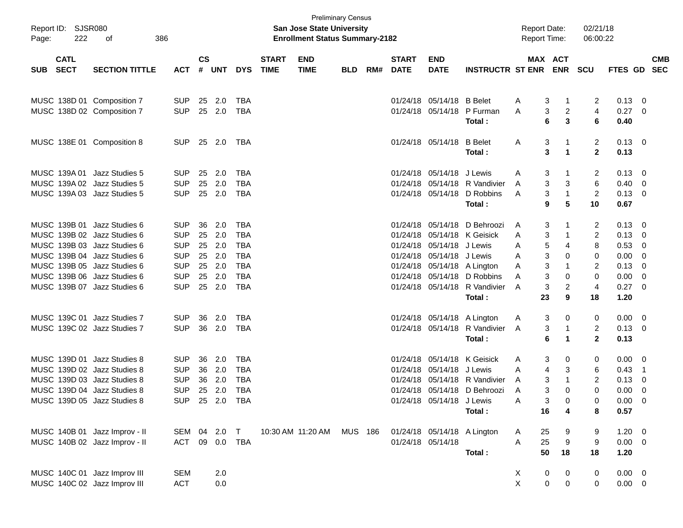| Page:      | Report ID: SJSR080<br>222  | 386<br>of                                                  |                          |                    |                  |                          |                             | <b>San Jose State University</b><br><b>Enrollment Status Summary-2182</b> | <b>Preliminary Census</b> |     |                             |                           |                               | <b>Report Date:</b><br><b>Report Time:</b> |             | 02/21/18<br>06:00:22 |                |                          |                          |
|------------|----------------------------|------------------------------------------------------------|--------------------------|--------------------|------------------|--------------------------|-----------------------------|---------------------------------------------------------------------------|---------------------------|-----|-----------------------------|---------------------------|-------------------------------|--------------------------------------------|-------------|----------------------|----------------|--------------------------|--------------------------|
| <b>SUB</b> | <b>CATL</b><br><b>SECT</b> | <b>SECTION TITTLE</b>                                      | <b>ACT</b>               | $\mathsf{cs}$<br># | <b>UNT</b>       | <b>DYS</b>               | <b>START</b><br><b>TIME</b> | <b>END</b><br><b>TIME</b>                                                 | <b>BLD</b>                | RM# | <b>START</b><br><b>DATE</b> | <b>END</b><br><b>DATE</b> | <b>INSTRUCTR ST ENR</b>       | MAX ACT                                    | <b>ENR</b>  | <b>SCU</b>           | FTES GD        |                          | <b>CMB</b><br><b>SEC</b> |
|            |                            |                                                            |                          |                    |                  |                          |                             |                                                                           |                           |     |                             |                           |                               |                                            |             |                      |                |                          |                          |
|            |                            | MUSC 138D 01 Composition 7                                 | <b>SUP</b>               |                    | 25 2.0           | TBA                      |                             |                                                                           |                           |     |                             | 01/24/18 05/14/18 B Belet |                               | 3<br>A                                     | $\mathbf 1$ | 2                    | 0.13           | - 0                      |                          |
|            |                            | MUSC 138D 02 Composition 7                                 | <b>SUP</b>               |                    | 25 2.0           | TBA                      |                             |                                                                           |                           |     |                             |                           | 01/24/18 05/14/18 P Furman    | 3<br>A                                     | 2           | 4                    | $0.27$ 0       |                          |                          |
|            |                            |                                                            |                          |                    |                  |                          |                             |                                                                           |                           |     |                             |                           | Total:                        | 6                                          | 3           | 6                    | 0.40           |                          |                          |
|            |                            | MUSC 138E 01 Composition 8                                 | <b>SUP</b>               |                    | 25 2.0           | TBA                      |                             |                                                                           |                           |     |                             | 01/24/18 05/14/18         | <b>B</b> Belet                | 3<br>A                                     | $\mathbf 1$ | 2                    | $0.13 \quad 0$ |                          |                          |
|            |                            |                                                            |                          |                    |                  |                          |                             |                                                                           |                           |     |                             |                           | Total :                       | 3                                          | $\mathbf 1$ | $\mathbf{2}$         | 0.13           |                          |                          |
|            |                            |                                                            |                          |                    |                  |                          |                             |                                                                           |                           |     |                             |                           |                               |                                            |             |                      |                |                          |                          |
|            | MUSC 139A 01               | Jazz Studies 5                                             | <b>SUP</b>               | 25                 | 2.0              | TBA                      |                             |                                                                           |                           |     |                             | 01/24/18 05/14/18 J Lewis |                               | 3<br>A                                     | -1          | 2                    | 0.13           | - 0                      |                          |
|            |                            | MUSC 139A 02 Jazz Studies 5                                | <b>SUP</b>               | 25                 | 2.0              | TBA                      |                             |                                                                           |                           |     |                             |                           | 01/24/18 05/14/18 R Vandivier | 3<br>A                                     | 3           | 6                    | 0.40           | - 0                      |                          |
|            |                            | MUSC 139A 03 Jazz Studies 5                                | <b>SUP</b>               |                    | 25 2.0           | TBA                      |                             |                                                                           |                           |     |                             |                           | 01/24/18 05/14/18 D Robbins   | 3<br>A                                     | $\mathbf 1$ | 2                    | $0.13 \ 0$     |                          |                          |
|            |                            |                                                            |                          |                    |                  |                          |                             |                                                                           |                           |     |                             |                           | Total:                        | 9                                          | 5           | 10                   | 0.67           |                          |                          |
|            | MUSC 139B 01               | Jazz Studies 6                                             | <b>SUP</b>               | 36                 | 2.0              | <b>TBA</b>               |                             |                                                                           |                           |     |                             |                           | 01/24/18 05/14/18 D Behroozi  | 3<br>A                                     |             | 2                    | 0.13           | - 0                      |                          |
|            |                            | MUSC 139B 02 Jazz Studies 6                                | <b>SUP</b>               |                    | 25 2.0           | <b>TBA</b>               |                             |                                                                           |                           |     |                             |                           | 01/24/18 05/14/18 K Geisick   | 3<br>A                                     | -1          | 2                    | 0.13           | - 0                      |                          |
|            |                            | MUSC 139B 03 Jazz Studies 6                                | <b>SUP</b>               |                    | 25 2.0           | <b>TBA</b>               |                             |                                                                           |                           |     |                             | 01/24/18 05/14/18 J Lewis |                               | 5<br>A                                     | 4           | 8                    | 0.53           | - 0                      |                          |
|            |                            | MUSC 139B 04 Jazz Studies 6                                | <b>SUP</b>               |                    | 25 2.0           | <b>TBA</b>               |                             |                                                                           |                           |     |                             | 01/24/18 05/14/18 J Lewis |                               | 3<br>A                                     | 0           | 0                    | 0.00           | - 0                      |                          |
|            |                            | MUSC 139B 05 Jazz Studies 6                                | <b>SUP</b>               |                    | 25 2.0           | <b>TBA</b>               |                             |                                                                           |                           |     |                             |                           | 01/24/18 05/14/18 A Lington   | 3<br>A                                     | 1           | $\overline{2}$       | 0.13           | - 0                      |                          |
|            |                            | MUSC 139B 06 Jazz Studies 6                                | <b>SUP</b>               |                    | 25 2.0           | TBA                      |                             |                                                                           |                           |     |                             |                           | 01/24/18 05/14/18 D Robbins   | 3<br>A                                     | 0           | 0                    | 0.00           | - 0                      |                          |
|            |                            | MUSC 139B 07 Jazz Studies 6                                | <b>SUP</b>               |                    | 25 2.0           | TBA                      |                             |                                                                           |                           |     |                             |                           | 01/24/18 05/14/18 R Vandivier | 3<br>A                                     | 2           | 4                    | 0.27           | - 0                      |                          |
|            |                            |                                                            |                          |                    |                  |                          |                             |                                                                           |                           |     |                             |                           | Total:                        | 23                                         | 9           | 18                   | 1.20           |                          |                          |
|            |                            | MUSC 139C 01 Jazz Studies 7                                | <b>SUP</b>               | 36                 | 2.0              | TBA                      |                             |                                                                           |                           |     |                             |                           | 01/24/18 05/14/18 A Lington   | A<br>3                                     | 0           | 0                    | 0.00           | $\overline{\phantom{0}}$ |                          |
|            |                            | MUSC 139C 02 Jazz Studies 7                                | <b>SUP</b>               |                    | 36 2.0           | TBA                      |                             |                                                                           |                           |     |                             |                           | 01/24/18 05/14/18 R Vandivier | 3<br>A                                     | $\mathbf 1$ | $\overline{2}$       | $0.13 \ 0$     |                          |                          |
|            |                            |                                                            |                          |                    |                  |                          |                             |                                                                           |                           |     |                             |                           | Total:                        | 6                                          | $\mathbf 1$ | $\mathbf{2}$         | 0.13           |                          |                          |
|            |                            |                                                            |                          |                    |                  |                          |                             |                                                                           |                           |     |                             |                           |                               |                                            |             |                      |                |                          |                          |
|            |                            | MUSC 139D 01 Jazz Studies 8                                | <b>SUP</b>               | 36                 | 2.0              | TBA                      |                             |                                                                           |                           |     |                             |                           | 01/24/18 05/14/18 K Geisick   | A<br>3                                     | 0           | 0                    | 0.00           | $\overline{\phantom{0}}$ |                          |
|            |                            | MUSC 139D 02 Jazz Studies 8<br>MUSC 139D 03 Jazz Studies 8 | <b>SUP</b><br><b>SUP</b> |                    | 36 2.0<br>36 2.0 | <b>TBA</b><br><b>TBA</b> |                             |                                                                           |                           |     |                             | 01/24/18 05/14/18 J Lewis | 01/24/18 05/14/18 R Vandivier | 4<br>A<br>3                                | 3<br>-1     | 6<br>2               | 0.43           | $\overline{\phantom{1}}$ |                          |
|            |                            | MUSC 139D 04 Jazz Studies 8                                | <b>SUP</b>               |                    | 25 2.0           | <b>TBA</b>               |                             |                                                                           |                           |     |                             |                           | 01/24/18 05/14/18 D Behroozi  | A<br>3<br>A                                | 0           | 0                    | 0.13<br>0.00   | - 0<br>- 0               |                          |
|            |                            | MUSC 139D 05 Jazz Studies 8                                | <b>SUP</b>               |                    | 25 2.0           | <b>TBA</b>               |                             |                                                                           |                           |     |                             | 01/24/18 05/14/18 J Lewis |                               | A<br>3                                     | 0           | 0                    | 0.00           | 0                        |                          |
|            |                            |                                                            |                          |                    |                  |                          |                             |                                                                           |                           |     |                             |                           | Total:                        | 16                                         | 4           | 8                    | 0.57           |                          |                          |
|            |                            |                                                            |                          |                    |                  |                          |                             |                                                                           |                           |     |                             |                           |                               |                                            |             |                      |                |                          |                          |
|            |                            | MUSC 140B 01 Jazz Improv - II                              |                          |                    | SEM 04 2.0 T     |                          |                             | 10:30 AM 11:20 AM MUS 186                                                 |                           |     |                             |                           | 01/24/18 05/14/18 A Lington   | A<br>25                                    | 9           | 9                    | $1.20 \t 0$    |                          |                          |
|            |                            | MUSC 140B 02 Jazz Improv - II                              | ACT                      | 09                 | 0.0 TBA          |                          |                             |                                                                           |                           |     |                             | 01/24/18 05/14/18         |                               | 25<br>A                                    | 9           | 9                    | $0.00 \t 0$    |                          |                          |
|            |                            |                                                            |                          |                    |                  |                          |                             |                                                                           |                           |     |                             |                           | Total:                        | 50                                         | 18          | 18                   | 1.20           |                          |                          |
|            |                            | MUSC 140C 01 Jazz Improv III                               | <b>SEM</b>               |                    | 2.0              |                          |                             |                                                                           |                           |     |                             |                           |                               | X<br>0                                     | 0           | 0                    | $0.00 \t 0$    |                          |                          |
|            |                            | MUSC 140C 02 Jazz Improv III                               | <b>ACT</b>               |                    | $0.0\,$          |                          |                             |                                                                           |                           |     |                             |                           |                               | X<br>$\mathbf 0$                           | $\mathbf 0$ | 0                    | $0.00 \t 0$    |                          |                          |
|            |                            |                                                            |                          |                    |                  |                          |                             |                                                                           |                           |     |                             |                           |                               |                                            |             |                      |                |                          |                          |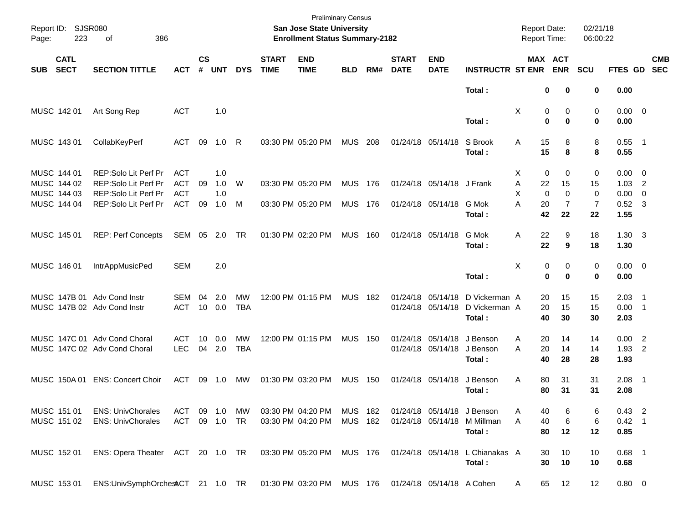| Report ID:<br>Page: | 223                        | SJSR080<br>386<br>оf                                |                          |                    |            |            |                             | San Jose State University<br><b>Enrollment Status Summary-2182</b> | <b>Preliminary Census</b> |     |                             |                            |                         | <b>Report Date:</b><br>Report Time: |                   |                  | 02/21/18<br>06:00:22 |                        |                          |                          |
|---------------------|----------------------------|-----------------------------------------------------|--------------------------|--------------------|------------|------------|-----------------------------|--------------------------------------------------------------------|---------------------------|-----|-----------------------------|----------------------------|-------------------------|-------------------------------------|-------------------|------------------|----------------------|------------------------|--------------------------|--------------------------|
| <b>SUB</b>          | <b>CATL</b><br><b>SECT</b> | <b>SECTION TITTLE</b>                               | <b>ACT</b>               | $\mathsf{cs}$<br># | <b>UNT</b> | <b>DYS</b> | <b>START</b><br><b>TIME</b> | <b>END</b><br><b>TIME</b>                                          | <b>BLD</b>                | RM# | <b>START</b><br><b>DATE</b> | <b>END</b><br><b>DATE</b>  | <b>INSTRUCTR ST ENR</b> | MAX ACT                             |                   | <b>ENR</b>       | <b>SCU</b>           | FTES GD                |                          | <b>CMB</b><br><b>SEC</b> |
|                     |                            |                                                     |                          |                    |            |            |                             |                                                                    |                           |     |                             |                            | Total:                  |                                     | 0                 | 0                | 0                    | 0.00                   |                          |                          |
|                     | MUSC 142 01                | Art Song Rep                                        | <b>ACT</b>               |                    | 1.0        |            |                             |                                                                    |                           |     |                             |                            | Total:                  | Χ                                   | 0<br>0            | 0<br>$\bf{0}$    | 0<br>0               | $0.00 \t 0$<br>0.00    |                          |                          |
|                     | MUSC 143 01                | CollabKeyPerf                                       | ACT                      | 09                 | 1.0        | R          |                             | 03:30 PM 05:20 PM                                                  | <b>MUS</b>                | 208 |                             | 01/24/18 05/14/18          | S Brook                 | Α                                   | 15                | 8                | 8                    | 0.55                   | $\overline{\phantom{1}}$ |                          |
|                     |                            |                                                     |                          |                    |            |            |                             |                                                                    |                           |     |                             |                            | Total:                  |                                     | 15                | 8                | 8                    | 0.55                   |                          |                          |
|                     | MUSC 144 01<br>MUSC 144 02 | <b>REP:Solo Lit Perf Pr</b><br>REP:Solo Lit Perf Pr | <b>ACT</b><br><b>ACT</b> | 09                 | 1.0<br>1.0 | W          |                             | 03:30 PM 05:20 PM                                                  | <b>MUS</b>                | 176 |                             | 01/24/18 05/14/18          | J Frank                 | Х<br>Α                              | 0<br>22           | 0<br>15          | 0<br>15              | 0.00<br>1.03           | - 0<br>$\overline{2}$    |                          |
|                     | MUSC 144 03<br>MUSC 144 04 | REP:Solo Lit Perf Pr<br>REP:Solo Lit Perf Pr        | <b>ACT</b><br><b>ACT</b> | 09                 | 1.0<br>1.0 | м          |                             | 03:30 PM 05:20 PM                                                  | <b>MUS</b>                | 176 |                             | 01/24/18 05/14/18          | G Mok                   | X<br>A                              | $\mathbf 0$<br>20 | $\mathbf 0$<br>7 | 0<br>7               | 0.00<br>0.52           | $\mathbf 0$<br>-3        |                          |
|                     |                            |                                                     |                          |                    |            |            |                             |                                                                    |                           |     |                             |                            | Total:                  |                                     | 42                | 22               | 22                   | 1.55                   |                          |                          |
|                     | MUSC 145 01                | <b>REP: Perf Concepts</b>                           | SEM                      | 05                 | 2.0        | TR         |                             | 01:30 PM 02:20 PM                                                  | <b>MUS</b>                | 160 |                             | 01/24/18 05/14/18          | G Mok<br>Total:         | Α                                   | 22<br>22          | 9<br>9           | 18<br>18             | $1.30 \quad 3$<br>1.30 |                          |                          |
|                     | MUSC 146 01                | IntrAppMusicPed                                     | <b>SEM</b>               |                    | 2.0        |            |                             |                                                                    |                           |     |                             |                            |                         | X                                   | 0                 | 0                | 0                    | $0.00 \t 0$            |                          |                          |
|                     |                            |                                                     |                          |                    |            |            |                             |                                                                    |                           |     |                             |                            | Total:                  |                                     | 0                 | $\bf{0}$         | 0                    | 0.00                   |                          |                          |
|                     | MUSC 147B 01               | Adv Cond Instr                                      | <b>SEM</b>               | 04                 | 2.0        | МW         |                             | 12:00 PM 01:15 PM                                                  | <b>MUS</b>                | 182 | 01/24/18                    | 05/14/18                   | D Vickerman A           |                                     | 20                | 15               | 15                   | 2.03                   | $\overline{\phantom{1}}$ |                          |
|                     |                            | MUSC 147B 02 Adv Cond Instr                         | <b>ACT</b>               | 10                 | 0.0        | <b>TBA</b> |                             |                                                                    |                           |     |                             | 01/24/18 05/14/18          | D Vickerman A<br>Total: |                                     | 20<br>40          | 15<br>30         | 15<br>30             | 0.00<br>2.03           | $\overline{\phantom{0}}$ |                          |
|                     |                            | MUSC 147C 01 Adv Cond Choral                        | <b>ACT</b>               | 10                 | 0.0        | MW         |                             | 12:00 PM 01:15 PM                                                  | <b>MUS</b>                | 150 | 01/24/18                    | 05/14/18                   | J Benson                | A                                   | 20                | 14               | 14                   | 0.00                   | $\overline{2}$           |                          |
|                     |                            | MUSC 147C 02 Adv Cond Choral                        | <b>LEC</b>               | 04                 | 2.0        | <b>TBA</b> |                             |                                                                    |                           |     |                             | 01/24/18 05/14/18          | J Benson<br>Total:      | A                                   | 20<br>40          | 14<br>28         | 14<br>28             | 1.93<br>1.93           | 2                        |                          |
|                     | MUSC 150A 01               | <b>ENS: Concert Choir</b>                           | ACT                      | 09                 | 1.0        | MW         |                             | 01:30 PM 03:20 PM                                                  | <b>MUS</b>                | 150 |                             | 01/24/18 05/14/18          | J Benson                | A                                   | 80                | 31               | 31                   | 2.08                   | $\overline{\phantom{1}}$ |                          |
|                     |                            |                                                     |                          |                    |            |            |                             |                                                                    |                           |     |                             |                            | Total:                  |                                     | 80                | 31               | 31                   | 2.08                   |                          |                          |
|                     | MUSC 151 01                | <b>ENS: UnivChorales</b>                            | ACT                      |                    | 09 1.0     | MW         |                             | 03:30 PM 04:20 PM                                                  | <b>MUS 182</b>            |     |                             | 01/24/18 05/14/18 J Benson |                         | Α                                   | 40                | 6                | 6                    | $0.43$ 2               |                          |                          |
|                     | MUSC 151 02                | <b>ENS: UnivChorales</b>                            | ACT 09 1.0 TR            |                    |            |            |                             | 03:30 PM 04:20 PM                                                  | MUS 182                   |     |                             | 01/24/18 05/14/18          | M Millman<br>Total:     | A                                   | 40<br>80          | 6<br>12          | 6<br>12              | $0.42$ 1<br>0.85       |                          |                          |
|                     | MUSC 152 01                | ENS: Opera Theater ACT 20 1.0 TR                    |                          |                    |            |            |                             | 03:30 PM 05:20 PM                                                  | MUS 176                   |     |                             | 01/24/18 05/14/18          | L Chianakas A<br>Total: |                                     | 30<br>30          | 10<br>10         | 10<br>10             | $0.68$ 1<br>0.68       |                          |                          |
|                     | MUSC 153 01                | ENS:UnivSymphOrchestCT 21 1.0 TR                    |                          |                    |            |            |                             | 01:30 PM 03:20 PM MUS 176                                          |                           |     |                             | 01/24/18 05/14/18 A Cohen  |                         | A                                   | 65                | 12               | 12                   | $0.80 \ 0$             |                          |                          |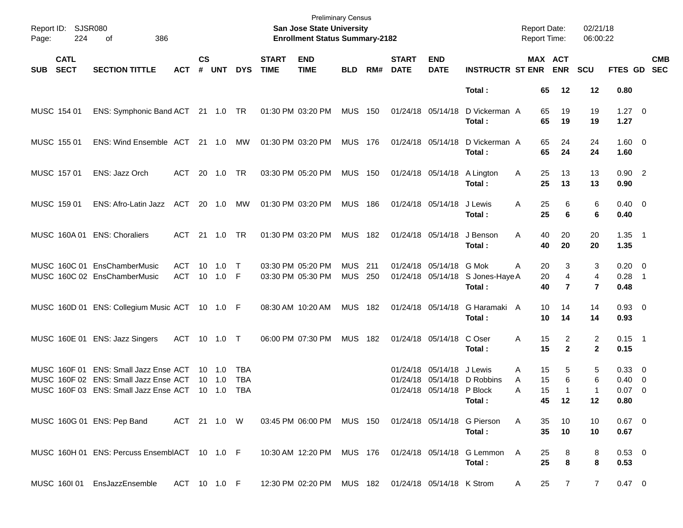| Page:      | Report ID: SJSR080<br>224  | 386<br>of                                                                                                               |                     |                    |                                    |                   |                             | <b>Preliminary Census</b><br>San Jose State University<br><b>Enrollment Status Summary-2182</b> |                                  |     |                             |                                                |                                                     | <b>Report Date:</b><br><b>Report Time:</b> |                      |                                | 02/21/18<br>06:00:22     |                                          |                          |                          |
|------------|----------------------------|-------------------------------------------------------------------------------------------------------------------------|---------------------|--------------------|------------------------------------|-------------------|-----------------------------|-------------------------------------------------------------------------------------------------|----------------------------------|-----|-----------------------------|------------------------------------------------|-----------------------------------------------------|--------------------------------------------|----------------------|--------------------------------|--------------------------|------------------------------------------|--------------------------|--------------------------|
| <b>SUB</b> | <b>CATL</b><br><b>SECT</b> | <b>SECTION TITTLE</b>                                                                                                   | <b>ACT</b>          | $\mathsf{cs}$<br># | <b>UNT</b>                         | <b>DYS</b>        | <b>START</b><br><b>TIME</b> | <b>END</b><br><b>TIME</b>                                                                       | <b>BLD</b>                       | RM# | <b>START</b><br><b>DATE</b> | <b>END</b><br><b>DATE</b>                      | <b>INSTRUCTR ST ENR</b>                             |                                            | MAX ACT              | <b>ENR</b>                     | <b>SCU</b>               | <b>FTES GD</b>                           |                          | <b>CMB</b><br><b>SEC</b> |
|            |                            |                                                                                                                         |                     |                    |                                    |                   |                             |                                                                                                 |                                  |     |                             |                                                | Total:                                              |                                            | 65                   | 12                             | 12                       | 0.80                                     |                          |                          |
|            | MUSC 154 01                | ENS: Symphonic Band ACT 21 1.0 TR                                                                                       |                     |                    |                                    |                   |                             | 01:30 PM 03:20 PM                                                                               | <b>MUS 150</b>                   |     | 01/24/18 05/14/18           |                                                | D Vickerman A<br>Total:                             |                                            | 65<br>65             | 19<br>19                       | 19<br>19                 | $1.27 \t 0$<br>1.27                      |                          |                          |
|            | MUSC 155 01                | ENS: Wind Ensemble ACT 21 1.0 MW                                                                                        |                     |                    |                                    |                   |                             | 01:30 PM 03:20 PM                                                                               | <b>MUS 176</b>                   |     |                             | 01/24/18 05/14/18                              | D Vickerman A<br>Total:                             |                                            | 65<br>65             | 24<br>24                       | 24<br>24                 | $1.60 \t 0$<br>1.60                      |                          |                          |
|            | MUSC 157 01                | ENS: Jazz Orch                                                                                                          | ACT                 |                    | 20 1.0                             | TR                |                             | 03:30 PM 05:20 PM                                                                               | <b>MUS 150</b>                   |     |                             | 01/24/18 05/14/18                              | A Lington<br>Total:                                 | A                                          | 25<br>25             | 13<br>13                       | 13<br>13                 | $0.90$ 2<br>0.90                         |                          |                          |
|            | MUSC 159 01                | ENS: Afro-Latin Jazz ACT 20 1.0 MW                                                                                      |                     |                    |                                    |                   |                             | 01:30 PM 03:20 PM                                                                               | <b>MUS 186</b>                   |     |                             | 01/24/18 05/14/18                              | J Lewis<br>Total :                                  | A                                          | 25<br>25             | 6<br>6                         | 6<br>6                   | $0.40 \quad 0$<br>0.40                   |                          |                          |
|            |                            | MUSC 160A 01 ENS: Choraliers                                                                                            | ACT                 |                    | 21  1.0                            | TR                |                             | 01:30 PM 03:20 PM                                                                               | MUS 182                          |     |                             | 01/24/18 05/14/18                              | J Benson<br>Total:                                  | A                                          | 40<br>40             | 20<br>20                       | 20<br>20                 | $1.35$ 1<br>1.35                         |                          |                          |
|            |                            | MUSC 160C 01 EnsChamberMusic<br>MUSC 160C 02 EnsChamberMusic                                                            | ACT<br>ACT 10 1.0 F | 10                 | 1.0                                | $\top$            |                             | 03:30 PM 05:20 PM<br>03:30 PM 05:30 PM                                                          | <b>MUS 211</b><br><b>MUS 250</b> |     |                             | 01/24/18 05/14/18                              | G Mok<br>01/24/18 05/14/18 S Jones-Haye A<br>Total: | A                                          | 20<br>20<br>40       | 3<br>4<br>$\overline{7}$       | 3<br>4<br>$\overline{7}$ | $0.20 \ 0$<br>$0.28$ 1<br>0.48           |                          |                          |
|            |                            | MUSC 160D 01 ENS: Collegium Music ACT 10 1.0 F                                                                          |                     |                    |                                    |                   |                             | 08:30 AM 10:20 AM                                                                               | <b>MUS 182</b>                   |     |                             | 01/24/18 05/14/18                              | G Haramaki A<br>Total:                              |                                            | 10<br>10             | 14<br>14                       | 14<br>14                 | $0.93$ 0<br>0.93                         |                          |                          |
|            |                            | MUSC 160E 01 ENS: Jazz Singers                                                                                          | ACT 10 1.0 T        |                    |                                    |                   |                             | 06:00 PM 07:30 PM                                                                               | MUS 182                          |     |                             | 01/24/18 05/14/18                              | C Oser<br>Total:                                    | Α                                          | 15<br>15             | $\overline{2}$<br>$\mathbf{2}$ | 2<br>$\mathbf{2}$        | $0.15$ 1<br>0.15                         |                          |                          |
|            |                            | MUSC 160F 01 ENS: Small Jazz Ense ACT<br>MUSC 160F 02 ENS: Small Jazz Ense ACT<br>MUSC 160F 03 ENS: Small Jazz Ense ACT |                     |                    | $10 \quad 1.0$<br>10 1.0<br>10 1.0 | TBA<br>TBA<br>TBA |                             |                                                                                                 |                                  |     |                             | 01/24/18 05/14/18<br>01/24/18 05/14/18 P Block | J Lewis<br>01/24/18 05/14/18 D Robbins<br>Total :   | Α<br>A<br>A                                | 15<br>15<br>15<br>45 | 5<br>6<br>-1<br>12             | 5<br>6<br>1<br>12        | 0.33 0<br>$0.40 \quad 0$<br>0.07<br>0.80 | $\overline{\phantom{0}}$ |                          |
|            |                            | MUSC 160G 01 ENS: Pep Band ACT 21 1.0 W 03:45 PM 06:00 PM MUS 150 01/24/18 05/14/18 G Pierson                           |                     |                    |                                    |                   |                             |                                                                                                 |                                  |     |                             |                                                | Total:                                              | A                                          | 35<br>35             | 10<br>10                       | 10<br>10                 | $0.67 \quad 0$<br>0.67                   |                          |                          |
|            |                            | MUSC 160H 01 ENS: Percuss EnsemblACT 10 1.0 F                                                                           |                     |                    |                                    |                   |                             |                                                                                                 |                                  |     |                             |                                                | Total:                                              |                                            | 25<br>25             | 8<br>8                         | 8<br>8                   | $0.53 \ 0$<br>0.53                       |                          |                          |
|            |                            | MUSC 1601 01 EnsJazzEnsemble ACT 10 1.0 F 12:30 PM 02:20 PM MUS 182 01/24/18 05/14/18 K Strom                           |                     |                    |                                    |                   |                             |                                                                                                 |                                  |     |                             |                                                |                                                     | A                                          | 25                   | $\overline{7}$                 | $\overline{7}$           | $0.47 \quad 0$                           |                          |                          |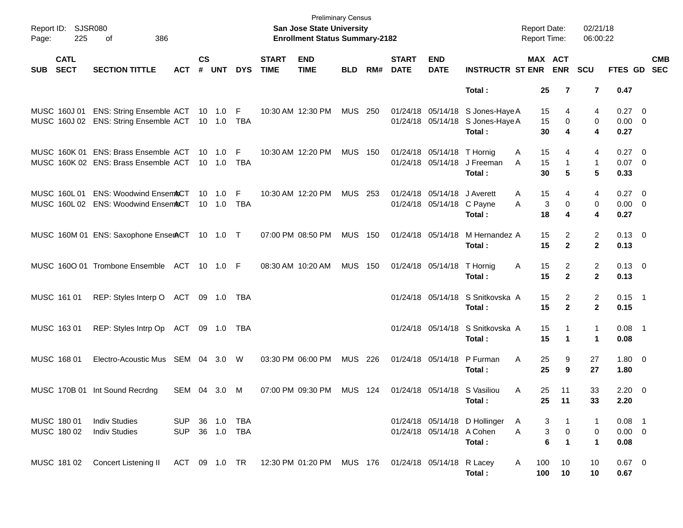| Report ID: SJSR080<br>225<br>Page:       | 386<br>оf                                                                             |                    |                    |                   |            |                             | <b>Preliminary Census</b><br>San Jose State University<br><b>Enrollment Status Summary-2182</b> |                |     |                             |                                                 |                                                                                | <b>Report Date:</b><br><b>Report Time:</b> |                                  | 02/21/18<br>06:00:22           |                                    |                           |
|------------------------------------------|---------------------------------------------------------------------------------------|--------------------|--------------------|-------------------|------------|-----------------------------|-------------------------------------------------------------------------------------------------|----------------|-----|-----------------------------|-------------------------------------------------|--------------------------------------------------------------------------------|--------------------------------------------|----------------------------------|--------------------------------|------------------------------------|---------------------------|
| <b>CATL</b><br><b>SECT</b><br><b>SUB</b> | <b>SECTION TITTLE</b>                                                                 | <b>ACT</b>         | $\mathsf{cs}$<br># | <b>UNT</b>        | <b>DYS</b> | <b>START</b><br><b>TIME</b> | <b>END</b><br><b>TIME</b>                                                                       | <b>BLD</b>     | RM# | <b>START</b><br><b>DATE</b> | <b>END</b><br><b>DATE</b>                       | <b>INSTRUCTR ST ENR</b>                                                        |                                            | MAX ACT<br><b>ENR</b>            | <b>SCU</b>                     |                                    | <b>CMB</b><br>FTES GD SEC |
|                                          |                                                                                       |                    |                    |                   |            |                             |                                                                                                 |                |     |                             |                                                 | Total:                                                                         | 25                                         | 7                                | 7                              | 0.47                               |                           |
| MUSC 160J 01                             | ENS: String Ensemble ACT 10 1.0 F<br>MUSC 160J 02 ENS: String Ensemble ACT 10 1.0 TBA |                    |                    |                   |            |                             | 10:30 AM 12:30 PM                                                                               | MUS 250        |     |                             |                                                 | 01/24/18 05/14/18 S Jones-Haye A<br>01/24/18 05/14/18 S Jones-Haye A<br>Total: | 15<br>15<br>30                             | 4<br>0<br>4                      | 4<br>0<br>4                    | $0.27 \t 0$<br>$0.00 \t 0$<br>0.27 |                           |
|                                          | MUSC 160K 01 ENS: Brass Ensemble ACT<br>MUSC 160K 02 ENS: Brass Ensemble ACT 10 1.0   |                    |                    | 10 1.0 F          | TBA        |                             | 10:30 AM 12:20 PM                                                                               | <b>MUS 150</b> |     |                             | 01/24/18 05/14/18 T Hornig<br>01/24/18 05/14/18 | J Freeman<br>Total :                                                           | Α<br>15<br>15<br>A<br>30                   | 4<br>$\mathbf{1}$<br>5           | 4<br>1<br>5                    | $0.27 \ 0$<br>$0.07$ 0<br>0.33     |                           |
| MUSC 160L 01                             | <b>ENS: Woodwind Ensem&amp;CT</b><br>MUSC 160L 02 ENS: Woodwind EnsemACT              |                    |                    | 10  1.0<br>10 1.0 | F<br>TBA   |                             | 10:30 AM 12:20 PM                                                                               | MUS 253        |     |                             | 01/24/18 05/14/18<br>01/24/18 05/14/18 C Payne  | J Averett<br>Total :                                                           | 15<br>Α<br>A<br>18                         | 4<br>3<br>0<br>4                 | 4<br>0<br>4                    | $0.27 \ 0$<br>$0.00 \t 0$<br>0.27  |                           |
|                                          | MUSC 160M 01 ENS: Saxophone EnserACT 10 1.0 T                                         |                    |                    |                   |            |                             | 07:00 PM 08:50 PM                                                                               | <b>MUS 150</b> |     |                             | 01/24/18 05/14/18                               | M Hernandez A<br>Total :                                                       | 15<br>15                                   | 2<br>$\overline{2}$              | $\overline{2}$<br>$\mathbf{2}$ | $0.13 \quad 0$<br>0.13             |                           |
|                                          | MUSC 1600 01 Trombone Ensemble ACT 10 1.0 F                                           |                    |                    |                   |            |                             | 08:30 AM 10:20 AM                                                                               | <b>MUS 150</b> |     |                             | 01/24/18 05/14/18 T Hornig                      | Total :                                                                        | 15<br>A<br>15                              | $\overline{2}$<br>$\overline{2}$ | 2<br>$\mathbf{2}$              | $0.13 \quad 0$<br>0.13             |                           |
| MUSC 161 01                              | REP: Styles Interp O ACT 09 1.0 TBA                                                   |                    |                    |                   |            |                             |                                                                                                 |                |     |                             |                                                 | 01/24/18 05/14/18 S Snitkovska A<br>Total :                                    | 15<br>15                                   | 2<br>$\overline{2}$              | $\overline{2}$<br>$\mathbf{2}$ | $0.15$ 1<br>0.15                   |                           |
| MUSC 163 01                              | REP: Styles Intrp Op ACT 09 1.0 TBA                                                   |                    |                    |                   |            |                             |                                                                                                 |                |     |                             |                                                 | 01/24/18 05/14/18 S Snitkovska A<br>Total :                                    | 15<br>15                                   | 1<br>1                           | $\mathbf{1}$<br>1              | $0.08$ 1<br>0.08                   |                           |
| MUSC 168 01                              | Electro-Acoustic Mus SEM 04 3.0 W                                                     |                    |                    |                   |            |                             | 03:30 PM 06:00 PM                                                                               | MUS 226        |     |                             | 01/24/18 05/14/18                               | P Furman<br>Total :                                                            | 25<br>A<br>25                              | 9<br>9                           | 27<br>27                       | $1.80 \ 0$<br>1.80                 |                           |
|                                          | MUSC 170B 01 Int Sound Recrdng                                                        | SEM 04 3.0         |                    |                   | M          |                             | 07:00 PM 09:30 PM                                                                               | <b>MUS 124</b> |     |                             |                                                 | 01/24/18 05/14/18 S Vasiliou<br>Total:                                         | A<br>25<br>25                              | 11<br>11                         | 33<br>33                       | $2.20 \t 0$<br>2.20                |                           |
| MUSC 180 01<br>MUSC 180 02               | <b>Indiv Studies</b><br><b>Indiv Studies</b>                                          | SUP.<br><b>SUP</b> |                    | 36  1.0  TBA      |            |                             |                                                                                                 |                |     |                             | 01/24/18 05/14/18 A Cohen                       | 01/24/18 05/14/18 D Hollinger<br>Total:                                        | A<br>Α                                     | 3<br>3<br>0<br>6<br>$\mathbf 1$  | 1<br>0<br>$\blacktriangleleft$ | $0.08$ 1<br>$0.00 \t 0$<br>0.08    |                           |
| MUSC 181 02                              | <b>Concert Listening II</b>                                                           |                    |                    |                   |            |                             | ACT 09 1.0 TR 12:30 PM 01:20 PM MUS 176 01/24/18 05/14/18 R Lacey                               |                |     |                             |                                                 | Total:                                                                         | A<br>100<br>100                            | 10<br>10                         | 10<br>10                       | $0.67$ 0<br>0.67                   |                           |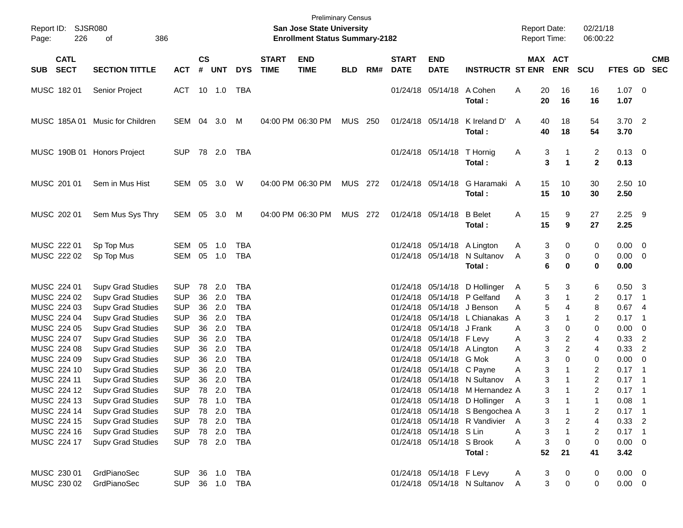| Report ID:<br>Page:                       | <b>SJSR080</b><br>226      | 386<br>of                                                                        |                                        |                |                      |                                        |                             | San Jose State University<br><b>Enrollment Status Summary-2182</b> | <b>Preliminary Census</b> |     |                                  |                                                      |                                                                                                       | <b>Report Date:</b><br>Report Time: |                                 | 02/21/18<br>06:00:22                  |                                 |                                                     |
|-------------------------------------------|----------------------------|----------------------------------------------------------------------------------|----------------------------------------|----------------|----------------------|----------------------------------------|-----------------------------|--------------------------------------------------------------------|---------------------------|-----|----------------------------------|------------------------------------------------------|-------------------------------------------------------------------------------------------------------|-------------------------------------|---------------------------------|---------------------------------------|---------------------------------|-----------------------------------------------------|
| <b>SUB</b>                                | <b>CATL</b><br><b>SECT</b> | <b>SECTION TITTLE</b>                                                            | <b>ACT</b>                             | <b>CS</b><br># | <b>UNT</b>           | <b>DYS</b>                             | <b>START</b><br><b>TIME</b> | <b>END</b><br><b>TIME</b>                                          | <b>BLD</b>                | RM# | <b>START</b><br><b>DATE</b>      | <b>END</b><br><b>DATE</b>                            | <b>INSTRUCTR ST ENR</b>                                                                               |                                     | MAX ACT<br><b>ENR</b>           | <b>SCU</b>                            | <b>FTES GD</b>                  | <b>CMB</b><br><b>SEC</b>                            |
| MUSC 18201                                |                            | Senior Project                                                                   | ACT                                    |                | 10 1.0               | TBA                                    |                             |                                                                    |                           |     |                                  | 01/24/18 05/14/18                                    | A Cohen<br>Total:                                                                                     | Α<br>20<br>20                       | 16<br>16                        | 16<br>16                              | $1.07 \t 0$<br>1.07             |                                                     |
|                                           |                            | MUSC 185A 01 Music for Children                                                  | SEM 04 3.0                             |                |                      | M                                      |                             | 04:00 PM 06:30 PM                                                  | MUS 250                   |     |                                  | 01/24/18 05/14/18                                    | K Ireland D'<br>Total:                                                                                | A<br>40<br>40                       | 18<br>18                        | 54<br>54                              | 3.70<br>3.70                    | $\overline{\phantom{0}}$                            |
|                                           |                            | MUSC 190B 01 Honors Project                                                      | <b>SUP</b>                             |                | 78 2.0               | TBA                                    |                             |                                                                    |                           |     |                                  | 01/24/18 05/14/18                                    | T Hornig<br>Total:                                                                                    | 3<br>A                              | -1<br>3<br>$\blacktriangleleft$ | 2<br>$\mathbf{2}$                     | $0.13 \quad 0$<br>0.13          |                                                     |
| MUSC 201 01                               |                            | Sem in Mus Hist                                                                  | SEM 05 3.0                             |                |                      | W                                      |                             | 04:00 PM 06:30 PM                                                  | <b>MUS 272</b>            |     |                                  | 01/24/18 05/14/18                                    | G Haramaki A<br>Total:                                                                                | 15<br>15                            | 10<br>10                        | 30<br>30                              | 2.50 10<br>2.50                 |                                                     |
| MUSC 202 01                               |                            | Sem Mus Sys Thry                                                                 | SEM 05 3.0                             |                |                      | M                                      |                             | 04:00 PM 06:30 PM                                                  | <b>MUS 272</b>            |     |                                  | 01/24/18 05/14/18                                    | <b>B</b> Belet<br>Total:                                                                              | 15<br>Α<br>15                       | 9<br>9                          | 27<br>27                              | 2.25<br>2.25                    | - 9                                                 |
| MUSC 222 01<br>MUSC 222 02                |                            | Sp Top Mus<br>Sp Top Mus                                                         | SEM<br>SEM                             | 05             | 1.0<br>05 1.0        | <b>TBA</b><br><b>TBA</b>               |                             |                                                                    |                           |     |                                  | 01/24/18 05/14/18<br>01/24/18 05/14/18               | A Lington<br>N Sultanov<br>Total:                                                                     | 3<br>A<br>A<br>6                    | 0<br>3<br>0<br>0                | 0<br>0<br>0                           | 0.00<br>0.00<br>0.00            | $\overline{\mathbf{0}}$<br>$\overline{\phantom{0}}$ |
| MUSC 224 01<br>MUSC 224 02                |                            | <b>Supv Grad Studies</b><br><b>Supv Grad Studies</b>                             | <b>SUP</b><br><b>SUP</b>               | 78<br>36       | 2.0<br>2.0           | <b>TBA</b><br><b>TBA</b>               |                             |                                                                    |                           |     |                                  | 01/24/18 05/14/18<br>01/24/18 05/14/18               | D Hollinger<br>P Gelfand                                                                              | 5<br>A<br>Α                         | 3<br>3<br>1                     | 6<br>2                                | 0.50<br>0.17                    | $\overline{\mathbf{3}}$<br>$\overline{\phantom{1}}$ |
| MUSC 224 03<br>MUSC 224 04                |                            | <b>Supv Grad Studies</b><br><b>Supv Grad Studies</b>                             | <b>SUP</b><br><b>SUP</b>               | 36<br>36       | 2.0<br>2.0           | <b>TBA</b><br><b>TBA</b>               |                             |                                                                    |                           |     | 01/24/18<br>01/24/18             | 05/14/18<br>05/14/18                                 | J Benson<br>L Chianakas                                                                               | 5<br>Α<br>A                         | 4<br>3                          | 8<br>$\overline{2}$                   | 0.67<br>0.17                    | -4<br>$\overline{\phantom{0}}$ 1                    |
| MUSC 224 05<br>MUSC 224 07<br>MUSC 224 08 |                            | <b>Supv Grad Studies</b><br><b>Supv Grad Studies</b><br><b>Supv Grad Studies</b> | <b>SUP</b><br><b>SUP</b><br><b>SUP</b> | 36<br>36<br>36 | 2.0<br>2.0<br>2.0    | <b>TBA</b><br><b>TBA</b><br><b>TBA</b> |                             |                                                                    |                           |     | 01/24/18<br>01/24/18<br>01/24/18 | 05/14/18<br>05/14/18 F Levy<br>05/14/18              | J Frank<br>A Lington                                                                                  | Α<br>A<br>3<br>Α                    | 3<br>0<br>3<br>2<br>2           | 0<br>4<br>4                           | 0.00<br>0.33<br>0.33            | 0<br>$\overline{2}$<br>$\overline{2}$               |
| MUSC 224 09<br>MUSC 224 10<br>MUSC 224 11 |                            | <b>Supv Grad Studies</b><br><b>Supv Grad Studies</b><br><b>Supv Grad Studies</b> | <b>SUP</b><br><b>SUP</b><br><b>SUP</b> | 36<br>36<br>36 | 2.0<br>2.0<br>2.0    | <b>TBA</b><br><b>TBA</b><br><b>TBA</b> |                             |                                                                    |                           |     | 01/24/18<br>01/24/18<br>01/24/18 | 05/14/18<br>05/14/18 C Payne                         | G Mok<br>05/14/18 N Sultanov                                                                          | 3<br>Α<br>3<br>Α<br>A               | 0<br>3                          | 0<br>$\overline{2}$<br>$\overline{2}$ | 0.00<br>0.17<br>0.17            | 0<br>$\overline{\phantom{0}}$ 1<br>- 1              |
| MUSC 224 14                               | MUSC 224 12<br>MUSC 224 13 | <b>Supv Grad Studies</b><br>Supv Grad Studies<br><b>Supv Grad Studies</b>        | <b>SUP</b><br><b>SUP</b><br><b>SUP</b> | 78<br>78       | 78 2.0<br>1.0<br>2.0 | <b>TBA</b><br><b>TBA</b><br>TBA        |                             |                                                                    |                           |     |                                  |                                                      | 01/24/18 05/14/18 M Hernandez A<br>01/24/18 05/14/18 D Hollinger A<br>01/24/18 05/14/18 S Bengochea A |                                     | 3<br>$\mathbf 1$<br>3<br>3      | $\overline{2}$<br>2                   | 0.17<br>0.08<br>$0.17$ 1        | $\overline{\phantom{0}}$ 1<br>$\overline{1}$        |
| MUSC 224 15<br>MUSC 224 16<br>MUSC 224 17 |                            | <b>Supv Grad Studies</b><br><b>Supv Grad Studies</b><br><b>Supv Grad Studies</b> | <b>SUP</b><br><b>SUP</b><br><b>SUP</b> | 78<br>78       | 2.0<br>2.0<br>78 2.0 | <b>TBA</b><br><b>TBA</b><br>TBA        |                             |                                                                    |                           |     |                                  | 01/24/18 05/14/18 S Lin<br>01/24/18 05/14/18 S Brook | 01/24/18 05/14/18 R Vandivier                                                                         | $\mathsf{A}$<br>3<br>Α<br>Α         | 3<br>2<br>3<br>0                | 4<br>$\overline{2}$<br>$\,0\,$        | 0.33<br>$0.17$ 1<br>$0.00 \t 0$ | $\overline{\phantom{0}}^2$                          |
|                                           |                            |                                                                                  |                                        |                |                      |                                        |                             |                                                                    |                           |     |                                  |                                                      | Total:                                                                                                | 52                                  | 21                              | 41                                    | 3.42                            |                                                     |
| MUSC 230 01                               | MUSC 230 02                | GrdPianoSec<br>GrdPianoSec                                                       | <b>SUP</b><br><b>SUP</b>               |                | 36 1.0<br>36 1.0     | <b>TBA</b><br>TBA                      |                             |                                                                    |                           |     |                                  | 01/24/18 05/14/18 F Levy                             | 01/24/18 05/14/18 N Sultanov                                                                          | 3<br>A<br>Α                         | 0<br>3<br>0                     | 0<br>0                                | $0.00 \t 0$<br>$0.00 \t 0$      |                                                     |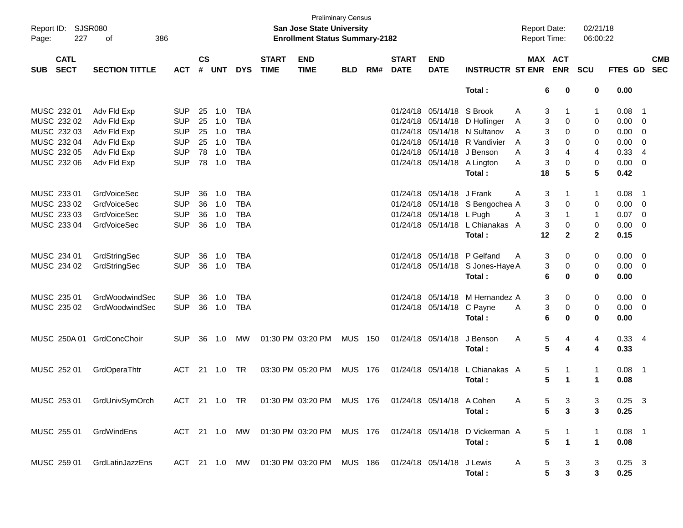| Report ID: SJSR080<br>227<br>Page:       | 386<br>of             |               |                    |            |            |                             | <b>Preliminary Census</b><br>San Jose State University<br><b>Enrollment Status Summary-2182</b> |                |         |                             |                           |                                                                         | <b>Report Date:</b><br><b>Report Time:</b> |              | 02/21/18<br>06:00:22 |                |                           |
|------------------------------------------|-----------------------|---------------|--------------------|------------|------------|-----------------------------|-------------------------------------------------------------------------------------------------|----------------|---------|-----------------------------|---------------------------|-------------------------------------------------------------------------|--------------------------------------------|--------------|----------------------|----------------|---------------------------|
| <b>CATL</b><br><b>SECT</b><br><b>SUB</b> | <b>SECTION TITTLE</b> | <b>ACT</b>    | $\mathsf{cs}$<br># | <b>UNT</b> | <b>DYS</b> | <b>START</b><br><b>TIME</b> | <b>END</b><br><b>TIME</b>                                                                       | <b>BLD</b>     | RM#     | <b>START</b><br><b>DATE</b> | <b>END</b><br><b>DATE</b> | <b>INSTRUCTR ST ENR</b>                                                 | MAX ACT                                    | <b>ENR</b>   | <b>SCU</b>           |                | <b>CMB</b><br>FTES GD SEC |
|                                          |                       |               |                    |            |            |                             |                                                                                                 |                |         |                             |                           | Total:                                                                  | 6                                          | 0            | 0                    | 0.00           |                           |
| MUSC 232 01                              | Adv Fld Exp           | <b>SUP</b>    |                    | 25 1.0     | TBA        |                             |                                                                                                 |                |         |                             | 01/24/18 05/14/18 S Brook |                                                                         | Α<br>3                                     |              | 1                    | 0.08           | - 1                       |
| MUSC 232 02                              | Adv Fld Exp           | <b>SUP</b>    |                    | 25 1.0     | <b>TBA</b> |                             |                                                                                                 |                |         |                             |                           | 01/24/18 05/14/18 D Hollinger                                           | 3<br>A                                     | 0            | 0                    | $0.00 \t 0$    |                           |
| MUSC 232 03                              | Adv Fld Exp           | <b>SUP</b>    |                    | 25 1.0     | <b>TBA</b> |                             |                                                                                                 |                |         |                             |                           | 01/24/18 05/14/18 N Sultanov                                            | A<br>3                                     | 0            | 0                    | 0.00           | $\overline{\phantom{0}}$  |
| MUSC 232 04                              | Adv Fld Exp           | <b>SUP</b>    |                    | 25 1.0     | <b>TBA</b> |                             |                                                                                                 |                |         |                             |                           | 01/24/18 05/14/18 R Vandivier                                           | 3<br>A                                     | 0            | 0                    | 0.00           | $\overline{\mathbf{0}}$   |
| MUSC 232 05                              | Adv Fld Exp           | <b>SUP</b>    |                    | 78 1.0     | <b>TBA</b> |                             |                                                                                                 |                |         |                             |                           | 01/24/18 05/14/18 J Benson                                              | 3<br>A                                     | 4            | 4                    | 0.33           | - 4                       |
| MUSC 232 06                              | Adv Fld Exp           | <b>SUP</b>    |                    | 78 1.0     | <b>TBA</b> |                             |                                                                                                 |                |         |                             |                           | 01/24/18 05/14/18 A Lington                                             | 3<br>A                                     | 0            | 0                    | $0.00 \t 0$    |                           |
|                                          |                       |               |                    |            |            |                             |                                                                                                 |                |         |                             |                           | Total:                                                                  | 18                                         | 5            | 5                    | 0.42           |                           |
| MUSC 233 01                              | GrdVoiceSec           | <b>SUP</b>    | 36                 | 1.0        | TBA        |                             |                                                                                                 |                |         |                             | 01/24/18 05/14/18 J Frank |                                                                         | 3<br>A                                     |              | $\mathbf{1}$         | 0.08           | - 1                       |
| MUSC 233 02                              | <b>GrdVoiceSec</b>    | <b>SUP</b>    |                    | 36 1.0     | <b>TBA</b> |                             |                                                                                                 |                |         |                             |                           | 01/24/18 05/14/18 S Bengochea A                                         | 3                                          | 0            | 0                    | $0.00 \t 0$    |                           |
| MUSC 233 03                              | <b>GrdVoiceSec</b>    | <b>SUP</b>    | 36                 | 1.0        | <b>TBA</b> |                             |                                                                                                 |                |         |                             | 01/24/18 05/14/18 L Pugh  |                                                                         | 3<br>A                                     |              | $\mathbf{1}$         | $0.07$ 0       |                           |
| MUSC 233 04                              | <b>GrdVoiceSec</b>    | <b>SUP</b>    |                    | 36 1.0     | <b>TBA</b> |                             |                                                                                                 |                |         |                             |                           | 01/24/18 05/14/18 L Chianakas A                                         | 3                                          | 0            | 0                    | $0.00 \t 0$    |                           |
|                                          |                       |               |                    |            |            |                             |                                                                                                 |                |         |                             |                           | Total:                                                                  | 12                                         | $\mathbf{2}$ | $\mathbf{2}$         | 0.15           |                           |
| MUSC 234 01                              | GrdStringSec          | <b>SUP</b>    | 36                 | 1.0        | <b>TBA</b> |                             |                                                                                                 |                |         |                             |                           | 01/24/18 05/14/18 P Gelfand                                             | A<br>3                                     | 0            | 0                    | $0.00 \t 0$    |                           |
| MUSC 234 02                              | GrdStringSec          | <b>SUP</b>    |                    | 36 1.0     | <b>TBA</b> |                             |                                                                                                 |                |         |                             |                           | 01/24/18 05/14/18 S Jones-Haye A                                        | 3                                          | 0            | 0                    | $0.00 \t 0$    |                           |
|                                          |                       |               |                    |            |            |                             |                                                                                                 |                |         |                             |                           | Total:                                                                  | 6                                          | 0            | 0                    | 0.00           |                           |
| MUSC 235 01                              | GrdWoodwindSec        | <b>SUP</b>    | 36                 | 1.0        | <b>TBA</b> |                             |                                                                                                 |                |         |                             |                           | 01/24/18 05/14/18 M Hernandez A                                         | 3                                          | 0            | 0                    | $0.00 \t 0$    |                           |
| MUSC 235 02                              | GrdWoodwindSec        | <b>SUP</b>    |                    | 36 1.0     | <b>TBA</b> |                             |                                                                                                 |                |         |                             | 01/24/18 05/14/18 C Payne |                                                                         | 3<br>A                                     | 0            | 0                    | $0.00 \t 0$    |                           |
|                                          |                       |               |                    |            |            |                             |                                                                                                 |                |         |                             |                           | Total:                                                                  | 6                                          | 0            | 0                    | 0.00           |                           |
| MUSC 250A 01 GrdConcChoir                |                       | <b>SUP</b>    |                    | 36 1.0     | MW         |                             | 01:30 PM 03:20 PM                                                                               | <b>MUS 150</b> |         |                             | 01/24/18 05/14/18         | J Benson                                                                | 5<br>A                                     | 4            | 4                    | 0.334          |                           |
|                                          |                       |               |                    |            |            |                             |                                                                                                 |                |         |                             |                           | Total:                                                                  | 5                                          | 4            | 4                    | 0.33           |                           |
| MUSC 252 01                              | GrdOperaThtr          | <b>ACT</b>    |                    | 21 1.0 TR  |            |                             | 03:30 PM 05:20 PM                                                                               | <b>MUS 176</b> |         |                             | 01/24/18 05/14/18         | L Chianakas A                                                           | 5                                          |              | $\mathbf{1}$         | $0.08$ 1       |                           |
|                                          |                       |               |                    |            |            |                             |                                                                                                 |                |         |                             |                           | Total:                                                                  | 5                                          | $\mathbf 1$  | $\mathbf{1}$         | 0.08           |                           |
| MUSC 253 01                              | GrdUnivSymOrch        | ACT 21 1.0 TR |                    |            |            |                             | 01:30 PM 03:20 PM                                                                               |                | MUS 176 |                             | 01/24/18 05/14/18 A Cohen |                                                                         | A                                          | 5<br>-3      | 3                    | $0.25 \quad 3$ |                           |
|                                          |                       |               |                    |            |            |                             |                                                                                                 |                |         |                             |                           | Total :                                                                 | 5.                                         | 3            | 3                    | 0.25           |                           |
| MUSC 255 01 GrdWindEns                   |                       |               |                    |            |            |                             |                                                                                                 |                |         |                             |                           | ACT 21 1.0 MW 01:30 PM 03:20 PM MUS 176 01/24/18 05/14/18 D Vickerman A | 5                                          |              | -1                   | $0.08$ 1       |                           |
|                                          |                       |               |                    |            |            |                             |                                                                                                 |                |         |                             |                           | Total:                                                                  | 5                                          |              | 1                    | 0.08           |                           |
| MUSC 259 01                              | GrdLatinJazzEns       |               |                    |            |            |                             | ACT 21 1.0 MW 01:30 PM 03:20 PM MUS 186 01/24/18 05/14/18 J Lewis                               |                |         |                             |                           |                                                                         | A<br>5                                     | 3            | 3                    | $0.25 \quad 3$ |                           |
|                                          |                       |               |                    |            |            |                             |                                                                                                 |                |         |                             |                           | Total:                                                                  | 5                                          | 3            | 3                    | 0.25           |                           |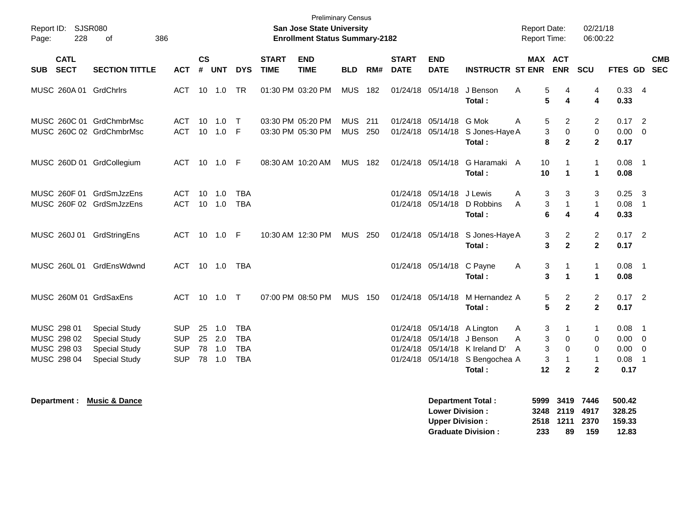| <b>Preliminary Census</b><br>Report ID: SJSR080<br><b>San Jose State University</b><br><b>Report Date:</b><br><b>Enrollment Status Summary-2182</b><br><b>Report Time:</b><br>228<br>386<br>Page:<br>οf |                                                                                              |                                                      |                      |                          |                                                      |                             |                                        |                          |            |                             | 02/21/18<br>06:00:22                             |                                                                                         |                                                  |                                                 |                                     |                                                    |                                                      |  |
|---------------------------------------------------------------------------------------------------------------------------------------------------------------------------------------------------------|----------------------------------------------------------------------------------------------|------------------------------------------------------|----------------------|--------------------------|------------------------------------------------------|-----------------------------|----------------------------------------|--------------------------|------------|-----------------------------|--------------------------------------------------|-----------------------------------------------------------------------------------------|--------------------------------------------------|-------------------------------------------------|-------------------------------------|----------------------------------------------------|------------------------------------------------------|--|
| <b>CATL</b><br><b>SECT</b><br><b>SUB</b>                                                                                                                                                                | <b>SECTION TITTLE</b>                                                                        | <b>ACT</b>                                           | $\mathsf{cs}$<br>#   | <b>UNT</b>               | <b>DYS</b>                                           | <b>START</b><br><b>TIME</b> | <b>END</b><br><b>TIME</b>              | <b>BLD</b>               | RM#        | <b>START</b><br><b>DATE</b> | <b>END</b><br><b>DATE</b>                        | <b>INSTRUCTR ST ENR</b>                                                                 | MAX ACT                                          | <b>ENR</b>                                      | SCU                                 | FTES GD SEC                                        | <b>CMB</b>                                           |  |
| MUSC 260A 01 GrdChrlrs                                                                                                                                                                                  |                                                                                              | ACT                                                  | 10                   | 1.0                      | <b>TR</b>                                            | 01:30 PM 03:20 PM           |                                        | <b>MUS</b>               | 182        |                             | 01/24/18 05/14/18                                | J Benson<br>Total:                                                                      | 5<br>A<br>5                                      | 4<br>$\overline{\mathbf{4}}$                    | 4<br>$\overline{\mathbf{4}}$        | $0.33 + 4$<br>0.33                                 |                                                      |  |
| MUSC 260C 01 GrdChmbrMsc<br>MUSC 260C 02 GrdChmbrMsc                                                                                                                                                    |                                                                                              | <b>ACT</b><br><b>ACT</b>                             | 10<br>10             | 1.0<br>1.0               | $\top$<br>-F                                         |                             | 03:30 PM 05:20 PM<br>03:30 PM 05:30 PM | <b>MUS</b><br><b>MUS</b> | 211<br>250 |                             | 01/24/18 05/14/18                                | G Mok<br>01/24/18 05/14/18 S Jones-Haye A<br>Total :                                    | 5<br>A<br>$\mathbf{3}$<br>8                      | $\overline{2}$<br>$\mathbf 0$<br>$\overline{2}$ | $\overline{2}$<br>0<br>$\mathbf{2}$ | $0.17$ 2<br>$0.00 \t 0$<br>0.17                    |                                                      |  |
| MUSC 260D 01 GrdCollegium                                                                                                                                                                               |                                                                                              | ACT 10 1.0 F                                         |                      |                          |                                                      |                             | 08:30 AM 10:20 AM                      | <b>MUS</b>               | 182        |                             | 01/24/18 05/14/18                                | G Haramaki A<br>Total:                                                                  | 10<br>10                                         | 1<br>$\mathbf 1$                                | $\mathbf{1}$<br>$\mathbf{1}$        | $0.08$ 1<br>0.08                                   |                                                      |  |
| MUSC 260F 01 GrdSmJzzEns<br>MUSC 260F 02 GrdSmJzzEns                                                                                                                                                    |                                                                                              | <b>ACT</b><br>ACT                                    | 10                   | 1.0<br>$10 \quad 1.0$    | <b>TBA</b><br><b>TBA</b>                             |                             |                                        |                          |            |                             | 01/24/18 05/14/18<br>01/24/18 05/14/18           | J Lewis<br>D Robbins<br>Total:                                                          | 3<br>A<br>3<br>A<br>6                            | 3<br>$\mathbf{1}$<br>4                          | 3<br>$\mathbf{1}$<br>4              | 0.25<br>$0.08$ 1<br>0.33                           | $\overline{\mathbf{3}}$                              |  |
| MUSC 260J 01 GrdStringEns                                                                                                                                                                               |                                                                                              | ACT 10 1.0 F                                         |                      |                          |                                                      |                             | 10:30 AM 12:30 PM                      | <b>MUS 250</b>           |            |                             | 01/24/18 05/14/18                                | S Jones-Haye A<br>Total :                                                               | 3<br>3                                           | 2<br>$\mathbf{2}$                               | $\overline{c}$<br>$\mathbf{2}$      | $0.17$ 2<br>0.17                                   |                                                      |  |
| MUSC 260L 01 GrdEnsWdwnd                                                                                                                                                                                |                                                                                              | ACT                                                  |                      | 10 1.0                   | <b>TBA</b>                                           |                             |                                        |                          |            |                             | 01/24/18 05/14/18 C Payne                        | Total:                                                                                  | 3<br>Α<br>3                                      | $\mathbf{1}$<br>$\blacktriangleleft$            | $\mathbf{1}$<br>$\mathbf{1}$        | 0.08<br>0.08                                       | $\overline{\phantom{0}}$ 1                           |  |
| MUSC 260M 01 GrdSaxEns                                                                                                                                                                                  |                                                                                              | ACT                                                  |                      |                          |                                                      |                             | 07:00 PM 08:50 PM                      | <b>MUS 150</b>           |            |                             | 01/24/18 05/14/18                                | M Hernandez A<br>Total :                                                                | 5<br>$5\phantom{1}$                              | 2<br>$\mathbf{2}$                               | $\overline{c}$<br>$\mathbf{2}$      | $0.17$ 2<br>0.17                                   |                                                      |  |
| MUSC 298 01<br>MUSC 298 02<br>MUSC 298 03<br>MUSC 298 04                                                                                                                                                | <b>Special Study</b><br><b>Special Study</b><br><b>Special Study</b><br><b>Special Study</b> | <b>SUP</b><br><b>SUP</b><br><b>SUP</b><br><b>SUP</b> | 25<br>25<br>78<br>78 | 1.0<br>2.0<br>1.0<br>1.0 | <b>TBA</b><br><b>TBA</b><br><b>TBA</b><br><b>TBA</b> |                             |                                        |                          |            |                             | 01/24/18 05/14/18 A Lington<br>01/24/18 05/14/18 | J Benson<br>01/24/18 05/14/18 K Ireland D'<br>01/24/18 05/14/18 S Bengochea A<br>Total: | 3<br>A<br>3<br>A<br>3<br>$\mathsf{A}$<br>3<br>12 | 1<br>0<br>$\Omega$<br>1<br>$\overline{2}$       | 1<br>0<br>0<br>1<br>$\mathbf{2}$    | 0.08<br>$0.00 \t 0$<br>$0.00 \t 0$<br>0.08<br>0.17 | $\overline{\phantom{1}}$<br>$\overline{\phantom{0}}$ |  |
| Department :                                                                                                                                                                                            | <b>Music &amp; Dance</b>                                                                     |                                                      |                      |                          |                                                      |                             |                                        |                          |            |                             | <b>Lower Division:</b><br><b>Upper Division:</b> | Department Total:<br><b>Graduate Division:</b>                                          | 2518<br>233                                      | 5999 3419<br>3248 2119<br>1211<br>89            | 7446<br>4917<br>2370<br>159         | 500.42<br>328.25<br>159.33<br>12.83                |                                                      |  |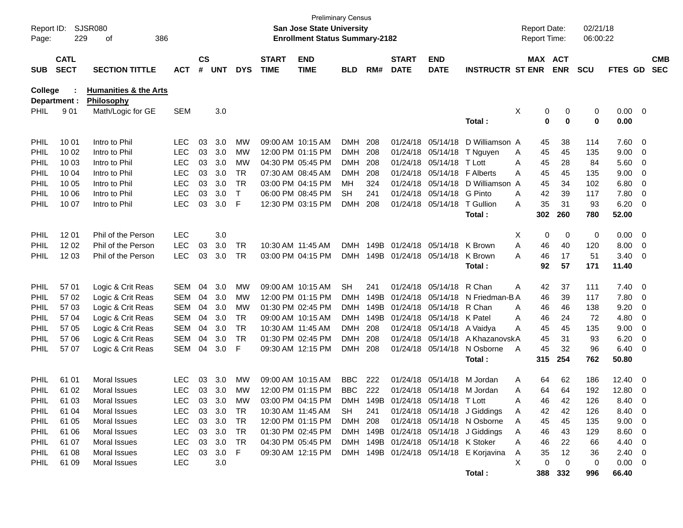| Page:          | <b>SJSR080</b><br>Report ID:<br>386<br>229<br>οf |                                                |            |                    |            |              |                             | San Jose State University<br><b>Enrollment Status Summary-2182</b> | <b>Preliminary Census</b> |      |                             |                                     |                                        | <b>Report Date:</b><br>Report Time: |                         | 02/21/18<br>06:00:22 |                     |                          |                          |
|----------------|--------------------------------------------------|------------------------------------------------|------------|--------------------|------------|--------------|-----------------------------|--------------------------------------------------------------------|---------------------------|------|-----------------------------|-------------------------------------|----------------------------------------|-------------------------------------|-------------------------|----------------------|---------------------|--------------------------|--------------------------|
| <b>SUB</b>     | <b>CATL</b><br><b>SECT</b>                       | <b>SECTION TITTLE</b>                          | <b>ACT</b> | $\mathsf{cs}$<br># | <b>UNT</b> | <b>DYS</b>   | <b>START</b><br><b>TIME</b> | <b>END</b><br><b>TIME</b>                                          | <b>BLD</b>                | RM#  | <b>START</b><br><b>DATE</b> | <b>END</b><br><b>DATE</b>           | <b>INSTRUCTR ST ENR</b>                |                                     | MAX ACT<br><b>ENR</b>   | <b>SCU</b>           | FTES GD             |                          | <b>CMB</b><br><b>SEC</b> |
| <b>College</b> | Department :                                     | <b>Humanities &amp; the Arts</b><br>Philosophy |            |                    |            |              |                             |                                                                    |                           |      |                             |                                     |                                        |                                     |                         |                      |                     |                          |                          |
| PHIL           | 901                                              | Math/Logic for GE                              | <b>SEM</b> |                    | 3.0        |              |                             |                                                                    |                           |      |                             |                                     | Total:                                 | Χ                                   | 0<br>0<br>0<br>$\bf{0}$ | 0<br>0               | $0.00 \t 0$<br>0.00 |                          |                          |
| <b>PHIL</b>    | 10 01                                            | Intro to Phil                                  | LEC.       | 03                 | 3.0        | MW           |                             | 09:00 AM 10:15 AM                                                  | DMH                       | 208  |                             | 01/24/18 05/14/18                   | D Williamson A                         |                                     | 38<br>45                | 114                  | $7.60$ 0            |                          |                          |
| PHIL           | 10 02                                            | Intro to Phil                                  | <b>LEC</b> | 03                 | 3.0        | MW           |                             | 12:00 PM 01:15 PM                                                  | <b>DMH</b>                | 208  |                             | 01/24/18 05/14/18                   | T Nguyen                               | Α                                   | 45<br>45                | 135                  | 9.00                | $\overline{\phantom{0}}$ |                          |
| PHIL           | 10 03                                            | Intro to Phil                                  | <b>LEC</b> | 03                 | 3.0        | <b>MW</b>    |                             | 04:30 PM 05:45 PM                                                  | <b>DMH</b>                | 208  |                             | 01/24/18 05/14/18                   | T Lott                                 | Α                                   | 45<br>28                | 84                   | 5.60                | $\overline{\phantom{0}}$ |                          |
| PHIL           | 10 04                                            | Intro to Phil                                  | <b>LEC</b> | 03                 | 3.0        | <b>TR</b>    |                             | 07:30 AM 08:45 AM                                                  | <b>DMH</b>                | 208  |                             | 01/24/18 05/14/18                   | <b>F</b> Alberts                       | Α                                   | 45<br>45                | 135                  | 9.00                | $\overline{\mathbf{0}}$  |                          |
| PHIL           | 10 05                                            | Intro to Phil                                  | <b>LEC</b> | 03                 | 3.0        | <b>TR</b>    |                             | 03:00 PM 04:15 PM                                                  | MН                        | 324  |                             | 01/24/18 05/14/18                   | D Williamson A                         |                                     | 45<br>34                | 102                  | 6.80                | $\overline{\phantom{0}}$ |                          |
| PHIL           | 10 06                                            | Intro to Phil                                  | <b>LEC</b> | 03                 | 3.0        | $\mathsf{T}$ |                             | 06:00 PM 08:45 PM                                                  | <b>SH</b>                 | 241  |                             | 01/24/18 05/14/18                   | G Pinto                                | A                                   | 42<br>39                | 117                  | 7.80                | $\overline{\phantom{0}}$ |                          |
| PHIL           | 10 07                                            | Intro to Phil                                  | <b>LEC</b> | 03                 | 3.0        | F            |                             | 12:30 PM 03:15 PM                                                  | <b>DMH</b>                | 208  |                             | 01/24/18 05/14/18                   | T Gullion                              | A                                   | 35<br>31                | 93                   | 6.20                | $\overline{\phantom{0}}$ |                          |
|                |                                                  |                                                |            |                    |            |              |                             |                                                                    |                           |      |                             |                                     | Total:                                 | 302                                 | 260                     | 780                  | 52.00               |                          |                          |
| PHIL           | 12 01                                            | Phil of the Person                             | <b>LEC</b> |                    | 3.0        |              |                             |                                                                    |                           |      |                             |                                     |                                        | X                                   | 0<br>0                  | 0                    | $0.00 \t 0$         |                          |                          |
| PHIL           | 1202                                             | Phil of the Person                             | <b>LEC</b> | 03                 | 3.0        | TR           |                             | 10:30 AM 11:45 AM                                                  | <b>DMH</b>                | 149B |                             | 01/24/18 05/14/18                   | K Brown                                | A                                   | 46<br>40                | 120                  | 8.00                | $\overline{\phantom{0}}$ |                          |
| PHIL           | 12 03                                            | Phil of the Person                             | <b>LEC</b> | 03                 | 3.0        | TR           |                             | 03:00 PM 04:15 PM                                                  | <b>DMH</b>                | 149B | 01/24/18 05/14/18           |                                     | K Brown                                | Α                                   | 46<br>17                | 51                   | $3.40 \ 0$          |                          |                          |
|                |                                                  |                                                |            |                    |            |              |                             |                                                                    |                           |      |                             |                                     | Total:                                 |                                     | 92<br>57                | 171                  | 11.40               |                          |                          |
| PHIL           | 57 01                                            | Logic & Crit Reas                              | <b>SEM</b> | 04                 | 3.0        | MW           |                             | 09:00 AM 10:15 AM                                                  | <b>SH</b>                 | 241  |                             | 01/24/18 05/14/18                   | R Chan                                 | Α                                   | 42<br>37                | 111                  | $7.40 \quad 0$      |                          |                          |
| PHIL           | 57 02                                            | Logic & Crit Reas                              | <b>SEM</b> | 04                 | 3.0        | MW           |                             | 12:00 PM 01:15 PM                                                  | <b>DMH</b>                | 149B |                             | 01/24/18 05/14/18                   | N Friedman-B A                         |                                     | 46<br>39                | 117                  | 7.80 0              |                          |                          |
| PHIL           | 57 03                                            | Logic & Crit Reas                              | <b>SEM</b> | 04                 | 3.0        | MW           |                             | 01:30 PM 02:45 PM                                                  | <b>DMH</b>                | 149B |                             | 01/24/18 05/14/18                   | R Chan                                 | A                                   | 46<br>46                | 138                  | 9.20                | $\overline{\phantom{0}}$ |                          |
| PHIL           | 57 04                                            | Logic & Crit Reas                              | <b>SEM</b> | 04                 | 3.0        | <b>TR</b>    |                             | 09:00 AM 10:15 AM                                                  | <b>DMH</b>                | 149B |                             | 01/24/18 05/14/18                   | K Patel                                | Α                                   | 46<br>24                | 72                   | 4.80                | $\overline{\mathbf{0}}$  |                          |
| PHIL           | 57 05                                            | Logic & Crit Reas                              | <b>SEM</b> | 04                 | 3.0        | <b>TR</b>    |                             | 10:30 AM 11:45 AM                                                  | <b>DMH</b>                | 208  |                             | 01/24/18 05/14/18                   | A Vaidya                               | A                                   | 45<br>45                | 135                  | 9.00                | $\overline{\phantom{0}}$ |                          |
| PHIL           | 57 06                                            | Logic & Crit Reas                              | <b>SEM</b> | 04                 | 3.0        | <b>TR</b>    |                             | 01:30 PM 02:45 PM                                                  | <b>DMH</b>                | 208  |                             | 01/24/18 05/14/18                   | A KhazanovskA                          |                                     | 45<br>31                | 93                   | 6.20                | $\overline{0}$           |                          |
| PHIL           | 57 07                                            | Logic & Crit Reas                              | <b>SEM</b> | 04                 | 3.0        | F            |                             | 09:30 AM 12:15 PM                                                  | <b>DMH</b>                | 208  |                             | 01/24/18 05/14/18                   | N Osborne                              | A                                   | 45<br>32                | 96                   | 6.40                | $\overline{\phantom{0}}$ |                          |
|                |                                                  |                                                |            |                    |            |              |                             |                                                                    |                           |      |                             |                                     | Total:                                 | 315                                 | 254                     | 762                  | 50.80               |                          |                          |
| PHIL           | 61 01                                            | Moral Issues                                   | LEC.       | 03                 | 3.0        | MW           |                             | 09:00 AM 10:15 AM                                                  | <b>BBC</b>                | 222  |                             | 01/24/18 05/14/18                   | M Jordan                               | Α                                   | 62<br>64                | 186                  | $12.40 \t 0$        |                          |                          |
| PHIL           | 61 02                                            | Moral Issues                                   | <b>LEC</b> | 03                 | 3.0        | MW           |                             | 12:00 PM 01:15 PM                                                  | <b>BBC</b>                | 222  |                             | 01/24/18 05/14/18                   | M Jordan                               | Α                                   | 64<br>64                | 192                  | 12.80               | $\overline{\phantom{0}}$ |                          |
| PHIL           | 61 03                                            | Moral Issues                                   | LEC        | 03                 | 3.0        | МW           |                             | 03:00 PM 04:15 PM                                                  |                           |      |                             | DMH 149B 01/24/18 05/14/18 T Lott   |                                        | А                                   | 46<br>42                | 126                  | 8.40 0              |                          |                          |
| PHIL           | 61 04                                            | Moral Issues                                   | LEC.       |                    | 03 3.0     | TR           |                             | 10:30 AM 11:45 AM                                                  | SH                        | 241  |                             |                                     | 01/24/18 05/14/18 J Giddings           | A                                   | 42<br>42                | 126                  | 8.40 0              |                          |                          |
| <b>PHIL</b>    | 61 05                                            | Moral Issues                                   | <b>LEC</b> |                    | 03 3.0     | TR           |                             | 12:00 PM 01:15 PM                                                  | DMH 208                   |      |                             |                                     | 01/24/18 05/14/18 N Osborne            | Α                                   | 45<br>45                | 135                  | $9.00 \t 0$         |                          |                          |
| <b>PHIL</b>    | 61 06                                            | Moral Issues                                   | <b>LEC</b> |                    | 03 3.0     | TR           |                             | 01:30 PM 02:45 PM                                                  |                           |      |                             |                                     | DMH 149B 01/24/18 05/14/18 J Giddings  | Α                                   | 46<br>43                | 129                  | 8.60 0              |                          |                          |
| PHIL           | 61 07                                            | Moral Issues                                   | <b>LEC</b> |                    | 03 3.0     | TR           |                             | 04:30 PM 05:45 PM                                                  |                           |      |                             | DMH 149B 01/24/18 05/14/18 K Stoker |                                        | Α                                   | 46<br>22                | 66                   | 4.40 0              |                          |                          |
| <b>PHIL</b>    | 61 08                                            | Moral Issues                                   | <b>LEC</b> | 03                 | 3.0 F      |              |                             | 09:30 AM 12:15 PM                                                  |                           |      |                             |                                     | DMH 149B 01/24/18 05/14/18 E Korjavina | A                                   | 35<br>12                | 36                   | $2.40 \ 0$          |                          |                          |
| <b>PHIL</b>    | 61 09                                            | Moral Issues                                   | <b>LEC</b> |                    | 3.0        |              |                             |                                                                    |                           |      |                             |                                     |                                        | X.                                  | 0<br>0                  | 0                    | $0.00 \t 0$         |                          |                          |
|                |                                                  |                                                |            |                    |            |              |                             |                                                                    |                           |      |                             |                                     | Total:                                 |                                     | 388 332                 | 996                  | 66.40               |                          |                          |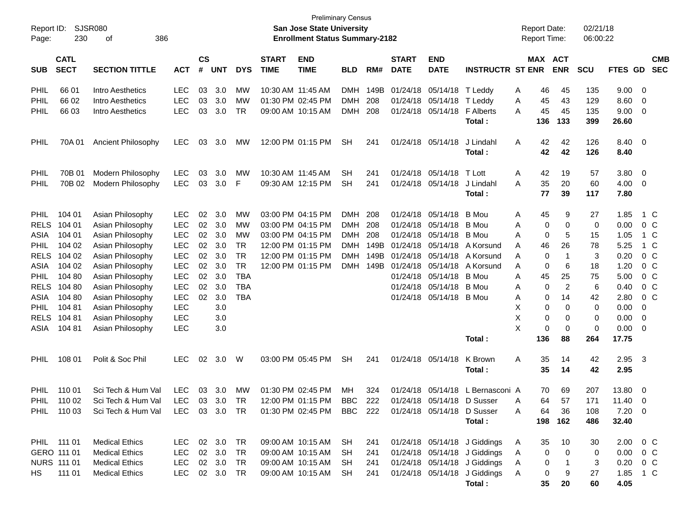| Page:       | <b>SJSR080</b><br>Report ID:<br>386<br>230<br>οf |                                              |               |                    |            |            |                             | <b>Preliminary Census</b><br>San Jose State University<br><b>Enrollment Status Summary-2182</b> |            |      |                             |                            |                              |     | <b>Report Date:</b> | <b>Report Time:</b>     | 02/21/18<br>06:00:22 |               |                         |                          |
|-------------|--------------------------------------------------|----------------------------------------------|---------------|--------------------|------------|------------|-----------------------------|-------------------------------------------------------------------------------------------------|------------|------|-----------------------------|----------------------------|------------------------------|-----|---------------------|-------------------------|----------------------|---------------|-------------------------|--------------------------|
| <b>SUB</b>  | <b>CATL</b><br><b>SECT</b>                       | <b>SECTION TITTLE</b>                        | <b>ACT</b>    | $\mathsf{cs}$<br># | <b>UNT</b> | <b>DYS</b> | <b>START</b><br><b>TIME</b> | <b>END</b><br><b>TIME</b>                                                                       | <b>BLD</b> | RM#  | <b>START</b><br><b>DATE</b> | <b>END</b><br><b>DATE</b>  | <b>INSTRUCTR ST ENR</b>      |     |                     | MAX ACT<br><b>ENR</b>   | <b>SCU</b>           | FTES GD       |                         | <b>CMB</b><br><b>SEC</b> |
| PHIL        | 66 01                                            | Intro Aesthetics                             | <b>LEC</b>    | 03                 | 3.0        | МW         | 10:30 AM 11:45 AM           |                                                                                                 | <b>DMH</b> | 149B | 01/24/18                    | 05/14/18                   | T Leddy                      | A   | 46                  | 45                      | 135                  | 9.00          | 0                       |                          |
| PHIL        | 66 02                                            | Intro Aesthetics                             | <b>LEC</b>    | 03                 | 3.0        | МW         |                             | 01:30 PM 02:45 PM                                                                               | <b>DMH</b> | 208  | 01/24/18                    | 05/14/18                   | T Leddy                      | Α   | 45                  | 43                      | 129                  | 8.60          | 0                       |                          |
| PHIL        | 66 03                                            | Intro Aesthetics                             | <b>LEC</b>    | 03                 | 3.0        | TR         |                             | 09:00 AM 10:15 AM                                                                               | <b>DMH</b> | 208  | 01/24/18                    | 05/14/18                   | <b>F</b> Alberts             | A   | 45                  | 45                      | 135                  | 9.00          | 0                       |                          |
|             |                                                  |                                              |               |                    |            |            |                             |                                                                                                 |            |      |                             |                            | Total :                      |     | 136                 | 133                     | 399                  | 26.60         |                         |                          |
| PHIL        | 70A01                                            | <b>Ancient Philosophy</b>                    | <b>LEC</b>    | 03                 | 3.0        | <b>MW</b>  |                             | 12:00 PM 01:15 PM                                                                               | <b>SH</b>  | 241  | 01/24/18                    | 05/14/18                   | J Lindahl                    | A   | 42                  | 42                      | 126                  | 8.40          | $\overline{\mathbf{0}}$ |                          |
|             |                                                  |                                              |               |                    |            |            |                             |                                                                                                 |            |      |                             |                            | Total :                      |     | 42                  | 42                      | 126                  | 8.40          |                         |                          |
| PHIL        | 70B 01                                           | Modern Philosophy                            | <b>LEC</b>    | 03                 | 3.0        | МW         | 10:30 AM 11:45 AM           |                                                                                                 | <b>SH</b>  | 241  | 01/24/18                    | 05/14/18                   | T Lott                       | A   | 42                  | 19                      | 57                   | 3.80          | 0                       |                          |
| PHIL        | 70B 02                                           | Modern Philosophy                            | <b>LEC</b>    | 03                 | 3.0        | F          |                             | 09:30 AM 12:15 PM                                                                               | <b>SH</b>  | 241  | 01/24/18                    | 05/14/18                   | J Lindahl                    | A   | 35                  | 20                      | 60                   | 4.00          | 0                       |                          |
|             |                                                  |                                              |               |                    |            |            |                             |                                                                                                 |            |      |                             |                            | Total :                      |     | 77                  | 39                      | 117                  | 7.80          |                         |                          |
| <b>PHIL</b> | 104 01                                           | Asian Philosophy                             | <b>LEC</b>    | 02                 | 3.0        | MW         |                             | 03:00 PM 04:15 PM                                                                               | DMH        | 208  | 01/24/18                    | 05/14/18                   | B Mou                        | A   | 45                  | 9                       | 27                   | 1.85          |                         | 1 C                      |
| <b>RELS</b> | 104 01                                           | Asian Philosophy                             | <b>LEC</b>    | 02                 | 3.0        | MW         |                             | 03:00 PM 04:15 PM                                                                               | <b>DMH</b> | 208  | 01/24/18                    | 05/14/18                   | B Mou                        | A   | 0                   | 0                       | 0                    | 0.00          |                         | $0\,C$                   |
| ASIA        | 104 01                                           | Asian Philosophy                             | <b>LEC</b>    | 02                 | 3.0        | МW         |                             | 03:00 PM 04:15 PM                                                                               | <b>DMH</b> | 208  | 01/24/18                    | 05/14/18                   | <b>B</b> Mou                 | A   | 0                   | 5                       | 15                   | 1.05          |                         | 1 C                      |
| <b>PHIL</b> | 104 02                                           | Asian Philosophy                             | <b>LEC</b>    | 02                 | 3.0        | TR         |                             | 12:00 PM 01:15 PM                                                                               | <b>DMH</b> | 149B | 01/24/18                    | 05/14/18                   | A Korsund                    | A   | 46                  | 26                      | 78                   | 5.25          |                         | 1 C                      |
| <b>RELS</b> | 104 02                                           | Asian Philosophy                             | <b>LEC</b>    | 02                 | 3.0        | <b>TR</b>  |                             | 12:00 PM 01:15 PM                                                                               | <b>DMH</b> | 149B | 01/24/18                    | 05/14/18                   | A Korsund                    | A   | 0                   | -1                      | 3                    | 0.20          |                         | $0\,$ C                  |
| ASIA        | 104 02                                           | Asian Philosophy                             | <b>LEC</b>    | 02                 | 3.0        | <b>TR</b>  |                             | 12:00 PM 01:15 PM                                                                               | <b>DMH</b> | 149B | 01/24/18                    | 05/14/18                   | A Korsund                    | A   | 0                   | 6                       | 18                   | 1.20          |                         | 0 <sup>o</sup>           |
| PHIL        | 104 80                                           | Asian Philosophy                             | <b>LEC</b>    | 02                 | 3.0        | <b>TBA</b> |                             |                                                                                                 |            |      | 01/24/18                    | 05/14/18                   | <b>B</b> Mou                 | A   | 45                  | 25                      | 75                   | 5.00          |                         | 0 <sup>C</sup>           |
| <b>RELS</b> | 104 80                                           | Asian Philosophy                             | <b>LEC</b>    | 02                 | 3.0        | <b>TBA</b> |                             |                                                                                                 |            |      | 01/24/18                    | 05/14/18                   | B Mou                        | Α   | 0                   | $\overline{2}$          | 6                    | 0.40          |                         | 0 <sup>C</sup>           |
| ASIA        | 104 80                                           | Asian Philosophy                             | LEC           | 02                 | 3.0        | <b>TBA</b> |                             |                                                                                                 |            |      | 01/24/18                    | 05/14/18 B Mou             |                              | Α   | 0                   | 14                      | 42                   | 2.80          |                         | $0\,C$                   |
| PHIL        | 104 81                                           | Asian Philosophy                             | <b>LEC</b>    |                    | 3.0        |            |                             |                                                                                                 |            |      |                             |                            |                              | х   | 0                   | 0                       | 0                    | 0.00          | 0                       |                          |
| <b>RELS</b> | 104 81                                           | Asian Philosophy                             | <b>LEC</b>    |                    | 3.0        |            |                             |                                                                                                 |            |      |                             |                            |                              | X   | 0                   | 0                       | 0                    | 0.00          | 0                       |                          |
| ASIA        | 104 81                                           | Asian Philosophy                             | <b>LEC</b>    |                    | 3.0        |            |                             |                                                                                                 |            |      |                             |                            |                              | X   | 0                   | 0<br>88                 | $\mathbf 0$          | 0.00<br>17.75 | 0                       |                          |
|             |                                                  |                                              |               |                    |            |            |                             |                                                                                                 |            |      |                             |                            | Total:                       |     | 136                 |                         | 264                  |               |                         |                          |
| <b>PHIL</b> | 108 01                                           | Polit & Soc Phil                             | <b>LEC</b>    | 02                 | 3.0        | W          |                             | 03:00 PM 05:45 PM                                                                               | <b>SH</b>  | 241  |                             | 01/24/18 05/14/18          | K Brown                      | Α   | 35                  | 14                      | 42                   | 2.95          | - 3                     |                          |
|             |                                                  |                                              |               |                    |            |            |                             |                                                                                                 |            |      |                             |                            | Total :                      |     | 35                  | 14                      | 42                   | 2.95          |                         |                          |
| <b>PHIL</b> | 110 01                                           | Sci Tech & Hum Val                           | <b>LEC</b>    | 03                 | 3.0        | MW         |                             | 01:30 PM 02:45 PM                                                                               | МH         | 324  |                             | 01/24/18 05/14/18          | L Bernasconi A               |     | 70                  | 69                      | 207                  | 13.80         | 0                       |                          |
| PHIL        | 110 02                                           | Sci Tech & Hum Val                           | LEC           |                    | 03 3.0 TR  |            |                             | $12:00$ PM $01:15$ PM                                                                           | BBC        | 222  |                             | 01/24/18 05/14/18 D Susser |                              | A   | 64                  | 57                      | 171                  | 11.40         | - 0                     |                          |
|             |                                                  | PHIL 110 03 Sci Tech & Hum Val LEC 03 3.0 TR |               |                    |            |            |                             | 01:30 PM 02:45 PM BBC 222 01/24/18 05/14/18 D Susser                                            |            |      |                             |                            |                              | A   | 64                  | 36                      | 108                  | $7.20 \t 0$   |                         |                          |
|             |                                                  |                                              |               |                    |            |            |                             |                                                                                                 |            |      |                             |                            | Total:                       |     | 198                 | 162                     | 486                  | 32.40         |                         |                          |
|             | PHIL 111 01                                      | <b>Medical Ethics</b>                        | LEC 02 3.0 TR |                    |            |            |                             | 09:00 AM 10:15 AM SH                                                                            |            | 241  |                             |                            | 01/24/18 05/14/18 J Giddings | A   | 35                  | 10                      | 30                   | 2.00 0 C      |                         |                          |
| GERO 111 01 |                                                  | <b>Medical Ethics</b>                        | LEC.          |                    | 02 3.0     | TR         |                             | 09:00 AM 10:15 AM                                                                               | SH.        | 241  |                             |                            | 01/24/18 05/14/18 J Giddings | A   | 0                   | 0                       | 0                    | $0.00 \t 0 C$ |                         |                          |
|             | <b>NURS 111 01</b>                               | <b>Medical Ethics</b>                        | LEC.          |                    | 02 3.0     | TR         |                             | 09:00 AM 10:15 AM                                                                               | SH.        | 241  |                             |                            | 01/24/18 05/14/18 J Giddings | A   | 0                   | $\overline{\mathbf{1}}$ | 3                    | $0.20 \t 0 C$ |                         |                          |
| HS —        | 111 01                                           | <b>Medical Ethics</b>                        | LEC 02 3.0 TR |                    |            |            |                             | 09:00 AM 10:15 AM SH                                                                            |            | 241  |                             |                            | 01/24/18 05/14/18 J Giddings | - A | 0                   | 9                       | 27                   | 1.85 1 C      |                         |                          |
|             |                                                  |                                              |               |                    |            |            |                             |                                                                                                 |            |      |                             |                            | Total:                       |     | 35                  | 20                      | 60                   | 4.05          |                         |                          |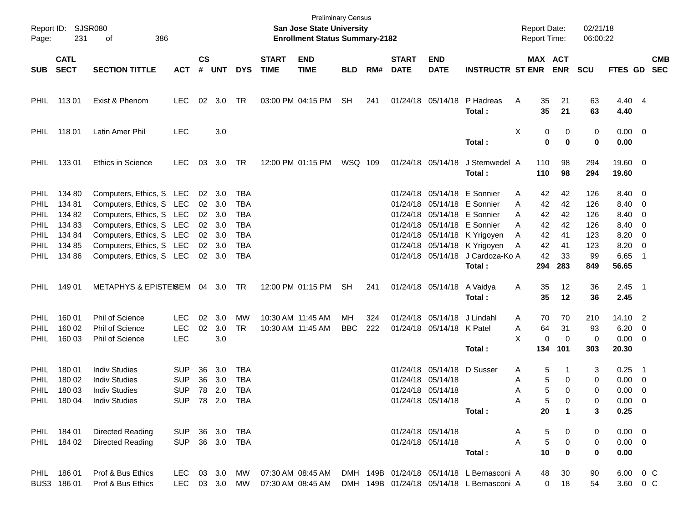| Page:                                                                                   | Report ID: SJSR080<br>231<br>386<br>οf                             |                                                                                                                                                                                                  |                                                          |                      |                                                        |                                                      |                             | <b>Preliminary Census</b><br><b>San Jose State University</b><br><b>Enrollment Status Summary-2182</b> |                  |            |                             |                                                             |                                                                                                                                                                                                                                        | <b>Report Date:</b><br>Report Time:                                         |                                                 | 02/21/18<br>06:00:22                                |                                                                 |                                                                                                                                                            |                          |
|-----------------------------------------------------------------------------------------|--------------------------------------------------------------------|--------------------------------------------------------------------------------------------------------------------------------------------------------------------------------------------------|----------------------------------------------------------|----------------------|--------------------------------------------------------|------------------------------------------------------|-----------------------------|--------------------------------------------------------------------------------------------------------|------------------|------------|-----------------------------|-------------------------------------------------------------|----------------------------------------------------------------------------------------------------------------------------------------------------------------------------------------------------------------------------------------|-----------------------------------------------------------------------------|-------------------------------------------------|-----------------------------------------------------|-----------------------------------------------------------------|------------------------------------------------------------------------------------------------------------------------------------------------------------|--------------------------|
| <b>SUB</b>                                                                              | <b>CATL</b><br><b>SECT</b>                                         | <b>SECTION TITTLE</b>                                                                                                                                                                            | <b>ACT</b>                                               | $\mathsf{cs}$<br>#   | <b>UNT</b>                                             | <b>DYS</b>                                           | <b>START</b><br><b>TIME</b> | <b>END</b><br><b>TIME</b>                                                                              | <b>BLD</b>       | RM#        | <b>START</b><br><b>DATE</b> | <b>END</b><br><b>DATE</b>                                   | <b>INSTRUCTR ST ENR</b>                                                                                                                                                                                                                | MAX ACT                                                                     | <b>ENR</b>                                      | <b>SCU</b>                                          | <b>FTES GD</b>                                                  |                                                                                                                                                            | <b>CMB</b><br><b>SEC</b> |
| PHIL                                                                                    | 11301                                                              | Exist & Phenom                                                                                                                                                                                   | <b>LEC</b>                                               | 02                   | 3.0                                                    | TR                                                   |                             | 03:00 PM 04:15 PM                                                                                      | <b>SH</b>        | 241        |                             | 01/24/18 05/14/18                                           | P Hadreas<br>Total:                                                                                                                                                                                                                    | Α<br>35<br>35                                                               | 21<br>21                                        | 63<br>63                                            | 4.40 4<br>4.40                                                  |                                                                                                                                                            |                          |
| PHIL                                                                                    | 118 01                                                             | Latin Amer Phil                                                                                                                                                                                  | <b>LEC</b>                                               |                      | 3.0                                                    |                                                      |                             |                                                                                                        |                  |            |                             |                                                             | Total:                                                                                                                                                                                                                                 | Χ<br>0<br>0                                                                 | 0<br>$\bf{0}$                                   | 0<br>0                                              | $0.00 \t 0$<br>0.00                                             |                                                                                                                                                            |                          |
| <b>PHIL</b>                                                                             | 13301                                                              | Ethics in Science                                                                                                                                                                                | <b>LEC</b>                                               | 03                   | 3.0                                                    | TR                                                   |                             | 12:00 PM 01:15 PM                                                                                      | WSQ 109          |            |                             | 01/24/18 05/14/18                                           | J Stemwedel A<br>Total:                                                                                                                                                                                                                | 110<br>110                                                                  | 98<br>98                                        | 294<br>294                                          | 19.60 0<br>19.60                                                |                                                                                                                                                            |                          |
| <b>PHIL</b><br><b>PHIL</b><br>PHIL<br><b>PHIL</b><br>PHIL<br><b>PHIL</b><br><b>PHIL</b> | 134 80<br>134 81<br>134 82<br>134 83<br>134 84<br>134 85<br>134 86 | Computers, Ethics, S LEC<br>Computers, Ethics, S LEC<br>Computers, Ethics, S LEC<br>Computers, Ethics, S LEC<br>Computers, Ethics, S LEC<br>Computers, Ethics, S LEC<br>Computers, Ethics, S LEC |                                                          | 02<br>02<br>02<br>02 | 02 3.0<br>3.0<br>3.0<br>3.0<br>3.0<br>02 3.0<br>02 3.0 | TBA<br><b>TBA</b><br>TBA<br>TBA<br>TBA<br>TBA<br>TBA |                             |                                                                                                        |                  |            |                             |                                                             | 01/24/18 05/14/18 E Sonnier<br>01/24/18 05/14/18 E Sonnier<br>01/24/18 05/14/18 E Sonnier<br>01/24/18 05/14/18 E Sonnier<br>01/24/18 05/14/18 K Yrigoyen<br>01/24/18 05/14/18 K Yrigoyen<br>01/24/18 05/14/18 J Cardoza-Ko A<br>Total: | 42<br>Α<br>42<br>A<br>42<br>A<br>А<br>42<br>42<br>Α<br>42<br>Α<br>42<br>294 | 42<br>42<br>42<br>42<br>41<br>41<br>33<br>283   | 126<br>126<br>126<br>126<br>123<br>123<br>99<br>849 | 8.40 0<br>8.40<br>8.40<br>8.40<br>8.20<br>8.20<br>6.65<br>56.65 | $\overline{\phantom{0}}$<br>$\overline{\phantom{0}}$<br>$\overline{\phantom{0}}$<br>$\overline{\phantom{0}}$<br>$\overline{\phantom{0}}$<br>$\overline{1}$ |                          |
| PHIL.                                                                                   | 149 01                                                             | METAPHYS & EPISTEMSEM 04 3.0                                                                                                                                                                     |                                                          |                      |                                                        | TR                                                   |                             | 12:00 PM 01:15 PM                                                                                      | <b>SH</b>        | 241        |                             | 01/24/18 05/14/18                                           | A Vaidya<br>Total:                                                                                                                                                                                                                     | 35<br>Α<br>35                                                               | 12<br>12                                        | 36<br>36                                            | $2.45$ 1<br>2.45                                                |                                                                                                                                                            |                          |
| <b>PHIL</b><br><b>PHIL</b><br><b>PHIL</b>                                               | 160 01<br>160 02<br>160 03                                         | <b>Phil of Science</b><br>Phil of Science<br><b>Phil of Science</b>                                                                                                                              | LEC.<br><b>LEC</b><br><b>LEC</b>                         | 02<br>02             | 3.0<br>3.0<br>3.0                                      | МW<br><b>TR</b>                                      |                             | 10:30 AM 11:45 AM<br>10:30 AM 11:45 AM                                                                 | MН<br><b>BBC</b> | 324<br>222 |                             | 01/24/18 05/14/18<br>01/24/18 05/14/18 K Patel              | J Lindahl<br>Total:                                                                                                                                                                                                                    | 70<br>Α<br>64<br>Α<br>X<br>0<br>134                                         | 70<br>31<br>$\mathbf 0$<br>101                  | 210<br>93<br>0<br>303                               | 14.10 2<br>6.20<br>$0.00 \t 0$<br>20.30                         | $\overline{\mathbf{0}}$                                                                                                                                    |                          |
| <b>PHIL</b><br>PHIL<br>PHIL                                                             | 180 01<br>180 02<br>180 03<br>PHIL 180 04                          | <b>Indiv Studies</b><br><b>Indiv Studies</b><br><b>Indiv Studies</b><br><b>Indiv Studies</b>                                                                                                     | <b>SUP</b><br><b>SUP</b><br><b>SUP</b><br>SUP 78 2.0 TBA | 36<br>36             | 3.0<br>3.0<br>78 2.0                                   | TBA<br><b>TBA</b><br>TBA                             |                             |                                                                                                        |                  |            | 01/24/18 05/14/18           | 01/24/18 05/14/18<br>01/24/18 05/14/18<br>01/24/18 05/14/18 | D Susser<br>Total:                                                                                                                                                                                                                     | 5<br>Α<br>5<br>Α<br>5<br>Α<br>Α<br>5<br>20                                  | 1<br>0<br>$\Omega$<br>0<br>$\blacktriangleleft$ | 3<br>0<br>0<br>0<br>3                               | 0.25<br>0.00<br>0.00<br>$0.00 \t 0$<br>0.25                     | $\overline{\phantom{1}}$<br>$\overline{\phantom{0}}$<br>$\overline{\phantom{0}}$                                                                           |                          |
|                                                                                         | PHIL 184 01<br>PHIL 184 02                                         | Directed Reading<br><b>Directed Reading</b>                                                                                                                                                      | <b>SUP</b><br><b>SUP</b>                                 |                      | 36 3.0 TBA<br>36 3.0 TBA                               |                                                      |                             |                                                                                                        |                  |            |                             | 01/24/18 05/14/18<br>01/24/18 05/14/18                      | Total:                                                                                                                                                                                                                                 | 5<br>Α<br>5<br>Α<br>10                                                      | 0<br>0<br>$\bf{0}$                              | 0<br>0<br>0                                         | $0.00 \t 0$<br>$0.00 \t 0$<br>0.00                              |                                                                                                                                                            |                          |
|                                                                                         | PHIL 186 01<br>BUS3 186 01                                         | Prof & Bus Ethics<br>Prof & Bus Ethics                                                                                                                                                           | <b>LEC</b><br>LEC 03 3.0 MW                              |                      | 03 3.0                                                 | МW                                                   | 07:30 AM 08:45 AM           | 07:30 AM 08:45 AM                                                                                      |                  |            |                             |                                                             | DMH 149B 01/24/18 05/14/18 L Bernasconi A<br>DMH 149B 01/24/18 05/14/18 L Bernasconi A                                                                                                                                                 | 48<br>0                                                                     | 30<br>18                                        | 90<br>54                                            | 6.00 0 C<br>3.60 0 C                                            |                                                                                                                                                            |                          |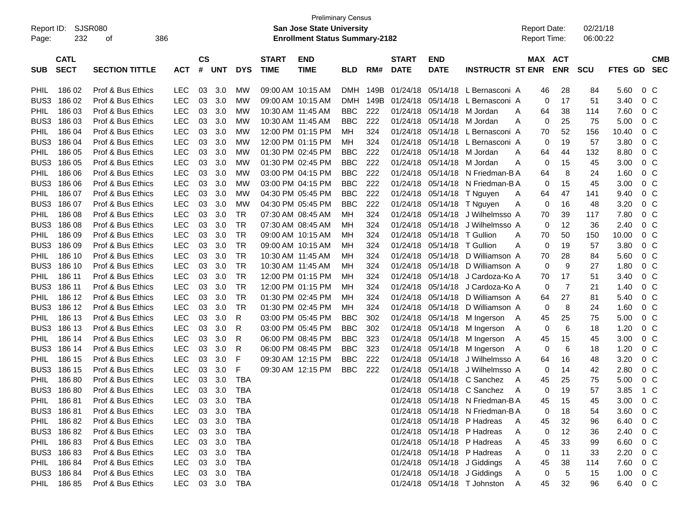| <b>Preliminary Census</b><br><b>SJSR080</b><br>Report ID:<br>San Jose State University<br><b>Report Date:</b><br>386<br>Report Time:<br>232<br><b>Enrollment Status Summary-2182</b><br>Page:<br>οf |                            |                       |            |                    |            |            |                             |                           |            | 02/21/18<br>06:00:22 |                             |                           |                                  |         |                |            |         |                          |
|-----------------------------------------------------------------------------------------------------------------------------------------------------------------------------------------------------|----------------------------|-----------------------|------------|--------------------|------------|------------|-----------------------------|---------------------------|------------|----------------------|-----------------------------|---------------------------|----------------------------------|---------|----------------|------------|---------|--------------------------|
| <b>SUB</b>                                                                                                                                                                                          | <b>CATL</b><br><b>SECT</b> | <b>SECTION TITTLE</b> | <b>ACT</b> | $\mathsf{cs}$<br># | <b>UNT</b> | <b>DYS</b> | <b>START</b><br><b>TIME</b> | <b>END</b><br><b>TIME</b> | <b>BLD</b> | RM#                  | <b>START</b><br><b>DATE</b> | <b>END</b><br><b>DATE</b> | <b>INSTRUCTR ST ENR</b>          | MAX ACT | <b>ENR</b>     | <b>SCU</b> | FTES GD | <b>CMB</b><br><b>SEC</b> |
| <b>PHIL</b>                                                                                                                                                                                         | 186 02                     | Prof & Bus Ethics     | <b>LEC</b> | 03                 | 3.0        | МW         |                             | 09:00 AM 10:15 AM         | <b>DMH</b> | 149B                 | 01/24/18                    | 05/14/18                  | L Bernasconi A                   | 46      | 28             | 84         | 5.60    | 0 <sup>o</sup>           |
| BUS3                                                                                                                                                                                                | 186 02                     | Prof & Bus Ethics     | <b>LEC</b> | 03                 | 3.0        | МW         |                             | 09:00 AM 10:15 AM         | <b>DMH</b> | 149B                 | 01/24/18                    | 05/14/18                  | L Bernasconi A                   | 0       | 17             | 51         | 3.40    | 0 <sup>o</sup>           |
| PHIL                                                                                                                                                                                                | 186 03                     | Prof & Bus Ethics     | <b>LEC</b> | 03                 | 3.0        | МW         | 10:30 AM 11:45 AM           |                           | <b>BBC</b> | 222                  | 01/24/18                    | 05/14/18                  | M Jordan                         | 64<br>Α | 38             | 114        | 7.60    | 0 <sup>o</sup>           |
| BUS3                                                                                                                                                                                                | 186 03                     | Prof & Bus Ethics     | <b>LEC</b> | 03                 | 3.0        | МW         | 10:30 AM 11:45 AM           |                           | <b>BBC</b> | 222                  | 01/24/18                    | 05/14/18                  | M Jordan                         | Α<br>0  | 25             | 75         | 5.00    | 0 <sup>o</sup>           |
| PHIL                                                                                                                                                                                                | 186 04                     | Prof & Bus Ethics     | <b>LEC</b> | 03                 | 3.0        | МW         |                             | 12:00 PM 01:15 PM         | MН         | 324                  | 01/24/18                    | 05/14/18                  | L Bernasconi A                   | 70      | 52             | 156        | 10.40   | 0 <sup>o</sup>           |
| BUS3                                                                                                                                                                                                | 186 04                     | Prof & Bus Ethics     | <b>LEC</b> | 03                 | 3.0        | МW         |                             | 12:00 PM 01:15 PM         | MН         | 324                  | 01/24/18                    | 05/14/18                  | L Bernasconi A                   | 0       | 19             | 57         | 3.80    | 0 <sup>o</sup>           |
| PHIL                                                                                                                                                                                                | 186 05                     | Prof & Bus Ethics     | <b>LEC</b> | 03                 | 3.0        | МW         |                             | 01:30 PM 02:45 PM         | <b>BBC</b> | 222                  | 01/24/18                    | 05/14/18                  | M Jordan                         | 64<br>Α | 44             | 132        | 8.80    | 0 <sup>o</sup>           |
| BUS3                                                                                                                                                                                                | 186 05                     | Prof & Bus Ethics     | <b>LEC</b> | 03                 | 3.0        | МW         |                             | 01:30 PM 02:45 PM         | <b>BBC</b> | 222                  | 01/24/18                    | 05/14/18                  | M Jordan                         | Α<br>0  | 15             | 45         | 3.00    | 0 <sup>o</sup>           |
| PHIL                                                                                                                                                                                                | 186 06                     | Prof & Bus Ethics     | <b>LEC</b> | 03                 | 3.0        | МW         |                             | 03:00 PM 04:15 PM         | <b>BBC</b> | 222                  | 01/24/18                    | 05/14/18                  | N Friedman-B A                   | 64      | 8              | 24         | 1.60    | 0 <sup>o</sup>           |
| BUS3                                                                                                                                                                                                | 186 06                     | Prof & Bus Ethics     | <b>LEC</b> | 03                 | 3.0        | МW         |                             | 03:00 PM 04:15 PM         | <b>BBC</b> | 222                  | 01/24/18                    | 05/14/18                  | N Friedman-B A                   | 0       | 15             | 45         | 3.00    | 0 <sup>o</sup>           |
| PHIL                                                                                                                                                                                                | 186 07                     | Prof & Bus Ethics     | <b>LEC</b> | 03                 | 3.0        | МW         |                             | 04:30 PM 05:45 PM         | <b>BBC</b> | 222                  | 01/24/18                    | 05/14/18                  | T Nguyen                         | 64<br>Α | 47             | 141        | 9.40    | 0 <sup>o</sup>           |
| BUS3                                                                                                                                                                                                | 186 07                     | Prof & Bus Ethics     | <b>LEC</b> | 03                 | 3.0        | МW         |                             | 04:30 PM 05:45 PM         | <b>BBC</b> | 222                  | 01/24/18                    | 05/14/18                  | T Nguyen                         | Α<br>0  | 16             | 48         | 3.20    | 0 <sup>o</sup>           |
| PHIL                                                                                                                                                                                                | 186 08                     | Prof & Bus Ethics     | <b>LEC</b> | 03                 | 3.0        | <b>TR</b>  | 07:30 AM 08:45 AM           |                           | MН         | 324                  | 01/24/18                    | 05/14/18                  | J Wilhelmsso A                   | 70      | 39             | 117        | 7.80    | 0 <sup>o</sup>           |
| BUS3                                                                                                                                                                                                | 186 08                     | Prof & Bus Ethics     | <b>LEC</b> | 03                 | 3.0        | <b>TR</b>  | 07:30 AM 08:45 AM           |                           | MН         | 324                  | 01/24/18                    | 05/14/18                  | J Wilhelmsso A                   | 0       | 12             | 36         | 2.40    | 0 <sup>o</sup>           |
| PHIL                                                                                                                                                                                                | 186 09                     | Prof & Bus Ethics     | <b>LEC</b> | 03                 | 3.0        | <b>TR</b>  |                             | 09:00 AM_10:15 AM         | MН         | 324                  | 01/24/18                    | 05/14/18                  | T Gullion                        | 70<br>Α | 50             | 150        | 10.00   | 0 <sup>o</sup>           |
| BUS3                                                                                                                                                                                                | 186 09                     | Prof & Bus Ethics     | <b>LEC</b> | 03                 | 3.0        | <b>TR</b>  |                             | 09:00 AM 10:15 AM         | MН         | 324                  | 01/24/18                    | 05/14/18                  | T Gullion                        | Α<br>0  | 19             | 57         | 3.80    | 0 <sup>o</sup>           |
| PHIL                                                                                                                                                                                                | 186 10                     | Prof & Bus Ethics     | <b>LEC</b> | 03                 | 3.0        | <b>TR</b>  | 10:30 AM 11:45 AM           |                           | MН         | 324                  | 01/24/18                    | 05/14/18                  | D Williamson A                   | 70      | 28             | 84         | 5.60    | 0 <sup>o</sup>           |
| BUS3                                                                                                                                                                                                | 186 10                     | Prof & Bus Ethics     | <b>LEC</b> | 03                 | 3.0        | <b>TR</b>  | 10:30 AM 11:45 AM           |                           | MН         | 324                  | 01/24/18                    | 05/14/18                  | D Williamson A                   | 0       | 9              | 27         | 1.80    | 0 <sup>o</sup>           |
| <b>PHIL</b>                                                                                                                                                                                         | 186 11                     | Prof & Bus Ethics     | <b>LEC</b> | 03                 | 3.0        | <b>TR</b>  |                             | 12:00 PM 01:15 PM         | MН         | 324                  | 01/24/18                    | 05/14/18                  | J Cardoza-Ko A                   | 70      | 17             | 51         | 3.40    | 0 <sup>o</sup>           |
| BUS3                                                                                                                                                                                                | 186 11                     | Prof & Bus Ethics     | <b>LEC</b> | 03                 | 3.0        | <b>TR</b>  |                             | 12:00 PM 01:15 PM         | MН         | 324                  | 01/24/18                    | 05/14/18                  | J Cardoza-Ko A                   | 0       | $\overline{7}$ | 21         | 1.40    | 0 <sup>o</sup>           |
| PHIL                                                                                                                                                                                                | 186 12                     | Prof & Bus Ethics     | <b>LEC</b> | 03                 | 3.0        | <b>TR</b>  |                             | 01:30 PM 02:45 PM         | MН         | 324                  | 01/24/18                    | 05/14/18                  | D Williamson A                   | 64      | 27             | 81         | 5.40    | 0 <sup>o</sup>           |
| BUS3                                                                                                                                                                                                | 186 12                     | Prof & Bus Ethics     | <b>LEC</b> | 03                 | 3.0        | <b>TR</b>  |                             | 01:30 PM 02:45 PM         | MН         | 324                  | 01/24/18                    | 05/14/18                  | D Williamson A                   | 0       | 8              | 24         | 1.60    | 0 <sup>o</sup>           |
| PHIL                                                                                                                                                                                                | 186 13                     | Prof & Bus Ethics     | <b>LEC</b> | 03                 | 3.0        | R          |                             | 03:00 PM 05:45 PM         | <b>BBC</b> | 302                  | 01/24/18                    | 05/14/18                  | M Ingerson                       | 45<br>A | 25             | 75         | 5.00    | 0 <sup>o</sup>           |
| BUS3                                                                                                                                                                                                | 186 13                     | Prof & Bus Ethics     | <b>LEC</b> | 03                 | 3.0        | R          |                             | 03:00 PM 05:45 PM         | <b>BBC</b> | 302                  | 01/24/18                    | 05/14/18                  | M Ingerson                       | 0<br>A  | 6              | 18         | 1.20    | 0 <sup>o</sup>           |
| PHIL                                                                                                                                                                                                | 186 14                     | Prof & Bus Ethics     | <b>LEC</b> | 03                 | 3.0        | R          |                             | 06:00 PM 08:45 PM         | <b>BBC</b> | 323                  | 01/24/18                    | 05/14/18                  | M Ingerson                       | Α<br>45 | 15             | 45         | 3.00    | 0 <sup>o</sup>           |
| BUS3                                                                                                                                                                                                | 186 14                     | Prof & Bus Ethics     | <b>LEC</b> | 03                 | 3.0        | R          |                             | 06:00 PM 08:45 PM         | <b>BBC</b> | 323                  | 01/24/18                    | 05/14/18                  | M Ingerson                       | A<br>0  | 6              | 18         | 1.20    | 0 <sup>o</sup>           |
| PHIL                                                                                                                                                                                                | 186 15                     | Prof & Bus Ethics     | <b>LEC</b> | 03                 | 3.0        | F          |                             | 09:30 AM 12:15 PM         | <b>BBC</b> | 222                  | 01/24/18                    | 05/14/18                  | J Wilhelmsso A                   | 64      | 16             | 48         | 3.20    | 0 <sup>o</sup>           |
| BUS3                                                                                                                                                                                                | 186 15                     | Prof & Bus Ethics     | <b>LEC</b> | 03                 | 3.0        | F          |                             | 09:30 AM 12:15 PM         | <b>BBC</b> | 222                  | 01/24/18                    | 05/14/18                  | J Wilhelmsso A                   | 0       | 14             | 42         | 2.80    | 0 <sup>o</sup>           |
| PHIL                                                                                                                                                                                                | 18680                      | Prof & Bus Ethics     | <b>LEC</b> | 03                 | 3.0        | <b>TBA</b> |                             |                           |            |                      | 01/24/18                    | 05/14/18                  | C Sanchez                        | A<br>45 | 25             | 75         | 5.00    | 0 <sub>C</sub>           |
| BUS3                                                                                                                                                                                                | 18680                      | Prof & Bus Ethics     | <b>LEC</b> | 03                 | 3.0        | <b>TBA</b> |                             |                           |            |                      | 01/24/18                    |                           | 05/14/18 C Sanchez               | A<br>0  | 19             | 57         | 3.85    | $1\,C$                   |
| <b>PHIL</b>                                                                                                                                                                                         | 186 81                     | Prof & Bus Ethics     | <b>LEC</b> | 03                 | 3.0        | TBA        |                             |                           |            |                      |                             |                           | 01/24/18 05/14/18 N Friedman-B A | 45      | 15             | 45         | 3.00    | $0\,C$                   |
|                                                                                                                                                                                                     | BUS3 186 81                | Prof & Bus Ethics     | LEC        | 03                 | 3.0        | <b>TBA</b> |                             |                           |            |                      |                             |                           | 01/24/18 05/14/18 N Friedman-B A | 0       | 18             | 54         | 3.60    | 0 <sup>o</sup>           |
| <b>PHIL</b>                                                                                                                                                                                         | 18682                      | Prof & Bus Ethics     | <b>LEC</b> | 03                 | 3.0        | <b>TBA</b> |                             |                           |            |                      |                             |                           | 01/24/18 05/14/18 P Hadreas      | A<br>45 | 32             | 96         | 6.40    | 0 <sup>C</sup>           |
|                                                                                                                                                                                                     | BUS3 186 82                | Prof & Bus Ethics     | <b>LEC</b> | 03                 | 3.0        | TBA        |                             |                           |            |                      |                             |                           | 01/24/18 05/14/18 P Hadreas      | 0<br>A  | 12             | 36         | 2.40    | 0 <sup>C</sup>           |
| <b>PHIL</b>                                                                                                                                                                                         | 18683                      | Prof & Bus Ethics     | <b>LEC</b> | 03                 | 3.0        | TBA        |                             |                           |            |                      |                             |                           | 01/24/18 05/14/18 P Hadreas      | Α<br>45 | 33             | 99         | 6.60    | 0 <sup>C</sup>           |
|                                                                                                                                                                                                     | BUS3 186 83                | Prof & Bus Ethics     | <b>LEC</b> | 03                 | 3.0        | TBA        |                             |                           |            |                      |                             |                           | 01/24/18 05/14/18 P Hadreas      | A<br>0  | 11             | 33         | 2.20    | 0 <sup>C</sup>           |
| <b>PHIL</b>                                                                                                                                                                                         | 18684                      | Prof & Bus Ethics     | <b>LEC</b> | 03                 | 3.0        | TBA        |                             |                           |            |                      |                             |                           | 01/24/18 05/14/18 J Giddings     | Α<br>45 | 38             | 114        | 7.60    | $0\,C$                   |
|                                                                                                                                                                                                     | BUS3 186 84                | Prof & Bus Ethics     | LEC        | 03                 | 3.0        | TBA        |                             |                           |            |                      |                             |                           | 01/24/18 05/14/18 J Giddings     | A<br>0  | 5              | 15         | 1.00    | 0 <sup>C</sup>           |
| <b>PHIL</b>                                                                                                                                                                                         | 18685                      | Prof & Bus Ethics     | <b>LEC</b> |                    | 03 3.0     | TBA        |                             |                           |            |                      |                             |                           | 01/24/18 05/14/18 T Johnston     | A<br>45 | 32             | 96         | 6.40    | 0 C                      |
|                                                                                                                                                                                                     |                            |                       |            |                    |            |            |                             |                           |            |                      |                             |                           |                                  |         |                |            |         |                          |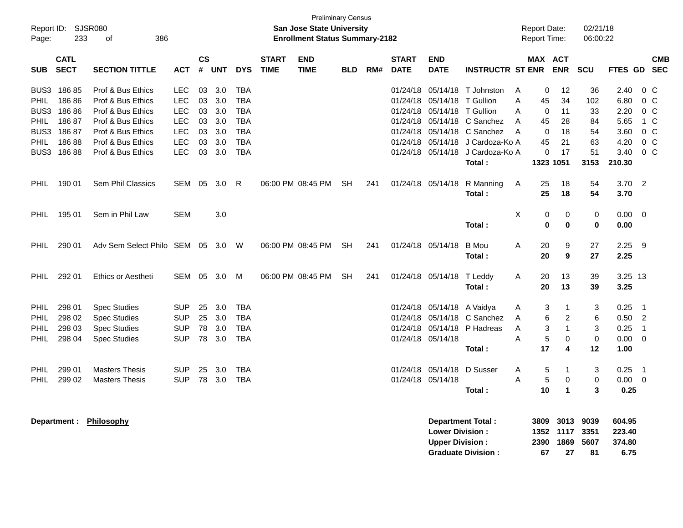| <b>Preliminary Census</b><br>Report ID: SJSR080<br><b>San Jose State University</b><br><b>Report Date:</b><br>233<br>386<br><b>Enrollment Status Summary-2182</b><br><b>Report Time:</b><br>Page:<br>оf |                                                             |                                                                                                                                                 |                                                                                         |                                        |                                               |                                                                                         |                             |                           |            |     |                                                                      |                                                                               | 02/21/18<br>06:00:22                                                                                        |                       |                                           |                                                  |                                         |                                                      |                                                                                                          |  |
|---------------------------------------------------------------------------------------------------------------------------------------------------------------------------------------------------------|-------------------------------------------------------------|-------------------------------------------------------------------------------------------------------------------------------------------------|-----------------------------------------------------------------------------------------|----------------------------------------|-----------------------------------------------|-----------------------------------------------------------------------------------------|-----------------------------|---------------------------|------------|-----|----------------------------------------------------------------------|-------------------------------------------------------------------------------|-------------------------------------------------------------------------------------------------------------|-----------------------|-------------------------------------------|--------------------------------------------------|-----------------------------------------|------------------------------------------------------|----------------------------------------------------------------------------------------------------------|--|
| <b>SUB</b>                                                                                                                                                                                              | <b>CATL</b><br><b>SECT</b>                                  | <b>SECTION TITTLE</b>                                                                                                                           | <b>ACT</b>                                                                              | <b>CS</b><br>#                         | <b>UNT</b>                                    | <b>DYS</b>                                                                              | <b>START</b><br><b>TIME</b> | <b>END</b><br><b>TIME</b> | <b>BLD</b> | RM# | <b>START</b><br><b>DATE</b>                                          | <b>END</b><br><b>DATE</b>                                                     | <b>INSTRUCTR ST ENR</b>                                                                                     |                       | <b>MAX ACT</b>                            | <b>ENR</b>                                       | <b>SCU</b>                              | <b>FTES GD</b>                                       | <b>CMB</b><br><b>SEC</b>                                                                                 |  |
| BUS3<br>PHIL<br>BUS3<br><b>PHIL</b><br>BUS3<br><b>PHIL</b><br>BUS3                                                                                                                                      | 18685<br>18686<br>18686<br>18687<br>18687<br>18688<br>18688 | Prof & Bus Ethics<br>Prof & Bus Ethics<br>Prof & Bus Ethics<br>Prof & Bus Ethics<br>Prof & Bus Ethics<br>Prof & Bus Ethics<br>Prof & Bus Ethics | <b>LEC</b><br><b>LEC</b><br><b>LEC</b><br><b>LEC</b><br>LEC<br><b>LEC</b><br><b>LEC</b> | 03<br>03<br>03<br>03<br>03<br>03<br>03 | 3.0<br>3.0<br>3.0<br>3.0<br>3.0<br>3.0<br>3.0 | TBA<br><b>TBA</b><br><b>TBA</b><br><b>TBA</b><br><b>TBA</b><br><b>TBA</b><br><b>TBA</b> |                             |                           |            |     | 01/24/18<br>01/24/18<br>01/24/18<br>01/24/18<br>01/24/18<br>01/24/18 | 05/14/18<br>05/14/18<br>05/14/18<br>05/14/18<br>05/14/18<br>01/24/18 05/14/18 | 05/14/18 T Johnston<br>T Gullion<br>T Gullion<br>C Sanchez<br>C Sanchez<br>J Cardoza-Ko A<br>J Cardoza-Ko A | A<br>Α<br>A<br>A<br>A | 0<br>45<br>0<br>45<br>$\Omega$<br>45<br>0 | 12<br>34<br>11<br>28<br>18<br>21<br>17           | 36<br>102<br>33<br>84<br>54<br>63<br>51 | 2.40<br>6.80<br>2.20<br>5.65<br>3.60<br>4.20<br>3.40 | $0\,$ C<br>0 <sup>o</sup><br>0 <sup>o</sup><br>1 C<br>0 <sup>o</sup><br>0 <sup>o</sup><br>0 <sup>o</sup> |  |
| PHIL                                                                                                                                                                                                    | 190 01                                                      | Sem Phil Classics                                                                                                                               | <b>SEM</b>                                                                              | 05                                     | 3.0                                           | R                                                                                       |                             | 06:00 PM 08:45 PM         | <b>SH</b>  | 241 |                                                                      | 01/24/18 05/14/18                                                             | Total:<br>R Manning<br>Total:                                                                               | A                     | 1323 1051<br>25<br>25                     | 18<br>18                                         | 3153<br>54<br>54                        | 210.30<br>3.70<br>3.70                               | $\overline{2}$                                                                                           |  |
| PHIL                                                                                                                                                                                                    | 195 01                                                      | Sem in Phil Law                                                                                                                                 | <b>SEM</b>                                                                              |                                        | 3.0                                           |                                                                                         |                             |                           |            |     |                                                                      |                                                                               | Total:                                                                                                      | X                     | 0<br>$\bf{0}$                             | 0<br>0                                           | 0<br>0                                  | 0.00<br>0.00                                         | $\overline{\mathbf{0}}$                                                                                  |  |
| PHIL                                                                                                                                                                                                    | 290 01                                                      | Adv Sem Select Philo SEM                                                                                                                        |                                                                                         |                                        | 05 3.0 W                                      |                                                                                         |                             | 06:00 PM 08:45 PM         | <b>SH</b>  | 241 |                                                                      | 01/24/18 05/14/18                                                             | <b>B</b> Mou<br>Total:                                                                                      | A                     | 20<br>20                                  | 9<br>9                                           | 27<br>27                                | 2.25<br>2.25                                         | - 9                                                                                                      |  |
| <b>PHIL</b>                                                                                                                                                                                             | 292 01                                                      | Ethics or Aestheti                                                                                                                              | SEM                                                                                     | 05                                     | 3.0                                           | M                                                                                       |                             | 06:00 PM 08:45 PM         | SH.        | 241 |                                                                      | 01/24/18 05/14/18                                                             | T Leddy<br>Total:                                                                                           | A                     | 20<br>20                                  | 13<br>13                                         | 39<br>39                                | 3.25 13<br>3.25                                      |                                                                                                          |  |
| <b>PHIL</b><br>PHIL<br>PHIL<br>PHIL.                                                                                                                                                                    | 298 01<br>298 02<br>298 03<br>298 04                        | <b>Spec Studies</b><br><b>Spec Studies</b><br><b>Spec Studies</b><br><b>Spec Studies</b>                                                        | <b>SUP</b><br><b>SUP</b><br><b>SUP</b><br><b>SUP</b>                                    | 25<br>25<br>78<br>78                   | 3.0<br>3.0<br>3.0<br>3.0                      | <b>TBA</b><br><b>TBA</b><br><b>TBA</b><br><b>TBA</b>                                    |                             |                           |            |     | 01/24/18<br>01/24/18                                                 | 01/24/18 05/14/18 A Vaidya<br>05/14/18<br>01/24/18 05/14/18                   | 05/14/18 C Sanchez<br>P Hadreas<br>Total:                                                                   | A<br>A<br>A<br>A      | 3<br>6<br>3<br>5<br>17                    | -1<br>$\overline{c}$<br>$\overline{1}$<br>0<br>4 | 3<br>6<br>3<br>$\pmb{0}$<br>12          | 0.25<br>0.50<br>0.25<br>0.00<br>1.00                 | - 1<br>$\overline{2}$<br>$\overline{\phantom{0}}$<br>- 0                                                 |  |
| PHIL<br>PHIL                                                                                                                                                                                            | 299 01<br>299 02                                            | <b>Masters Thesis</b><br><b>Masters Thesis</b>                                                                                                  | <b>SUP</b><br><b>SUP</b>                                                                | 25                                     | 3.0<br>78 3.0                                 | <b>TBA</b><br><b>TBA</b>                                                                |                             |                           |            |     |                                                                      | 01/24/18 05/14/18<br>01/24/18 05/14/18                                        | D Susser<br>Total:                                                                                          | A<br>A                | 5<br>5<br>10                              | -1<br>0<br>$\mathbf{1}$                          | 3<br>0<br>3                             | 0.25<br>0.00<br>0.25                                 | $\overline{\phantom{0}}$ 1<br>- 0                                                                        |  |
|                                                                                                                                                                                                         |                                                             | Department: Philosophy                                                                                                                          |                                                                                         |                                        |                                               |                                                                                         |                             |                           |            |     |                                                                      |                                                                               | Department Total:                                                                                           |                       | 3809                                      | 3013                                             | 9039                                    | 604.95                                               |                                                                                                          |  |

| <b>Department Total:</b>  |    | 3809 3013 9039 |    | 604.95 |
|---------------------------|----|----------------|----|--------|
| <b>Lower Division:</b>    |    | 1352 1117 3351 |    | 223.40 |
| Upper Division:           |    | 2390 1869 5607 |    | 374.80 |
| <b>Graduate Division:</b> | 67 | 27             | 81 | 6.75   |